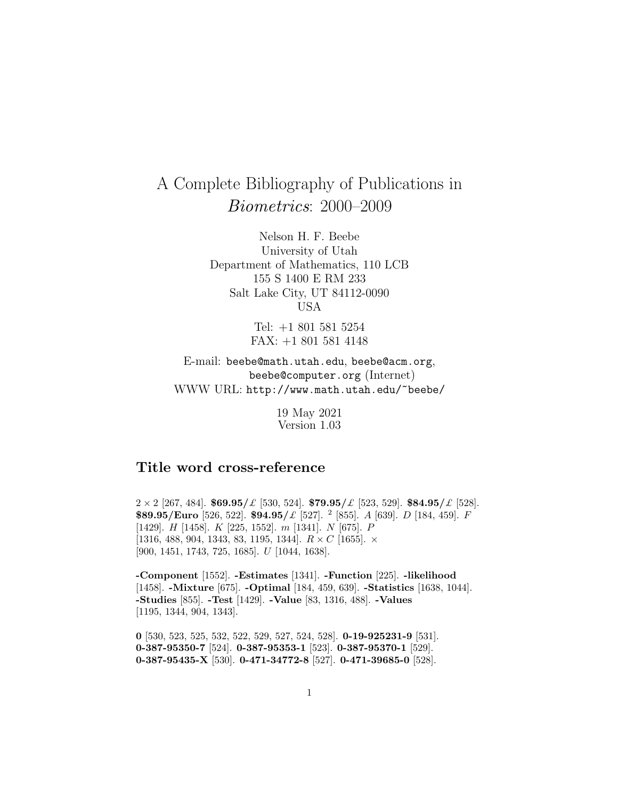# A Complete Bibliography of Publications in Biometrics: 2000–2009

Nelson H. F. Beebe University of Utah Department of Mathematics, 110 LCB 155 S 1400 E RM 233 Salt Lake City, UT 84112-0090 USA

> Tel: +1 801 581 5254 FAX: +1 801 581 4148

E-mail: beebe@math.utah.edu, beebe@acm.org, beebe@computer.org (Internet) WWW URL: http://www.math.utah.edu/~beebe/

> 19 May 2021 Version 1.03

# **Title word cross-reference**

2 × 2 [267, 484]. **\$69.95/**£ [530, 524]. **\$79.95/**£ [523, 529]. **\$84.95/**£ [528]. **\$89.95/Euro** [526, 522]. **\$94.95/**£ [527]. <sup>2</sup> [855]. A [639]. D [184, 459]. F [1429]. H [1458]. K [225, 1552]. m [1341]. N [675]. P [1316, 488, 904, 1343, 83, 1195, 1344].  $R \times C$  [1655].  $\times$ [900, 1451, 1743, 725, 1685]. U [1044, 1638].

**-Component** [1552]. **-Estimates** [1341]. **-Function** [225]. **-likelihood** [1458]. **-Mixture** [675]. **-Optimal** [184, 459, 639]. **-Statistics** [1638, 1044]. **-Studies** [855]. **-Test** [1429]. **-Value** [83, 1316, 488]. **-Values** [1195, 1344, 904, 1343].

**0** [530, 523, 525, 532, 522, 529, 527, 524, 528]. **0-19-925231-9** [531]. **0-387-95350-7** [524]. **0-387-95353-1** [523]. **0-387-95370-1** [529]. **0-387-95435-X** [530]. **0-471-34772-8** [527]. **0-471-39685-0** [528].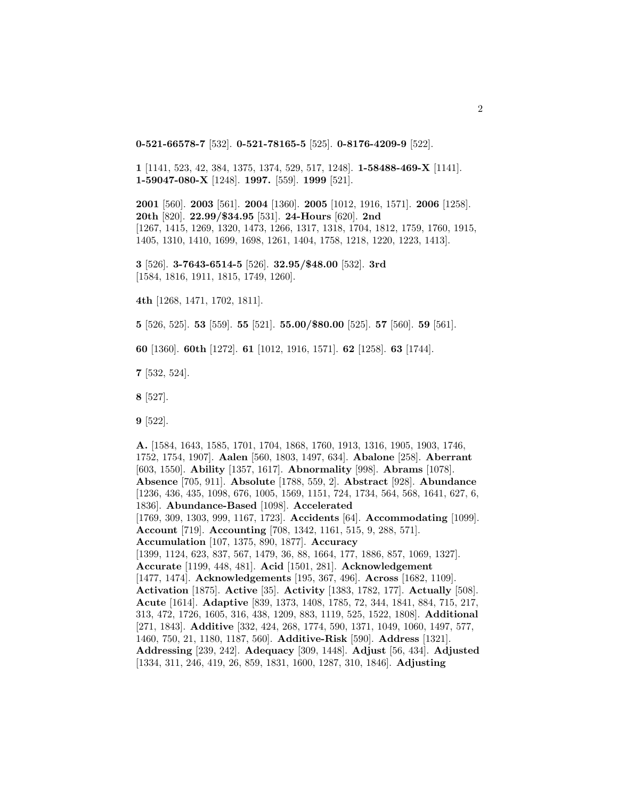**0-521-66578-7** [532]. **0-521-78165-5** [525]. **0-8176-4209-9** [522].

**1** [1141, 523, 42, 384, 1375, 1374, 529, 517, 1248]. **1-58488-469-X** [1141]. **1-59047-080-X** [1248]. **1997.** [559]. **1999** [521].

**2001** [560]. **2003** [561]. **2004** [1360]. **2005** [1012, 1916, 1571]. **2006** [1258]. **20th** [820]. **22.99/\$34.95** [531]. **24-Hours** [620]. **2nd** [1267, 1415, 1269, 1320, 1473, 1266, 1317, 1318, 1704, 1812, 1759, 1760, 1915, 1405, 1310, 1410, 1699, 1698, 1261, 1404, 1758, 1218, 1220, 1223, 1413].

**3** [526]. **3-7643-6514-5** [526]. **32.95/\$48.00** [532]. **3rd** [1584, 1816, 1911, 1815, 1749, 1260].

**4th** [1268, 1471, 1702, 1811].

**5** [526, 525]. **53** [559]. **55** [521]. **55.00/\$80.00** [525]. **57** [560]. **59** [561].

**60** [1360]. **60th** [1272]. **61** [1012, 1916, 1571]. **62** [1258]. **63** [1744].

**7** [532, 524].

**8** [527].

**9** [522].

**A.** [1584, 1643, 1585, 1701, 1704, 1868, 1760, 1913, 1316, 1905, 1903, 1746, 1752, 1754, 1907]. **Aalen** [560, 1803, 1497, 634]. **Abalone** [258]. **Aberrant** [603, 1550]. **Ability** [1357, 1617]. **Abnormality** [998]. **Abrams** [1078]. **Absence** [705, 911]. **Absolute** [1788, 559, 2]. **Abstract** [928]. **Abundance** [1236, 436, 435, 1098, 676, 1005, 1569, 1151, 724, 1734, 564, 568, 1641, 627, 6, 1836]. **Abundance-Based** [1098]. **Accelerated** [1769, 309, 1303, 999, 1167, 1723]. **Accidents** [64]. **Accommodating** [1099]. **Account** [719]. **Accounting** [708, 1342, 1161, 515, 9, 288, 571]. **Accumulation** [107, 1375, 890, 1877]. **Accuracy** [1399, 1124, 623, 837, 567, 1479, 36, 88, 1664, 177, 1886, 857, 1069, 1327]. **Accurate** [1199, 448, 481]. **Acid** [1501, 281]. **Acknowledgement** [1477, 1474]. **Acknowledgements** [195, 367, 496]. **Across** [1682, 1109]. **Activation** [1875]. **Active** [35]. **Activity** [1383, 1782, 177]. **Actually** [508]. **Acute** [1614]. **Adaptive** [839, 1373, 1408, 1785, 72, 344, 1841, 884, 715, 217, 313, 472, 1726, 1605, 316, 438, 1209, 883, 1119, 525, 1522, 1808]. **Additional** [271, 1843]. **Additive** [332, 424, 268, 1774, 590, 1371, 1049, 1060, 1497, 577, 1460, 750, 21, 1180, 1187, 560]. **Additive-Risk** [590]. **Address** [1321]. **Addressing** [239, 242]. **Adequacy** [309, 1448]. **Adjust** [56, 434]. **Adjusted** [1334, 311, 246, 419, 26, 859, 1831, 1600, 1287, 310, 1846]. **Adjusting**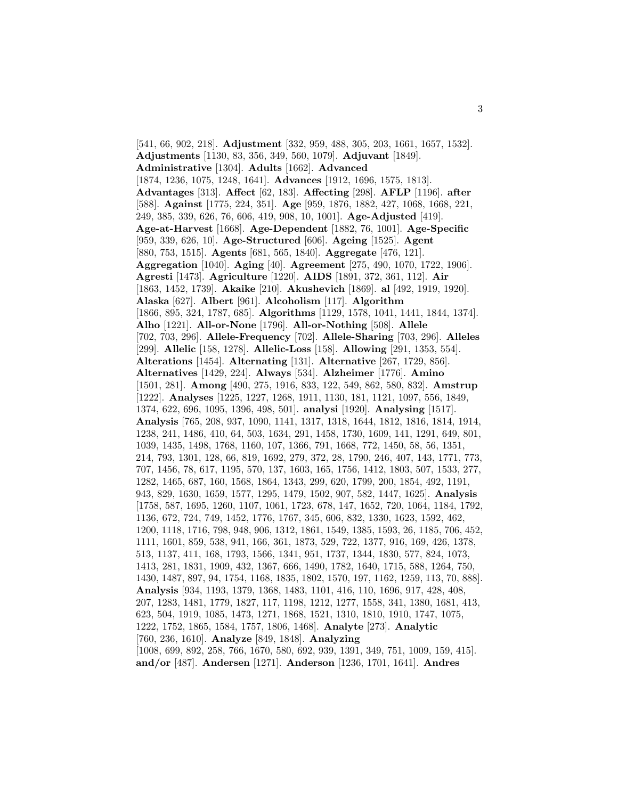[541, 66, 902, 218]. **Adjustment** [332, 959, 488, 305, 203, 1661, 1657, 1532]. **Adjustments** [1130, 83, 356, 349, 560, 1079]. **Adjuvant** [1849]. **Administrative** [1304]. **Adults** [1662]. **Advanced** [1874, 1236, 1075, 1248, 1641]. **Advances** [1912, 1696, 1575, 1813]. **Advantages** [313]. **Affect** [62, 183]. **Affecting** [298]. **AFLP** [1196]. **after** [588]. **Against** [1775, 224, 351]. **Age** [959, 1876, 1882, 427, 1068, 1668, 221, 249, 385, 339, 626, 76, 606, 419, 908, 10, 1001]. **Age-Adjusted** [419]. **Age-at-Harvest** [1668]. **Age-Dependent** [1882, 76, 1001]. **Age-Specific** [959, 339, 626, 10]. **Age-Structured** [606]. **Ageing** [1525]. **Agent** [880, 753, 1515]. **Agents** [681, 565, 1840]. **Aggregate** [476, 121]. **Aggregation** [1040]. **Aging** [40]. **Agreement** [275, 490, 1070, 1722, 1906]. **Agresti** [1473]. **Agriculture** [1220]. **AIDS** [1891, 372, 361, 112]. **Air** [1863, 1452, 1739]. **Akaike** [210]. **Akushevich** [1869]. **al** [492, 1919, 1920]. **Alaska** [627]. **Albert** [961]. **Alcoholism** [117]. **Algorithm** [1866, 895, 324, 1787, 685]. **Algorithms** [1129, 1578, 1041, 1441, 1844, 1374]. **Alho** [1221]. **All-or-None** [1796]. **All-or-Nothing** [508]. **Allele** [702, 703, 296]. **Allele-Frequency** [702]. **Allele-Sharing** [703, 296]. **Alleles** [299]. **Allelic** [158, 1278]. **Allelic-Loss** [158]. **Allowing** [291, 1353, 554]. **Alterations** [1454]. **Alternating** [131]. **Alternative** [267, 1729, 856]. **Alternatives** [1429, 224]. **Always** [534]. **Alzheimer** [1776]. **Amino** [1501, 281]. **Among** [490, 275, 1916, 833, 122, 549, 862, 580, 832]. **Amstrup** [1222]. **Analyses** [1225, 1227, 1268, 1911, 1130, 181, 1121, 1097, 556, 1849, 1374, 622, 696, 1095, 1396, 498, 501]. **analysi** [1920]. **Analysing** [1517]. **Analysis** [765, 208, 937, 1090, 1141, 1317, 1318, 1644, 1812, 1816, 1814, 1914, 1238, 241, 1486, 410, 64, 503, 1634, 291, 1458, 1730, 1609, 141, 1291, 649, 801, 1039, 1435, 1498, 1768, 1160, 107, 1366, 791, 1668, 772, 1450, 58, 56, 1351, 214, 793, 1301, 128, 66, 819, 1692, 279, 372, 28, 1790, 246, 407, 143, 1771, 773, 707, 1456, 78, 617, 1195, 570, 137, 1603, 165, 1756, 1412, 1803, 507, 1533, 277, 1282, 1465, 687, 160, 1568, 1864, 1343, 299, 620, 1799, 200, 1854, 492, 1191, 943, 829, 1630, 1659, 1577, 1295, 1479, 1502, 907, 582, 1447, 1625]. **Analysis** [1758, 587, 1695, 1260, 1107, 1061, 1723, 678, 147, 1652, 720, 1064, 1184, 1792, 1136, 672, 724, 749, 1452, 1776, 1767, 345, 606, 832, 1330, 1623, 1592, 462, 1200, 1118, 1716, 798, 948, 906, 1312, 1861, 1549, 1385, 1593, 26, 1185, 706, 452, 1111, 1601, 859, 538, 941, 166, 361, 1873, 529, 722, 1377, 916, 169, 426, 1378, 513, 1137, 411, 168, 1793, 1566, 1341, 951, 1737, 1344, 1830, 577, 824, 1073, 1413, 281, 1831, 1909, 432, 1367, 666, 1490, 1782, 1640, 1715, 588, 1264, 750, 1430, 1487, 897, 94, 1754, 1168, 1835, 1802, 1570, 197, 1162, 1259, 113, 70, 888]. **Analysis** [934, 1193, 1379, 1368, 1483, 1101, 416, 110, 1696, 917, 428, 408, 207, 1283, 1481, 1779, 1827, 117, 1198, 1212, 1277, 1558, 341, 1380, 1681, 413, 623, 504, 1919, 1085, 1473, 1271, 1868, 1521, 1310, 1810, 1910, 1747, 1075, 1222, 1752, 1865, 1584, 1757, 1806, 1468]. **Analyte** [273]. **Analytic** [760, 236, 1610]. **Analyze** [849, 1848]. **Analyzing** [1008, 699, 892, 258, 766, 1670, 580, 692, 939, 1391, 349, 751, 1009, 159, 415]. **and/or** [487]. **Andersen** [1271]. **Anderson** [1236, 1701, 1641]. **Andres**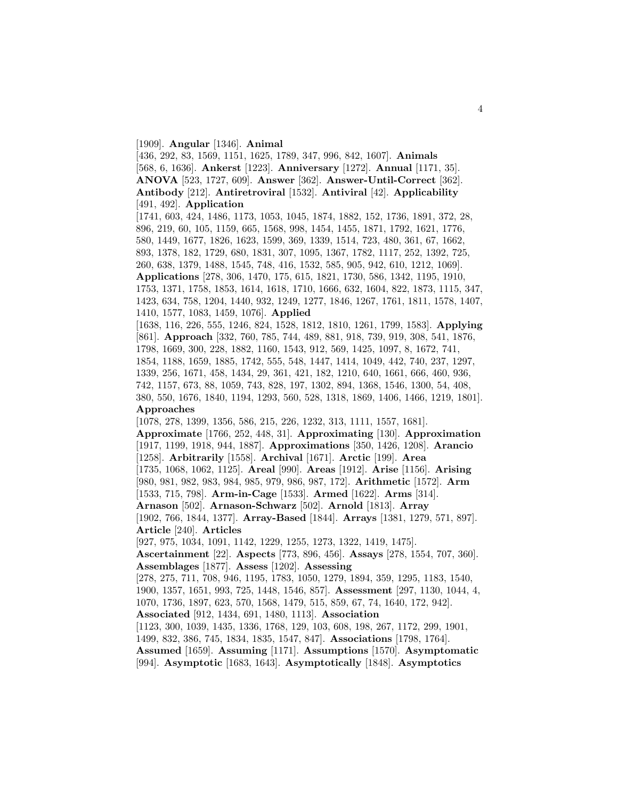#### [1909]. **Angular** [1346]. **Animal**

[436, 292, 83, 1569, 1151, 1625, 1789, 347, 996, 842, 1607]. **Animals** [568, 6, 1636]. **Ankerst** [1223]. **Anniversary** [1272]. **Annual** [1171, 35]. **ANOVA** [523, 1727, 609]. **Answer** [362]. **Answer-Until-Correct** [362]. **Antibody** [212]. **Antiretroviral** [1532]. **Antiviral** [42]. **Applicability** [491, 492]. **Application** [1741, 603, 424, 1486, 1173, 1053, 1045, 1874, 1882, 152, 1736, 1891, 372, 28, 896, 219, 60, 105, 1159, 665, 1568, 998, 1454, 1455, 1871, 1792, 1621, 1776, 580, 1449, 1677, 1826, 1623, 1599, 369, 1339, 1514, 723, 480, 361, 67, 1662, 893, 1378, 182, 1729, 680, 1831, 307, 1095, 1367, 1782, 1117, 252, 1392, 725, 260, 638, 1379, 1488, 1545, 748, 416, 1532, 585, 905, 942, 610, 1212, 1069]. **Applications** [278, 306, 1470, 175, 615, 1821, 1730, 586, 1342, 1195, 1910, 1753, 1371, 1758, 1853, 1614, 1618, 1710, 1666, 632, 1604, 822, 1873, 1115, 347, 1423, 634, 758, 1204, 1440, 932, 1249, 1277, 1846, 1267, 1761, 1811, 1578, 1407, 1410, 1577, 1083, 1459, 1076]. **Applied** [1638, 116, 226, 555, 1246, 824, 1528, 1812, 1810, 1261, 1799, 1583]. **Applying** [861]. **Approach** [332, 760, 785, 744, 489, 881, 918, 739, 919, 308, 541, 1876, 1798, 1669, 300, 228, 1882, 1160, 1543, 912, 569, 1425, 1097, 8, 1672, 741, 1854, 1188, 1659, 1885, 1742, 555, 548, 1447, 1414, 1049, 442, 740, 237, 1297, 1339, 256, 1671, 458, 1434, 29, 361, 421, 182, 1210, 640, 1661, 666, 460, 936, 742, 1157, 673, 88, 1059, 743, 828, 197, 1302, 894, 1368, 1546, 1300, 54, 408, 380, 550, 1676, 1840, 1194, 1293, 560, 528, 1318, 1869, 1406, 1466, 1219, 1801]. **Approaches** [1078, 278, 1399, 1356, 586, 215, 226, 1232, 313, 1111, 1557, 1681]. **Approximate** [1766, 252, 448, 31]. **Approximating** [130]. **Approximation** [1917, 1199, 1918, 944, 1887]. **Approximations** [350, 1426, 1208]. **Arancio** [1258]. **Arbitrarily** [1558]. **Archival** [1671]. **Arctic** [199]. **Area** [1735, 1068, 1062, 1125]. **Areal** [990]. **Areas** [1912]. **Arise** [1156]. **Arising** [980, 981, 982, 983, 984, 985, 979, 986, 987, 172]. **Arithmetic** [1572]. **Arm** [1533, 715, 798]. **Arm-in-Cage** [1533]. **Armed** [1622]. **Arms** [314]. **Arnason** [502]. **Arnason-Schwarz** [502]. **Arnold** [1813]. **Array** [1902, 766, 1844, 1377]. **Array-Based** [1844]. **Arrays** [1381, 1279, 571, 897]. **Article** [240]. **Articles** [927, 975, 1034, 1091, 1142, 1229, 1255, 1273, 1322, 1419, 1475]. **Ascertainment** [22]. **Aspects** [773, 896, 456]. **Assays** [278, 1554, 707, 360]. **Assemblages** [1877]. **Assess** [1202]. **Assessing** [278, 275, 711, 708, 946, 1195, 1783, 1050, 1279, 1894, 359, 1295, 1183, 1540, 1900, 1357, 1651, 993, 725, 1448, 1546, 857]. **Assessment** [297, 1130, 1044, 4, 1070, 1736, 1897, 623, 570, 1568, 1479, 515, 859, 67, 74, 1640, 172, 942]. **Associated** [912, 1434, 691, 1480, 1113]. **Association** [1123, 300, 1039, 1435, 1336, 1768, 129, 103, 608, 198, 267, 1172, 299, 1901, 1499, 832, 386, 745, 1834, 1835, 1547, 847]. **Associations** [1798, 1764]. **Assumed** [1659]. **Assuming** [1171]. **Assumptions** [1570]. **Asymptomatic** [994]. **Asymptotic** [1683, 1643]. **Asymptotically** [1848]. **Asymptotics**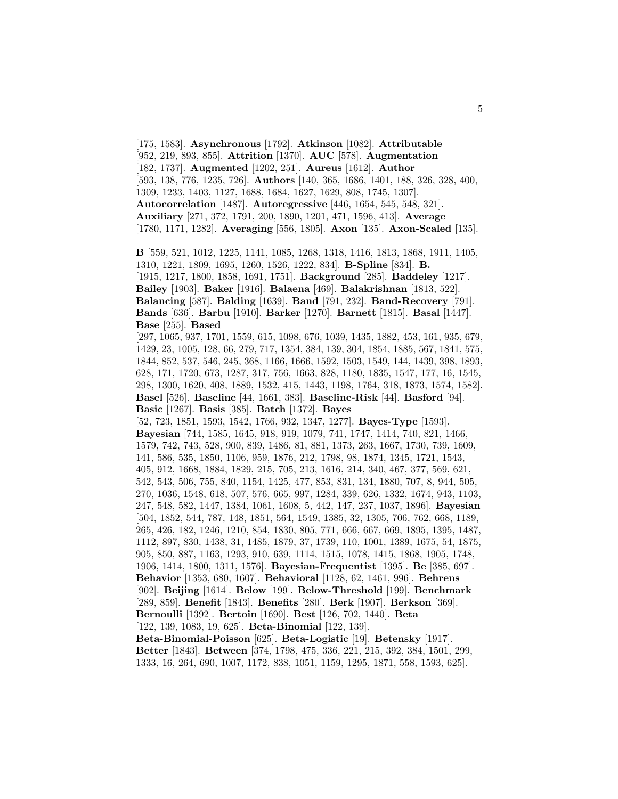[175, 1583]. **Asynchronous** [1792]. **Atkinson** [1082]. **Attributable** [952, 219, 893, 855]. **Attrition** [1370]. **AUC** [578]. **Augmentation** [182, 1737]. **Augmented** [1202, 251]. **Aureus** [1612]. **Author** [593, 138, 776, 1235, 726]. **Authors** [140, 365, 1686, 1401, 188, 326, 328, 400, 1309, 1233, 1403, 1127, 1688, 1684, 1627, 1629, 808, 1745, 1307]. **Autocorrelation** [1487]. **Autoregressive** [446, 1654, 545, 548, 321]. **Auxiliary** [271, 372, 1791, 200, 1890, 1201, 471, 1596, 413]. **Average** [1780, 1171, 1282]. **Averaging** [556, 1805]. **Axon** [135]. **Axon-Scaled** [135].

**B** [559, 521, 1012, 1225, 1141, 1085, 1268, 1318, 1416, 1813, 1868, 1911, 1405, 1310, 1221, 1809, 1695, 1260, 1526, 1222, 834]. **B-Spline** [834]. **B.** [1915, 1217, 1800, 1858, 1691, 1751]. **Background** [285]. **Baddeley** [1217]. **Bailey** [1903]. **Baker** [1916]. **Balaena** [469]. **Balakrishnan** [1813, 522]. **Balancing** [587]. **Balding** [1639]. **Band** [791, 232]. **Band-Recovery** [791]. **Bands** [636]. **Barbu** [1910]. **Barker** [1270]. **Barnett** [1815]. **Basal** [1447]. **Base** [255]. **Based** [297, 1065, 937, 1701, 1559, 615, 1098, 676, 1039, 1435, 1882, 453, 161, 935, 679,

1429, 23, 1005, 128, 66, 279, 717, 1354, 384, 139, 304, 1854, 1885, 567, 1841, 575, 1844, 852, 537, 546, 245, 368, 1166, 1666, 1592, 1503, 1549, 144, 1439, 398, 1893, 628, 171, 1720, 673, 1287, 317, 756, 1663, 828, 1180, 1835, 1547, 177, 16, 1545, 298, 1300, 1620, 408, 1889, 1532, 415, 1443, 1198, 1764, 318, 1873, 1574, 1582]. **Basel** [526]. **Baseline** [44, 1661, 383]. **Baseline-Risk** [44]. **Basford** [94]. **Basic** [1267]. **Basis** [385]. **Batch** [1372]. **Bayes**

[52, 723, 1851, 1593, 1542, 1766, 932, 1347, 1277]. **Bayes-Type** [1593]. **Bayesian** [744, 1585, 1645, 918, 919, 1079, 741, 1747, 1414, 740, 821, 1466, 1579, 742, 743, 528, 900, 839, 1486, 81, 881, 1373, 263, 1667, 1730, 739, 1609, 141, 586, 535, 1850, 1106, 959, 1876, 212, 1798, 98, 1874, 1345, 1721, 1543, 405, 912, 1668, 1884, 1829, 215, 705, 213, 1616, 214, 340, 467, 377, 569, 621, 542, 543, 506, 755, 840, 1154, 1425, 477, 853, 831, 134, 1880, 707, 8, 944, 505, 270, 1036, 1548, 618, 507, 576, 665, 997, 1284, 339, 626, 1332, 1674, 943, 1103, 247, 548, 582, 1447, 1384, 1061, 1608, 5, 442, 147, 237, 1037, 1896]. **Bayesian** [504, 1852, 544, 787, 148, 1851, 564, 1549, 1385, 32, 1305, 706, 762, 668, 1189, 265, 426, 182, 1246, 1210, 854, 1830, 805, 771, 666, 667, 669, 1895, 1395, 1487, 1112, 897, 830, 1438, 31, 1485, 1879, 37, 1739, 110, 1001, 1389, 1675, 54, 1875, 905, 850, 887, 1163, 1293, 910, 639, 1114, 1515, 1078, 1415, 1868, 1905, 1748, 1906, 1414, 1800, 1311, 1576]. **Bayesian-Frequentist** [1395]. **Be** [385, 697]. **Behavior** [1353, 680, 1607]. **Behavioral** [1128, 62, 1461, 996]. **Behrens** [902]. **Beijing** [1614]. **Below** [199]. **Below-Threshold** [199]. **Benchmark** [289, 859]. **Benefit** [1843]. **Benefits** [280]. **Berk** [1907]. **Berkson** [369]. **Bernoulli** [1392]. **Bertoin** [1690]. **Best** [126, 702, 1440]. **Beta** [122, 139, 1083, 19, 625]. **Beta-Binomial** [122, 139]. **Beta-Binomial-Poisson** [625]. **Beta-Logistic** [19]. **Betensky** [1917].

**Better** [1843]. **Between** [374, 1798, 475, 336, 221, 215, 392, 384, 1501, 299, 1333, 16, 264, 690, 1007, 1172, 838, 1051, 1159, 1295, 1871, 558, 1593, 625].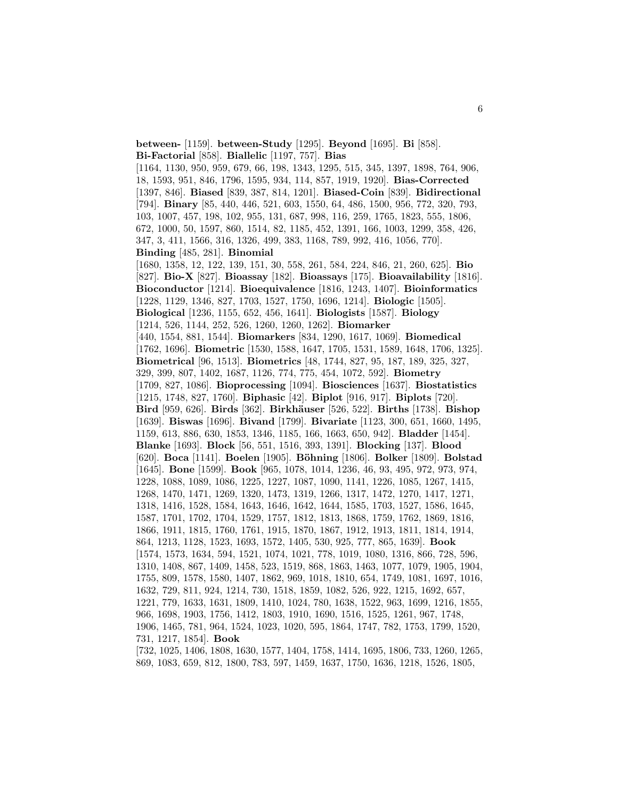**between-** [1159]. **between-Study** [1295]. **Beyond** [1695]. **Bi** [858]. **Bi-Factorial** [858]. **Biallelic** [1197, 757]. **Bias** [1164, 1130, 950, 959, 679, 66, 198, 1343, 1295, 515, 345, 1397, 1898, 764, 906, 18, 1593, 951, 846, 1796, 1595, 934, 114, 857, 1919, 1920]. **Bias-Corrected** [1397, 846]. **Biased** [839, 387, 814, 1201]. **Biased-Coin** [839]. **Bidirectional** [794]. **Binary** [85, 440, 446, 521, 603, 1550, 64, 486, 1500, 956, 772, 320, 793, 103, 1007, 457, 198, 102, 955, 131, 687, 998, 116, 259, 1765, 1823, 555, 1806, 672, 1000, 50, 1597, 860, 1514, 82, 1185, 452, 1391, 166, 1003, 1299, 358, 426, 347, 3, 411, 1566, 316, 1326, 499, 383, 1168, 789, 992, 416, 1056, 770]. **Binding** [485, 281]. **Binomial** [1680, 1358, 12, 122, 139, 151, 30, 558, 261, 584, 224, 846, 21, 260, 625]. **Bio** [827]. **Bio-X** [827]. **Bioassay** [182]. **Bioassays** [175]. **Bioavailability** [1816]. **Bioconductor** [1214]. **Bioequivalence** [1816, 1243, 1407]. **Bioinformatics** [1228, 1129, 1346, 827, 1703, 1527, 1750, 1696, 1214]. **Biologic** [1505]. **Biological** [1236, 1155, 652, 456, 1641]. **Biologists** [1587]. **Biology** [1214, 526, 1144, 252, 526, 1260, 1260, 1262]. **Biomarker** [440, 1554, 881, 1544]. **Biomarkers** [834, 1290, 1617, 1069]. **Biomedical** [1762, 1696]. **Biometric** [1530, 1588, 1647, 1705, 1531, 1589, 1648, 1706, 1325]. **Biometrical** [96, 1513]. **Biometrics** [48, 1744, 827, 95, 187, 189, 325, 327, 329, 399, 807, 1402, 1687, 1126, 774, 775, 454, 1072, 592]. **Biometry** [1709, 827, 1086]. **Bioprocessing** [1094]. **Biosciences** [1637]. **Biostatistics** [1215, 1748, 827, 1760]. **Biphasic** [42]. **Biplot** [916, 917]. **Biplots** [720]. **Bird** [959, 626]. **Birds** [362]. **Birkh¨auser** [526, 522]. **Births** [1738]. **Bishop** [1639]. **Biswas** [1696]. **Bivand** [1799]. **Bivariate** [1123, 300, 651, 1660, 1495, 1159, 613, 886, 630, 1853, 1346, 1185, 166, 1663, 650, 942]. **Bladder** [1454]. **Blanke** [1693]. **Block** [56, 551, 1516, 393, 1391]. **Blocking** [137]. **Blood** [620]. **Boca** [1141]. **Boelen** [1905]. **B¨ohning** [1806]. **Bolker** [1809]. **Bolstad** [1645]. **Bone** [1599]. **Book** [965, 1078, 1014, 1236, 46, 93, 495, 972, 973, 974, 1228, 1088, 1089, 1086, 1225, 1227, 1087, 1090, 1141, 1226, 1085, 1267, 1415, 1268, 1470, 1471, 1269, 1320, 1473, 1319, 1266, 1317, 1472, 1270, 1417, 1271, 1318, 1416, 1528, 1584, 1643, 1646, 1642, 1644, 1585, 1703, 1527, 1586, 1645, 1587, 1701, 1702, 1704, 1529, 1757, 1812, 1813, 1868, 1759, 1762, 1869, 1816, 1866, 1911, 1815, 1760, 1761, 1915, 1870, 1867, 1912, 1913, 1811, 1814, 1914, 864, 1213, 1128, 1523, 1693, 1572, 1405, 530, 925, 777, 865, 1639]. **Book** [1574, 1573, 1634, 594, 1521, 1074, 1021, 778, 1019, 1080, 1316, 866, 728, 596, 1310, 1408, 867, 1409, 1458, 523, 1519, 868, 1863, 1463, 1077, 1079, 1905, 1904, 1755, 809, 1578, 1580, 1407, 1862, 969, 1018, 1810, 654, 1749, 1081, 1697, 1016, 1632, 729, 811, 924, 1214, 730, 1518, 1859, 1082, 526, 922, 1215, 1692, 657, 1221, 779, 1633, 1631, 1809, 1410, 1024, 780, 1638, 1522, 963, 1699, 1216, 1855, 966, 1698, 1903, 1756, 1412, 1803, 1910, 1690, 1516, 1525, 1261, 967, 1748, 1906, 1465, 781, 964, 1524, 1023, 1020, 595, 1864, 1747, 782, 1753, 1799, 1520, 731, 1217, 1854]. **Book** [732, 1025, 1406, 1808, 1630, 1577, 1404, 1758, 1414, 1695, 1806, 733, 1260, 1265,

869, 1083, 659, 812, 1800, 783, 597, 1459, 1637, 1750, 1636, 1218, 1526, 1805,

6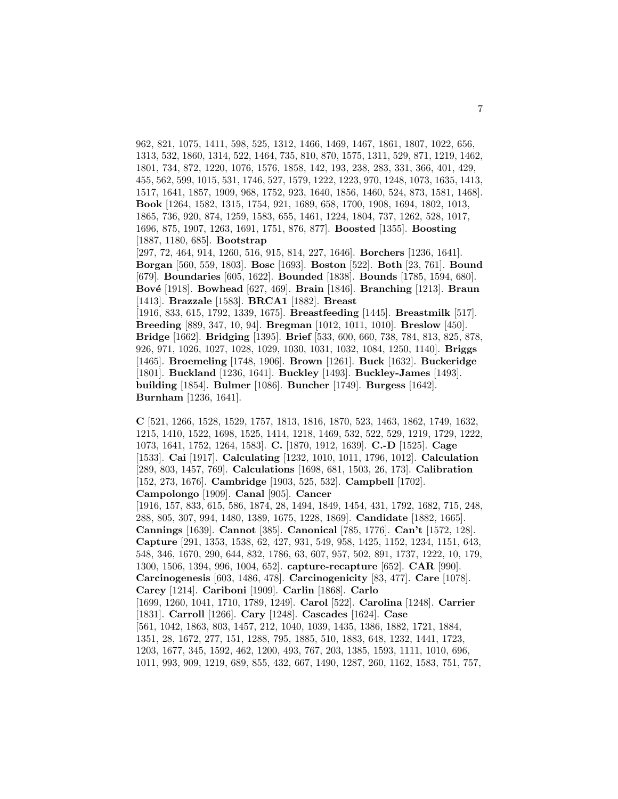962, 821, 1075, 1411, 598, 525, 1312, 1466, 1469, 1467, 1861, 1807, 1022, 656, 1313, 532, 1860, 1314, 522, 1464, 735, 810, 870, 1575, 1311, 529, 871, 1219, 1462, 1801, 734, 872, 1220, 1076, 1576, 1858, 142, 193, 238, 283, 331, 366, 401, 429, 455, 562, 599, 1015, 531, 1746, 527, 1579, 1222, 1223, 970, 1248, 1073, 1635, 1413, 1517, 1641, 1857, 1909, 968, 1752, 923, 1640, 1856, 1460, 524, 873, 1581, 1468]. **Book** [1264, 1582, 1315, 1754, 921, 1689, 658, 1700, 1908, 1694, 1802, 1013, 1865, 736, 920, 874, 1259, 1583, 655, 1461, 1224, 1804, 737, 1262, 528, 1017, 1696, 875, 1907, 1263, 1691, 1751, 876, 877]. **Boosted** [1355]. **Boosting** [1887, 1180, 685]. **Bootstrap** [297, 72, 464, 914, 1260, 516, 915, 814, 227, 1646]. **Borchers** [1236, 1641]. **Borgan** [560, 559, 1803]. **Bosc** [1693]. **Boston** [522]. **Both** [23, 761]. **Bound** [679]. **Boundaries** [605, 1622]. **Bounded** [1838]. **Bounds** [1785, 1594, 680]. **Bov´e** [1918]. **Bowhead** [627, 469]. **Brain** [1846]. **Branching** [1213]. **Braun**

[1413]. **Brazzale** [1583]. **BRCA1** [1882]. **Breast** [1916, 833, 615, 1792, 1339, 1675]. **Breastfeeding** [1445]. **Breastmilk** [517]. **Breeding** [889, 347, 10, 94]. **Bregman** [1012, 1011, 1010]. **Breslow** [450]. **Bridge** [1662]. **Bridging** [1395]. **Brief** [533, 600, 660, 738, 784, 813, 825, 878, 926, 971, 1026, 1027, 1028, 1029, 1030, 1031, 1032, 1084, 1250, 1140]. **Briggs** [1465]. **Broemeling** [1748, 1906]. **Brown** [1261]. **Buck** [1632]. **Buckeridge** [1801]. **Buckland** [1236, 1641]. **Buckley** [1493]. **Buckley-James** [1493]. **building** [1854]. **Bulmer** [1086]. **Buncher** [1749]. **Burgess** [1642]. **Burnham** [1236, 1641].

**C** [521, 1266, 1528, 1529, 1757, 1813, 1816, 1870, 523, 1463, 1862, 1749, 1632, 1215, 1410, 1522, 1698, 1525, 1414, 1218, 1469, 532, 522, 529, 1219, 1729, 1222, 1073, 1641, 1752, 1264, 1583]. **C.** [1870, 1912, 1639]. **C.-D** [1525]. **Cage** [1533]. **Cai** [1917]. **Calculating** [1232, 1010, 1011, 1796, 1012]. **Calculation** [289, 803, 1457, 769]. **Calculations** [1698, 681, 1503, 26, 173]. **Calibration** [152, 273, 1676]. **Cambridge** [1903, 525, 532]. **Campbell** [1702]. **Campolongo** [1909]. **Canal** [905]. **Cancer**

[1916, 157, 833, 615, 586, 1874, 28, 1494, 1849, 1454, 431, 1792, 1682, 715, 248, 288, 805, 307, 994, 1480, 1389, 1675, 1228, 1869]. **Candidate** [1882, 1665]. **Cannings** [1639]. **Cannot** [385]. **Canonical** [785, 1776]. **Can't** [1572, 128]. **Capture** [291, 1353, 1538, 62, 427, 931, 549, 958, 1425, 1152, 1234, 1151, 643, 548, 346, 1670, 290, 644, 832, 1786, 63, 607, 957, 502, 891, 1737, 1222, 10, 179, 1300, 1506, 1394, 996, 1004, 652]. **capture-recapture** [652]. **CAR** [990]. **Carcinogenesis** [603, 1486, 478]. **Carcinogenicity** [83, 477]. **Care** [1078]. **Carey** [1214]. **Cariboni** [1909]. **Carlin** [1868]. **Carlo** [1699, 1260, 1041, 1710, 1789, 1249]. **Carol** [522]. **Carolina** [1248]. **Carrier** [1831]. **Carroll** [1266]. **Cary** [1248]. **Cascades** [1624]. **Case** [561, 1042, 1863, 803, 1457, 212, 1040, 1039, 1435, 1386, 1882, 1721, 1884, 1351, 28, 1672, 277, 151, 1288, 795, 1885, 510, 1883, 648, 1232, 1441, 1723, 1203, 1677, 345, 1592, 462, 1200, 493, 767, 203, 1385, 1593, 1111, 1010, 696, 1011, 993, 909, 1219, 689, 855, 432, 667, 1490, 1287, 260, 1162, 1583, 751, 757,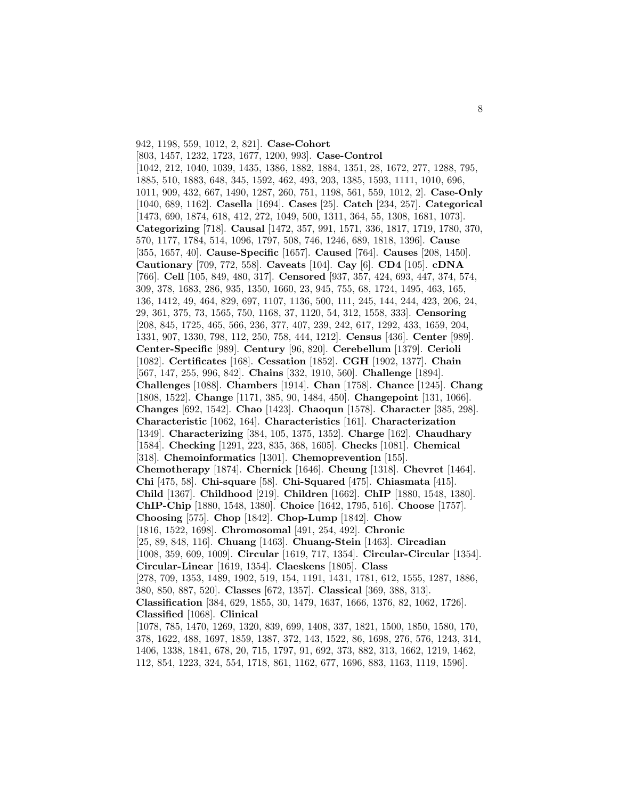942, 1198, 559, 1012, 2, 821]. **Case-Cohort** [803, 1457, 1232, 1723, 1677, 1200, 993]. **Case-Control** [1042, 212, 1040, 1039, 1435, 1386, 1882, 1884, 1351, 28, 1672, 277, 1288, 795, 1885, 510, 1883, 648, 345, 1592, 462, 493, 203, 1385, 1593, 1111, 1010, 696, 1011, 909, 432, 667, 1490, 1287, 260, 751, 1198, 561, 559, 1012, 2]. **Case-Only** [1040, 689, 1162]. **Casella** [1694]. **Cases** [25]. **Catch** [234, 257]. **Categorical** [1473, 690, 1874, 618, 412, 272, 1049, 500, 1311, 364, 55, 1308, 1681, 1073]. **Categorizing** [718]. **Causal** [1472, 357, 991, 1571, 336, 1817, 1719, 1780, 370, 570, 1177, 1784, 514, 1096, 1797, 508, 746, 1246, 689, 1818, 1396]. **Cause** [355, 1657, 40]. **Cause-Specific** [1657]. **Caused** [764]. **Causes** [208, 1450]. **Cautionary** [709, 772, 558]. **Caveats** [104]. **Cay** [6]. **CD4** [105]. **cDNA** [766]. **Cell** [105, 849, 480, 317]. **Censored** [937, 357, 424, 693, 447, 374, 574, 309, 378, 1683, 286, 935, 1350, 1660, 23, 945, 755, 68, 1724, 1495, 463, 165, 136, 1412, 49, 464, 829, 697, 1107, 1136, 500, 111, 245, 144, 244, 423, 206, 24, 29, 361, 375, 73, 1565, 750, 1168, 37, 1120, 54, 312, 1558, 333]. **Censoring** [208, 845, 1725, 465, 566, 236, 377, 407, 239, 242, 617, 1292, 433, 1659, 204, 1331, 907, 1330, 798, 112, 250, 758, 444, 1212]. **Census** [436]. **Center** [989]. **Center-Specific** [989]. **Century** [96, 820]. **Cerebellum** [1379]. **Cerioli** [1082]. **Certificates** [168]. **Cessation** [1852]. **CGH** [1902, 1377]. **Chain** [567, 147, 255, 996, 842]. **Chains** [332, 1910, 560]. **Challenge** [1894]. **Challenges** [1088]. **Chambers** [1914]. **Chan** [1758]. **Chance** [1245]. **Chang** [1808, 1522]. **Change** [1171, 385, 90, 1484, 450]. **Changepoint** [131, 1066]. **Changes** [692, 1542]. **Chao** [1423]. **Chaoqun** [1578]. **Character** [385, 298]. **Characteristic** [1062, 164]. **Characteristics** [161]. **Characterization** [1349]. **Characterizing** [384, 105, 1375, 1352]. **Charge** [162]. **Chaudhary** [1584]. **Checking** [1291, 223, 835, 368, 1605]. **Checks** [1081]. **Chemical** [318]. **Chemoinformatics** [1301]. **Chemoprevention** [155]. **Chemotherapy** [1874]. **Chernick** [1646]. **Cheung** [1318]. **Chevret** [1464]. **Chi** [475, 58]. **Chi-square** [58]. **Chi-Squared** [475]. **Chiasmata** [415]. **Child** [1367]. **Childhood** [219]. **Children** [1662]. **ChIP** [1880, 1548, 1380]. **ChIP-Chip** [1880, 1548, 1380]. **Choice** [1642, 1795, 516]. **Choose** [1757]. **Choosing** [575]. **Chop** [1842]. **Chop-Lump** [1842]. **Chow** [1816, 1522, 1698]. **Chromosomal** [491, 254, 492]. **Chronic** [25, 89, 848, 116]. **Chuang** [1463]. **Chuang-Stein** [1463]. **Circadian** [1008, 359, 609, 1009]. **Circular** [1619, 717, 1354]. **Circular-Circular** [1354]. **Circular-Linear** [1619, 1354]. **Claeskens** [1805]. **Class** [278, 709, 1353, 1489, 1902, 519, 154, 1191, 1431, 1781, 612, 1555, 1287, 1886, 380, 850, 887, 520]. **Classes** [672, 1357]. **Classical** [369, 388, 313]. **Classification** [384, 629, 1855, 30, 1479, 1637, 1666, 1376, 82, 1062, 1726]. **Classified** [1068]. **Clinical** [1078, 785, 1470, 1269, 1320, 839, 699, 1408, 337, 1821, 1500, 1850, 1580, 170, 378, 1622, 488, 1697, 1859, 1387, 372, 143, 1522, 86, 1698, 276, 576, 1243, 314, 1406, 1338, 1841, 678, 20, 715, 1797, 91, 692, 373, 882, 313, 1662, 1219, 1462, 112, 854, 1223, 324, 554, 1718, 861, 1162, 677, 1696, 883, 1163, 1119, 1596].

8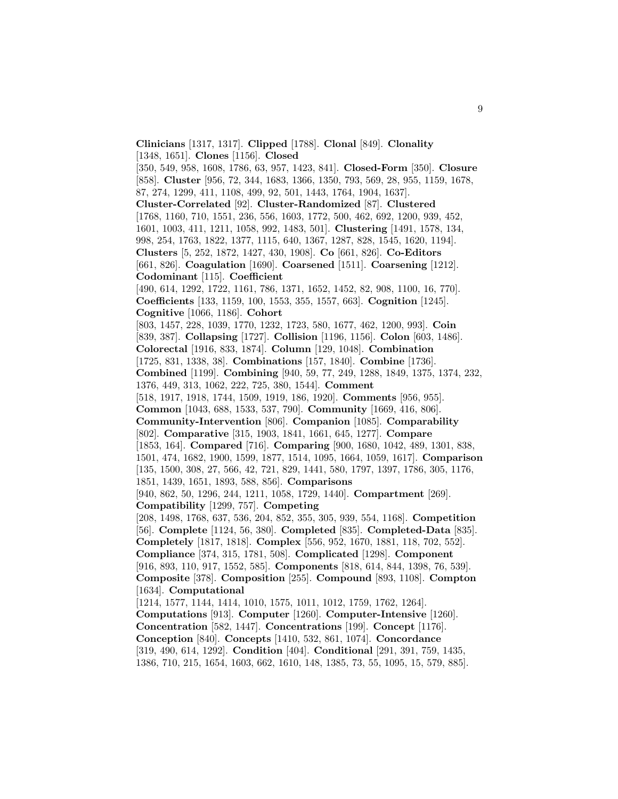**Clinicians** [1317, 1317]. **Clipped** [1788]. **Clonal** [849]. **Clonality** [1348, 1651]. **Clones** [1156]. **Closed** [350, 549, 958, 1608, 1786, 63, 957, 1423, 841]. **Closed-Form** [350]. **Closure** [858]. **Cluster** [956, 72, 344, 1683, 1366, 1350, 793, 569, 28, 955, 1159, 1678, 87, 274, 1299, 411, 1108, 499, 92, 501, 1443, 1764, 1904, 1637]. **Cluster-Correlated** [92]. **Cluster-Randomized** [87]. **Clustered** [1768, 1160, 710, 1551, 236, 556, 1603, 1772, 500, 462, 692, 1200, 939, 452, 1601, 1003, 411, 1211, 1058, 992, 1483, 501]. **Clustering** [1491, 1578, 134, 998, 254, 1763, 1822, 1377, 1115, 640, 1367, 1287, 828, 1545, 1620, 1194]. **Clusters** [5, 252, 1872, 1427, 430, 1908]. **Co** [661, 826]. **Co-Editors** [661, 826]. **Coagulation** [1690]. **Coarsened** [1511]. **Coarsening** [1212]. **Codominant** [115]. **Coefficient** [490, 614, 1292, 1722, 1161, 786, 1371, 1652, 1452, 82, 908, 1100, 16, 770]. **Coefficients** [133, 1159, 100, 1553, 355, 1557, 663]. **Cognition** [1245]. **Cognitive** [1066, 1186]. **Cohort** [803, 1457, 228, 1039, 1770, 1232, 1723, 580, 1677, 462, 1200, 993]. **Coin** [839, 387]. **Collapsing** [1727]. **Collision** [1196, 1156]. **Colon** [603, 1486]. **Colorectal** [1916, 833, 1874]. **Column** [129, 1048]. **Combination** [1725, 831, 1338, 38]. **Combinations** [157, 1840]. **Combine** [1736]. **Combined** [1199]. **Combining** [940, 59, 77, 249, 1288, 1849, 1375, 1374, 232, 1376, 449, 313, 1062, 222, 725, 380, 1544]. **Comment** [518, 1917, 1918, 1744, 1509, 1919, 186, 1920]. **Comments** [956, 955]. **Common** [1043, 688, 1533, 537, 790]. **Community** [1669, 416, 806]. **Community-Intervention** [806]. **Companion** [1085]. **Comparability** [802]. **Comparative** [315, 1903, 1841, 1661, 645, 1277]. **Compare** [1853, 164]. **Compared** [716]. **Comparing** [900, 1680, 1042, 489, 1301, 838, 1501, 474, 1682, 1900, 1599, 1877, 1514, 1095, 1664, 1059, 1617]. **Comparison** [135, 1500, 308, 27, 566, 42, 721, 829, 1441, 580, 1797, 1397, 1786, 305, 1176, 1851, 1439, 1651, 1893, 588, 856]. **Comparisons** [940, 862, 50, 1296, 244, 1211, 1058, 1729, 1440]. **Compartment** [269]. **Compatibility** [1299, 757]. **Competing** [208, 1498, 1768, 637, 536, 204, 852, 355, 305, 939, 554, 1168]. **Competition** [56]. **Complete** [1124, 56, 380]. **Completed** [835]. **Completed-Data** [835]. **Completely** [1817, 1818]. **Complex** [556, 952, 1670, 1881, 118, 702, 552]. **Compliance** [374, 315, 1781, 508]. **Complicated** [1298]. **Component** [916, 893, 110, 917, 1552, 585]. **Components** [818, 614, 844, 1398, 76, 539]. **Composite** [378]. **Composition** [255]. **Compound** [893, 1108]. **Compton** [1634]. **Computational** [1214, 1577, 1144, 1414, 1010, 1575, 1011, 1012, 1759, 1762, 1264]. **Computations** [913]. **Computer** [1260]. **Computer-Intensive** [1260]. **Concentration** [582, 1447]. **Concentrations** [199]. **Concept** [1176]. **Conception** [840]. **Concepts** [1410, 532, 861, 1074]. **Concordance** [319, 490, 614, 1292]. **Condition** [404]. **Conditional** [291, 391, 759, 1435, 1386, 710, 215, 1654, 1603, 662, 1610, 148, 1385, 73, 55, 1095, 15, 579, 885].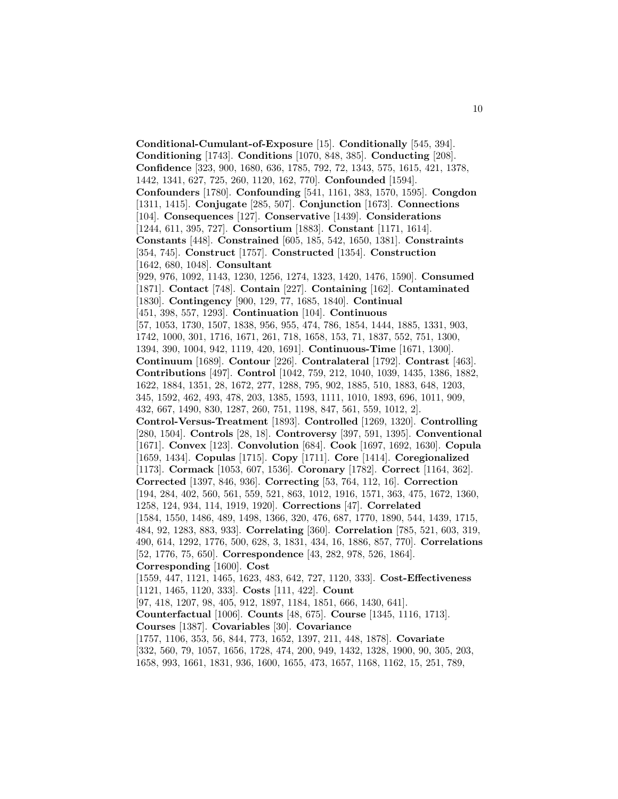**Conditional-Cumulant-of-Exposure** [15]. **Conditionally** [545, 394]. **Conditioning** [1743]. **Conditions** [1070, 848, 385]. **Conducting** [208]. **Confidence** [323, 900, 1680, 636, 1785, 792, 72, 1343, 575, 1615, 421, 1378, 1442, 1341, 627, 725, 260, 1120, 162, 770]. **Confounded** [1594]. **Confounders** [1780]. **Confounding** [541, 1161, 383, 1570, 1595]. **Congdon** [1311, 1415]. **Conjugate** [285, 507]. **Conjunction** [1673]. **Connections** [104]. **Consequences** [127]. **Conservative** [1439]. **Considerations** [1244, 611, 395, 727]. **Consortium** [1883]. **Constant** [1171, 1614]. **Constants** [448]. **Constrained** [605, 185, 542, 1650, 1381]. **Constraints** [354, 745]. **Construct** [1757]. **Constructed** [1354]. **Construction** [1642, 680, 1048]. **Consultant** [929, 976, 1092, 1143, 1230, 1256, 1274, 1323, 1420, 1476, 1590]. **Consumed** [1871]. **Contact** [748]. **Contain** [227]. **Containing** [162]. **Contaminated** [1830]. **Contingency** [900, 129, 77, 1685, 1840]. **Continual** [451, 398, 557, 1293]. **Continuation** [104]. **Continuous** [57, 1053, 1730, 1507, 1838, 956, 955, 474, 786, 1854, 1444, 1885, 1331, 903, 1742, 1000, 301, 1716, 1671, 261, 718, 1658, 153, 71, 1837, 552, 751, 1300, 1394, 390, 1004, 942, 1119, 420, 1691]. **Continuous-Time** [1671, 1300]. **Continuum** [1689]. **Contour** [226]. **Contralateral** [1792]. **Contrast** [463]. **Contributions** [497]. **Control** [1042, 759, 212, 1040, 1039, 1435, 1386, 1882, 1622, 1884, 1351, 28, 1672, 277, 1288, 795, 902, 1885, 510, 1883, 648, 1203, 345, 1592, 462, 493, 478, 203, 1385, 1593, 1111, 1010, 1893, 696, 1011, 909, 432, 667, 1490, 830, 1287, 260, 751, 1198, 847, 561, 559, 1012, 2]. **Control-Versus-Treatment** [1893]. **Controlled** [1269, 1320]. **Controlling** [280, 1504]. **Controls** [28, 18]. **Controversy** [397, 591, 1395]. **Conventional** [1671]. **Convex** [123]. **Convolution** [684]. **Cook** [1697, 1692, 1630]. **Copula** [1659, 1434]. **Copulas** [1715]. **Copy** [1711]. **Core** [1414]. **Coregionalized** [1173]. **Cormack** [1053, 607, 1536]. **Coronary** [1782]. **Correct** [1164, 362]. **Corrected** [1397, 846, 936]. **Correcting** [53, 764, 112, 16]. **Correction** [194, 284, 402, 560, 561, 559, 521, 863, 1012, 1916, 1571, 363, 475, 1672, 1360, 1258, 124, 934, 114, 1919, 1920]. **Corrections** [47]. **Correlated** [1584, 1550, 1486, 489, 1498, 1366, 320, 476, 687, 1770, 1890, 544, 1439, 1715, 484, 92, 1283, 883, 933]. **Correlating** [360]. **Correlation** [785, 521, 603, 319, 490, 614, 1292, 1776, 500, 628, 3, 1831, 434, 16, 1886, 857, 770]. **Correlations** [52, 1776, 75, 650]. **Correspondence** [43, 282, 978, 526, 1864]. **Corresponding** [1600]. **Cost** [1559, 447, 1121, 1465, 1623, 483, 642, 727, 1120, 333]. **Cost-Effectiveness** [1121, 1465, 1120, 333]. **Costs** [111, 422]. **Count** [97, 418, 1207, 98, 405, 912, 1897, 1184, 1851, 666, 1430, 641]. **Counterfactual** [1006]. **Counts** [48, 675]. **Course** [1345, 1116, 1713]. **Courses** [1387]. **Covariables** [30]. **Covariance** [1757, 1106, 353, 56, 844, 773, 1652, 1397, 211, 448, 1878]. **Covariate** [332, 560, 79, 1057, 1656, 1728, 474, 200, 949, 1432, 1328, 1900, 90, 305, 203, 1658, 993, 1661, 1831, 936, 1600, 1655, 473, 1657, 1168, 1162, 15, 251, 789,

10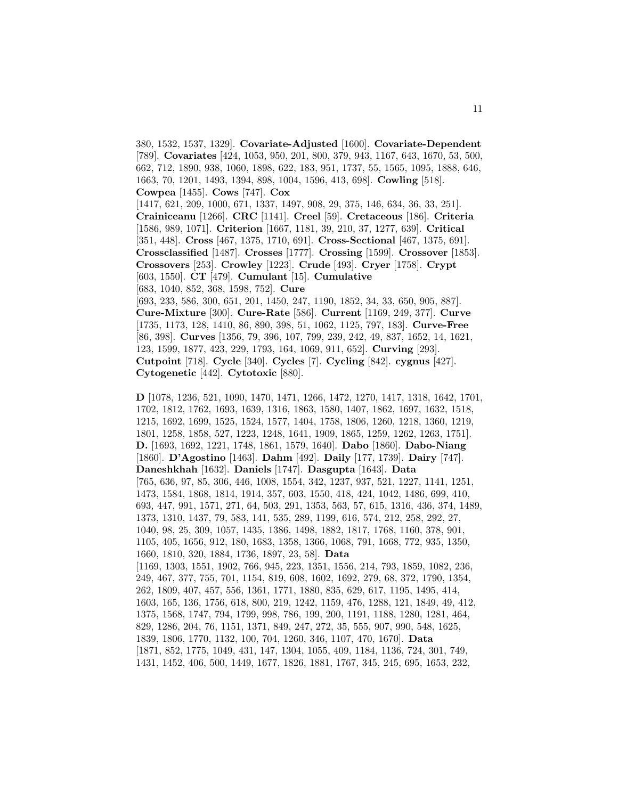380, 1532, 1537, 1329]. **Covariate-Adjusted** [1600]. **Covariate-Dependent** [789]. **Covariates** [424, 1053, 950, 201, 800, 379, 943, 1167, 643, 1670, 53, 500, 662, 712, 1890, 938, 1060, 1898, 622, 183, 951, 1737, 55, 1565, 1095, 1888, 646, 1663, 70, 1201, 1493, 1394, 898, 1004, 1596, 413, 698]. **Cowling** [518]. **Cowpea** [1455]. **Cows** [747]. **Cox** [1417, 621, 209, 1000, 671, 1337, 1497, 908, 29, 375, 146, 634, 36, 33, 251]. **Crainiceanu** [1266]. **CRC** [1141]. **Creel** [59]. **Cretaceous** [186]. **Criteria** [1586, 989, 1071]. **Criterion** [1667, 1181, 39, 210, 37, 1277, 639]. **Critical** [351, 448]. **Cross** [467, 1375, 1710, 691]. **Cross-Sectional** [467, 1375, 691]. **Crossclassified** [1487]. **Crosses** [1777]. **Crossing** [1599]. **Crossover** [1853]. **Crossovers** [253]. **Crowley** [1223]. **Crude** [493]. **Cryer** [1758]. **Crypt** [603, 1550]. **CT** [479]. **Cumulant** [15]. **Cumulative** [683, 1040, 852, 368, 1598, 752]. **Cure** [693, 233, 586, 300, 651, 201, 1450, 247, 1190, 1852, 34, 33, 650, 905, 887]. **Cure-Mixture** [300]. **Cure-Rate** [586]. **Current** [1169, 249, 377]. **Curve** [1735, 1173, 128, 1410, 86, 890, 398, 51, 1062, 1125, 797, 183]. **Curve-Free** [86, 398]. **Curves** [1356, 79, 396, 107, 799, 239, 242, 49, 837, 1652, 14, 1621, 123, 1599, 1877, 423, 229, 1793, 164, 1069, 911, 652]. **Curving** [293]. **Cutpoint** [718]. **Cycle** [340]. **Cycles** [7]. **Cycling** [842]. **cygnus** [427].

**Cytogenetic** [442]. **Cytotoxic** [880].

**D** [1078, 1236, 521, 1090, 1470, 1471, 1266, 1472, 1270, 1417, 1318, 1642, 1701, 1702, 1812, 1762, 1693, 1639, 1316, 1863, 1580, 1407, 1862, 1697, 1632, 1518, 1215, 1692, 1699, 1525, 1524, 1577, 1404, 1758, 1806, 1260, 1218, 1360, 1219, 1801, 1258, 1858, 527, 1223, 1248, 1641, 1909, 1865, 1259, 1262, 1263, 1751]. **D.** [1693, 1692, 1221, 1748, 1861, 1579, 1640]. **Dabo** [1860]. **Dabo-Niang** [1860]. **D'Agostino** [1463]. **Dahm** [492]. **Daily** [177, 1739]. **Dairy** [747]. **Daneshkhah** [1632]. **Daniels** [1747]. **Dasgupta** [1643]. **Data** [765, 636, 97, 85, 306, 446, 1008, 1554, 342, 1237, 937, 521, 1227, 1141, 1251, 1473, 1584, 1868, 1814, 1914, 357, 603, 1550, 418, 424, 1042, 1486, 699, 410, 693, 447, 991, 1571, 271, 64, 503, 291, 1353, 563, 57, 615, 1316, 436, 374, 1489, 1373, 1310, 1437, 79, 583, 141, 535, 289, 1199, 616, 574, 212, 258, 292, 27, 1040, 98, 25, 309, 1057, 1435, 1386, 1498, 1882, 1817, 1768, 1160, 378, 901, 1105, 405, 1656, 912, 180, 1683, 1358, 1366, 1068, 791, 1668, 772, 935, 1350, 1660, 1810, 320, 1884, 1736, 1897, 23, 58]. **Data** [1169, 1303, 1551, 1902, 766, 945, 223, 1351, 1556, 214, 793, 1859, 1082, 236, 249, 467, 377, 755, 701, 1154, 819, 608, 1602, 1692, 279, 68, 372, 1790, 1354, 262, 1809, 407, 457, 556, 1361, 1771, 1880, 835, 629, 617, 1195, 1495, 414, 1603, 165, 136, 1756, 618, 800, 219, 1242, 1159, 476, 1288, 121, 1849, 49, 412, 1375, 1568, 1747, 794, 1799, 998, 786, 199, 200, 1191, 1188, 1280, 1281, 464, 829, 1286, 204, 76, 1151, 1371, 849, 247, 272, 35, 555, 907, 990, 548, 1625, 1839, 1806, 1770, 1132, 100, 704, 1260, 346, 1107, 470, 1670]. **Data** [1871, 852, 1775, 1049, 431, 147, 1304, 1055, 409, 1184, 1136, 724, 301, 749, 1431, 1452, 406, 500, 1449, 1677, 1826, 1881, 1767, 345, 245, 695, 1653, 232,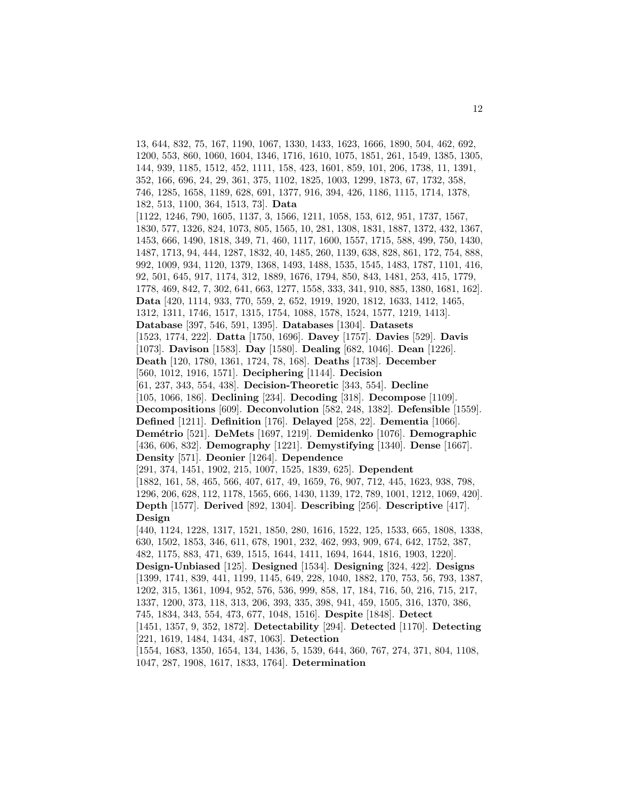13, 644, 832, 75, 167, 1190, 1067, 1330, 1433, 1623, 1666, 1890, 504, 462, 692, 1200, 553, 860, 1060, 1604, 1346, 1716, 1610, 1075, 1851, 261, 1549, 1385, 1305, 144, 939, 1185, 1512, 452, 1111, 158, 423, 1601, 859, 101, 206, 1738, 11, 1391, 352, 166, 696, 24, 29, 361, 375, 1102, 1825, 1003, 1299, 1873, 67, 1732, 358, 746, 1285, 1658, 1189, 628, 691, 1377, 916, 394, 426, 1186, 1115, 1714, 1378, 182, 513, 1100, 364, 1513, 73]. **Data** [1122, 1246, 790, 1605, 1137, 3, 1566, 1211, 1058, 153, 612, 951, 1737, 1567, 1830, 577, 1326, 824, 1073, 805, 1565, 10, 281, 1308, 1831, 1887, 1372, 432, 1367, 1453, 666, 1490, 1818, 349, 71, 460, 1117, 1600, 1557, 1715, 588, 499, 750, 1430, 1487, 1713, 94, 444, 1287, 1832, 40, 1485, 260, 1139, 638, 828, 861, 172, 754, 888, 992, 1009, 934, 1120, 1379, 1368, 1493, 1488, 1535, 1545, 1483, 1787, 1101, 416, 92, 501, 645, 917, 1174, 312, 1889, 1676, 1794, 850, 843, 1481, 253, 415, 1779, 1778, 469, 842, 7, 302, 641, 663, 1277, 1558, 333, 341, 910, 885, 1380, 1681, 162]. **Data** [420, 1114, 933, 770, 559, 2, 652, 1919, 1920, 1812, 1633, 1412, 1465, 1312, 1311, 1746, 1517, 1315, 1754, 1088, 1578, 1524, 1577, 1219, 1413]. **Database** [397, 546, 591, 1395]. **Databases** [1304]. **Datasets** [1523, 1774, 222]. **Datta** [1750, 1696]. **Davey** [1757]. **Davies** [529]. **Davis** [1073]. **Davison** [1583]. **Day** [1580]. **Dealing** [682, 1046]. **Dean** [1226]. **Death** [120, 1780, 1361, 1724, 78, 168]. **Deaths** [1738]. **December** [560, 1012, 1916, 1571]. **Deciphering** [1144]. **Decision** [61, 237, 343, 554, 438]. **Decision-Theoretic** [343, 554]. **Decline** [105, 1066, 186]. **Declining** [234]. **Decoding** [318]. **Decompose** [1109]. **Decompositions** [609]. **Deconvolution** [582, 248, 1382]. **Defensible** [1559]. **Defined** [1211]. **Definition** [176]. **Delayed** [258, 22]. **Dementia** [1066]. **Dem´etrio** [521]. **DeMets** [1697, 1219]. **Demidenko** [1076]. **Demographic** [436, 606, 832]. **Demography** [1221]. **Demystifying** [1340]. **Dense** [1667]. **Density** [571]. **Deonier** [1264]. **Dependence** [291, 374, 1451, 1902, 215, 1007, 1525, 1839, 625]. **Dependent** [1882, 161, 58, 465, 566, 407, 617, 49, 1659, 76, 907, 712, 445, 1623, 938, 798, 1296, 206, 628, 112, 1178, 1565, 666, 1430, 1139, 172, 789, 1001, 1212, 1069, 420]. **Depth** [1577]. **Derived** [892, 1304]. **Describing** [256]. **Descriptive** [417]. **Design** [440, 1124, 1228, 1317, 1521, 1850, 280, 1616, 1522, 125, 1533, 665, 1808, 1338, 630, 1502, 1853, 346, 611, 678, 1901, 232, 462, 993, 909, 674, 642, 1752, 387, 482, 1175, 883, 471, 639, 1515, 1644, 1411, 1694, 1644, 1816, 1903, 1220]. **Design-Unbiased** [125]. **Designed** [1534]. **Designing** [324, 422]. **Designs** [1399, 1741, 839, 441, 1199, 1145, 649, 228, 1040, 1882, 170, 753, 56, 793, 1387, 1202, 315, 1361, 1094, 952, 576, 536, 999, 858, 17, 184, 716, 50, 216, 715, 217, 1337, 1200, 373, 118, 313, 206, 393, 335, 398, 941, 459, 1505, 316, 1370, 386, 745, 1834, 343, 554, 473, 677, 1048, 1516]. **Despite** [1848]. **Detect** [1451, 1357, 9, 352, 1872]. **Detectability** [294]. **Detected** [1170]. **Detecting** [221, 1619, 1484, 1434, 487, 1063]. **Detection** [1554, 1683, 1350, 1654, 134, 1436, 5, 1539, 644, 360, 767, 274, 371, 804, 1108, 1047, 287, 1908, 1617, 1833, 1764]. **Determination**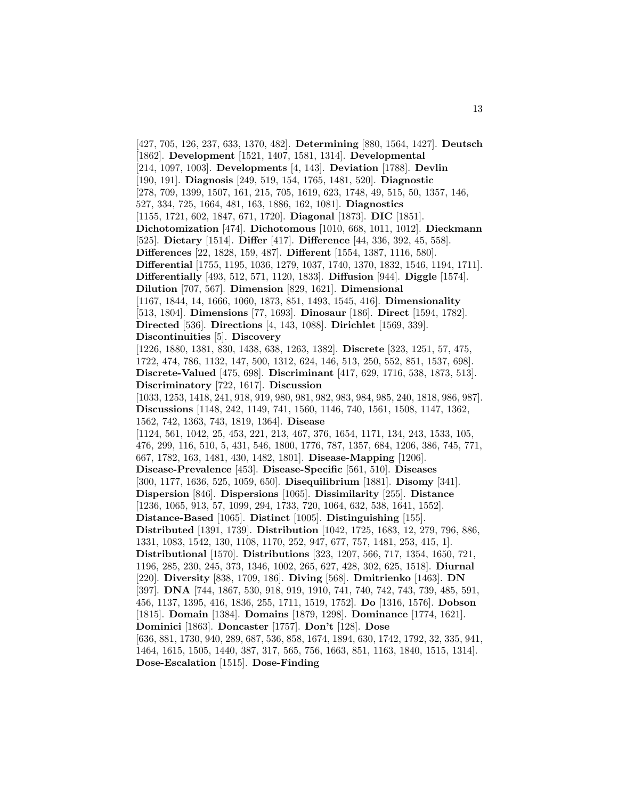[427, 705, 126, 237, 633, 1370, 482]. **Determining** [880, 1564, 1427]. **Deutsch** [1862]. **Development** [1521, 1407, 1581, 1314]. **Developmental** [214, 1097, 1003]. **Developments** [4, 143]. **Deviation** [1788]. **Devlin** [190, 191]. **Diagnosis** [249, 519, 154, 1765, 1481, 520]. **Diagnostic** [278, 709, 1399, 1507, 161, 215, 705, 1619, 623, 1748, 49, 515, 50, 1357, 146, 527, 334, 725, 1664, 481, 163, 1886, 162, 1081]. **Diagnostics** [1155, 1721, 602, 1847, 671, 1720]. **Diagonal** [1873]. **DIC** [1851]. **Dichotomization** [474]. **Dichotomous** [1010, 668, 1011, 1012]. **Dieckmann** [525]. **Dietary** [1514]. **Differ** [417]. **Difference** [44, 336, 392, 45, 558]. **Differences** [22, 1828, 159, 487]. **Different** [1554, 1387, 1116, 580]. **Differential** [1755, 1195, 1036, 1279, 1037, 1740, 1370, 1832, 1546, 1194, 1711]. **Differentially** [493, 512, 571, 1120, 1833]. **Diffusion** [944]. **Diggle** [1574]. **Dilution** [707, 567]. **Dimension** [829, 1621]. **Dimensional** [1167, 1844, 14, 1666, 1060, 1873, 851, 1493, 1545, 416]. **Dimensionality** [513, 1804]. **Dimensions** [77, 1693]. **Dinosaur** [186]. **Direct** [1594, 1782]. **Directed** [536]. **Directions** [4, 143, 1088]. **Dirichlet** [1569, 339]. **Discontinuities** [5]. **Discovery** [1226, 1880, 1381, 830, 1438, 638, 1263, 1382]. **Discrete** [323, 1251, 57, 475, 1722, 474, 786, 1132, 147, 500, 1312, 624, 146, 513, 250, 552, 851, 1537, 698]. **Discrete-Valued** [475, 698]. **Discriminant** [417, 629, 1716, 538, 1873, 513]. **Discriminatory** [722, 1617]. **Discussion** [1033, 1253, 1418, 241, 918, 919, 980, 981, 982, 983, 984, 985, 240, 1818, 986, 987]. **Discussions** [1148, 242, 1149, 741, 1560, 1146, 740, 1561, 1508, 1147, 1362, 1562, 742, 1363, 743, 1819, 1364]. **Disease** [1124, 561, 1042, 25, 453, 221, 213, 467, 376, 1654, 1171, 134, 243, 1533, 105, 476, 299, 116, 510, 5, 431, 546, 1800, 1776, 787, 1357, 684, 1206, 386, 745, 771, 667, 1782, 163, 1481, 430, 1482, 1801]. **Disease-Mapping** [1206]. **Disease-Prevalence** [453]. **Disease-Specific** [561, 510]. **Diseases** [300, 1177, 1636, 525, 1059, 650]. **Disequilibrium** [1881]. **Disomy** [341]. **Dispersion** [846]. **Dispersions** [1065]. **Dissimilarity** [255]. **Distance** [1236, 1065, 913, 57, 1099, 294, 1733, 720, 1064, 632, 538, 1641, 1552]. **Distance-Based** [1065]. **Distinct** [1005]. **Distinguishing** [155]. **Distributed** [1391, 1739]. **Distribution** [1042, 1725, 1683, 12, 279, 796, 886, 1331, 1083, 1542, 130, 1108, 1170, 252, 947, 677, 757, 1481, 253, 415, 1]. **Distributional** [1570]. **Distributions** [323, 1207, 566, 717, 1354, 1650, 721, 1196, 285, 230, 245, 373, 1346, 1002, 265, 627, 428, 302, 625, 1518]. **Diurnal** [220]. **Diversity** [838, 1709, 186]. **Diving** [568]. **Dmitrienko** [1463]. **DN** [397]. **DNA** [744, 1867, 530, 918, 919, 1910, 741, 740, 742, 743, 739, 485, 591, 456, 1137, 1395, 416, 1836, 255, 1711, 1519, 1752]. **Do** [1316, 1576]. **Dobson** [1815]. **Domain** [1384]. **Domains** [1879, 1298]. **Dominance** [1774, 1621]. **Dominici** [1863]. **Doncaster** [1757]. **Don't** [128]. **Dose** [636, 881, 1730, 940, 289, 687, 536, 858, 1674, 1894, 630, 1742, 1792, 32, 335, 941, 1464, 1615, 1505, 1440, 387, 317, 565, 756, 1663, 851, 1163, 1840, 1515, 1314]. **Dose-Escalation** [1515]. **Dose-Finding**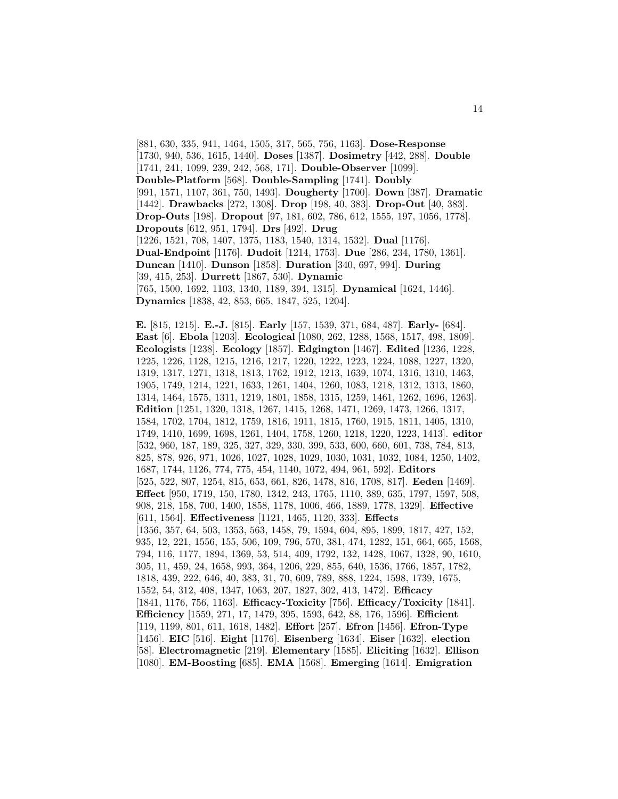[881, 630, 335, 941, 1464, 1505, 317, 565, 756, 1163]. **Dose-Response** [1730, 940, 536, 1615, 1440]. **Doses** [1387]. **Dosimetry** [442, 288]. **Double** [1741, 241, 1099, 239, 242, 568, 171]. **Double-Observer** [1099]. **Double-Platform** [568]. **Double-Sampling** [1741]. **Doubly** [991, 1571, 1107, 361, 750, 1493]. **Dougherty** [1700]. **Down** [387]. **Dramatic** [1442]. **Drawbacks** [272, 1308]. **Drop** [198, 40, 383]. **Drop-Out** [40, 383]. **Drop-Outs** [198]. **Dropout** [97, 181, 602, 786, 612, 1555, 197, 1056, 1778]. **Dropouts** [612, 951, 1794]. **Drs** [492]. **Drug** [1226, 1521, 708, 1407, 1375, 1183, 1540, 1314, 1532]. **Dual** [1176]. **Dual-Endpoint** [1176]. **Dudoit** [1214, 1753]. **Due** [286, 234, 1780, 1361]. **Duncan** [1410]. **Dunson** [1858]. **Duration** [340, 697, 994]. **During** [39, 415, 253]. **Durrett** [1867, 530]. **Dynamic** [765, 1500, 1692, 1103, 1340, 1189, 394, 1315]. **Dynamical** [1624, 1446]. **Dynamics** [1838, 42, 853, 665, 1847, 525, 1204].

**E.** [815, 1215]. **E.-J.** [815]. **Early** [157, 1539, 371, 684, 487]. **Early-** [684]. **East** [6]. **Ebola** [1203]. **Ecological** [1080, 262, 1288, 1568, 1517, 498, 1809]. **Ecologists** [1238]. **Ecology** [1857]. **Edgington** [1467]. **Edited** [1236, 1228, 1225, 1226, 1128, 1215, 1216, 1217, 1220, 1222, 1223, 1224, 1088, 1227, 1320, 1319, 1317, 1271, 1318, 1813, 1762, 1912, 1213, 1639, 1074, 1316, 1310, 1463, 1905, 1749, 1214, 1221, 1633, 1261, 1404, 1260, 1083, 1218, 1312, 1313, 1860, 1314, 1464, 1575, 1311, 1219, 1801, 1858, 1315, 1259, 1461, 1262, 1696, 1263]. **Edition** [1251, 1320, 1318, 1267, 1415, 1268, 1471, 1269, 1473, 1266, 1317, 1584, 1702, 1704, 1812, 1759, 1816, 1911, 1815, 1760, 1915, 1811, 1405, 1310, 1749, 1410, 1699, 1698, 1261, 1404, 1758, 1260, 1218, 1220, 1223, 1413]. **editor** [532, 960, 187, 189, 325, 327, 329, 330, 399, 533, 600, 660, 601, 738, 784, 813, 825, 878, 926, 971, 1026, 1027, 1028, 1029, 1030, 1031, 1032, 1084, 1250, 1402, 1687, 1744, 1126, 774, 775, 454, 1140, 1072, 494, 961, 592]. **Editors** [525, 522, 807, 1254, 815, 653, 661, 826, 1478, 816, 1708, 817]. **Eeden** [1469]. **Effect** [950, 1719, 150, 1780, 1342, 243, 1765, 1110, 389, 635, 1797, 1597, 508, 908, 218, 158, 700, 1400, 1858, 1178, 1006, 466, 1889, 1778, 1329]. **Effective** [611, 1564]. **Effectiveness** [1121, 1465, 1120, 333]. **Effects** [1356, 357, 64, 503, 1353, 563, 1458, 79, 1594, 604, 895, 1899, 1817, 427, 152, 935, 12, 221, 1556, 155, 506, 109, 796, 570, 381, 474, 1282, 151, 664, 665, 1568, 794, 116, 1177, 1894, 1369, 53, 514, 409, 1792, 132, 1428, 1067, 1328, 90, 1610, 305, 11, 459, 24, 1658, 993, 364, 1206, 229, 855, 640, 1536, 1766, 1857, 1782, 1818, 439, 222, 646, 40, 383, 31, 70, 609, 789, 888, 1224, 1598, 1739, 1675, 1552, 54, 312, 408, 1347, 1063, 207, 1827, 302, 413, 1472]. **Efficacy** [1841, 1176, 756, 1163]. **Efficacy-Toxicity** [756]. **Efficacy/Toxicity** [1841]. **Efficiency** [1559, 271, 17, 1479, 395, 1593, 642, 88, 176, 1596]. **Efficient** [119, 1199, 801, 611, 1618, 1482]. **Effort** [257]. **Efron** [1456]. **Efron-Type** [1456]. **EIC** [516]. **Eight** [1176]. **Eisenberg** [1634]. **Eiser** [1632]. **election** [58]. **Electromagnetic** [219]. **Elementary** [1585]. **Eliciting** [1632]. **Ellison** [1080]. **EM-Boosting** [685]. **EMA** [1568]. **Emerging** [1614]. **Emigration**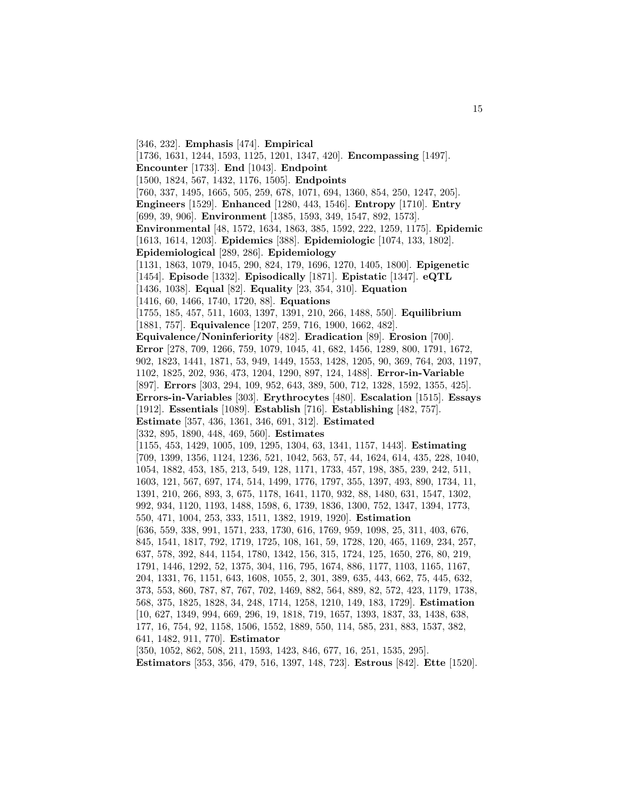[346, 232]. **Emphasis** [474]. **Empirical** [1736, 1631, 1244, 1593, 1125, 1201, 1347, 420]. **Encompassing** [1497]. **Encounter** [1733]. **End** [1043]. **Endpoint** [1500, 1824, 567, 1432, 1176, 1505]. **Endpoints** [760, 337, 1495, 1665, 505, 259, 678, 1071, 694, 1360, 854, 250, 1247, 205]. **Engineers** [1529]. **Enhanced** [1280, 443, 1546]. **Entropy** [1710]. **Entry** [699, 39, 906]. **Environment** [1385, 1593, 349, 1547, 892, 1573]. **Environmental** [48, 1572, 1634, 1863, 385, 1592, 222, 1259, 1175]. **Epidemic** [1613, 1614, 1203]. **Epidemics** [388]. **Epidemiologic** [1074, 133, 1802]. **Epidemiological** [289, 286]. **Epidemiology** [1131, 1863, 1079, 1045, 290, 824, 179, 1696, 1270, 1405, 1800]. **Epigenetic** [1454]. **Episode** [1332]. **Episodically** [1871]. **Epistatic** [1347]. **eQTL** [1436, 1038]. **Equal** [82]. **Equality** [23, 354, 310]. **Equation** [1416, 60, 1466, 1740, 1720, 88]. **Equations** [1755, 185, 457, 511, 1603, 1397, 1391, 210, 266, 1488, 550]. **Equilibrium** [1881, 757]. **Equivalence** [1207, 259, 716, 1900, 1662, 482]. **Equivalence/Noninferiority** [482]. **Eradication** [89]. **Erosion** [700]. **Error** [278, 709, 1266, 759, 1079, 1045, 41, 682, 1456, 1289, 800, 1791, 1672, 902, 1823, 1441, 1871, 53, 949, 1449, 1553, 1428, 1205, 90, 369, 764, 203, 1197, 1102, 1825, 202, 936, 473, 1204, 1290, 897, 124, 1488]. **Error-in-Variable** [897]. **Errors** [303, 294, 109, 952, 643, 389, 500, 712, 1328, 1592, 1355, 425]. **Errors-in-Variables** [303]. **Erythrocytes** [480]. **Escalation** [1515]. **Essays** [1912]. **Essentials** [1089]. **Establish** [716]. **Establishing** [482, 757]. **Estimate** [357, 436, 1361, 346, 691, 312]. **Estimated** [332, 895, 1890, 448, 469, 560]. **Estimates** [1155, 453, 1429, 1005, 109, 1295, 1304, 63, 1341, 1157, 1443]. **Estimating** [709, 1399, 1356, 1124, 1236, 521, 1042, 563, 57, 44, 1624, 614, 435, 228, 1040, 1054, 1882, 453, 185, 213, 549, 128, 1171, 1733, 457, 198, 385, 239, 242, 511, 1603, 121, 567, 697, 174, 514, 1499, 1776, 1797, 355, 1397, 493, 890, 1734, 11, 1391, 210, 266, 893, 3, 675, 1178, 1641, 1170, 932, 88, 1480, 631, 1547, 1302, 992, 934, 1120, 1193, 1488, 1598, 6, 1739, 1836, 1300, 752, 1347, 1394, 1773, 550, 471, 1004, 253, 333, 1511, 1382, 1919, 1920]. **Estimation** [636, 559, 338, 991, 1571, 233, 1730, 616, 1769, 959, 1098, 25, 311, 403, 676, 845, 1541, 1817, 792, 1719, 1725, 108, 161, 59, 1728, 120, 465, 1169, 234, 257, 637, 578, 392, 844, 1154, 1780, 1342, 156, 315, 1724, 125, 1650, 276, 80, 219, 1791, 1446, 1292, 52, 1375, 304, 116, 795, 1674, 886, 1177, 1103, 1165, 1167, 204, 1331, 76, 1151, 643, 1608, 1055, 2, 301, 389, 635, 443, 662, 75, 445, 632, 373, 553, 860, 787, 87, 767, 702, 1469, 882, 564, 889, 82, 572, 423, 1179, 1738, 568, 375, 1825, 1828, 34, 248, 1714, 1258, 1210, 149, 183, 1729]. **Estimation** [10, 627, 1349, 994, 669, 296, 19, 1818, 719, 1657, 1393, 1837, 33, 1438, 638, 177, 16, 754, 92, 1158, 1506, 1552, 1889, 550, 114, 585, 231, 883, 1537, 382, 641, 1482, 911, 770]. **Estimator** [350, 1052, 862, 508, 211, 1593, 1423, 846, 677, 16, 251, 1535, 295].

**Estimators** [353, 356, 479, 516, 1397, 148, 723]. **Estrous** [842]. **Ette** [1520].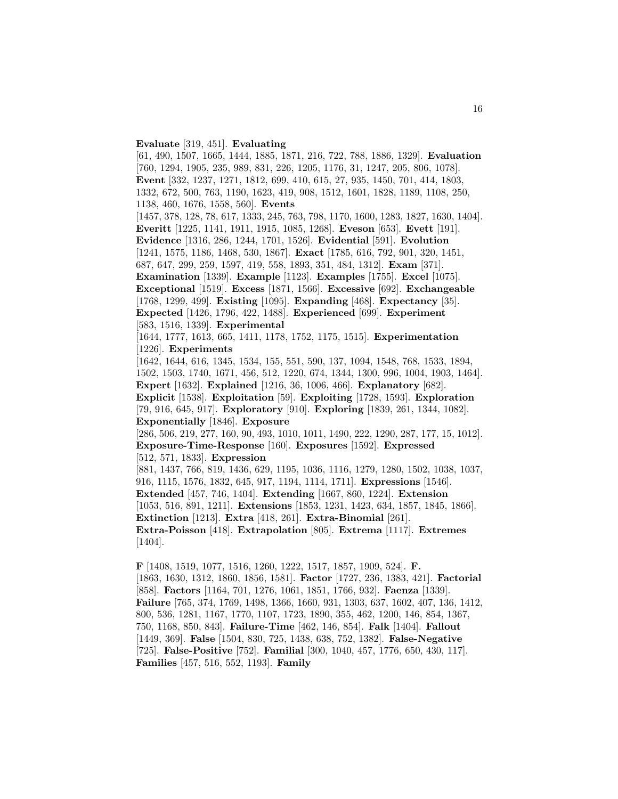## **Evaluate** [319, 451]. **Evaluating**

[61, 490, 1507, 1665, 1444, 1885, 1871, 216, 722, 788, 1886, 1329]. **Evaluation** [760, 1294, 1905, 235, 989, 831, 226, 1205, 1176, 31, 1247, 205, 806, 1078]. **Event** [332, 1237, 1271, 1812, 699, 410, 615, 27, 935, 1450, 701, 414, 1803, 1332, 672, 500, 763, 1190, 1623, 419, 908, 1512, 1601, 1828, 1189, 1108, 250, 1138, 460, 1676, 1558, 560]. **Events** [1457, 378, 128, 78, 617, 1333, 245, 763, 798, 1170, 1600, 1283, 1827, 1630, 1404]. **Everitt** [1225, 1141, 1911, 1915, 1085, 1268]. **Eveson** [653]. **Evett** [191]. **Evidence** [1316, 286, 1244, 1701, 1526]. **Evidential** [591]. **Evolution** [1241, 1575, 1186, 1468, 530, 1867]. **Exact** [1785, 616, 792, 901, 320, 1451, 687, 647, 299, 259, 1597, 419, 558, 1893, 351, 484, 1312]. **Exam** [371]. **Examination** [1339]. **Example** [1123]. **Examples** [1755]. **Excel** [1075]. **Exceptional** [1519]. **Excess** [1871, 1566]. **Excessive** [692]. **Exchangeable** [1768, 1299, 499]. **Existing** [1095]. **Expanding** [468]. **Expectancy** [35]. **Expected** [1426, 1796, 422, 1488]. **Experienced** [699]. **Experiment** [583, 1516, 1339]. **Experimental** [1644, 1777, 1613, 665, 1411, 1178, 1752, 1175, 1515]. **Experimentation** [1226]. **Experiments** [1642, 1644, 616, 1345, 1534, 155, 551, 590, 137, 1094, 1548, 768, 1533, 1894, 1502, 1503, 1740, 1671, 456, 512, 1220, 674, 1344, 1300, 996, 1004, 1903, 1464]. **Expert** [1632]. **Explained** [1216, 36, 1006, 466]. **Explanatory** [682]. **Explicit** [1538]. **Exploitation** [59]. **Exploiting** [1728, 1593]. **Exploration** [79, 916, 645, 917]. **Exploratory** [910]. **Exploring** [1839, 261, 1344, 1082]. **Exponentially** [1846]. **Exposure** [286, 506, 219, 277, 160, 90, 493, 1010, 1011, 1490, 222, 1290, 287, 177, 15, 1012]. **Exposure-Time-Response** [160]. **Exposures** [1592]. **Expressed** [512, 571, 1833]. **Expression** [881, 1437, 766, 819, 1436, 629, 1195, 1036, 1116, 1279, 1280, 1502, 1038, 1037, 916, 1115, 1576, 1832, 645, 917, 1194, 1114, 1711]. **Expressions** [1546]. **Extended** [457, 746, 1404]. **Extending** [1667, 860, 1224]. **Extension** [1053, 516, 891, 1211]. **Extensions** [1853, 1231, 1423, 634, 1857, 1845, 1866]. **Extinction** [1213]. **Extra** [418, 261]. **Extra-Binomial** [261]. **Extra-Poisson** [418]. **Extrapolation** [805]. **Extrema** [1117]. **Extremes** [1404]. **F** [1408, 1519, 1077, 1516, 1260, 1222, 1517, 1857, 1909, 524]. **F.**

[1863, 1630, 1312, 1860, 1856, 1581]. **Factor** [1727, 236, 1383, 421]. **Factorial** [858]. **Factors** [1164, 701, 1276, 1061, 1851, 1766, 932]. **Faenza** [1339]. **Failure** [765, 374, 1769, 1498, 1366, 1660, 931, 1303, 637, 1602, 407, 136, 1412, 800, 536, 1281, 1167, 1770, 1107, 1723, 1890, 355, 462, 1200, 146, 854, 1367, 750, 1168, 850, 843]. **Failure-Time** [462, 146, 854]. **Falk** [1404]. **Fallout** [1449, 369]. **False** [1504, 830, 725, 1438, 638, 752, 1382]. **False-Negative** [725]. **False-Positive** [752]. **Familial** [300, 1040, 457, 1776, 650, 430, 117]. **Families** [457, 516, 552, 1193]. **Family**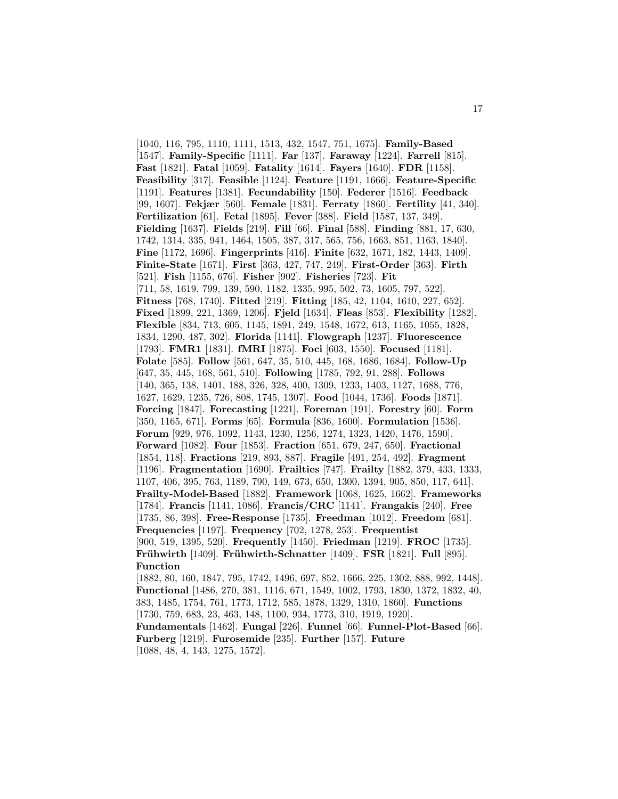[1040, 116, 795, 1110, 1111, 1513, 432, 1547, 751, 1675]. **Family-Based** [1547]. **Family-Specific** [1111]. **Far** [137]. **Faraway** [1224]. **Farrell** [815]. **Fast** [1821]. **Fatal** [1059]. **Fatality** [1614]. **Fayers** [1640]. **FDR** [1158]. **Feasibility** [317]. **Feasible** [1124]. **Feature** [1191, 1666]. **Feature-Specific** [1191]. **Features** [1381]. **Fecundability** [150]. **Federer** [1516]. **Feedback** [99, 1607]. **Fekjær** [560]. **Female** [1831]. **Ferraty** [1860]. **Fertility** [41, 340]. **Fertilization** [61]. **Fetal** [1895]. **Fever** [388]. **Field** [1587, 137, 349]. **Fielding** [1637]. **Fields** [219]. **Fill** [66]. **Final** [588]. **Finding** [881, 17, 630, 1742, 1314, 335, 941, 1464, 1505, 387, 317, 565, 756, 1663, 851, 1163, 1840]. **Fine** [1172, 1696]. **Fingerprints** [416]. **Finite** [632, 1671, 182, 1443, 1409]. **Finite-State** [1671]. **First** [363, 427, 747, 249]. **First-Order** [363]. **Firth** [521]. **Fish** [1155, 676]. **Fisher** [902]. **Fisheries** [723]. **Fit** [711, 58, 1619, 799, 139, 590, 1182, 1335, 995, 502, 73, 1605, 797, 522]. **Fitness** [768, 1740]. **Fitted** [219]. **Fitting** [185, 42, 1104, 1610, 227, 652]. **Fixed** [1899, 221, 1369, 1206]. **Fjeld** [1634]. **Fleas** [853]. **Flexibility** [1282]. **Flexible** [834, 713, 605, 1145, 1891, 249, 1548, 1672, 613, 1165, 1055, 1828, 1834, 1290, 487, 302]. **Florida** [1141]. **Flowgraph** [1237]. **Fluorescence** [1793]. **FMR1** [1831]. **fMRI** [1875]. **Foci** [603, 1550]. **Focused** [1181]. **Folate** [585]. **Follow** [561, 647, 35, 510, 445, 168, 1686, 1684]. **Follow-Up** [647, 35, 445, 168, 561, 510]. **Following** [1785, 792, 91, 288]. **Follows** [140, 365, 138, 1401, 188, 326, 328, 400, 1309, 1233, 1403, 1127, 1688, 776, 1627, 1629, 1235, 726, 808, 1745, 1307]. **Food** [1044, 1736]. **Foods** [1871]. **Forcing** [1847]. **Forecasting** [1221]. **Foreman** [191]. **Forestry** [60]. **Form** [350, 1165, 671]. **Forms** [65]. **Formula** [836, 1600]. **Formulation** [1536]. **Forum** [929, 976, 1092, 1143, 1230, 1256, 1274, 1323, 1420, 1476, 1590]. **Forward** [1082]. **Four** [1853]. **Fraction** [651, 679, 247, 650]. **Fractional** [1854, 118]. **Fractions** [219, 893, 887]. **Fragile** [491, 254, 492]. **Fragment** [1196]. **Fragmentation** [1690]. **Frailties** [747]. **Frailty** [1882, 379, 433, 1333, 1107, 406, 395, 763, 1189, 790, 149, 673, 650, 1300, 1394, 905, 850, 117, 641]. **Frailty-Model-Based** [1882]. **Framework** [1068, 1625, 1662]. **Frameworks** [1784]. **Francis** [1141, 1086]. **Francis/CRC** [1141]. **Frangakis** [240]. **Free** [1735, 86, 398]. **Free-Response** [1735]. **Freedman** [1012]. **Freedom** [681]. **Frequencies** [1197]. **Frequency** [702, 1278, 253]. **Frequentist** [900, 519, 1395, 520]. **Frequently** [1450]. **Friedman** [1219]. **FROC** [1735]. **Fr¨uhwirth** [1409]. **Fr¨uhwirth-Schnatter** [1409]. **FSR** [1821]. **Full** [895]. **Function** [1882, 80, 160, 1847, 795, 1742, 1496, 697, 852, 1666, 225, 1302, 888, 992, 1448]. **Functional** [1486, 270, 381, 1116, 671, 1549, 1002, 1793, 1830, 1372, 1832, 40, 383, 1485, 1754, 761, 1773, 1712, 585, 1878, 1329, 1310, 1860]. **Functions** [1730, 759, 683, 23, 463, 148, 1100, 934, 1773, 310, 1919, 1920]. **Fundamentals** [1462]. **Fungal** [226]. **Funnel** [66]. **Funnel-Plot-Based** [66].

**Furberg** [1219]. **Furosemide** [235]. **Further** [157]. **Future** [1088, 48, 4, 143, 1275, 1572].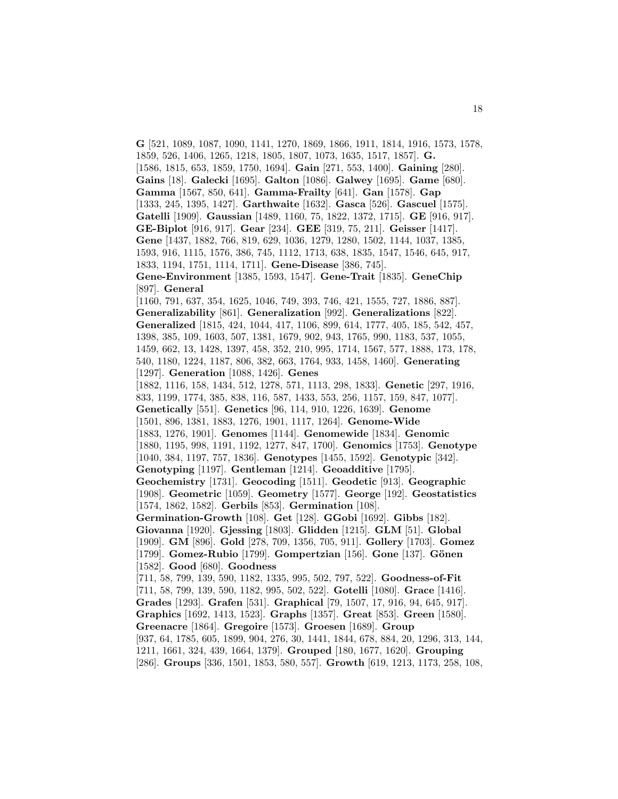**G** [521, 1089, 1087, 1090, 1141, 1270, 1869, 1866, 1911, 1814, 1916, 1573, 1578, 1859, 526, 1406, 1265, 1218, 1805, 1807, 1073, 1635, 1517, 1857]. **G.** [1586, 1815, 653, 1859, 1750, 1694]. **Gain** [271, 553, 1400]. **Gaining** [280]. **Gains** [18]. **Galecki** [1695]. **Galton** [1086]. **Galwey** [1695]. **Game** [680]. **Gamma** [1567, 850, 641]. **Gamma-Frailty** [641]. **Gan** [1578]. **Gap** [1333, 245, 1395, 1427]. **Garthwaite** [1632]. **Gasca** [526]. **Gascuel** [1575]. **Gatelli** [1909]. **Gaussian** [1489, 1160, 75, 1822, 1372, 1715]. **GE** [916, 917]. **GE-Biplot** [916, 917]. **Gear** [234]. **GEE** [319, 75, 211]. **Geisser** [1417]. **Gene** [1437, 1882, 766, 819, 629, 1036, 1279, 1280, 1502, 1144, 1037, 1385, 1593, 916, 1115, 1576, 386, 745, 1112, 1713, 638, 1835, 1547, 1546, 645, 917, 1833, 1194, 1751, 1114, 1711]. **Gene-Disease** [386, 745]. **Gene-Environment** [1385, 1593, 1547]. **Gene-Trait** [1835]. **GeneChip** [897]. **General** [1160, 791, 637, 354, 1625, 1046, 749, 393, 746, 421, 1555, 727, 1886, 887]. **Generalizability** [861]. **Generalization** [992]. **Generalizations** [822]. **Generalized** [1815, 424, 1044, 417, 1106, 899, 614, 1777, 405, 185, 542, 457, 1398, 385, 109, 1603, 507, 1381, 1679, 902, 943, 1765, 990, 1183, 537, 1055, 1459, 662, 13, 1428, 1397, 458, 352, 210, 995, 1714, 1567, 577, 1888, 173, 178, 540, 1180, 1224, 1187, 806, 382, 663, 1764, 933, 1458, 1460]. **Generating** [1297]. **Generation** [1088, 1426]. **Genes** [1882, 1116, 158, 1434, 512, 1278, 571, 1113, 298, 1833]. **Genetic** [297, 1916, 833, 1199, 1774, 385, 838, 116, 587, 1433, 553, 256, 1157, 159, 847, 1077]. **Genetically** [551]. **Genetics** [96, 114, 910, 1226, 1639]. **Genome** [1501, 896, 1381, 1883, 1276, 1901, 1117, 1264]. **Genome-Wide** [1883, 1276, 1901]. **Genomes** [1144]. **Genomewide** [1834]. **Genomic** [1880, 1195, 998, 1191, 1192, 1277, 847, 1700]. **Genomics** [1753]. **Genotype** [1040, 384, 1197, 757, 1836]. **Genotypes** [1455, 1592]. **Genotypic** [342]. **Genotyping** [1197]. **Gentleman** [1214]. **Geoadditive** [1795]. **Geochemistry** [1731]. **Geocoding** [1511]. **Geodetic** [913]. **Geographic** [1908]. **Geometric** [1059]. **Geometry** [1577]. **George** [192]. **Geostatistics** [1574, 1862, 1582]. **Gerbils** [853]. **Germination** [108]. **Germination-Growth** [108]. **Get** [128]. **GGobi** [1692]. **Gibbs** [182]. **Giovanna** [1920]. **Gjessing** [1803]. **Glidden** [1215]. **GLM** [51]. **Global** [1909]. **GM** [896]. **Gold** [278, 709, 1356, 705, 911]. **Gollery** [1703]. **Gomez** [1799]. **Gomez-Rubio** [1799]. **Gompertzian** [156]. **Gone** [137]. **G¨onen** [1582]. **Good** [680]. **Goodness** [711, 58, 799, 139, 590, 1182, 1335, 995, 502, 797, 522]. **Goodness-of-Fit** [711, 58, 799, 139, 590, 1182, 995, 502, 522]. **Gotelli** [1080]. **Grace** [1416]. **Grades** [1293]. **Grafen** [531]. **Graphical** [79, 1507, 17, 916, 94, 645, 917]. **Graphics** [1692, 1413, 1523]. **Graphs** [1357]. **Great** [853]. **Green** [1580]. **Greenacre** [1864]. **Gregoire** [1573]. **Groesen** [1689]. **Group** [937, 64, 1785, 605, 1899, 904, 276, 30, 1441, 1844, 678, 884, 20, 1296, 313, 144, 1211, 1661, 324, 439, 1664, 1379]. **Grouped** [180, 1677, 1620]. **Grouping** [286]. **Groups** [336, 1501, 1853, 580, 557]. **Growth** [619, 1213, 1173, 258, 108,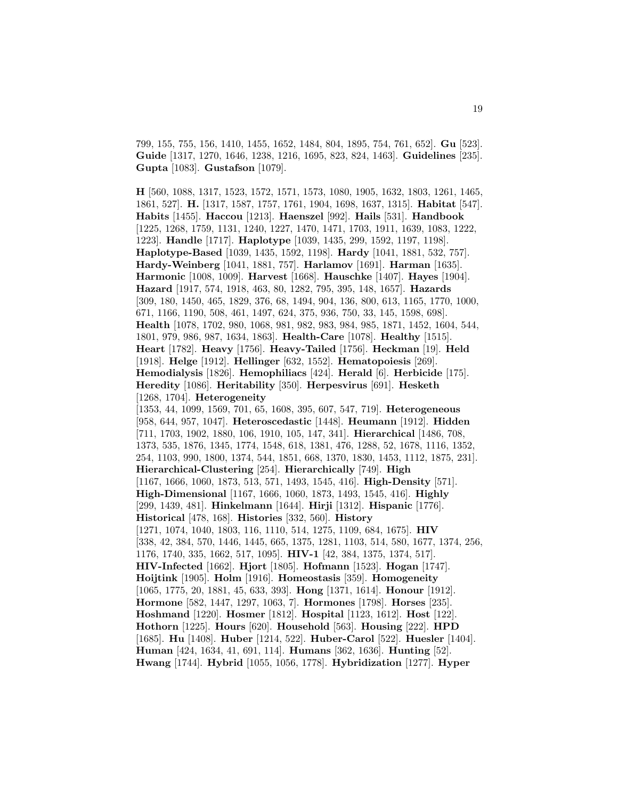799, 155, 755, 156, 1410, 1455, 1652, 1484, 804, 1895, 754, 761, 652]. **Gu** [523]. **Guide** [1317, 1270, 1646, 1238, 1216, 1695, 823, 824, 1463]. **Guidelines** [235]. **Gupta** [1083]. **Gustafson** [1079].

**H** [560, 1088, 1317, 1523, 1572, 1571, 1573, 1080, 1905, 1632, 1803, 1261, 1465, 1861, 527]. **H.** [1317, 1587, 1757, 1761, 1904, 1698, 1637, 1315]. **Habitat** [547]. **Habits** [1455]. **Haccou** [1213]. **Haenszel** [992]. **Hails** [531]. **Handbook** [1225, 1268, 1759, 1131, 1240, 1227, 1470, 1471, 1703, 1911, 1639, 1083, 1222, 1223]. **Handle** [1717]. **Haplotype** [1039, 1435, 299, 1592, 1197, 1198]. **Haplotype-Based** [1039, 1435, 1592, 1198]. **Hardy** [1041, 1881, 532, 757]. **Hardy-Weinberg** [1041, 1881, 757]. **Harlamov** [1691]. **Harman** [1635]. **Harmonic** [1008, 1009]. **Harvest** [1668]. **Hauschke** [1407]. **Hayes** [1904]. **Hazard** [1917, 574, 1918, 463, 80, 1282, 795, 395, 148, 1657]. **Hazards** [309, 180, 1450, 465, 1829, 376, 68, 1494, 904, 136, 800, 613, 1165, 1770, 1000, 671, 1166, 1190, 508, 461, 1497, 624, 375, 936, 750, 33, 145, 1598, 698]. **Health** [1078, 1702, 980, 1068, 981, 982, 983, 984, 985, 1871, 1452, 1604, 544, 1801, 979, 986, 987, 1634, 1863]. **Health-Care** [1078]. **Healthy** [1515]. **Heart** [1782]. **Heavy** [1756]. **Heavy-Tailed** [1756]. **Heckman** [19]. **Held** [1918]. **Helge** [1912]. **Hellinger** [632, 1552]. **Hematopoiesis** [269]. **Hemodialysis** [1826]. **Hemophiliacs** [424]. **Herald** [6]. **Herbicide** [175]. **Heredity** [1086]. **Heritability** [350]. **Herpesvirus** [691]. **Hesketh** [1268, 1704]. **Heterogeneity** [1353, 44, 1099, 1569, 701, 65, 1608, 395, 607, 547, 719]. **Heterogeneous** [958, 644, 957, 1047]. **Heteroscedastic** [1448]. **Heumann** [1912]. **Hidden** [711, 1703, 1902, 1880, 106, 1910, 105, 147, 341]. **Hierarchical** [1486, 708, 1373, 535, 1876, 1345, 1774, 1548, 618, 1381, 476, 1288, 52, 1678, 1116, 1352, 254, 1103, 990, 1800, 1374, 544, 1851, 668, 1370, 1830, 1453, 1112, 1875, 231]. **Hierarchical-Clustering** [254]. **Hierarchically** [749]. **High** [1167, 1666, 1060, 1873, 513, 571, 1493, 1545, 416]. **High-Density** [571]. **High-Dimensional** [1167, 1666, 1060, 1873, 1493, 1545, 416]. **Highly** [299, 1439, 481]. **Hinkelmann** [1644]. **Hirji** [1312]. **Hispanic** [1776]. **Historical** [478, 168]. **Histories** [332, 560]. **History** [1271, 1074, 1040, 1803, 116, 1110, 514, 1275, 1109, 684, 1675]. **HIV** [338, 42, 384, 570, 1446, 1445, 665, 1375, 1281, 1103, 514, 580, 1677, 1374, 256, 1176, 1740, 335, 1662, 517, 1095]. **HIV-1** [42, 384, 1375, 1374, 517]. **HIV-Infected** [1662]. **Hjort** [1805]. **Hofmann** [1523]. **Hogan** [1747]. **Hoijtink** [1905]. **Holm** [1916]. **Homeostasis** [359]. **Homogeneity** [1065, 1775, 20, 1881, 45, 633, 393]. **Hong** [1371, 1614]. **Honour** [1912]. **Hormone** [582, 1447, 1297, 1063, 7]. **Hormones** [1798]. **Horses** [235]. **Hoshmand** [1220]. **Hosmer** [1812]. **Hospital** [1123, 1612]. **Host** [122]. **Hothorn** [1225]. **Hours** [620]. **Household** [563]. **Housing** [222]. **HPD** [1685]. **Hu** [1408]. **Huber** [1214, 522]. **Huber-Carol** [522]. **Huesler** [1404]. **Human** [424, 1634, 41, 691, 114]. **Humans** [362, 1636]. **Hunting** [52]. **Hwang** [1744]. **Hybrid** [1055, 1056, 1778]. **Hybridization** [1277]. **Hyper**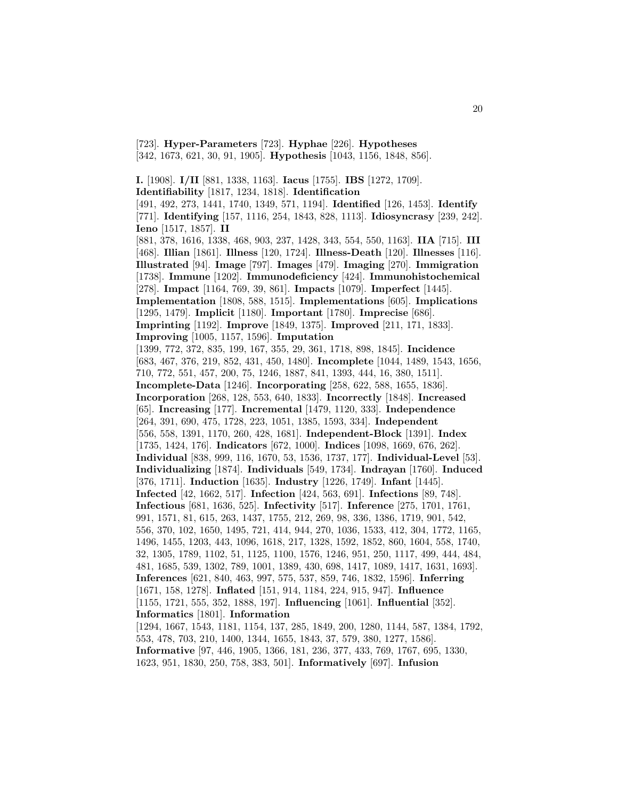[723]. **Hyper-Parameters** [723]. **Hyphae** [226]. **Hypotheses** [342, 1673, 621, 30, 91, 1905]. **Hypothesis** [1043, 1156, 1848, 856].

**I.** [1908]. **I/II** [881, 1338, 1163]. **Iacus** [1755]. **IBS** [1272, 1709]. **Identifiability** [1817, 1234, 1818]. **Identification** [491, 492, 273, 1441, 1740, 1349, 571, 1194]. **Identified** [126, 1453]. **Identify** [771]. **Identifying** [157, 1116, 254, 1843, 828, 1113]. **Idiosyncrasy** [239, 242]. **Ieno** [1517, 1857]. **II** [881, 378, 1616, 1338, 468, 903, 237, 1428, 343, 554, 550, 1163]. **IIA** [715]. **III** [468]. **Illian** [1861]. **Illness** [120, 1724]. **Illness-Death** [120]. **Illnesses** [116]. **Illustrated** [94]. **Image** [797]. **Images** [479]. **Imaging** [270]. **Immigration** [1738]. **Immune** [1202]. **Immunodeficiency** [424]. **Immunohistochemical** [278]. **Impact** [1164, 769, 39, 861]. **Impacts** [1079]. **Imperfect** [1445]. **Implementation** [1808, 588, 1515]. **Implementations** [605]. **Implications** [1295, 1479]. **Implicit** [1180]. **Important** [1780]. **Imprecise** [686]. **Imprinting** [1192]. **Improve** [1849, 1375]. **Improved** [211, 171, 1833]. **Improving** [1005, 1157, 1596]. **Imputation** [1399, 772, 372, 835, 199, 167, 355, 29, 361, 1718, 898, 1845]. **Incidence** [683, 467, 376, 219, 852, 431, 450, 1480]. **Incomplete** [1044, 1489, 1543, 1656, 710, 772, 551, 457, 200, 75, 1246, 1887, 841, 1393, 444, 16, 380, 1511]. **Incomplete-Data** [1246]. **Incorporating** [258, 622, 588, 1655, 1836]. **Incorporation** [268, 128, 553, 640, 1833]. **Incorrectly** [1848]. **Increased** [65]. **Increasing** [177]. **Incremental** [1479, 1120, 333]. **Independence** [264, 391, 690, 475, 1728, 223, 1051, 1385, 1593, 334]. **Independent** [556, 558, 1391, 1170, 260, 428, 1681]. **Independent-Block** [1391]. **Index** [1735, 1424, 176]. **Indicators** [672, 1000]. **Indices** [1098, 1669, 676, 262]. **Individual** [838, 999, 116, 1670, 53, 1536, 1737, 177]. **Individual-Level** [53]. **Individualizing** [1874]. **Individuals** [549, 1734]. **Indrayan** [1760]. **Induced** [376, 1711]. **Induction** [1635]. **Industry** [1226, 1749]. **Infant** [1445]. **Infected** [42, 1662, 517]. **Infection** [424, 563, 691]. **Infections** [89, 748]. **Infectious** [681, 1636, 525]. **Infectivity** [517]. **Inference** [275, 1701, 1761, 991, 1571, 81, 615, 263, 1437, 1755, 212, 269, 98, 336, 1386, 1719, 901, 542, 556, 370, 102, 1650, 1495, 721, 414, 944, 270, 1036, 1533, 412, 304, 1772, 1165, 1496, 1455, 1203, 443, 1096, 1618, 217, 1328, 1592, 1852, 860, 1604, 558, 1740, 32, 1305, 1789, 1102, 51, 1125, 1100, 1576, 1246, 951, 250, 1117, 499, 444, 484, 481, 1685, 539, 1302, 789, 1001, 1389, 430, 698, 1417, 1089, 1417, 1631, 1693]. **Inferences** [621, 840, 463, 997, 575, 537, 859, 746, 1832, 1596]. **Inferring** [1671, 158, 1278]. **Inflated** [151, 914, 1184, 224, 915, 947]. **Influence** [1155, 1721, 555, 352, 1888, 197]. **Influencing** [1061]. **Influential** [352]. **Informatics** [1801]. **Information** [1294, 1667, 1543, 1181, 1154, 137, 285, 1849, 200, 1280, 1144, 587, 1384, 1792, 553, 478, 703, 210, 1400, 1344, 1655, 1843, 37, 579, 380, 1277, 1586]. **Informative** [97, 446, 1905, 1366, 181, 236, 377, 433, 769, 1767, 695, 1330, 1623, 951, 1830, 250, 758, 383, 501]. **Informatively** [697]. **Infusion**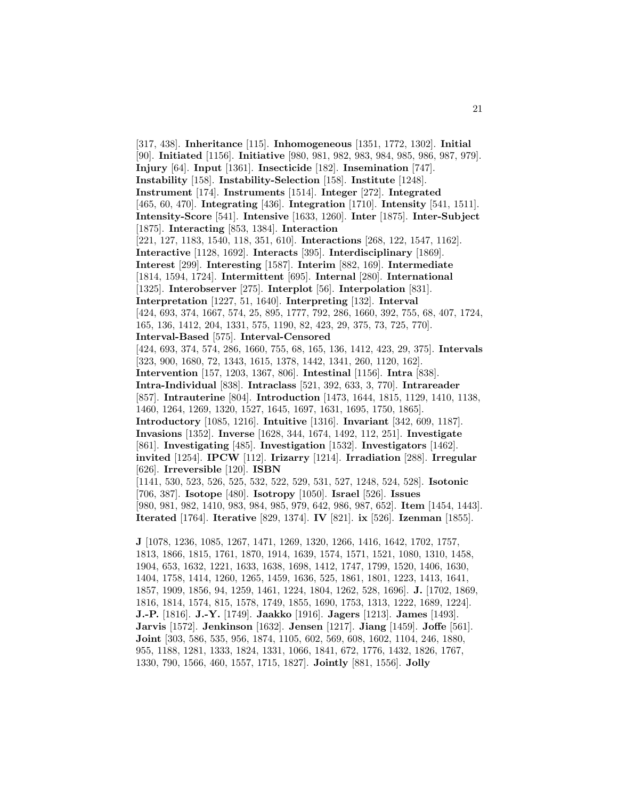[317, 438]. **Inheritance** [115]. **Inhomogeneous** [1351, 1772, 1302]. **Initial** [90]. **Initiated** [1156]. **Initiative** [980, 981, 982, 983, 984, 985, 986, 987, 979]. **Injury** [64]. **Input** [1361]. **Insecticide** [182]. **Insemination** [747]. **Instability** [158]. **Instability-Selection** [158]. **Institute** [1248]. **Instrument** [174]. **Instruments** [1514]. **Integer** [272]. **Integrated** [465, 60, 470]. **Integrating** [436]. **Integration** [1710]. **Intensity** [541, 1511]. **Intensity-Score** [541]. **Intensive** [1633, 1260]. **Inter** [1875]. **Inter-Subject** [1875]. **Interacting** [853, 1384]. **Interaction** [221, 127, 1183, 1540, 118, 351, 610]. **Interactions** [268, 122, 1547, 1162]. **Interactive** [1128, 1692]. **Interacts** [395]. **Interdisciplinary** [1869]. **Interest** [299]. **Interesting** [1587]. **Interim** [882, 169]. **Intermediate** [1814, 1594, 1724]. **Intermittent** [695]. **Internal** [280]. **International** [1325]. **Interobserver** [275]. **Interplot** [56]. **Interpolation** [831]. **Interpretation** [1227, 51, 1640]. **Interpreting** [132]. **Interval** [424, 693, 374, 1667, 574, 25, 895, 1777, 792, 286, 1660, 392, 755, 68, 407, 1724, 165, 136, 1412, 204, 1331, 575, 1190, 82, 423, 29, 375, 73, 725, 770]. **Interval-Based** [575]. **Interval-Censored** [424, 693, 374, 574, 286, 1660, 755, 68, 165, 136, 1412, 423, 29, 375]. **Intervals** [323, 900, 1680, 72, 1343, 1615, 1378, 1442, 1341, 260, 1120, 162]. **Intervention** [157, 1203, 1367, 806]. **Intestinal** [1156]. **Intra** [838]. **Intra-Individual** [838]. **Intraclass** [521, 392, 633, 3, 770]. **Intrareader** [857]. **Intrauterine** [804]. **Introduction** [1473, 1644, 1815, 1129, 1410, 1138, 1460, 1264, 1269, 1320, 1527, 1645, 1697, 1631, 1695, 1750, 1865]. **Introductory** [1085, 1216]. **Intuitive** [1316]. **Invariant** [342, 609, 1187]. **Invasions** [1352]. **Inverse** [1628, 344, 1674, 1492, 112, 251]. **Investigate** [861]. **Investigating** [485]. **Investigation** [1532]. **Investigators** [1462]. **invited** [1254]. **IPCW** [112]. **Irizarry** [1214]. **Irradiation** [288]. **Irregular** [626]. **Irreversible** [120]. **ISBN** [1141, 530, 523, 526, 525, 532, 522, 529, 531, 527, 1248, 524, 528]. **Isotonic** [706, 387]. **Isotope** [480]. **Isotropy** [1050]. **Israel** [526]. **Issues** [980, 981, 982, 1410, 983, 984, 985, 979, 642, 986, 987, 652]. **Item** [1454, 1443]. **Iterated** [1764]. **Iterative** [829, 1374]. **IV** [821]. **ix** [526]. **Izenman** [1855]. **J** [1078, 1236, 1085, 1267, 1471, 1269, 1320, 1266, 1416, 1642, 1702, 1757,

1813, 1866, 1815, 1761, 1870, 1914, 1639, 1574, 1571, 1521, 1080, 1310, 1458, 1904, 653, 1632, 1221, 1633, 1638, 1698, 1412, 1747, 1799, 1520, 1406, 1630, 1404, 1758, 1414, 1260, 1265, 1459, 1636, 525, 1861, 1801, 1223, 1413, 1641, 1857, 1909, 1856, 94, 1259, 1461, 1224, 1804, 1262, 528, 1696]. **J.** [1702, 1869, 1816, 1814, 1574, 815, 1578, 1749, 1855, 1690, 1753, 1313, 1222, 1689, 1224]. **J.-P.** [1816]. **J.-Y.** [1749]. **Jaakko** [1916]. **Jagers** [1213]. **James** [1493]. **Jarvis** [1572]. **Jenkinson** [1632]. **Jensen** [1217]. **Jiang** [1459]. **Joffe** [561]. **Joint** [303, 586, 535, 956, 1874, 1105, 602, 569, 608, 1602, 1104, 246, 1880, 955, 1188, 1281, 1333, 1824, 1331, 1066, 1841, 672, 1776, 1432, 1826, 1767, 1330, 790, 1566, 460, 1557, 1715, 1827]. **Jointly** [881, 1556]. **Jolly**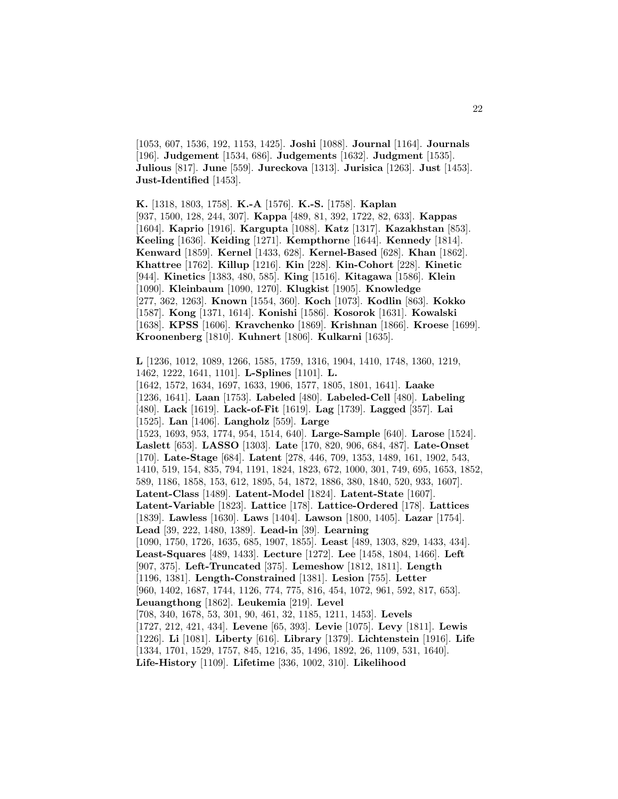[1053, 607, 1536, 192, 1153, 1425]. **Joshi** [1088]. **Journal** [1164]. **Journals** [196]. **Judgement** [1534, 686]. **Judgements** [1632]. **Judgment** [1535]. **Julious** [817]. **June** [559]. **Jureckova** [1313]. **Jurisica** [1263]. **Just** [1453]. **Just-Identified** [1453].

**K.** [1318, 1803, 1758]. **K.-A** [1576]. **K.-S.** [1758]. **Kaplan** [937, 1500, 128, 244, 307]. **Kappa** [489, 81, 392, 1722, 82, 633]. **Kappas** [1604]. **Kaprio** [1916]. **Kargupta** [1088]. **Katz** [1317]. **Kazakhstan** [853]. **Keeling** [1636]. **Keiding** [1271]. **Kempthorne** [1644]. **Kennedy** [1814]. **Kenward** [1859]. **Kernel** [1433, 628]. **Kernel-Based** [628]. **Khan** [1862]. **Khattree** [1762]. **Killup** [1216]. **Kin** [228]. **Kin-Cohort** [228]. **Kinetic** [944]. **Kinetics** [1383, 480, 585]. **King** [1516]. **Kitagawa** [1586]. **Klein** [1090]. **Kleinbaum** [1090, 1270]. **Klugkist** [1905]. **Knowledge** [277, 362, 1263]. **Known** [1554, 360]. **Koch** [1073]. **Kodlin** [863]. **Kokko** [1587]. **Kong** [1371, 1614]. **Konishi** [1586]. **Kosorok** [1631]. **Kowalski** [1638]. **KPSS** [1606]. **Kravchenko** [1869]. **Krishnan** [1866]. **Kroese** [1699]. **Kroonenberg** [1810]. **Kuhnert** [1806]. **Kulkarni** [1635].

**L** [1236, 1012, 1089, 1266, 1585, 1759, 1316, 1904, 1410, 1748, 1360, 1219, 1462, 1222, 1641, 1101]. **L-Splines** [1101]. **L.** [1642, 1572, 1634, 1697, 1633, 1906, 1577, 1805, 1801, 1641]. **Laake** [1236, 1641]. **Laan** [1753]. **Labeled** [480]. **Labeled-Cell** [480]. **Labeling** [480]. **Lack** [1619]. **Lack-of-Fit** [1619]. **Lag** [1739]. **Lagged** [357]. **Lai** [1525]. **Lan** [1406]. **Langholz** [559]. **Large** [1523, 1693, 953, 1774, 954, 1514, 640]. **Large-Sample** [640]. **Larose** [1524]. **Laslett** [653]. **LASSO** [1303]. **Late** [170, 820, 906, 684, 487]. **Late-Onset** [170]. **Late-Stage** [684]. **Latent** [278, 446, 709, 1353, 1489, 161, 1902, 543, 1410, 519, 154, 835, 794, 1191, 1824, 1823, 672, 1000, 301, 749, 695, 1653, 1852, 589, 1186, 1858, 153, 612, 1895, 54, 1872, 1886, 380, 1840, 520, 933, 1607]. **Latent-Class** [1489]. **Latent-Model** [1824]. **Latent-State** [1607]. **Latent-Variable** [1823]. **Lattice** [178]. **Lattice-Ordered** [178]. **Lattices** [1839]. **Lawless** [1630]. **Laws** [1404]. **Lawson** [1800, 1405]. **Lazar** [1754]. **Lead** [39, 222, 1480, 1389]. **Lead-in** [39]. **Learning** [1090, 1750, 1726, 1635, 685, 1907, 1855]. **Least** [489, 1303, 829, 1433, 434]. **Least-Squares** [489, 1433]. **Lecture** [1272]. **Lee** [1458, 1804, 1466]. **Left** [907, 375]. **Left-Truncated** [375]. **Lemeshow** [1812, 1811]. **Length** [1196, 1381]. **Length-Constrained** [1381]. **Lesion** [755]. **Letter** [960, 1402, 1687, 1744, 1126, 774, 775, 816, 454, 1072, 961, 592, 817, 653]. **Leuangthong** [1862]. **Leukemia** [219]. **Level** [708, 340, 1678, 53, 301, 90, 461, 32, 1185, 1211, 1453]. **Levels** [1727, 212, 421, 434]. **Levene** [65, 393]. **Levie** [1075]. **Levy** [1811]. **Lewis** [1226]. **Li** [1081]. **Liberty** [616]. **Library** [1379]. **Lichtenstein** [1916]. **Life** [1334, 1701, 1529, 1757, 845, 1216, 35, 1496, 1892, 26, 1109, 531, 1640]. **Life-History** [1109]. **Lifetime** [336, 1002, 310]. **Likelihood**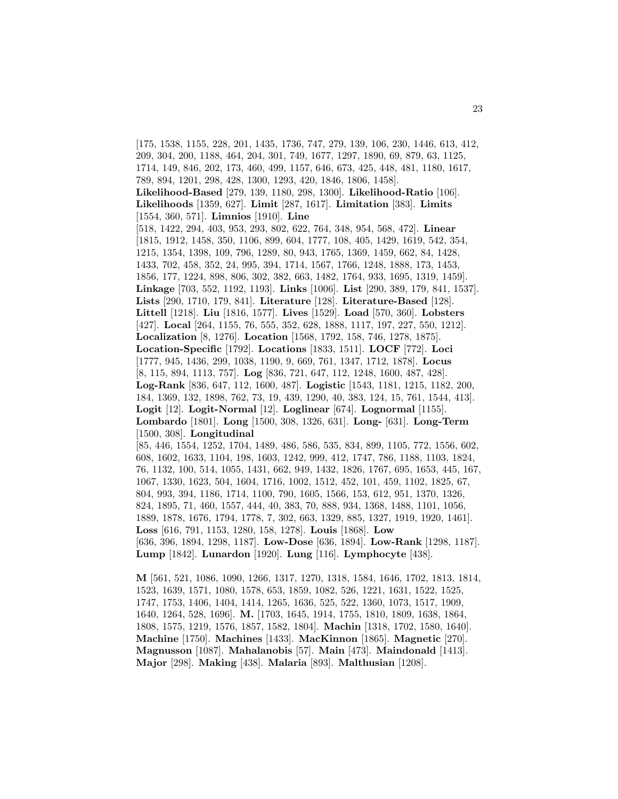[175, 1538, 1155, 228, 201, 1435, 1736, 747, 279, 139, 106, 230, 1446, 613, 412, 209, 304, 200, 1188, 464, 204, 301, 749, 1677, 1297, 1890, 69, 879, 63, 1125, 1714, 149, 846, 202, 173, 460, 499, 1157, 646, 673, 425, 448, 481, 1180, 1617, 789, 894, 1201, 298, 428, 1300, 1293, 420, 1846, 1806, 1458]. **Likelihood-Based** [279, 139, 1180, 298, 1300]. **Likelihood-Ratio** [106]. **Likelihoods** [1359, 627]. **Limit** [287, 1617]. **Limitation** [383]. **Limits** [1554, 360, 571]. **Limnios** [1910]. **Line** [518, 1422, 294, 403, 953, 293, 802, 622, 764, 348, 954, 568, 472]. **Linear** [1815, 1912, 1458, 350, 1106, 899, 604, 1777, 108, 405, 1429, 1619, 542, 354, 1215, 1354, 1398, 109, 796, 1289, 80, 943, 1765, 1369, 1459, 662, 84, 1428, 1433, 702, 458, 352, 24, 995, 394, 1714, 1567, 1766, 1248, 1888, 173, 1453, 1856, 177, 1224, 898, 806, 302, 382, 663, 1482, 1764, 933, 1695, 1319, 1459]. **Linkage** [703, 552, 1192, 1193]. **Links** [1006]. **List** [290, 389, 179, 841, 1537]. **Lists** [290, 1710, 179, 841]. **Literature** [128]. **Literature-Based** [128]. **Littell** [1218]. **Liu** [1816, 1577]. **Lives** [1529]. **Load** [570, 360]. **Lobsters** [427]. **Local** [264, 1155, 76, 555, 352, 628, 1888, 1117, 197, 227, 550, 1212]. **Localization** [8, 1276]. **Location** [1568, 1792, 158, 746, 1278, 1875]. **Location-Specific** [1792]. **Locations** [1833, 1511]. **LOCF** [772]. **Loci** [1777, 945, 1436, 299, 1038, 1190, 9, 669, 761, 1347, 1712, 1878]. **Locus** [8, 115, 894, 1113, 757]. **Log** [836, 721, 647, 112, 1248, 1600, 487, 428]. **Log-Rank** [836, 647, 112, 1600, 487]. **Logistic** [1543, 1181, 1215, 1182, 200, 184, 1369, 132, 1898, 762, 73, 19, 439, 1290, 40, 383, 124, 15, 761, 1544, 413]. **Logit** [12]. **Logit-Normal** [12]. **Loglinear** [674]. **Lognormal** [1155]. **Lombardo** [1801]. **Long** [1500, 308, 1326, 631]. **Long-** [631]. **Long-Term** [1500, 308]. **Longitudinal** [85, 446, 1554, 1252, 1704, 1489, 486, 586, 535, 834, 899, 1105, 772, 1556, 602, 608, 1602, 1633, 1104, 198, 1603, 1242, 999, 412, 1747, 786, 1188, 1103, 1824, 76, 1132, 100, 514, 1055, 1431, 662, 949, 1432, 1826, 1767, 695, 1653, 445, 167, 1067, 1330, 1623, 504, 1604, 1716, 1002, 1512, 452, 101, 459, 1102, 1825, 67, 804, 993, 394, 1186, 1714, 1100, 790, 1605, 1566, 153, 612, 951, 1370, 1326, 824, 1895, 71, 460, 1557, 444, 40, 383, 70, 888, 934, 1368, 1488, 1101, 1056, 1889, 1878, 1676, 1794, 1778, 7, 302, 663, 1329, 885, 1327, 1919, 1920, 1461]. **Loss** [616, 791, 1153, 1280, 158, 1278]. **Louis** [1868]. **Low** [636, 396, 1894, 1298, 1187]. **Low-Dose** [636, 1894]. **Low-Rank** [1298, 1187]. **Lump** [1842]. **Lunardon** [1920]. **Lung** [116]. **Lymphocyte** [438].

**M** [561, 521, 1086, 1090, 1266, 1317, 1270, 1318, 1584, 1646, 1702, 1813, 1814, 1523, 1639, 1571, 1080, 1578, 653, 1859, 1082, 526, 1221, 1631, 1522, 1525, 1747, 1753, 1406, 1404, 1414, 1265, 1636, 525, 522, 1360, 1073, 1517, 1909, 1640, 1264, 528, 1696]. **M.** [1703, 1645, 1914, 1755, 1810, 1809, 1638, 1864, 1808, 1575, 1219, 1576, 1857, 1582, 1804]. **Machin** [1318, 1702, 1580, 1640]. **Machine** [1750]. **Machines** [1433]. **MacKinnon** [1865]. **Magnetic** [270]. **Magnusson** [1087]. **Mahalanobis** [57]. **Main** [473]. **Maindonald** [1413]. **Major** [298]. **Making** [438]. **Malaria** [893]. **Malthusian** [1208].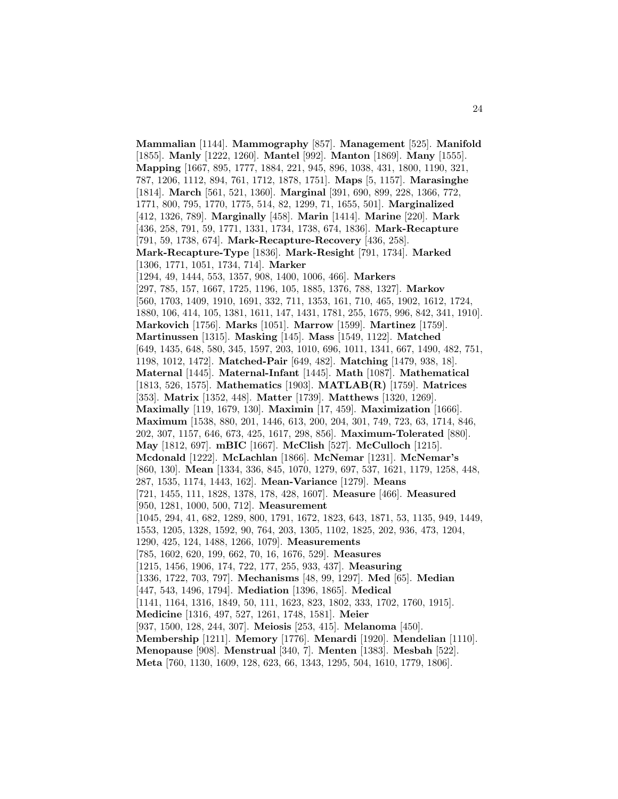**Mammalian** [1144]. **Mammography** [857]. **Management** [525]. **Manifold** [1855]. **Manly** [1222, 1260]. **Mantel** [992]. **Manton** [1869]. **Many** [1555]. **Mapping** [1667, 895, 1777, 1884, 221, 945, 896, 1038, 431, 1800, 1190, 321, 787, 1206, 1112, 894, 761, 1712, 1878, 1751]. **Maps** [5, 1157]. **Marasinghe** [1814]. **March** [561, 521, 1360]. **Marginal** [391, 690, 899, 228, 1366, 772, 1771, 800, 795, 1770, 1775, 514, 82, 1299, 71, 1655, 501]. **Marginalized** [412, 1326, 789]. **Marginally** [458]. **Marin** [1414]. **Marine** [220]. **Mark** [436, 258, 791, 59, 1771, 1331, 1734, 1738, 674, 1836]. **Mark-Recapture** [791, 59, 1738, 674]. **Mark-Recapture-Recovery** [436, 258]. **Mark-Recapture-Type** [1836]. **Mark-Resight** [791, 1734]. **Marked** [1306, 1771, 1051, 1734, 714]. **Marker** [1294, 49, 1444, 553, 1357, 908, 1400, 1006, 466]. **Markers** [297, 785, 157, 1667, 1725, 1196, 105, 1885, 1376, 788, 1327]. **Markov** [560, 1703, 1409, 1910, 1691, 332, 711, 1353, 161, 710, 465, 1902, 1612, 1724, 1880, 106, 414, 105, 1381, 1611, 147, 1431, 1781, 255, 1675, 996, 842, 341, 1910]. **Markovich** [1756]. **Marks** [1051]. **Marrow** [1599]. **Martinez** [1759]. **Martinussen** [1315]. **Masking** [145]. **Mass** [1549, 1122]. **Matched** [649, 1435, 648, 580, 345, 1597, 203, 1010, 696, 1011, 1341, 667, 1490, 482, 751, 1198, 1012, 1472]. **Matched-Pair** [649, 482]. **Matching** [1479, 938, 18]. **Maternal** [1445]. **Maternal-Infant** [1445]. **Math** [1087]. **Mathematical** [1813, 526, 1575]. **Mathematics** [1903]. **MATLAB(R)** [1759]. **Matrices** [353]. **Matrix** [1352, 448]. **Matter** [1739]. **Matthews** [1320, 1269]. **Maximally** [119, 1679, 130]. **Maximin** [17, 459]. **Maximization** [1666]. **Maximum** [1538, 880, 201, 1446, 613, 200, 204, 301, 749, 723, 63, 1714, 846, 202, 307, 1157, 646, 673, 425, 1617, 298, 856]. **Maximum-Tolerated** [880]. **May** [1812, 697]. **mBIC** [1667]. **McClish** [527]. **McCulloch** [1215]. **Mcdonald** [1222]. **McLachlan** [1866]. **McNemar** [1231]. **McNemar's** [860, 130]. **Mean** [1334, 336, 845, 1070, 1279, 697, 537, 1621, 1179, 1258, 448, 287, 1535, 1174, 1443, 162]. **Mean-Variance** [1279]. **Means** [721, 1455, 111, 1828, 1378, 178, 428, 1607]. **Measure** [466]. **Measured** [950, 1281, 1000, 500, 712]. **Measurement** [1045, 294, 41, 682, 1289, 800, 1791, 1672, 1823, 643, 1871, 53, 1135, 949, 1449, 1553, 1205, 1328, 1592, 90, 764, 203, 1305, 1102, 1825, 202, 936, 473, 1204, 1290, 425, 124, 1488, 1266, 1079]. **Measurements** [785, 1602, 620, 199, 662, 70, 16, 1676, 529]. **Measures** [1215, 1456, 1906, 174, 722, 177, 255, 933, 437]. **Measuring** [1336, 1722, 703, 797]. **Mechanisms** [48, 99, 1297]. **Med** [65]. **Median** [447, 543, 1496, 1794]. **Mediation** [1396, 1865]. **Medical** [1141, 1164, 1316, 1849, 50, 111, 1623, 823, 1802, 333, 1702, 1760, 1915]. **Medicine** [1316, 497, 527, 1261, 1748, 1581]. **Meier** [937, 1500, 128, 244, 307]. **Meiosis** [253, 415]. **Melanoma** [450]. **Membership** [1211]. **Memory** [1776]. **Menardi** [1920]. **Mendelian** [1110]. **Menopause** [908]. **Menstrual** [340, 7]. **Menten** [1383]. **Mesbah** [522]. **Meta** [760, 1130, 1609, 128, 623, 66, 1343, 1295, 504, 1610, 1779, 1806].

24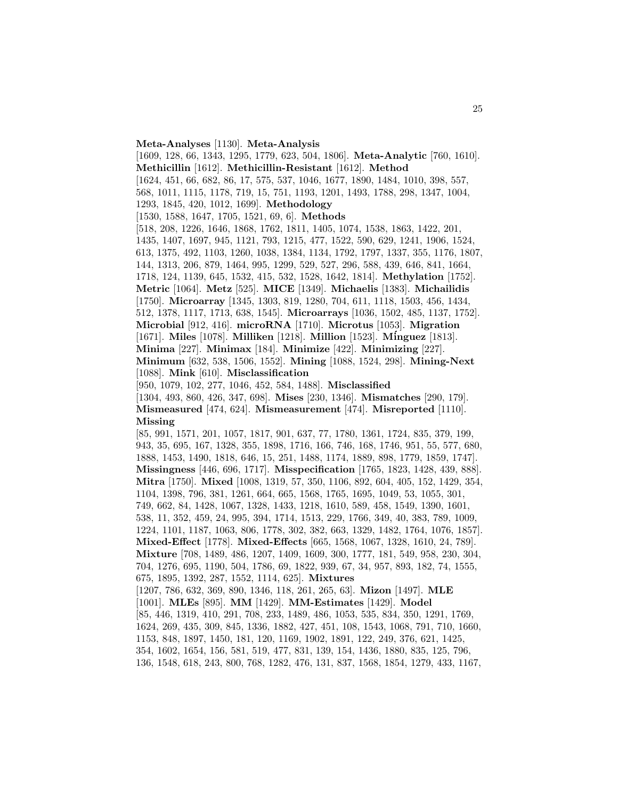**Meta-Analyses** [1130]. **Meta-Analysis**

[1609, 128, 66, 1343, 1295, 1779, 623, 504, 1806]. **Meta-Analytic** [760, 1610]. **Methicillin** [1612]. **Methicillin-Resistant** [1612]. **Method** [1624, 451, 66, 682, 86, 17, 575, 537, 1046, 1677, 1890, 1484, 1010, 398, 557, 568, 1011, 1115, 1178, 719, 15, 751, 1193, 1201, 1493, 1788, 298, 1347, 1004, 1293, 1845, 420, 1012, 1699]. **Methodology** [1530, 1588, 1647, 1705, 1521, 69, 6]. **Methods** [518, 208, 1226, 1646, 1868, 1762, 1811, 1405, 1074, 1538, 1863, 1422, 201, 1435, 1407, 1697, 945, 1121, 793, 1215, 477, 1522, 590, 629, 1241, 1906, 1524, 613, 1375, 492, 1103, 1260, 1038, 1384, 1134, 1792, 1797, 1337, 355, 1176, 1807, 144, 1313, 206, 879, 1464, 995, 1299, 529, 527, 296, 588, 439, 646, 841, 1664, 1718, 124, 1139, 645, 1532, 415, 532, 1528, 1642, 1814]. **Methylation** [1752]. **Metric** [1064]. **Metz** [525]. **MICE** [1349]. **Michaelis** [1383]. **Michailidis** [1750]. **Microarray** [1345, 1303, 819, 1280, 704, 611, 1118, 1503, 456, 1434, 512, 1378, 1117, 1713, 638, 1545]. **Microarrays** [1036, 1502, 485, 1137, 1752]. **Microbial** [912, 416]. **microRNA** [1710]. **Microtus** [1053]. **Migration** [1671]. **Miles** [1078]. **Milliken** [1218]. **Million** [1523]. **M´inguez** [1813]. **Minima** [227]. **Minimax** [184]. **Minimize** [422]. **Minimizing** [227]. **Minimum** [632, 538, 1506, 1552]. **Mining** [1088, 1524, 298]. **Mining-Next** [1088]. **Mink** [610]. **Misclassification** [950, 1079, 102, 277, 1046, 452, 584, 1488]. **Misclassified** [1304, 493, 860, 426, 347, 698]. **Mises** [230, 1346]. **Mismatches** [290, 179]. **Mismeasured** [474, 624]. **Mismeasurement** [474]. **Misreported** [1110].

**Missing**

[85, 991, 1571, 201, 1057, 1817, 901, 637, 77, 1780, 1361, 1724, 835, 379, 199, 943, 35, 695, 167, 1328, 355, 1898, 1716, 166, 746, 168, 1746, 951, 55, 577, 680, 1888, 1453, 1490, 1818, 646, 15, 251, 1488, 1174, 1889, 898, 1779, 1859, 1747]. **Missingness** [446, 696, 1717]. **Misspecification** [1765, 1823, 1428, 439, 888]. **Mitra** [1750]. **Mixed** [1008, 1319, 57, 350, 1106, 892, 604, 405, 152, 1429, 354, 1104, 1398, 796, 381, 1261, 664, 665, 1568, 1765, 1695, 1049, 53, 1055, 301, 749, 662, 84, 1428, 1067, 1328, 1433, 1218, 1610, 589, 458, 1549, 1390, 1601, 538, 11, 352, 459, 24, 995, 394, 1714, 1513, 229, 1766, 349, 40, 383, 789, 1009, 1224, 1101, 1187, 1063, 806, 1778, 302, 382, 663, 1329, 1482, 1764, 1076, 1857]. **Mixed-Effect** [1778]. **Mixed-Effects** [665, 1568, 1067, 1328, 1610, 24, 789]. **Mixture** [708, 1489, 486, 1207, 1409, 1609, 300, 1777, 181, 549, 958, 230, 304, 704, 1276, 695, 1190, 504, 1786, 69, 1822, 939, 67, 34, 957, 893, 182, 74, 1555, 675, 1895, 1392, 287, 1552, 1114, 625]. **Mixtures** [1207, 786, 632, 369, 890, 1346, 118, 261, 265, 63]. **Mizon** [1497]. **MLE** [1001]. **MLEs** [895]. **MM** [1429]. **MM-Estimates** [1429]. **Model** [85, 446, 1319, 410, 291, 708, 233, 1489, 486, 1053, 535, 834, 350, 1291, 1769, 1624, 269, 435, 309, 845, 1336, 1882, 427, 451, 108, 1543, 1068, 791, 710, 1660, 1153, 848, 1897, 1450, 181, 120, 1169, 1902, 1891, 122, 249, 376, 621, 1425, 354, 1602, 1654, 156, 581, 519, 477, 831, 139, 154, 1436, 1880, 835, 125, 796,

136, 1548, 618, 243, 800, 768, 1282, 476, 131, 837, 1568, 1854, 1279, 433, 1167,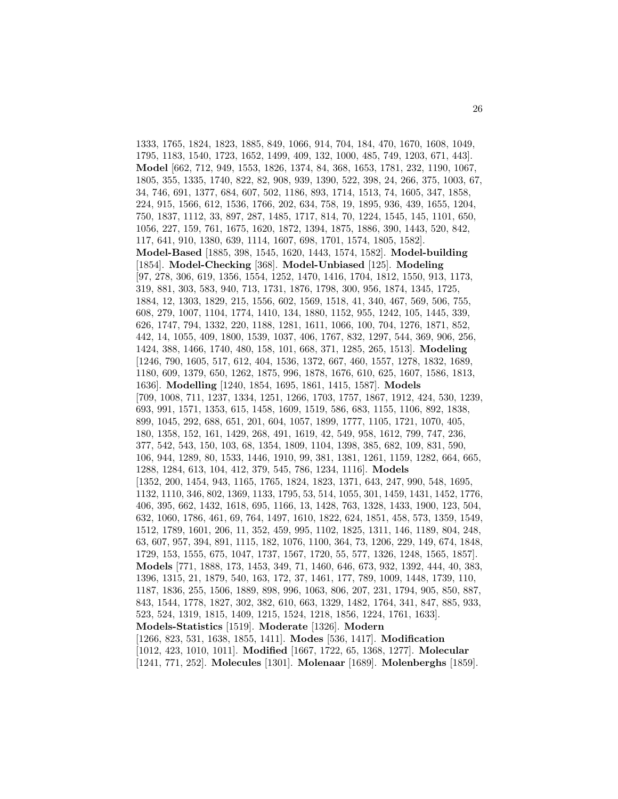1333, 1765, 1824, 1823, 1885, 849, 1066, 914, 704, 184, 470, 1670, 1608, 1049, 1795, 1183, 1540, 1723, 1652, 1499, 409, 132, 1000, 485, 749, 1203, 671, 443]. **Model** [662, 712, 949, 1553, 1826, 1374, 84, 368, 1653, 1781, 232, 1190, 1067, 1805, 355, 1335, 1740, 822, 82, 908, 939, 1390, 522, 398, 24, 266, 375, 1003, 67, 34, 746, 691, 1377, 684, 607, 502, 1186, 893, 1714, 1513, 74, 1605, 347, 1858, 224, 915, 1566, 612, 1536, 1766, 202, 634, 758, 19, 1895, 936, 439, 1655, 1204, 750, 1837, 1112, 33, 897, 287, 1485, 1717, 814, 70, 1224, 1545, 145, 1101, 650, 1056, 227, 159, 761, 1675, 1620, 1872, 1394, 1875, 1886, 390, 1443, 520, 842, 117, 641, 910, 1380, 639, 1114, 1607, 698, 1701, 1574, 1805, 1582]. **Model-Based** [1885, 398, 1545, 1620, 1443, 1574, 1582]. **Model-building** [1854]. **Model-Checking** [368]. **Model-Unbiased** [125]. **Modeling** [97, 278, 306, 619, 1356, 1554, 1252, 1470, 1416, 1704, 1812, 1550, 913, 1173, 319, 881, 303, 583, 940, 713, 1731, 1876, 1798, 300, 956, 1874, 1345, 1725, 1884, 12, 1303, 1829, 215, 1556, 602, 1569, 1518, 41, 340, 467, 569, 506, 755, 608, 279, 1007, 1104, 1774, 1410, 134, 1880, 1152, 955, 1242, 105, 1445, 339, 626, 1747, 794, 1332, 220, 1188, 1281, 1611, 1066, 100, 704, 1276, 1871, 852, 442, 14, 1055, 409, 1800, 1539, 1037, 406, 1767, 832, 1297, 544, 369, 906, 256, 1424, 388, 1466, 1740, 480, 158, 101, 668, 371, 1285, 265, 1513]. **Modeling** [1246, 790, 1605, 517, 612, 404, 1536, 1372, 667, 460, 1557, 1278, 1832, 1689, 1180, 609, 1379, 650, 1262, 1875, 996, 1878, 1676, 610, 625, 1607, 1586, 1813, 1636]. **Modelling** [1240, 1854, 1695, 1861, 1415, 1587]. **Models** [709, 1008, 711, 1237, 1334, 1251, 1266, 1703, 1757, 1867, 1912, 424, 530, 1239, 693, 991, 1571, 1353, 615, 1458, 1609, 1519, 586, 683, 1155, 1106, 892, 1838, 899, 1045, 292, 688, 651, 201, 604, 1057, 1899, 1777, 1105, 1721, 1070, 405, 180, 1358, 152, 161, 1429, 268, 491, 1619, 42, 549, 958, 1612, 799, 747, 236, 377, 542, 543, 150, 103, 68, 1354, 1809, 1104, 1398, 385, 682, 109, 831, 590, 106, 944, 1289, 80, 1533, 1446, 1910, 99, 381, 1381, 1261, 1159, 1282, 664, 665, 1288, 1284, 613, 104, 412, 379, 545, 786, 1234, 1116]. **Models** [1352, 200, 1454, 943, 1165, 1765, 1824, 1823, 1371, 643, 247, 990, 548, 1695, 1132, 1110, 346, 802, 1369, 1133, 1795, 53, 514, 1055, 301, 1459, 1431, 1452, 1776, 406, 395, 662, 1432, 1618, 695, 1166, 13, 1428, 763, 1328, 1433, 1900, 123, 504, 632, 1060, 1786, 461, 69, 764, 1497, 1610, 1822, 624, 1851, 458, 573, 1359, 1549, 1512, 1789, 1601, 206, 11, 352, 459, 995, 1102, 1825, 1311, 146, 1189, 804, 248, 63, 607, 957, 394, 891, 1115, 182, 1076, 1100, 364, 73, 1206, 229, 149, 674, 1848, 1729, 153, 1555, 675, 1047, 1737, 1567, 1720, 55, 577, 1326, 1248, 1565, 1857]. **Models** [771, 1888, 173, 1453, 349, 71, 1460, 646, 673, 932, 1392, 444, 40, 383, 1396, 1315, 21, 1879, 540, 163, 172, 37, 1461, 177, 789, 1009, 1448, 1739, 110, 1187, 1836, 255, 1506, 1889, 898, 996, 1063, 806, 207, 231, 1794, 905, 850, 887, 843, 1544, 1778, 1827, 302, 382, 610, 663, 1329, 1482, 1764, 341, 847, 885, 933, 523, 524, 1319, 1815, 1409, 1215, 1524, 1218, 1856, 1224, 1761, 1633]. **Models-Statistics** [1519]. **Moderate** [1326]. **Modern** [1266, 823, 531, 1638, 1855, 1411]. **Modes** [536, 1417]. **Modification** [1012, 423, 1010, 1011]. **Modified** [1667, 1722, 65, 1368, 1277]. **Molecular** [1241, 771, 252]. **Molecules** [1301]. **Molenaar** [1689]. **Molenberghs** [1859].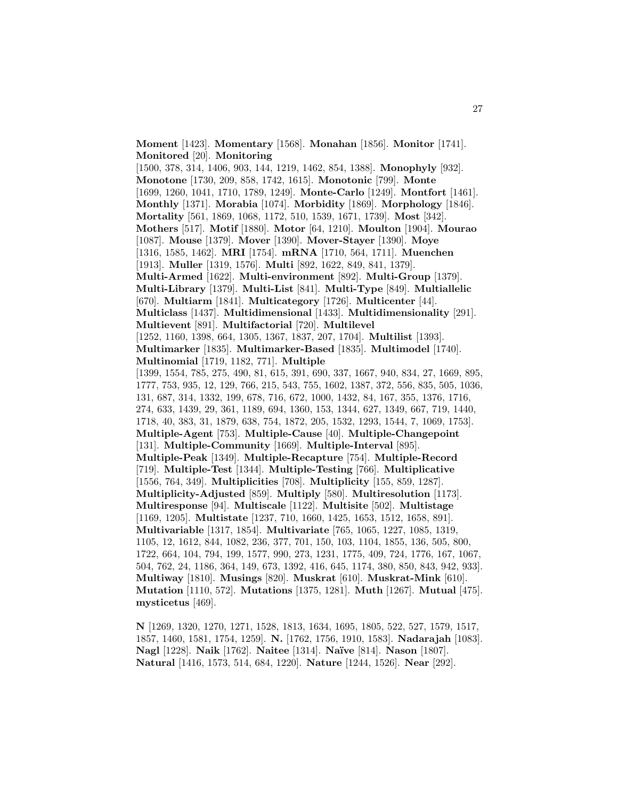**Moment** [1423]. **Momentary** [1568]. **Monahan** [1856]. **Monitor** [1741]. **Monitored** [20]. **Monitoring** [1500, 378, 314, 1406, 903, 144, 1219, 1462, 854, 1388]. **Monophyly** [932]. **Monotone** [1730, 209, 858, 1742, 1615]. **Monotonic** [799]. **Monte** [1699, 1260, 1041, 1710, 1789, 1249]. **Monte-Carlo** [1249]. **Montfort** [1461]. **Monthly** [1371]. **Morabia** [1074]. **Morbidity** [1869]. **Morphology** [1846]. **Mortality** [561, 1869, 1068, 1172, 510, 1539, 1671, 1739]. **Most** [342]. **Mothers** [517]. **Motif** [1880]. **Motor** [64, 1210]. **Moulton** [1904]. **Mourao** [1087]. **Mouse** [1379]. **Mover** [1390]. **Mover-Stayer** [1390]. **Moye** [1316, 1585, 1462]. **MRI** [1754]. **mRNA** [1710, 564, 1711]. **Muenchen** [1913]. **Muller** [1319, 1576]. **Multi** [892, 1622, 849, 841, 1379]. **Multi-Armed** [1622]. **Multi-environment** [892]. **Multi-Group** [1379]. **Multi-Library** [1379]. **Multi-List** [841]. **Multi-Type** [849]. **Multiallelic** [670]. **Multiarm** [1841]. **Multicategory** [1726]. **Multicenter** [44]. **Multiclass** [1437]. **Multidimensional** [1433]. **Multidimensionality** [291]. **Multievent** [891]. **Multifactorial** [720]. **Multilevel** [1252, 1160, 1398, 664, 1305, 1367, 1837, 207, 1704]. **Multilist** [1393]. **Multimarker** [1835]. **Multimarker-Based** [1835]. **Multimodel** [1740]. **Multinomial** [1719, 1182, 771]. **Multiple** [1399, 1554, 785, 275, 490, 81, 615, 391, 690, 337, 1667, 940, 834, 27, 1669, 895, 1777, 753, 935, 12, 129, 766, 215, 543, 755, 1602, 1387, 372, 556, 835, 505, 1036, 131, 687, 314, 1332, 199, 678, 716, 672, 1000, 1432, 84, 167, 355, 1376, 1716, 274, 633, 1439, 29, 361, 1189, 694, 1360, 153, 1344, 627, 1349, 667, 719, 1440, 1718, 40, 383, 31, 1879, 638, 754, 1872, 205, 1532, 1293, 1544, 7, 1069, 1753]. **Multiple-Agent** [753]. **Multiple-Cause** [40]. **Multiple-Changepoint** [131]. **Multiple-Community** [1669]. **Multiple-Interval** [895]. **Multiple-Peak** [1349]. **Multiple-Recapture** [754]. **Multiple-Record** [719]. **Multiple-Test** [1344]. **Multiple-Testing** [766]. **Multiplicative** [1556, 764, 349]. **Multiplicities** [708]. **Multiplicity** [155, 859, 1287]. **Multiplicity-Adjusted** [859]. **Multiply** [580]. **Multiresolution** [1173]. **Multiresponse** [94]. **Multiscale** [1122]. **Multisite** [502]. **Multistage** [1169, 1205]. **Multistate** [1237, 710, 1660, 1425, 1653, 1512, 1658, 891]. **Multivariable** [1317, 1854]. **Multivariate** [765, 1065, 1227, 1085, 1319, 1105, 12, 1612, 844, 1082, 236, 377, 701, 150, 103, 1104, 1855, 136, 505, 800, 1722, 664, 104, 794, 199, 1577, 990, 273, 1231, 1775, 409, 724, 1776, 167, 1067, 504, 762, 24, 1186, 364, 149, 673, 1392, 416, 645, 1174, 380, 850, 843, 942, 933]. **Multiway** [1810]. **Musings** [820]. **Muskrat** [610]. **Muskrat-Mink** [610]. **Mutation** [1110, 572]. **Mutations** [1375, 1281]. **Muth** [1267]. **Mutual** [475]. **mysticetus** [469].

**N** [1269, 1320, 1270, 1271, 1528, 1813, 1634, 1695, 1805, 522, 527, 1579, 1517, 1857, 1460, 1581, 1754, 1259]. **N.** [1762, 1756, 1910, 1583]. **Nadarajah** [1083]. **Nagl** [1228]. **Naik** [1762]. **Naitee** [1314]. **Na¨ıve** [814]. **Nason** [1807]. **Natural** [1416, 1573, 514, 684, 1220]. **Nature** [1244, 1526]. **Near** [292].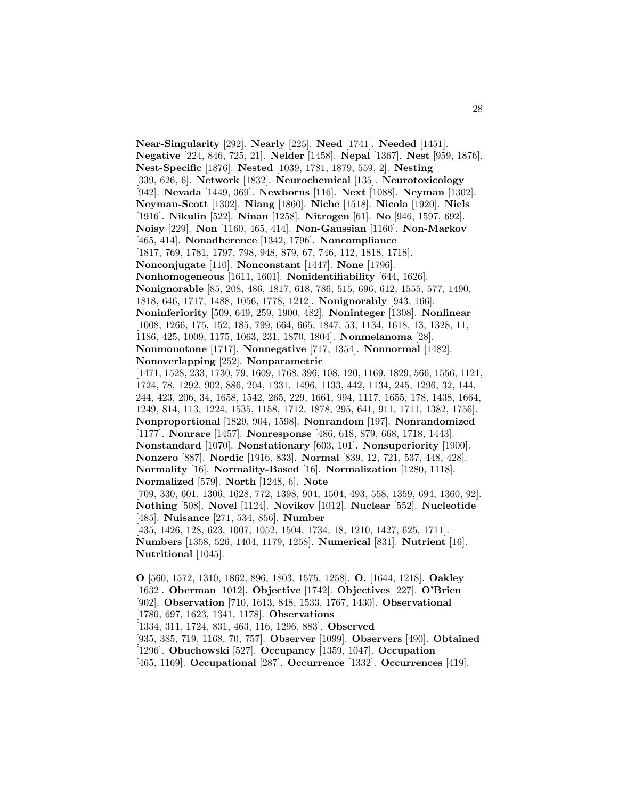**Near-Singularity** [292]. **Nearly** [225]. **Need** [1741]. **Needed** [1451]. **Negative** [224, 846, 725, 21]. **Nelder** [1458]. **Nepal** [1367]. **Nest** [959, 1876]. **Nest-Specific** [1876]. **Nested** [1039, 1781, 1879, 559, 2]. **Nesting** [339, 626, 6]. **Network** [1832]. **Neurochemical** [135]. **Neurotoxicology** [942]. **Nevada** [1449, 369]. **Newborns** [116]. **Next** [1088]. **Neyman** [1302]. **Neyman-Scott** [1302]. **Niang** [1860]. **Niche** [1518]. **Nicola** [1920]. **Niels** [1916]. **Nikulin** [522]. **Ninan** [1258]. **Nitrogen** [61]. **No** [946, 1597, 692]. **Noisy** [229]. **Non** [1160, 465, 414]. **Non-Gaussian** [1160]. **Non-Markov** [465, 414]. **Nonadherence** [1342, 1796]. **Noncompliance** [1817, 769, 1781, 1797, 798, 948, 879, 67, 746, 112, 1818, 1718]. **Nonconjugate** [110]. **Nonconstant** [1447]. **None** [1796]. **Nonhomogeneous** [1611, 1601]. **Nonidentifiability** [644, 1626]. **Nonignorable** [85, 208, 486, 1817, 618, 786, 515, 696, 612, 1555, 577, 1490, 1818, 646, 1717, 1488, 1056, 1778, 1212]. **Nonignorably** [943, 166]. **Noninferiority** [509, 649, 259, 1900, 482]. **Noninteger** [1308]. **Nonlinear** [1008, 1266, 175, 152, 185, 799, 664, 665, 1847, 53, 1134, 1618, 13, 1328, 11, 1186, 425, 1009, 1175, 1063, 231, 1870, 1804]. **Nonmelanoma** [28]. **Nonmonotone** [1717]. **Nonnegative** [717, 1354]. **Nonnormal** [1482]. **Nonoverlapping** [252]. **Nonparametric** [1471, 1528, 233, 1730, 79, 1609, 1768, 396, 108, 120, 1169, 1829, 566, 1556, 1121, 1724, 78, 1292, 902, 886, 204, 1331, 1496, 1133, 442, 1134, 245, 1296, 32, 144, 244, 423, 206, 34, 1658, 1542, 265, 229, 1661, 994, 1117, 1655, 178, 1438, 1664, 1249, 814, 113, 1224, 1535, 1158, 1712, 1878, 295, 641, 911, 1711, 1382, 1756]. **Nonproportional** [1829, 904, 1598]. **Nonrandom** [197]. **Nonrandomized** [1177]. **Nonrare** [1457]. **Nonresponse** [486, 618, 879, 668, 1718, 1443]. **Nonstandard** [1070]. **Nonstationary** [603, 101]. **Nonsuperiority** [1900]. **Nonzero** [887]. **Nordic** [1916, 833]. **Normal** [839, 12, 721, 537, 448, 428]. **Normality** [16]. **Normality-Based** [16]. **Normalization** [1280, 1118]. **Normalized** [579]. **North** [1248, 6]. **Note** [709, 330, 601, 1306, 1628, 772, 1398, 904, 1504, 493, 558, 1359, 694, 1360, 92]. **Nothing** [508]. **Novel** [1124]. **Novikov** [1012]. **Nuclear** [552]. **Nucleotide** [485]. **Nuisance** [271, 534, 856]. **Number** [435, 1426, 128, 623, 1007, 1052, 1504, 1734, 18, 1210, 1427, 625, 1711]. **Numbers** [1358, 526, 1404, 1179, 1258]. **Numerical** [831]. **Nutrient** [16]. **Nutritional** [1045].

**O** [560, 1572, 1310, 1862, 896, 1803, 1575, 1258]. **O.** [1644, 1218]. **Oakley** [1632]. **Oberman** [1012]. **Objective** [1742]. **Objectives** [227]. **O'Brien** [902]. **Observation** [710, 1613, 848, 1533, 1767, 1430]. **Observational** [1780, 697, 1623, 1341, 1178]. **Observations** [1334, 311, 1724, 831, 463, 116, 1296, 883]. **Observed** [935, 385, 719, 1168, 70, 757]. **Observer** [1099]. **Observers** [490]. **Obtained** [1296]. **Obuchowski** [527]. **Occupancy** [1359, 1047]. **Occupation** [465, 1169]. **Occupational** [287]. **Occurrence** [1332]. **Occurrences** [419].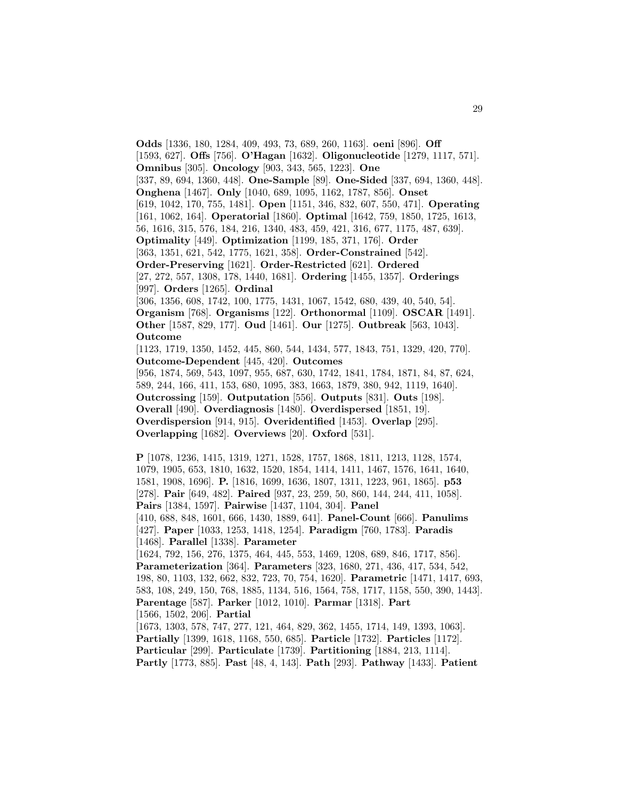**Odds** [1336, 180, 1284, 409, 493, 73, 689, 260, 1163]. **oeni** [896]. **Off** [1593, 627]. **Offs** [756]. **O'Hagan** [1632]. **Oligonucleotide** [1279, 1117, 571]. **Omnibus** [305]. **Oncology** [903, 343, 565, 1223]. **One** [337, 89, 694, 1360, 448]. **One-Sample** [89]. **One-Sided** [337, 694, 1360, 448]. **Onghena** [1467]. **Only** [1040, 689, 1095, 1162, 1787, 856]. **Onset** [619, 1042, 170, 755, 1481]. **Open** [1151, 346, 832, 607, 550, 471]. **Operating** [161, 1062, 164]. **Operatorial** [1860]. **Optimal** [1642, 759, 1850, 1725, 1613, 56, 1616, 315, 576, 184, 216, 1340, 483, 459, 421, 316, 677, 1175, 487, 639]. **Optimality** [449]. **Optimization** [1199, 185, 371, 176]. **Order** [363, 1351, 621, 542, 1775, 1621, 358]. **Order-Constrained** [542]. **Order-Preserving** [1621]. **Order-Restricted** [621]. **Ordered** [27, 272, 557, 1308, 178, 1440, 1681]. **Ordering** [1455, 1357]. **Orderings** [997]. **Orders** [1265]. **Ordinal** [306, 1356, 608, 1742, 100, 1775, 1431, 1067, 1542, 680, 439, 40, 540, 54]. **Organism** [768]. **Organisms** [122]. **Orthonormal** [1109]. **OSCAR** [1491]. **Other** [1587, 829, 177]. **Oud** [1461]. **Our** [1275]. **Outbreak** [563, 1043]. **Outcome** [1123, 1719, 1350, 1452, 445, 860, 544, 1434, 577, 1843, 751, 1329, 420, 770]. **Outcome-Dependent** [445, 420]. **Outcomes** [956, 1874, 569, 543, 1097, 955, 687, 630, 1742, 1841, 1784, 1871, 84, 87, 624, 589, 244, 166, 411, 153, 680, 1095, 383, 1663, 1879, 380, 942, 1119, 1640]. **Outcrossing** [159]. **Outputation** [556]. **Outputs** [831]. **Outs** [198]. **Overall** [490]. **Overdiagnosis** [1480]. **Overdispersed** [1851, 19]. **Overdispersion** [914, 915]. **Overidentified** [1453]. **Overlap** [295]. **Overlapping** [1682]. **Overviews** [20]. **Oxford** [531]. **P** [1078, 1236, 1415, 1319, 1271, 1528, 1757, 1868, 1811, 1213, 1128, 1574, 1079, 1905, 653, 1810, 1632, 1520, 1854, 1414, 1411, 1467, 1576, 1641, 1640, 1581, 1908, 1696]. **P.** [1816, 1699, 1636, 1807, 1311, 1223, 961, 1865]. **p53** [278]. **Pair** [649, 482]. **Paired** [937, 23, 259, 50, 860, 144, 244, 411, 1058]. **Pairs** [1384, 1597]. **Pairwise** [1437, 1104, 304]. **Panel** [410, 688, 848, 1601, 666, 1430, 1889, 641]. **Panel-Count** [666]. **Panulims**

[427]. **Paper** [1033, 1253, 1418, 1254]. **Paradigm** [760, 1783]. **Paradis** [1468]. **Parallel** [1338]. **Parameter**

[1624, 792, 156, 276, 1375, 464, 445, 553, 1469, 1208, 689, 846, 1717, 856]. **Parameterization** [364]. **Parameters** [323, 1680, 271, 436, 417, 534, 542, 198, 80, 1103, 132, 662, 832, 723, 70, 754, 1620]. **Parametric** [1471, 1417, 693, 583, 108, 249, 150, 768, 1885, 1134, 516, 1564, 758, 1717, 1158, 550, 390, 1443]. **Parentage** [587]. **Parker** [1012, 1010]. **Parmar** [1318]. **Part** [1566, 1502, 206]. **Partial** [1673, 1303, 578, 747, 277, 121, 464, 829, 362, 1455, 1714, 149, 1393, 1063].

**Partially** [1399, 1618, 1168, 550, 685]. **Particle** [1732]. **Particles** [1172]. **Particular** [299]. **Particulate** [1739]. **Partitioning** [1884, 213, 1114]. **Partly** [1773, 885]. **Past** [48, 4, 143]. **Path** [293]. **Pathway** [1433]. **Patient**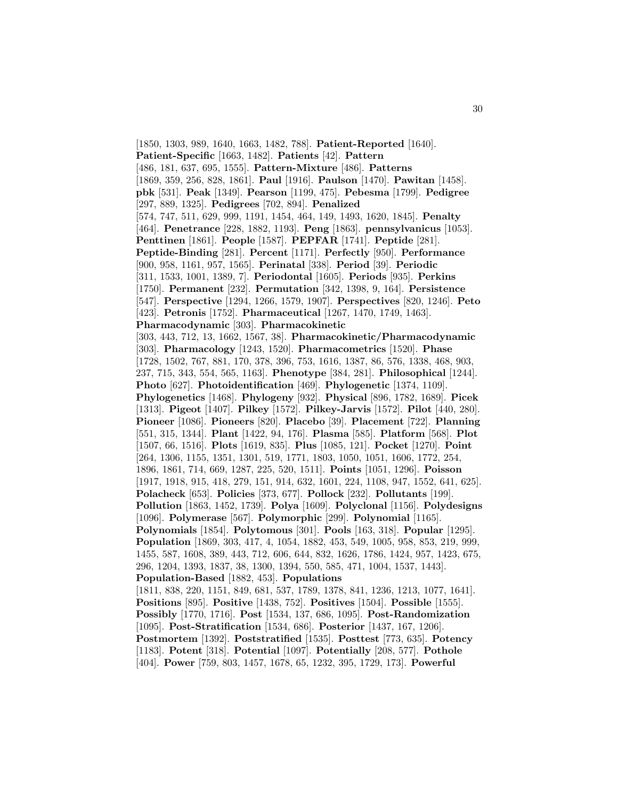[1850, 1303, 989, 1640, 1663, 1482, 788]. **Patient-Reported** [1640]. **Patient-Specific** [1663, 1482]. **Patients** [42]. **Pattern** [486, 181, 637, 695, 1555]. **Pattern-Mixture** [486]. **Patterns** [1869, 359, 256, 828, 1861]. **Paul** [1916]. **Paulson** [1470]. **Pawitan** [1458]. **pbk** [531]. **Peak** [1349]. **Pearson** [1199, 475]. **Pebesma** [1799]. **Pedigree** [297, 889, 1325]. **Pedigrees** [702, 894]. **Penalized** [574, 747, 511, 629, 999, 1191, 1454, 464, 149, 1493, 1620, 1845]. **Penalty** [464]. **Penetrance** [228, 1882, 1193]. **Peng** [1863]. **pennsylvanicus** [1053]. **Penttinen** [1861]. **People** [1587]. **PEPFAR** [1741]. **Peptide** [281]. **Peptide-Binding** [281]. **Percent** [1171]. **Perfectly** [950]. **Performance** [900, 958, 1161, 957, 1565]. **Perinatal** [338]. **Period** [39]. **Periodic** [311, 1533, 1001, 1389, 7]. **Periodontal** [1605]. **Periods** [935]. **Perkins** [1750]. **Permanent** [232]. **Permutation** [342, 1398, 9, 164]. **Persistence** [547]. **Perspective** [1294, 1266, 1579, 1907]. **Perspectives** [820, 1246]. **Peto** [423]. **Petronis** [1752]. **Pharmaceutical** [1267, 1470, 1749, 1463]. **Pharmacodynamic** [303]. **Pharmacokinetic** [303, 443, 712, 13, 1662, 1567, 38]. **Pharmacokinetic/Pharmacodynamic** [303]. **Pharmacology** [1243, 1520]. **Pharmacometrics** [1520]. **Phase** [1728, 1502, 767, 881, 170, 378, 396, 753, 1616, 1387, 86, 576, 1338, 468, 903, 237, 715, 343, 554, 565, 1163]. **Phenotype** [384, 281]. **Philosophical** [1244]. **Photo** [627]. **Photoidentification** [469]. **Phylogenetic** [1374, 1109]. **Phylogenetics** [1468]. **Phylogeny** [932]. **Physical** [896, 1782, 1689]. **Picek** [1313]. **Pigeot** [1407]. **Pilkey** [1572]. **Pilkey-Jarvis** [1572]. **Pilot** [440, 280]. **Pioneer** [1086]. **Pioneers** [820]. **Placebo** [39]. **Placement** [722]. **Planning** [551, 315, 1344]. **Plant** [1422, 94, 176]. **Plasma** [585]. **Platform** [568]. **Plot** [1507, 66, 1516]. **Plots** [1619, 835]. **Plus** [1085, 121]. **Pocket** [1270]. **Point** [264, 1306, 1155, 1351, 1301, 519, 1771, 1803, 1050, 1051, 1606, 1772, 254, 1896, 1861, 714, 669, 1287, 225, 520, 1511]. **Points** [1051, 1296]. **Poisson** [1917, 1918, 915, 418, 279, 151, 914, 632, 1601, 224, 1108, 947, 1552, 641, 625]. **Polacheck** [653]. **Policies** [373, 677]. **Pollock** [232]. **Pollutants** [199]. **Pollution** [1863, 1452, 1739]. **Polya** [1609]. **Polyclonal** [1156]. **Polydesigns** [1096]. **Polymerase** [567]. **Polymorphic** [299]. **Polynomial** [1165]. **Polynomials** [1854]. **Polytomous** [301]. **Pools** [163, 318]. **Popular** [1295]. **Population** [1869, 303, 417, 4, 1054, 1882, 453, 549, 1005, 958, 853, 219, 999, 1455, 587, 1608, 389, 443, 712, 606, 644, 832, 1626, 1786, 1424, 957, 1423, 675, 296, 1204, 1393, 1837, 38, 1300, 1394, 550, 585, 471, 1004, 1537, 1443]. **Population-Based** [1882, 453]. **Populations** [1811, 838, 220, 1151, 849, 681, 537, 1789, 1378, 841, 1236, 1213, 1077, 1641]. **Positions** [895]. **Positive** [1438, 752]. **Positives** [1504]. **Possible** [1555]. **Possibly** [1770, 1716]. **Post** [1534, 137, 686, 1095]. **Post-Randomization** [1095]. **Post-Stratification** [1534, 686]. **Posterior** [1437, 167, 1206]. **Postmortem** [1392]. **Poststratified** [1535]. **Posttest** [773, 635]. **Potency** [1183]. **Potent** [318]. **Potential** [1097]. **Potentially** [208, 577]. **Pothole** [404]. **Power** [759, 803, 1457, 1678, 65, 1232, 395, 1729, 173]. **Powerful**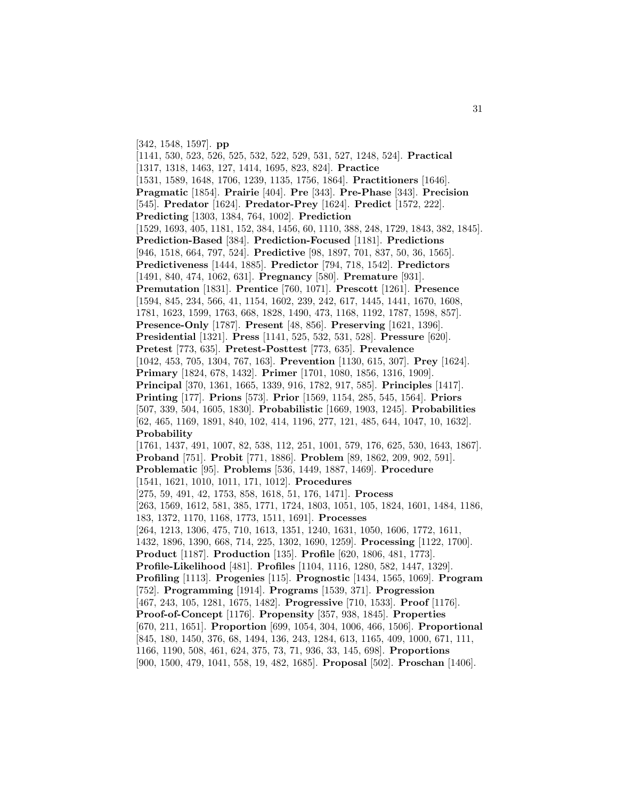[342, 1548, 1597]. **pp**

[1141, 530, 523, 526, 525, 532, 522, 529, 531, 527, 1248, 524]. **Practical** [1317, 1318, 1463, 127, 1414, 1695, 823, 824]. **Practice** [1531, 1589, 1648, 1706, 1239, 1135, 1756, 1864]. **Practitioners** [1646]. **Pragmatic** [1854]. **Prairie** [404]. **Pre** [343]. **Pre-Phase** [343]. **Precision** [545]. **Predator** [1624]. **Predator-Prey** [1624]. **Predict** [1572, 222]. **Predicting** [1303, 1384, 764, 1002]. **Prediction** [1529, 1693, 405, 1181, 152, 384, 1456, 60, 1110, 388, 248, 1729, 1843, 382, 1845]. **Prediction-Based** [384]. **Prediction-Focused** [1181]. **Predictions** [946, 1518, 664, 797, 524]. **Predictive** [98, 1897, 701, 837, 50, 36, 1565]. **Predictiveness** [1444, 1885]. **Predictor** [794, 718, 1542]. **Predictors** [1491, 840, 474, 1062, 631]. **Pregnancy** [580]. **Premature** [931]. **Premutation** [1831]. **Prentice** [760, 1071]. **Prescott** [1261]. **Presence** [1594, 845, 234, 566, 41, 1154, 1602, 239, 242, 617, 1445, 1441, 1670, 1608, 1781, 1623, 1599, 1763, 668, 1828, 1490, 473, 1168, 1192, 1787, 1598, 857]. **Presence-Only** [1787]. **Present** [48, 856]. **Preserving** [1621, 1396]. **Presidential** [1321]. **Press** [1141, 525, 532, 531, 528]. **Pressure** [620]. **Pretest** [773, 635]. **Pretest-Posttest** [773, 635]. **Prevalence** [1042, 453, 705, 1304, 767, 163]. **Prevention** [1130, 615, 307]. **Prey** [1624]. **Primary** [1824, 678, 1432]. **Primer** [1701, 1080, 1856, 1316, 1909]. **Principal** [370, 1361, 1665, 1339, 916, 1782, 917, 585]. **Principles** [1417]. **Printing** [177]. **Prions** [573]. **Prior** [1569, 1154, 285, 545, 1564]. **Priors** [507, 339, 504, 1605, 1830]. **Probabilistic** [1669, 1903, 1245]. **Probabilities** [62, 465, 1169, 1891, 840, 102, 414, 1196, 277, 121, 485, 644, 1047, 10, 1632]. **Probability** [1761, 1437, 491, 1007, 82, 538, 112, 251, 1001, 579, 176, 625, 530, 1643, 1867]. **Proband** [751]. **Probit** [771, 1886]. **Problem** [89, 1862, 209, 902, 591]. **Problematic** [95]. **Problems** [536, 1449, 1887, 1469]. **Procedure** [1541, 1621, 1010, 1011, 171, 1012]. **Procedures** [275, 59, 491, 42, 1753, 858, 1618, 51, 176, 1471]. **Process** [263, 1569, 1612, 581, 385, 1771, 1724, 1803, 1051, 105, 1824, 1601, 1484, 1186, 183, 1372, 1170, 1168, 1773, 1511, 1691]. **Processes** [264, 1213, 1306, 475, 710, 1613, 1351, 1240, 1631, 1050, 1606, 1772, 1611, 1432, 1896, 1390, 668, 714, 225, 1302, 1690, 1259]. **Processing** [1122, 1700]. **Product** [1187]. **Production** [135]. **Profile** [620, 1806, 481, 1773]. **Profile-Likelihood** [481]. **Profiles** [1104, 1116, 1280, 582, 1447, 1329]. **Profiling** [1113]. **Progenies** [115]. **Prognostic** [1434, 1565, 1069]. **Program** [752]. **Programming** [1914]. **Programs** [1539, 371]. **Progression** [467, 243, 105, 1281, 1675, 1482]. **Progressive** [710, 1533]. **Proof** [1176]. **Proof-of-Concept** [1176]. **Propensity** [357, 938, 1845]. **Properties** [670, 211, 1651]. **Proportion** [699, 1054, 304, 1006, 466, 1506]. **Proportional** [845, 180, 1450, 376, 68, 1494, 136, 243, 1284, 613, 1165, 409, 1000, 671, 111, 1166, 1190, 508, 461, 624, 375, 73, 71, 936, 33, 145, 698]. **Proportions**

[900, 1500, 479, 1041, 558, 19, 482, 1685]. **Proposal** [502]. **Proschan** [1406].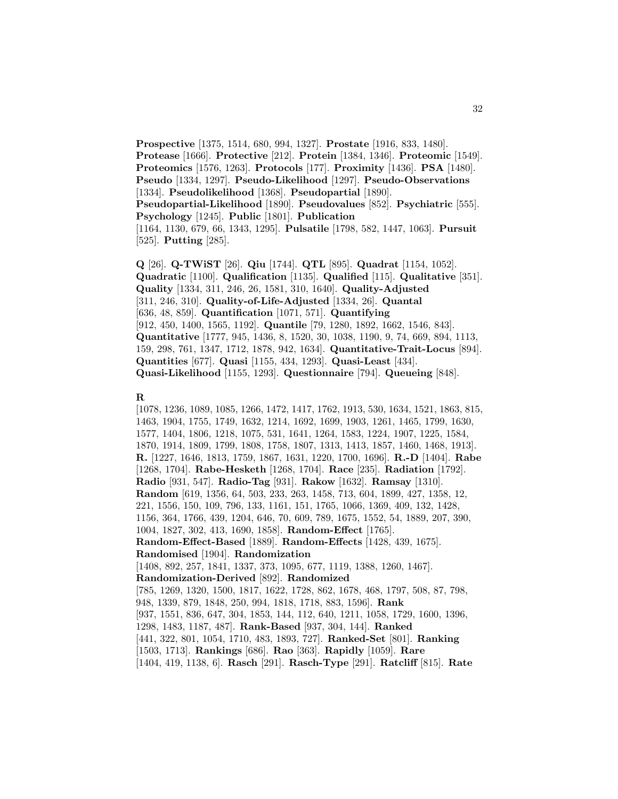**Prospective** [1375, 1514, 680, 994, 1327]. **Prostate** [1916, 833, 1480]. **Protease** [1666]. **Protective** [212]. **Protein** [1384, 1346]. **Proteomic** [1549]. **Proteomics** [1576, 1263]. **Protocols** [177]. **Proximity** [1436]. **PSA** [1480]. **Pseudo** [1334, 1297]. **Pseudo-Likelihood** [1297]. **Pseudo-Observations** [1334]. **Pseudolikelihood** [1368]. **Pseudopartial** [1890]. **Pseudopartial-Likelihood** [1890]. **Pseudovalues** [852]. **Psychiatric** [555]. **Psychology** [1245]. **Public** [1801]. **Publication** [1164, 1130, 679, 66, 1343, 1295]. **Pulsatile** [1798, 582, 1447, 1063]. **Pursuit** [525]. **Putting** [285].

**Q** [26]. **Q-TWiST** [26]. **Qiu** [1744]. **QTL** [895]. **Quadrat** [1154, 1052]. **Quadratic** [1100]. **Qualification** [1135]. **Qualified** [115]. **Qualitative** [351]. **Quality** [1334, 311, 246, 26, 1581, 310, 1640]. **Quality-Adjusted** [311, 246, 310]. **Quality-of-Life-Adjusted** [1334, 26]. **Quantal** [636, 48, 859]. **Quantification** [1071, 571]. **Quantifying** [912, 450, 1400, 1565, 1192]. **Quantile** [79, 1280, 1892, 1662, 1546, 843]. **Quantitative** [1777, 945, 1436, 8, 1520, 30, 1038, 1190, 9, 74, 669, 894, 1113, 159, 298, 761, 1347, 1712, 1878, 942, 1634]. **Quantitative-Trait-Locus** [894]. **Quantities** [677]. **Quasi** [1155, 434, 1293]. **Quasi-Least** [434]. **Quasi-Likelihood** [1155, 1293]. **Questionnaire** [794]. **Queueing** [848].

## **R**

[1078, 1236, 1089, 1085, 1266, 1472, 1417, 1762, 1913, 530, 1634, 1521, 1863, 815, 1463, 1904, 1755, 1749, 1632, 1214, 1692, 1699, 1903, 1261, 1465, 1799, 1630, 1577, 1404, 1806, 1218, 1075, 531, 1641, 1264, 1583, 1224, 1907, 1225, 1584, 1870, 1914, 1809, 1799, 1808, 1758, 1807, 1313, 1413, 1857, 1460, 1468, 1913]. **R.** [1227, 1646, 1813, 1759, 1867, 1631, 1220, 1700, 1696]. **R.-D** [1404]. **Rabe** [1268, 1704]. **Rabe-Hesketh** [1268, 1704]. **Race** [235]. **Radiation** [1792]. **Radio** [931, 547]. **Radio-Tag** [931]. **Rakow** [1632]. **Ramsay** [1310]. **Random** [619, 1356, 64, 503, 233, 263, 1458, 713, 604, 1899, 427, 1358, 12, 221, 1556, 150, 109, 796, 133, 1161, 151, 1765, 1066, 1369, 409, 132, 1428, 1156, 364, 1766, 439, 1204, 646, 70, 609, 789, 1675, 1552, 54, 1889, 207, 390, 1004, 1827, 302, 413, 1690, 1858]. **Random-Effect** [1765]. **Random-Effect-Based** [1889]. **Random-Effects** [1428, 439, 1675]. **Randomised** [1904]. **Randomization** [1408, 892, 257, 1841, 1337, 373, 1095, 677, 1119, 1388, 1260, 1467]. **Randomization-Derived** [892]. **Randomized** [785, 1269, 1320, 1500, 1817, 1622, 1728, 862, 1678, 468, 1797, 508, 87, 798, 948, 1339, 879, 1848, 250, 994, 1818, 1718, 883, 1596]. **Rank** [937, 1551, 836, 647, 304, 1853, 144, 112, 640, 1211, 1058, 1729, 1600, 1396, 1298, 1483, 1187, 487]. **Rank-Based** [937, 304, 144]. **Ranked** [441, 322, 801, 1054, 1710, 483, 1893, 727]. **Ranked-Set** [801]. **Ranking** [1503, 1713]. **Rankings** [686]. **Rao** [363]. **Rapidly** [1059]. **Rare** [1404, 419, 1138, 6]. **Rasch** [291]. **Rasch-Type** [291]. **Ratcliff** [815]. **Rate**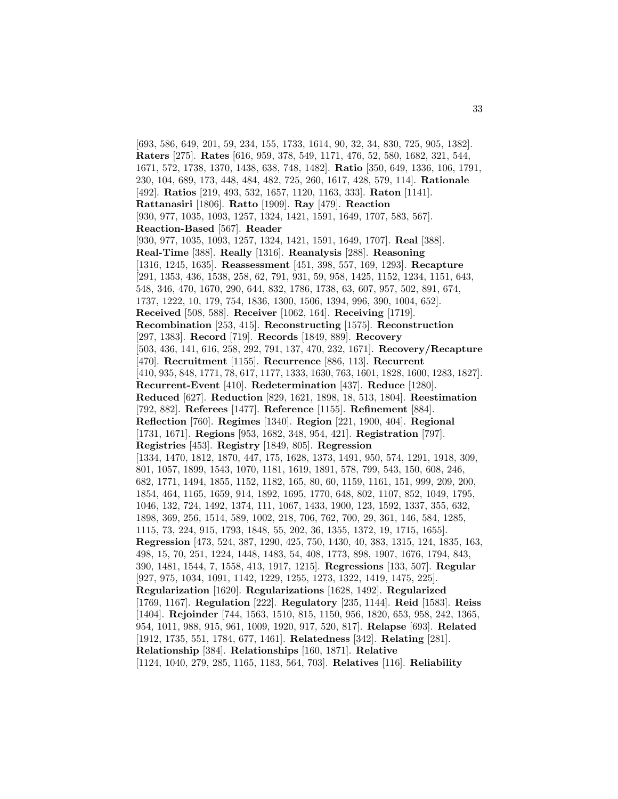[693, 586, 649, 201, 59, 234, 155, 1733, 1614, 90, 32, 34, 830, 725, 905, 1382]. **Raters** [275]. **Rates** [616, 959, 378, 549, 1171, 476, 52, 580, 1682, 321, 544, 1671, 572, 1738, 1370, 1438, 638, 748, 1482]. **Ratio** [350, 649, 1336, 106, 1791, 230, 104, 689, 173, 448, 484, 482, 725, 260, 1617, 428, 579, 114]. **Rationale** [492]. **Ratios** [219, 493, 532, 1657, 1120, 1163, 333]. **Raton** [1141]. **Rattanasiri** [1806]. **Ratto** [1909]. **Ray** [479]. **Reaction** [930, 977, 1035, 1093, 1257, 1324, 1421, 1591, 1649, 1707, 583, 567]. **Reaction-Based** [567]. **Reader** [930, 977, 1035, 1093, 1257, 1324, 1421, 1591, 1649, 1707]. **Real** [388]. **Real-Time** [388]. **Really** [1316]. **Reanalysis** [288]. **Reasoning** [1316, 1245, 1635]. **Reassessment** [451, 398, 557, 169, 1293]. **Recapture** [291, 1353, 436, 1538, 258, 62, 791, 931, 59, 958, 1425, 1152, 1234, 1151, 643, 548, 346, 470, 1670, 290, 644, 832, 1786, 1738, 63, 607, 957, 502, 891, 674, 1737, 1222, 10, 179, 754, 1836, 1300, 1506, 1394, 996, 390, 1004, 652]. **Received** [508, 588]. **Receiver** [1062, 164]. **Receiving** [1719]. **Recombination** [253, 415]. **Reconstructing** [1575]. **Reconstruction** [297, 1383]. **Record** [719]. **Records** [1849, 889]. **Recovery** [503, 436, 141, 616, 258, 292, 791, 137, 470, 232, 1671]. **Recovery/Recapture** [470]. **Recruitment** [1155]. **Recurrence** [886, 113]. **Recurrent** [410, 935, 848, 1771, 78, 617, 1177, 1333, 1630, 763, 1601, 1828, 1600, 1283, 1827]. **Recurrent-Event** [410]. **Redetermination** [437]. **Reduce** [1280]. **Reduced** [627]. **Reduction** [829, 1621, 1898, 18, 513, 1804]. **Reestimation** [792, 882]. **Referees** [1477]. **Reference** [1155]. **Refinement** [884]. **Reflection** [760]. **Regimes** [1340]. **Region** [221, 1900, 404]. **Regional** [1731, 1671]. **Regions** [953, 1682, 348, 954, 421]. **Registration** [797]. **Registries** [453]. **Registry** [1849, 805]. **Regression** [1334, 1470, 1812, 1870, 447, 175, 1628, 1373, 1491, 950, 574, 1291, 1918, 309, 801, 1057, 1899, 1543, 1070, 1181, 1619, 1891, 578, 799, 543, 150, 608, 246, 682, 1771, 1494, 1855, 1152, 1182, 165, 80, 60, 1159, 1161, 151, 999, 209, 200, 1854, 464, 1165, 1659, 914, 1892, 1695, 1770, 648, 802, 1107, 852, 1049, 1795, 1046, 132, 724, 1492, 1374, 111, 1067, 1433, 1900, 123, 1592, 1337, 355, 632, 1898, 369, 256, 1514, 589, 1002, 218, 706, 762, 700, 29, 361, 146, 584, 1285, 1115, 73, 224, 915, 1793, 1848, 55, 202, 36, 1355, 1372, 19, 1715, 1655]. **Regression** [473, 524, 387, 1290, 425, 750, 1430, 40, 383, 1315, 124, 1835, 163, 498, 15, 70, 251, 1224, 1448, 1483, 54, 408, 1773, 898, 1907, 1676, 1794, 843, 390, 1481, 1544, 7, 1558, 413, 1917, 1215]. **Regressions** [133, 507]. **Regular** [927, 975, 1034, 1091, 1142, 1229, 1255, 1273, 1322, 1419, 1475, 225]. **Regularization** [1620]. **Regularizations** [1628, 1492]. **Regularized** [1769, 1167]. **Regulation** [222]. **Regulatory** [235, 1144]. **Reid** [1583]. **Reiss** [1404]. **Rejoinder** [744, 1563, 1510, 815, 1150, 956, 1820, 653, 958, 242, 1365, 954, 1011, 988, 915, 961, 1009, 1920, 917, 520, 817]. **Relapse** [693]. **Related** [1912, 1735, 551, 1784, 677, 1461]. **Relatedness** [342]. **Relating** [281]. **Relationship** [384]. **Relationships** [160, 1871]. **Relative** [1124, 1040, 279, 285, 1165, 1183, 564, 703]. **Relatives** [116]. **Reliability**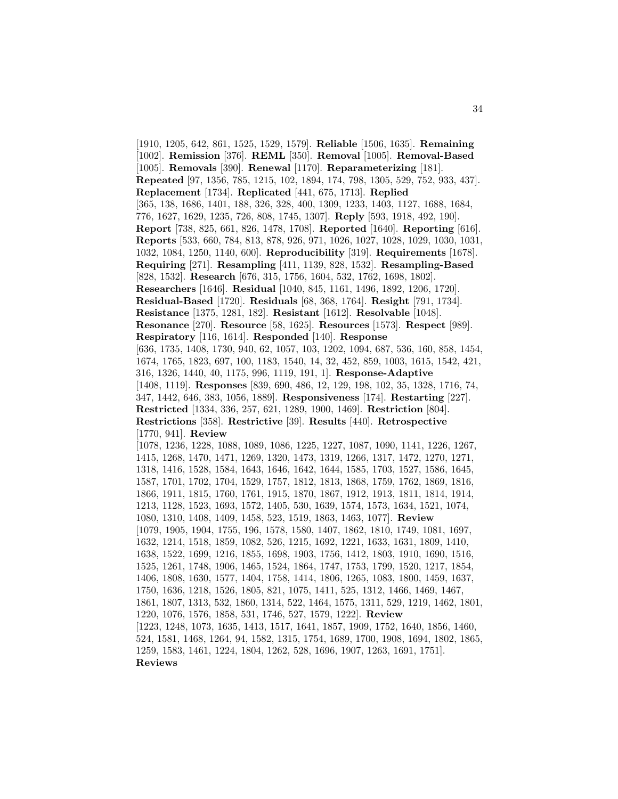[1910, 1205, 642, 861, 1525, 1529, 1579]. **Reliable** [1506, 1635]. **Remaining** [1002]. **Remission** [376]. **REML** [350]. **Removal** [1005]. **Removal-Based** [1005]. **Removals** [390]. **Renewal** [1170]. **Reparameterizing** [181]. **Repeated** [97, 1356, 785, 1215, 102, 1894, 174, 798, 1305, 529, 752, 933, 437]. **Replacement** [1734]. **Replicated** [441, 675, 1713]. **Replied** [365, 138, 1686, 1401, 188, 326, 328, 400, 1309, 1233, 1403, 1127, 1688, 1684, 776, 1627, 1629, 1235, 726, 808, 1745, 1307]. **Reply** [593, 1918, 492, 190]. **Report** [738, 825, 661, 826, 1478, 1708]. **Reported** [1640]. **Reporting** [616]. **Reports** [533, 660, 784, 813, 878, 926, 971, 1026, 1027, 1028, 1029, 1030, 1031, 1032, 1084, 1250, 1140, 600]. **Reproducibility** [319]. **Requirements** [1678]. **Requiring** [271]. **Resampling** [411, 1139, 828, 1532]. **Resampling-Based** [828, 1532]. **Research** [676, 315, 1756, 1604, 532, 1762, 1698, 1802]. **Researchers** [1646]. **Residual** [1040, 845, 1161, 1496, 1892, 1206, 1720]. **Residual-Based** [1720]. **Residuals** [68, 368, 1764]. **Resight** [791, 1734]. **Resistance** [1375, 1281, 182]. **Resistant** [1612]. **Resolvable** [1048]. **Resonance** [270]. **Resource** [58, 1625]. **Resources** [1573]. **Respect** [989]. **Respiratory** [116, 1614]. **Responded** [140]. **Response** [636, 1735, 1408, 1730, 940, 62, 1057, 103, 1202, 1094, 687, 536, 160, 858, 1454, 1674, 1765, 1823, 697, 100, 1183, 1540, 14, 32, 452, 859, 1003, 1615, 1542, 421, 316, 1326, 1440, 40, 1175, 996, 1119, 191, 1]. **Response-Adaptive** [1408, 1119]. **Responses** [839, 690, 486, 12, 129, 198, 102, 35, 1328, 1716, 74, 347, 1442, 646, 383, 1056, 1889]. **Responsiveness** [174]. **Restarting** [227]. **Restricted** [1334, 336, 257, 621, 1289, 1900, 1469]. **Restriction** [804]. **Restrictions** [358]. **Restrictive** [39]. **Results** [440]. **Retrospective** [1770, 941]. **Review** [1078, 1236, 1228, 1088, 1089, 1086, 1225, 1227, 1087, 1090, 1141, 1226, 1267, 1415, 1268, 1470, 1471, 1269, 1320, 1473, 1319, 1266, 1317, 1472, 1270, 1271, 1318, 1416, 1528, 1584, 1643, 1646, 1642, 1644, 1585, 1703, 1527, 1586, 1645, 1587, 1701, 1702, 1704, 1529, 1757, 1812, 1813, 1868, 1759, 1762, 1869, 1816, 1866, 1911, 1815, 1760, 1761, 1915, 1870, 1867, 1912, 1913, 1811, 1814, 1914, 1213, 1128, 1523, 1693, 1572, 1405, 530, 1639, 1574, 1573, 1634, 1521, 1074, 1080, 1310, 1408, 1409, 1458, 523, 1519, 1863, 1463, 1077]. **Review** [1079, 1905, 1904, 1755, 196, 1578, 1580, 1407, 1862, 1810, 1749, 1081, 1697, 1632, 1214, 1518, 1859, 1082, 526, 1215, 1692, 1221, 1633, 1631, 1809, 1410, 1638, 1522, 1699, 1216, 1855, 1698, 1903, 1756, 1412, 1803, 1910, 1690, 1516, 1525, 1261, 1748, 1906, 1465, 1524, 1864, 1747, 1753, 1799, 1520, 1217, 1854, 1406, 1808, 1630, 1577, 1404, 1758, 1414, 1806, 1265, 1083, 1800, 1459, 1637, 1750, 1636, 1218, 1526, 1805, 821, 1075, 1411, 525, 1312, 1466, 1469, 1467, 1861, 1807, 1313, 532, 1860, 1314, 522, 1464, 1575, 1311, 529, 1219, 1462, 1801, 1220, 1076, 1576, 1858, 531, 1746, 527, 1579, 1222]. **Review** [1223, 1248, 1073, 1635, 1413, 1517, 1641, 1857, 1909, 1752, 1640, 1856, 1460, 524, 1581, 1468, 1264, 94, 1582, 1315, 1754, 1689, 1700, 1908, 1694, 1802, 1865, 1259, 1583, 1461, 1224, 1804, 1262, 528, 1696, 1907, 1263, 1691, 1751]. **Reviews**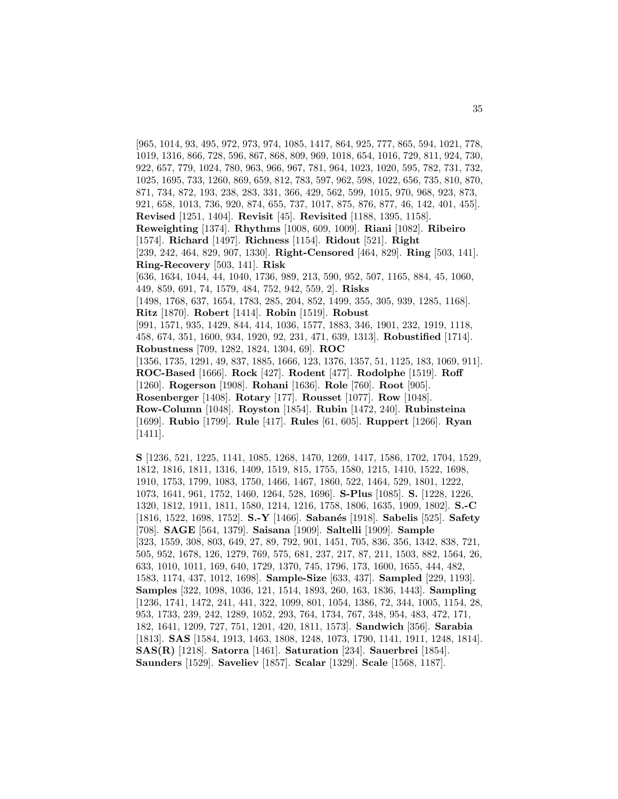[965, 1014, 93, 495, 972, 973, 974, 1085, 1417, 864, 925, 777, 865, 594, 1021, 778, 1019, 1316, 866, 728, 596, 867, 868, 809, 969, 1018, 654, 1016, 729, 811, 924, 730, 922, 657, 779, 1024, 780, 963, 966, 967, 781, 964, 1023, 1020, 595, 782, 731, 732, 1025, 1695, 733, 1260, 869, 659, 812, 783, 597, 962, 598, 1022, 656, 735, 810, 870, 871, 734, 872, 193, 238, 283, 331, 366, 429, 562, 599, 1015, 970, 968, 923, 873, 921, 658, 1013, 736, 920, 874, 655, 737, 1017, 875, 876, 877, 46, 142, 401, 455]. **Revised** [1251, 1404]. **Revisit** [45]. **Revisited** [1188, 1395, 1158]. **Reweighting** [1374]. **Rhythms** [1008, 609, 1009]. **Riani** [1082]. **Ribeiro** [1574]. **Richard** [1497]. **Richness** [1154]. **Ridout** [521]. **Right** [239, 242, 464, 829, 907, 1330]. **Right-Censored** [464, 829]. **Ring** [503, 141]. **Ring-Recovery** [503, 141]. **Risk** [636, 1634, 1044, 44, 1040, 1736, 989, 213, 590, 952, 507, 1165, 884, 45, 1060, 449, 859, 691, 74, 1579, 484, 752, 942, 559, 2]. **Risks** [1498, 1768, 637, 1654, 1783, 285, 204, 852, 1499, 355, 305, 939, 1285, 1168]. **Ritz** [1870]. **Robert** [1414]. **Robin** [1519]. **Robust** [991, 1571, 935, 1429, 844, 414, 1036, 1577, 1883, 346, 1901, 232, 1919, 1118, 458, 674, 351, 1600, 934, 1920, 92, 231, 471, 639, 1313]. **Robustified** [1714]. **Robustness** [709, 1282, 1824, 1304, 69]. **ROC** [1356, 1735, 1291, 49, 837, 1885, 1666, 123, 1376, 1357, 51, 1125, 183, 1069, 911]. **ROC-Based** [1666]. **Rock** [427]. **Rodent** [477]. **Rodolphe** [1519]. **Roff** [1260]. **Rogerson** [1908]. **Rohani** [1636]. **Role** [760]. **Root** [905]. **Rosenberger** [1408]. **Rotary** [177]. **Rousset** [1077]. **Row** [1048]. **Row-Column** [1048]. **Royston** [1854]. **Rubin** [1472, 240]. **Rubinsteina** [1699]. **Rubio** [1799]. **Rule** [417]. **Rules** [61, 605]. **Ruppert** [1266]. **Ryan** [1411].

**S** [1236, 521, 1225, 1141, 1085, 1268, 1470, 1269, 1417, 1586, 1702, 1704, 1529, 1812, 1816, 1811, 1316, 1409, 1519, 815, 1755, 1580, 1215, 1410, 1522, 1698, 1910, 1753, 1799, 1083, 1750, 1466, 1467, 1860, 522, 1464, 529, 1801, 1222, 1073, 1641, 961, 1752, 1460, 1264, 528, 1696]. **S-Plus** [1085]. **S.** [1228, 1226, 1320, 1812, 1911, 1811, 1580, 1214, 1216, 1758, 1806, 1635, 1909, 1802]. **S.-C** [1816, 1522, 1698, 1752]. **S.-Y** [1466]. **Saban´es** [1918]. **Sabelis** [525]. **Safety** [708]. **SAGE** [564, 1379]. **Saisana** [1909]. **Saltelli** [1909]. **Sample** [323, 1559, 308, 803, 649, 27, 89, 792, 901, 1451, 705, 836, 356, 1342, 838, 721, 505, 952, 1678, 126, 1279, 769, 575, 681, 237, 217, 87, 211, 1503, 882, 1564, 26, 633, 1010, 1011, 169, 640, 1729, 1370, 745, 1796, 173, 1600, 1655, 444, 482, 1583, 1174, 437, 1012, 1698]. **Sample-Size** [633, 437]. **Sampled** [229, 1193]. **Samples** [322, 1098, 1036, 121, 1514, 1893, 260, 163, 1836, 1443]. **Sampling** [1236, 1741, 1472, 241, 441, 322, 1099, 801, 1054, 1386, 72, 344, 1005, 1154, 28, 953, 1733, 239, 242, 1289, 1052, 293, 764, 1734, 767, 348, 954, 483, 472, 171, 182, 1641, 1209, 727, 751, 1201, 420, 1811, 1573]. **Sandwich** [356]. **Sarabia** [1813]. **SAS** [1584, 1913, 1463, 1808, 1248, 1073, 1790, 1141, 1911, 1248, 1814]. **SAS(R)** [1218]. **Satorra** [1461]. **Saturation** [234]. **Sauerbrei** [1854]. **Saunders** [1529]. **Saveliev** [1857]. **Scalar** [1329]. **Scale** [1568, 1187].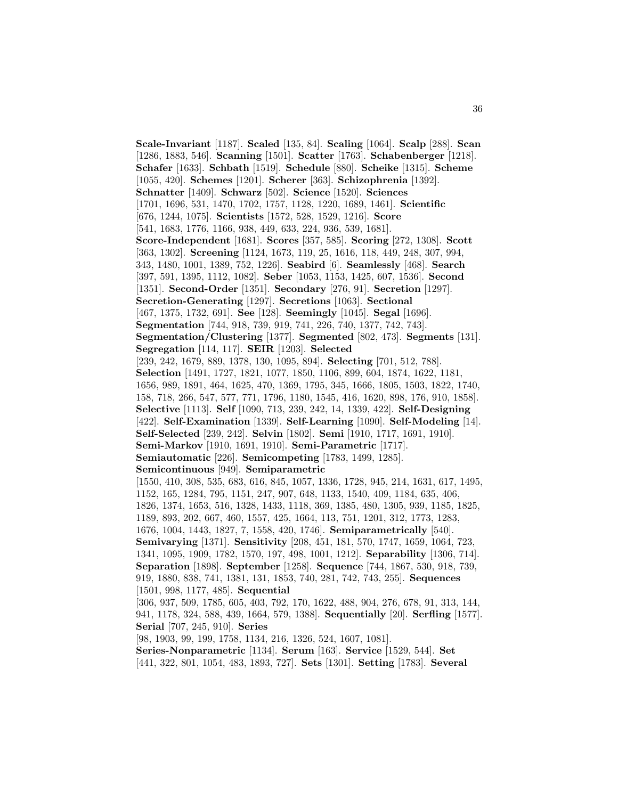**Scale-Invariant** [1187]. **Scaled** [135, 84]. **Scaling** [1064]. **Scalp** [288]. **Scan** [1286, 1883, 546]. **Scanning** [1501]. **Scatter** [1763]. **Schabenberger** [1218]. **Schafer** [1633]. **Schbath** [1519]. **Schedule** [880]. **Scheike** [1315]. **Scheme** [1055, 420]. **Schemes** [1201]. **Scherer** [363]. **Schizophrenia** [1392]. **Schnatter** [1409]. **Schwarz** [502]. **Science** [1520]. **Sciences** [1701, 1696, 531, 1470, 1702, 1757, 1128, 1220, 1689, 1461]. **Scientific** [676, 1244, 1075]. **Scientists** [1572, 528, 1529, 1216]. **Score** [541, 1683, 1776, 1166, 938, 449, 633, 224, 936, 539, 1681]. **Score-Independent** [1681]. **Scores** [357, 585]. **Scoring** [272, 1308]. **Scott** [363, 1302]. **Screening** [1124, 1673, 119, 25, 1616, 118, 449, 248, 307, 994, 343, 1480, 1001, 1389, 752, 1226]. **Seabird** [6]. **Seamlessly** [468]. **Search** [397, 591, 1395, 1112, 1082]. **Seber** [1053, 1153, 1425, 607, 1536]. **Second** [1351]. **Second-Order** [1351]. **Secondary** [276, 91]. **Secretion** [1297]. **Secretion-Generating** [1297]. **Secretions** [1063]. **Sectional** [467, 1375, 1732, 691]. **See** [128]. **Seemingly** [1045]. **Segal** [1696]. **Segmentation** [744, 918, 739, 919, 741, 226, 740, 1377, 742, 743]. **Segmentation/Clustering** [1377]. **Segmented** [802, 473]. **Segments** [131]. **Segregation** [114, 117]. **SEIR** [1203]. **Selected** [239, 242, 1679, 889, 1378, 130, 1095, 894]. **Selecting** [701, 512, 788]. **Selection** [1491, 1727, 1821, 1077, 1850, 1106, 899, 604, 1874, 1622, 1181, 1656, 989, 1891, 464, 1625, 470, 1369, 1795, 345, 1666, 1805, 1503, 1822, 1740, 158, 718, 266, 547, 577, 771, 1796, 1180, 1545, 416, 1620, 898, 176, 910, 1858]. **Selective** [1113]. **Self** [1090, 713, 239, 242, 14, 1339, 422]. **Self-Designing** [422]. **Self-Examination** [1339]. **Self-Learning** [1090]. **Self-Modeling** [14]. **Self-Selected** [239, 242]. **Selvin** [1802]. **Semi** [1910, 1717, 1691, 1910]. **Semi-Markov** [1910, 1691, 1910]. **Semi-Parametric** [1717]. **Semiautomatic** [226]. **Semicompeting** [1783, 1499, 1285]. **Semicontinuous** [949]. **Semiparametric** [1550, 410, 308, 535, 683, 616, 845, 1057, 1336, 1728, 945, 214, 1631, 617, 1495, 1152, 165, 1284, 795, 1151, 247, 907, 648, 1133, 1540, 409, 1184, 635, 406, 1826, 1374, 1653, 516, 1328, 1433, 1118, 369, 1385, 480, 1305, 939, 1185, 1825, 1189, 893, 202, 667, 460, 1557, 425, 1664, 113, 751, 1201, 312, 1773, 1283, 1676, 1004, 1443, 1827, 7, 1558, 420, 1746]. **Semiparametrically** [540]. **Semivarying** [1371]. **Sensitivity** [208, 451, 181, 570, 1747, 1659, 1064, 723, 1341, 1095, 1909, 1782, 1570, 197, 498, 1001, 1212]. **Separability** [1306, 714]. **Separation** [1898]. **September** [1258]. **Sequence** [744, 1867, 530, 918, 739, 919, 1880, 838, 741, 1381, 131, 1853, 740, 281, 742, 743, 255]. **Sequences** [1501, 998, 1177, 485]. **Sequential** [306, 937, 509, 1785, 605, 403, 792, 170, 1622, 488, 904, 276, 678, 91, 313, 144, 941, 1178, 324, 588, 439, 1664, 579, 1388]. **Sequentially** [20]. **Serfling** [1577]. **Serial** [707, 245, 910]. **Series** [98, 1903, 99, 199, 1758, 1134, 216, 1326, 524, 1607, 1081].

**Series-Nonparametric** [1134]. **Serum** [163]. **Service** [1529, 544]. **Set** [441, 322, 801, 1054, 483, 1893, 727]. **Sets** [1301]. **Setting** [1783]. **Several**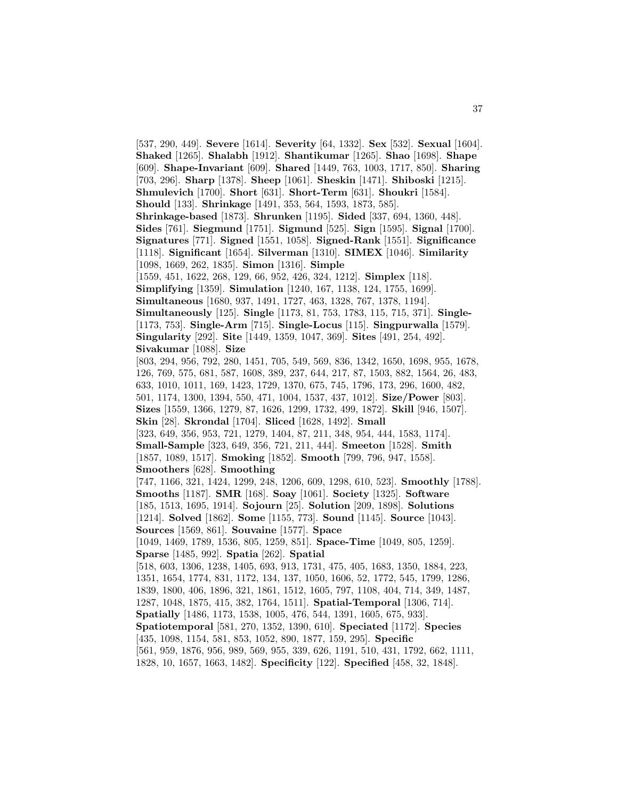[537, 290, 449]. **Severe** [1614]. **Severity** [64, 1332]. **Sex** [532]. **Sexual** [1604]. **Shaked** [1265]. **Shalabh** [1912]. **Shantikumar** [1265]. **Shao** [1698]. **Shape** [609]. **Shape-Invariant** [609]. **Shared** [1449, 763, 1003, 1717, 850]. **Sharing** [703, 296]. **Sharp** [1378]. **Sheep** [1061]. **Sheskin** [1471]. **Shiboski** [1215]. **Shmulevich** [1700]. **Short** [631]. **Short-Term** [631]. **Shoukri** [1584]. **Should** [133]. **Shrinkage** [1491, 353, 564, 1593, 1873, 585]. **Shrinkage-based** [1873]. **Shrunken** [1195]. **Sided** [337, 694, 1360, 448]. **Sides** [761]. **Siegmund** [1751]. **Sigmund** [525]. **Sign** [1595]. **Signal** [1700]. **Signatures** [771]. **Signed** [1551, 1058]. **Signed-Rank** [1551]. **Significance** [1118]. **Significant** [1654]. **Silverman** [1310]. **SIMEX** [1046]. **Similarity** [1098, 1669, 262, 1835]. **Simon** [1316]. **Simple** [1559, 451, 1622, 268, 129, 66, 952, 426, 324, 1212]. **Simplex** [118]. **Simplifying** [1359]. **Simulation** [1240, 167, 1138, 124, 1755, 1699]. **Simultaneous** [1680, 937, 1491, 1727, 463, 1328, 767, 1378, 1194]. **Simultaneously** [125]. **Single** [1173, 81, 753, 1783, 115, 715, 371]. **Single-** [1173, 753]. **Single-Arm** [715]. **Single-Locus** [115]. **Singpurwalla** [1579]. **Singularity** [292]. **Site** [1449, 1359, 1047, 369]. **Sites** [491, 254, 492]. **Sivakumar** [1088]. **Size** [803, 294, 956, 792, 280, 1451, 705, 549, 569, 836, 1342, 1650, 1698, 955, 1678, 126, 769, 575, 681, 587, 1608, 389, 237, 644, 217, 87, 1503, 882, 1564, 26, 483, 633, 1010, 1011, 169, 1423, 1729, 1370, 675, 745, 1796, 173, 296, 1600, 482, 501, 1174, 1300, 1394, 550, 471, 1004, 1537, 437, 1012]. **Size/Power** [803]. **Sizes** [1559, 1366, 1279, 87, 1626, 1299, 1732, 499, 1872]. **Skill** [946, 1507]. **Skin** [28]. **Skrondal** [1704]. **Sliced** [1628, 1492]. **Small** [323, 649, 356, 953, 721, 1279, 1404, 87, 211, 348, 954, 444, 1583, 1174]. **Small-Sample** [323, 649, 356, 721, 211, 444]. **Smeeton** [1528]. **Smith** [1857, 1089, 1517]. **Smoking** [1852]. **Smooth** [799, 796, 947, 1558]. **Smoothers** [628]. **Smoothing** [747, 1166, 321, 1424, 1299, 248, 1206, 609, 1298, 610, 523]. **Smoothly** [1788]. **Smooths** [1187]. **SMR** [168]. **Soay** [1061]. **Society** [1325]. **Software** [185, 1513, 1695, 1914]. **Sojourn** [25]. **Solution** [209, 1898]. **Solutions** [1214]. **Solved** [1862]. **Some** [1155, 773]. **Sound** [1145]. **Source** [1043]. **Sources** [1569, 861]. **Souvaine** [1577]. **Space** [1049, 1469, 1789, 1536, 805, 1259, 851]. **Space-Time** [1049, 805, 1259]. **Sparse** [1485, 992]. **Spatia** [262]. **Spatial** [518, 603, 1306, 1238, 1405, 693, 913, 1731, 475, 405, 1683, 1350, 1884, 223, 1351, 1654, 1774, 831, 1172, 134, 137, 1050, 1606, 52, 1772, 545, 1799, 1286, 1839, 1800, 406, 1896, 321, 1861, 1512, 1605, 797, 1108, 404, 714, 349, 1487, 1287, 1048, 1875, 415, 382, 1764, 1511]. **Spatial-Temporal** [1306, 714]. **Spatially** [1486, 1173, 1538, 1005, 476, 544, 1391, 1605, 675, 933]. **Spatiotemporal** [581, 270, 1352, 1390, 610]. **Speciated** [1172]. **Species** [435, 1098, 1154, 581, 853, 1052, 890, 1877, 159, 295]. **Specific** [561, 959, 1876, 956, 989, 569, 955, 339, 626, 1191, 510, 431, 1792, 662, 1111, 1828, 10, 1657, 1663, 1482]. **Specificity** [122]. **Specified** [458, 32, 1848].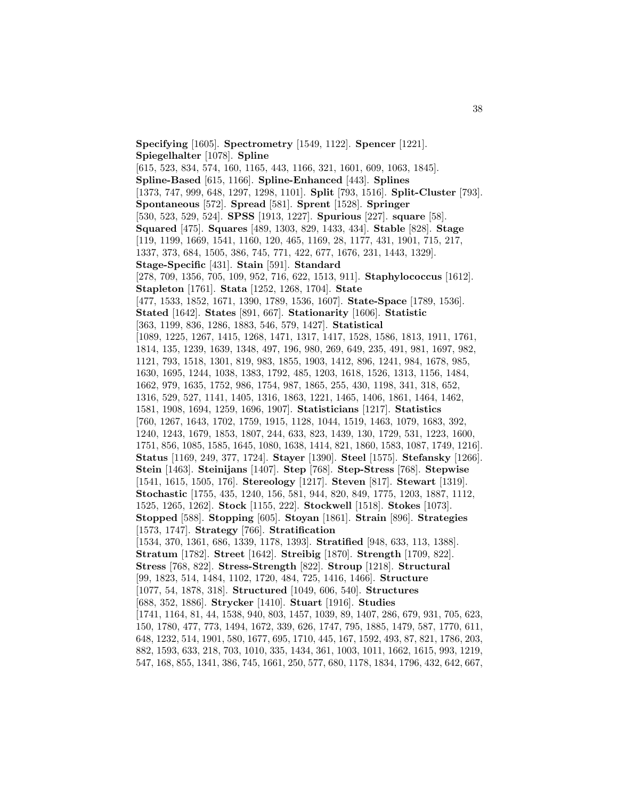**Specifying** [1605]. **Spectrometry** [1549, 1122]. **Spencer** [1221]. **Spiegelhalter** [1078]. **Spline** [615, 523, 834, 574, 160, 1165, 443, 1166, 321, 1601, 609, 1063, 1845]. **Spline-Based** [615, 1166]. **Spline-Enhanced** [443]. **Splines** [1373, 747, 999, 648, 1297, 1298, 1101]. **Split** [793, 1516]. **Split-Cluster** [793]. **Spontaneous** [572]. **Spread** [581]. **Sprent** [1528]. **Springer** [530, 523, 529, 524]. **SPSS** [1913, 1227]. **Spurious** [227]. **square** [58]. **Squared** [475]. **Squares** [489, 1303, 829, 1433, 434]. **Stable** [828]. **Stage** [119, 1199, 1669, 1541, 1160, 120, 465, 1169, 28, 1177, 431, 1901, 715, 217, 1337, 373, 684, 1505, 386, 745, 771, 422, 677, 1676, 231, 1443, 1329]. **Stage-Specific** [431]. **Stain** [591]. **Standard** [278, 709, 1356, 705, 109, 952, 716, 622, 1513, 911]. **Staphylococcus** [1612]. **Stapleton** [1761]. **Stata** [1252, 1268, 1704]. **State** [477, 1533, 1852, 1671, 1390, 1789, 1536, 1607]. **State-Space** [1789, 1536]. **Stated** [1642]. **States** [891, 667]. **Stationarity** [1606]. **Statistic** [363, 1199, 836, 1286, 1883, 546, 579, 1427]. **Statistical** [1089, 1225, 1267, 1415, 1268, 1471, 1317, 1417, 1528, 1586, 1813, 1911, 1761, 1814, 135, 1239, 1639, 1348, 497, 196, 980, 269, 649, 235, 491, 981, 1697, 982, 1121, 793, 1518, 1301, 819, 983, 1855, 1903, 1412, 896, 1241, 984, 1678, 985, 1630, 1695, 1244, 1038, 1383, 1792, 485, 1203, 1618, 1526, 1313, 1156, 1484, 1662, 979, 1635, 1752, 986, 1754, 987, 1865, 255, 430, 1198, 341, 318, 652, 1316, 529, 527, 1141, 1405, 1316, 1863, 1221, 1465, 1406, 1861, 1464, 1462, 1581, 1908, 1694, 1259, 1696, 1907]. **Statisticians** [1217]. **Statistics** [760, 1267, 1643, 1702, 1759, 1915, 1128, 1044, 1519, 1463, 1079, 1683, 392, 1240, 1243, 1679, 1853, 1807, 244, 633, 823, 1439, 130, 1729, 531, 1223, 1600, 1751, 856, 1085, 1585, 1645, 1080, 1638, 1414, 821, 1860, 1583, 1087, 1749, 1216]. **Status** [1169, 249, 377, 1724]. **Stayer** [1390]. **Steel** [1575]. **Stefansky** [1266]. **Stein** [1463]. **Steinijans** [1407]. **Step** [768]. **Step-Stress** [768]. **Stepwise** [1541, 1615, 1505, 176]. **Stereology** [1217]. **Steven** [817]. **Stewart** [1319]. **Stochastic** [1755, 435, 1240, 156, 581, 944, 820, 849, 1775, 1203, 1887, 1112, 1525, 1265, 1262]. **Stock** [1155, 222]. **Stockwell** [1518]. **Stokes** [1073]. **Stopped** [588]. **Stopping** [605]. **Stoyan** [1861]. **Strain** [896]. **Strategies** [1573, 1747]. **Strategy** [766]. **Stratification** [1534, 370, 1361, 686, 1339, 1178, 1393]. **Stratified** [948, 633, 113, 1388]. **Stratum** [1782]. **Street** [1642]. **Streibig** [1870]. **Strength** [1709, 822]. **Stress** [768, 822]. **Stress-Strength** [822]. **Stroup** [1218]. **Structural** [99, 1823, 514, 1484, 1102, 1720, 484, 725, 1416, 1466]. **Structure** [1077, 54, 1878, 318]. **Structured** [1049, 606, 540]. **Structures** [688, 352, 1886]. **Strycker** [1410]. **Stuart** [1916]. **Studies** [1741, 1164, 81, 44, 1538, 940, 803, 1457, 1039, 89, 1407, 286, 679, 931, 705, 623, 150, 1780, 477, 773, 1494, 1672, 339, 626, 1747, 795, 1885, 1479, 587, 1770, 611, 648, 1232, 514, 1901, 580, 1677, 695, 1710, 445, 167, 1592, 493, 87, 821, 1786, 203, 882, 1593, 633, 218, 703, 1010, 335, 1434, 361, 1003, 1011, 1662, 1615, 993, 1219, 547, 168, 855, 1341, 386, 745, 1661, 250, 577, 680, 1178, 1834, 1796, 432, 642, 667,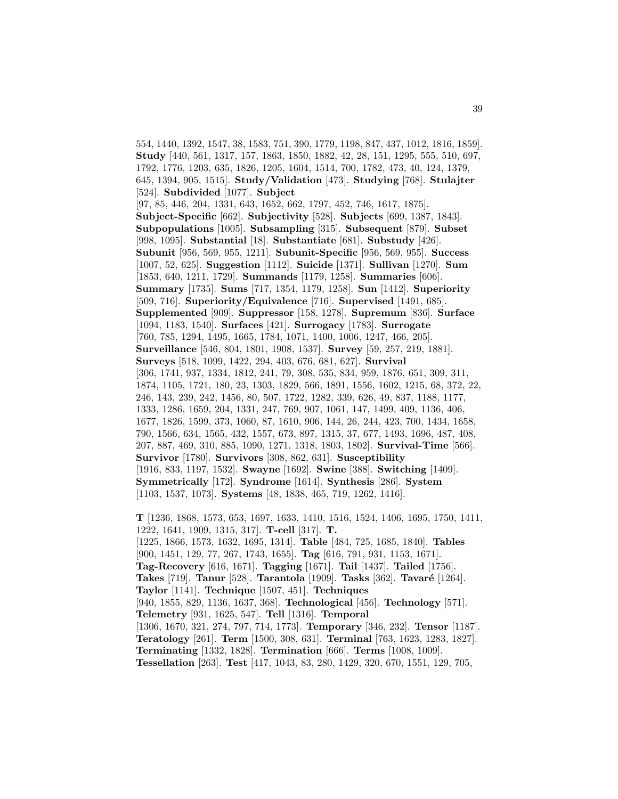554, 1440, 1392, 1547, 38, 1583, 751, 390, 1779, 1198, 847, 437, 1012, 1816, 1859]. **Study** [440, 561, 1317, 157, 1863, 1850, 1882, 42, 28, 151, 1295, 555, 510, 697, 1792, 1776, 1203, 635, 1826, 1205, 1604, 1514, 700, 1782, 473, 40, 124, 1379, 645, 1394, 905, 1515]. **Study/Validation** [473]. **Studying** [768]. **Stulajter** [524]. **Subdivided** [1077]. **Subject** [97, 85, 446, 204, 1331, 643, 1652, 662, 1797, 452, 746, 1617, 1875]. **Subject-Specific** [662]. **Subjectivity** [528]. **Subjects** [699, 1387, 1843]. **Subpopulations** [1005]. **Subsampling** [315]. **Subsequent** [879]. **Subset** [998, 1095]. **Substantial** [18]. **Substantiate** [681]. **Substudy** [426]. **Subunit** [956, 569, 955, 1211]. **Subunit-Specific** [956, 569, 955]. **Success** [1007, 52, 625]. **Suggestion** [1112]. **Suicide** [1371]. **Sullivan** [1270]. **Sum** [1853, 640, 1211, 1729]. **Summands** [1179, 1258]. **Summaries** [606]. **Summary** [1735]. **Sums** [717, 1354, 1179, 1258]. **Sun** [1412]. **Superiority** [509, 716]. **Superiority/Equivalence** [716]. **Supervised** [1491, 685]. **Supplemented** [909]. **Suppressor** [158, 1278]. **Supremum** [836]. **Surface** [1094, 1183, 1540]. **Surfaces** [421]. **Surrogacy** [1783]. **Surrogate** [760, 785, 1294, 1495, 1665, 1784, 1071, 1400, 1006, 1247, 466, 205]. **Surveillance** [546, 804, 1801, 1908, 1537]. **Survey** [59, 257, 219, 1881]. **Surveys** [518, 1099, 1422, 294, 403, 676, 681, 627]. **Survival** [306, 1741, 937, 1334, 1812, 241, 79, 308, 535, 834, 959, 1876, 651, 309, 311, 1874, 1105, 1721, 180, 23, 1303, 1829, 566, 1891, 1556, 1602, 1215, 68, 372, 22, 246, 143, 239, 242, 1456, 80, 507, 1722, 1282, 339, 626, 49, 837, 1188, 1177, 1333, 1286, 1659, 204, 1331, 247, 769, 907, 1061, 147, 1499, 409, 1136, 406, 1677, 1826, 1599, 373, 1060, 87, 1610, 906, 144, 26, 244, 423, 700, 1434, 1658, 790, 1566, 634, 1565, 432, 1557, 673, 897, 1315, 37, 677, 1493, 1696, 487, 408, 207, 887, 469, 310, 885, 1090, 1271, 1318, 1803, 1802]. **Survival-Time** [566]. **Survivor** [1780]. **Survivors** [308, 862, 631]. **Susceptibility** [1916, 833, 1197, 1532]. **Swayne** [1692]. **Swine** [388]. **Switching** [1409]. **Symmetrically** [172]. **Syndrome** [1614]. **Synthesis** [286]. **System** [1103, 1537, 1073]. **Systems** [48, 1838, 465, 719, 1262, 1416].

**T** [1236, 1868, 1573, 653, 1697, 1633, 1410, 1516, 1524, 1406, 1695, 1750, 1411, 1222, 1641, 1909, 1315, 317]. **T-cell** [317]. **T.** [1225, 1866, 1573, 1632, 1695, 1314]. **Table** [484, 725, 1685, 1840]. **Tables** [900, 1451, 129, 77, 267, 1743, 1655]. **Tag** [616, 791, 931, 1153, 1671]. **Tag-Recovery** [616, 1671]. **Tagging** [1671]. **Tail** [1437]. **Tailed** [1756]. **Takes** [719]. **Tanur** [528]. **Tarantola** [1909]. **Tasks** [362]. **Tavaré** [1264]. **Taylor** [1141]. **Technique** [1507, 451]. **Techniques** [940, 1855, 829, 1136, 1637, 368]. **Technological** [456]. **Technology** [571]. **Telemetry** [931, 1625, 547]. **Tell** [1316]. **Temporal** [1306, 1670, 321, 274, 797, 714, 1773]. **Temporary** [346, 232]. **Tensor** [1187]. **Teratology** [261]. **Term** [1500, 308, 631]. **Terminal** [763, 1623, 1283, 1827]. **Terminating** [1332, 1828]. **Termination** [666]. **Terms** [1008, 1009]. **Tessellation** [263]. **Test** [417, 1043, 83, 280, 1429, 320, 670, 1551, 129, 705,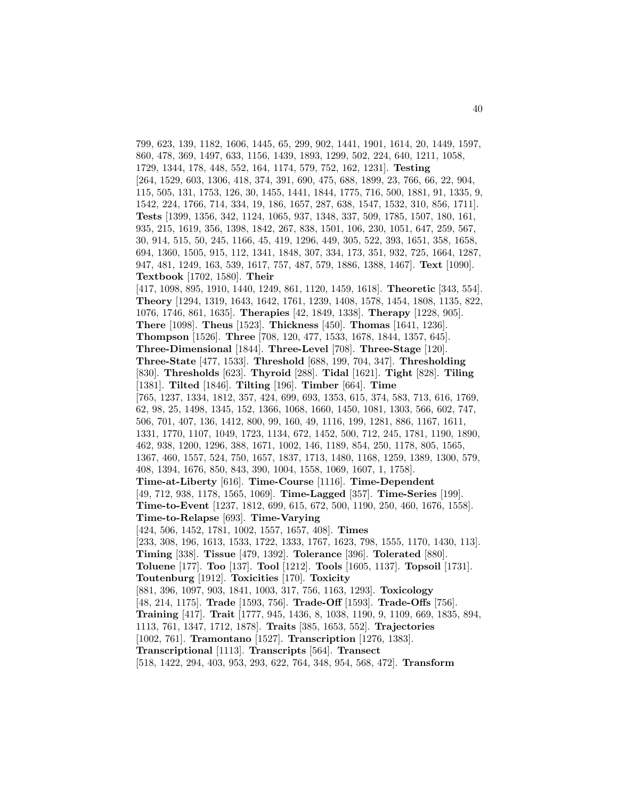799, 623, 139, 1182, 1606, 1445, 65, 299, 902, 1441, 1901, 1614, 20, 1449, 1597, 860, 478, 369, 1497, 633, 1156, 1439, 1893, 1299, 502, 224, 640, 1211, 1058, 1729, 1344, 178, 448, 552, 164, 1174, 579, 752, 162, 1231]. **Testing** [264, 1529, 603, 1306, 418, 374, 391, 690, 475, 688, 1899, 23, 766, 66, 22, 904, 115, 505, 131, 1753, 126, 30, 1455, 1441, 1844, 1775, 716, 500, 1881, 91, 1335, 9, 1542, 224, 1766, 714, 334, 19, 186, 1657, 287, 638, 1547, 1532, 310, 856, 1711]. **Tests** [1399, 1356, 342, 1124, 1065, 937, 1348, 337, 509, 1785, 1507, 180, 161, 935, 215, 1619, 356, 1398, 1842, 267, 838, 1501, 106, 230, 1051, 647, 259, 567, 30, 914, 515, 50, 245, 1166, 45, 419, 1296, 449, 305, 522, 393, 1651, 358, 1658, 694, 1360, 1505, 915, 112, 1341, 1848, 307, 334, 173, 351, 932, 725, 1664, 1287, 947, 481, 1249, 163, 539, 1617, 757, 487, 579, 1886, 1388, 1467]. **Text** [1090]. **Textbook** [1702, 1580]. **Their** [417, 1098, 895, 1910, 1440, 1249, 861, 1120, 1459, 1618]. **Theoretic** [343, 554]. **Theory** [1294, 1319, 1643, 1642, 1761, 1239, 1408, 1578, 1454, 1808, 1135, 822, 1076, 1746, 861, 1635]. **Therapies** [42, 1849, 1338]. **Therapy** [1228, 905]. **There** [1098]. **Theus** [1523]. **Thickness** [450]. **Thomas** [1641, 1236]. **Thompson** [1526]. **Three** [708, 120, 477, 1533, 1678, 1844, 1357, 645]. **Three-Dimensional** [1844]. **Three-Level** [708]. **Three-Stage** [120]. **Three-State** [477, 1533]. **Threshold** [688, 199, 704, 347]. **Thresholding** [830]. **Thresholds** [623]. **Thyroid** [288]. **Tidal** [1621]. **Tight** [828]. **Tiling** [1381]. **Tilted** [1846]. **Tilting** [196]. **Timber** [664]. **Time** [765, 1237, 1334, 1812, 357, 424, 699, 693, 1353, 615, 374, 583, 713, 616, 1769, 62, 98, 25, 1498, 1345, 152, 1366, 1068, 1660, 1450, 1081, 1303, 566, 602, 747, 506, 701, 407, 136, 1412, 800, 99, 160, 49, 1116, 199, 1281, 886, 1167, 1611, 1331, 1770, 1107, 1049, 1723, 1134, 672, 1452, 500, 712, 245, 1781, 1190, 1890, 462, 938, 1200, 1296, 388, 1671, 1002, 146, 1189, 854, 250, 1178, 805, 1565, 1367, 460, 1557, 524, 750, 1657, 1837, 1713, 1480, 1168, 1259, 1389, 1300, 579, 408, 1394, 1676, 850, 843, 390, 1004, 1558, 1069, 1607, 1, 1758]. **Time-at-Liberty** [616]. **Time-Course** [1116]. **Time-Dependent** [49, 712, 938, 1178, 1565, 1069]. **Time-Lagged** [357]. **Time-Series** [199]. **Time-to-Event** [1237, 1812, 699, 615, 672, 500, 1190, 250, 460, 1676, 1558]. **Time-to-Relapse** [693]. **Time-Varying** [424, 506, 1452, 1781, 1002, 1557, 1657, 408]. **Times** [233, 308, 196, 1613, 1533, 1722, 1333, 1767, 1623, 798, 1555, 1170, 1430, 113]. **Timing** [338]. **Tissue** [479, 1392]. **Tolerance** [396]. **Tolerated** [880]. **Toluene** [177]. **Too** [137]. **Tool** [1212]. **Tools** [1605, 1137]. **Topsoil** [1731]. **Toutenburg** [1912]. **Toxicities** [170]. **Toxicity** [881, 396, 1097, 903, 1841, 1003, 317, 756, 1163, 1293]. **Toxicology** [48, 214, 1175]. **Trade** [1593, 756]. **Trade-Off** [1593]. **Trade-Offs** [756]. **Training** [417]. **Trait** [1777, 945, 1436, 8, 1038, 1190, 9, 1109, 669, 1835, 894, 1113, 761, 1347, 1712, 1878]. **Traits** [385, 1653, 552]. **Trajectories** [1002, 761]. **Tramontano** [1527]. **Transcription** [1276, 1383]. **Transcriptional** [1113]. **Transcripts** [564]. **Transect** [518, 1422, 294, 403, 953, 293, 622, 764, 348, 954, 568, 472]. **Transform**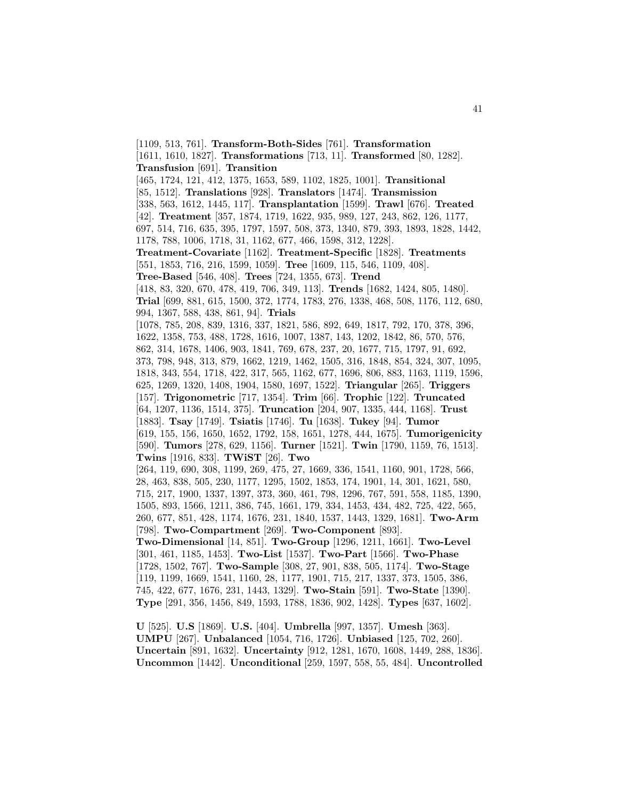[1109, 513, 761]. **Transform-Both-Sides** [761]. **Transformation** [1611, 1610, 1827]. **Transformations** [713, 11]. **Transformed** [80, 1282]. **Transfusion** [691]. **Transition** [465, 1724, 121, 412, 1375, 1653, 589, 1102, 1825, 1001]. **Transitional** [85, 1512]. **Translations** [928]. **Translators** [1474]. **Transmission** [338, 563, 1612, 1445, 117]. **Transplantation** [1599]. **Trawl** [676]. **Treated** [42]. **Treatment** [357, 1874, 1719, 1622, 935, 989, 127, 243, 862, 126, 1177, 697, 514, 716, 635, 395, 1797, 1597, 508, 373, 1340, 879, 393, 1893, 1828, 1442, 1178, 788, 1006, 1718, 31, 1162, 677, 466, 1598, 312, 1228]. **Treatment-Covariate** [1162]. **Treatment-Specific** [1828]. **Treatments** [551, 1853, 716, 216, 1599, 1059]. **Tree** [1609, 115, 546, 1109, 408]. **Tree-Based** [546, 408]. **Trees** [724, 1355, 673]. **Trend** [418, 83, 320, 670, 478, 419, 706, 349, 113]. **Trends** [1682, 1424, 805, 1480]. **Trial** [699, 881, 615, 1500, 372, 1774, 1783, 276, 1338, 468, 508, 1176, 112, 680, 994, 1367, 588, 438, 861, 94]. **Trials** [1078, 785, 208, 839, 1316, 337, 1821, 586, 892, 649, 1817, 792, 170, 378, 396, 1622, 1358, 753, 488, 1728, 1616, 1007, 1387, 143, 1202, 1842, 86, 570, 576, 862, 314, 1678, 1406, 903, 1841, 769, 678, 237, 20, 1677, 715, 1797, 91, 692, 373, 798, 948, 313, 879, 1662, 1219, 1462, 1505, 316, 1848, 854, 324, 307, 1095, 1818, 343, 554, 1718, 422, 317, 565, 1162, 677, 1696, 806, 883, 1163, 1119, 1596, 625, 1269, 1320, 1408, 1904, 1580, 1697, 1522]. **Triangular** [265]. **Triggers** [157]. **Trigonometric** [717, 1354]. **Trim** [66]. **Trophic** [122]. **Truncated** [64, 1207, 1136, 1514, 375]. **Truncation** [204, 907, 1335, 444, 1168]. **Trust** [1883]. **Tsay** [1749]. **Tsiatis** [1746]. **Tu** [1638]. **Tukey** [94]. **Tumor** [619, 155, 156, 1650, 1652, 1792, 158, 1651, 1278, 444, 1675]. **Tumorigenicity** [590]. **Tumors** [278, 629, 1156]. **Turner** [1521]. **Twin** [1790, 1159, 76, 1513]. **Twins** [1916, 833]. **TWiST** [26]. **Two** [264, 119, 690, 308, 1199, 269, 475, 27, 1669, 336, 1541, 1160, 901, 1728, 566, 28, 463, 838, 505, 230, 1177, 1295, 1502, 1853, 174, 1901, 14, 301, 1621, 580, 715, 217, 1900, 1337, 1397, 373, 360, 461, 798, 1296, 767, 591, 558, 1185, 1390, 1505, 893, 1566, 1211, 386, 745, 1661, 179, 334, 1453, 434, 482, 725, 422, 565, 260, 677, 851, 428, 1174, 1676, 231, 1840, 1537, 1443, 1329, 1681]. **Two-Arm** [798]. **Two-Compartment** [269]. **Two-Component** [893]. **Two-Dimensional** [14, 851]. **Two-Group** [1296, 1211, 1661]. **Two-Level** [301, 461, 1185, 1453]. **Two-List** [1537]. **Two-Part** [1566]. **Two-Phase** [1728, 1502, 767]. **Two-Sample** [308, 27, 901, 838, 505, 1174]. **Two-Stage** [119, 1199, 1669, 1541, 1160, 28, 1177, 1901, 715, 217, 1337, 373, 1505, 386, 745, 422, 677, 1676, 231, 1443, 1329]. **Two-Stain** [591]. **Two-State** [1390]. **Type** [291, 356, 1456, 849, 1593, 1788, 1836, 902, 1428]. **Types** [637, 1602].

**U** [525]. **U.S** [1869]. **U.S.** [404]. **Umbrella** [997, 1357]. **Umesh** [363]. **UMPU** [267]. **Unbalanced** [1054, 716, 1726]. **Unbiased** [125, 702, 260]. **Uncertain** [891, 1632]. **Uncertainty** [912, 1281, 1670, 1608, 1449, 288, 1836]. **Uncommon** [1442]. **Unconditional** [259, 1597, 558, 55, 484]. **Uncontrolled**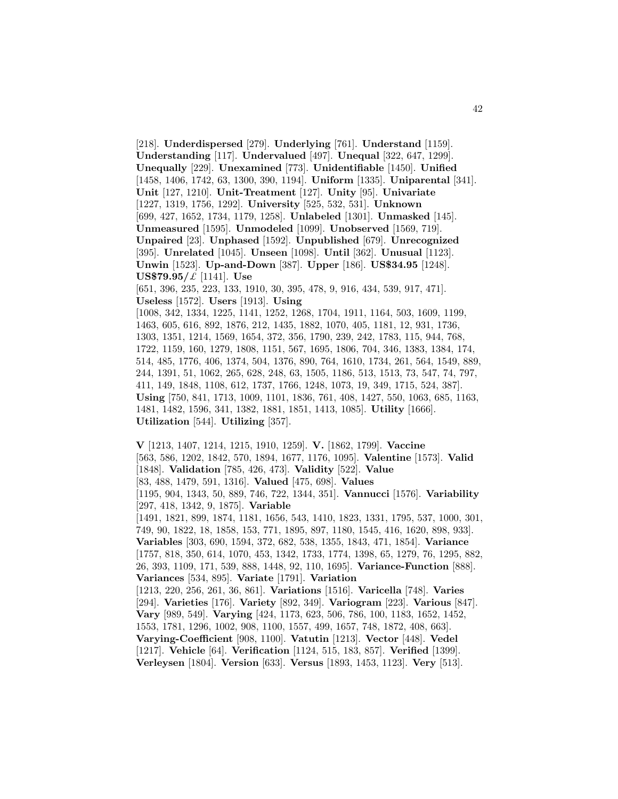[218]. **Underdispersed** [279]. **Underlying** [761]. **Understand** [1159]. **Understanding** [117]. **Undervalued** [497]. **Unequal** [322, 647, 1299]. **Unequally** [229]. **Unexamined** [773]. **Unidentifiable** [1450]. **Unified** [1458, 1406, 1742, 63, 1300, 390, 1194]. **Uniform** [1335]. **Uniparental** [341]. **Unit** [127, 1210]. **Unit-Treatment** [127]. **Unity** [95]. **Univariate** [1227, 1319, 1756, 1292]. **University** [525, 532, 531]. **Unknown** [699, 427, 1652, 1734, 1179, 1258]. **Unlabeled** [1301]. **Unmasked** [145]. **Unmeasured** [1595]. **Unmodeled** [1099]. **Unobserved** [1569, 719]. **Unpaired** [23]. **Unphased** [1592]. **Unpublished** [679]. **Unrecognized** [395]. **Unrelated** [1045]. **Unseen** [1098]. **Until** [362]. **Unusual** [1123]. **Unwin** [1523]. **Up-and-Down** [387]. **Upper** [186]. **US\$34.95** [1248]. **US\$79.95/**£ [1141]. **Use** [651, 396, 235, 223, 133, 1910, 30, 395, 478, 9, 916, 434, 539, 917, 471]. **Useless** [1572]. **Users** [1913]. **Using** [1008, 342, 1334, 1225, 1141, 1252, 1268, 1704, 1911, 1164, 503, 1609, 1199, 1463, 605, 616, 892, 1876, 212, 1435, 1882, 1070, 405, 1181, 12, 931, 1736, 1303, 1351, 1214, 1569, 1654, 372, 356, 1790, 239, 242, 1783, 115, 944, 768, 1722, 1159, 160, 1279, 1808, 1151, 567, 1695, 1806, 704, 346, 1383, 1384, 174, 514, 485, 1776, 406, 1374, 504, 1376, 890, 764, 1610, 1734, 261, 564, 1549, 889, 244, 1391, 51, 1062, 265, 628, 248, 63, 1505, 1186, 513, 1513, 73, 547, 74, 797, 411, 149, 1848, 1108, 612, 1737, 1766, 1248, 1073, 19, 349, 1715, 524, 387]. **Using** [750, 841, 1713, 1009, 1101, 1836, 761, 408, 1427, 550, 1063, 685, 1163, 1481, 1482, 1596, 341, 1382, 1881, 1851, 1413, 1085]. **Utility** [1666]. **Utilization** [544]. **Utilizing** [357].

**V** [1213, 1407, 1214, 1215, 1910, 1259]. **V.** [1862, 1799]. **Vaccine** [563, 586, 1202, 1842, 570, 1894, 1677, 1176, 1095]. **Valentine** [1573]. **Valid** [1848]. **Validation** [785, 426, 473]. **Validity** [522]. **Value** [83, 488, 1479, 591, 1316]. **Valued** [475, 698]. **Values** [1195, 904, 1343, 50, 889, 746, 722, 1344, 351]. **Vannucci** [1576]. **Variability** [297, 418, 1342, 9, 1875]. **Variable** [1491, 1821, 899, 1874, 1181, 1656, 543, 1410, 1823, 1331, 1795, 537, 1000, 301, 749, 90, 1822, 18, 1858, 153, 771, 1895, 897, 1180, 1545, 416, 1620, 898, 933]. **Variables** [303, 690, 1594, 372, 682, 538, 1355, 1843, 471, 1854]. **Variance** [1757, 818, 350, 614, 1070, 453, 1342, 1733, 1774, 1398, 65, 1279, 76, 1295, 882, 26, 393, 1109, 171, 539, 888, 1448, 92, 110, 1695]. **Variance-Function** [888]. **Variances** [534, 895]. **Variate** [1791]. **Variation** [1213, 220, 256, 261, 36, 861]. **Variations** [1516]. **Varicella** [748]. **Varies** [294]. **Varieties** [176]. **Variety** [892, 349]. **Variogram** [223]. **Various** [847]. **Vary** [989, 549]. **Varying** [424, 1173, 623, 506, 786, 100, 1183, 1652, 1452, 1553, 1781, 1296, 1002, 908, 1100, 1557, 499, 1657, 748, 1872, 408, 663]. **Varying-Coefficient** [908, 1100]. **Vatutin** [1213]. **Vector** [448]. **Vedel** [1217]. **Vehicle** [64]. **Verification** [1124, 515, 183, 857]. **Verified** [1399]. **Verleysen** [1804]. **Version** [633]. **Versus** [1893, 1453, 1123]. **Very** [513].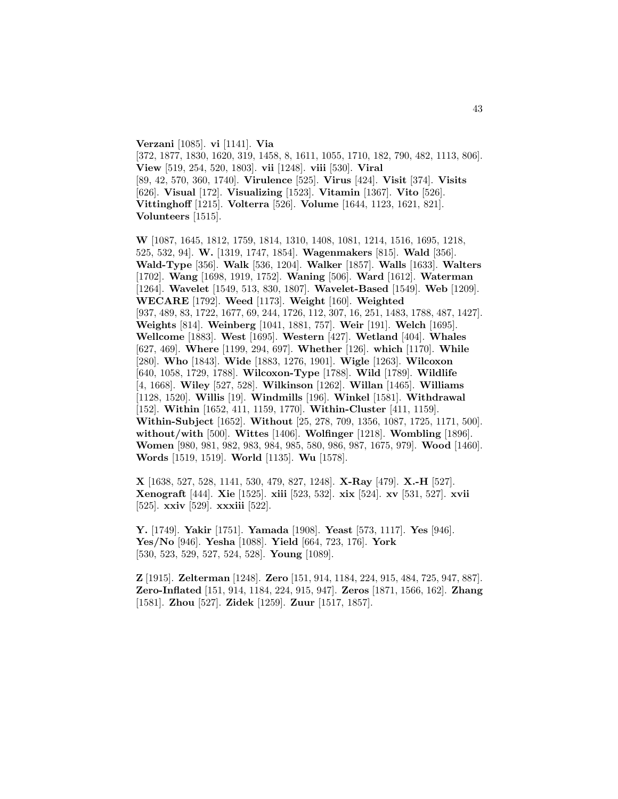**Verzani** [1085]. **vi** [1141]. **Via** [372, 1877, 1830, 1620, 319, 1458, 8, 1611, 1055, 1710, 182, 790, 482, 1113, 806]. **View** [519, 254, 520, 1803]. **vii** [1248]. **viii** [530]. **Viral** [89, 42, 570, 360, 1740]. **Virulence** [525]. **Virus** [424]. **Visit** [374]. **Visits** [626]. **Visual** [172]. **Visualizing** [1523]. **Vitamin** [1367]. **Vito** [526]. **Vittinghoff** [1215]. **Volterra** [526]. **Volume** [1644, 1123, 1621, 821]. **Volunteers** [1515].

**W** [1087, 1645, 1812, 1759, 1814, 1310, 1408, 1081, 1214, 1516, 1695, 1218, 525, 532, 94]. **W.** [1319, 1747, 1854]. **Wagenmakers** [815]. **Wald** [356]. **Wald-Type** [356]. **Walk** [536, 1204]. **Walker** [1857]. **Walls** [1633]. **Walters** [1702]. **Wang** [1698, 1919, 1752]. **Waning** [506]. **Ward** [1612]. **Waterman** [1264]. **Wavelet** [1549, 513, 830, 1807]. **Wavelet-Based** [1549]. **Web** [1209]. **WECARE** [1792]. **Weed** [1173]. **Weight** [160]. **Weighted** [937, 489, 83, 1722, 1677, 69, 244, 1726, 112, 307, 16, 251, 1483, 1788, 487, 1427]. **Weights** [814]. **Weinberg** [1041, 1881, 757]. **Weir** [191]. **Welch** [1695]. **Wellcome** [1883]. **West** [1695]. **Western** [427]. **Wetland** [404]. **Whales** [627, 469]. **Where** [1199, 294, 697]. **Whether** [126]. **which** [1170]. **While** [280]. **Who** [1843]. **Wide** [1883, 1276, 1901]. **Wigle** [1263]. **Wilcoxon** [640, 1058, 1729, 1788]. **Wilcoxon-Type** [1788]. **Wild** [1789]. **Wildlife** [4, 1668]. **Wiley** [527, 528]. **Wilkinson** [1262]. **Willan** [1465]. **Williams** [1128, 1520]. **Willis** [19]. **Windmills** [196]. **Winkel** [1581]. **Withdrawal** [152]. **Within** [1652, 411, 1159, 1770]. **Within-Cluster** [411, 1159]. **Within-Subject** [1652]. **Without** [25, 278, 709, 1356, 1087, 1725, 1171, 500]. **without/with** [500]. **Wittes** [1406]. **Wolfinger** [1218]. **Wombling** [1896]. **Women** [980, 981, 982, 983, 984, 985, 580, 986, 987, 1675, 979]. **Wood** [1460]. **Words** [1519, 1519]. **World** [1135]. **Wu** [1578].

**X** [1638, 527, 528, 1141, 530, 479, 827, 1248]. **X-Ray** [479]. **X.-H** [527]. **Xenograft** [444]. **Xie** [1525]. **xiii** [523, 532]. **xix** [524]. **xv** [531, 527]. **xvii** [525]. **xxiv** [529]. **xxxiii** [522].

**Y.** [1749]. **Yakir** [1751]. **Yamada** [1908]. **Yeast** [573, 1117]. **Yes** [946]. **Yes/No** [946]. **Yesha** [1088]. **Yield** [664, 723, 176]. **York** [530, 523, 529, 527, 524, 528]. **Young** [1089].

**Z** [1915]. **Zelterman** [1248]. **Zero** [151, 914, 1184, 224, 915, 484, 725, 947, 887]. **Zero-Inflated** [151, 914, 1184, 224, 915, 947]. **Zeros** [1871, 1566, 162]. **Zhang** [1581]. **Zhou** [527]. **Zidek** [1259]. **Zuur** [1517, 1857].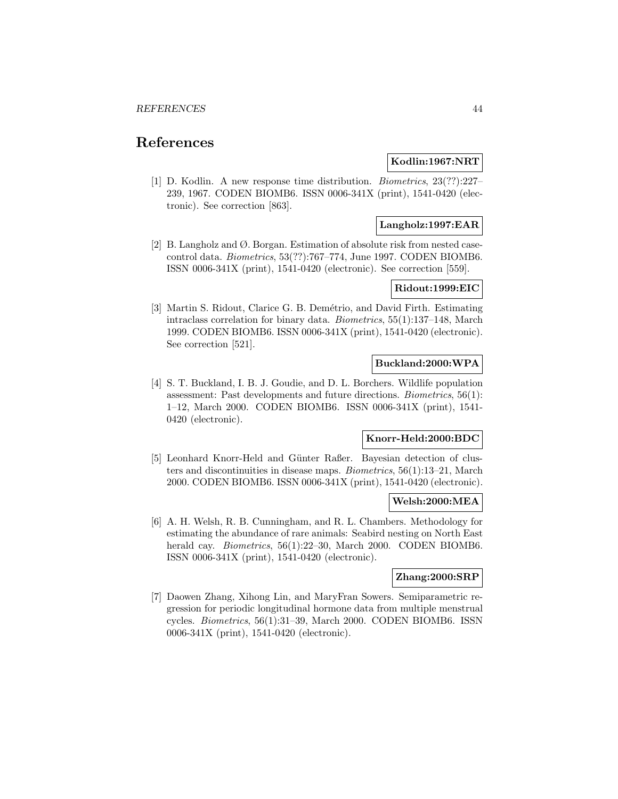# **References**

## **Kodlin:1967:NRT**

[1] D. Kodlin. A new response time distribution. Biometrics, 23(??):227– 239, 1967. CODEN BIOMB6. ISSN 0006-341X (print), 1541-0420 (electronic). See correction [863].

### **Langholz:1997:EAR**

[2] B. Langholz and Ø. Borgan. Estimation of absolute risk from nested casecontrol data. Biometrics, 53(??):767–774, June 1997. CODEN BIOMB6. ISSN 0006-341X (print), 1541-0420 (electronic). See correction [559].

# **Ridout:1999:EIC**

[3] Martin S. Ridout, Clarice G. B. Demétrio, and David Firth. Estimating intraclass correlation for binary data. Biometrics, 55(1):137–148, March 1999. CODEN BIOMB6. ISSN 0006-341X (print), 1541-0420 (electronic). See correction [521].

## **Buckland:2000:WPA**

[4] S. T. Buckland, I. B. J. Goudie, and D. L. Borchers. Wildlife population assessment: Past developments and future directions. Biometrics, 56(1): 1–12, March 2000. CODEN BIOMB6. ISSN 0006-341X (print), 1541- 0420 (electronic).

# **Knorr-Held:2000:BDC**

[5] Leonhard Knorr-Held and Günter Raßer. Bayesian detection of clusters and discontinuities in disease maps. Biometrics, 56(1):13–21, March 2000. CODEN BIOMB6. ISSN 0006-341X (print), 1541-0420 (electronic).

### **Welsh:2000:MEA**

[6] A. H. Welsh, R. B. Cunningham, and R. L. Chambers. Methodology for estimating the abundance of rare animals: Seabird nesting on North East herald cay. *Biometrics*, 56(1):22–30, March 2000. CODEN BIOMB6. ISSN 0006-341X (print), 1541-0420 (electronic).

## **Zhang:2000:SRP**

[7] Daowen Zhang, Xihong Lin, and MaryFran Sowers. Semiparametric regression for periodic longitudinal hormone data from multiple menstrual cycles. Biometrics, 56(1):31–39, March 2000. CODEN BIOMB6. ISSN 0006-341X (print), 1541-0420 (electronic).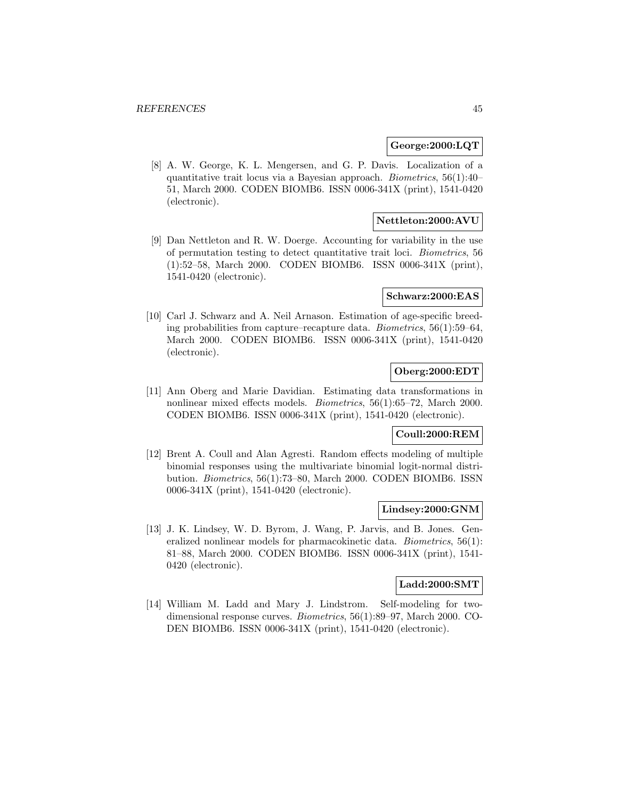#### **George:2000:LQT**

[8] A. W. George, K. L. Mengersen, and G. P. Davis. Localization of a quantitative trait locus via a Bayesian approach. Biometrics, 56(1):40– 51, March 2000. CODEN BIOMB6. ISSN 0006-341X (print), 1541-0420 (electronic).

## **Nettleton:2000:AVU**

[9] Dan Nettleton and R. W. Doerge. Accounting for variability in the use of permutation testing to detect quantitative trait loci. Biometrics, 56 (1):52–58, March 2000. CODEN BIOMB6. ISSN 0006-341X (print), 1541-0420 (electronic).

#### **Schwarz:2000:EAS**

[10] Carl J. Schwarz and A. Neil Arnason. Estimation of age-specific breeding probabilities from capture–recapture data. Biometrics, 56(1):59–64, March 2000. CODEN BIOMB6. ISSN 0006-341X (print), 1541-0420 (electronic).

# **Oberg:2000:EDT**

[11] Ann Oberg and Marie Davidian. Estimating data transformations in nonlinear mixed effects models. Biometrics, 56(1):65–72, March 2000. CODEN BIOMB6. ISSN 0006-341X (print), 1541-0420 (electronic).

## **Coull:2000:REM**

[12] Brent A. Coull and Alan Agresti. Random effects modeling of multiple binomial responses using the multivariate binomial logit-normal distribution. Biometrics, 56(1):73–80, March 2000. CODEN BIOMB6. ISSN 0006-341X (print), 1541-0420 (electronic).

#### **Lindsey:2000:GNM**

[13] J. K. Lindsey, W. D. Byrom, J. Wang, P. Jarvis, and B. Jones. Generalized nonlinear models for pharmacokinetic data. Biometrics, 56(1): 81–88, March 2000. CODEN BIOMB6. ISSN 0006-341X (print), 1541- 0420 (electronic).

## **Ladd:2000:SMT**

[14] William M. Ladd and Mary J. Lindstrom. Self-modeling for twodimensional response curves. Biometrics, 56(1):89–97, March 2000. CO-DEN BIOMB6. ISSN 0006-341X (print), 1541-0420 (electronic).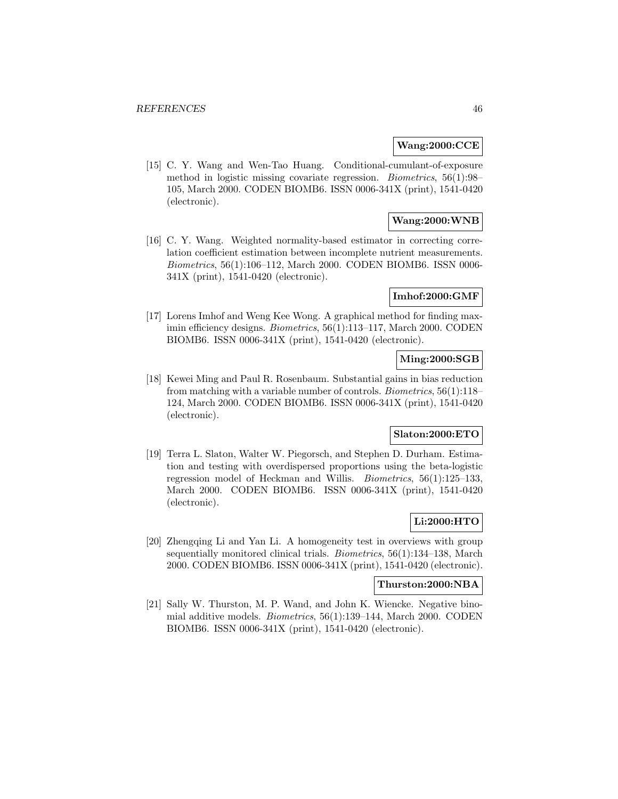### **Wang:2000:CCE**

[15] C. Y. Wang and Wen-Tao Huang. Conditional-cumulant-of-exposure method in logistic missing covariate regression. Biometrics, 56(1):98– 105, March 2000. CODEN BIOMB6. ISSN 0006-341X (print), 1541-0420 (electronic).

# **Wang:2000:WNB**

[16] C. Y. Wang. Weighted normality-based estimator in correcting correlation coefficient estimation between incomplete nutrient measurements. Biometrics, 56(1):106–112, March 2000. CODEN BIOMB6. ISSN 0006- 341X (print), 1541-0420 (electronic).

### **Imhof:2000:GMF**

[17] Lorens Imhof and Weng Kee Wong. A graphical method for finding maximin efficiency designs. Biometrics, 56(1):113–117, March 2000. CODEN BIOMB6. ISSN 0006-341X (print), 1541-0420 (electronic).

## **Ming:2000:SGB**

[18] Kewei Ming and Paul R. Rosenbaum. Substantial gains in bias reduction from matching with a variable number of controls. Biometrics, 56(1):118– 124, March 2000. CODEN BIOMB6. ISSN 0006-341X (print), 1541-0420 (electronic).

# **Slaton:2000:ETO**

[19] Terra L. Slaton, Walter W. Piegorsch, and Stephen D. Durham. Estimation and testing with overdispersed proportions using the beta-logistic regression model of Heckman and Willis. Biometrics, 56(1):125–133, March 2000. CODEN BIOMB6. ISSN 0006-341X (print), 1541-0420 (electronic).

### **Li:2000:HTO**

[20] Zhengqing Li and Yan Li. A homogeneity test in overviews with group sequentially monitored clinical trials. Biometrics, 56(1):134–138, March 2000. CODEN BIOMB6. ISSN 0006-341X (print), 1541-0420 (electronic).

#### **Thurston:2000:NBA**

[21] Sally W. Thurston, M. P. Wand, and John K. Wiencke. Negative binomial additive models. Biometrics, 56(1):139–144, March 2000. CODEN BIOMB6. ISSN 0006-341X (print), 1541-0420 (electronic).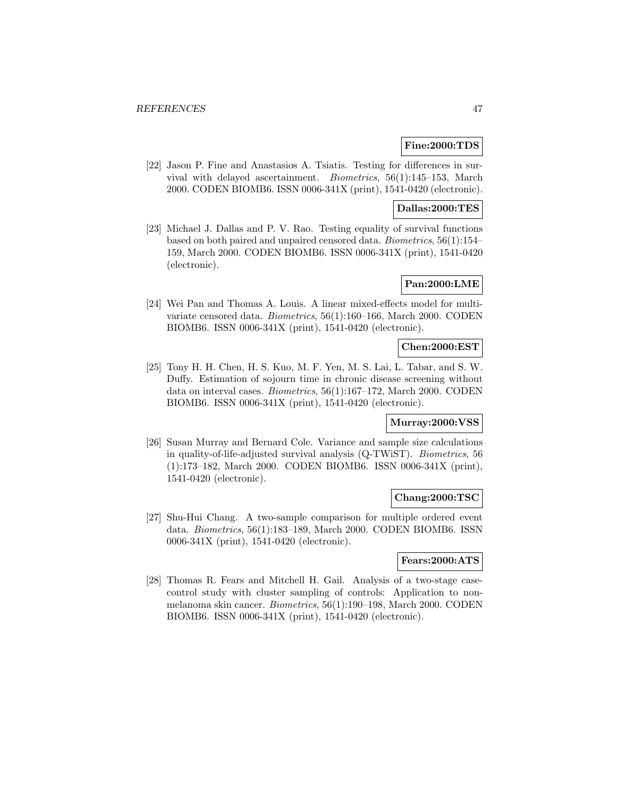### **Fine:2000:TDS**

[22] Jason P. Fine and Anastasios A. Tsiatis. Testing for differences in survival with delayed ascertainment. Biometrics, 56(1):145–153, March 2000. CODEN BIOMB6. ISSN 0006-341X (print), 1541-0420 (electronic).

## **Dallas:2000:TES**

[23] Michael J. Dallas and P. V. Rao. Testing equality of survival functions based on both paired and unpaired censored data. Biometrics, 56(1):154– 159, March 2000. CODEN BIOMB6. ISSN 0006-341X (print), 1541-0420 (electronic).

# **Pan:2000:LME**

[24] Wei Pan and Thomas A. Louis. A linear mixed-effects model for multivariate censored data. Biometrics, 56(1):160–166, March 2000. CODEN BIOMB6. ISSN 0006-341X (print), 1541-0420 (electronic).

## **Chen:2000:EST**

[25] Tony H. H. Chen, H. S. Kuo, M. F. Yen, M. S. Lai, L. Tabar, and S. W. Duffy. Estimation of sojourn time in chronic disease screening without data on interval cases. Biometrics, 56(1):167–172, March 2000. CODEN BIOMB6. ISSN 0006-341X (print), 1541-0420 (electronic).

## **Murray:2000:VSS**

[26] Susan Murray and Bernard Cole. Variance and sample size calculations in quality-of-life-adjusted survival analysis (Q-TWiST). Biometrics, 56 (1):173–182, March 2000. CODEN BIOMB6. ISSN 0006-341X (print), 1541-0420 (electronic).

### **Chang:2000:TSC**

[27] Shu-Hui Chang. A two-sample comparison for multiple ordered event data. Biometrics, 56(1):183–189, March 2000. CODEN BIOMB6. ISSN 0006-341X (print), 1541-0420 (electronic).

#### **Fears:2000:ATS**

[28] Thomas R. Fears and Mitchell H. Gail. Analysis of a two-stage casecontrol study with cluster sampling of controls: Application to nonmelanoma skin cancer. Biometrics, 56(1):190–198, March 2000. CODEN BIOMB6. ISSN 0006-341X (print), 1541-0420 (electronic).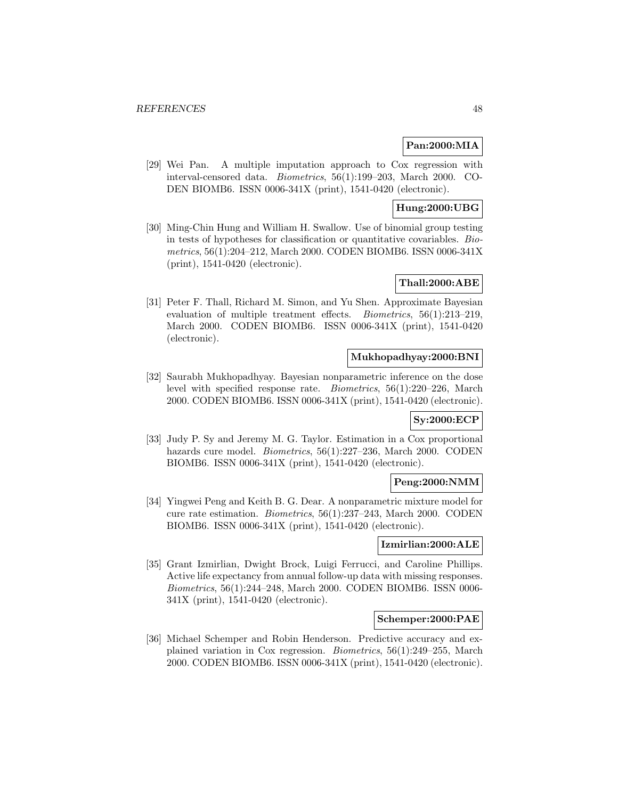## **Pan:2000:MIA**

[29] Wei Pan. A multiple imputation approach to Cox regression with interval-censored data. Biometrics, 56(1):199–203, March 2000. CO-DEN BIOMB6. ISSN 0006-341X (print), 1541-0420 (electronic).

## **Hung:2000:UBG**

[30] Ming-Chin Hung and William H. Swallow. Use of binomial group testing in tests of hypotheses for classification or quantitative covariables. Biometrics, 56(1):204–212, March 2000. CODEN BIOMB6. ISSN 0006-341X (print), 1541-0420 (electronic).

## **Thall:2000:ABE**

[31] Peter F. Thall, Richard M. Simon, and Yu Shen. Approximate Bayesian evaluation of multiple treatment effects. Biometrics, 56(1):213–219, March 2000. CODEN BIOMB6. ISSN 0006-341X (print), 1541-0420 (electronic).

### **Mukhopadhyay:2000:BNI**

[32] Saurabh Mukhopadhyay. Bayesian nonparametric inference on the dose level with specified response rate. Biometrics, 56(1):220–226, March 2000. CODEN BIOMB6. ISSN 0006-341X (print), 1541-0420 (electronic).

### **Sy:2000:ECP**

[33] Judy P. Sy and Jeremy M. G. Taylor. Estimation in a Cox proportional hazards cure model. *Biometrics*, 56(1):227–236, March 2000. CODEN BIOMB6. ISSN 0006-341X (print), 1541-0420 (electronic).

# **Peng:2000:NMM**

[34] Yingwei Peng and Keith B. G. Dear. A nonparametric mixture model for cure rate estimation. Biometrics, 56(1):237–243, March 2000. CODEN BIOMB6. ISSN 0006-341X (print), 1541-0420 (electronic).

### **Izmirlian:2000:ALE**

[35] Grant Izmirlian, Dwight Brock, Luigi Ferrucci, and Caroline Phillips. Active life expectancy from annual follow-up data with missing responses. Biometrics, 56(1):244–248, March 2000. CODEN BIOMB6. ISSN 0006- 341X (print), 1541-0420 (electronic).

#### **Schemper:2000:PAE**

[36] Michael Schemper and Robin Henderson. Predictive accuracy and explained variation in Cox regression. Biometrics, 56(1):249–255, March 2000. CODEN BIOMB6. ISSN 0006-341X (print), 1541-0420 (electronic).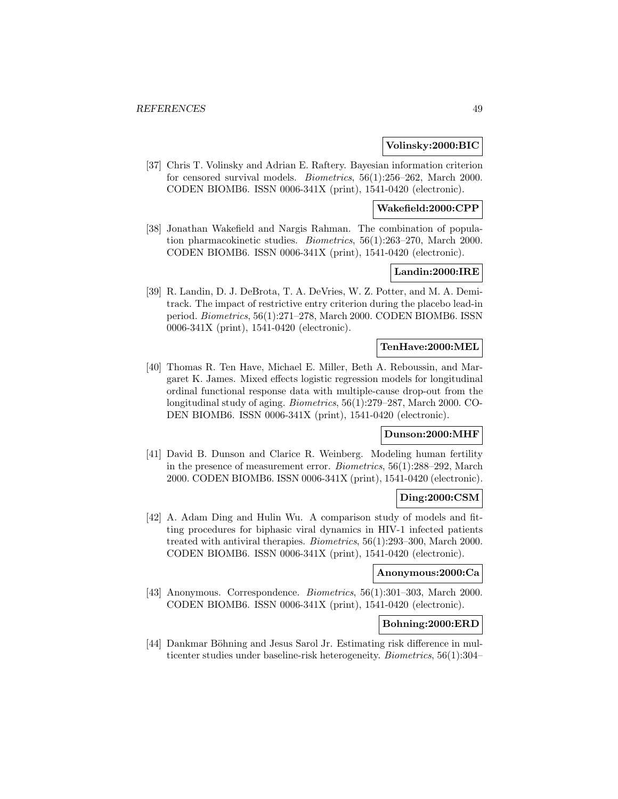#### **Volinsky:2000:BIC**

[37] Chris T. Volinsky and Adrian E. Raftery. Bayesian information criterion for censored survival models. Biometrics, 56(1):256–262, March 2000. CODEN BIOMB6. ISSN 0006-341X (print), 1541-0420 (electronic).

### **Wakefield:2000:CPP**

[38] Jonathan Wakefield and Nargis Rahman. The combination of population pharmacokinetic studies. Biometrics, 56(1):263–270, March 2000. CODEN BIOMB6. ISSN 0006-341X (print), 1541-0420 (electronic).

### **Landin:2000:IRE**

[39] R. Landin, D. J. DeBrota, T. A. DeVries, W. Z. Potter, and M. A. Demitrack. The impact of restrictive entry criterion during the placebo lead-in period. Biometrics, 56(1):271–278, March 2000. CODEN BIOMB6. ISSN 0006-341X (print), 1541-0420 (electronic).

#### **TenHave:2000:MEL**

[40] Thomas R. Ten Have, Michael E. Miller, Beth A. Reboussin, and Margaret K. James. Mixed effects logistic regression models for longitudinal ordinal functional response data with multiple-cause drop-out from the longitudinal study of aging. Biometrics, 56(1):279–287, March 2000. CO-DEN BIOMB6. ISSN 0006-341X (print), 1541-0420 (electronic).

## **Dunson:2000:MHF**

[41] David B. Dunson and Clarice R. Weinberg. Modeling human fertility in the presence of measurement error. Biometrics, 56(1):288–292, March 2000. CODEN BIOMB6. ISSN 0006-341X (print), 1541-0420 (electronic).

#### **Ding:2000:CSM**

[42] A. Adam Ding and Hulin Wu. A comparison study of models and fitting procedures for biphasic viral dynamics in HIV-1 infected patients treated with antiviral therapies. Biometrics, 56(1):293–300, March 2000. CODEN BIOMB6. ISSN 0006-341X (print), 1541-0420 (electronic).

#### **Anonymous:2000:Ca**

[43] Anonymous. Correspondence. Biometrics, 56(1):301–303, March 2000. CODEN BIOMB6. ISSN 0006-341X (print), 1541-0420 (electronic).

## **Bohning:2000:ERD**

[44] Dankmar Böhning and Jesus Sarol Jr. Estimating risk difference in multicenter studies under baseline-risk heterogeneity. Biometrics, 56(1):304–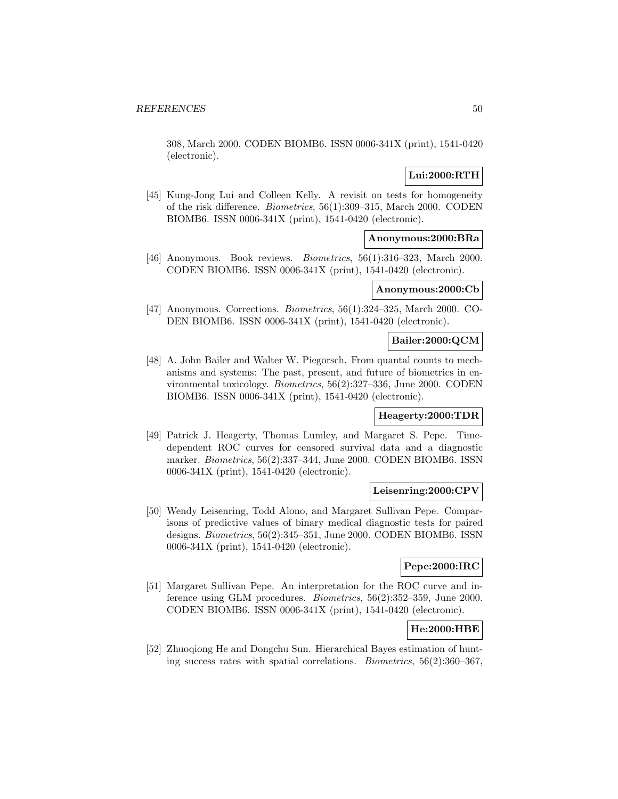308, March 2000. CODEN BIOMB6. ISSN 0006-341X (print), 1541-0420 (electronic).

## **Lui:2000:RTH**

[45] Kung-Jong Lui and Colleen Kelly. A revisit on tests for homogeneity of the risk difference. Biometrics, 56(1):309–315, March 2000. CODEN BIOMB6. ISSN 0006-341X (print), 1541-0420 (electronic).

# **Anonymous:2000:BRa**

[46] Anonymous. Book reviews. Biometrics, 56(1):316–323, March 2000. CODEN BIOMB6. ISSN 0006-341X (print), 1541-0420 (electronic).

#### **Anonymous:2000:Cb**

[47] Anonymous. Corrections. Biometrics, 56(1):324–325, March 2000. CO-DEN BIOMB6. ISSN 0006-341X (print), 1541-0420 (electronic).

### **Bailer:2000:QCM**

[48] A. John Bailer and Walter W. Piegorsch. From quantal counts to mechanisms and systems: The past, present, and future of biometrics in environmental toxicology. Biometrics, 56(2):327–336, June 2000. CODEN BIOMB6. ISSN 0006-341X (print), 1541-0420 (electronic).

## **Heagerty:2000:TDR**

[49] Patrick J. Heagerty, Thomas Lumley, and Margaret S. Pepe. Timedependent ROC curves for censored survival data and a diagnostic marker. Biometrics, 56(2):337–344, June 2000. CODEN BIOMB6. ISSN 0006-341X (print), 1541-0420 (electronic).

### **Leisenring:2000:CPV**

[50] Wendy Leisenring, Todd Alono, and Margaret Sullivan Pepe. Comparisons of predictive values of binary medical diagnostic tests for paired designs. Biometrics, 56(2):345–351, June 2000. CODEN BIOMB6. ISSN 0006-341X (print), 1541-0420 (electronic).

## **Pepe:2000:IRC**

[51] Margaret Sullivan Pepe. An interpretation for the ROC curve and inference using GLM procedures. Biometrics, 56(2):352–359, June 2000. CODEN BIOMB6. ISSN 0006-341X (print), 1541-0420 (electronic).

# **He:2000:HBE**

[52] Zhuoqiong He and Dongchu Sun. Hierarchical Bayes estimation of hunting success rates with spatial correlations. Biometrics, 56(2):360–367,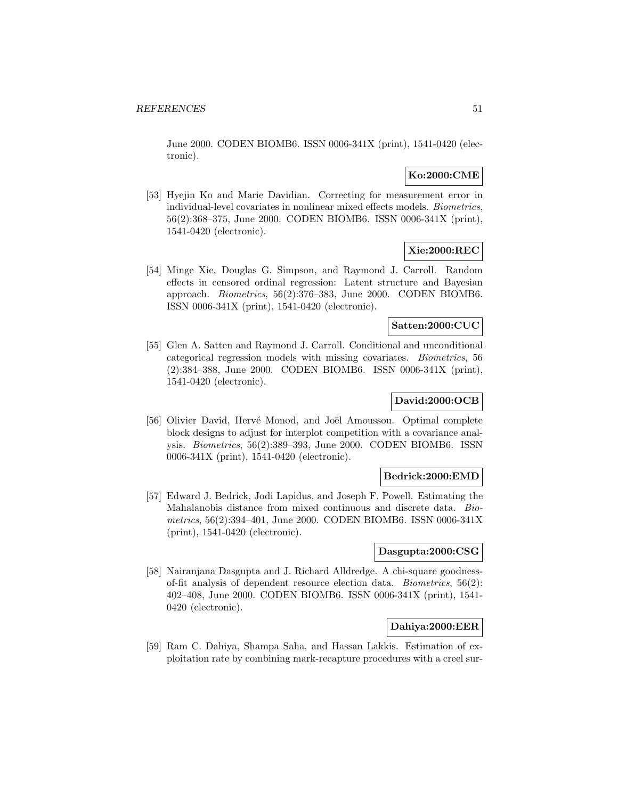June 2000. CODEN BIOMB6. ISSN 0006-341X (print), 1541-0420 (electronic).

## **Ko:2000:CME**

[53] Hyejin Ko and Marie Davidian. Correcting for measurement error in individual-level covariates in nonlinear mixed effects models. Biometrics, 56(2):368–375, June 2000. CODEN BIOMB6. ISSN 0006-341X (print), 1541-0420 (electronic).

## **Xie:2000:REC**

[54] Minge Xie, Douglas G. Simpson, and Raymond J. Carroll. Random effects in censored ordinal regression: Latent structure and Bayesian approach. Biometrics, 56(2):376–383, June 2000. CODEN BIOMB6. ISSN 0006-341X (print), 1541-0420 (electronic).

## **Satten:2000:CUC**

[55] Glen A. Satten and Raymond J. Carroll. Conditional and unconditional categorical regression models with missing covariates. Biometrics, 56 (2):384–388, June 2000. CODEN BIOMB6. ISSN 0006-341X (print), 1541-0420 (electronic).

# **David:2000:OCB**

[56] Olivier David, Hervé Monod, and Joël Amoussou. Optimal complete block designs to adjust for interplot competition with a covariance analysis. Biometrics, 56(2):389–393, June 2000. CODEN BIOMB6. ISSN 0006-341X (print), 1541-0420 (electronic).

#### **Bedrick:2000:EMD**

[57] Edward J. Bedrick, Jodi Lapidus, and Joseph F. Powell. Estimating the Mahalanobis distance from mixed continuous and discrete data. Biometrics, 56(2):394–401, June 2000. CODEN BIOMB6. ISSN 0006-341X (print), 1541-0420 (electronic).

### **Dasgupta:2000:CSG**

[58] Nairanjana Dasgupta and J. Richard Alldredge. A chi-square goodnessof-fit analysis of dependent resource election data. Biometrics, 56(2): 402–408, June 2000. CODEN BIOMB6. ISSN 0006-341X (print), 1541- 0420 (electronic).

## **Dahiya:2000:EER**

[59] Ram C. Dahiya, Shampa Saha, and Hassan Lakkis. Estimation of exploitation rate by combining mark-recapture procedures with a creel sur-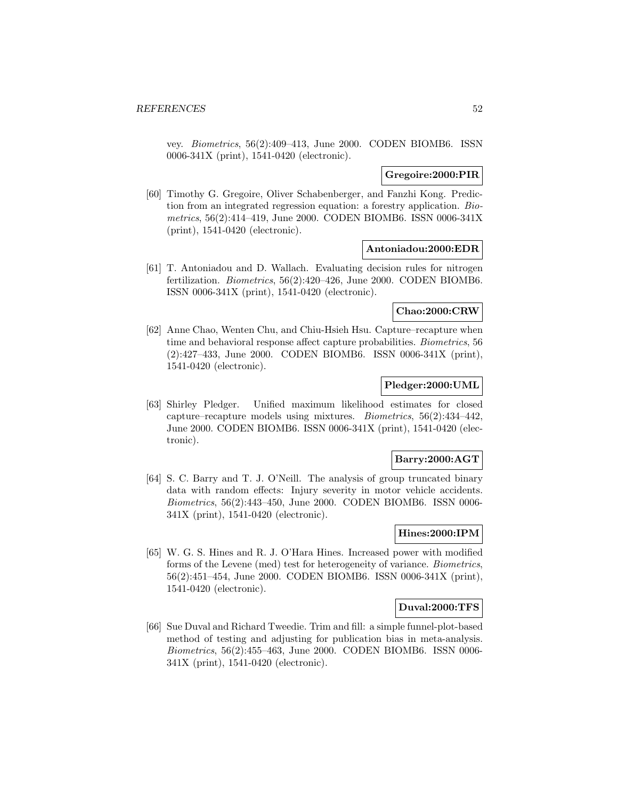vey. Biometrics, 56(2):409–413, June 2000. CODEN BIOMB6. ISSN 0006-341X (print), 1541-0420 (electronic).

### **Gregoire:2000:PIR**

[60] Timothy G. Gregoire, Oliver Schabenberger, and Fanzhi Kong. Prediction from an integrated regression equation: a forestry application. Biometrics, 56(2):414–419, June 2000. CODEN BIOMB6. ISSN 0006-341X (print), 1541-0420 (electronic).

#### **Antoniadou:2000:EDR**

[61] T. Antoniadou and D. Wallach. Evaluating decision rules for nitrogen fertilization. Biometrics, 56(2):420–426, June 2000. CODEN BIOMB6. ISSN 0006-341X (print), 1541-0420 (electronic).

# **Chao:2000:CRW**

[62] Anne Chao, Wenten Chu, and Chiu-Hsieh Hsu. Capture–recapture when time and behavioral response affect capture probabilities. Biometrics, 56 (2):427–433, June 2000. CODEN BIOMB6. ISSN 0006-341X (print), 1541-0420 (electronic).

# **Pledger:2000:UML**

[63] Shirley Pledger. Unified maximum likelihood estimates for closed capture–recapture models using mixtures. Biometrics, 56(2):434–442, June 2000. CODEN BIOMB6. ISSN 0006-341X (print), 1541-0420 (electronic).

#### **Barry:2000:AGT**

[64] S. C. Barry and T. J. O'Neill. The analysis of group truncated binary data with random effects: Injury severity in motor vehicle accidents. Biometrics, 56(2):443–450, June 2000. CODEN BIOMB6. ISSN 0006- 341X (print), 1541-0420 (electronic).

## **Hines:2000:IPM**

[65] W. G. S. Hines and R. J. O'Hara Hines. Increased power with modified forms of the Levene (med) test for heterogeneity of variance. Biometrics, 56(2):451–454, June 2000. CODEN BIOMB6. ISSN 0006-341X (print), 1541-0420 (electronic).

### **Duval:2000:TFS**

[66] Sue Duval and Richard Tweedie. Trim and fill: a simple funnel-plot-based method of testing and adjusting for publication bias in meta-analysis. Biometrics, 56(2):455–463, June 2000. CODEN BIOMB6. ISSN 0006- 341X (print), 1541-0420 (electronic).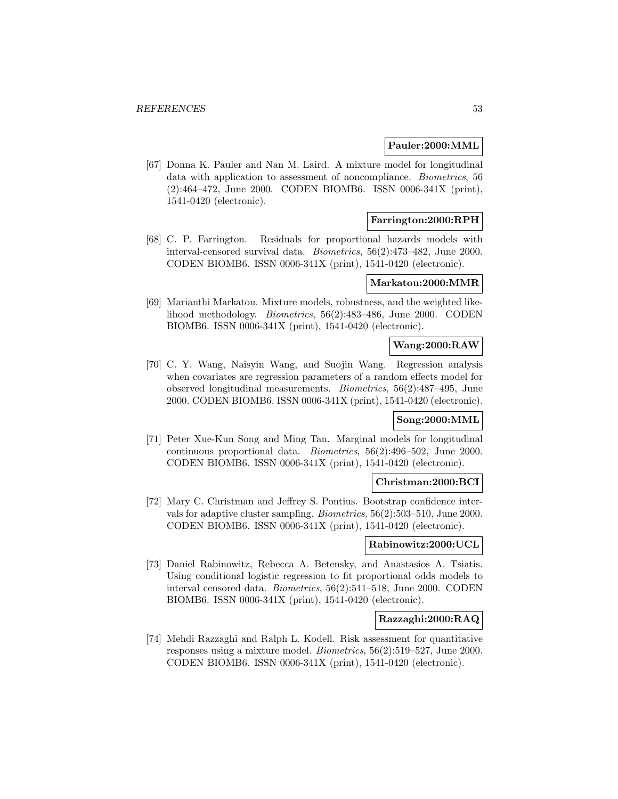#### **Pauler:2000:MML**

[67] Donna K. Pauler and Nan M. Laird. A mixture model for longitudinal data with application to assessment of noncompliance. Biometrics, 56 (2):464–472, June 2000. CODEN BIOMB6. ISSN 0006-341X (print), 1541-0420 (electronic).

### **Farrington:2000:RPH**

[68] C. P. Farrington. Residuals for proportional hazards models with interval-censored survival data. Biometrics, 56(2):473–482, June 2000. CODEN BIOMB6. ISSN 0006-341X (print), 1541-0420 (electronic).

## **Markatou:2000:MMR**

[69] Marianthi Markatou. Mixture models, robustness, and the weighted likelihood methodology. Biometrics, 56(2):483–486, June 2000. CODEN BIOMB6. ISSN 0006-341X (print), 1541-0420 (electronic).

### **Wang:2000:RAW**

[70] C. Y. Wang, Naisyin Wang, and Suojin Wang. Regression analysis when covariates are regression parameters of a random effects model for observed longitudinal measurements. Biometrics, 56(2):487–495, June 2000. CODEN BIOMB6. ISSN 0006-341X (print), 1541-0420 (electronic).

### **Song:2000:MML**

[71] Peter Xue-Kun Song and Ming Tan. Marginal models for longitudinal continuous proportional data. Biometrics, 56(2):496–502, June 2000. CODEN BIOMB6. ISSN 0006-341X (print), 1541-0420 (electronic).

#### **Christman:2000:BCI**

[72] Mary C. Christman and Jeffrey S. Pontius. Bootstrap confidence intervals for adaptive cluster sampling. Biometrics, 56(2):503–510, June 2000. CODEN BIOMB6. ISSN 0006-341X (print), 1541-0420 (electronic).

#### **Rabinowitz:2000:UCL**

[73] Daniel Rabinowitz, Rebecca A. Betensky, and Anastasios A. Tsiatis. Using conditional logistic regression to fit proportional odds models to interval censored data. Biometrics, 56(2):511–518, June 2000. CODEN BIOMB6. ISSN 0006-341X (print), 1541-0420 (electronic).

# **Razzaghi:2000:RAQ**

[74] Mehdi Razzaghi and Ralph L. Kodell. Risk assessment for quantitative responses using a mixture model. Biometrics, 56(2):519–527, June 2000. CODEN BIOMB6. ISSN 0006-341X (print), 1541-0420 (electronic).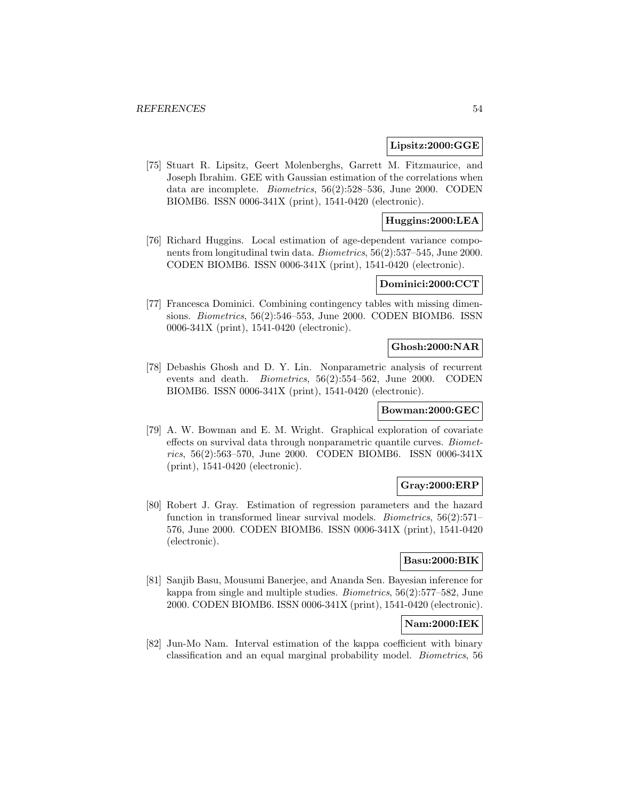#### **Lipsitz:2000:GGE**

[75] Stuart R. Lipsitz, Geert Molenberghs, Garrett M. Fitzmaurice, and Joseph Ibrahim. GEE with Gaussian estimation of the correlations when data are incomplete. Biometrics, 56(2):528–536, June 2000. CODEN BIOMB6. ISSN 0006-341X (print), 1541-0420 (electronic).

## **Huggins:2000:LEA**

[76] Richard Huggins. Local estimation of age-dependent variance components from longitudinal twin data. Biometrics, 56(2):537–545, June 2000. CODEN BIOMB6. ISSN 0006-341X (print), 1541-0420 (electronic).

#### **Dominici:2000:CCT**

[77] Francesca Dominici. Combining contingency tables with missing dimensions. Biometrics, 56(2):546–553, June 2000. CODEN BIOMB6. ISSN 0006-341X (print), 1541-0420 (electronic).

#### **Ghosh:2000:NAR**

[78] Debashis Ghosh and D. Y. Lin. Nonparametric analysis of recurrent events and death. Biometrics, 56(2):554–562, June 2000. CODEN BIOMB6. ISSN 0006-341X (print), 1541-0420 (electronic).

### **Bowman:2000:GEC**

[79] A. W. Bowman and E. M. Wright. Graphical exploration of covariate effects on survival data through nonparametric quantile curves. Biometrics, 56(2):563–570, June 2000. CODEN BIOMB6. ISSN 0006-341X (print), 1541-0420 (electronic).

### **Gray:2000:ERP**

[80] Robert J. Gray. Estimation of regression parameters and the hazard function in transformed linear survival models. Biometrics, 56(2):571– 576, June 2000. CODEN BIOMB6. ISSN 0006-341X (print), 1541-0420 (electronic).

# **Basu:2000:BIK**

[81] Sanjib Basu, Mousumi Banerjee, and Ananda Sen. Bayesian inference for kappa from single and multiple studies. Biometrics, 56(2):577–582, June 2000. CODEN BIOMB6. ISSN 0006-341X (print), 1541-0420 (electronic).

## **Nam:2000:IEK**

[82] Jun-Mo Nam. Interval estimation of the kappa coefficient with binary classification and an equal marginal probability model. Biometrics, 56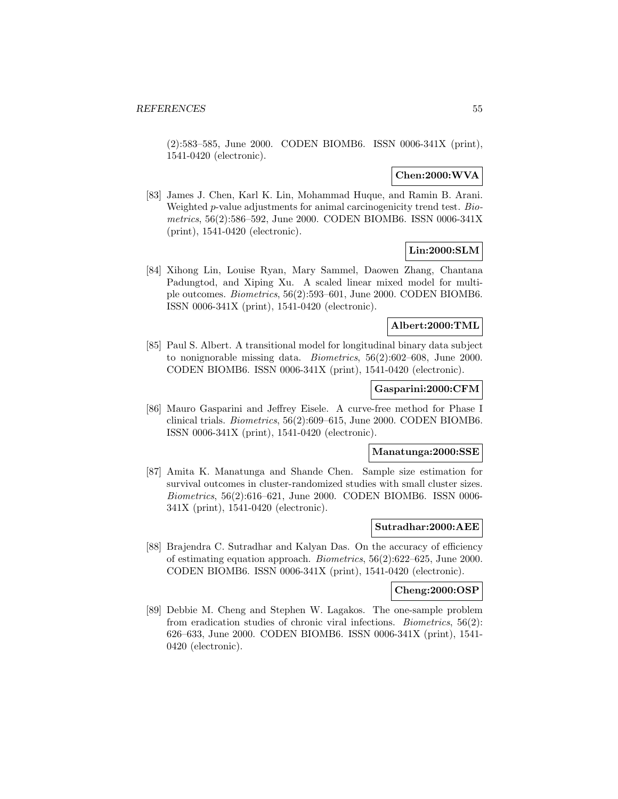(2):583–585, June 2000. CODEN BIOMB6. ISSN 0006-341X (print), 1541-0420 (electronic).

## **Chen:2000:WVA**

[83] James J. Chen, Karl K. Lin, Mohammad Huque, and Ramin B. Arani. Weighted p-value adjustments for animal carcinogenicity trend test. Biometrics, 56(2):586–592, June 2000. CODEN BIOMB6. ISSN 0006-341X (print), 1541-0420 (electronic).

# **Lin:2000:SLM**

[84] Xihong Lin, Louise Ryan, Mary Sammel, Daowen Zhang, Chantana Padungtod, and Xiping Xu. A scaled linear mixed model for multiple outcomes. Biometrics, 56(2):593–601, June 2000. CODEN BIOMB6. ISSN 0006-341X (print), 1541-0420 (electronic).

### **Albert:2000:TML**

[85] Paul S. Albert. A transitional model for longitudinal binary data subject to nonignorable missing data. Biometrics, 56(2):602–608, June 2000. CODEN BIOMB6. ISSN 0006-341X (print), 1541-0420 (electronic).

### **Gasparini:2000:CFM**

[86] Mauro Gasparini and Jeffrey Eisele. A curve-free method for Phase I clinical trials. Biometrics, 56(2):609–615, June 2000. CODEN BIOMB6. ISSN 0006-341X (print), 1541-0420 (electronic).

#### **Manatunga:2000:SSE**

[87] Amita K. Manatunga and Shande Chen. Sample size estimation for survival outcomes in cluster-randomized studies with small cluster sizes. Biometrics, 56(2):616–621, June 2000. CODEN BIOMB6. ISSN 0006- 341X (print), 1541-0420 (electronic).

#### **Sutradhar:2000:AEE**

[88] Brajendra C. Sutradhar and Kalyan Das. On the accuracy of efficiency of estimating equation approach. Biometrics, 56(2):622–625, June 2000. CODEN BIOMB6. ISSN 0006-341X (print), 1541-0420 (electronic).

#### **Cheng:2000:OSP**

[89] Debbie M. Cheng and Stephen W. Lagakos. The one-sample problem from eradication studies of chronic viral infections. Biometrics, 56(2): 626–633, June 2000. CODEN BIOMB6. ISSN 0006-341X (print), 1541- 0420 (electronic).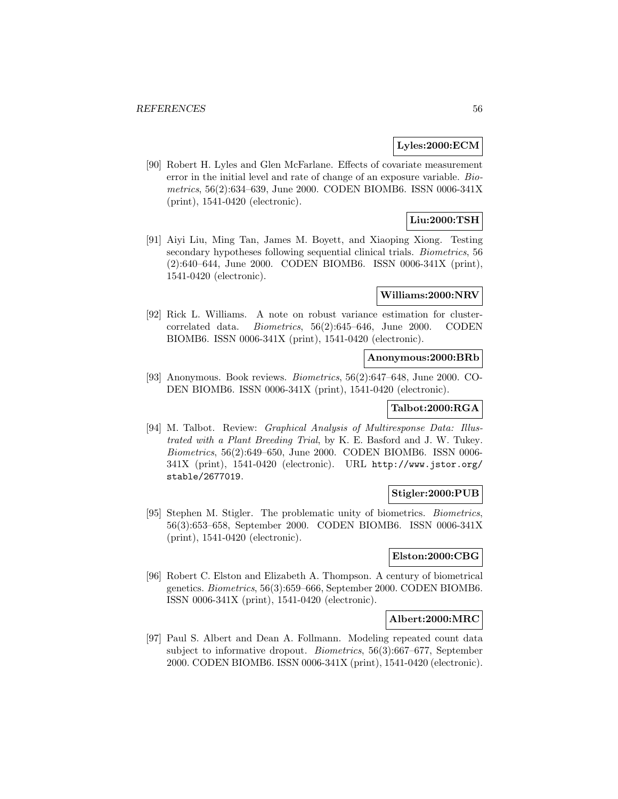## **Lyles:2000:ECM**

[90] Robert H. Lyles and Glen McFarlane. Effects of covariate measurement error in the initial level and rate of change of an exposure variable. Biometrics, 56(2):634–639, June 2000. CODEN BIOMB6. ISSN 0006-341X (print), 1541-0420 (electronic).

# **Liu:2000:TSH**

[91] Aiyi Liu, Ming Tan, James M. Boyett, and Xiaoping Xiong. Testing secondary hypotheses following sequential clinical trials. Biometrics, 56 (2):640–644, June 2000. CODEN BIOMB6. ISSN 0006-341X (print), 1541-0420 (electronic).

#### **Williams:2000:NRV**

[92] Rick L. Williams. A note on robust variance estimation for clustercorrelated data. Biometrics, 56(2):645–646, June 2000. CODEN BIOMB6. ISSN 0006-341X (print), 1541-0420 (electronic).

#### **Anonymous:2000:BRb**

[93] Anonymous. Book reviews. Biometrics, 56(2):647–648, June 2000. CO-DEN BIOMB6. ISSN 0006-341X (print), 1541-0420 (electronic).

# **Talbot:2000:RGA**

[94] M. Talbot. Review: Graphical Analysis of Multiresponse Data: Illustrated with a Plant Breeding Trial, by K. E. Basford and J. W. Tukey. Biometrics, 56(2):649–650, June 2000. CODEN BIOMB6. ISSN 0006- 341X (print), 1541-0420 (electronic). URL http://www.jstor.org/ stable/2677019.

### **Stigler:2000:PUB**

[95] Stephen M. Stigler. The problematic unity of biometrics. Biometrics, 56(3):653–658, September 2000. CODEN BIOMB6. ISSN 0006-341X (print), 1541-0420 (electronic).

## **Elston:2000:CBG**

[96] Robert C. Elston and Elizabeth A. Thompson. A century of biometrical genetics. Biometrics, 56(3):659–666, September 2000. CODEN BIOMB6. ISSN 0006-341X (print), 1541-0420 (electronic).

#### **Albert:2000:MRC**

[97] Paul S. Albert and Dean A. Follmann. Modeling repeated count data subject to informative dropout. Biometrics, 56(3):667–677, September 2000. CODEN BIOMB6. ISSN 0006-341X (print), 1541-0420 (electronic).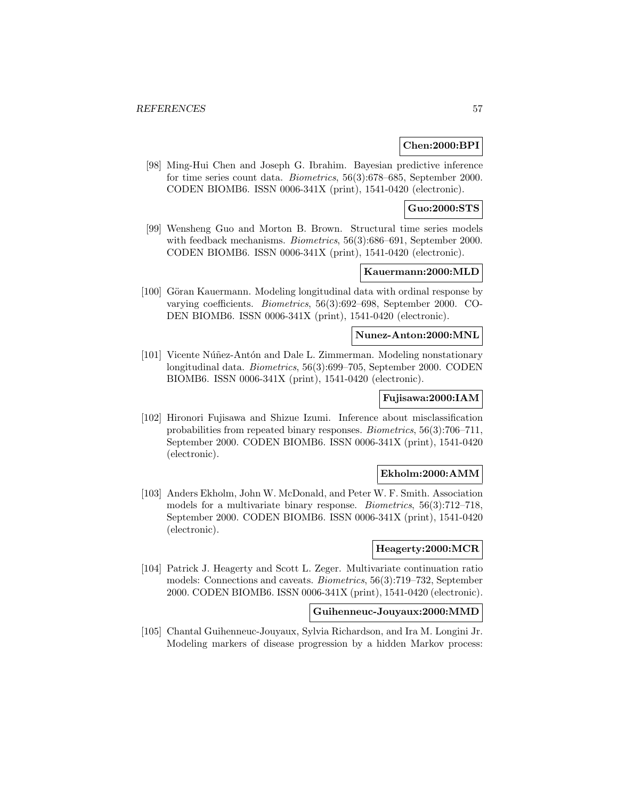## **Chen:2000:BPI**

[98] Ming-Hui Chen and Joseph G. Ibrahim. Bayesian predictive inference for time series count data. Biometrics, 56(3):678–685, September 2000. CODEN BIOMB6. ISSN 0006-341X (print), 1541-0420 (electronic).

## **Guo:2000:STS**

[99] Wensheng Guo and Morton B. Brown. Structural time series models with feedback mechanisms. *Biometrics*, 56(3):686–691, September 2000. CODEN BIOMB6. ISSN 0006-341X (print), 1541-0420 (electronic).

## **Kauermann:2000:MLD**

[100] Göran Kauermann. Modeling longitudinal data with ordinal response by varying coefficients. Biometrics, 56(3):692–698, September 2000. CO-DEN BIOMB6. ISSN 0006-341X (print), 1541-0420 (electronic).

### **Nunez-Anton:2000:MNL**

[101] Vicente Núñez-Antón and Dale L. Zimmerman. Modeling nonstationary longitudinal data. Biometrics, 56(3):699–705, September 2000. CODEN BIOMB6. ISSN 0006-341X (print), 1541-0420 (electronic).

## **Fujisawa:2000:IAM**

[102] Hironori Fujisawa and Shizue Izumi. Inference about misclassification probabilities from repeated binary responses. Biometrics, 56(3):706–711, September 2000. CODEN BIOMB6. ISSN 0006-341X (print), 1541-0420 (electronic).

#### **Ekholm:2000:AMM**

[103] Anders Ekholm, John W. McDonald, and Peter W. F. Smith. Association models for a multivariate binary response. Biometrics, 56(3):712–718, September 2000. CODEN BIOMB6. ISSN 0006-341X (print), 1541-0420 (electronic).

### **Heagerty:2000:MCR**

[104] Patrick J. Heagerty and Scott L. Zeger. Multivariate continuation ratio models: Connections and caveats. Biometrics, 56(3):719–732, September 2000. CODEN BIOMB6. ISSN 0006-341X (print), 1541-0420 (electronic).

#### **Guihenneuc-Jouyaux:2000:MMD**

[105] Chantal Guihenneuc-Jouyaux, Sylvia Richardson, and Ira M. Longini Jr. Modeling markers of disease progression by a hidden Markov process: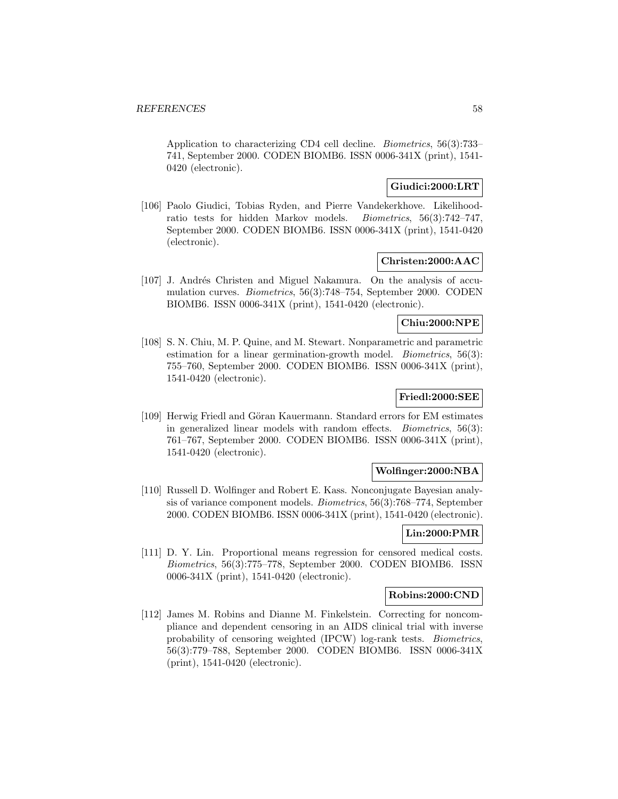Application to characterizing CD4 cell decline. Biometrics, 56(3):733– 741, September 2000. CODEN BIOMB6. ISSN 0006-341X (print), 1541- 0420 (electronic).

# **Giudici:2000:LRT**

[106] Paolo Giudici, Tobias Ryden, and Pierre Vandekerkhove. Likelihoodratio tests for hidden Markov models. Biometrics, 56(3):742–747, September 2000. CODEN BIOMB6. ISSN 0006-341X (print), 1541-0420 (electronic).

### **Christen:2000:AAC**

[107] J. Andrés Christen and Miguel Nakamura. On the analysis of accumulation curves. Biometrics, 56(3):748–754, September 2000. CODEN BIOMB6. ISSN 0006-341X (print), 1541-0420 (electronic).

## **Chiu:2000:NPE**

[108] S. N. Chiu, M. P. Quine, and M. Stewart. Nonparametric and parametric estimation for a linear germination-growth model. Biometrics, 56(3): 755–760, September 2000. CODEN BIOMB6. ISSN 0006-341X (print), 1541-0420 (electronic).

### **Friedl:2000:SEE**

[109] Herwig Friedl and Göran Kauermann. Standard errors for EM estimates in generalized linear models with random effects. Biometrics, 56(3): 761–767, September 2000. CODEN BIOMB6. ISSN 0006-341X (print), 1541-0420 (electronic).

### **Wolfinger:2000:NBA**

[110] Russell D. Wolfinger and Robert E. Kass. Nonconjugate Bayesian analysis of variance component models. Biometrics, 56(3):768–774, September 2000. CODEN BIOMB6. ISSN 0006-341X (print), 1541-0420 (electronic).

# **Lin:2000:PMR**

[111] D. Y. Lin. Proportional means regression for censored medical costs. Biometrics, 56(3):775–778, September 2000. CODEN BIOMB6. ISSN 0006-341X (print), 1541-0420 (electronic).

#### **Robins:2000:CND**

[112] James M. Robins and Dianne M. Finkelstein. Correcting for noncompliance and dependent censoring in an AIDS clinical trial with inverse probability of censoring weighted (IPCW) log-rank tests. Biometrics, 56(3):779–788, September 2000. CODEN BIOMB6. ISSN 0006-341X (print), 1541-0420 (electronic).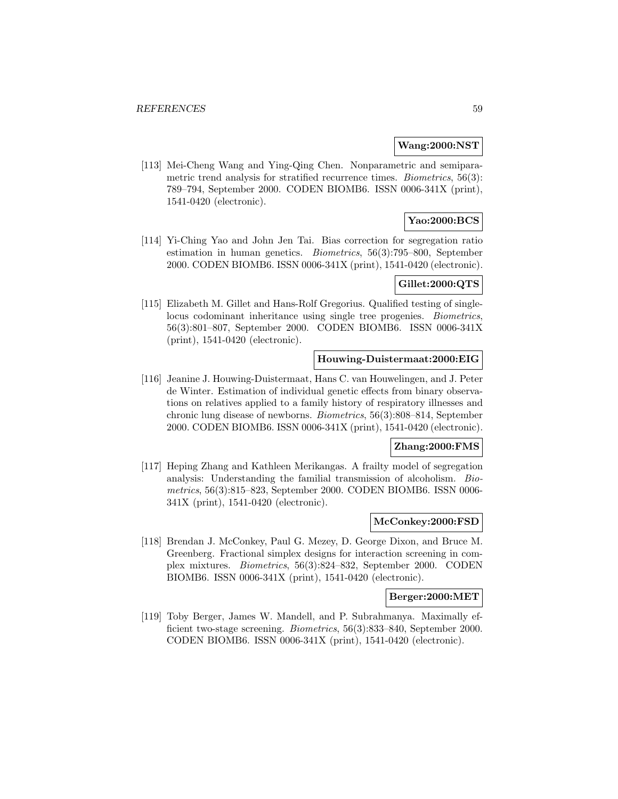### **Wang:2000:NST**

[113] Mei-Cheng Wang and Ying-Qing Chen. Nonparametric and semiparametric trend analysis for stratified recurrence times. *Biometrics*, 56(3): 789–794, September 2000. CODEN BIOMB6. ISSN 0006-341X (print), 1541-0420 (electronic).

# **Yao:2000:BCS**

[114] Yi-Ching Yao and John Jen Tai. Bias correction for segregation ratio estimation in human genetics. Biometrics, 56(3):795–800, September 2000. CODEN BIOMB6. ISSN 0006-341X (print), 1541-0420 (electronic).

## **Gillet:2000:QTS**

[115] Elizabeth M. Gillet and Hans-Rolf Gregorius. Qualified testing of singlelocus codominant inheritance using single tree progenies. Biometrics, 56(3):801–807, September 2000. CODEN BIOMB6. ISSN 0006-341X (print), 1541-0420 (electronic).

### **Houwing-Duistermaat:2000:EIG**

[116] Jeanine J. Houwing-Duistermaat, Hans C. van Houwelingen, and J. Peter de Winter. Estimation of individual genetic effects from binary observations on relatives applied to a family history of respiratory illnesses and chronic lung disease of newborns. Biometrics, 56(3):808–814, September 2000. CODEN BIOMB6. ISSN 0006-341X (print), 1541-0420 (electronic).

#### **Zhang:2000:FMS**

[117] Heping Zhang and Kathleen Merikangas. A frailty model of segregation analysis: Understanding the familial transmission of alcoholism. Biometrics, 56(3):815–823, September 2000. CODEN BIOMB6. ISSN 0006- 341X (print), 1541-0420 (electronic).

### **McConkey:2000:FSD**

[118] Brendan J. McConkey, Paul G. Mezey, D. George Dixon, and Bruce M. Greenberg. Fractional simplex designs for interaction screening in complex mixtures. Biometrics, 56(3):824–832, September 2000. CODEN BIOMB6. ISSN 0006-341X (print), 1541-0420 (electronic).

#### **Berger:2000:MET**

[119] Toby Berger, James W. Mandell, and P. Subrahmanya. Maximally efficient two-stage screening. Biometrics, 56(3):833–840, September 2000. CODEN BIOMB6. ISSN 0006-341X (print), 1541-0420 (electronic).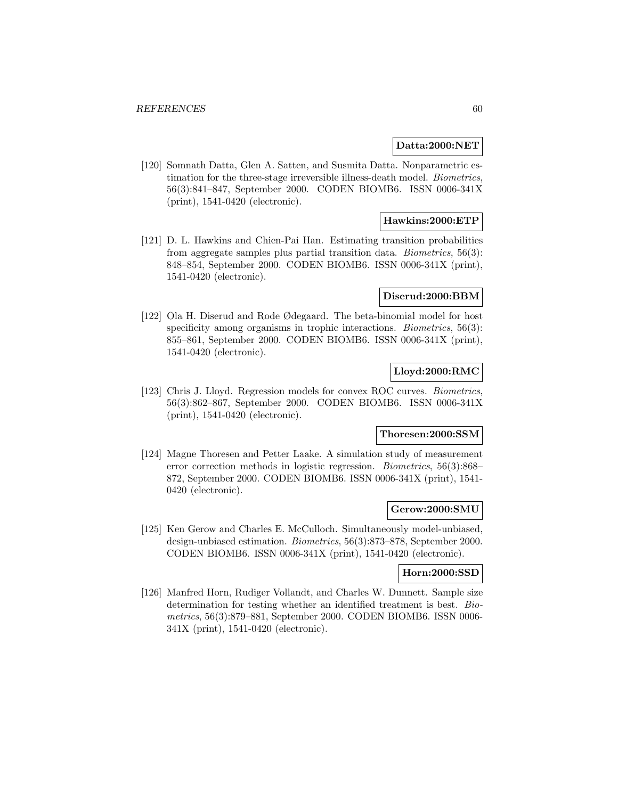### **Datta:2000:NET**

[120] Somnath Datta, Glen A. Satten, and Susmita Datta. Nonparametric estimation for the three-stage irreversible illness-death model. Biometrics, 56(3):841–847, September 2000. CODEN BIOMB6. ISSN 0006-341X (print), 1541-0420 (electronic).

# **Hawkins:2000:ETP**

[121] D. L. Hawkins and Chien-Pai Han. Estimating transition probabilities from aggregate samples plus partial transition data. Biometrics, 56(3): 848–854, September 2000. CODEN BIOMB6. ISSN 0006-341X (print), 1541-0420 (electronic).

### **Diserud:2000:BBM**

[122] Ola H. Diserud and Rode Ødegaard. The beta-binomial model for host specificity among organisms in trophic interactions. *Biometrics*, 56(3): 855–861, September 2000. CODEN BIOMB6. ISSN 0006-341X (print), 1541-0420 (electronic).

# **Lloyd:2000:RMC**

[123] Chris J. Lloyd. Regression models for convex ROC curves. Biometrics, 56(3):862–867, September 2000. CODEN BIOMB6. ISSN 0006-341X (print), 1541-0420 (electronic).

# **Thoresen:2000:SSM**

[124] Magne Thoresen and Petter Laake. A simulation study of measurement error correction methods in logistic regression. Biometrics, 56(3):868– 872, September 2000. CODEN BIOMB6. ISSN 0006-341X (print), 1541- 0420 (electronic).

#### **Gerow:2000:SMU**

[125] Ken Gerow and Charles E. McCulloch. Simultaneously model-unbiased, design-unbiased estimation. Biometrics, 56(3):873–878, September 2000. CODEN BIOMB6. ISSN 0006-341X (print), 1541-0420 (electronic).

### **Horn:2000:SSD**

[126] Manfred Horn, Rudiger Vollandt, and Charles W. Dunnett. Sample size determination for testing whether an identified treatment is best. Biometrics, 56(3):879–881, September 2000. CODEN BIOMB6. ISSN 0006- 341X (print), 1541-0420 (electronic).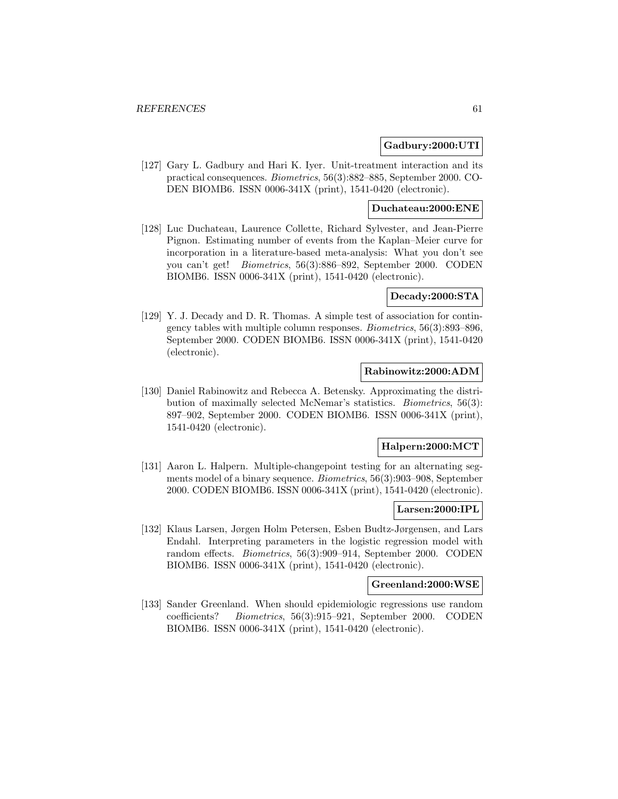### **Gadbury:2000:UTI**

[127] Gary L. Gadbury and Hari K. Iyer. Unit-treatment interaction and its practical consequences. Biometrics, 56(3):882–885, September 2000. CO-DEN BIOMB6. ISSN 0006-341X (print), 1541-0420 (electronic).

## **Duchateau:2000:ENE**

[128] Luc Duchateau, Laurence Collette, Richard Sylvester, and Jean-Pierre Pignon. Estimating number of events from the Kaplan–Meier curve for incorporation in a literature-based meta-analysis: What you don't see you can't get! Biometrics, 56(3):886–892, September 2000. CODEN BIOMB6. ISSN 0006-341X (print), 1541-0420 (electronic).

## **Decady:2000:STA**

[129] Y. J. Decady and D. R. Thomas. A simple test of association for contingency tables with multiple column responses. Biometrics, 56(3):893–896, September 2000. CODEN BIOMB6. ISSN 0006-341X (print), 1541-0420 (electronic).

## **Rabinowitz:2000:ADM**

[130] Daniel Rabinowitz and Rebecca A. Betensky. Approximating the distribution of maximally selected McNemar's statistics. Biometrics, 56(3): 897–902, September 2000. CODEN BIOMB6. ISSN 0006-341X (print), 1541-0420 (electronic).

### **Halpern:2000:MCT**

[131] Aaron L. Halpern. Multiple-changepoint testing for an alternating segments model of a binary sequence. Biometrics, 56(3):903–908, September 2000. CODEN BIOMB6. ISSN 0006-341X (print), 1541-0420 (electronic).

### **Larsen:2000:IPL**

[132] Klaus Larsen, Jørgen Holm Petersen, Esben Budtz-Jørgensen, and Lars Endahl. Interpreting parameters in the logistic regression model with random effects. Biometrics, 56(3):909–914, September 2000. CODEN BIOMB6. ISSN 0006-341X (print), 1541-0420 (electronic).

#### **Greenland:2000:WSE**

[133] Sander Greenland. When should epidemiologic regressions use random coefficients? Biometrics, 56(3):915–921, September 2000. CODEN BIOMB6. ISSN 0006-341X (print), 1541-0420 (electronic).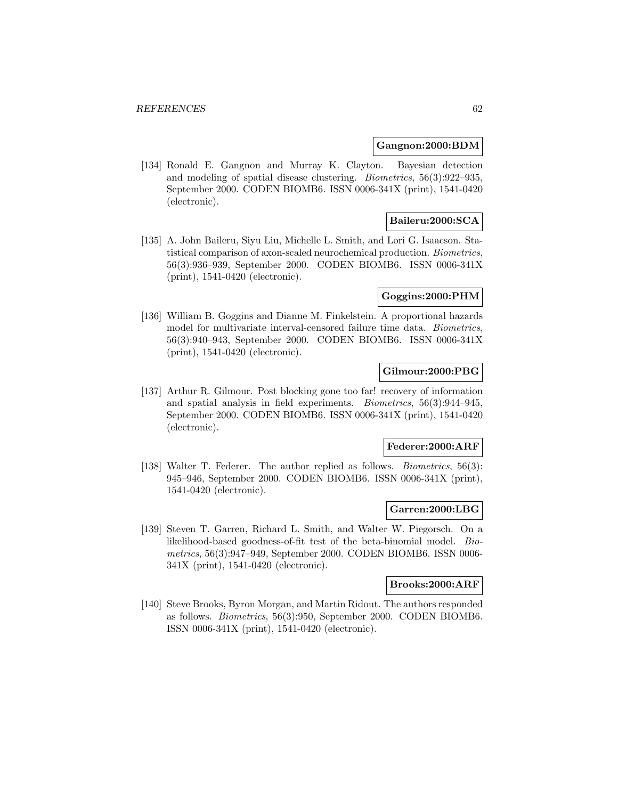#### **Gangnon:2000:BDM**

[134] Ronald E. Gangnon and Murray K. Clayton. Bayesian detection and modeling of spatial disease clustering. Biometrics, 56(3):922–935, September 2000. CODEN BIOMB6. ISSN 0006-341X (print), 1541-0420 (electronic).

# **Baileru:2000:SCA**

[135] A. John Baileru, Siyu Liu, Michelle L. Smith, and Lori G. Isaacson. Statistical comparison of axon-scaled neurochemical production. Biometrics, 56(3):936–939, September 2000. CODEN BIOMB6. ISSN 0006-341X (print), 1541-0420 (electronic).

### **Goggins:2000:PHM**

[136] William B. Goggins and Dianne M. Finkelstein. A proportional hazards model for multivariate interval-censored failure time data. Biometrics, 56(3):940–943, September 2000. CODEN BIOMB6. ISSN 0006-341X (print), 1541-0420 (electronic).

## **Gilmour:2000:PBG**

[137] Arthur R. Gilmour. Post blocking gone too far! recovery of information and spatial analysis in field experiments. Biometrics, 56(3):944–945, September 2000. CODEN BIOMB6. ISSN 0006-341X (print), 1541-0420 (electronic).

#### **Federer:2000:ARF**

[138] Walter T. Federer. The author replied as follows. *Biometrics*, 56(3): 945–946, September 2000. CODEN BIOMB6. ISSN 0006-341X (print), 1541-0420 (electronic).

### **Garren:2000:LBG**

[139] Steven T. Garren, Richard L. Smith, and Walter W. Piegorsch. On a likelihood-based goodness-of-fit test of the beta-binomial model. Biometrics, 56(3):947–949, September 2000. CODEN BIOMB6. ISSN 0006- 341X (print), 1541-0420 (electronic).

### **Brooks:2000:ARF**

[140] Steve Brooks, Byron Morgan, and Martin Ridout. The authors responded as follows. Biometrics, 56(3):950, September 2000. CODEN BIOMB6. ISSN 0006-341X (print), 1541-0420 (electronic).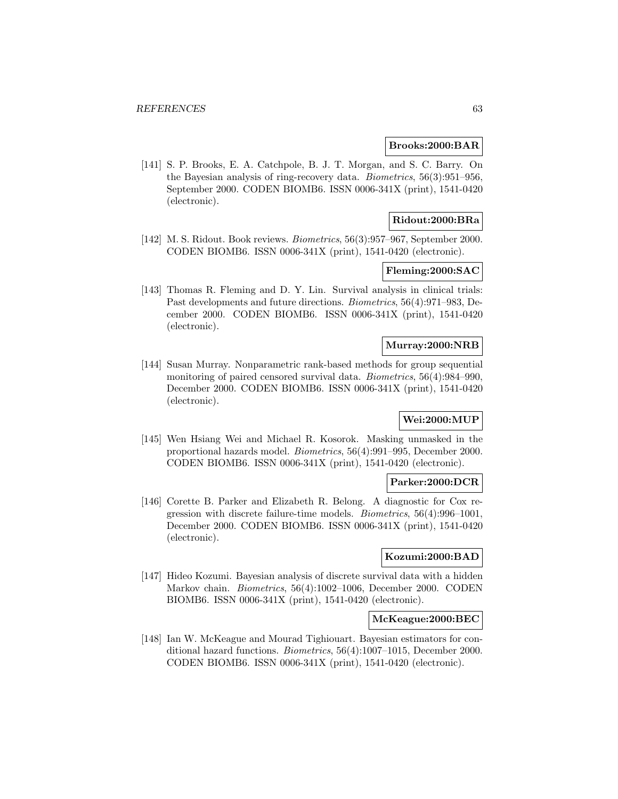#### **Brooks:2000:BAR**

[141] S. P. Brooks, E. A. Catchpole, B. J. T. Morgan, and S. C. Barry. On the Bayesian analysis of ring-recovery data. Biometrics, 56(3):951–956, September 2000. CODEN BIOMB6. ISSN 0006-341X (print), 1541-0420 (electronic).

## **Ridout:2000:BRa**

[142] M. S. Ridout. Book reviews. Biometrics, 56(3):957–967, September 2000. CODEN BIOMB6. ISSN 0006-341X (print), 1541-0420 (electronic).

## **Fleming:2000:SAC**

[143] Thomas R. Fleming and D. Y. Lin. Survival analysis in clinical trials: Past developments and future directions. Biometrics, 56(4):971–983, December 2000. CODEN BIOMB6. ISSN 0006-341X (print), 1541-0420 (electronic).

#### **Murray:2000:NRB**

[144] Susan Murray. Nonparametric rank-based methods for group sequential monitoring of paired censored survival data. Biometrics, 56(4):984–990, December 2000. CODEN BIOMB6. ISSN 0006-341X (print), 1541-0420 (electronic).

# **Wei:2000:MUP**

[145] Wen Hsiang Wei and Michael R. Kosorok. Masking unmasked in the proportional hazards model. Biometrics, 56(4):991–995, December 2000. CODEN BIOMB6. ISSN 0006-341X (print), 1541-0420 (electronic).

## **Parker:2000:DCR**

[146] Corette B. Parker and Elizabeth R. Belong. A diagnostic for Cox regression with discrete failure-time models. Biometrics, 56(4):996–1001, December 2000. CODEN BIOMB6. ISSN 0006-341X (print), 1541-0420 (electronic).

### **Kozumi:2000:BAD**

[147] Hideo Kozumi. Bayesian analysis of discrete survival data with a hidden Markov chain. Biometrics, 56(4):1002–1006, December 2000. CODEN BIOMB6. ISSN 0006-341X (print), 1541-0420 (electronic).

#### **McKeague:2000:BEC**

[148] Ian W. McKeague and Mourad Tighiouart. Bayesian estimators for conditional hazard functions. Biometrics, 56(4):1007–1015, December 2000. CODEN BIOMB6. ISSN 0006-341X (print), 1541-0420 (electronic).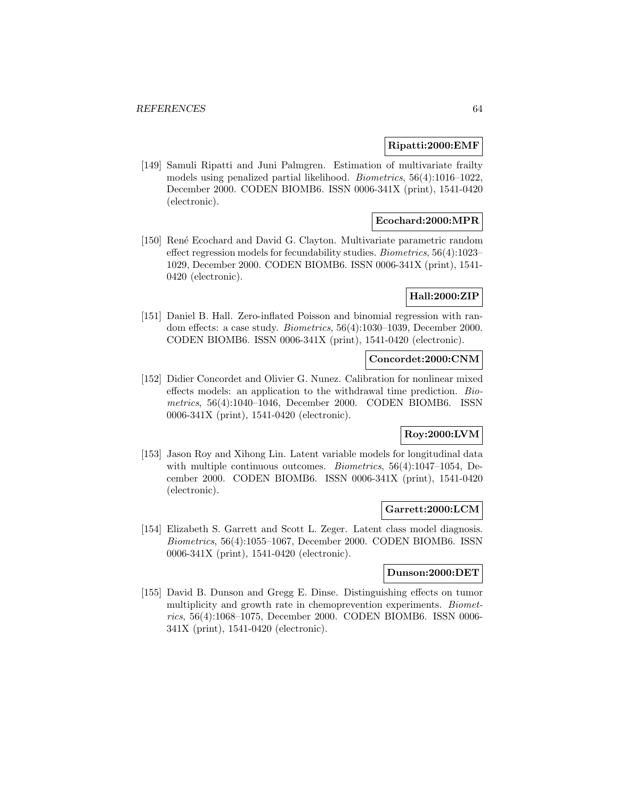#### **Ripatti:2000:EMF**

[149] Samuli Ripatti and Juni Palmgren. Estimation of multivariate frailty models using penalized partial likelihood. Biometrics, 56(4):1016–1022, December 2000. CODEN BIOMB6. ISSN 0006-341X (print), 1541-0420 (electronic).

## **Ecochard:2000:MPR**

[150] René Ecochard and David G. Clayton. Multivariate parametric random effect regression models for fecundability studies. Biometrics, 56(4):1023– 1029, December 2000. CODEN BIOMB6. ISSN 0006-341X (print), 1541- 0420 (electronic).

## **Hall:2000:ZIP**

[151] Daniel B. Hall. Zero-inflated Poisson and binomial regression with random effects: a case study. Biometrics, 56(4):1030–1039, December 2000. CODEN BIOMB6. ISSN 0006-341X (print), 1541-0420 (electronic).

### **Concordet:2000:CNM**

[152] Didier Concordet and Olivier G. Nunez. Calibration for nonlinear mixed effects models: an application to the withdrawal time prediction. Biometrics, 56(4):1040–1046, December 2000. CODEN BIOMB6. ISSN 0006-341X (print), 1541-0420 (electronic).

# **Roy:2000:LVM**

[153] Jason Roy and Xihong Lin. Latent variable models for longitudinal data with multiple continuous outcomes. *Biometrics*, 56(4):1047-1054, December 2000. CODEN BIOMB6. ISSN 0006-341X (print), 1541-0420 (electronic).

#### **Garrett:2000:LCM**

[154] Elizabeth S. Garrett and Scott L. Zeger. Latent class model diagnosis. Biometrics, 56(4):1055–1067, December 2000. CODEN BIOMB6. ISSN 0006-341X (print), 1541-0420 (electronic).

#### **Dunson:2000:DET**

[155] David B. Dunson and Gregg E. Dinse. Distinguishing effects on tumor multiplicity and growth rate in chemoprevention experiments. Biometrics, 56(4):1068–1075, December 2000. CODEN BIOMB6. ISSN 0006- 341X (print), 1541-0420 (electronic).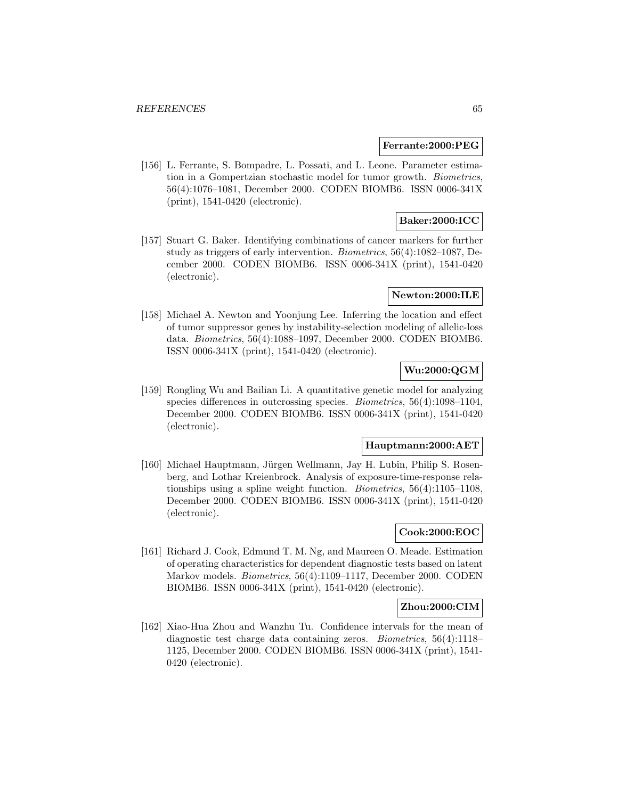#### **Ferrante:2000:PEG**

[156] L. Ferrante, S. Bompadre, L. Possati, and L. Leone. Parameter estimation in a Gompertzian stochastic model for tumor growth. Biometrics, 56(4):1076–1081, December 2000. CODEN BIOMB6. ISSN 0006-341X (print), 1541-0420 (electronic).

## **Baker:2000:ICC**

[157] Stuart G. Baker. Identifying combinations of cancer markers for further study as triggers of early intervention. Biometrics, 56(4):1082–1087, December 2000. CODEN BIOMB6. ISSN 0006-341X (print), 1541-0420 (electronic).

### **Newton:2000:ILE**

[158] Michael A. Newton and Yoonjung Lee. Inferring the location and effect of tumor suppressor genes by instability-selection modeling of allelic-loss data. Biometrics, 56(4):1088–1097, December 2000. CODEN BIOMB6. ISSN 0006-341X (print), 1541-0420 (electronic).

# **Wu:2000:QGM**

[159] Rongling Wu and Bailian Li. A quantitative genetic model for analyzing species differences in outcrossing species. Biometrics, 56(4):1098–1104, December 2000. CODEN BIOMB6. ISSN 0006-341X (print), 1541-0420 (electronic).

#### **Hauptmann:2000:AET**

[160] Michael Hauptmann, Jürgen Wellmann, Jay H. Lubin, Philip S. Rosenberg, and Lothar Kreienbrock. Analysis of exposure-time-response relationships using a spline weight function. Biometrics, 56(4):1105–1108, December 2000. CODEN BIOMB6. ISSN 0006-341X (print), 1541-0420 (electronic).

# **Cook:2000:EOC**

[161] Richard J. Cook, Edmund T. M. Ng, and Maureen O. Meade. Estimation of operating characteristics for dependent diagnostic tests based on latent Markov models. Biometrics, 56(4):1109–1117, December 2000. CODEN BIOMB6. ISSN 0006-341X (print), 1541-0420 (electronic).

# **Zhou:2000:CIM**

[162] Xiao-Hua Zhou and Wanzhu Tu. Confidence intervals for the mean of diagnostic test charge data containing zeros. Biometrics, 56(4):1118– 1125, December 2000. CODEN BIOMB6. ISSN 0006-341X (print), 1541- 0420 (electronic).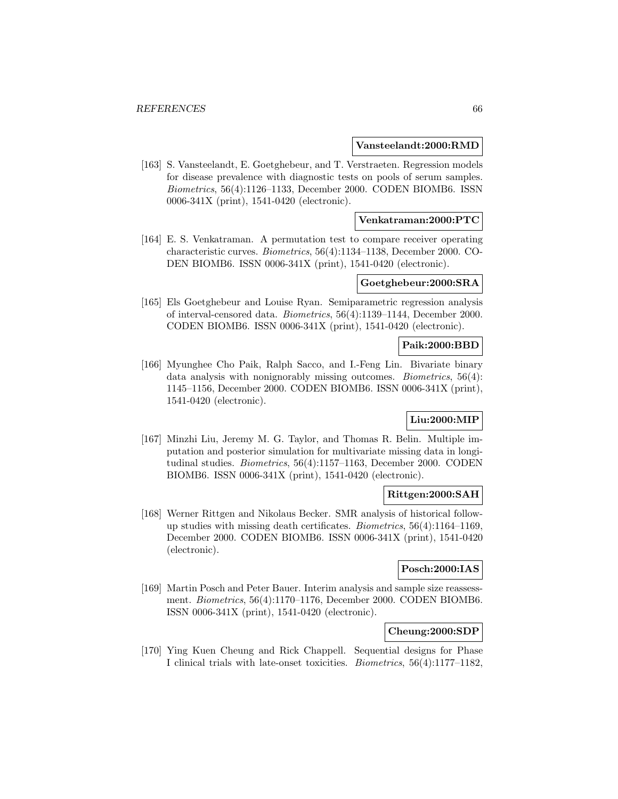#### **Vansteelandt:2000:RMD**

[163] S. Vansteelandt, E. Goetghebeur, and T. Verstraeten. Regression models for disease prevalence with diagnostic tests on pools of serum samples. Biometrics, 56(4):1126–1133, December 2000. CODEN BIOMB6. ISSN 0006-341X (print), 1541-0420 (electronic).

### **Venkatraman:2000:PTC**

[164] E. S. Venkatraman. A permutation test to compare receiver operating characteristic curves. Biometrics, 56(4):1134–1138, December 2000. CO-DEN BIOMB6. ISSN 0006-341X (print), 1541-0420 (electronic).

# **Goetghebeur:2000:SRA**

[165] Els Goetghebeur and Louise Ryan. Semiparametric regression analysis of interval-censored data. Biometrics, 56(4):1139–1144, December 2000. CODEN BIOMB6. ISSN 0006-341X (print), 1541-0420 (electronic).

#### **Paik:2000:BBD**

[166] Myunghee Cho Paik, Ralph Sacco, and I.-Feng Lin. Bivariate binary data analysis with nonignorably missing outcomes. *Biometrics*, 56(4): 1145–1156, December 2000. CODEN BIOMB6. ISSN 0006-341X (print), 1541-0420 (electronic).

# **Liu:2000:MIP**

[167] Minzhi Liu, Jeremy M. G. Taylor, and Thomas R. Belin. Multiple imputation and posterior simulation for multivariate missing data in longitudinal studies. Biometrics, 56(4):1157–1163, December 2000. CODEN BIOMB6. ISSN 0006-341X (print), 1541-0420 (electronic).

#### **Rittgen:2000:SAH**

[168] Werner Rittgen and Nikolaus Becker. SMR analysis of historical followup studies with missing death certificates. Biometrics, 56(4):1164–1169, December 2000. CODEN BIOMB6. ISSN 0006-341X (print), 1541-0420 (electronic).

# **Posch:2000:IAS**

[169] Martin Posch and Peter Bauer. Interim analysis and sample size reassessment. Biometrics, 56(4):1170–1176, December 2000. CODEN BIOMB6. ISSN 0006-341X (print), 1541-0420 (electronic).

# **Cheung:2000:SDP**

[170] Ying Kuen Cheung and Rick Chappell. Sequential designs for Phase I clinical trials with late-onset toxicities. Biometrics, 56(4):1177–1182,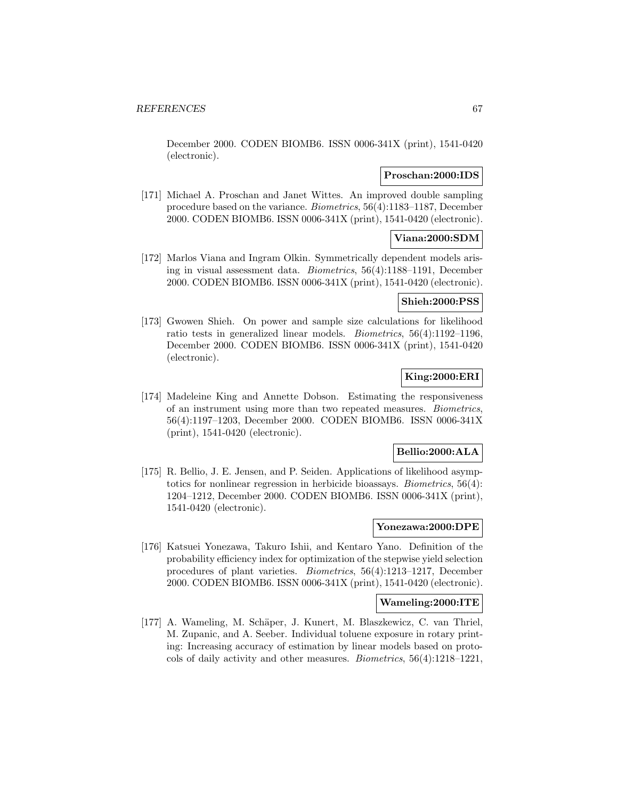December 2000. CODEN BIOMB6. ISSN 0006-341X (print), 1541-0420 (electronic).

### **Proschan:2000:IDS**

[171] Michael A. Proschan and Janet Wittes. An improved double sampling procedure based on the variance. Biometrics, 56(4):1183–1187, December 2000. CODEN BIOMB6. ISSN 0006-341X (print), 1541-0420 (electronic).

# **Viana:2000:SDM**

[172] Marlos Viana and Ingram Olkin. Symmetrically dependent models arising in visual assessment data. Biometrics, 56(4):1188–1191, December 2000. CODEN BIOMB6. ISSN 0006-341X (print), 1541-0420 (electronic).

# **Shieh:2000:PSS**

[173] Gwowen Shieh. On power and sample size calculations for likelihood ratio tests in generalized linear models. Biometrics, 56(4):1192–1196, December 2000. CODEN BIOMB6. ISSN 0006-341X (print), 1541-0420 (electronic).

# **King:2000:ERI**

[174] Madeleine King and Annette Dobson. Estimating the responsiveness of an instrument using more than two repeated measures. Biometrics, 56(4):1197–1203, December 2000. CODEN BIOMB6. ISSN 0006-341X (print), 1541-0420 (electronic).

## **Bellio:2000:ALA**

[175] R. Bellio, J. E. Jensen, and P. Seiden. Applications of likelihood asymptotics for nonlinear regression in herbicide bioassays. Biometrics, 56(4): 1204–1212, December 2000. CODEN BIOMB6. ISSN 0006-341X (print), 1541-0420 (electronic).

#### **Yonezawa:2000:DPE**

[176] Katsuei Yonezawa, Takuro Ishii, and Kentaro Yano. Definition of the probability efficiency index for optimization of the stepwise yield selection procedures of plant varieties. Biometrics, 56(4):1213–1217, December 2000. CODEN BIOMB6. ISSN 0006-341X (print), 1541-0420 (electronic).

## **Wameling:2000:ITE**

[177] A. Wameling, M. Schäper, J. Kunert, M. Blaszkewicz, C. van Thriel, M. Zupanic, and A. Seeber. Individual toluene exposure in rotary printing: Increasing accuracy of estimation by linear models based on protocols of daily activity and other measures. Biometrics, 56(4):1218–1221,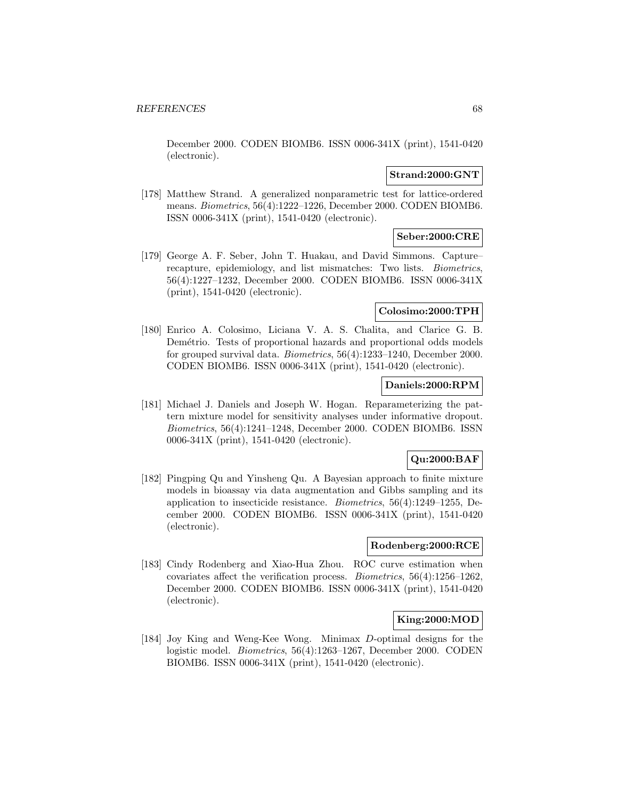December 2000. CODEN BIOMB6. ISSN 0006-341X (print), 1541-0420 (electronic).

## **Strand:2000:GNT**

[178] Matthew Strand. A generalized nonparametric test for lattice-ordered means. Biometrics, 56(4):1222–1226, December 2000. CODEN BIOMB6. ISSN 0006-341X (print), 1541-0420 (electronic).

# **Seber:2000:CRE**

[179] George A. F. Seber, John T. Huakau, and David Simmons. Capture– recapture, epidemiology, and list mismatches: Two lists. Biometrics, 56(4):1227–1232, December 2000. CODEN BIOMB6. ISSN 0006-341X (print), 1541-0420 (electronic).

# **Colosimo:2000:TPH**

[180] Enrico A. Colosimo, Liciana V. A. S. Chalita, and Clarice G. B. Demétrio. Tests of proportional hazards and proportional odds models for grouped survival data. Biometrics, 56(4):1233–1240, December 2000. CODEN BIOMB6. ISSN 0006-341X (print), 1541-0420 (electronic).

#### **Daniels:2000:RPM**

[181] Michael J. Daniels and Joseph W. Hogan. Reparameterizing the pattern mixture model for sensitivity analyses under informative dropout. Biometrics, 56(4):1241–1248, December 2000. CODEN BIOMB6. ISSN 0006-341X (print), 1541-0420 (electronic).

# **Qu:2000:BAF**

[182] Pingping Qu and Yinsheng Qu. A Bayesian approach to finite mixture models in bioassay via data augmentation and Gibbs sampling and its application to insecticide resistance. Biometrics, 56(4):1249–1255, December 2000. CODEN BIOMB6. ISSN 0006-341X (print), 1541-0420 (electronic).

### **Rodenberg:2000:RCE**

[183] Cindy Rodenberg and Xiao-Hua Zhou. ROC curve estimation when covariates affect the verification process. Biometrics, 56(4):1256–1262, December 2000. CODEN BIOMB6. ISSN 0006-341X (print), 1541-0420 (electronic).

# **King:2000:MOD**

[184] Joy King and Weng-Kee Wong. Minimax D-optimal designs for the logistic model. Biometrics, 56(4):1263–1267, December 2000. CODEN BIOMB6. ISSN 0006-341X (print), 1541-0420 (electronic).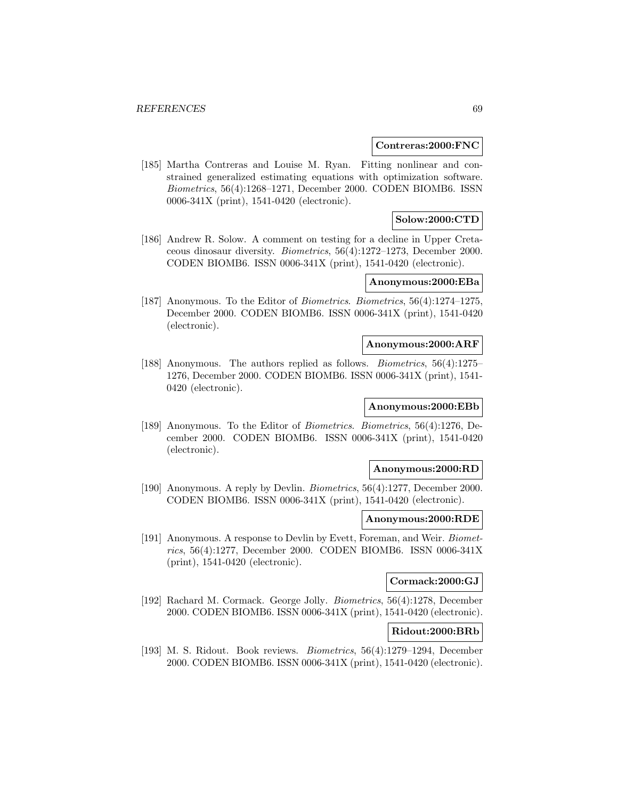#### **Contreras:2000:FNC**

[185] Martha Contreras and Louise M. Ryan. Fitting nonlinear and constrained generalized estimating equations with optimization software. Biometrics, 56(4):1268–1271, December 2000. CODEN BIOMB6. ISSN 0006-341X (print), 1541-0420 (electronic).

### **Solow:2000:CTD**

[186] Andrew R. Solow. A comment on testing for a decline in Upper Cretaceous dinosaur diversity. Biometrics, 56(4):1272–1273, December 2000. CODEN BIOMB6. ISSN 0006-341X (print), 1541-0420 (electronic).

## **Anonymous:2000:EBa**

[187] Anonymous. To the Editor of Biometrics. Biometrics, 56(4):1274–1275, December 2000. CODEN BIOMB6. ISSN 0006-341X (print), 1541-0420 (electronic).

#### **Anonymous:2000:ARF**

[188] Anonymous. The authors replied as follows. Biometrics, 56(4):1275– 1276, December 2000. CODEN BIOMB6. ISSN 0006-341X (print), 1541- 0420 (electronic).

#### **Anonymous:2000:EBb**

[189] Anonymous. To the Editor of Biometrics. Biometrics, 56(4):1276, December 2000. CODEN BIOMB6. ISSN 0006-341X (print), 1541-0420 (electronic).

#### **Anonymous:2000:RD**

[190] Anonymous. A reply by Devlin. Biometrics, 56(4):1277, December 2000. CODEN BIOMB6. ISSN 0006-341X (print), 1541-0420 (electronic).

#### **Anonymous:2000:RDE**

[191] Anonymous. A response to Devlin by Evett, Foreman, and Weir. Biometrics, 56(4):1277, December 2000. CODEN BIOMB6. ISSN 0006-341X (print), 1541-0420 (electronic).

## **Cormack:2000:GJ**

[192] Rachard M. Cormack. George Jolly. Biometrics, 56(4):1278, December 2000. CODEN BIOMB6. ISSN 0006-341X (print), 1541-0420 (electronic).

## **Ridout:2000:BRb**

[193] M. S. Ridout. Book reviews. Biometrics, 56(4):1279–1294, December 2000. CODEN BIOMB6. ISSN 0006-341X (print), 1541-0420 (electronic).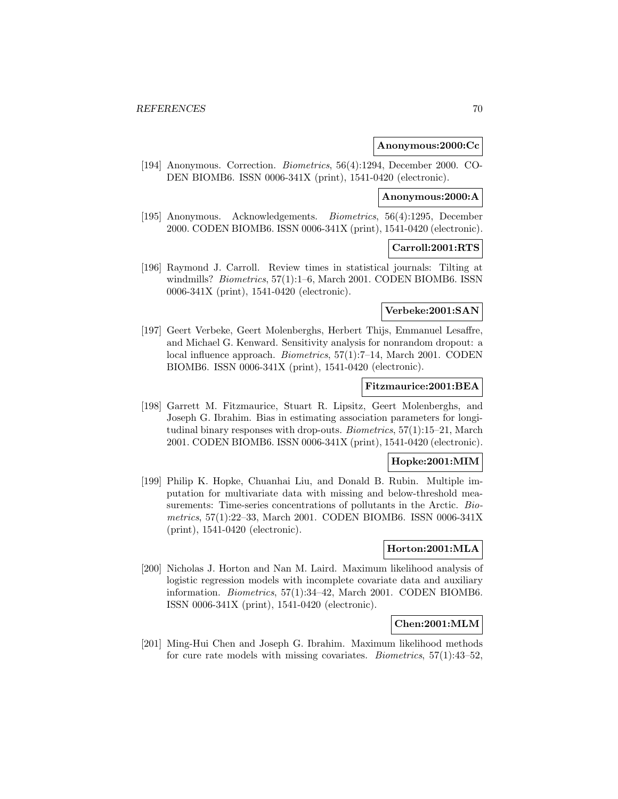#### **Anonymous:2000:Cc**

[194] Anonymous. Correction. Biometrics, 56(4):1294, December 2000. CO-DEN BIOMB6. ISSN 0006-341X (print), 1541-0420 (electronic).

## **Anonymous:2000:A**

[195] Anonymous. Acknowledgements. Biometrics, 56(4):1295, December 2000. CODEN BIOMB6. ISSN 0006-341X (print), 1541-0420 (electronic).

#### **Carroll:2001:RTS**

[196] Raymond J. Carroll. Review times in statistical journals: Tilting at windmills? *Biometrics*, 57(1):1–6, March 2001. CODEN BIOMB6. ISSN 0006-341X (print), 1541-0420 (electronic).

### **Verbeke:2001:SAN**

[197] Geert Verbeke, Geert Molenberghs, Herbert Thijs, Emmanuel Lesaffre, and Michael G. Kenward. Sensitivity analysis for nonrandom dropout: a local influence approach. Biometrics, 57(1):7–14, March 2001. CODEN BIOMB6. ISSN 0006-341X (print), 1541-0420 (electronic).

## **Fitzmaurice:2001:BEA**

[198] Garrett M. Fitzmaurice, Stuart R. Lipsitz, Geert Molenberghs, and Joseph G. Ibrahim. Bias in estimating association parameters for longitudinal binary responses with drop-outs. Biometrics, 57(1):15–21, March 2001. CODEN BIOMB6. ISSN 0006-341X (print), 1541-0420 (electronic).

## **Hopke:2001:MIM**

[199] Philip K. Hopke, Chuanhai Liu, and Donald B. Rubin. Multiple imputation for multivariate data with missing and below-threshold measurements: Time-series concentrations of pollutants in the Arctic. Biometrics, 57(1):22–33, March 2001. CODEN BIOMB6. ISSN 0006-341X (print), 1541-0420 (electronic).

### **Horton:2001:MLA**

[200] Nicholas J. Horton and Nan M. Laird. Maximum likelihood analysis of logistic regression models with incomplete covariate data and auxiliary information. Biometrics, 57(1):34–42, March 2001. CODEN BIOMB6. ISSN 0006-341X (print), 1541-0420 (electronic).

## **Chen:2001:MLM**

[201] Ming-Hui Chen and Joseph G. Ibrahim. Maximum likelihood methods for cure rate models with missing covariates. Biometrics, 57(1):43–52,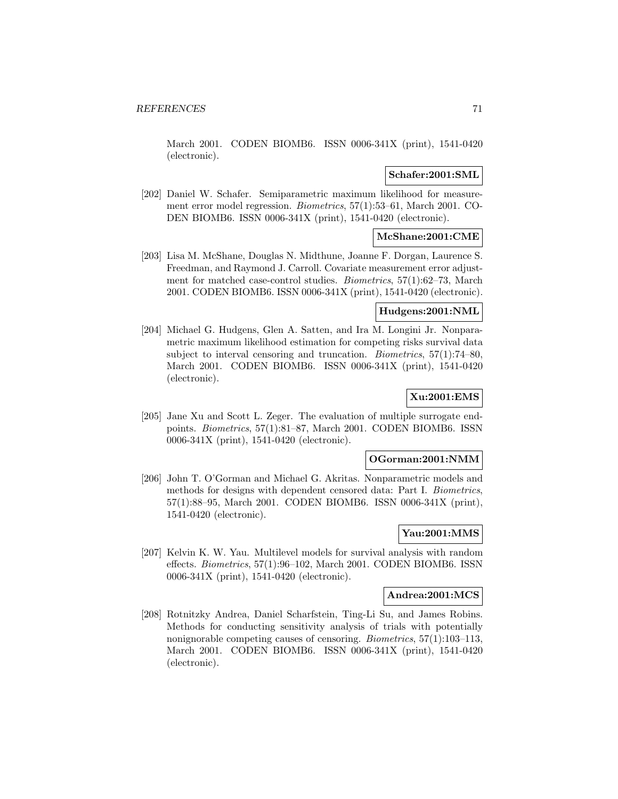March 2001. CODEN BIOMB6. ISSN 0006-341X (print), 1541-0420 (electronic).

### **Schafer:2001:SML**

[202] Daniel W. Schafer. Semiparametric maximum likelihood for measurement error model regression. Biometrics, 57(1):53–61, March 2001. CO-DEN BIOMB6. ISSN 0006-341X (print), 1541-0420 (electronic).

# **McShane:2001:CME**

[203] Lisa M. McShane, Douglas N. Midthune, Joanne F. Dorgan, Laurence S. Freedman, and Raymond J. Carroll. Covariate measurement error adjustment for matched case-control studies. Biometrics, 57(1):62–73, March 2001. CODEN BIOMB6. ISSN 0006-341X (print), 1541-0420 (electronic).

## **Hudgens:2001:NML**

[204] Michael G. Hudgens, Glen A. Satten, and Ira M. Longini Jr. Nonparametric maximum likelihood estimation for competing risks survival data subject to interval censoring and truncation. Biometrics, 57(1):74–80, March 2001. CODEN BIOMB6. ISSN 0006-341X (print), 1541-0420 (electronic).

# **Xu:2001:EMS**

[205] Jane Xu and Scott L. Zeger. The evaluation of multiple surrogate endpoints. Biometrics, 57(1):81–87, March 2001. CODEN BIOMB6. ISSN 0006-341X (print), 1541-0420 (electronic).

#### **OGorman:2001:NMM**

[206] John T. O'Gorman and Michael G. Akritas. Nonparametric models and methods for designs with dependent censored data: Part I. Biometrics, 57(1):88–95, March 2001. CODEN BIOMB6. ISSN 0006-341X (print), 1541-0420 (electronic).

## **Yau:2001:MMS**

[207] Kelvin K. W. Yau. Multilevel models for survival analysis with random effects. Biometrics, 57(1):96–102, March 2001. CODEN BIOMB6. ISSN 0006-341X (print), 1541-0420 (electronic).

#### **Andrea:2001:MCS**

[208] Rotnitzky Andrea, Daniel Scharfstein, Ting-Li Su, and James Robins. Methods for conducting sensitivity analysis of trials with potentially nonignorable competing causes of censoring. Biometrics, 57(1):103–113, March 2001. CODEN BIOMB6. ISSN 0006-341X (print), 1541-0420 (electronic).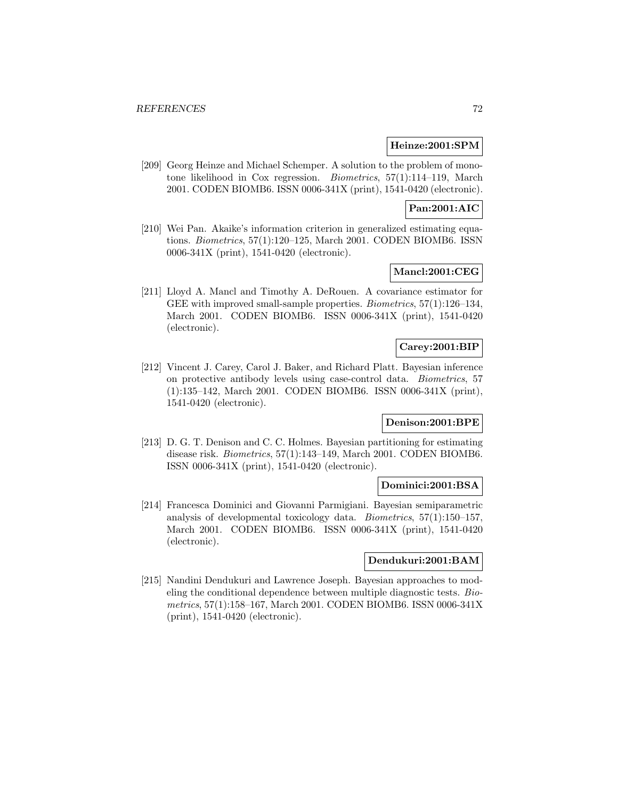#### **Heinze:2001:SPM**

[209] Georg Heinze and Michael Schemper. A solution to the problem of monotone likelihood in Cox regression. Biometrics, 57(1):114–119, March 2001. CODEN BIOMB6. ISSN 0006-341X (print), 1541-0420 (electronic).

## **Pan:2001:AIC**

[210] Wei Pan. Akaike's information criterion in generalized estimating equations. Biometrics, 57(1):120–125, March 2001. CODEN BIOMB6. ISSN 0006-341X (print), 1541-0420 (electronic).

## **Mancl:2001:CEG**

[211] Lloyd A. Mancl and Timothy A. DeRouen. A covariance estimator for GEE with improved small-sample properties. Biometrics, 57(1):126–134, March 2001. CODEN BIOMB6. ISSN 0006-341X (print), 1541-0420 (electronic).

## **Carey:2001:BIP**

[212] Vincent J. Carey, Carol J. Baker, and Richard Platt. Bayesian inference on protective antibody levels using case-control data. Biometrics, 57 (1):135–142, March 2001. CODEN BIOMB6. ISSN 0006-341X (print), 1541-0420 (electronic).

#### **Denison:2001:BPE**

[213] D. G. T. Denison and C. C. Holmes. Bayesian partitioning for estimating disease risk. Biometrics, 57(1):143–149, March 2001. CODEN BIOMB6. ISSN 0006-341X (print), 1541-0420 (electronic).

### **Dominici:2001:BSA**

[214] Francesca Dominici and Giovanni Parmigiani. Bayesian semiparametric analysis of developmental toxicology data. Biometrics, 57(1):150–157, March 2001. CODEN BIOMB6. ISSN 0006-341X (print), 1541-0420 (electronic).

### **Dendukuri:2001:BAM**

[215] Nandini Dendukuri and Lawrence Joseph. Bayesian approaches to modeling the conditional dependence between multiple diagnostic tests. Biometrics, 57(1):158–167, March 2001. CODEN BIOMB6. ISSN 0006-341X (print), 1541-0420 (electronic).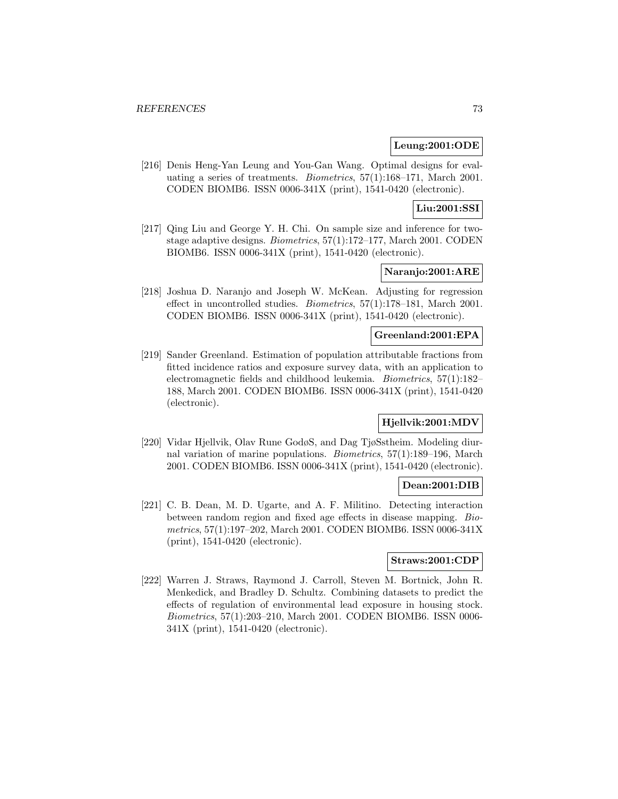### **Leung:2001:ODE**

[216] Denis Heng-Yan Leung and You-Gan Wang. Optimal designs for evaluating a series of treatments. Biometrics, 57(1):168–171, March 2001. CODEN BIOMB6. ISSN 0006-341X (print), 1541-0420 (electronic).

# **Liu:2001:SSI**

[217] Qing Liu and George Y. H. Chi. On sample size and inference for twostage adaptive designs. Biometrics, 57(1):172–177, March 2001. CODEN BIOMB6. ISSN 0006-341X (print), 1541-0420 (electronic).

# **Naranjo:2001:ARE**

[218] Joshua D. Naranjo and Joseph W. McKean. Adjusting for regression effect in uncontrolled studies. Biometrics, 57(1):178–181, March 2001. CODEN BIOMB6. ISSN 0006-341X (print), 1541-0420 (electronic).

#### **Greenland:2001:EPA**

[219] Sander Greenland. Estimation of population attributable fractions from fitted incidence ratios and exposure survey data, with an application to electromagnetic fields and childhood leukemia. Biometrics, 57(1):182– 188, March 2001. CODEN BIOMB6. ISSN 0006-341X (print), 1541-0420 (electronic).

# **Hjellvik:2001:MDV**

[220] Vidar Hjellvik, Olav Rune GodøS, and Dag TjøSstheim. Modeling diurnal variation of marine populations. Biometrics, 57(1):189–196, March 2001. CODEN BIOMB6. ISSN 0006-341X (print), 1541-0420 (electronic).

### **Dean:2001:DIB**

[221] C. B. Dean, M. D. Ugarte, and A. F. Militino. Detecting interaction between random region and fixed age effects in disease mapping. Biometrics, 57(1):197–202, March 2001. CODEN BIOMB6. ISSN 0006-341X (print), 1541-0420 (electronic).

### **Straws:2001:CDP**

[222] Warren J. Straws, Raymond J. Carroll, Steven M. Bortnick, John R. Menkedick, and Bradley D. Schultz. Combining datasets to predict the effects of regulation of environmental lead exposure in housing stock. Biometrics, 57(1):203–210, March 2001. CODEN BIOMB6. ISSN 0006- 341X (print), 1541-0420 (electronic).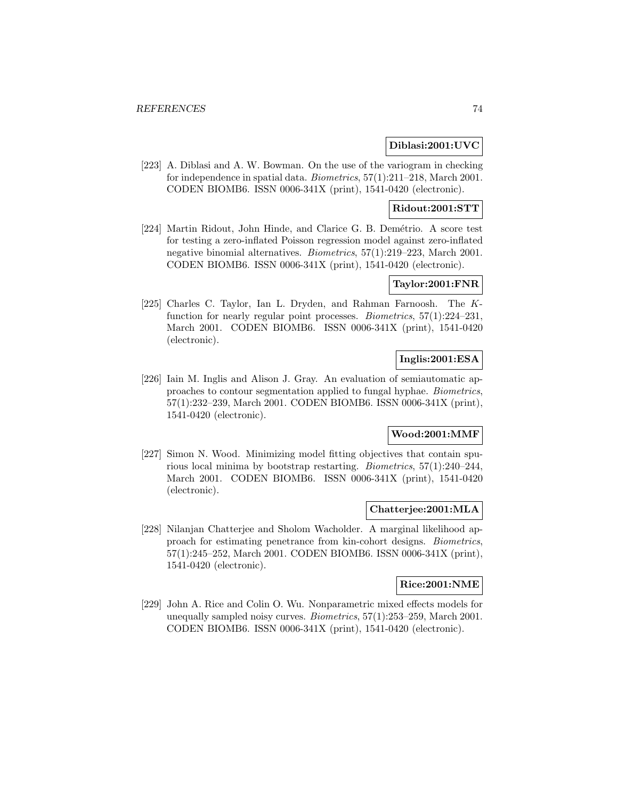### **Diblasi:2001:UVC**

[223] A. Diblasi and A. W. Bowman. On the use of the variogram in checking for independence in spatial data. Biometrics, 57(1):211–218, March 2001. CODEN BIOMB6. ISSN 0006-341X (print), 1541-0420 (electronic).

# **Ridout:2001:STT**

[224] Martin Ridout, John Hinde, and Clarice G. B. Demétrio. A score test for testing a zero-inflated Poisson regression model against zero-inflated negative binomial alternatives. Biometrics, 57(1):219–223, March 2001. CODEN BIOMB6. ISSN 0006-341X (print), 1541-0420 (electronic).

### **Taylor:2001:FNR**

[225] Charles C. Taylor, Ian L. Dryden, and Rahman Farnoosh. The Kfunction for nearly regular point processes. Biometrics, 57(1):224–231, March 2001. CODEN BIOMB6. ISSN 0006-341X (print), 1541-0420 (electronic).

# **Inglis:2001:ESA**

[226] Iain M. Inglis and Alison J. Gray. An evaluation of semiautomatic approaches to contour segmentation applied to fungal hyphae. Biometrics, 57(1):232–239, March 2001. CODEN BIOMB6. ISSN 0006-341X (print), 1541-0420 (electronic).

# **Wood:2001:MMF**

[227] Simon N. Wood. Minimizing model fitting objectives that contain spurious local minima by bootstrap restarting. Biometrics, 57(1):240–244, March 2001. CODEN BIOMB6. ISSN 0006-341X (print), 1541-0420 (electronic).

#### **Chatterjee:2001:MLA**

[228] Nilanjan Chatterjee and Sholom Wacholder. A marginal likelihood approach for estimating penetrance from kin-cohort designs. Biometrics, 57(1):245–252, March 2001. CODEN BIOMB6. ISSN 0006-341X (print), 1541-0420 (electronic).

# **Rice:2001:NME**

[229] John A. Rice and Colin O. Wu. Nonparametric mixed effects models for unequally sampled noisy curves. Biometrics, 57(1):253–259, March 2001. CODEN BIOMB6. ISSN 0006-341X (print), 1541-0420 (electronic).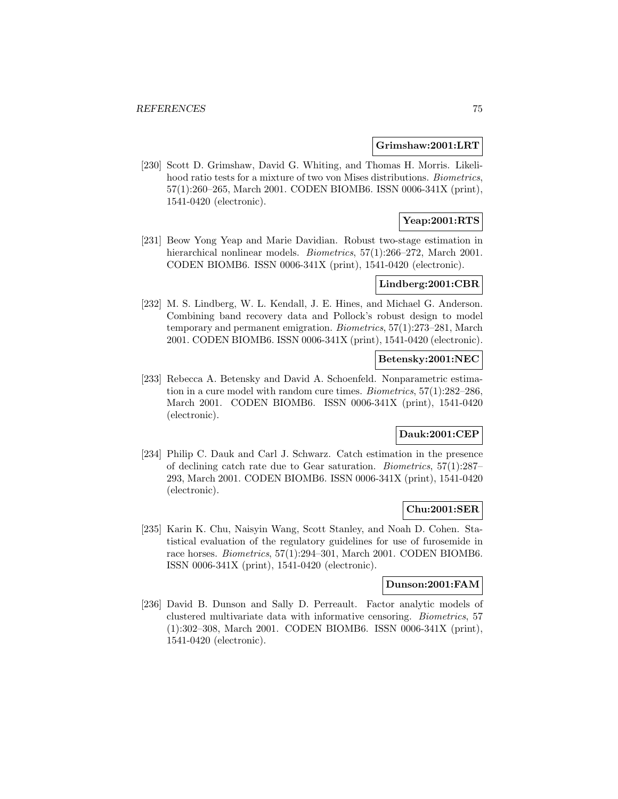#### **Grimshaw:2001:LRT**

[230] Scott D. Grimshaw, David G. Whiting, and Thomas H. Morris. Likelihood ratio tests for a mixture of two von Mises distributions. Biometrics, 57(1):260–265, March 2001. CODEN BIOMB6. ISSN 0006-341X (print), 1541-0420 (electronic).

# **Yeap:2001:RTS**

[231] Beow Yong Yeap and Marie Davidian. Robust two-stage estimation in hierarchical nonlinear models. *Biometrics*, 57(1):266–272, March 2001. CODEN BIOMB6. ISSN 0006-341X (print), 1541-0420 (electronic).

#### **Lindberg:2001:CBR**

[232] M. S. Lindberg, W. L. Kendall, J. E. Hines, and Michael G. Anderson. Combining band recovery data and Pollock's robust design to model temporary and permanent emigration. Biometrics, 57(1):273–281, March 2001. CODEN BIOMB6. ISSN 0006-341X (print), 1541-0420 (electronic).

### **Betensky:2001:NEC**

[233] Rebecca A. Betensky and David A. Schoenfeld. Nonparametric estimation in a cure model with random cure times. Biometrics, 57(1):282–286, March 2001. CODEN BIOMB6. ISSN 0006-341X (print), 1541-0420 (electronic).

# **Dauk:2001:CEP**

[234] Philip C. Dauk and Carl J. Schwarz. Catch estimation in the presence of declining catch rate due to Gear saturation. Biometrics, 57(1):287– 293, March 2001. CODEN BIOMB6. ISSN 0006-341X (print), 1541-0420 (electronic).

### **Chu:2001:SER**

[235] Karin K. Chu, Naisyin Wang, Scott Stanley, and Noah D. Cohen. Statistical evaluation of the regulatory guidelines for use of furosemide in race horses. Biometrics, 57(1):294–301, March 2001. CODEN BIOMB6. ISSN 0006-341X (print), 1541-0420 (electronic).

#### **Dunson:2001:FAM**

[236] David B. Dunson and Sally D. Perreault. Factor analytic models of clustered multivariate data with informative censoring. Biometrics, 57 (1):302–308, March 2001. CODEN BIOMB6. ISSN 0006-341X (print), 1541-0420 (electronic).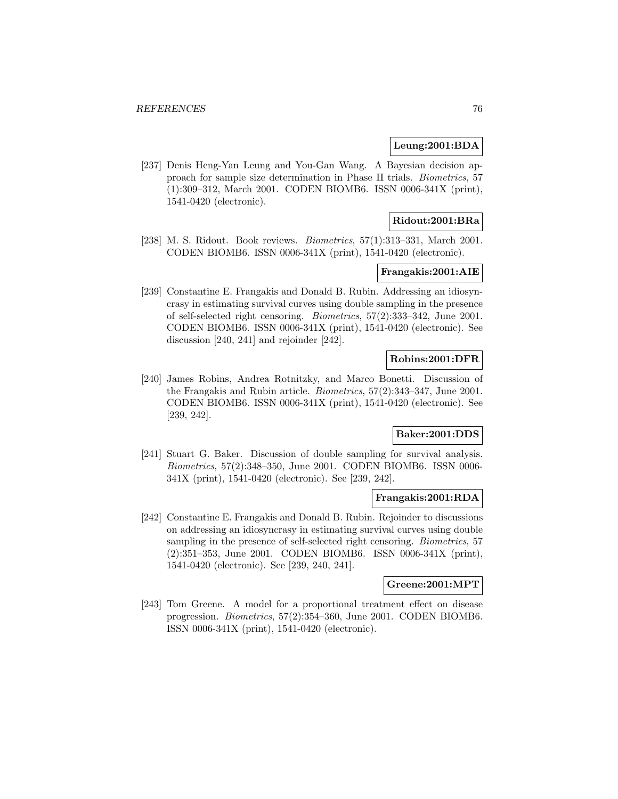#### **Leung:2001:BDA**

[237] Denis Heng-Yan Leung and You-Gan Wang. A Bayesian decision approach for sample size determination in Phase II trials. Biometrics, 57 (1):309–312, March 2001. CODEN BIOMB6. ISSN 0006-341X (print), 1541-0420 (electronic).

# **Ridout:2001:BRa**

[238] M. S. Ridout. Book reviews. Biometrics, 57(1):313–331, March 2001. CODEN BIOMB6. ISSN 0006-341X (print), 1541-0420 (electronic).

# **Frangakis:2001:AIE**

[239] Constantine E. Frangakis and Donald B. Rubin. Addressing an idiosyncrasy in estimating survival curves using double sampling in the presence of self-selected right censoring. Biometrics, 57(2):333–342, June 2001. CODEN BIOMB6. ISSN 0006-341X (print), 1541-0420 (electronic). See discussion [240, 241] and rejoinder [242].

# **Robins:2001:DFR**

[240] James Robins, Andrea Rotnitzky, and Marco Bonetti. Discussion of the Frangakis and Rubin article. Biometrics, 57(2):343–347, June 2001. CODEN BIOMB6. ISSN 0006-341X (print), 1541-0420 (electronic). See [239, 242].

# **Baker:2001:DDS**

[241] Stuart G. Baker. Discussion of double sampling for survival analysis. Biometrics, 57(2):348–350, June 2001. CODEN BIOMB6. ISSN 0006- 341X (print), 1541-0420 (electronic). See [239, 242].

# **Frangakis:2001:RDA**

[242] Constantine E. Frangakis and Donald B. Rubin. Rejoinder to discussions on addressing an idiosyncrasy in estimating survival curves using double sampling in the presence of self-selected right censoring. Biometrics, 57 (2):351–353, June 2001. CODEN BIOMB6. ISSN 0006-341X (print), 1541-0420 (electronic). See [239, 240, 241].

### **Greene:2001:MPT**

[243] Tom Greene. A model for a proportional treatment effect on disease progression. Biometrics, 57(2):354–360, June 2001. CODEN BIOMB6. ISSN 0006-341X (print), 1541-0420 (electronic).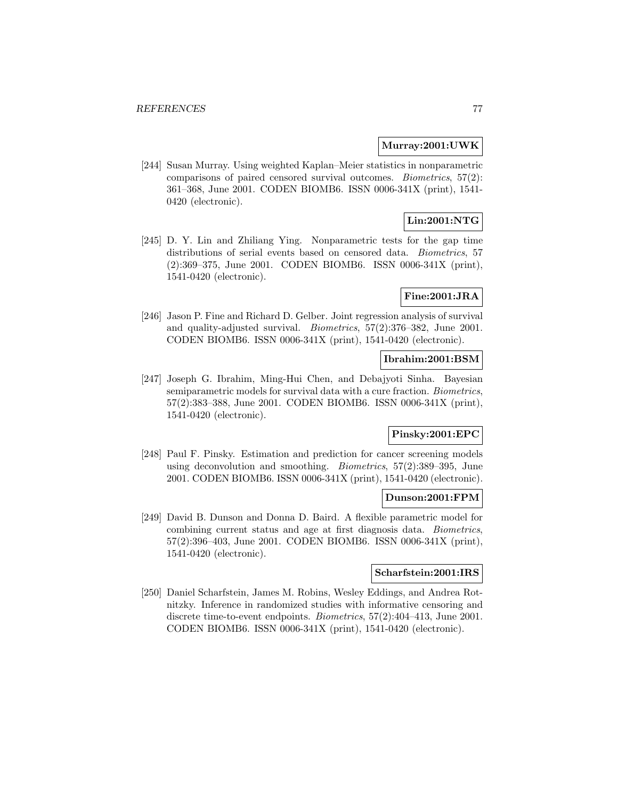#### **Murray:2001:UWK**

[244] Susan Murray. Using weighted Kaplan–Meier statistics in nonparametric comparisons of paired censored survival outcomes. Biometrics, 57(2): 361–368, June 2001. CODEN BIOMB6. ISSN 0006-341X (print), 1541- 0420 (electronic).

# **Lin:2001:NTG**

[245] D. Y. Lin and Zhiliang Ying. Nonparametric tests for the gap time distributions of serial events based on censored data. *Biometrics*, 57 (2):369–375, June 2001. CODEN BIOMB6. ISSN 0006-341X (print), 1541-0420 (electronic).

# **Fine:2001:JRA**

[246] Jason P. Fine and Richard D. Gelber. Joint regression analysis of survival and quality-adjusted survival. Biometrics, 57(2):376–382, June 2001. CODEN BIOMB6. ISSN 0006-341X (print), 1541-0420 (electronic).

### **Ibrahim:2001:BSM**

[247] Joseph G. Ibrahim, Ming-Hui Chen, and Debajyoti Sinha. Bayesian semiparametric models for survival data with a cure fraction. Biometrics, 57(2):383–388, June 2001. CODEN BIOMB6. ISSN 0006-341X (print), 1541-0420 (electronic).

# **Pinsky:2001:EPC**

[248] Paul F. Pinsky. Estimation and prediction for cancer screening models using deconvolution and smoothing. Biometrics, 57(2):389–395, June 2001. CODEN BIOMB6. ISSN 0006-341X (print), 1541-0420 (electronic).

### **Dunson:2001:FPM**

[249] David B. Dunson and Donna D. Baird. A flexible parametric model for combining current status and age at first diagnosis data. Biometrics, 57(2):396–403, June 2001. CODEN BIOMB6. ISSN 0006-341X (print), 1541-0420 (electronic).

# **Scharfstein:2001:IRS**

[250] Daniel Scharfstein, James M. Robins, Wesley Eddings, and Andrea Rotnitzky. Inference in randomized studies with informative censoring and discrete time-to-event endpoints. Biometrics, 57(2):404–413, June 2001. CODEN BIOMB6. ISSN 0006-341X (print), 1541-0420 (electronic).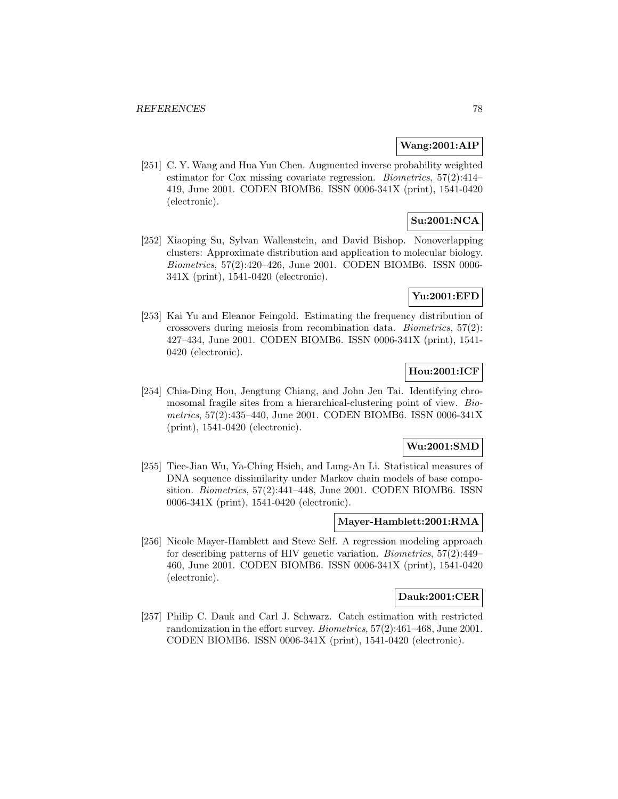### **Wang:2001:AIP**

[251] C. Y. Wang and Hua Yun Chen. Augmented inverse probability weighted estimator for Cox missing covariate regression. Biometrics, 57(2):414– 419, June 2001. CODEN BIOMB6. ISSN 0006-341X (print), 1541-0420 (electronic).

# **Su:2001:NCA**

[252] Xiaoping Su, Sylvan Wallenstein, and David Bishop. Nonoverlapping clusters: Approximate distribution and application to molecular biology. Biometrics, 57(2):420–426, June 2001. CODEN BIOMB6. ISSN 0006- 341X (print), 1541-0420 (electronic).

# **Yu:2001:EFD**

[253] Kai Yu and Eleanor Feingold. Estimating the frequency distribution of crossovers during meiosis from recombination data. Biometrics, 57(2): 427–434, June 2001. CODEN BIOMB6. ISSN 0006-341X (print), 1541- 0420 (electronic).

# **Hou:2001:ICF**

[254] Chia-Ding Hou, Jengtung Chiang, and John Jen Tai. Identifying chromosomal fragile sites from a hierarchical-clustering point of view. Biometrics, 57(2):435–440, June 2001. CODEN BIOMB6. ISSN 0006-341X (print), 1541-0420 (electronic).

### **Wu:2001:SMD**

[255] Tiee-Jian Wu, Ya-Ching Hsieh, and Lung-An Li. Statistical measures of DNA sequence dissimilarity under Markov chain models of base composition. Biometrics, 57(2):441–448, June 2001. CODEN BIOMB6. ISSN 0006-341X (print), 1541-0420 (electronic).

### **Mayer-Hamblett:2001:RMA**

[256] Nicole Mayer-Hamblett and Steve Self. A regression modeling approach for describing patterns of HIV genetic variation. Biometrics, 57(2):449– 460, June 2001. CODEN BIOMB6. ISSN 0006-341X (print), 1541-0420 (electronic).

#### **Dauk:2001:CER**

[257] Philip C. Dauk and Carl J. Schwarz. Catch estimation with restricted randomization in the effort survey. Biometrics, 57(2):461–468, June 2001. CODEN BIOMB6. ISSN 0006-341X (print), 1541-0420 (electronic).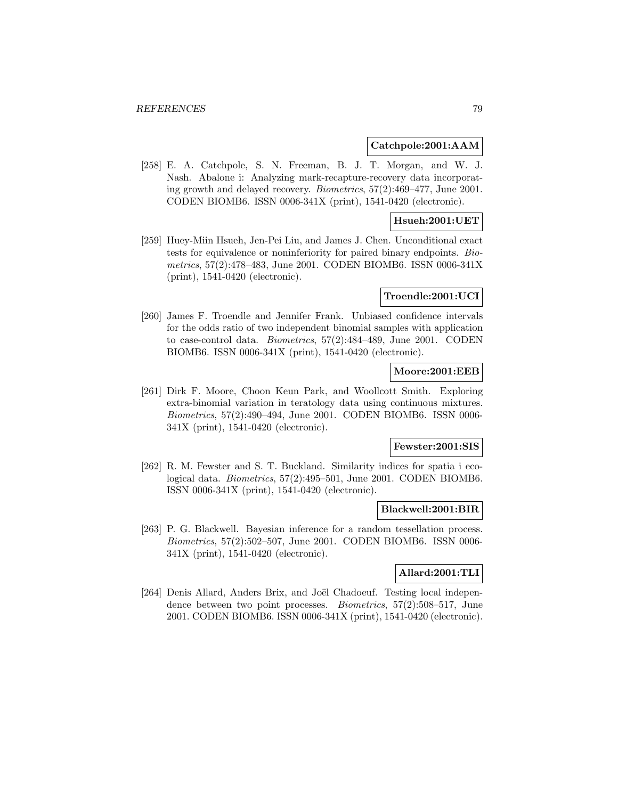#### **Catchpole:2001:AAM**

[258] E. A. Catchpole, S. N. Freeman, B. J. T. Morgan, and W. J. Nash. Abalone i: Analyzing mark-recapture-recovery data incorporating growth and delayed recovery. Biometrics, 57(2):469–477, June 2001. CODEN BIOMB6. ISSN 0006-341X (print), 1541-0420 (electronic).

### **Hsueh:2001:UET**

[259] Huey-Miin Hsueh, Jen-Pei Liu, and James J. Chen. Unconditional exact tests for equivalence or noninferiority for paired binary endpoints. Biometrics, 57(2):478–483, June 2001. CODEN BIOMB6. ISSN 0006-341X (print), 1541-0420 (electronic).

#### **Troendle:2001:UCI**

[260] James F. Troendle and Jennifer Frank. Unbiased confidence intervals for the odds ratio of two independent binomial samples with application to case-control data. Biometrics, 57(2):484–489, June 2001. CODEN BIOMB6. ISSN 0006-341X (print), 1541-0420 (electronic).

## **Moore:2001:EEB**

[261] Dirk F. Moore, Choon Keun Park, and Woollcott Smith. Exploring extra-binomial variation in teratology data using continuous mixtures. Biometrics, 57(2):490–494, June 2001. CODEN BIOMB6. ISSN 0006- 341X (print), 1541-0420 (electronic).

#### **Fewster:2001:SIS**

[262] R. M. Fewster and S. T. Buckland. Similarity indices for spatia i ecological data. Biometrics, 57(2):495–501, June 2001. CODEN BIOMB6. ISSN 0006-341X (print), 1541-0420 (electronic).

#### **Blackwell:2001:BIR**

[263] P. G. Blackwell. Bayesian inference for a random tessellation process. Biometrics, 57(2):502–507, June 2001. CODEN BIOMB6. ISSN 0006- 341X (print), 1541-0420 (electronic).

# **Allard:2001:TLI**

[264] Denis Allard, Anders Brix, and Joël Chadoeuf. Testing local independence between two point processes. Biometrics, 57(2):508–517, June 2001. CODEN BIOMB6. ISSN 0006-341X (print), 1541-0420 (electronic).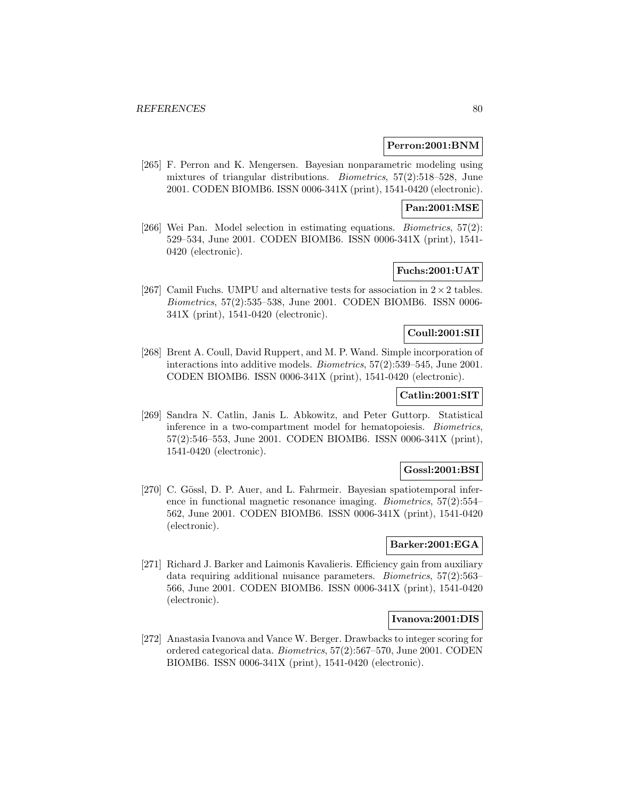### **Perron:2001:BNM**

[265] F. Perron and K. Mengersen. Bayesian nonparametric modeling using mixtures of triangular distributions. Biometrics, 57(2):518–528, June 2001. CODEN BIOMB6. ISSN 0006-341X (print), 1541-0420 (electronic).

# **Pan:2001:MSE**

[266] Wei Pan. Model selection in estimating equations. Biometrics, 57(2): 529–534, June 2001. CODEN BIOMB6. ISSN 0006-341X (print), 1541- 0420 (electronic).

# **Fuchs:2001:UAT**

[267] Camil Fuchs. UMPU and alternative tests for association in  $2 \times 2$  tables. Biometrics, 57(2):535–538, June 2001. CODEN BIOMB6. ISSN 0006- 341X (print), 1541-0420 (electronic).

# **Coull:2001:SII**

[268] Brent A. Coull, David Ruppert, and M. P. Wand. Simple incorporation of interactions into additive models. Biometrics, 57(2):539–545, June 2001. CODEN BIOMB6. ISSN 0006-341X (print), 1541-0420 (electronic).

# **Catlin:2001:SIT**

[269] Sandra N. Catlin, Janis L. Abkowitz, and Peter Guttorp. Statistical inference in a two-compartment model for hematopoiesis. Biometrics, 57(2):546–553, June 2001. CODEN BIOMB6. ISSN 0006-341X (print), 1541-0420 (electronic).

## **Gossl:2001:BSI**

[270] C. Gössl, D. P. Auer, and L. Fahrmeir. Bayesian spatiotemporal inference in functional magnetic resonance imaging. Biometrics, 57(2):554– 562, June 2001. CODEN BIOMB6. ISSN 0006-341X (print), 1541-0420 (electronic).

## **Barker:2001:EGA**

[271] Richard J. Barker and Laimonis Kavalieris. Efficiency gain from auxiliary data requiring additional nuisance parameters. Biometrics, 57(2):563– 566, June 2001. CODEN BIOMB6. ISSN 0006-341X (print), 1541-0420 (electronic).

#### **Ivanova:2001:DIS**

[272] Anastasia Ivanova and Vance W. Berger. Drawbacks to integer scoring for ordered categorical data. Biometrics, 57(2):567–570, June 2001. CODEN BIOMB6. ISSN 0006-341X (print), 1541-0420 (electronic).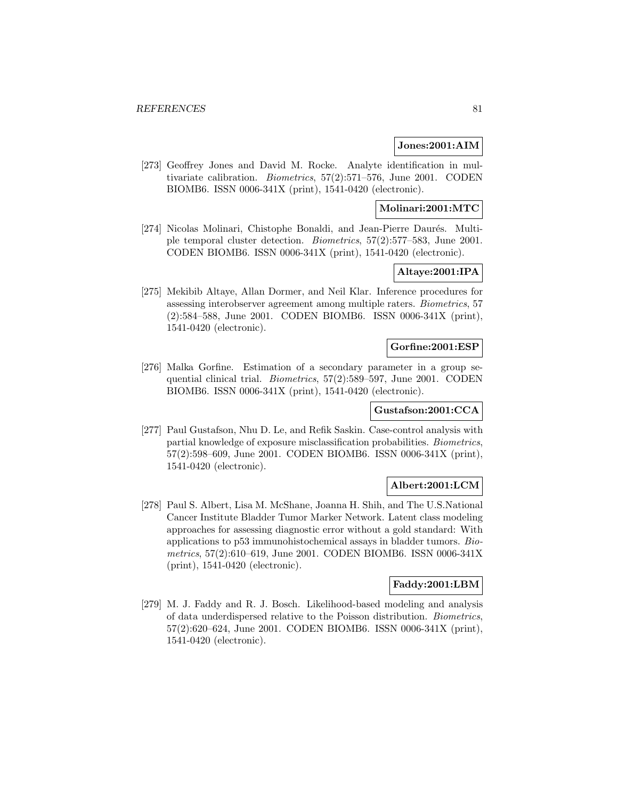### **Jones:2001:AIM**

[273] Geoffrey Jones and David M. Rocke. Analyte identification in multivariate calibration. Biometrics, 57(2):571–576, June 2001. CODEN BIOMB6. ISSN 0006-341X (print), 1541-0420 (electronic).

# **Molinari:2001:MTC**

[274] Nicolas Molinari, Chistophe Bonaldi, and Jean-Pierre Daurés. Multiple temporal cluster detection. Biometrics, 57(2):577–583, June 2001. CODEN BIOMB6. ISSN 0006-341X (print), 1541-0420 (electronic).

# **Altaye:2001:IPA**

[275] Mekibib Altaye, Allan Dormer, and Neil Klar. Inference procedures for assessing interobserver agreement among multiple raters. Biometrics, 57 (2):584–588, June 2001. CODEN BIOMB6. ISSN 0006-341X (print), 1541-0420 (electronic).

### **Gorfine:2001:ESP**

[276] Malka Gorfine. Estimation of a secondary parameter in a group sequential clinical trial. *Biometrics*, 57(2):589-597, June 2001. CODEN BIOMB6. ISSN 0006-341X (print), 1541-0420 (electronic).

# **Gustafson:2001:CCA**

[277] Paul Gustafson, Nhu D. Le, and Refik Saskin. Case-control analysis with partial knowledge of exposure misclassification probabilities. Biometrics, 57(2):598–609, June 2001. CODEN BIOMB6. ISSN 0006-341X (print), 1541-0420 (electronic).

# **Albert:2001:LCM**

[278] Paul S. Albert, Lisa M. McShane, Joanna H. Shih, and The U.S.National Cancer Institute Bladder Tumor Marker Network. Latent class modeling approaches for assessing diagnostic error without a gold standard: With applications to p53 immunohistochemical assays in bladder tumors. Biometrics, 57(2):610–619, June 2001. CODEN BIOMB6. ISSN 0006-341X (print), 1541-0420 (electronic).

#### **Faddy:2001:LBM**

[279] M. J. Faddy and R. J. Bosch. Likelihood-based modeling and analysis of data underdispersed relative to the Poisson distribution. Biometrics, 57(2):620–624, June 2001. CODEN BIOMB6. ISSN 0006-341X (print), 1541-0420 (electronic).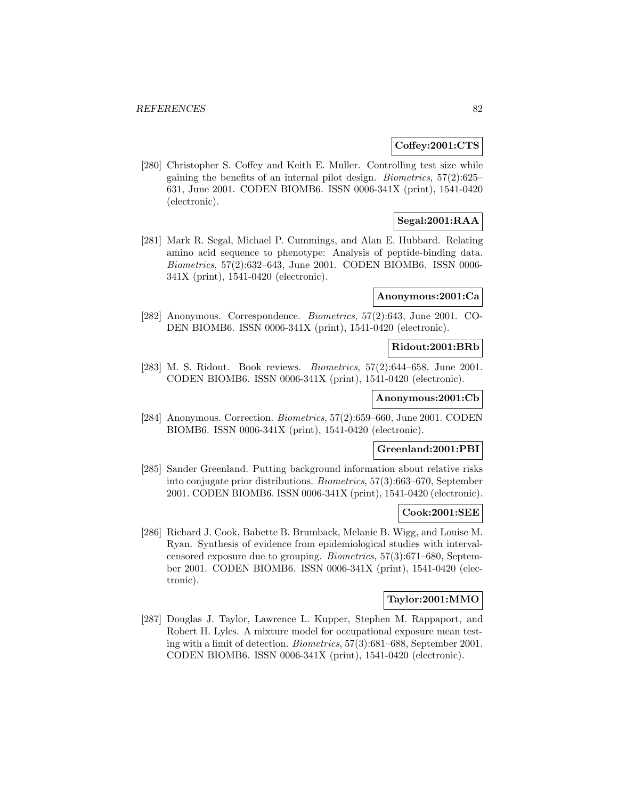### **Coffey:2001:CTS**

[280] Christopher S. Coffey and Keith E. Muller. Controlling test size while gaining the benefits of an internal pilot design. Biometrics, 57(2):625– 631, June 2001. CODEN BIOMB6. ISSN 0006-341X (print), 1541-0420 (electronic).

# **Segal:2001:RAA**

[281] Mark R. Segal, Michael P. Cummings, and Alan E. Hubbard. Relating amino acid sequence to phenotype: Analysis of peptide-binding data. Biometrics, 57(2):632–643, June 2001. CODEN BIOMB6. ISSN 0006- 341X (print), 1541-0420 (electronic).

### **Anonymous:2001:Ca**

[282] Anonymous. Correspondence. Biometrics, 57(2):643, June 2001. CO-DEN BIOMB6. ISSN 0006-341X (print), 1541-0420 (electronic).

# **Ridout:2001:BRb**

[283] M. S. Ridout. Book reviews. Biometrics, 57(2):644–658, June 2001. CODEN BIOMB6. ISSN 0006-341X (print), 1541-0420 (electronic).

# **Anonymous:2001:Cb**

[284] Anonymous. Correction. Biometrics, 57(2):659–660, June 2001. CODEN BIOMB6. ISSN 0006-341X (print), 1541-0420 (electronic).

# **Greenland:2001:PBI**

[285] Sander Greenland. Putting background information about relative risks into conjugate prior distributions. Biometrics, 57(3):663–670, September 2001. CODEN BIOMB6. ISSN 0006-341X (print), 1541-0420 (electronic).

#### **Cook:2001:SEE**

[286] Richard J. Cook, Babette B. Brumback, Melanie B. Wigg, and Louise M. Ryan. Synthesis of evidence from epidemiological studies with intervalcensored exposure due to grouping. Biometrics, 57(3):671–680, September 2001. CODEN BIOMB6. ISSN 0006-341X (print), 1541-0420 (electronic).

# **Taylor:2001:MMO**

[287] Douglas J. Taylor, Lawrence L. Kupper, Stephen M. Rappaport, and Robert H. Lyles. A mixture model for occupational exposure mean testing with a limit of detection. Biometrics, 57(3):681–688, September 2001. CODEN BIOMB6. ISSN 0006-341X (print), 1541-0420 (electronic).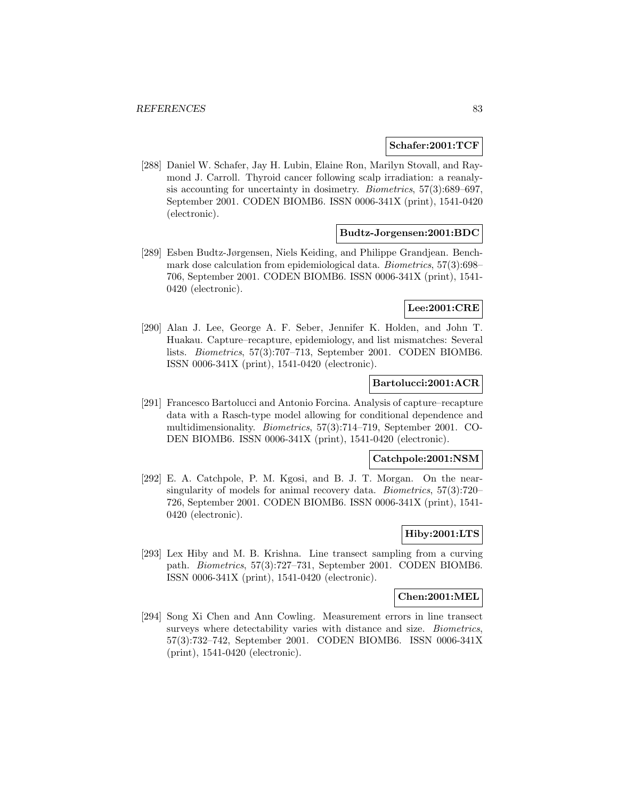#### **Schafer:2001:TCF**

[288] Daniel W. Schafer, Jay H. Lubin, Elaine Ron, Marilyn Stovall, and Raymond J. Carroll. Thyroid cancer following scalp irradiation: a reanalysis accounting for uncertainty in dosimetry. Biometrics, 57(3):689–697, September 2001. CODEN BIOMB6. ISSN 0006-341X (print), 1541-0420 (electronic).

### **Budtz-Jorgensen:2001:BDC**

[289] Esben Budtz-Jørgensen, Niels Keiding, and Philippe Grandjean. Benchmark dose calculation from epidemiological data. Biometrics, 57(3):698– 706, September 2001. CODEN BIOMB6. ISSN 0006-341X (print), 1541- 0420 (electronic).

#### **Lee:2001:CRE**

[290] Alan J. Lee, George A. F. Seber, Jennifer K. Holden, and John T. Huakau. Capture–recapture, epidemiology, and list mismatches: Several lists. Biometrics, 57(3):707–713, September 2001. CODEN BIOMB6. ISSN 0006-341X (print), 1541-0420 (electronic).

## **Bartolucci:2001:ACR**

[291] Francesco Bartolucci and Antonio Forcina. Analysis of capture–recapture data with a Rasch-type model allowing for conditional dependence and multidimensionality. Biometrics, 57(3):714–719, September 2001. CO-DEN BIOMB6. ISSN 0006-341X (print), 1541-0420 (electronic).

### **Catchpole:2001:NSM**

[292] E. A. Catchpole, P. M. Kgosi, and B. J. T. Morgan. On the nearsingularity of models for animal recovery data. Biometrics, 57(3):720– 726, September 2001. CODEN BIOMB6. ISSN 0006-341X (print), 1541- 0420 (electronic).

# **Hiby:2001:LTS**

[293] Lex Hiby and M. B. Krishna. Line transect sampling from a curving path. Biometrics, 57(3):727–731, September 2001. CODEN BIOMB6. ISSN 0006-341X (print), 1541-0420 (electronic).

#### **Chen:2001:MEL**

[294] Song Xi Chen and Ann Cowling. Measurement errors in line transect surveys where detectability varies with distance and size. *Biometrics*, 57(3):732–742, September 2001. CODEN BIOMB6. ISSN 0006-341X (print), 1541-0420 (electronic).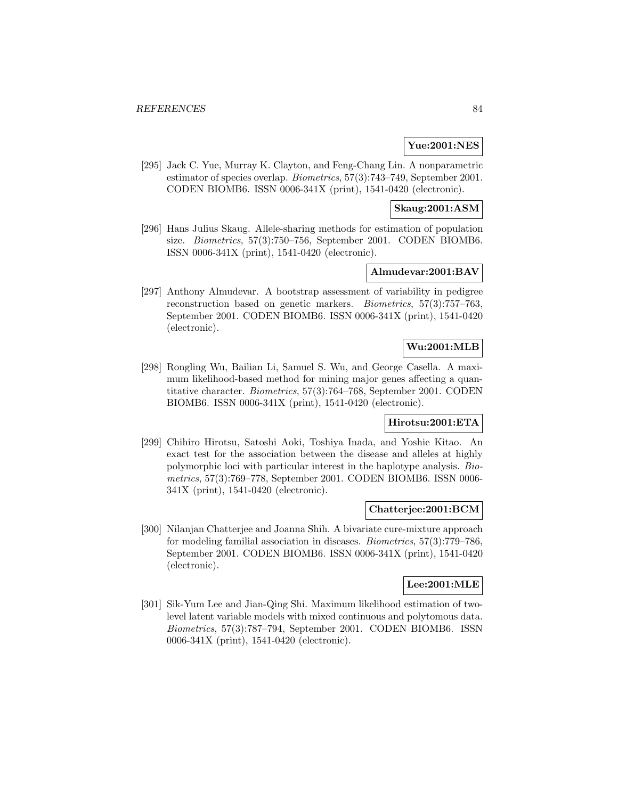# **Yue:2001:NES**

[295] Jack C. Yue, Murray K. Clayton, and Feng-Chang Lin. A nonparametric estimator of species overlap. Biometrics, 57(3):743–749, September 2001. CODEN BIOMB6. ISSN 0006-341X (print), 1541-0420 (electronic).

### **Skaug:2001:ASM**

[296] Hans Julius Skaug. Allele-sharing methods for estimation of population size. Biometrics, 57(3):750–756, September 2001. CODEN BIOMB6. ISSN 0006-341X (print), 1541-0420 (electronic).

# **Almudevar:2001:BAV**

[297] Anthony Almudevar. A bootstrap assessment of variability in pedigree reconstruction based on genetic markers. Biometrics, 57(3):757–763, September 2001. CODEN BIOMB6. ISSN 0006-341X (print), 1541-0420 (electronic).

# **Wu:2001:MLB**

[298] Rongling Wu, Bailian Li, Samuel S. Wu, and George Casella. A maximum likelihood-based method for mining major genes affecting a quantitative character. Biometrics, 57(3):764–768, September 2001. CODEN BIOMB6. ISSN 0006-341X (print), 1541-0420 (electronic).

# **Hirotsu:2001:ETA**

[299] Chihiro Hirotsu, Satoshi Aoki, Toshiya Inada, and Yoshie Kitao. An exact test for the association between the disease and alleles at highly polymorphic loci with particular interest in the haplotype analysis. Biometrics, 57(3):769–778, September 2001. CODEN BIOMB6. ISSN 0006- 341X (print), 1541-0420 (electronic).

#### **Chatterjee:2001:BCM**

[300] Nilanjan Chatterjee and Joanna Shih. A bivariate cure-mixture approach for modeling familial association in diseases. Biometrics, 57(3):779–786, September 2001. CODEN BIOMB6. ISSN 0006-341X (print), 1541-0420 (electronic).

# **Lee:2001:MLE**

[301] Sik-Yum Lee and Jian-Qing Shi. Maximum likelihood estimation of twolevel latent variable models with mixed continuous and polytomous data. Biometrics, 57(3):787–794, September 2001. CODEN BIOMB6. ISSN 0006-341X (print), 1541-0420 (electronic).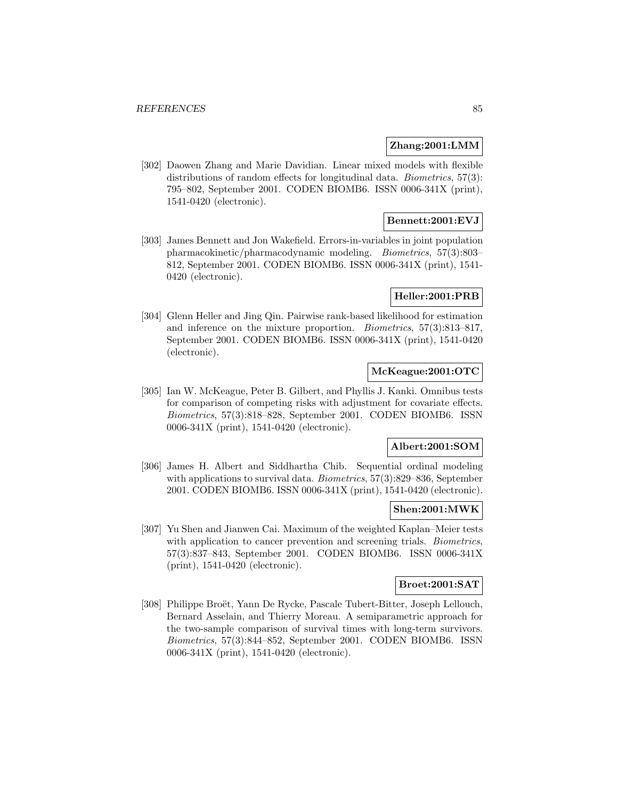### **Zhang:2001:LMM**

[302] Daowen Zhang and Marie Davidian. Linear mixed models with flexible distributions of random effects for longitudinal data. *Biometrics*, 57(3): 795–802, September 2001. CODEN BIOMB6. ISSN 0006-341X (print), 1541-0420 (electronic).

# **Bennett:2001:EVJ**

[303] James Bennett and Jon Wakefield. Errors-in-variables in joint population pharmacokinetic/pharmacodynamic modeling. Biometrics, 57(3):803– 812, September 2001. CODEN BIOMB6. ISSN 0006-341X (print), 1541- 0420 (electronic).

## **Heller:2001:PRB**

[304] Glenn Heller and Jing Qin. Pairwise rank-based likelihood for estimation and inference on the mixture proportion. Biometrics, 57(3):813–817, September 2001. CODEN BIOMB6. ISSN 0006-341X (print), 1541-0420 (electronic).

# **McKeague:2001:OTC**

[305] Ian W. McKeague, Peter B. Gilbert, and Phyllis J. Kanki. Omnibus tests for comparison of competing risks with adjustment for covariate effects. Biometrics, 57(3):818–828, September 2001. CODEN BIOMB6. ISSN 0006-341X (print), 1541-0420 (electronic).

#### **Albert:2001:SOM**

[306] James H. Albert and Siddhartha Chib. Sequential ordinal modeling with applications to survival data. Biometrics, 57(3):829–836, September 2001. CODEN BIOMB6. ISSN 0006-341X (print), 1541-0420 (electronic).

#### **Shen:2001:MWK**

[307] Yu Shen and Jianwen Cai. Maximum of the weighted Kaplan–Meier tests with application to cancer prevention and screening trials. Biometrics, 57(3):837–843, September 2001. CODEN BIOMB6. ISSN 0006-341X (print), 1541-0420 (electronic).

#### **Broet:2001:SAT**

[308] Philippe Broët, Yann De Rycke, Pascale Tubert-Bitter, Joseph Lellouch, Bernard Asselain, and Thierry Moreau. A semiparametric approach for the two-sample comparison of survival times with long-term survivors. Biometrics, 57(3):844–852, September 2001. CODEN BIOMB6. ISSN 0006-341X (print), 1541-0420 (electronic).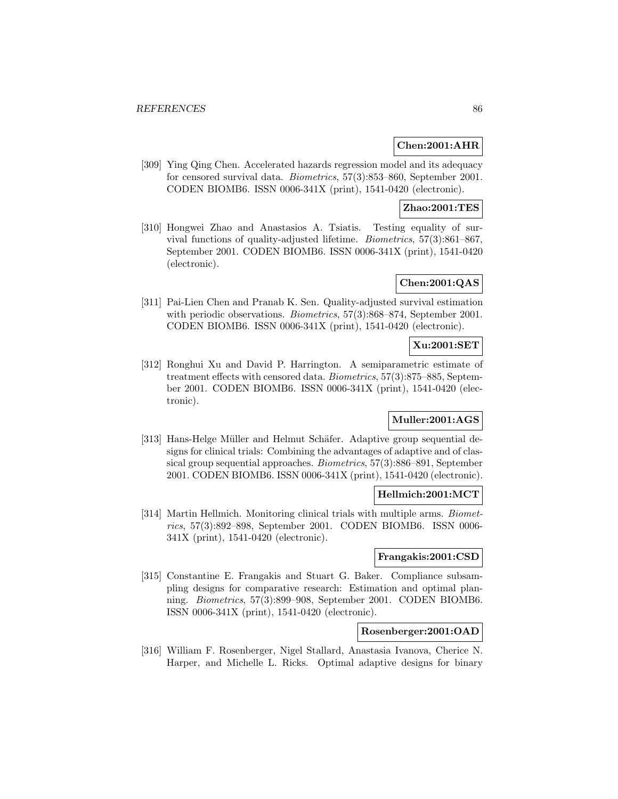# **Chen:2001:AHR**

[309] Ying Qing Chen. Accelerated hazards regression model and its adequacy for censored survival data. Biometrics, 57(3):853–860, September 2001. CODEN BIOMB6. ISSN 0006-341X (print), 1541-0420 (electronic).

# **Zhao:2001:TES**

[310] Hongwei Zhao and Anastasios A. Tsiatis. Testing equality of survival functions of quality-adjusted lifetime. Biometrics, 57(3):861–867, September 2001. CODEN BIOMB6. ISSN 0006-341X (print), 1541-0420 (electronic).

# **Chen:2001:QAS**

[311] Pai-Lien Chen and Pranab K. Sen. Quality-adjusted survival estimation with periodic observations. *Biometrics*, 57(3):868–874, September 2001. CODEN BIOMB6. ISSN 0006-341X (print), 1541-0420 (electronic).

## **Xu:2001:SET**

[312] Ronghui Xu and David P. Harrington. A semiparametric estimate of treatment effects with censored data. Biometrics, 57(3):875–885, September 2001. CODEN BIOMB6. ISSN 0006-341X (print), 1541-0420 (electronic).

# **Muller:2001:AGS**

[313] Hans-Helge Müller and Helmut Schäfer. Adaptive group sequential designs for clinical trials: Combining the advantages of adaptive and of classical group sequential approaches. Biometrics, 57(3):886–891, September 2001. CODEN BIOMB6. ISSN 0006-341X (print), 1541-0420 (electronic).

## **Hellmich:2001:MCT**

[314] Martin Hellmich. Monitoring clinical trials with multiple arms. Biometrics, 57(3):892–898, September 2001. CODEN BIOMB6. ISSN 0006- 341X (print), 1541-0420 (electronic).

# **Frangakis:2001:CSD**

[315] Constantine E. Frangakis and Stuart G. Baker. Compliance subsampling designs for comparative research: Estimation and optimal planning. Biometrics, 57(3):899–908, September 2001. CODEN BIOMB6. ISSN 0006-341X (print), 1541-0420 (electronic).

# **Rosenberger:2001:OAD**

[316] William F. Rosenberger, Nigel Stallard, Anastasia Ivanova, Cherice N. Harper, and Michelle L. Ricks. Optimal adaptive designs for binary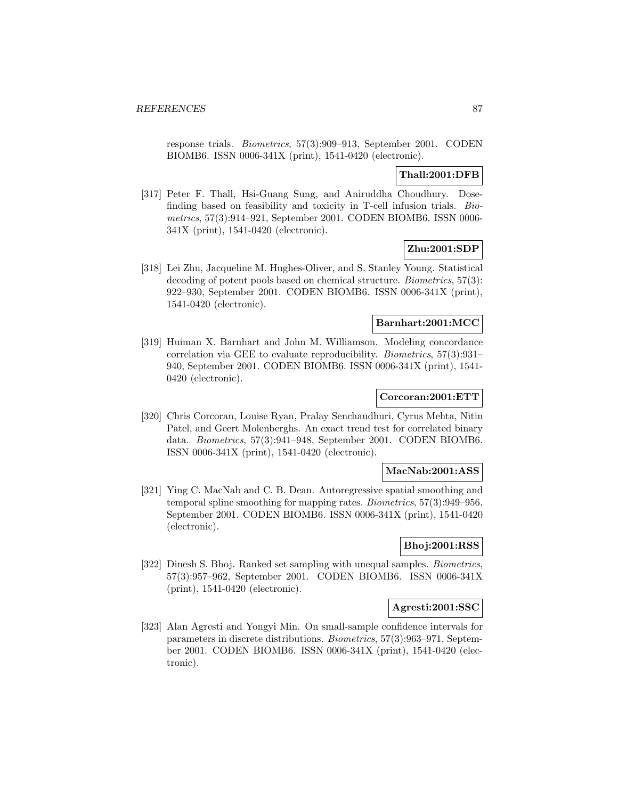response trials. Biometrics, 57(3):909–913, September 2001. CODEN BIOMB6. ISSN 0006-341X (print), 1541-0420 (electronic).

# **Thall:2001:DFB**

[317] Peter F. Thall, Hsi-Guang Sung, and Aniruddha Choudhury. Dosefinding based on feasibility and toxicity in T-cell infusion trials. Biometrics, 57(3):914–921, September 2001. CODEN BIOMB6. ISSN 0006- 341X (print), 1541-0420 (electronic).

# **Zhu:2001:SDP**

[318] Lei Zhu, Jacqueline M. Hughes-Oliver, and S. Stanley Young. Statistical decoding of potent pools based on chemical structure. Biometrics, 57(3): 922–930, September 2001. CODEN BIOMB6. ISSN 0006-341X (print), 1541-0420 (electronic).

# **Barnhart:2001:MCC**

[319] Huiman X. Barnhart and John M. Williamson. Modeling concordance correlation via GEE to evaluate reproducibility. Biometrics, 57(3):931– 940, September 2001. CODEN BIOMB6. ISSN 0006-341X (print), 1541- 0420 (electronic).

# **Corcoran:2001:ETT**

[320] Chris Corcoran, Louise Ryan, Pralay Senchaudhuri, Cyrus Mehta, Nitin Patel, and Geert Molenberghs. An exact trend test for correlated binary data. Biometrics, 57(3):941–948, September 2001. CODEN BIOMB6. ISSN 0006-341X (print), 1541-0420 (electronic).

### **MacNab:2001:ASS**

[321] Ying C. MacNab and C. B. Dean. Autoregressive spatial smoothing and temporal spline smoothing for mapping rates. Biometrics, 57(3):949–956, September 2001. CODEN BIOMB6. ISSN 0006-341X (print), 1541-0420 (electronic).

## **Bhoj:2001:RSS**

[322] Dinesh S. Bhoj. Ranked set sampling with unequal samples. Biometrics, 57(3):957–962, September 2001. CODEN BIOMB6. ISSN 0006-341X (print), 1541-0420 (electronic).

## **Agresti:2001:SSC**

[323] Alan Agresti and Yongyi Min. On small-sample confidence intervals for parameters in discrete distributions. Biometrics, 57(3):963–971, September 2001. CODEN BIOMB6. ISSN 0006-341X (print), 1541-0420 (electronic).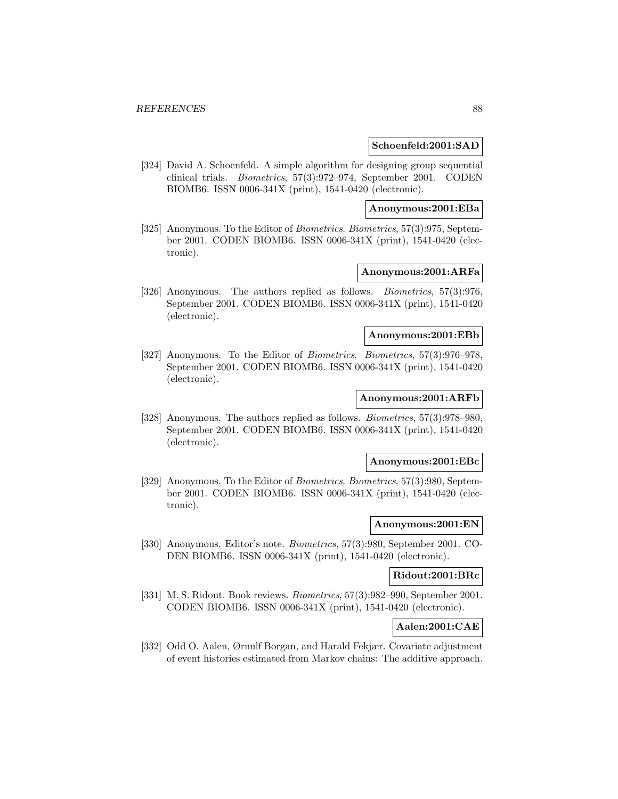#### **Schoenfeld:2001:SAD**

[324] David A. Schoenfeld. A simple algorithm for designing group sequential clinical trials. Biometrics, 57(3):972–974, September 2001. CODEN BIOMB6. ISSN 0006-341X (print), 1541-0420 (electronic).

#### **Anonymous:2001:EBa**

[325] Anonymous. To the Editor of Biometrics. Biometrics, 57(3):975, September 2001. CODEN BIOMB6. ISSN 0006-341X (print), 1541-0420 (electronic).

# **Anonymous:2001:ARFa**

[326] Anonymous. The authors replied as follows. Biometrics, 57(3):976, September 2001. CODEN BIOMB6. ISSN 0006-341X (print), 1541-0420 (electronic).

### **Anonymous:2001:EBb**

[327] Anonymous. To the Editor of Biometrics. Biometrics, 57(3):976–978, September 2001. CODEN BIOMB6. ISSN 0006-341X (print), 1541-0420 (electronic).

# **Anonymous:2001:ARFb**

[328] Anonymous. The authors replied as follows. *Biometrics*, 57(3):978–980, September 2001. CODEN BIOMB6. ISSN 0006-341X (print), 1541-0420 (electronic).

### **Anonymous:2001:EBc**

[329] Anonymous. To the Editor of Biometrics. Biometrics, 57(3):980, September 2001. CODEN BIOMB6. ISSN 0006-341X (print), 1541-0420 (electronic).

#### **Anonymous:2001:EN**

[330] Anonymous. Editor's note. Biometrics, 57(3):980, September 2001. CO-DEN BIOMB6. ISSN 0006-341X (print), 1541-0420 (electronic).

### **Ridout:2001:BRc**

[331] M. S. Ridout. Book reviews. Biometrics, 57(3):982–990, September 2001. CODEN BIOMB6. ISSN 0006-341X (print), 1541-0420 (electronic).

# **Aalen:2001:CAE**

[332] Odd O. Aalen, Ørnulf Borgan, and Harald Fekjær. Covariate adjustment of event histories estimated from Markov chains: The additive approach.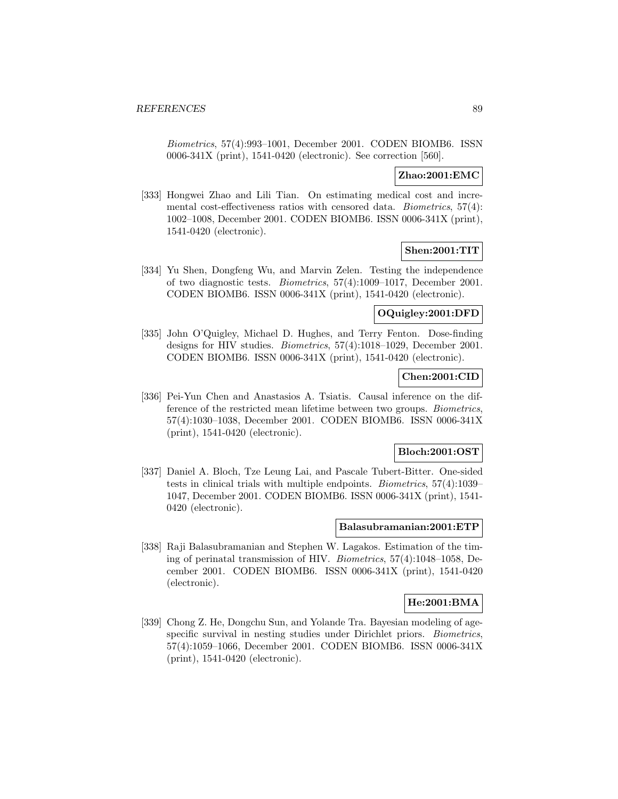Biometrics, 57(4):993–1001, December 2001. CODEN BIOMB6. ISSN 0006-341X (print), 1541-0420 (electronic). See correction [560].

# **Zhao:2001:EMC**

[333] Hongwei Zhao and Lili Tian. On estimating medical cost and incremental cost-effectiveness ratios with censored data. Biometrics, 57(4): 1002–1008, December 2001. CODEN BIOMB6. ISSN 0006-341X (print), 1541-0420 (electronic).

# **Shen:2001:TIT**

[334] Yu Shen, Dongfeng Wu, and Marvin Zelen. Testing the independence of two diagnostic tests. Biometrics, 57(4):1009–1017, December 2001. CODEN BIOMB6. ISSN 0006-341X (print), 1541-0420 (electronic).

## **OQuigley:2001:DFD**

[335] John O'Quigley, Michael D. Hughes, and Terry Fenton. Dose-finding designs for HIV studies. Biometrics, 57(4):1018–1029, December 2001. CODEN BIOMB6. ISSN 0006-341X (print), 1541-0420 (electronic).

#### **Chen:2001:CID**

[336] Pei-Yun Chen and Anastasios A. Tsiatis. Causal inference on the difference of the restricted mean lifetime between two groups. Biometrics, 57(4):1030–1038, December 2001. CODEN BIOMB6. ISSN 0006-341X (print), 1541-0420 (electronic).

# **Bloch:2001:OST**

[337] Daniel A. Bloch, Tze Leung Lai, and Pascale Tubert-Bitter. One-sided tests in clinical trials with multiple endpoints. Biometrics, 57(4):1039– 1047, December 2001. CODEN BIOMB6. ISSN 0006-341X (print), 1541- 0420 (electronic).

#### **Balasubramanian:2001:ETP**

[338] Raji Balasubramanian and Stephen W. Lagakos. Estimation of the timing of perinatal transmission of HIV. Biometrics, 57(4):1048–1058, December 2001. CODEN BIOMB6. ISSN 0006-341X (print), 1541-0420 (electronic).

### **He:2001:BMA**

[339] Chong Z. He, Dongchu Sun, and Yolande Tra. Bayesian modeling of agespecific survival in nesting studies under Dirichlet priors. Biometrics, 57(4):1059–1066, December 2001. CODEN BIOMB6. ISSN 0006-341X (print), 1541-0420 (electronic).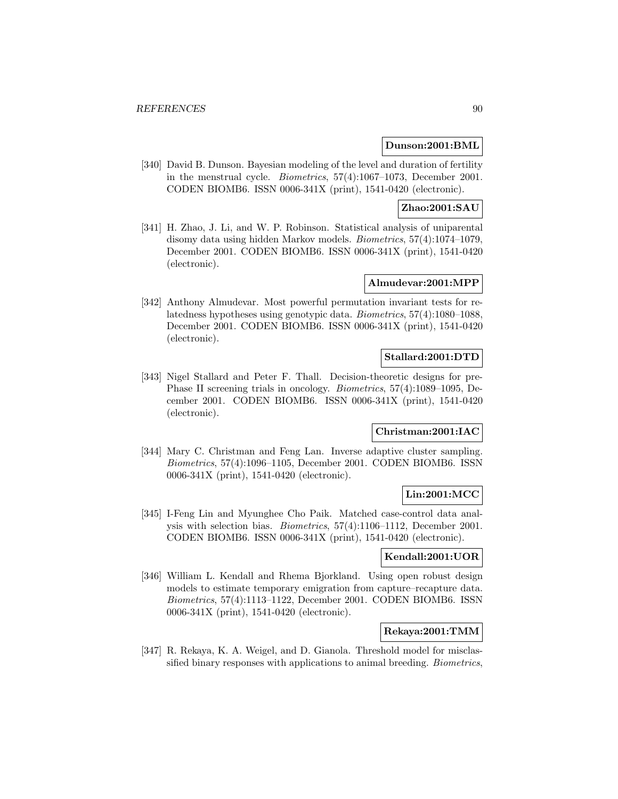### **Dunson:2001:BML**

[340] David B. Dunson. Bayesian modeling of the level and duration of fertility in the menstrual cycle. Biometrics, 57(4):1067–1073, December 2001. CODEN BIOMB6. ISSN 0006-341X (print), 1541-0420 (electronic).

### **Zhao:2001:SAU**

[341] H. Zhao, J. Li, and W. P. Robinson. Statistical analysis of uniparental disomy data using hidden Markov models. Biometrics, 57(4):1074–1079, December 2001. CODEN BIOMB6. ISSN 0006-341X (print), 1541-0420 (electronic).

# **Almudevar:2001:MPP**

[342] Anthony Almudevar. Most powerful permutation invariant tests for relatedness hypotheses using genotypic data. Biometrics, 57(4):1080–1088, December 2001. CODEN BIOMB6. ISSN 0006-341X (print), 1541-0420 (electronic).

# **Stallard:2001:DTD**

[343] Nigel Stallard and Peter F. Thall. Decision-theoretic designs for pre-Phase II screening trials in oncology. Biometrics, 57(4):1089–1095, December 2001. CODEN BIOMB6. ISSN 0006-341X (print), 1541-0420 (electronic).

# **Christman:2001:IAC**

[344] Mary C. Christman and Feng Lan. Inverse adaptive cluster sampling. Biometrics, 57(4):1096–1105, December 2001. CODEN BIOMB6. ISSN 0006-341X (print), 1541-0420 (electronic).

## **Lin:2001:MCC**

[345] I-Feng Lin and Myunghee Cho Paik. Matched case-control data analysis with selection bias. Biometrics, 57(4):1106–1112, December 2001. CODEN BIOMB6. ISSN 0006-341X (print), 1541-0420 (electronic).

#### **Kendall:2001:UOR**

[346] William L. Kendall and Rhema Bjorkland. Using open robust design models to estimate temporary emigration from capture–recapture data. Biometrics, 57(4):1113–1122, December 2001. CODEN BIOMB6. ISSN 0006-341X (print), 1541-0420 (electronic).

# **Rekaya:2001:TMM**

[347] R. Rekaya, K. A. Weigel, and D. Gianola. Threshold model for misclassified binary responses with applications to animal breeding. Biometrics,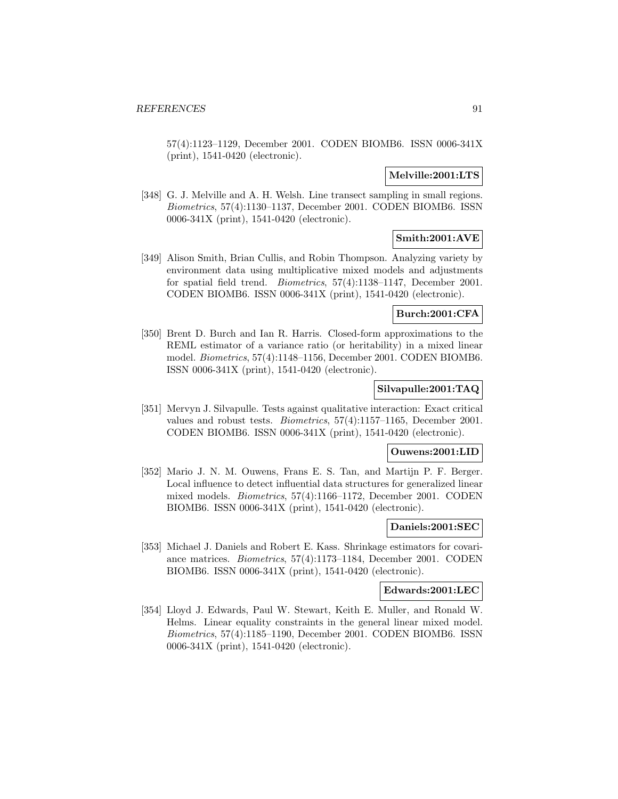57(4):1123–1129, December 2001. CODEN BIOMB6. ISSN 0006-341X (print), 1541-0420 (electronic).

### **Melville:2001:LTS**

[348] G. J. Melville and A. H. Welsh. Line transect sampling in small regions. Biometrics, 57(4):1130–1137, December 2001. CODEN BIOMB6. ISSN 0006-341X (print), 1541-0420 (electronic).

# **Smith:2001:AVE**

[349] Alison Smith, Brian Cullis, and Robin Thompson. Analyzing variety by environment data using multiplicative mixed models and adjustments for spatial field trend. Biometrics, 57(4):1138–1147, December 2001. CODEN BIOMB6. ISSN 0006-341X (print), 1541-0420 (electronic).

### **Burch:2001:CFA**

[350] Brent D. Burch and Ian R. Harris. Closed-form approximations to the REML estimator of a variance ratio (or heritability) in a mixed linear model. Biometrics, 57(4):1148–1156, December 2001. CODEN BIOMB6. ISSN 0006-341X (print), 1541-0420 (electronic).

# **Silvapulle:2001:TAQ**

[351] Mervyn J. Silvapulle. Tests against qualitative interaction: Exact critical values and robust tests. Biometrics, 57(4):1157–1165, December 2001. CODEN BIOMB6. ISSN 0006-341X (print), 1541-0420 (electronic).

#### **Ouwens:2001:LID**

[352] Mario J. N. M. Ouwens, Frans E. S. Tan, and Martijn P. F. Berger. Local influence to detect influential data structures for generalized linear mixed models. Biometrics, 57(4):1166–1172, December 2001. CODEN BIOMB6. ISSN 0006-341X (print), 1541-0420 (electronic).

#### **Daniels:2001:SEC**

[353] Michael J. Daniels and Robert E. Kass. Shrinkage estimators for covariance matrices. Biometrics, 57(4):1173–1184, December 2001. CODEN BIOMB6. ISSN 0006-341X (print), 1541-0420 (electronic).

### **Edwards:2001:LEC**

[354] Lloyd J. Edwards, Paul W. Stewart, Keith E. Muller, and Ronald W. Helms. Linear equality constraints in the general linear mixed model. Biometrics, 57(4):1185–1190, December 2001. CODEN BIOMB6. ISSN 0006-341X (print), 1541-0420 (electronic).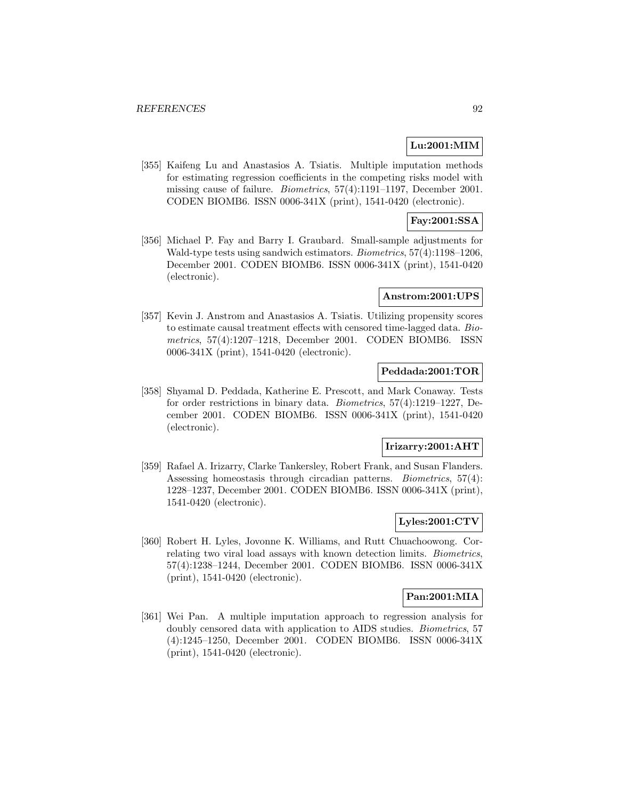# **Lu:2001:MIM**

[355] Kaifeng Lu and Anastasios A. Tsiatis. Multiple imputation methods for estimating regression coefficients in the competing risks model with missing cause of failure. Biometrics, 57(4):1191–1197, December 2001. CODEN BIOMB6. ISSN 0006-341X (print), 1541-0420 (electronic).

# **Fay:2001:SSA**

[356] Michael P. Fay and Barry I. Graubard. Small-sample adjustments for Wald-type tests using sandwich estimators. Biometrics, 57(4):1198–1206, December 2001. CODEN BIOMB6. ISSN 0006-341X (print), 1541-0420 (electronic).

# **Anstrom:2001:UPS**

[357] Kevin J. Anstrom and Anastasios A. Tsiatis. Utilizing propensity scores to estimate causal treatment effects with censored time-lagged data. Biometrics, 57(4):1207–1218, December 2001. CODEN BIOMB6. ISSN 0006-341X (print), 1541-0420 (electronic).

# **Peddada:2001:TOR**

[358] Shyamal D. Peddada, Katherine E. Prescott, and Mark Conaway. Tests for order restrictions in binary data. Biometrics, 57(4):1219–1227, December 2001. CODEN BIOMB6. ISSN 0006-341X (print), 1541-0420 (electronic).

### **Irizarry:2001:AHT**

[359] Rafael A. Irizarry, Clarke Tankersley, Robert Frank, and Susan Flanders. Assessing homeostasis through circadian patterns. Biometrics, 57(4): 1228–1237, December 2001. CODEN BIOMB6. ISSN 0006-341X (print), 1541-0420 (electronic).

# **Lyles:2001:CTV**

[360] Robert H. Lyles, Jovonne K. Williams, and Rutt Chuachoowong. Correlating two viral load assays with known detection limits. Biometrics, 57(4):1238–1244, December 2001. CODEN BIOMB6. ISSN 0006-341X (print), 1541-0420 (electronic).

# **Pan:2001:MIA**

[361] Wei Pan. A multiple imputation approach to regression analysis for doubly censored data with application to AIDS studies. Biometrics, 57 (4):1245–1250, December 2001. CODEN BIOMB6. ISSN 0006-341X (print), 1541-0420 (electronic).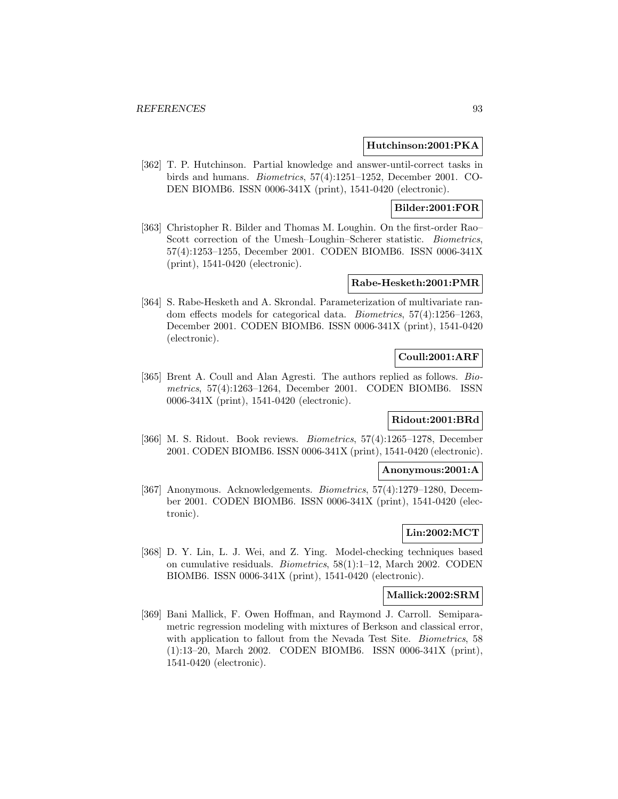### **Hutchinson:2001:PKA**

[362] T. P. Hutchinson. Partial knowledge and answer-until-correct tasks in birds and humans. Biometrics, 57(4):1251–1252, December 2001. CO-DEN BIOMB6. ISSN 0006-341X (print), 1541-0420 (electronic).

# **Bilder:2001:FOR**

[363] Christopher R. Bilder and Thomas M. Loughin. On the first-order Rao– Scott correction of the Umesh–Loughin–Scherer statistic. Biometrics, 57(4):1253–1255, December 2001. CODEN BIOMB6. ISSN 0006-341X (print), 1541-0420 (electronic).

# **Rabe-Hesketh:2001:PMR**

[364] S. Rabe-Hesketh and A. Skrondal. Parameterization of multivariate random effects models for categorical data. Biometrics, 57(4):1256–1263, December 2001. CODEN BIOMB6. ISSN 0006-341X (print), 1541-0420 (electronic).

# **Coull:2001:ARF**

[365] Brent A. Coull and Alan Agresti. The authors replied as follows. Biometrics, 57(4):1263–1264, December 2001. CODEN BIOMB6. ISSN 0006-341X (print), 1541-0420 (electronic).

# **Ridout:2001:BRd**

[366] M. S. Ridout. Book reviews. Biometrics, 57(4):1265–1278, December 2001. CODEN BIOMB6. ISSN 0006-341X (print), 1541-0420 (electronic).

## **Anonymous:2001:A**

[367] Anonymous. Acknowledgements. Biometrics, 57(4):1279–1280, December 2001. CODEN BIOMB6. ISSN 0006-341X (print), 1541-0420 (electronic).

# **Lin:2002:MCT**

[368] D. Y. Lin, L. J. Wei, and Z. Ying. Model-checking techniques based on cumulative residuals. Biometrics, 58(1):1–12, March 2002. CODEN BIOMB6. ISSN 0006-341X (print), 1541-0420 (electronic).

#### **Mallick:2002:SRM**

[369] Bani Mallick, F. Owen Hoffman, and Raymond J. Carroll. Semiparametric regression modeling with mixtures of Berkson and classical error, with application to fallout from the Nevada Test Site. *Biometrics*, 58 (1):13–20, March 2002. CODEN BIOMB6. ISSN 0006-341X (print), 1541-0420 (electronic).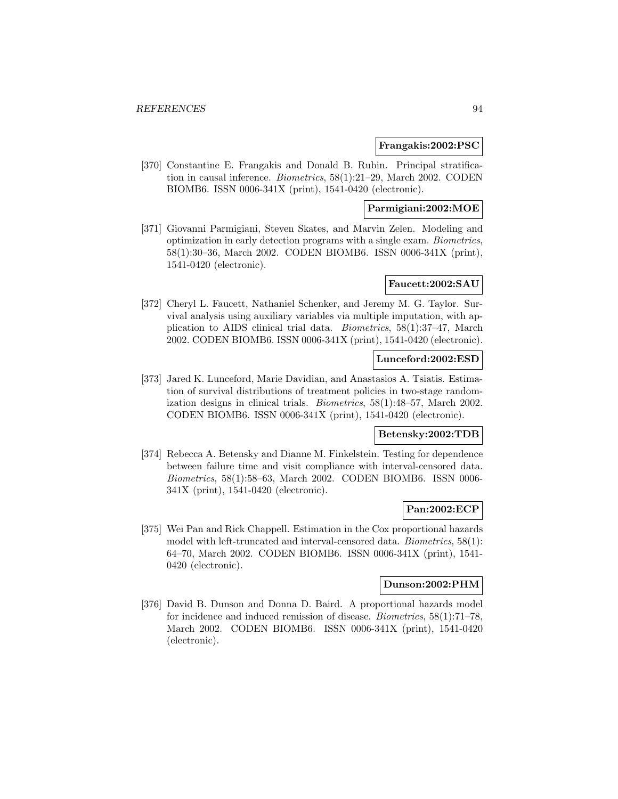#### **Frangakis:2002:PSC**

[370] Constantine E. Frangakis and Donald B. Rubin. Principal stratification in causal inference. Biometrics, 58(1):21–29, March 2002. CODEN BIOMB6. ISSN 0006-341X (print), 1541-0420 (electronic).

# **Parmigiani:2002:MOE**

[371] Giovanni Parmigiani, Steven Skates, and Marvin Zelen. Modeling and optimization in early detection programs with a single exam. Biometrics, 58(1):30–36, March 2002. CODEN BIOMB6. ISSN 0006-341X (print), 1541-0420 (electronic).

### **Faucett:2002:SAU**

[372] Cheryl L. Faucett, Nathaniel Schenker, and Jeremy M. G. Taylor. Survival analysis using auxiliary variables via multiple imputation, with application to AIDS clinical trial data. Biometrics, 58(1):37–47, March 2002. CODEN BIOMB6. ISSN 0006-341X (print), 1541-0420 (electronic).

### **Lunceford:2002:ESD**

[373] Jared K. Lunceford, Marie Davidian, and Anastasios A. Tsiatis. Estimation of survival distributions of treatment policies in two-stage randomization designs in clinical trials. Biometrics, 58(1):48–57, March 2002. CODEN BIOMB6. ISSN 0006-341X (print), 1541-0420 (electronic).

# **Betensky:2002:TDB**

[374] Rebecca A. Betensky and Dianne M. Finkelstein. Testing for dependence between failure time and visit compliance with interval-censored data. Biometrics, 58(1):58–63, March 2002. CODEN BIOMB6. ISSN 0006- 341X (print), 1541-0420 (electronic).

### **Pan:2002:ECP**

[375] Wei Pan and Rick Chappell. Estimation in the Cox proportional hazards model with left-truncated and interval-censored data. Biometrics, 58(1): 64–70, March 2002. CODEN BIOMB6. ISSN 0006-341X (print), 1541- 0420 (electronic).

# **Dunson:2002:PHM**

[376] David B. Dunson and Donna D. Baird. A proportional hazards model for incidence and induced remission of disease. Biometrics, 58(1):71–78, March 2002. CODEN BIOMB6. ISSN 0006-341X (print), 1541-0420 (electronic).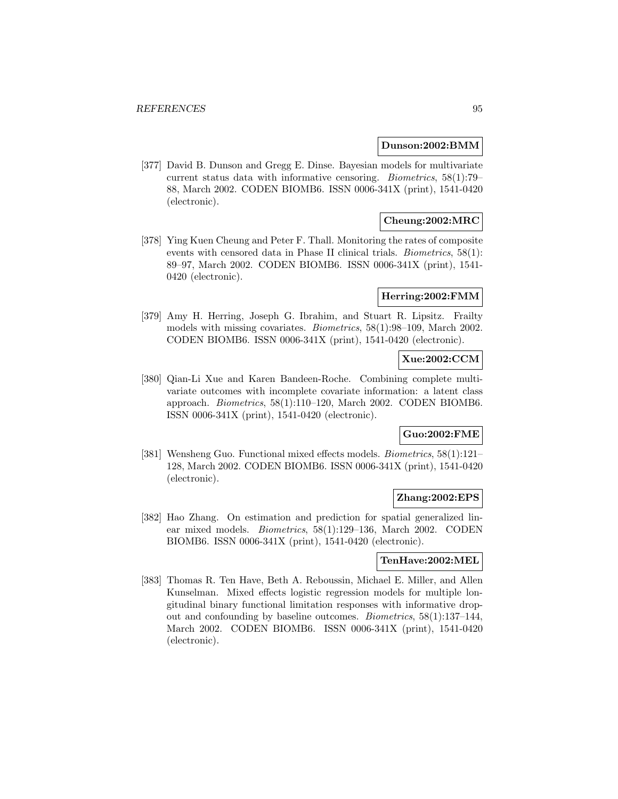#### **Dunson:2002:BMM**

[377] David B. Dunson and Gregg E. Dinse. Bayesian models for multivariate current status data with informative censoring. Biometrics, 58(1):79– 88, March 2002. CODEN BIOMB6. ISSN 0006-341X (print), 1541-0420 (electronic).

# **Cheung:2002:MRC**

[378] Ying Kuen Cheung and Peter F. Thall. Monitoring the rates of composite events with censored data in Phase II clinical trials. Biometrics, 58(1): 89–97, March 2002. CODEN BIOMB6. ISSN 0006-341X (print), 1541- 0420 (electronic).

### **Herring:2002:FMM**

[379] Amy H. Herring, Joseph G. Ibrahim, and Stuart R. Lipsitz. Frailty models with missing covariates. Biometrics, 58(1):98–109, March 2002. CODEN BIOMB6. ISSN 0006-341X (print), 1541-0420 (electronic).

# **Xue:2002:CCM**

[380] Qian-Li Xue and Karen Bandeen-Roche. Combining complete multivariate outcomes with incomplete covariate information: a latent class approach. Biometrics, 58(1):110–120, March 2002. CODEN BIOMB6. ISSN 0006-341X (print), 1541-0420 (electronic).

# **Guo:2002:FME**

[381] Wensheng Guo. Functional mixed effects models. *Biometrics*, 58(1):121-128, March 2002. CODEN BIOMB6. ISSN 0006-341X (print), 1541-0420 (electronic).

# **Zhang:2002:EPS**

[382] Hao Zhang. On estimation and prediction for spatial generalized linear mixed models. Biometrics, 58(1):129–136, March 2002. CODEN BIOMB6. ISSN 0006-341X (print), 1541-0420 (electronic).

### **TenHave:2002:MEL**

[383] Thomas R. Ten Have, Beth A. Reboussin, Michael E. Miller, and Allen Kunselman. Mixed effects logistic regression models for multiple longitudinal binary functional limitation responses with informative dropout and confounding by baseline outcomes. Biometrics, 58(1):137–144, March 2002. CODEN BIOMB6. ISSN 0006-341X (print), 1541-0420 (electronic).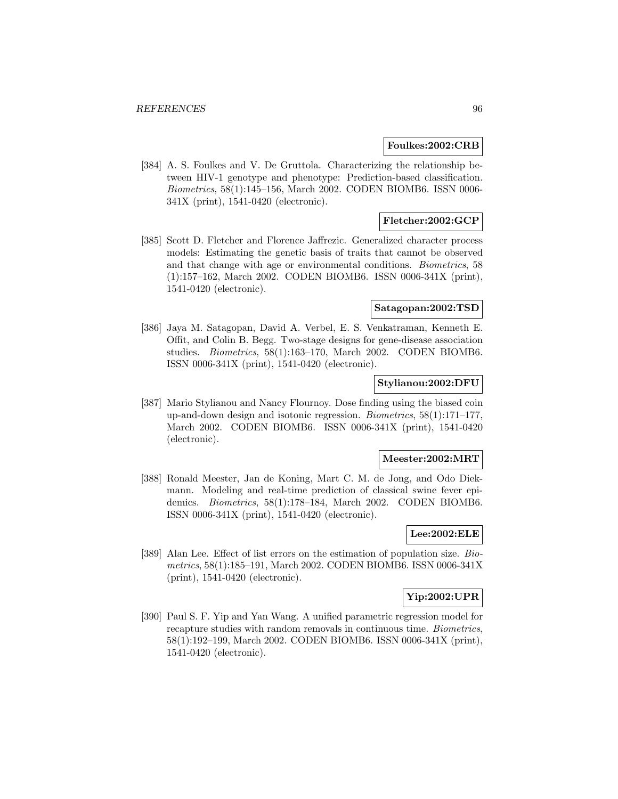### **Foulkes:2002:CRB**

[384] A. S. Foulkes and V. De Gruttola. Characterizing the relationship between HIV-1 genotype and phenotype: Prediction-based classification. Biometrics, 58(1):145–156, March 2002. CODEN BIOMB6. ISSN 0006- 341X (print), 1541-0420 (electronic).

# **Fletcher:2002:GCP**

[385] Scott D. Fletcher and Florence Jaffrezic. Generalized character process models: Estimating the genetic basis of traits that cannot be observed and that change with age or environmental conditions. Biometrics, 58 (1):157–162, March 2002. CODEN BIOMB6. ISSN 0006-341X (print), 1541-0420 (electronic).

#### **Satagopan:2002:TSD**

[386] Jaya M. Satagopan, David A. Verbel, E. S. Venkatraman, Kenneth E. Offit, and Colin B. Begg. Two-stage designs for gene-disease association studies. Biometrics, 58(1):163–170, March 2002. CODEN BIOMB6. ISSN 0006-341X (print), 1541-0420 (electronic).

### **Stylianou:2002:DFU**

[387] Mario Stylianou and Nancy Flournoy. Dose finding using the biased coin up-and-down design and isotonic regression. Biometrics, 58(1):171–177, March 2002. CODEN BIOMB6. ISSN 0006-341X (print), 1541-0420 (electronic).

### **Meester:2002:MRT**

[388] Ronald Meester, Jan de Koning, Mart C. M. de Jong, and Odo Diekmann. Modeling and real-time prediction of classical swine fever epidemics. Biometrics, 58(1):178–184, March 2002. CODEN BIOMB6. ISSN 0006-341X (print), 1541-0420 (electronic).

# **Lee:2002:ELE**

[389] Alan Lee. Effect of list errors on the estimation of population size. Biometrics, 58(1):185–191, March 2002. CODEN BIOMB6. ISSN 0006-341X (print), 1541-0420 (electronic).

# **Yip:2002:UPR**

[390] Paul S. F. Yip and Yan Wang. A unified parametric regression model for recapture studies with random removals in continuous time. Biometrics, 58(1):192–199, March 2002. CODEN BIOMB6. ISSN 0006-341X (print), 1541-0420 (electronic).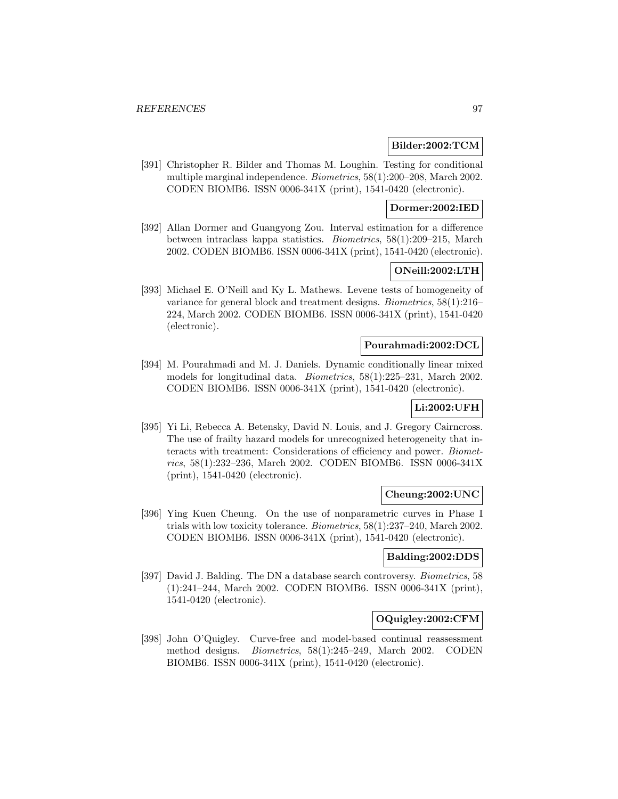### **Bilder:2002:TCM**

[391] Christopher R. Bilder and Thomas M. Loughin. Testing for conditional multiple marginal independence. Biometrics, 58(1):200–208, March 2002. CODEN BIOMB6. ISSN 0006-341X (print), 1541-0420 (electronic).

# **Dormer:2002:IED**

[392] Allan Dormer and Guangyong Zou. Interval estimation for a difference between intraclass kappa statistics. Biometrics, 58(1):209–215, March 2002. CODEN BIOMB6. ISSN 0006-341X (print), 1541-0420 (electronic).

# **ONeill:2002:LTH**

[393] Michael E. O'Neill and Ky L. Mathews. Levene tests of homogeneity of variance for general block and treatment designs. Biometrics, 58(1):216– 224, March 2002. CODEN BIOMB6. ISSN 0006-341X (print), 1541-0420 (electronic).

#### **Pourahmadi:2002:DCL**

[394] M. Pourahmadi and M. J. Daniels. Dynamic conditionally linear mixed models for longitudinal data. Biometrics, 58(1):225–231, March 2002. CODEN BIOMB6. ISSN 0006-341X (print), 1541-0420 (electronic).

## **Li:2002:UFH**

[395] Yi Li, Rebecca A. Betensky, David N. Louis, and J. Gregory Cairncross. The use of frailty hazard models for unrecognized heterogeneity that interacts with treatment: Considerations of efficiency and power. Biometrics, 58(1):232–236, March 2002. CODEN BIOMB6. ISSN 0006-341X (print), 1541-0420 (electronic).

#### **Cheung:2002:UNC**

[396] Ying Kuen Cheung. On the use of nonparametric curves in Phase I trials with low toxicity tolerance. Biometrics, 58(1):237–240, March 2002. CODEN BIOMB6. ISSN 0006-341X (print), 1541-0420 (electronic).

# **Balding:2002:DDS**

[397] David J. Balding. The DN a database search controversy. *Biometrics*, 58 (1):241–244, March 2002. CODEN BIOMB6. ISSN 0006-341X (print), 1541-0420 (electronic).

# **OQuigley:2002:CFM**

[398] John O'Quigley. Curve-free and model-based continual reassessment method designs. Biometrics, 58(1):245–249, March 2002. CODEN BIOMB6. ISSN 0006-341X (print), 1541-0420 (electronic).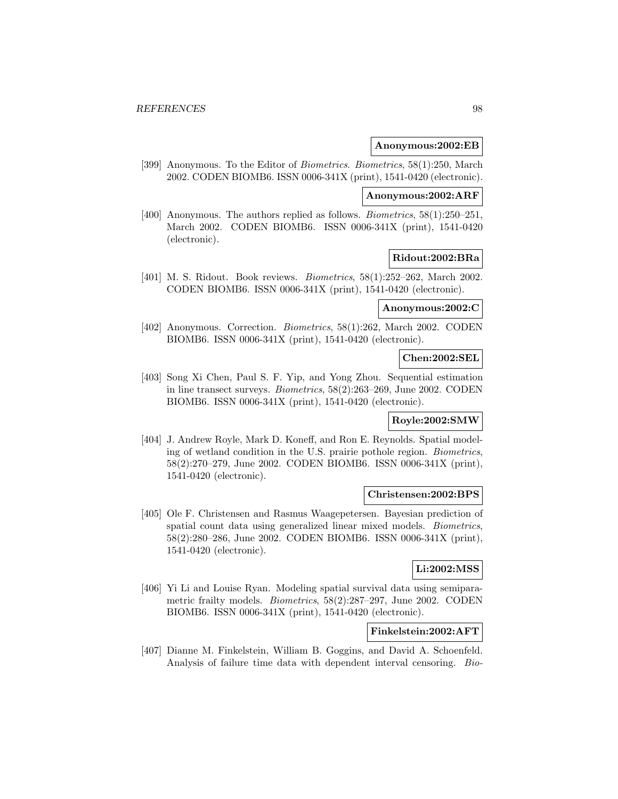#### **Anonymous:2002:EB**

[399] Anonymous. To the Editor of Biometrics. Biometrics, 58(1):250, March 2002. CODEN BIOMB6. ISSN 0006-341X (print), 1541-0420 (electronic).

#### **Anonymous:2002:ARF**

[400] Anonymous. The authors replied as follows. *Biometrics*, 58(1):250–251, March 2002. CODEN BIOMB6. ISSN 0006-341X (print), 1541-0420 (electronic).

#### **Ridout:2002:BRa**

[401] M. S. Ridout. Book reviews. Biometrics, 58(1):252–262, March 2002. CODEN BIOMB6. ISSN 0006-341X (print), 1541-0420 (electronic).

#### **Anonymous:2002:C**

[402] Anonymous. Correction. *Biometrics*, 58(1):262, March 2002. CODEN BIOMB6. ISSN 0006-341X (print), 1541-0420 (electronic).

## **Chen:2002:SEL**

[403] Song Xi Chen, Paul S. F. Yip, and Yong Zhou. Sequential estimation in line transect surveys. Biometrics, 58(2):263–269, June 2002. CODEN BIOMB6. ISSN 0006-341X (print), 1541-0420 (electronic).

## **Royle:2002:SMW**

[404] J. Andrew Royle, Mark D. Koneff, and Ron E. Reynolds. Spatial modeling of wetland condition in the U.S. prairie pothole region. Biometrics, 58(2):270–279, June 2002. CODEN BIOMB6. ISSN 0006-341X (print), 1541-0420 (electronic).

#### **Christensen:2002:BPS**

[405] Ole F. Christensen and Rasmus Waagepetersen. Bayesian prediction of spatial count data using generalized linear mixed models. Biometrics, 58(2):280–286, June 2002. CODEN BIOMB6. ISSN 0006-341X (print), 1541-0420 (electronic).

# **Li:2002:MSS**

[406] Yi Li and Louise Ryan. Modeling spatial survival data using semiparametric frailty models. Biometrics, 58(2):287–297, June 2002. CODEN BIOMB6. ISSN 0006-341X (print), 1541-0420 (electronic).

# **Finkelstein:2002:AFT**

[407] Dianne M. Finkelstein, William B. Goggins, and David A. Schoenfeld. Analysis of failure time data with dependent interval censoring. Bio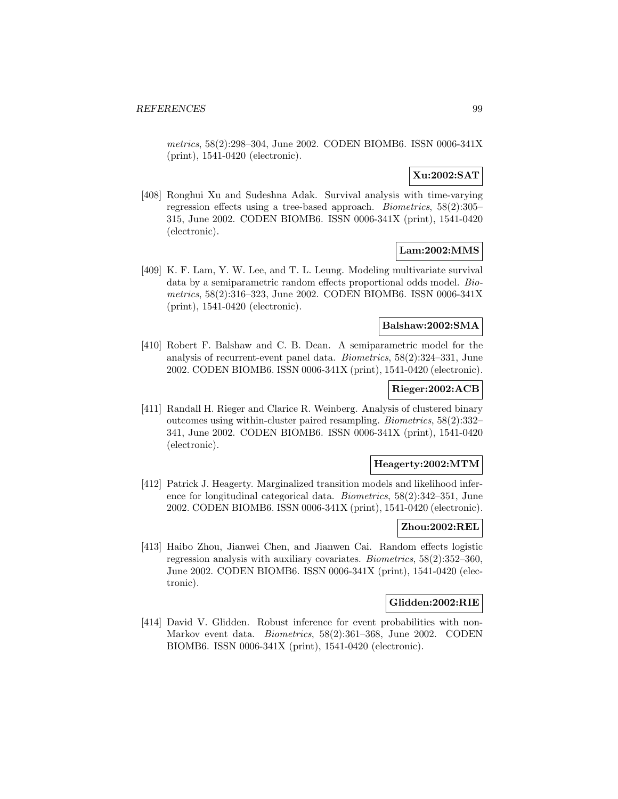metrics, 58(2):298–304, June 2002. CODEN BIOMB6. ISSN 0006-341X (print), 1541-0420 (electronic).

# **Xu:2002:SAT**

[408] Ronghui Xu and Sudeshna Adak. Survival analysis with time-varying regression effects using a tree-based approach. Biometrics, 58(2):305– 315, June 2002. CODEN BIOMB6. ISSN 0006-341X (print), 1541-0420 (electronic).

# **Lam:2002:MMS**

[409] K. F. Lam, Y. W. Lee, and T. L. Leung. Modeling multivariate survival data by a semiparametric random effects proportional odds model. Biometrics, 58(2):316–323, June 2002. CODEN BIOMB6. ISSN 0006-341X (print), 1541-0420 (electronic).

## **Balshaw:2002:SMA**

[410] Robert F. Balshaw and C. B. Dean. A semiparametric model for the analysis of recurrent-event panel data. Biometrics, 58(2):324–331, June 2002. CODEN BIOMB6. ISSN 0006-341X (print), 1541-0420 (electronic).

# **Rieger:2002:ACB**

[411] Randall H. Rieger and Clarice R. Weinberg. Analysis of clustered binary outcomes using within-cluster paired resampling. Biometrics, 58(2):332– 341, June 2002. CODEN BIOMB6. ISSN 0006-341X (print), 1541-0420 (electronic).

### **Heagerty:2002:MTM**

[412] Patrick J. Heagerty. Marginalized transition models and likelihood inference for longitudinal categorical data. Biometrics, 58(2):342–351, June 2002. CODEN BIOMB6. ISSN 0006-341X (print), 1541-0420 (electronic).

### **Zhou:2002:REL**

[413] Haibo Zhou, Jianwei Chen, and Jianwen Cai. Random effects logistic regression analysis with auxiliary covariates. Biometrics, 58(2):352–360, June 2002. CODEN BIOMB6. ISSN 0006-341X (print), 1541-0420 (electronic).

### **Glidden:2002:RIE**

[414] David V. Glidden. Robust inference for event probabilities with non-Markov event data. Biometrics, 58(2):361–368, June 2002. CODEN BIOMB6. ISSN 0006-341X (print), 1541-0420 (electronic).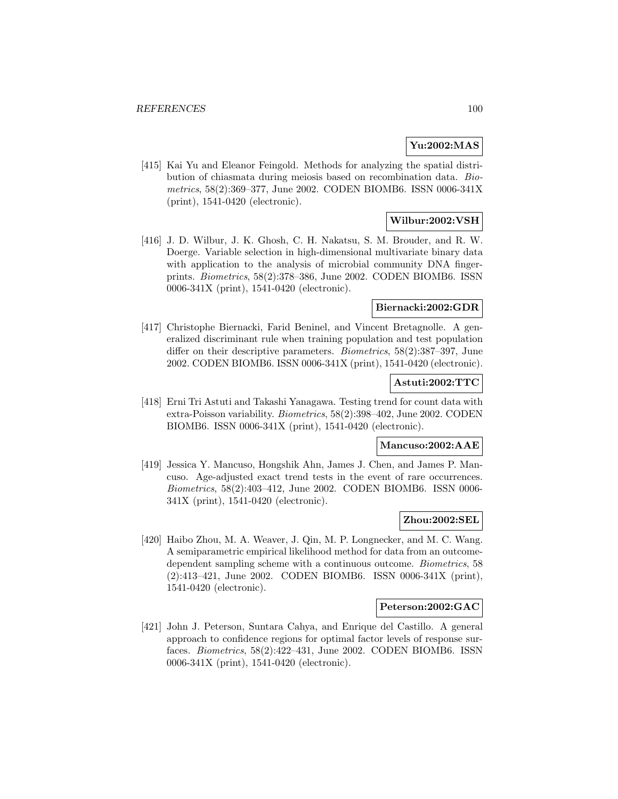# **Yu:2002:MAS**

[415] Kai Yu and Eleanor Feingold. Methods for analyzing the spatial distribution of chiasmata during meiosis based on recombination data. Biometrics, 58(2):369–377, June 2002. CODEN BIOMB6. ISSN 0006-341X (print), 1541-0420 (electronic).

# **Wilbur:2002:VSH**

[416] J. D. Wilbur, J. K. Ghosh, C. H. Nakatsu, S. M. Brouder, and R. W. Doerge. Variable selection in high-dimensional multivariate binary data with application to the analysis of microbial community DNA fingerprints. Biometrics, 58(2):378–386, June 2002. CODEN BIOMB6. ISSN 0006-341X (print), 1541-0420 (electronic).

#### **Biernacki:2002:GDR**

[417] Christophe Biernacki, Farid Beninel, and Vincent Bretagnolle. A generalized discriminant rule when training population and test population differ on their descriptive parameters. Biometrics, 58(2):387–397, June 2002. CODEN BIOMB6. ISSN 0006-341X (print), 1541-0420 (electronic).

## **Astuti:2002:TTC**

[418] Erni Tri Astuti and Takashi Yanagawa. Testing trend for count data with extra-Poisson variability. Biometrics, 58(2):398–402, June 2002. CODEN BIOMB6. ISSN 0006-341X (print), 1541-0420 (electronic).

## **Mancuso:2002:AAE**

[419] Jessica Y. Mancuso, Hongshik Ahn, James J. Chen, and James P. Mancuso. Age-adjusted exact trend tests in the event of rare occurrences. Biometrics, 58(2):403–412, June 2002. CODEN BIOMB6. ISSN 0006- 341X (print), 1541-0420 (electronic).

### **Zhou:2002:SEL**

[420] Haibo Zhou, M. A. Weaver, J. Qin, M. P. Longnecker, and M. C. Wang. A semiparametric empirical likelihood method for data from an outcomedependent sampling scheme with a continuous outcome. Biometrics, 58 (2):413–421, June 2002. CODEN BIOMB6. ISSN 0006-341X (print), 1541-0420 (electronic).

#### **Peterson:2002:GAC**

[421] John J. Peterson, Suntara Cahya, and Enrique del Castillo. A general approach to confidence regions for optimal factor levels of response surfaces. Biometrics, 58(2):422–431, June 2002. CODEN BIOMB6. ISSN 0006-341X (print), 1541-0420 (electronic).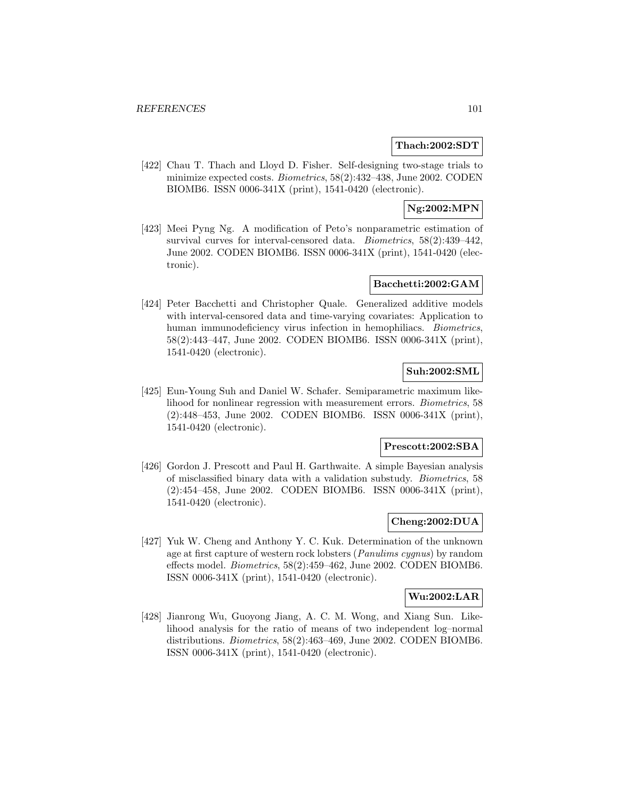### **Thach:2002:SDT**

[422] Chau T. Thach and Lloyd D. Fisher. Self-designing two-stage trials to minimize expected costs. *Biometrics*, 58(2):432–438, June 2002. CODEN BIOMB6. ISSN 0006-341X (print), 1541-0420 (electronic).

# **Ng:2002:MPN**

[423] Meei Pyng Ng. A modification of Peto's nonparametric estimation of survival curves for interval-censored data. Biometrics, 58(2):439–442, June 2002. CODEN BIOMB6. ISSN 0006-341X (print), 1541-0420 (electronic).

# **Bacchetti:2002:GAM**

[424] Peter Bacchetti and Christopher Quale. Generalized additive models with interval-censored data and time-varying covariates: Application to human immunodeficiency virus infection in hemophiliacs. Biometrics, 58(2):443–447, June 2002. CODEN BIOMB6. ISSN 0006-341X (print), 1541-0420 (electronic).

# **Suh:2002:SML**

[425] Eun-Young Suh and Daniel W. Schafer. Semiparametric maximum likelihood for nonlinear regression with measurement errors. Biometrics, 58 (2):448–453, June 2002. CODEN BIOMB6. ISSN 0006-341X (print), 1541-0420 (electronic).

### **Prescott:2002:SBA**

[426] Gordon J. Prescott and Paul H. Garthwaite. A simple Bayesian analysis of misclassified binary data with a validation substudy. Biometrics, 58 (2):454–458, June 2002. CODEN BIOMB6. ISSN 0006-341X (print), 1541-0420 (electronic).

# **Cheng:2002:DUA**

[427] Yuk W. Cheng and Anthony Y. C. Kuk. Determination of the unknown age at first capture of western rock lobsters (Panulims cygnus) by random effects model. Biometrics, 58(2):459–462, June 2002. CODEN BIOMB6. ISSN 0006-341X (print), 1541-0420 (electronic).

# **Wu:2002:LAR**

[428] Jianrong Wu, Guoyong Jiang, A. C. M. Wong, and Xiang Sun. Likelihood analysis for the ratio of means of two independent log–normal distributions. Biometrics, 58(2):463–469, June 2002. CODEN BIOMB6. ISSN 0006-341X (print), 1541-0420 (electronic).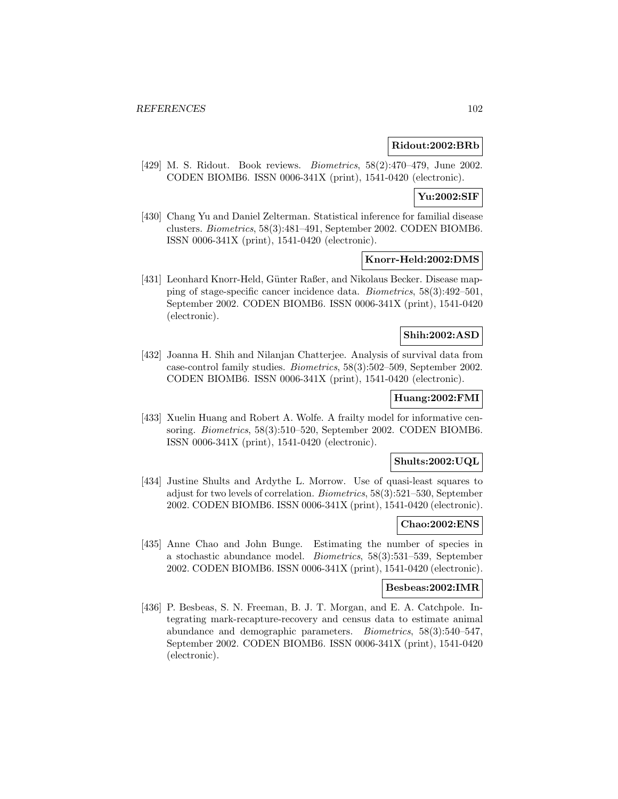### **Ridout:2002:BRb**

[429] M. S. Ridout. Book reviews. Biometrics, 58(2):470–479, June 2002. CODEN BIOMB6. ISSN 0006-341X (print), 1541-0420 (electronic).

# **Yu:2002:SIF**

[430] Chang Yu and Daniel Zelterman. Statistical inference for familial disease clusters. Biometrics, 58(3):481–491, September 2002. CODEN BIOMB6. ISSN 0006-341X (print), 1541-0420 (electronic).

#### **Knorr-Held:2002:DMS**

[431] Leonhard Knorr-Held, Günter Raßer, and Nikolaus Becker. Disease mapping of stage-specific cancer incidence data. Biometrics, 58(3):492–501, September 2002. CODEN BIOMB6. ISSN 0006-341X (print), 1541-0420 (electronic).

# **Shih:2002:ASD**

[432] Joanna H. Shih and Nilanjan Chatterjee. Analysis of survival data from case-control family studies. Biometrics, 58(3):502–509, September 2002. CODEN BIOMB6. ISSN 0006-341X (print), 1541-0420 (electronic).

# **Huang:2002:FMI**

[433] Xuelin Huang and Robert A. Wolfe. A frailty model for informative censoring. Biometrics, 58(3):510–520, September 2002. CODEN BIOMB6. ISSN 0006-341X (print), 1541-0420 (electronic).

# **Shults:2002:UQL**

[434] Justine Shults and Ardythe L. Morrow. Use of quasi-least squares to adjust for two levels of correlation. Biometrics, 58(3):521–530, September 2002. CODEN BIOMB6. ISSN 0006-341X (print), 1541-0420 (electronic).

### **Chao:2002:ENS**

[435] Anne Chao and John Bunge. Estimating the number of species in a stochastic abundance model. Biometrics, 58(3):531–539, September 2002. CODEN BIOMB6. ISSN 0006-341X (print), 1541-0420 (electronic).

# **Besbeas:2002:IMR**

[436] P. Besbeas, S. N. Freeman, B. J. T. Morgan, and E. A. Catchpole. Integrating mark-recapture-recovery and census data to estimate animal abundance and demographic parameters. Biometrics, 58(3):540–547, September 2002. CODEN BIOMB6. ISSN 0006-341X (print), 1541-0420 (electronic).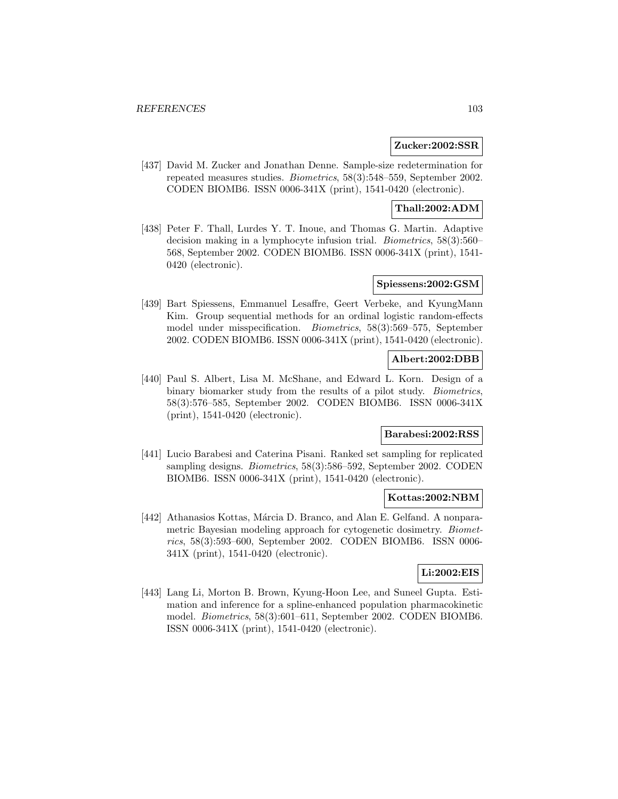### **Zucker:2002:SSR**

[437] David M. Zucker and Jonathan Denne. Sample-size redetermination for repeated measures studies. Biometrics, 58(3):548–559, September 2002. CODEN BIOMB6. ISSN 0006-341X (print), 1541-0420 (electronic).

# **Thall:2002:ADM**

[438] Peter F. Thall, Lurdes Y. T. Inoue, and Thomas G. Martin. Adaptive decision making in a lymphocyte infusion trial. Biometrics, 58(3):560– 568, September 2002. CODEN BIOMB6. ISSN 0006-341X (print), 1541- 0420 (electronic).

### **Spiessens:2002:GSM**

[439] Bart Spiessens, Emmanuel Lesaffre, Geert Verbeke, and KyungMann Kim. Group sequential methods for an ordinal logistic random-effects model under misspecification. Biometrics, 58(3):569–575, September 2002. CODEN BIOMB6. ISSN 0006-341X (print), 1541-0420 (electronic).

# **Albert:2002:DBB**

[440] Paul S. Albert, Lisa M. McShane, and Edward L. Korn. Design of a binary biomarker study from the results of a pilot study. Biometrics, 58(3):576–585, September 2002. CODEN BIOMB6. ISSN 0006-341X (print), 1541-0420 (electronic).

# **Barabesi:2002:RSS**

[441] Lucio Barabesi and Caterina Pisani. Ranked set sampling for replicated sampling designs. Biometrics, 58(3):586–592, September 2002. CODEN BIOMB6. ISSN 0006-341X (print), 1541-0420 (electronic).

# **Kottas:2002:NBM**

[442] Athanasios Kottas, Márcia D. Branco, and Alan E. Gelfand. A nonparametric Bayesian modeling approach for cytogenetic dosimetry. Biometrics, 58(3):593–600, September 2002. CODEN BIOMB6. ISSN 0006- 341X (print), 1541-0420 (electronic).

# **Li:2002:EIS**

[443] Lang Li, Morton B. Brown, Kyung-Hoon Lee, and Suneel Gupta. Estimation and inference for a spline-enhanced population pharmacokinetic model. Biometrics, 58(3):601–611, September 2002. CODEN BIOMB6. ISSN 0006-341X (print), 1541-0420 (electronic).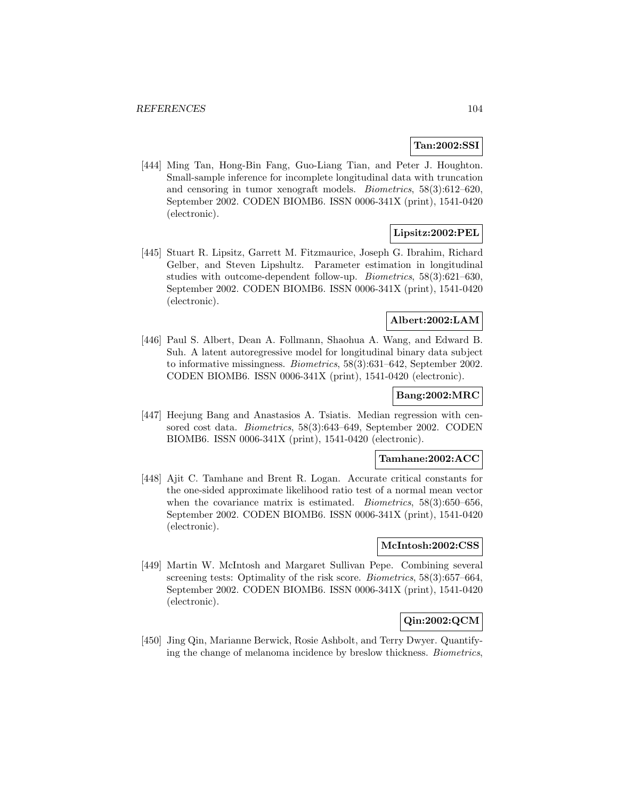# **Tan:2002:SSI**

[444] Ming Tan, Hong-Bin Fang, Guo-Liang Tian, and Peter J. Houghton. Small-sample inference for incomplete longitudinal data with truncation and censoring in tumor xenograft models. Biometrics, 58(3):612–620, September 2002. CODEN BIOMB6. ISSN 0006-341X (print), 1541-0420 (electronic).

# **Lipsitz:2002:PEL**

[445] Stuart R. Lipsitz, Garrett M. Fitzmaurice, Joseph G. Ibrahim, Richard Gelber, and Steven Lipshultz. Parameter estimation in longitudinal studies with outcome-dependent follow-up. Biometrics, 58(3):621–630, September 2002. CODEN BIOMB6. ISSN 0006-341X (print), 1541-0420 (electronic).

# **Albert:2002:LAM**

[446] Paul S. Albert, Dean A. Follmann, Shaohua A. Wang, and Edward B. Suh. A latent autoregressive model for longitudinal binary data subject to informative missingness. Biometrics, 58(3):631–642, September 2002. CODEN BIOMB6. ISSN 0006-341X (print), 1541-0420 (electronic).

## **Bang:2002:MRC**

[447] Heejung Bang and Anastasios A. Tsiatis. Median regression with censored cost data. Biometrics, 58(3):643–649, September 2002. CODEN BIOMB6. ISSN 0006-341X (print), 1541-0420 (electronic).

## **Tamhane:2002:ACC**

[448] Ajit C. Tamhane and Brent R. Logan. Accurate critical constants for the one-sided approximate likelihood ratio test of a normal mean vector when the covariance matrix is estimated. *Biometrics*, 58(3):650–656, September 2002. CODEN BIOMB6. ISSN 0006-341X (print), 1541-0420 (electronic).

## **McIntosh:2002:CSS**

[449] Martin W. McIntosh and Margaret Sullivan Pepe. Combining several screening tests: Optimality of the risk score. *Biometrics*, 58(3):657–664, September 2002. CODEN BIOMB6. ISSN 0006-341X (print), 1541-0420 (electronic).

# **Qin:2002:QCM**

[450] Jing Qin, Marianne Berwick, Rosie Ashbolt, and Terry Dwyer. Quantifying the change of melanoma incidence by breslow thickness. Biometrics,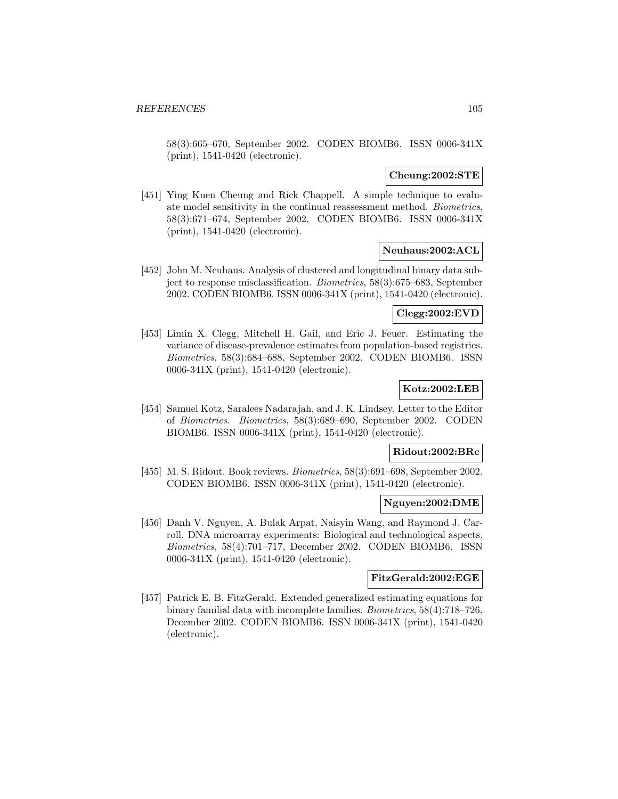58(3):665–670, September 2002. CODEN BIOMB6. ISSN 0006-341X (print), 1541-0420 (electronic).

### **Cheung:2002:STE**

[451] Ying Kuen Cheung and Rick Chappell. A simple technique to evaluate model sensitivity in the continual reassessment method. Biometrics, 58(3):671–674, September 2002. CODEN BIOMB6. ISSN 0006-341X (print), 1541-0420 (electronic).

# **Neuhaus:2002:ACL**

[452] John M. Neuhaus. Analysis of clustered and longitudinal binary data subject to response misclassification. Biometrics, 58(3):675–683, September 2002. CODEN BIOMB6. ISSN 0006-341X (print), 1541-0420 (electronic).

## **Clegg:2002:EVD**

[453] Limin X. Clegg, Mitchell H. Gail, and Eric J. Feuer. Estimating the variance of disease-prevalence estimates from population-based registries. Biometrics, 58(3):684–688, September 2002. CODEN BIOMB6. ISSN 0006-341X (print), 1541-0420 (electronic).

# **Kotz:2002:LEB**

[454] Samuel Kotz, Saralees Nadarajah, and J. K. Lindsey. Letter to the Editor of Biometrics. Biometrics, 58(3):689–690, September 2002. CODEN BIOMB6. ISSN 0006-341X (print), 1541-0420 (electronic).

#### **Ridout:2002:BRc**

[455] M. S. Ridout. Book reviews. Biometrics, 58(3):691–698, September 2002. CODEN BIOMB6. ISSN 0006-341X (print), 1541-0420 (electronic).

### **Nguyen:2002:DME**

[456] Danh V. Nguyen, A. Bulak Arpat, Naisyin Wang, and Raymond J. Carroll. DNA microarray experiments: Biological and technological aspects. Biometrics, 58(4):701–717, December 2002. CODEN BIOMB6. ISSN 0006-341X (print), 1541-0420 (electronic).

#### **FitzGerald:2002:EGE**

[457] Patrick E. B. FitzGerald. Extended generalized estimating equations for binary familial data with incomplete families. Biometrics, 58(4):718–726, December 2002. CODEN BIOMB6. ISSN 0006-341X (print), 1541-0420 (electronic).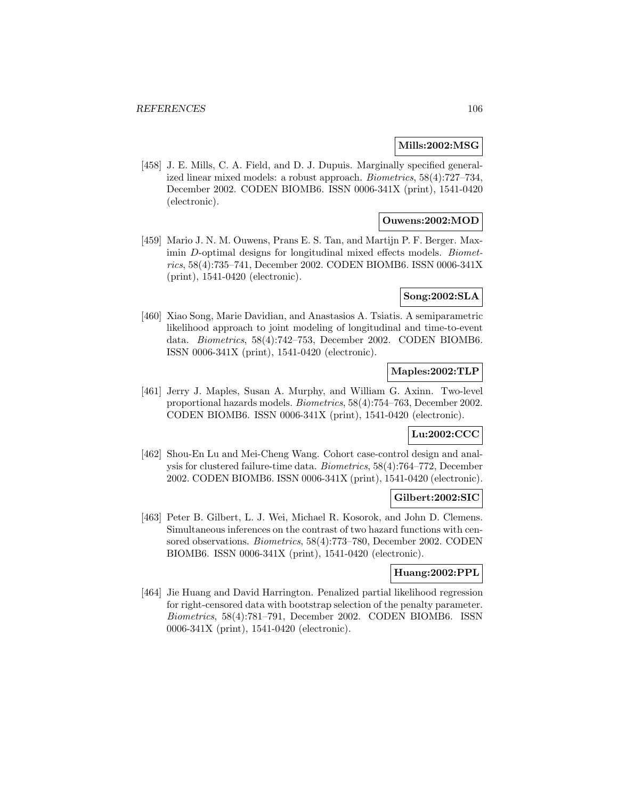### **Mills:2002:MSG**

[458] J. E. Mills, C. A. Field, and D. J. Dupuis. Marginally specified generalized linear mixed models: a robust approach. Biometrics, 58(4):727–734, December 2002. CODEN BIOMB6. ISSN 0006-341X (print), 1541-0420 (electronic).

# **Ouwens:2002:MOD**

[459] Mario J. N. M. Ouwens, Prans E. S. Tan, and Martijn P. F. Berger. Maximin D-optimal designs for longitudinal mixed effects models. Biometrics, 58(4):735–741, December 2002. CODEN BIOMB6. ISSN 0006-341X (print), 1541-0420 (electronic).

#### **Song:2002:SLA**

[460] Xiao Song, Marie Davidian, and Anastasios A. Tsiatis. A semiparametric likelihood approach to joint modeling of longitudinal and time-to-event data. Biometrics, 58(4):742–753, December 2002. CODEN BIOMB6. ISSN 0006-341X (print), 1541-0420 (electronic).

# **Maples:2002:TLP**

[461] Jerry J. Maples, Susan A. Murphy, and William G. Axinn. Two-level proportional hazards models. Biometrics, 58(4):754–763, December 2002. CODEN BIOMB6. ISSN 0006-341X (print), 1541-0420 (electronic).

# **Lu:2002:CCC**

[462] Shou-En Lu and Mei-Cheng Wang. Cohort case-control design and analysis for clustered failure-time data. Biometrics, 58(4):764–772, December 2002. CODEN BIOMB6. ISSN 0006-341X (print), 1541-0420 (electronic).

#### **Gilbert:2002:SIC**

[463] Peter B. Gilbert, L. J. Wei, Michael R. Kosorok, and John D. Clemens. Simultaneous inferences on the contrast of two hazard functions with censored observations. Biometrics, 58(4):773–780, December 2002. CODEN BIOMB6. ISSN 0006-341X (print), 1541-0420 (electronic).

# **Huang:2002:PPL**

[464] Jie Huang and David Harrington. Penalized partial likelihood regression for right-censored data with bootstrap selection of the penalty parameter. Biometrics, 58(4):781–791, December 2002. CODEN BIOMB6. ISSN 0006-341X (print), 1541-0420 (electronic).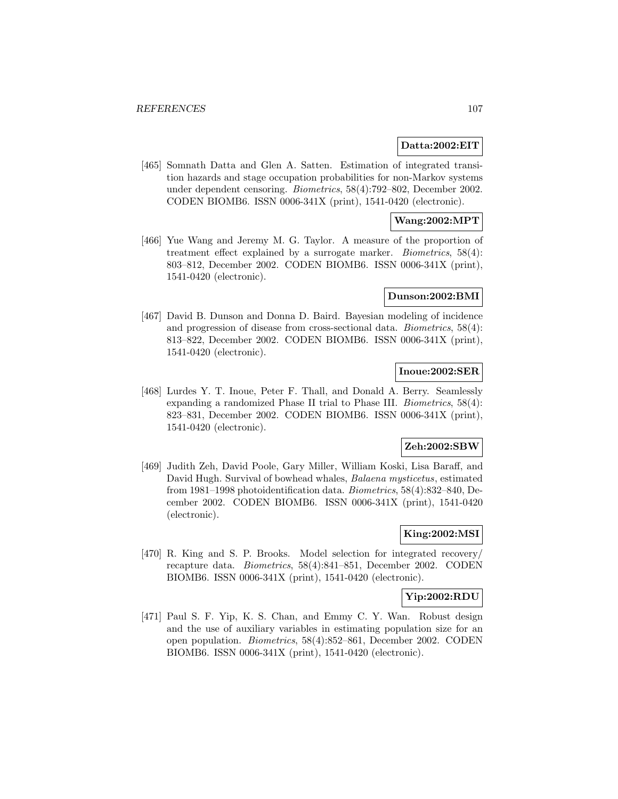#### **Datta:2002:EIT**

[465] Somnath Datta and Glen A. Satten. Estimation of integrated transition hazards and stage occupation probabilities for non-Markov systems under dependent censoring. Biometrics, 58(4):792–802, December 2002. CODEN BIOMB6. ISSN 0006-341X (print), 1541-0420 (electronic).

## **Wang:2002:MPT**

[466] Yue Wang and Jeremy M. G. Taylor. A measure of the proportion of treatment effect explained by a surrogate marker. Biometrics, 58(4): 803–812, December 2002. CODEN BIOMB6. ISSN 0006-341X (print), 1541-0420 (electronic).

#### **Dunson:2002:BMI**

[467] David B. Dunson and Donna D. Baird. Bayesian modeling of incidence and progression of disease from cross-sectional data. Biometrics, 58(4): 813–822, December 2002. CODEN BIOMB6. ISSN 0006-341X (print), 1541-0420 (electronic).

# **Inoue:2002:SER**

[468] Lurdes Y. T. Inoue, Peter F. Thall, and Donald A. Berry. Seamlessly expanding a randomized Phase II trial to Phase III. Biometrics, 58(4): 823–831, December 2002. CODEN BIOMB6. ISSN 0006-341X (print), 1541-0420 (electronic).

### **Zeh:2002:SBW**

[469] Judith Zeh, David Poole, Gary Miller, William Koski, Lisa Baraff, and David Hugh. Survival of bowhead whales, Balaena mysticetus, estimated from 1981–1998 photoidentification data. Biometrics, 58(4):832–840, December 2002. CODEN BIOMB6. ISSN 0006-341X (print), 1541-0420 (electronic).

# **King:2002:MSI**

[470] R. King and S. P. Brooks. Model selection for integrated recovery/ recapture data. Biometrics, 58(4):841–851, December 2002. CODEN BIOMB6. ISSN 0006-341X (print), 1541-0420 (electronic).

### **Yip:2002:RDU**

[471] Paul S. F. Yip, K. S. Chan, and Emmy C. Y. Wan. Robust design and the use of auxiliary variables in estimating population size for an open population. Biometrics, 58(4):852–861, December 2002. CODEN BIOMB6. ISSN 0006-341X (print), 1541-0420 (electronic).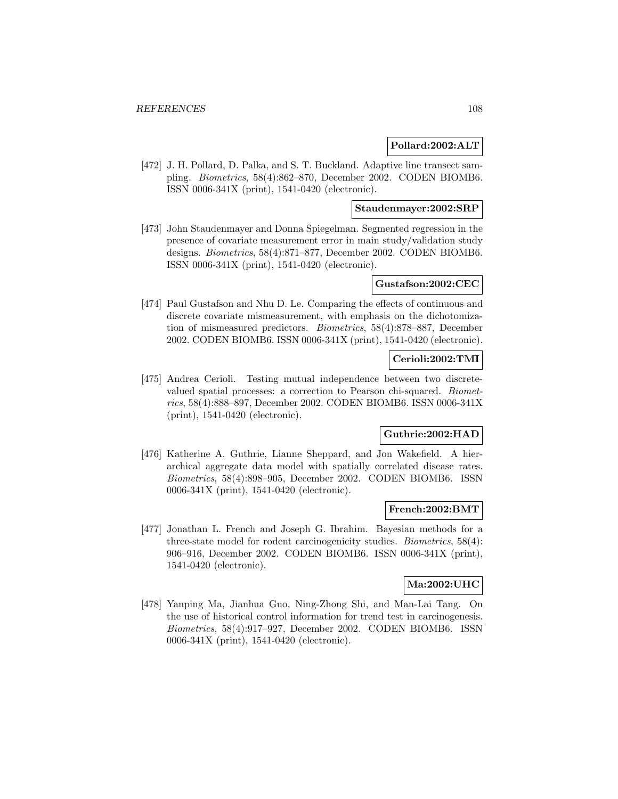### **Pollard:2002:ALT**

[472] J. H. Pollard, D. Palka, and S. T. Buckland. Adaptive line transect sampling. Biometrics, 58(4):862–870, December 2002. CODEN BIOMB6. ISSN 0006-341X (print), 1541-0420 (electronic).

# **Staudenmayer:2002:SRP**

[473] John Staudenmayer and Donna Spiegelman. Segmented regression in the presence of covariate measurement error in main study/validation study designs. Biometrics, 58(4):871–877, December 2002. CODEN BIOMB6. ISSN 0006-341X (print), 1541-0420 (electronic).

#### **Gustafson:2002:CEC**

[474] Paul Gustafson and Nhu D. Le. Comparing the effects of continuous and discrete covariate mismeasurement, with emphasis on the dichotomization of mismeasured predictors. Biometrics, 58(4):878–887, December 2002. CODEN BIOMB6. ISSN 0006-341X (print), 1541-0420 (electronic).

# **Cerioli:2002:TMI**

[475] Andrea Cerioli. Testing mutual independence between two discretevalued spatial processes: a correction to Pearson chi-squared. Biometrics, 58(4):888–897, December 2002. CODEN BIOMB6. ISSN 0006-341X (print), 1541-0420 (electronic).

# **Guthrie:2002:HAD**

[476] Katherine A. Guthrie, Lianne Sheppard, and Jon Wakefield. A hierarchical aggregate data model with spatially correlated disease rates. Biometrics, 58(4):898–905, December 2002. CODEN BIOMB6. ISSN 0006-341X (print), 1541-0420 (electronic).

#### **French:2002:BMT**

[477] Jonathan L. French and Joseph G. Ibrahim. Bayesian methods for a three-state model for rodent carcinogenicity studies. Biometrics, 58(4): 906–916, December 2002. CODEN BIOMB6. ISSN 0006-341X (print), 1541-0420 (electronic).

# **Ma:2002:UHC**

[478] Yanping Ma, Jianhua Guo, Ning-Zhong Shi, and Man-Lai Tang. On the use of historical control information for trend test in carcinogenesis. Biometrics, 58(4):917–927, December 2002. CODEN BIOMB6. ISSN 0006-341X (print), 1541-0420 (electronic).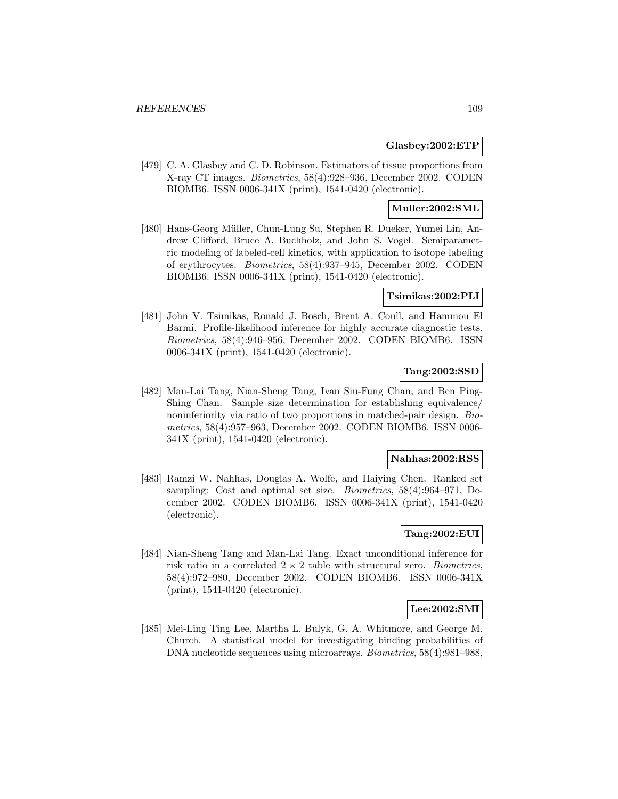## **Glasbey:2002:ETP**

[479] C. A. Glasbey and C. D. Robinson. Estimators of tissue proportions from X-ray CT images. Biometrics, 58(4):928–936, December 2002. CODEN BIOMB6. ISSN 0006-341X (print), 1541-0420 (electronic).

# **Muller:2002:SML**

[480] Hans-Georg Müller, Chun-Lung Su, Stephen R. Dueker, Yumei Lin, Andrew Clifford, Bruce A. Buchholz, and John S. Vogel. Semiparametric modeling of labeled-cell kinetics, with application to isotope labeling of erythrocytes. Biometrics, 58(4):937–945, December 2002. CODEN BIOMB6. ISSN 0006-341X (print), 1541-0420 (electronic).

# **Tsimikas:2002:PLI**

[481] John V. Tsimikas, Ronald J. Bosch, Brent A. Coull, and Hammou El Barmi. Profile-likelihood inference for highly accurate diagnostic tests. Biometrics, 58(4):946–956, December 2002. CODEN BIOMB6. ISSN 0006-341X (print), 1541-0420 (electronic).

# **Tang:2002:SSD**

[482] Man-Lai Tang, Nian-Sheng Tang, Ivan Siu-Fung Chan, and Ben Ping-Shing Chan. Sample size determination for establishing equivalence/ noninferiority via ratio of two proportions in matched-pair design. Biometrics, 58(4):957–963, December 2002. CODEN BIOMB6. ISSN 0006- 341X (print), 1541-0420 (electronic).

## **Nahhas:2002:RSS**

[483] Ramzi W. Nahhas, Douglas A. Wolfe, and Haiying Chen. Ranked set sampling: Cost and optimal set size. Biometrics, 58(4):964–971, December 2002. CODEN BIOMB6. ISSN 0006-341X (print), 1541-0420 (electronic).

# **Tang:2002:EUI**

[484] Nian-Sheng Tang and Man-Lai Tang. Exact unconditional inference for risk ratio in a correlated  $2 \times 2$  table with structural zero. *Biometrics*, 58(4):972–980, December 2002. CODEN BIOMB6. ISSN 0006-341X (print), 1541-0420 (electronic).

# **Lee:2002:SMI**

[485] Mei-Ling Ting Lee, Martha L. Bulyk, G. A. Whitmore, and George M. Church. A statistical model for investigating binding probabilities of DNA nucleotide sequences using microarrays. Biometrics, 58(4):981–988,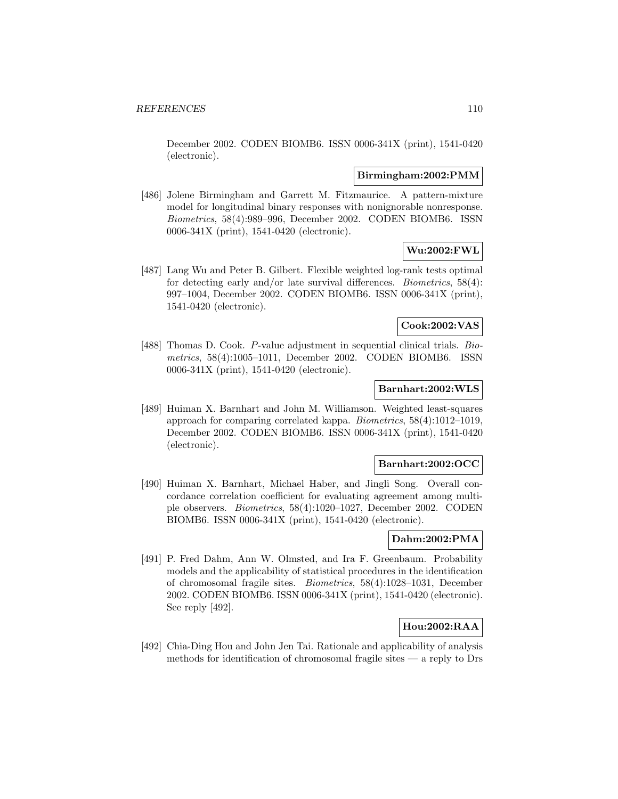December 2002. CODEN BIOMB6. ISSN 0006-341X (print), 1541-0420 (electronic).

### **Birmingham:2002:PMM**

[486] Jolene Birmingham and Garrett M. Fitzmaurice. A pattern-mixture model for longitudinal binary responses with nonignorable nonresponse. Biometrics, 58(4):989–996, December 2002. CODEN BIOMB6. ISSN 0006-341X (print), 1541-0420 (electronic).

### **Wu:2002:FWL**

[487] Lang Wu and Peter B. Gilbert. Flexible weighted log-rank tests optimal for detecting early and/or late survival differences. Biometrics, 58(4): 997–1004, December 2002. CODEN BIOMB6. ISSN 0006-341X (print), 1541-0420 (electronic).

### **Cook:2002:VAS**

[488] Thomas D. Cook. P-value adjustment in sequential clinical trials. Biometrics, 58(4):1005–1011, December 2002. CODEN BIOMB6. ISSN 0006-341X (print), 1541-0420 (electronic).

## **Barnhart:2002:WLS**

[489] Huiman X. Barnhart and John M. Williamson. Weighted least-squares approach for comparing correlated kappa. Biometrics, 58(4):1012–1019, December 2002. CODEN BIOMB6. ISSN 0006-341X (print), 1541-0420 (electronic).

### **Barnhart:2002:OCC**

[490] Huiman X. Barnhart, Michael Haber, and Jingli Song. Overall concordance correlation coefficient for evaluating agreement among multiple observers. Biometrics, 58(4):1020–1027, December 2002. CODEN BIOMB6. ISSN 0006-341X (print), 1541-0420 (electronic).

# **Dahm:2002:PMA**

[491] P. Fred Dahm, Ann W. Olmsted, and Ira F. Greenbaum. Probability models and the applicability of statistical procedures in the identification of chromosomal fragile sites. Biometrics, 58(4):1028–1031, December 2002. CODEN BIOMB6. ISSN 0006-341X (print), 1541-0420 (electronic). See reply [492].

# **Hou:2002:RAA**

[492] Chia-Ding Hou and John Jen Tai. Rationale and applicability of analysis methods for identification of chromosomal fragile sites  $-$  a reply to Drs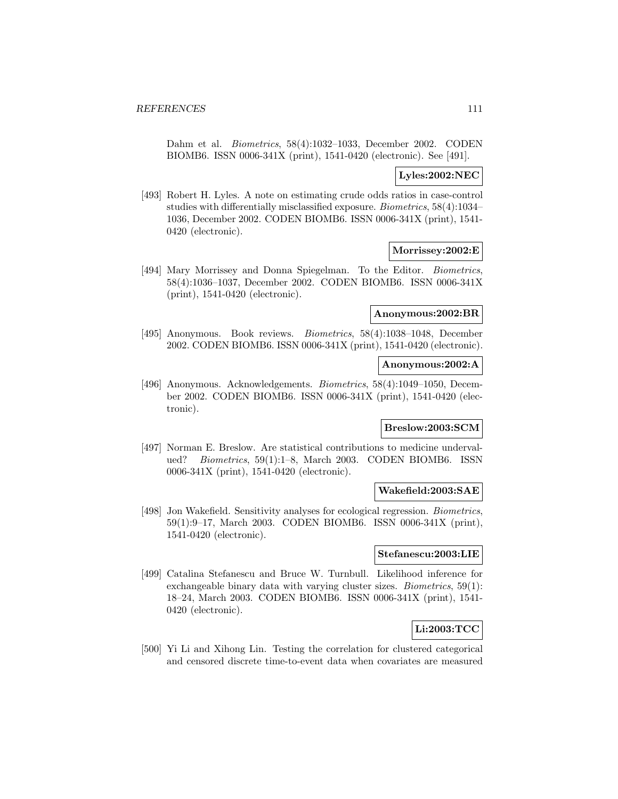Dahm et al. Biometrics, 58(4):1032–1033, December 2002. CODEN BIOMB6. ISSN 0006-341X (print), 1541-0420 (electronic). See [491].

## **Lyles:2002:NEC**

[493] Robert H. Lyles. A note on estimating crude odds ratios in case-control studies with differentially misclassified exposure. Biometrics, 58(4):1034– 1036, December 2002. CODEN BIOMB6. ISSN 0006-341X (print), 1541- 0420 (electronic).

# **Morrissey:2002:E**

[494] Mary Morrissey and Donna Spiegelman. To the Editor. Biometrics, 58(4):1036–1037, December 2002. CODEN BIOMB6. ISSN 0006-341X (print), 1541-0420 (electronic).

### **Anonymous:2002:BR**

[495] Anonymous. Book reviews. Biometrics, 58(4):1038–1048, December 2002. CODEN BIOMB6. ISSN 0006-341X (print), 1541-0420 (electronic).

# **Anonymous:2002:A**

[496] Anonymous. Acknowledgements. Biometrics, 58(4):1049–1050, December 2002. CODEN BIOMB6. ISSN 0006-341X (print), 1541-0420 (electronic).

### **Breslow:2003:SCM**

[497] Norman E. Breslow. Are statistical contributions to medicine undervalued? Biometrics, 59(1):1–8, March 2003. CODEN BIOMB6. ISSN 0006-341X (print), 1541-0420 (electronic).

### **Wakefield:2003:SAE**

[498] Jon Wakefield. Sensitivity analyses for ecological regression. *Biometrics*, 59(1):9–17, March 2003. CODEN BIOMB6. ISSN 0006-341X (print), 1541-0420 (electronic).

# **Stefanescu:2003:LIE**

[499] Catalina Stefanescu and Bruce W. Turnbull. Likelihood inference for exchangeable binary data with varying cluster sizes. Biometrics, 59(1): 18–24, March 2003. CODEN BIOMB6. ISSN 0006-341X (print), 1541- 0420 (electronic).

# **Li:2003:TCC**

[500] Yi Li and Xihong Lin. Testing the correlation for clustered categorical and censored discrete time-to-event data when covariates are measured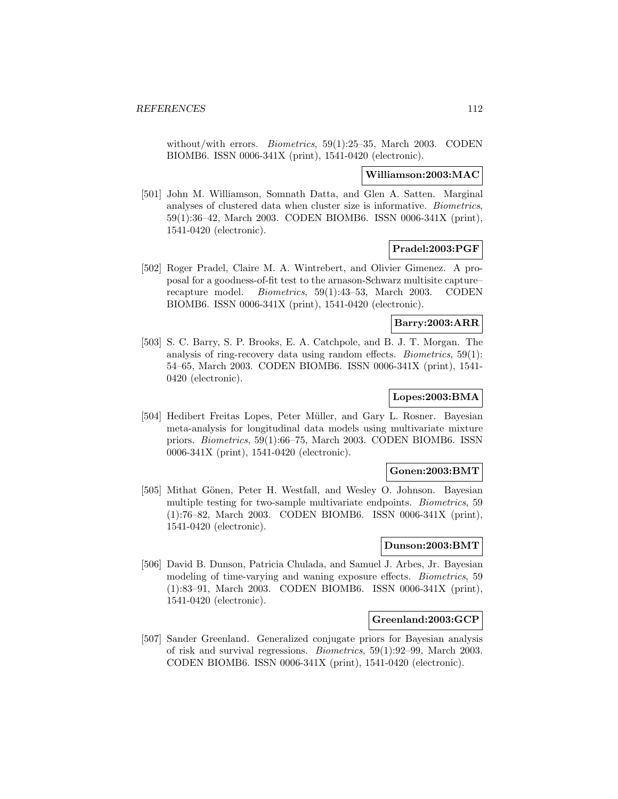without/with errors. *Biometrics*, 59(1):25–35, March 2003. CODEN BIOMB6. ISSN 0006-341X (print), 1541-0420 (electronic).

### **Williamson:2003:MAC**

[501] John M. Williamson, Somnath Datta, and Glen A. Satten. Marginal analyses of clustered data when cluster size is informative. Biometrics, 59(1):36–42, March 2003. CODEN BIOMB6. ISSN 0006-341X (print), 1541-0420 (electronic).

# **Pradel:2003:PGF**

[502] Roger Pradel, Claire M. A. Wintrebert, and Olivier Gimenez. A proposal for a goodness-of-fit test to the arnason-Schwarz multisite capture– recapture model. Biometrics, 59(1):43–53, March 2003. CODEN BIOMB6. ISSN 0006-341X (print), 1541-0420 (electronic).

# **Barry:2003:ARR**

[503] S. C. Barry, S. P. Brooks, E. A. Catchpole, and B. J. T. Morgan. The analysis of ring-recovery data using random effects. Biometrics, 59(1): 54–65, March 2003. CODEN BIOMB6. ISSN 0006-341X (print), 1541- 0420 (electronic).

# **Lopes:2003:BMA**

[504] Hedibert Freitas Lopes, Peter Müller, and Gary L. Rosner. Bayesian meta-analysis for longitudinal data models using multivariate mixture priors. Biometrics, 59(1):66–75, March 2003. CODEN BIOMB6. ISSN 0006-341X (print), 1541-0420 (electronic).

### **Gonen:2003:BMT**

[505] Mithat Gönen, Peter H. Westfall, and Wesley O. Johnson. Bayesian multiple testing for two-sample multivariate endpoints. Biometrics, 59 (1):76–82, March 2003. CODEN BIOMB6. ISSN 0006-341X (print), 1541-0420 (electronic).

### **Dunson:2003:BMT**

[506] David B. Dunson, Patricia Chulada, and Samuel J. Arbes, Jr. Bayesian modeling of time-varying and waning exposure effects. Biometrics, 59 (1):83–91, March 2003. CODEN BIOMB6. ISSN 0006-341X (print), 1541-0420 (electronic).

# **Greenland:2003:GCP**

[507] Sander Greenland. Generalized conjugate priors for Bayesian analysis of risk and survival regressions. Biometrics, 59(1):92–99, March 2003. CODEN BIOMB6. ISSN 0006-341X (print), 1541-0420 (electronic).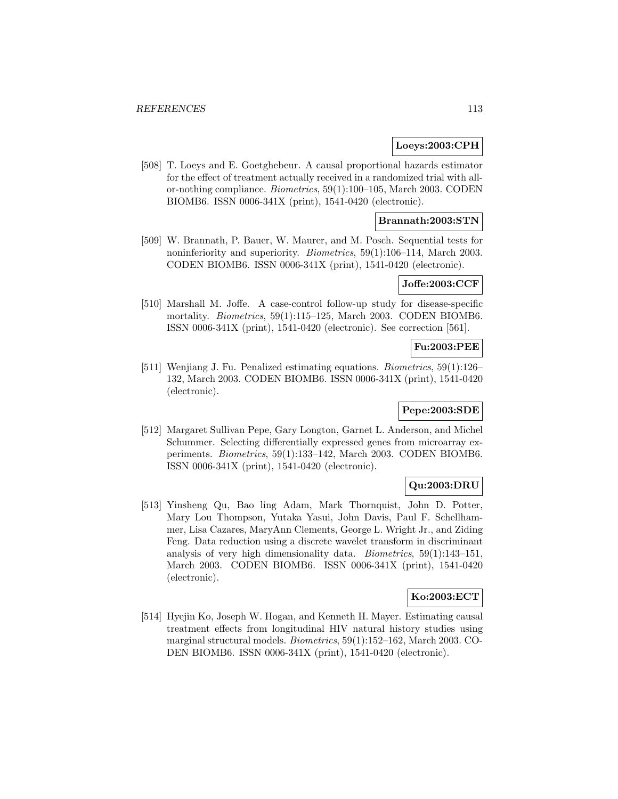## **Loeys:2003:CPH**

[508] T. Loeys and E. Goetghebeur. A causal proportional hazards estimator for the effect of treatment actually received in a randomized trial with allor-nothing compliance. Biometrics, 59(1):100–105, March 2003. CODEN BIOMB6. ISSN 0006-341X (print), 1541-0420 (electronic).

# **Brannath:2003:STN**

[509] W. Brannath, P. Bauer, W. Maurer, and M. Posch. Sequential tests for noninferiority and superiority. Biometrics, 59(1):106–114, March 2003. CODEN BIOMB6. ISSN 0006-341X (print), 1541-0420 (electronic).

## **Joffe:2003:CCF**

[510] Marshall M. Joffe. A case-control follow-up study for disease-specific mortality. Biometrics, 59(1):115–125, March 2003. CODEN BIOMB6. ISSN 0006-341X (print), 1541-0420 (electronic). See correction [561].

# **Fu:2003:PEE**

[511] Wenjiang J. Fu. Penalized estimating equations. Biometrics, 59(1):126– 132, March 2003. CODEN BIOMB6. ISSN 0006-341X (print), 1541-0420 (electronic).

## **Pepe:2003:SDE**

[512] Margaret Sullivan Pepe, Gary Longton, Garnet L. Anderson, and Michel Schummer. Selecting differentially expressed genes from microarray experiments. Biometrics, 59(1):133–142, March 2003. CODEN BIOMB6. ISSN 0006-341X (print), 1541-0420 (electronic).

## **Qu:2003:DRU**

[513] Yinsheng Qu, Bao ling Adam, Mark Thornquist, John D. Potter, Mary Lou Thompson, Yutaka Yasui, John Davis, Paul F. Schellhammer, Lisa Cazares, MaryAnn Clements, George L. Wright Jr., and Ziding Feng. Data reduction using a discrete wavelet transform in discriminant analysis of very high dimensionality data. Biometrics, 59(1):143–151, March 2003. CODEN BIOMB6. ISSN 0006-341X (print), 1541-0420 (electronic).

# **Ko:2003:ECT**

[514] Hyejin Ko, Joseph W. Hogan, and Kenneth H. Mayer. Estimating causal treatment effects from longitudinal HIV natural history studies using marginal structural models. Biometrics, 59(1):152–162, March 2003. CO-DEN BIOMB6. ISSN 0006-341X (print), 1541-0420 (electronic).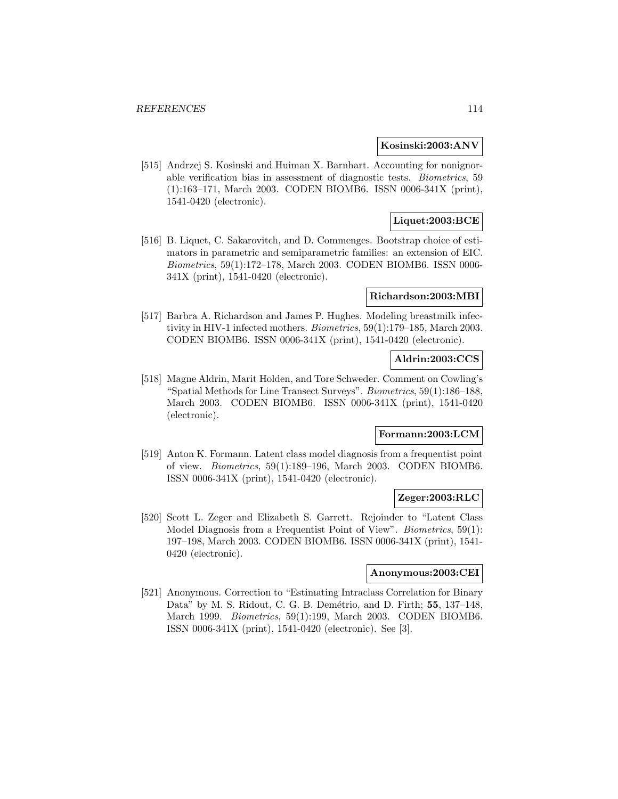### **Kosinski:2003:ANV**

[515] Andrzej S. Kosinski and Huiman X. Barnhart. Accounting for nonignorable verification bias in assessment of diagnostic tests. Biometrics, 59 (1):163–171, March 2003. CODEN BIOMB6. ISSN 0006-341X (print), 1541-0420 (electronic).

# **Liquet:2003:BCE**

[516] B. Liquet, C. Sakarovitch, and D. Commenges. Bootstrap choice of estimators in parametric and semiparametric families: an extension of EIC. Biometrics, 59(1):172–178, March 2003. CODEN BIOMB6. ISSN 0006- 341X (print), 1541-0420 (electronic).

#### **Richardson:2003:MBI**

[517] Barbra A. Richardson and James P. Hughes. Modeling breastmilk infectivity in HIV-1 infected mothers. Biometrics, 59(1):179–185, March 2003. CODEN BIOMB6. ISSN 0006-341X (print), 1541-0420 (electronic).

# **Aldrin:2003:CCS**

[518] Magne Aldrin, Marit Holden, and Tore Schweder. Comment on Cowling's "Spatial Methods for Line Transect Surveys". Biometrics, 59(1):186–188, March 2003. CODEN BIOMB6. ISSN 0006-341X (print), 1541-0420 (electronic).

# **Formann:2003:LCM**

[519] Anton K. Formann. Latent class model diagnosis from a frequentist point of view. Biometrics, 59(1):189–196, March 2003. CODEN BIOMB6. ISSN 0006-341X (print), 1541-0420 (electronic).

## **Zeger:2003:RLC**

[520] Scott L. Zeger and Elizabeth S. Garrett. Rejoinder to "Latent Class Model Diagnosis from a Frequentist Point of View". *Biometrics*, 59(1): 197–198, March 2003. CODEN BIOMB6. ISSN 0006-341X (print), 1541- 0420 (electronic).

## **Anonymous:2003:CEI**

[521] Anonymous. Correction to "Estimating Intraclass Correlation for Binary Data" by M. S. Ridout, C. G. B. Dem´etrio, and D. Firth; **55**, 137–148, March 1999. Biometrics, 59(1):199, March 2003. CODEN BIOMB6. ISSN 0006-341X (print), 1541-0420 (electronic). See [3].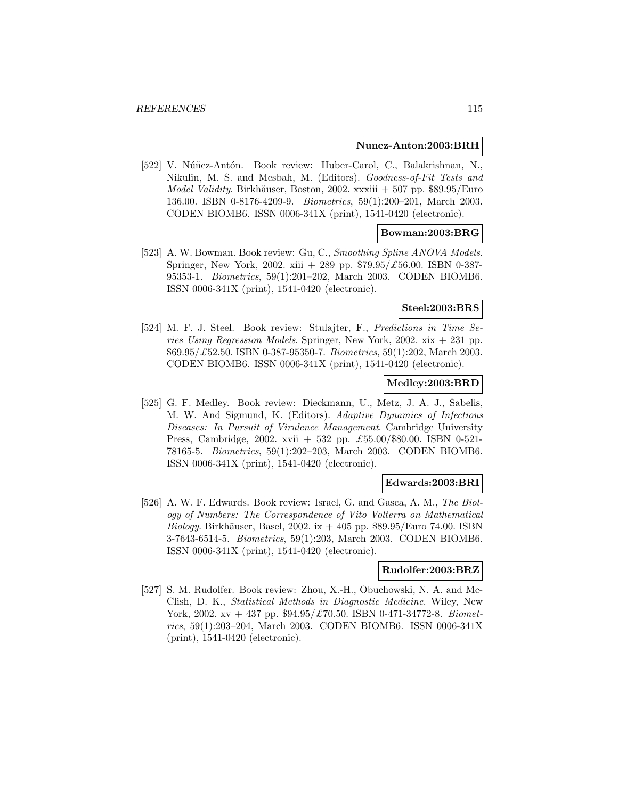#### **Nunez-Anton:2003:BRH**

[522] V. Núñez-Antón. Book review: Huber-Carol, C., Balakrishnan, N., Nikulin, M. S. and Mesbah, M. (Editors). Goodness-of-Fit Tests and *Model Validity.* Birkhäuser, Boston, 2002. xxxiii  $+507$  pp. \$89.95/Euro 136.00. ISBN 0-8176-4209-9. Biometrics, 59(1):200–201, March 2003. CODEN BIOMB6. ISSN 0006-341X (print), 1541-0420 (electronic).

# **Bowman:2003:BRG**

[523] A. W. Bowman. Book review: Gu, C., Smoothing Spline ANOVA Models. Springer, New York, 2002. xiii + 289 pp.  $$79.95/\text{\textsterling}56.00$ . ISBN 0-387-95353-1. Biometrics, 59(1):201–202, March 2003. CODEN BIOMB6. ISSN 0006-341X (print), 1541-0420 (electronic).

#### **Steel:2003:BRS**

[524] M. F. J. Steel. Book review: Stulajter, F., Predictions in Time Series Using Regression Models. Springer, New York, 2002.  $x\dot{x} + 231$  pp.  $$69.95/\text{\textsterling}52.50$ . ISBN 0-387-95350-7. *Biometrics*, 59(1):202, March 2003. CODEN BIOMB6. ISSN 0006-341X (print), 1541-0420 (electronic).

### **Medley:2003:BRD**

[525] G. F. Medley. Book review: Dieckmann, U., Metz, J. A. J., Sabelis, M. W. And Sigmund, K. (Editors). Adaptive Dynamics of Infectious Diseases: In Pursuit of Virulence Management. Cambridge University Press, Cambridge, 2002. xvii + 532 pp. £55.00/\$80.00. ISBN 0-521- 78165-5. Biometrics, 59(1):202–203, March 2003. CODEN BIOMB6. ISSN 0006-341X (print), 1541-0420 (electronic).

### **Edwards:2003:BRI**

[526] A. W. F. Edwards. Book review: Israel, G. and Gasca, A. M., The Biology of Numbers: The Correspondence of Vito Volterra on Mathematical Biology. Birkhäuser, Basel, 2002. ix  $+$  405 pp. \$89.95/Euro 74.00. ISBN 3-7643-6514-5. Biometrics, 59(1):203, March 2003. CODEN BIOMB6. ISSN 0006-341X (print), 1541-0420 (electronic).

### **Rudolfer:2003:BRZ**

[527] S. M. Rudolfer. Book review: Zhou, X.-H., Obuchowski, N. A. and Mc-Clish, D. K., Statistical Methods in Diagnostic Medicine. Wiley, New York, 2002. xv + 437 pp.  $$94.95/\text{\textsterling}70.50$ . ISBN 0-471-34772-8. Biometrics, 59(1):203–204, March 2003. CODEN BIOMB6. ISSN 0006-341X (print), 1541-0420 (electronic).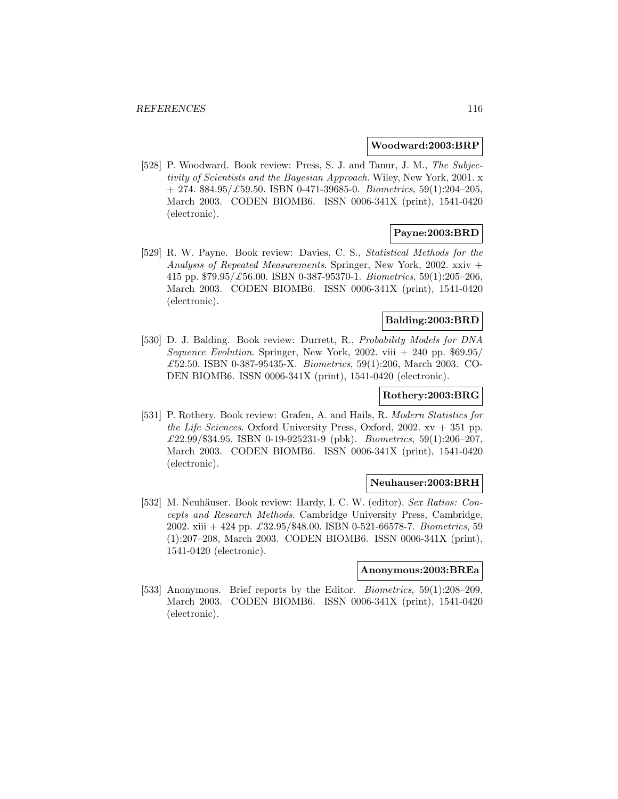#### **Woodward:2003:BRP**

[528] P. Woodward. Book review: Press, S. J. and Tanur, J. M., The Subjectivity of Scientists and the Bayesian Approach. Wiley, New York, 2001. x  $+ 274. $84.95/\pounds59.50. ISBN 0-471-39685-0. *Biometrics*, 59(1):204-205,$ March 2003. CODEN BIOMB6. ISSN 0006-341X (print), 1541-0420 (electronic).

# **Payne:2003:BRD**

[529] R. W. Payne. Book review: Davies, C. S., Statistical Methods for the Analysis of Repeated Measurements. Springer, New York, 2002. xxiv + 415 pp.  $$79.95/\text{\textsterling}56.00$ . ISBN 0-387-95370-1. Biometrics, 59(1):205-206, March 2003. CODEN BIOMB6. ISSN 0006-341X (print), 1541-0420 (electronic).

# **Balding:2003:BRD**

[530] D. J. Balding. Book review: Durrett, R., Probability Models for DNA Sequence Evolution. Springer, New York, 2002. viii  $+ 240$  pp. \$69.95/ £52.50. ISBN 0-387-95435-X. Biometrics, 59(1):206, March 2003. CO-DEN BIOMB6. ISSN 0006-341X (print), 1541-0420 (electronic).

### **Rothery:2003:BRG**

[531] P. Rothery. Book review: Grafen, A. and Hails, R. Modern Statistics for the Life Sciences. Oxford University Press, Oxford, 2002.  $xv + 351$  pp.  $£22.99$ /\$34.95. ISBN 0-19-925231-9 (pbk). *Biometrics*, 59(1):206-207, March 2003. CODEN BIOMB6. ISSN 0006-341X (print), 1541-0420 (electronic).

## **Neuhauser:2003:BRH**

[532] M. Neuhäuser. Book review: Hardy, I. C. W. (editor). Sex Ratios: Concepts and Research Methods. Cambridge University Press, Cambridge, 2002. xiii + 424 pp.  $\pounds 32.95/\pounds 48.00$ . ISBN 0-521-66578-7. Biometrics, 59 (1):207–208, March 2003. CODEN BIOMB6. ISSN 0006-341X (print), 1541-0420 (electronic).

# **Anonymous:2003:BREa**

[533] Anonymous. Brief reports by the Editor. Biometrics, 59(1):208–209, March 2003. CODEN BIOMB6. ISSN 0006-341X (print), 1541-0420 (electronic).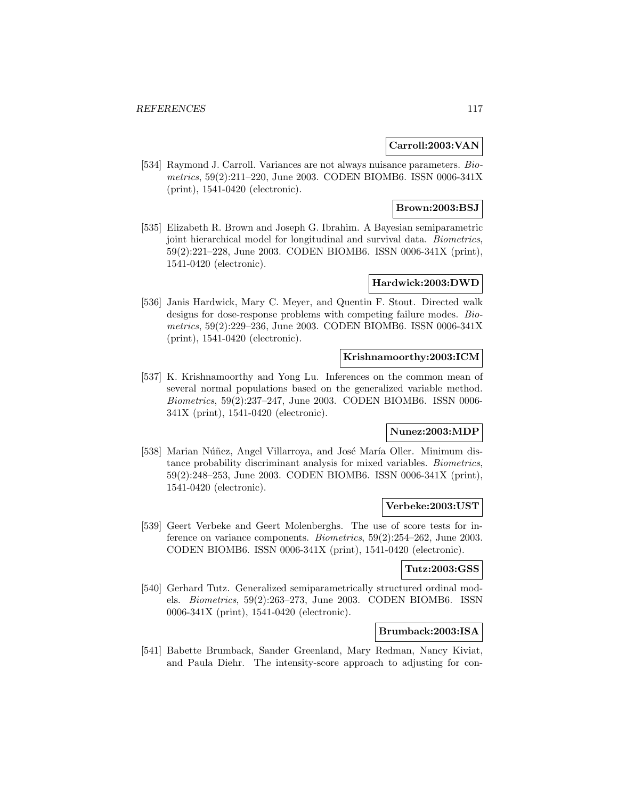## **Carroll:2003:VAN**

[534] Raymond J. Carroll. Variances are not always nuisance parameters. Biometrics, 59(2):211–220, June 2003. CODEN BIOMB6. ISSN 0006-341X (print), 1541-0420 (electronic).

# **Brown:2003:BSJ**

[535] Elizabeth R. Brown and Joseph G. Ibrahim. A Bayesian semiparametric joint hierarchical model for longitudinal and survival data. Biometrics, 59(2):221–228, June 2003. CODEN BIOMB6. ISSN 0006-341X (print), 1541-0420 (electronic).

# **Hardwick:2003:DWD**

[536] Janis Hardwick, Mary C. Meyer, and Quentin F. Stout. Directed walk designs for dose-response problems with competing failure modes. Biometrics, 59(2):229–236, June 2003. CODEN BIOMB6. ISSN 0006-341X (print), 1541-0420 (electronic).

## **Krishnamoorthy:2003:ICM**

[537] K. Krishnamoorthy and Yong Lu. Inferences on the common mean of several normal populations based on the generalized variable method. Biometrics, 59(2):237–247, June 2003. CODEN BIOMB6. ISSN 0006- 341X (print), 1541-0420 (electronic).

# **Nunez:2003:MDP**

[538] Marian Núñez, Angel Villarroya, and José María Oller. Minimum distance probability discriminant analysis for mixed variables. Biometrics, 59(2):248–253, June 2003. CODEN BIOMB6. ISSN 0006-341X (print), 1541-0420 (electronic).

### **Verbeke:2003:UST**

[539] Geert Verbeke and Geert Molenberghs. The use of score tests for inference on variance components. Biometrics, 59(2):254–262, June 2003. CODEN BIOMB6. ISSN 0006-341X (print), 1541-0420 (electronic).

# **Tutz:2003:GSS**

[540] Gerhard Tutz. Generalized semiparametrically structured ordinal models. Biometrics, 59(2):263–273, June 2003. CODEN BIOMB6. ISSN 0006-341X (print), 1541-0420 (electronic).

# **Brumback:2003:ISA**

[541] Babette Brumback, Sander Greenland, Mary Redman, Nancy Kiviat, and Paula Diehr. The intensity-score approach to adjusting for con-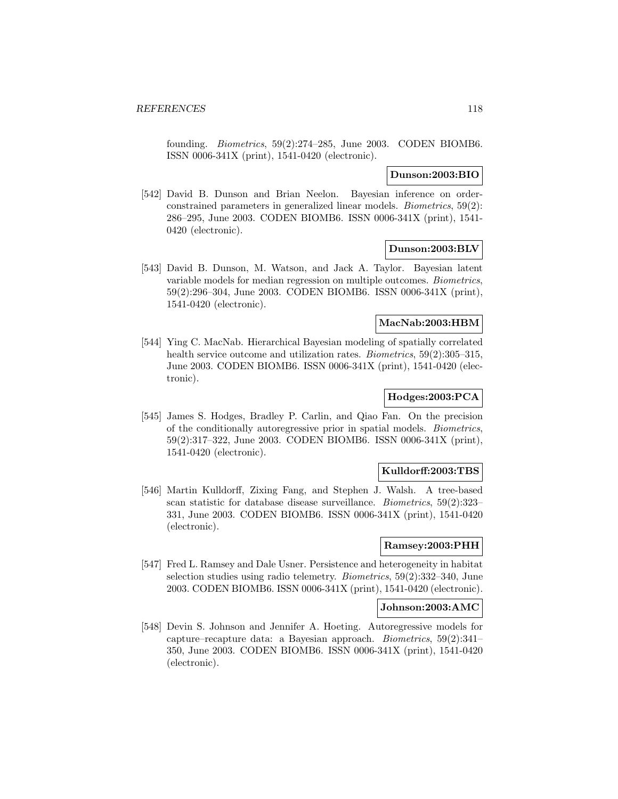founding. Biometrics, 59(2):274–285, June 2003. CODEN BIOMB6. ISSN 0006-341X (print), 1541-0420 (electronic).

### **Dunson:2003:BIO**

[542] David B. Dunson and Brian Neelon. Bayesian inference on orderconstrained parameters in generalized linear models. Biometrics, 59(2): 286–295, June 2003. CODEN BIOMB6. ISSN 0006-341X (print), 1541- 0420 (electronic).

### **Dunson:2003:BLV**

[543] David B. Dunson, M. Watson, and Jack A. Taylor. Bayesian latent variable models for median regression on multiple outcomes. Biometrics, 59(2):296–304, June 2003. CODEN BIOMB6. ISSN 0006-341X (print), 1541-0420 (electronic).

# **MacNab:2003:HBM**

[544] Ying C. MacNab. Hierarchical Bayesian modeling of spatially correlated health service outcome and utilization rates. *Biometrics*, 59(2):305–315, June 2003. CODEN BIOMB6. ISSN 0006-341X (print), 1541-0420 (electronic).

# **Hodges:2003:PCA**

[545] James S. Hodges, Bradley P. Carlin, and Qiao Fan. On the precision of the conditionally autoregressive prior in spatial models. Biometrics, 59(2):317–322, June 2003. CODEN BIOMB6. ISSN 0006-341X (print), 1541-0420 (electronic).

## **Kulldorff:2003:TBS**

[546] Martin Kulldorff, Zixing Fang, and Stephen J. Walsh. A tree-based scan statistic for database disease surveillance. Biometrics, 59(2):323– 331, June 2003. CODEN BIOMB6. ISSN 0006-341X (print), 1541-0420 (electronic).

### **Ramsey:2003:PHH**

[547] Fred L. Ramsey and Dale Usner. Persistence and heterogeneity in habitat selection studies using radio telemetry. Biometrics, 59(2):332–340, June 2003. CODEN BIOMB6. ISSN 0006-341X (print), 1541-0420 (electronic).

### **Johnson:2003:AMC**

[548] Devin S. Johnson and Jennifer A. Hoeting. Autoregressive models for capture–recapture data: a Bayesian approach. Biometrics, 59(2):341– 350, June 2003. CODEN BIOMB6. ISSN 0006-341X (print), 1541-0420 (electronic).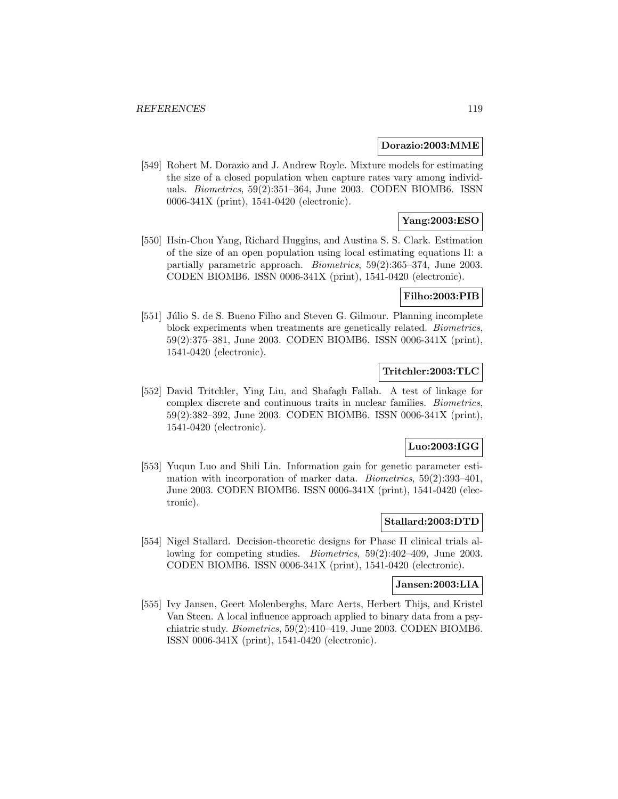#### **Dorazio:2003:MME**

[549] Robert M. Dorazio and J. Andrew Royle. Mixture models for estimating the size of a closed population when capture rates vary among individuals. Biometrics, 59(2):351–364, June 2003. CODEN BIOMB6. ISSN 0006-341X (print), 1541-0420 (electronic).

# **Yang:2003:ESO**

[550] Hsin-Chou Yang, Richard Huggins, and Austina S. S. Clark. Estimation of the size of an open population using local estimating equations II: a partially parametric approach. Biometrics, 59(2):365–374, June 2003. CODEN BIOMB6. ISSN 0006-341X (print), 1541-0420 (electronic).

# **Filho:2003:PIB**

[551] Júlio S. de S. Bueno Filho and Steven G. Gilmour. Planning incomplete block experiments when treatments are genetically related. Biometrics, 59(2):375–381, June 2003. CODEN BIOMB6. ISSN 0006-341X (print), 1541-0420 (electronic).

# **Tritchler:2003:TLC**

[552] David Tritchler, Ying Liu, and Shafagh Fallah. A test of linkage for complex discrete and continuous traits in nuclear families. Biometrics, 59(2):382–392, June 2003. CODEN BIOMB6. ISSN 0006-341X (print), 1541-0420 (electronic).

### **Luo:2003:IGG**

[553] Yuqun Luo and Shili Lin. Information gain for genetic parameter estimation with incorporation of marker data. Biometrics, 59(2):393–401, June 2003. CODEN BIOMB6. ISSN 0006-341X (print), 1541-0420 (electronic).

## **Stallard:2003:DTD**

[554] Nigel Stallard. Decision-theoretic designs for Phase II clinical trials allowing for competing studies. Biometrics, 59(2):402–409, June 2003. CODEN BIOMB6. ISSN 0006-341X (print), 1541-0420 (electronic).

#### **Jansen:2003:LIA**

[555] Ivy Jansen, Geert Molenberghs, Marc Aerts, Herbert Thijs, and Kristel Van Steen. A local influence approach applied to binary data from a psychiatric study. Biometrics, 59(2):410–419, June 2003. CODEN BIOMB6. ISSN 0006-341X (print), 1541-0420 (electronic).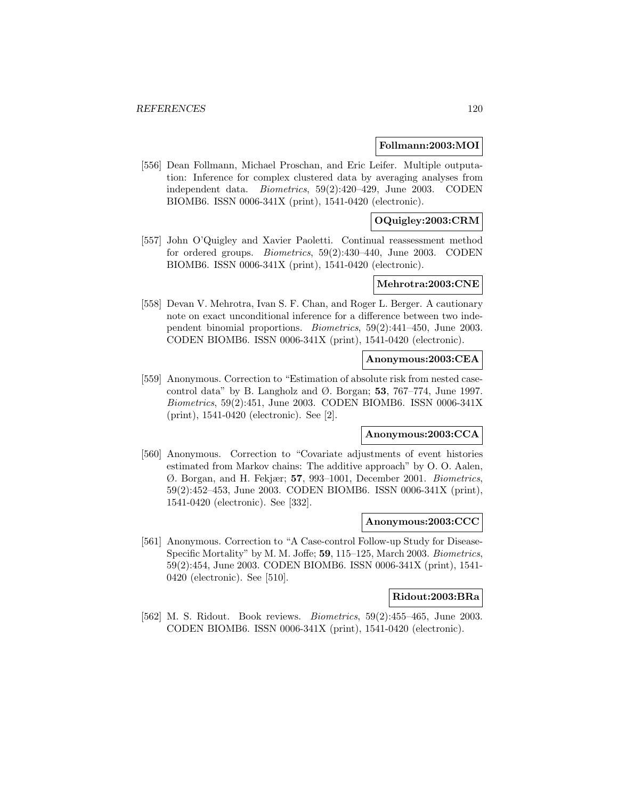#### **Follmann:2003:MOI**

[556] Dean Follmann, Michael Proschan, and Eric Leifer. Multiple outputation: Inference for complex clustered data by averaging analyses from independent data. Biometrics, 59(2):420–429, June 2003. CODEN BIOMB6. ISSN 0006-341X (print), 1541-0420 (electronic).

# **OQuigley:2003:CRM**

[557] John O'Quigley and Xavier Paoletti. Continual reassessment method for ordered groups. Biometrics, 59(2):430–440, June 2003. CODEN BIOMB6. ISSN 0006-341X (print), 1541-0420 (electronic).

### **Mehrotra:2003:CNE**

[558] Devan V. Mehrotra, Ivan S. F. Chan, and Roger L. Berger. A cautionary note on exact unconditional inference for a difference between two independent binomial proportions. Biometrics, 59(2):441–450, June 2003. CODEN BIOMB6. ISSN 0006-341X (print), 1541-0420 (electronic).

## **Anonymous:2003:CEA**

[559] Anonymous. Correction to "Estimation of absolute risk from nested casecontrol data" by B. Langholz and  $\varnothing$ . Borgan; **53**, 767–774, June 1997. Biometrics, 59(2):451, June 2003. CODEN BIOMB6. ISSN 0006-341X (print), 1541-0420 (electronic). See [2].

# **Anonymous:2003:CCA**

[560] Anonymous. Correction to "Covariate adjustments of event histories estimated from Markov chains: The additive approach" by O. O. Aalen, Ø. Borgan, and H. Fekjær; **57**, 993–1001, December 2001. Biometrics, 59(2):452–453, June 2003. CODEN BIOMB6. ISSN 0006-341X (print), 1541-0420 (electronic). See [332].

### **Anonymous:2003:CCC**

[561] Anonymous. Correction to "A Case-control Follow-up Study for Disease-Specific Mortality" by M. M. Joffe; **59**, 115–125, March 2003. Biometrics, 59(2):454, June 2003. CODEN BIOMB6. ISSN 0006-341X (print), 1541- 0420 (electronic). See [510].

### **Ridout:2003:BRa**

[562] M. S. Ridout. Book reviews. *Biometrics*, 59(2):455-465, June 2003. CODEN BIOMB6. ISSN 0006-341X (print), 1541-0420 (electronic).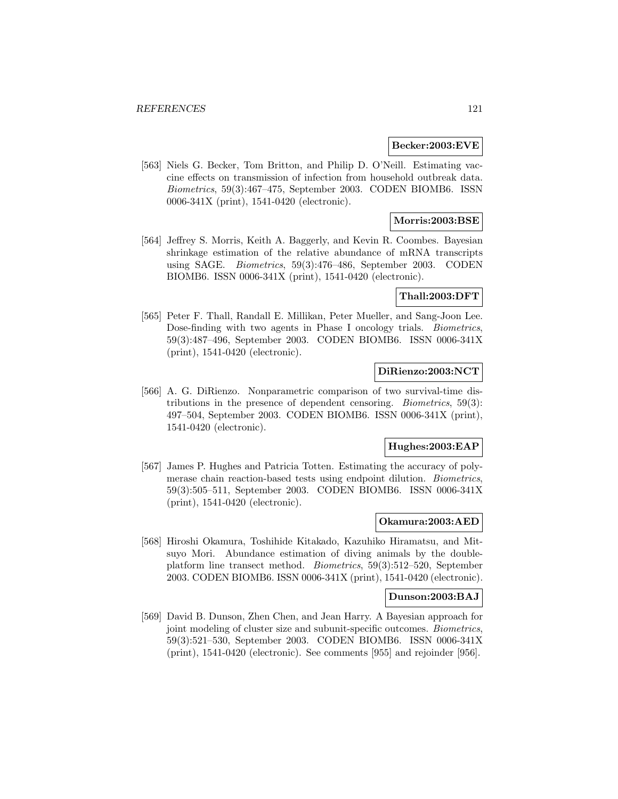### **Becker:2003:EVE**

[563] Niels G. Becker, Tom Britton, and Philip D. O'Neill. Estimating vaccine effects on transmission of infection from household outbreak data. Biometrics, 59(3):467–475, September 2003. CODEN BIOMB6. ISSN 0006-341X (print), 1541-0420 (electronic).

# **Morris:2003:BSE**

[564] Jeffrey S. Morris, Keith A. Baggerly, and Kevin R. Coombes. Bayesian shrinkage estimation of the relative abundance of mRNA transcripts using SAGE. Biometrics, 59(3):476–486, September 2003. CODEN BIOMB6. ISSN 0006-341X (print), 1541-0420 (electronic).

# **Thall:2003:DFT**

[565] Peter F. Thall, Randall E. Millikan, Peter Mueller, and Sang-Joon Lee. Dose-finding with two agents in Phase I oncology trials. Biometrics, 59(3):487–496, September 2003. CODEN BIOMB6. ISSN 0006-341X (print), 1541-0420 (electronic).

# **DiRienzo:2003:NCT**

[566] A. G. DiRienzo. Nonparametric comparison of two survival-time distributions in the presence of dependent censoring. Biometrics, 59(3): 497–504, September 2003. CODEN BIOMB6. ISSN 0006-341X (print), 1541-0420 (electronic).

### **Hughes:2003:EAP**

[567] James P. Hughes and Patricia Totten. Estimating the accuracy of polymerase chain reaction-based tests using endpoint dilution. Biometrics, 59(3):505–511, September 2003. CODEN BIOMB6. ISSN 0006-341X (print), 1541-0420 (electronic).

## **Okamura:2003:AED**

[568] Hiroshi Okamura, Toshihide Kitakado, Kazuhiko Hiramatsu, and Mitsuyo Mori. Abundance estimation of diving animals by the doubleplatform line transect method. Biometrics, 59(3):512–520, September 2003. CODEN BIOMB6. ISSN 0006-341X (print), 1541-0420 (electronic).

### **Dunson:2003:BAJ**

[569] David B. Dunson, Zhen Chen, and Jean Harry. A Bayesian approach for joint modeling of cluster size and subunit-specific outcomes. Biometrics, 59(3):521–530, September 2003. CODEN BIOMB6. ISSN 0006-341X (print), 1541-0420 (electronic). See comments [955] and rejoinder [956].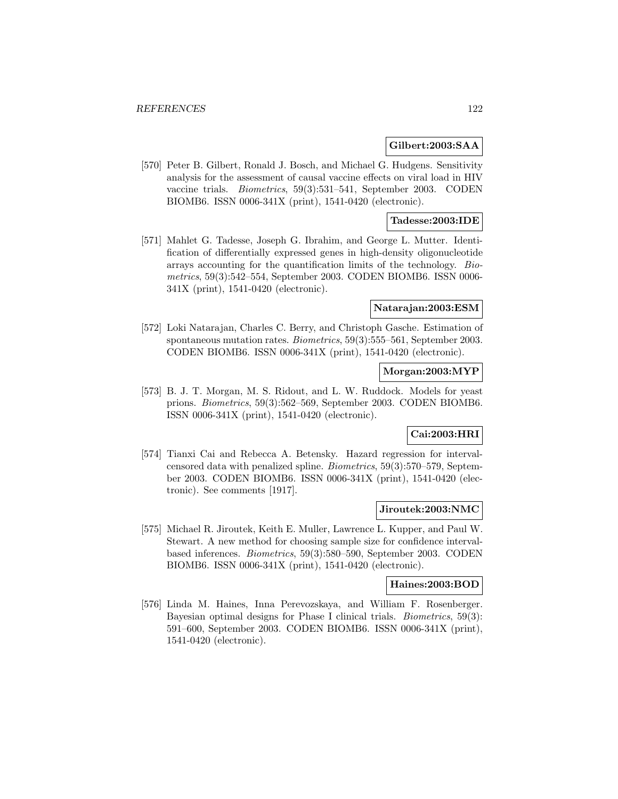#### **Gilbert:2003:SAA**

[570] Peter B. Gilbert, Ronald J. Bosch, and Michael G. Hudgens. Sensitivity analysis for the assessment of causal vaccine effects on viral load in HIV vaccine trials. Biometrics, 59(3):531–541, September 2003. CODEN BIOMB6. ISSN 0006-341X (print), 1541-0420 (electronic).

# **Tadesse:2003:IDE**

[571] Mahlet G. Tadesse, Joseph G. Ibrahim, and George L. Mutter. Identification of differentially expressed genes in high-density oligonucleotide arrays accounting for the quantification limits of the technology. Biometrics, 59(3):542–554, September 2003. CODEN BIOMB6. ISSN 0006- 341X (print), 1541-0420 (electronic).

### **Natarajan:2003:ESM**

[572] Loki Natarajan, Charles C. Berry, and Christoph Gasche. Estimation of spontaneous mutation rates. Biometrics, 59(3):555–561, September 2003. CODEN BIOMB6. ISSN 0006-341X (print), 1541-0420 (electronic).

# **Morgan:2003:MYP**

[573] B. J. T. Morgan, M. S. Ridout, and L. W. Ruddock. Models for yeast prions. Biometrics, 59(3):562–569, September 2003. CODEN BIOMB6. ISSN 0006-341X (print), 1541-0420 (electronic).

# **Cai:2003:HRI**

[574] Tianxi Cai and Rebecca A. Betensky. Hazard regression for intervalcensored data with penalized spline. Biometrics, 59(3):570–579, September 2003. CODEN BIOMB6. ISSN 0006-341X (print), 1541-0420 (electronic). See comments [1917].

#### **Jiroutek:2003:NMC**

[575] Michael R. Jiroutek, Keith E. Muller, Lawrence L. Kupper, and Paul W. Stewart. A new method for choosing sample size for confidence intervalbased inferences. Biometrics, 59(3):580–590, September 2003. CODEN BIOMB6. ISSN 0006-341X (print), 1541-0420 (electronic).

#### **Haines:2003:BOD**

[576] Linda M. Haines, Inna Perevozskaya, and William F. Rosenberger. Bayesian optimal designs for Phase I clinical trials. Biometrics, 59(3): 591–600, September 2003. CODEN BIOMB6. ISSN 0006-341X (print), 1541-0420 (electronic).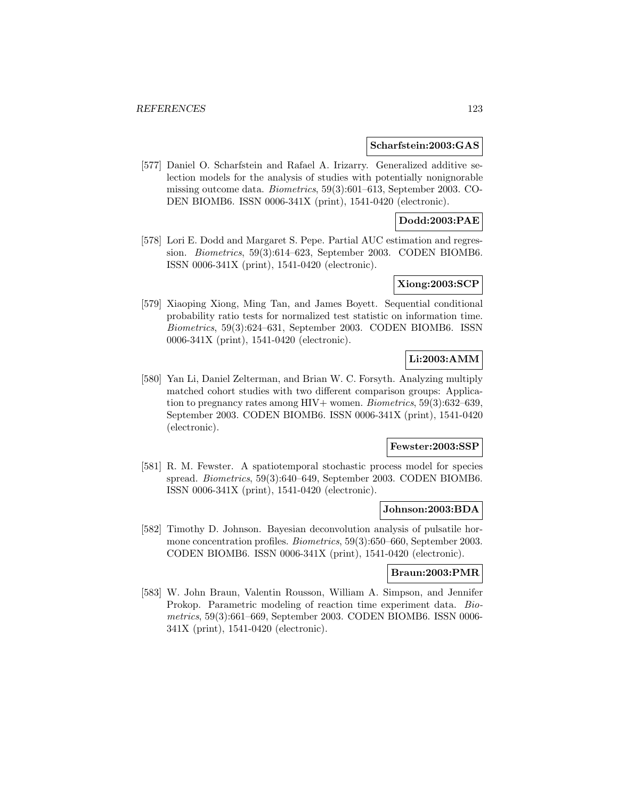#### **Scharfstein:2003:GAS**

[577] Daniel O. Scharfstein and Rafael A. Irizarry. Generalized additive selection models for the analysis of studies with potentially nonignorable missing outcome data. Biometrics, 59(3):601–613, September 2003. CO-DEN BIOMB6. ISSN 0006-341X (print), 1541-0420 (electronic).

# **Dodd:2003:PAE**

[578] Lori E. Dodd and Margaret S. Pepe. Partial AUC estimation and regression. Biometrics, 59(3):614–623, September 2003. CODEN BIOMB6. ISSN 0006-341X (print), 1541-0420 (electronic).

# **Xiong:2003:SCP**

[579] Xiaoping Xiong, Ming Tan, and James Boyett. Sequential conditional probability ratio tests for normalized test statistic on information time. Biometrics, 59(3):624–631, September 2003. CODEN BIOMB6. ISSN 0006-341X (print), 1541-0420 (electronic).

# **Li:2003:AMM**

[580] Yan Li, Daniel Zelterman, and Brian W. C. Forsyth. Analyzing multiply matched cohort studies with two different comparison groups: Application to pregnancy rates among  $HIV+$  women. *Biometrics*, 59(3):632–639, September 2003. CODEN BIOMB6. ISSN 0006-341X (print), 1541-0420 (electronic).

#### **Fewster:2003:SSP**

[581] R. M. Fewster. A spatiotemporal stochastic process model for species spread. Biometrics, 59(3):640–649, September 2003. CODEN BIOMB6. ISSN 0006-341X (print), 1541-0420 (electronic).

#### **Johnson:2003:BDA**

[582] Timothy D. Johnson. Bayesian deconvolution analysis of pulsatile hormone concentration profiles. Biometrics, 59(3):650–660, September 2003. CODEN BIOMB6. ISSN 0006-341X (print), 1541-0420 (electronic).

## **Braun:2003:PMR**

[583] W. John Braun, Valentin Rousson, William A. Simpson, and Jennifer Prokop. Parametric modeling of reaction time experiment data. Biometrics, 59(3):661–669, September 2003. CODEN BIOMB6. ISSN 0006- 341X (print), 1541-0420 (electronic).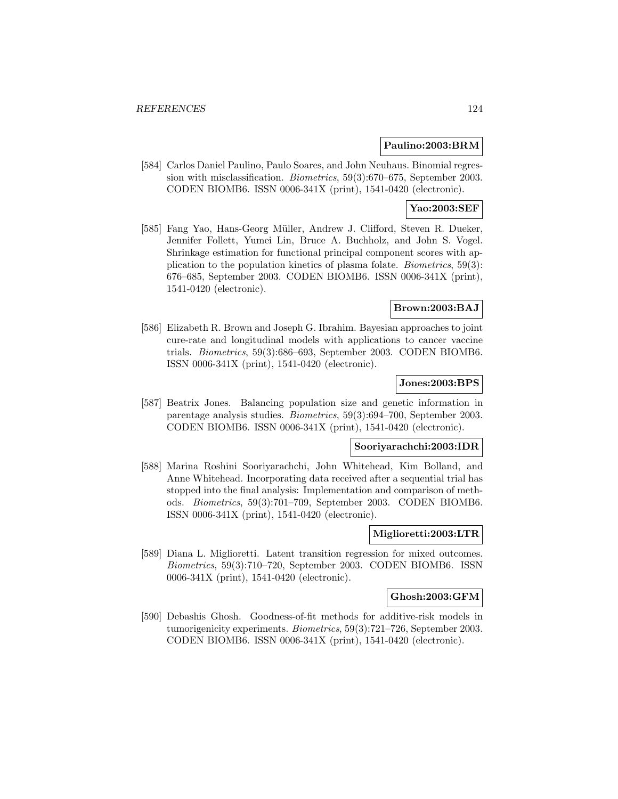## **Paulino:2003:BRM**

[584] Carlos Daniel Paulino, Paulo Soares, and John Neuhaus. Binomial regression with misclassification. Biometrics, 59(3):670–675, September 2003. CODEN BIOMB6. ISSN 0006-341X (print), 1541-0420 (electronic).

# **Yao:2003:SEF**

[585] Fang Yao, Hans-Georg Müller, Andrew J. Clifford, Steven R. Dueker, Jennifer Follett, Yumei Lin, Bruce A. Buchholz, and John S. Vogel. Shrinkage estimation for functional principal component scores with application to the population kinetics of plasma folate. Biometrics, 59(3): 676–685, September 2003. CODEN BIOMB6. ISSN 0006-341X (print), 1541-0420 (electronic).

# **Brown:2003:BAJ**

[586] Elizabeth R. Brown and Joseph G. Ibrahim. Bayesian approaches to joint cure-rate and longitudinal models with applications to cancer vaccine trials. Biometrics, 59(3):686–693, September 2003. CODEN BIOMB6. ISSN 0006-341X (print), 1541-0420 (electronic).

# **Jones:2003:BPS**

[587] Beatrix Jones. Balancing population size and genetic information in parentage analysis studies. Biometrics, 59(3):694–700, September 2003. CODEN BIOMB6. ISSN 0006-341X (print), 1541-0420 (electronic).

#### **Sooriyarachchi:2003:IDR**

[588] Marina Roshini Sooriyarachchi, John Whitehead, Kim Bolland, and Anne Whitehead. Incorporating data received after a sequential trial has stopped into the final analysis: Implementation and comparison of methods. Biometrics, 59(3):701–709, September 2003. CODEN BIOMB6. ISSN 0006-341X (print), 1541-0420 (electronic).

# **Miglioretti:2003:LTR**

[589] Diana L. Miglioretti. Latent transition regression for mixed outcomes. Biometrics, 59(3):710–720, September 2003. CODEN BIOMB6. ISSN 0006-341X (print), 1541-0420 (electronic).

### **Ghosh:2003:GFM**

[590] Debashis Ghosh. Goodness-of-fit methods for additive-risk models in tumorigenicity experiments. Biometrics, 59(3):721–726, September 2003. CODEN BIOMB6. ISSN 0006-341X (print), 1541-0420 (electronic).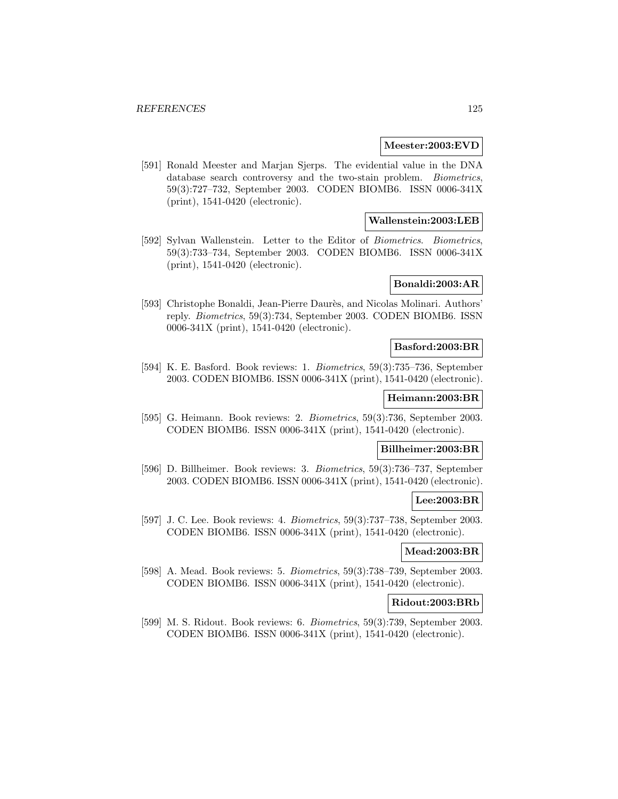### **Meester:2003:EVD**

[591] Ronald Meester and Marjan Sjerps. The evidential value in the DNA database search controversy and the two-stain problem. *Biometrics*, 59(3):727–732, September 2003. CODEN BIOMB6. ISSN 0006-341X (print), 1541-0420 (electronic).

## **Wallenstein:2003:LEB**

[592] Sylvan Wallenstein. Letter to the Editor of Biometrics. Biometrics, 59(3):733–734, September 2003. CODEN BIOMB6. ISSN 0006-341X (print), 1541-0420 (electronic).

## **Bonaldi:2003:AR**

[593] Christophe Bonaldi, Jean-Pierre Daurès, and Nicolas Molinari. Authors' reply. Biometrics, 59(3):734, September 2003. CODEN BIOMB6. ISSN 0006-341X (print), 1541-0420 (electronic).

#### **Basford:2003:BR**

[594] K. E. Basford. Book reviews: 1. Biometrics, 59(3):735–736, September 2003. CODEN BIOMB6. ISSN 0006-341X (print), 1541-0420 (electronic).

#### **Heimann:2003:BR**

[595] G. Heimann. Book reviews: 2. Biometrics, 59(3):736, September 2003. CODEN BIOMB6. ISSN 0006-341X (print), 1541-0420 (electronic).

# **Billheimer:2003:BR**

[596] D. Billheimer. Book reviews: 3. Biometrics, 59(3):736–737, September 2003. CODEN BIOMB6. ISSN 0006-341X (print), 1541-0420 (electronic).

## **Lee:2003:BR**

[597] J. C. Lee. Book reviews: 4. Biometrics, 59(3):737–738, September 2003. CODEN BIOMB6. ISSN 0006-341X (print), 1541-0420 (electronic).

### **Mead:2003:BR**

[598] A. Mead. Book reviews: 5. Biometrics, 59(3):738–739, September 2003. CODEN BIOMB6. ISSN 0006-341X (print), 1541-0420 (electronic).

### **Ridout:2003:BRb**

[599] M. S. Ridout. Book reviews: 6. Biometrics, 59(3):739, September 2003. CODEN BIOMB6. ISSN 0006-341X (print), 1541-0420 (electronic).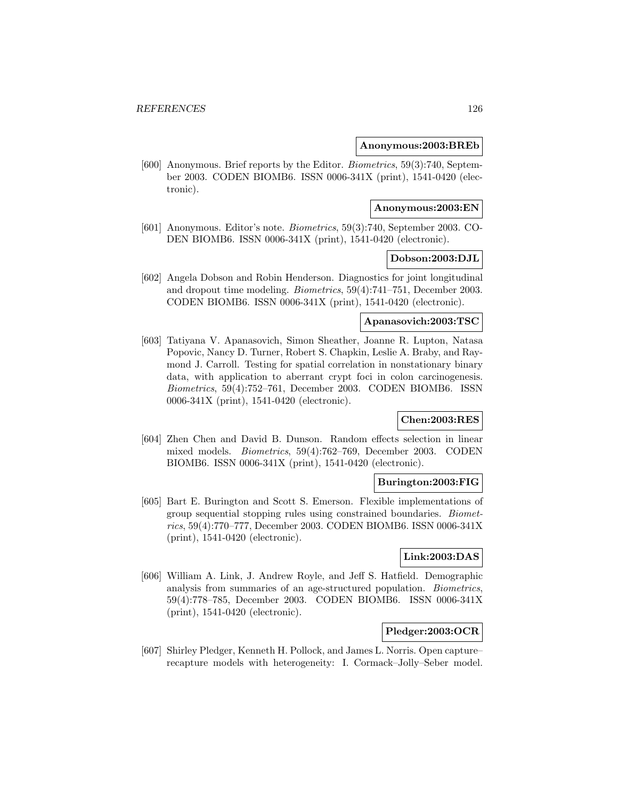#### **Anonymous:2003:BREb**

[600] Anonymous. Brief reports by the Editor. Biometrics, 59(3):740, September 2003. CODEN BIOMB6. ISSN 0006-341X (print), 1541-0420 (electronic).

### **Anonymous:2003:EN**

[601] Anonymous. Editor's note. Biometrics, 59(3):740, September 2003. CO-DEN BIOMB6. ISSN 0006-341X (print), 1541-0420 (electronic).

### **Dobson:2003:DJL**

[602] Angela Dobson and Robin Henderson. Diagnostics for joint longitudinal and dropout time modeling. Biometrics, 59(4):741–751, December 2003. CODEN BIOMB6. ISSN 0006-341X (print), 1541-0420 (electronic).

# **Apanasovich:2003:TSC**

[603] Tatiyana V. Apanasovich, Simon Sheather, Joanne R. Lupton, Natasa Popovic, Nancy D. Turner, Robert S. Chapkin, Leslie A. Braby, and Raymond J. Carroll. Testing for spatial correlation in nonstationary binary data, with application to aberrant crypt foci in colon carcinogenesis. Biometrics, 59(4):752–761, December 2003. CODEN BIOMB6. ISSN 0006-341X (print), 1541-0420 (electronic).

## **Chen:2003:RES**

[604] Zhen Chen and David B. Dunson. Random effects selection in linear mixed models. Biometrics, 59(4):762–769, December 2003. CODEN BIOMB6. ISSN 0006-341X (print), 1541-0420 (electronic).

### **Burington:2003:FIG**

[605] Bart E. Burington and Scott S. Emerson. Flexible implementations of group sequential stopping rules using constrained boundaries. Biometrics, 59(4):770–777, December 2003. CODEN BIOMB6. ISSN 0006-341X (print), 1541-0420 (electronic).

## **Link:2003:DAS**

[606] William A. Link, J. Andrew Royle, and Jeff S. Hatfield. Demographic analysis from summaries of an age-structured population. Biometrics, 59(4):778–785, December 2003. CODEN BIOMB6. ISSN 0006-341X (print), 1541-0420 (electronic).

# **Pledger:2003:OCR**

[607] Shirley Pledger, Kenneth H. Pollock, and James L. Norris. Open capture– recapture models with heterogeneity: I. Cormack–Jolly–Seber model.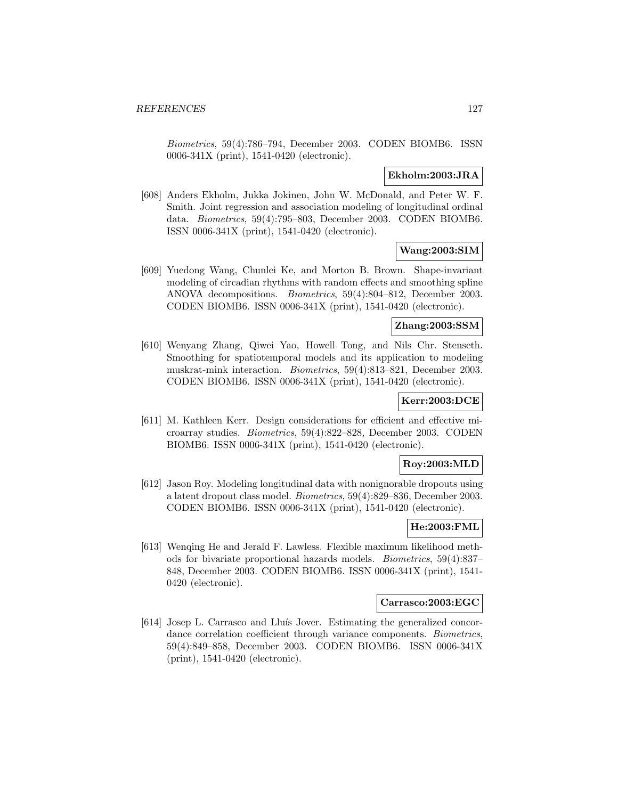Biometrics, 59(4):786–794, December 2003. CODEN BIOMB6. ISSN 0006-341X (print), 1541-0420 (electronic).

### **Ekholm:2003:JRA**

[608] Anders Ekholm, Jukka Jokinen, John W. McDonald, and Peter W. F. Smith. Joint regression and association modeling of longitudinal ordinal data. Biometrics, 59(4):795–803, December 2003. CODEN BIOMB6. ISSN 0006-341X (print), 1541-0420 (electronic).

## **Wang:2003:SIM**

[609] Yuedong Wang, Chunlei Ke, and Morton B. Brown. Shape-invariant modeling of circadian rhythms with random effects and smoothing spline ANOVA decompositions. Biometrics, 59(4):804–812, December 2003. CODEN BIOMB6. ISSN 0006-341X (print), 1541-0420 (electronic).

## **Zhang:2003:SSM**

[610] Wenyang Zhang, Qiwei Yao, Howell Tong, and Nils Chr. Stenseth. Smoothing for spatiotemporal models and its application to modeling muskrat-mink interaction. Biometrics, 59(4):813–821, December 2003. CODEN BIOMB6. ISSN 0006-341X (print), 1541-0420 (electronic).

# **Kerr:2003:DCE**

[611] M. Kathleen Kerr. Design considerations for efficient and effective microarray studies. Biometrics, 59(4):822–828, December 2003. CODEN BIOMB6. ISSN 0006-341X (print), 1541-0420 (electronic).

### **Roy:2003:MLD**

[612] Jason Roy. Modeling longitudinal data with nonignorable dropouts using a latent dropout class model. Biometrics, 59(4):829–836, December 2003. CODEN BIOMB6. ISSN 0006-341X (print), 1541-0420 (electronic).

# **He:2003:FML**

[613] Wenqing He and Jerald F. Lawless. Flexible maximum likelihood methods for bivariate proportional hazards models. Biometrics, 59(4):837– 848, December 2003. CODEN BIOMB6. ISSN 0006-341X (print), 1541- 0420 (electronic).

### **Carrasco:2003:EGC**

[614] Josep L. Carrasco and Lluís Jover. Estimating the generalized concordance correlation coefficient through variance components. Biometrics, 59(4):849–858, December 2003. CODEN BIOMB6. ISSN 0006-341X (print), 1541-0420 (electronic).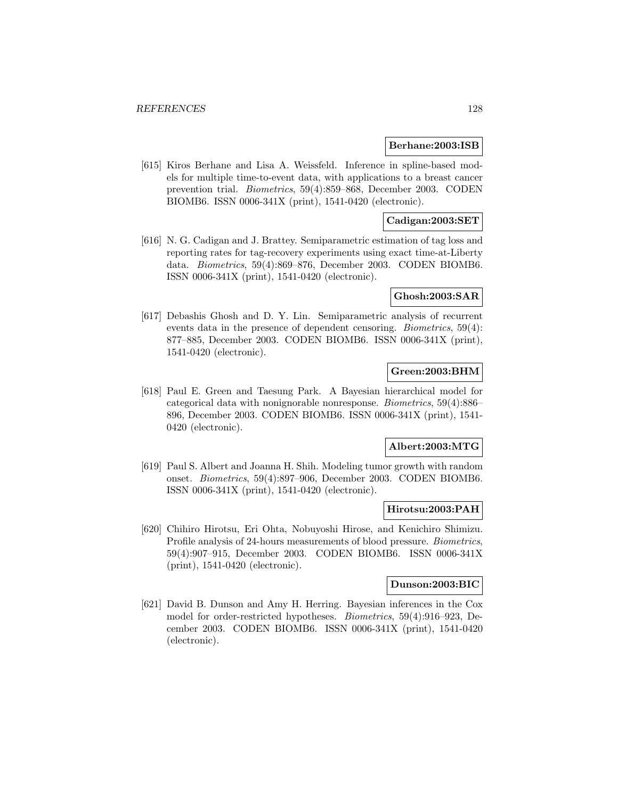#### **Berhane:2003:ISB**

[615] Kiros Berhane and Lisa A. Weissfeld. Inference in spline-based models for multiple time-to-event data, with applications to a breast cancer prevention trial. Biometrics, 59(4):859–868, December 2003. CODEN BIOMB6. ISSN 0006-341X (print), 1541-0420 (electronic).

# **Cadigan:2003:SET**

[616] N. G. Cadigan and J. Brattey. Semiparametric estimation of tag loss and reporting rates for tag-recovery experiments using exact time-at-Liberty data. Biometrics, 59(4):869–876, December 2003. CODEN BIOMB6. ISSN 0006-341X (print), 1541-0420 (electronic).

#### **Ghosh:2003:SAR**

[617] Debashis Ghosh and D. Y. Lin. Semiparametric analysis of recurrent events data in the presence of dependent censoring. Biometrics, 59(4): 877–885, December 2003. CODEN BIOMB6. ISSN 0006-341X (print), 1541-0420 (electronic).

# **Green:2003:BHM**

[618] Paul E. Green and Taesung Park. A Bayesian hierarchical model for categorical data with nonignorable nonresponse. Biometrics, 59(4):886– 896, December 2003. CODEN BIOMB6. ISSN 0006-341X (print), 1541- 0420 (electronic).

#### **Albert:2003:MTG**

[619] Paul S. Albert and Joanna H. Shih. Modeling tumor growth with random onset. Biometrics, 59(4):897–906, December 2003. CODEN BIOMB6. ISSN 0006-341X (print), 1541-0420 (electronic).

#### **Hirotsu:2003:PAH**

[620] Chihiro Hirotsu, Eri Ohta, Nobuyoshi Hirose, and Kenichiro Shimizu. Profile analysis of 24-hours measurements of blood pressure. Biometrics, 59(4):907–915, December 2003. CODEN BIOMB6. ISSN 0006-341X (print), 1541-0420 (electronic).

# **Dunson:2003:BIC**

[621] David B. Dunson and Amy H. Herring. Bayesian inferences in the Cox model for order-restricted hypotheses. Biometrics, 59(4):916–923, December 2003. CODEN BIOMB6. ISSN 0006-341X (print), 1541-0420 (electronic).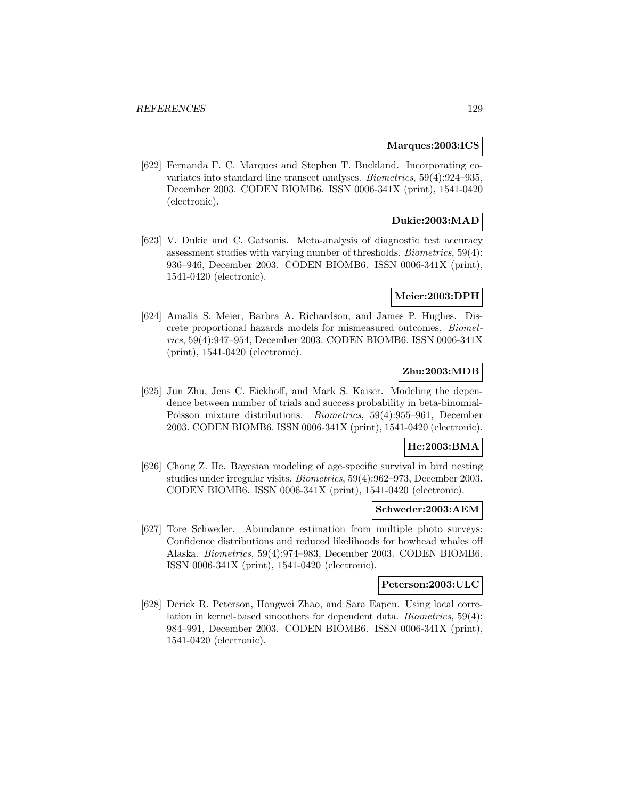#### **Marques:2003:ICS**

[622] Fernanda F. C. Marques and Stephen T. Buckland. Incorporating covariates into standard line transect analyses. Biometrics, 59(4):924–935, December 2003. CODEN BIOMB6. ISSN 0006-341X (print), 1541-0420 (electronic).

# **Dukic:2003:MAD**

[623] V. Dukic and C. Gatsonis. Meta-analysis of diagnostic test accuracy assessment studies with varying number of thresholds. Biometrics, 59(4): 936–946, December 2003. CODEN BIOMB6. ISSN 0006-341X (print), 1541-0420 (electronic).

### **Meier:2003:DPH**

[624] Amalia S. Meier, Barbra A. Richardson, and James P. Hughes. Discrete proportional hazards models for mismeasured outcomes. Biometrics, 59(4):947–954, December 2003. CODEN BIOMB6. ISSN 0006-341X (print), 1541-0420 (electronic).

# **Zhu:2003:MDB**

[625] Jun Zhu, Jens C. Eickhoff, and Mark S. Kaiser. Modeling the dependence between number of trials and success probability in beta-binomial-Poisson mixture distributions. Biometrics, 59(4):955–961, December 2003. CODEN BIOMB6. ISSN 0006-341X (print), 1541-0420 (electronic).

### **He:2003:BMA**

[626] Chong Z. He. Bayesian modeling of age-specific survival in bird nesting studies under irregular visits. Biometrics, 59(4):962–973, December 2003. CODEN BIOMB6. ISSN 0006-341X (print), 1541-0420 (electronic).

#### **Schweder:2003:AEM**

[627] Tore Schweder. Abundance estimation from multiple photo surveys: Confidence distributions and reduced likelihoods for bowhead whales off Alaska. Biometrics, 59(4):974–983, December 2003. CODEN BIOMB6. ISSN 0006-341X (print), 1541-0420 (electronic).

### **Peterson:2003:ULC**

[628] Derick R. Peterson, Hongwei Zhao, and Sara Eapen. Using local correlation in kernel-based smoothers for dependent data. Biometrics, 59(4): 984–991, December 2003. CODEN BIOMB6. ISSN 0006-341X (print), 1541-0420 (electronic).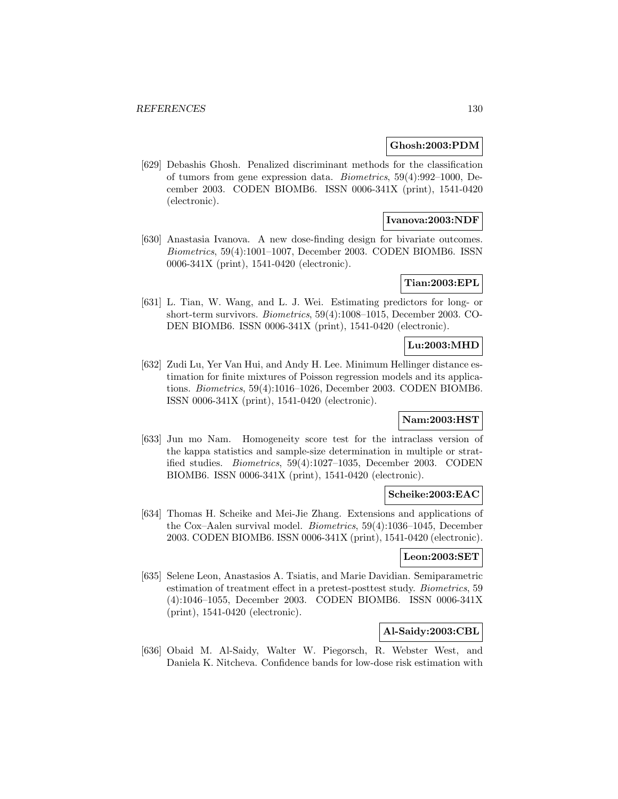### **Ghosh:2003:PDM**

[629] Debashis Ghosh. Penalized discriminant methods for the classification of tumors from gene expression data. Biometrics, 59(4):992–1000, December 2003. CODEN BIOMB6. ISSN 0006-341X (print), 1541-0420 (electronic).

# **Ivanova:2003:NDF**

[630] Anastasia Ivanova. A new dose-finding design for bivariate outcomes. Biometrics, 59(4):1001–1007, December 2003. CODEN BIOMB6. ISSN 0006-341X (print), 1541-0420 (electronic).

# **Tian:2003:EPL**

[631] L. Tian, W. Wang, and L. J. Wei. Estimating predictors for long- or short-term survivors. Biometrics, 59(4):1008–1015, December 2003. CO-DEN BIOMB6. ISSN 0006-341X (print), 1541-0420 (electronic).

### **Lu:2003:MHD**

[632] Zudi Lu, Yer Van Hui, and Andy H. Lee. Minimum Hellinger distance estimation for finite mixtures of Poisson regression models and its applications. Biometrics, 59(4):1016–1026, December 2003. CODEN BIOMB6. ISSN 0006-341X (print), 1541-0420 (electronic).

### **Nam:2003:HST**

[633] Jun mo Nam. Homogeneity score test for the intraclass version of the kappa statistics and sample-size determination in multiple or stratified studies. Biometrics, 59(4):1027–1035, December 2003. CODEN BIOMB6. ISSN 0006-341X (print), 1541-0420 (electronic).

### **Scheike:2003:EAC**

[634] Thomas H. Scheike and Mei-Jie Zhang. Extensions and applications of the Cox–Aalen survival model. Biometrics, 59(4):1036–1045, December 2003. CODEN BIOMB6. ISSN 0006-341X (print), 1541-0420 (electronic).

### **Leon:2003:SET**

[635] Selene Leon, Anastasios A. Tsiatis, and Marie Davidian. Semiparametric estimation of treatment effect in a pretest-posttest study. Biometrics, 59 (4):1046–1055, December 2003. CODEN BIOMB6. ISSN 0006-341X (print), 1541-0420 (electronic).

# **Al-Saidy:2003:CBL**

[636] Obaid M. Al-Saidy, Walter W. Piegorsch, R. Webster West, and Daniela K. Nitcheva. Confidence bands for low-dose risk estimation with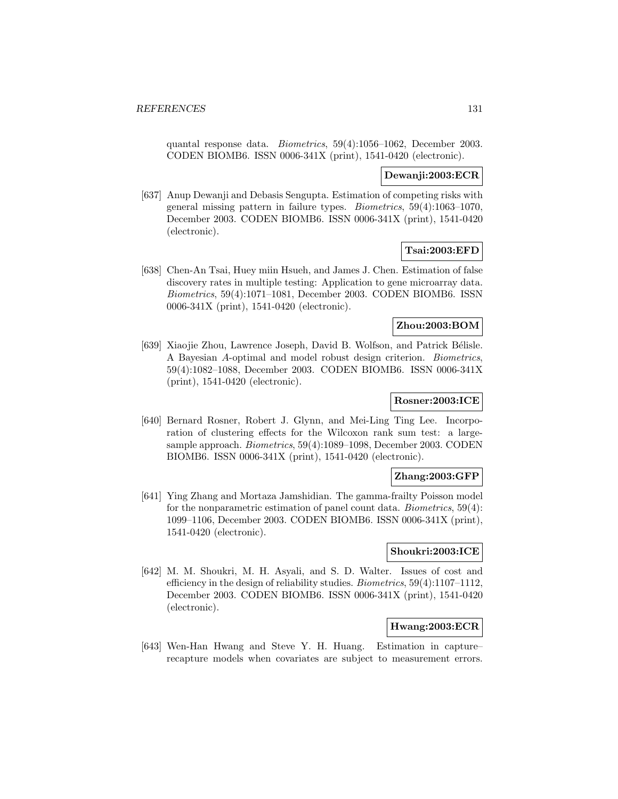quantal response data. Biometrics, 59(4):1056–1062, December 2003. CODEN BIOMB6. ISSN 0006-341X (print), 1541-0420 (electronic).

### **Dewanji:2003:ECR**

[637] Anup Dewanji and Debasis Sengupta. Estimation of competing risks with general missing pattern in failure types. Biometrics, 59(4):1063–1070, December 2003. CODEN BIOMB6. ISSN 0006-341X (print), 1541-0420 (electronic).

## **Tsai:2003:EFD**

[638] Chen-An Tsai, Huey miin Hsueh, and James J. Chen. Estimation of false discovery rates in multiple testing: Application to gene microarray data. Biometrics, 59(4):1071–1081, December 2003. CODEN BIOMB6. ISSN 0006-341X (print), 1541-0420 (electronic).

## **Zhou:2003:BOM**

[639] Xiaojie Zhou, Lawrence Joseph, David B. Wolfson, and Patrick Bélisle. A Bayesian A-optimal and model robust design criterion. Biometrics, 59(4):1082–1088, December 2003. CODEN BIOMB6. ISSN 0006-341X (print), 1541-0420 (electronic).

# **Rosner:2003:ICE**

[640] Bernard Rosner, Robert J. Glynn, and Mei-Ling Ting Lee. Incorporation of clustering effects for the Wilcoxon rank sum test: a largesample approach. Biometrics, 59(4):1089–1098, December 2003. CODEN BIOMB6. ISSN 0006-341X (print), 1541-0420 (electronic).

### **Zhang:2003:GFP**

[641] Ying Zhang and Mortaza Jamshidian. The gamma-frailty Poisson model for the nonparametric estimation of panel count data. Biometrics, 59(4): 1099–1106, December 2003. CODEN BIOMB6. ISSN 0006-341X (print), 1541-0420 (electronic).

### **Shoukri:2003:ICE**

[642] M. M. Shoukri, M. H. Asyali, and S. D. Walter. Issues of cost and efficiency in the design of reliability studies. Biometrics, 59(4):1107–1112, December 2003. CODEN BIOMB6. ISSN 0006-341X (print), 1541-0420 (electronic).

# **Hwang:2003:ECR**

[643] Wen-Han Hwang and Steve Y. H. Huang. Estimation in capture– recapture models when covariates are subject to measurement errors.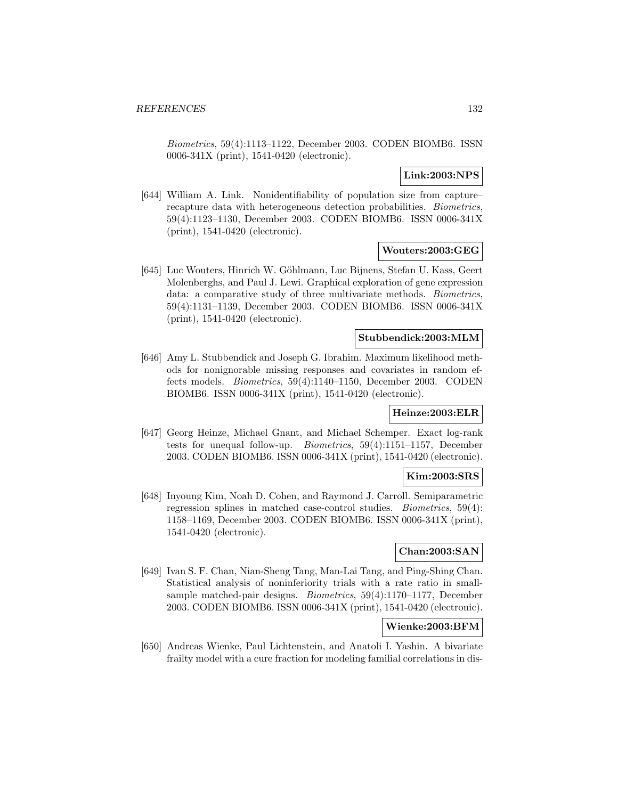Biometrics, 59(4):1113–1122, December 2003. CODEN BIOMB6. ISSN 0006-341X (print), 1541-0420 (electronic).

## **Link:2003:NPS**

[644] William A. Link. Nonidentifiability of population size from capture– recapture data with heterogeneous detection probabilities. Biometrics, 59(4):1123–1130, December 2003. CODEN BIOMB6. ISSN 0006-341X (print), 1541-0420 (electronic).

## **Wouters:2003:GEG**

[645] Luc Wouters, Hinrich W. Göhlmann, Luc Bijnens, Stefan U. Kass, Geert Molenberghs, and Paul J. Lewi. Graphical exploration of gene expression data: a comparative study of three multivariate methods. Biometrics, 59(4):1131–1139, December 2003. CODEN BIOMB6. ISSN 0006-341X (print), 1541-0420 (electronic).

## **Stubbendick:2003:MLM**

[646] Amy L. Stubbendick and Joseph G. Ibrahim. Maximum likelihood methods for nonignorable missing responses and covariates in random effects models. Biometrics, 59(4):1140–1150, December 2003. CODEN BIOMB6. ISSN 0006-341X (print), 1541-0420 (electronic).

### **Heinze:2003:ELR**

[647] Georg Heinze, Michael Gnant, and Michael Schemper. Exact log-rank tests for unequal follow-up. Biometrics, 59(4):1151–1157, December 2003. CODEN BIOMB6. ISSN 0006-341X (print), 1541-0420 (electronic).

## **Kim:2003:SRS**

[648] Inyoung Kim, Noah D. Cohen, and Raymond J. Carroll. Semiparametric regression splines in matched case-control studies. Biometrics, 59(4): 1158–1169, December 2003. CODEN BIOMB6. ISSN 0006-341X (print), 1541-0420 (electronic).

# **Chan:2003:SAN**

[649] Ivan S. F. Chan, Nian-Sheng Tang, Man-Lai Tang, and Ping-Shing Chan. Statistical analysis of noninferiority trials with a rate ratio in smallsample matched-pair designs. Biometrics, 59(4):1170–1177, December 2003. CODEN BIOMB6. ISSN 0006-341X (print), 1541-0420 (electronic).

# **Wienke:2003:BFM**

[650] Andreas Wienke, Paul Lichtenstein, and Anatoli I. Yashin. A bivariate frailty model with a cure fraction for modeling familial correlations in dis-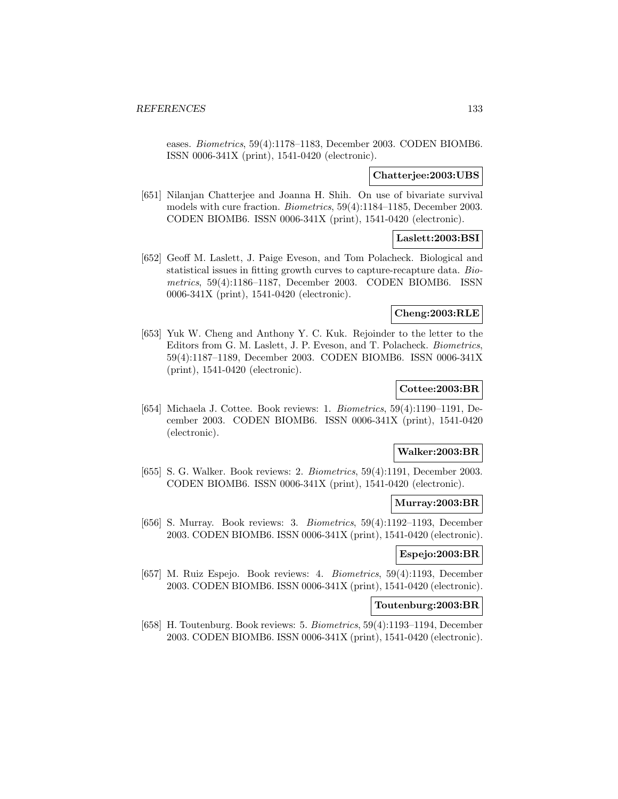eases. Biometrics, 59(4):1178–1183, December 2003. CODEN BIOMB6. ISSN 0006-341X (print), 1541-0420 (electronic).

### **Chatterjee:2003:UBS**

[651] Nilanjan Chatterjee and Joanna H. Shih. On use of bivariate survival models with cure fraction. Biometrics, 59(4):1184–1185, December 2003. CODEN BIOMB6. ISSN 0006-341X (print), 1541-0420 (electronic).

# **Laslett:2003:BSI**

[652] Geoff M. Laslett, J. Paige Eveson, and Tom Polacheck. Biological and statistical issues in fitting growth curves to capture-recapture data. Biometrics, 59(4):1186–1187, December 2003. CODEN BIOMB6. ISSN 0006-341X (print), 1541-0420 (electronic).

### **Cheng:2003:RLE**

[653] Yuk W. Cheng and Anthony Y. C. Kuk. Rejoinder to the letter to the Editors from G. M. Laslett, J. P. Eveson, and T. Polacheck. Biometrics, 59(4):1187–1189, December 2003. CODEN BIOMB6. ISSN 0006-341X (print), 1541-0420 (electronic).

# **Cottee:2003:BR**

[654] Michaela J. Cottee. Book reviews: 1. Biometrics, 59(4):1190–1191, December 2003. CODEN BIOMB6. ISSN 0006-341X (print), 1541-0420 (electronic).

### **Walker:2003:BR**

[655] S. G. Walker. Book reviews: 2. *Biometrics*, 59(4):1191, December 2003. CODEN BIOMB6. ISSN 0006-341X (print), 1541-0420 (electronic).

#### **Murray:2003:BR**

[656] S. Murray. Book reviews: 3. Biometrics, 59(4):1192–1193, December 2003. CODEN BIOMB6. ISSN 0006-341X (print), 1541-0420 (electronic).

# **Espejo:2003:BR**

[657] M. Ruiz Espejo. Book reviews: 4. Biometrics, 59(4):1193, December 2003. CODEN BIOMB6. ISSN 0006-341X (print), 1541-0420 (electronic).

# **Toutenburg:2003:BR**

[658] H. Toutenburg. Book reviews: 5. Biometrics, 59(4):1193–1194, December 2003. CODEN BIOMB6. ISSN 0006-341X (print), 1541-0420 (electronic).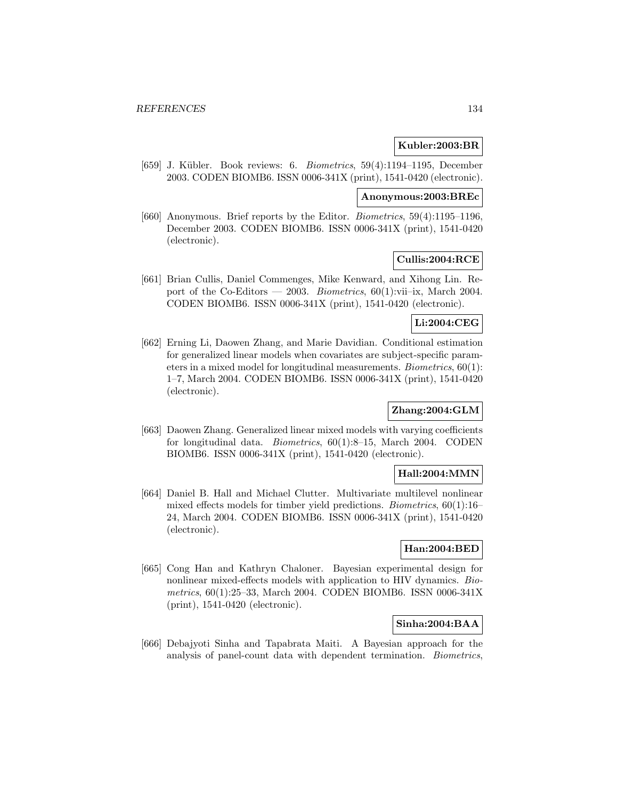### **Kubler:2003:BR**

[659] J. Kübler. Book reviews: 6. Biometrics, 59(4):1194–1195, December 2003. CODEN BIOMB6. ISSN 0006-341X (print), 1541-0420 (electronic).

#### **Anonymous:2003:BREc**

[660] Anonymous. Brief reports by the Editor. Biometrics, 59(4):1195–1196, December 2003. CODEN BIOMB6. ISSN 0006-341X (print), 1541-0420 (electronic).

### **Cullis:2004:RCE**

[661] Brian Cullis, Daniel Commenges, Mike Kenward, and Xihong Lin. Report of the Co-Editors — 2003. *Biometrics*,  $60(1)$ :vii–ix, March 2004. CODEN BIOMB6. ISSN 0006-341X (print), 1541-0420 (electronic).

# **Li:2004:CEG**

[662] Erning Li, Daowen Zhang, and Marie Davidian. Conditional estimation for generalized linear models when covariates are subject-specific parameters in a mixed model for longitudinal measurements. Biometrics, 60(1): 1–7, March 2004. CODEN BIOMB6. ISSN 0006-341X (print), 1541-0420 (electronic).

# **Zhang:2004:GLM**

[663] Daowen Zhang. Generalized linear mixed models with varying coefficients for longitudinal data. Biometrics, 60(1):8–15, March 2004. CODEN BIOMB6. ISSN 0006-341X (print), 1541-0420 (electronic).

### **Hall:2004:MMN**

[664] Daniel B. Hall and Michael Clutter. Multivariate multilevel nonlinear mixed effects models for timber yield predictions. Biometrics, 60(1):16– 24, March 2004. CODEN BIOMB6. ISSN 0006-341X (print), 1541-0420 (electronic).

# **Han:2004:BED**

[665] Cong Han and Kathryn Chaloner. Bayesian experimental design for nonlinear mixed-effects models with application to HIV dynamics. Biometrics, 60(1):25–33, March 2004. CODEN BIOMB6. ISSN 0006-341X (print), 1541-0420 (electronic).

# **Sinha:2004:BAA**

[666] Debajyoti Sinha and Tapabrata Maiti. A Bayesian approach for the analysis of panel-count data with dependent termination. Biometrics,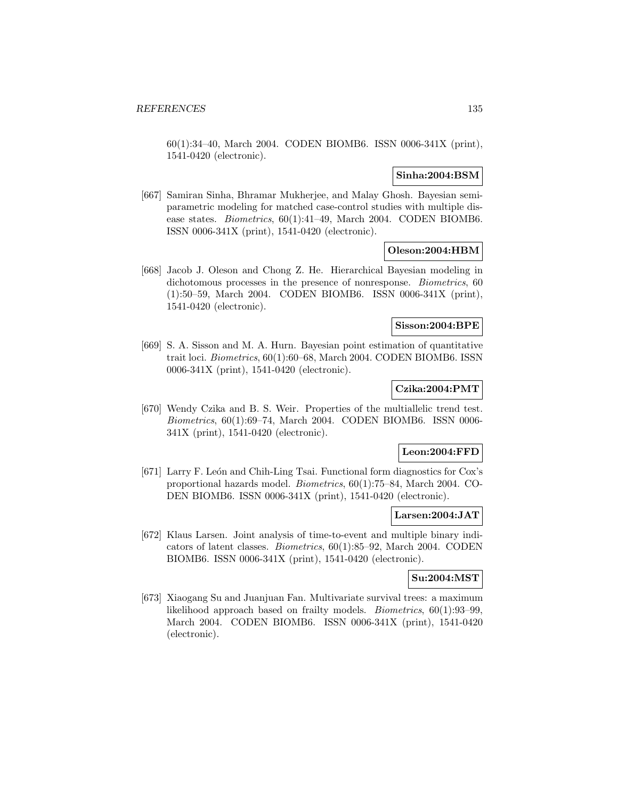60(1):34–40, March 2004. CODEN BIOMB6. ISSN 0006-341X (print), 1541-0420 (electronic).

# **Sinha:2004:BSM**

[667] Samiran Sinha, Bhramar Mukherjee, and Malay Ghosh. Bayesian semiparametric modeling for matched case-control studies with multiple disease states. Biometrics, 60(1):41–49, March 2004. CODEN BIOMB6. ISSN 0006-341X (print), 1541-0420 (electronic).

## **Oleson:2004:HBM**

[668] Jacob J. Oleson and Chong Z. He. Hierarchical Bayesian modeling in dichotomous processes in the presence of nonresponse. *Biometrics*, 60 (1):50–59, March 2004. CODEN BIOMB6. ISSN 0006-341X (print), 1541-0420 (electronic).

### **Sisson:2004:BPE**

[669] S. A. Sisson and M. A. Hurn. Bayesian point estimation of quantitative trait loci. Biometrics, 60(1):60–68, March 2004. CODEN BIOMB6. ISSN 0006-341X (print), 1541-0420 (electronic).

# **Czika:2004:PMT**

[670] Wendy Czika and B. S. Weir. Properties of the multiallelic trend test. Biometrics, 60(1):69–74, March 2004. CODEN BIOMB6. ISSN 0006- 341X (print), 1541-0420 (electronic).

### **Leon:2004:FFD**

[671] Larry F. León and Chih-Ling Tsai. Functional form diagnostics for Cox's proportional hazards model. Biometrics, 60(1):75–84, March 2004. CO-DEN BIOMB6. ISSN 0006-341X (print), 1541-0420 (electronic).

# **Larsen:2004:JAT**

[672] Klaus Larsen. Joint analysis of time-to-event and multiple binary indicators of latent classes. Biometrics, 60(1):85–92, March 2004. CODEN BIOMB6. ISSN 0006-341X (print), 1541-0420 (electronic).

# **Su:2004:MST**

[673] Xiaogang Su and Juanjuan Fan. Multivariate survival trees: a maximum likelihood approach based on frailty models. Biometrics, 60(1):93–99, March 2004. CODEN BIOMB6. ISSN 0006-341X (print), 1541-0420 (electronic).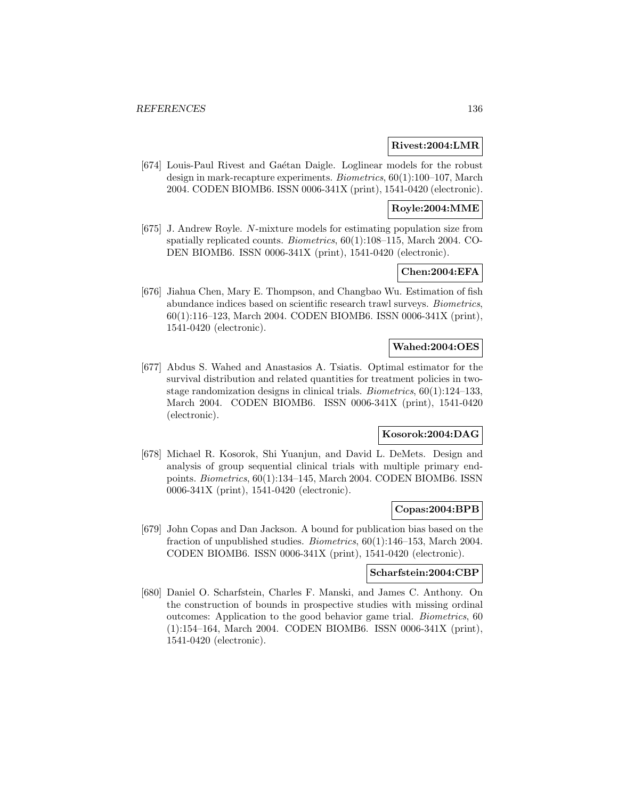### **Rivest:2004:LMR**

[674] Louis-Paul Rivest and Gaétan Daigle. Loglinear models for the robust design in mark-recapture experiments. Biometrics, 60(1):100–107, March 2004. CODEN BIOMB6. ISSN 0006-341X (print), 1541-0420 (electronic).

# **Royle:2004:MME**

[675] J. Andrew Royle. N-mixture models for estimating population size from spatially replicated counts. Biometrics, 60(1):108–115, March 2004. CO-DEN BIOMB6. ISSN 0006-341X (print), 1541-0420 (electronic).

# **Chen:2004:EFA**

[676] Jiahua Chen, Mary E. Thompson, and Changbao Wu. Estimation of fish abundance indices based on scientific research trawl surveys. Biometrics, 60(1):116–123, March 2004. CODEN BIOMB6. ISSN 0006-341X (print), 1541-0420 (electronic).

## **Wahed:2004:OES**

[677] Abdus S. Wahed and Anastasios A. Tsiatis. Optimal estimator for the survival distribution and related quantities for treatment policies in twostage randomization designs in clinical trials. *Biometrics*,  $60(1):124-133$ , March 2004. CODEN BIOMB6. ISSN 0006-341X (print), 1541-0420 (electronic).

# **Kosorok:2004:DAG**

[678] Michael R. Kosorok, Shi Yuanjun, and David L. DeMets. Design and analysis of group sequential clinical trials with multiple primary endpoints. Biometrics, 60(1):134–145, March 2004. CODEN BIOMB6. ISSN 0006-341X (print), 1541-0420 (electronic).

#### **Copas:2004:BPB**

[679] John Copas and Dan Jackson. A bound for publication bias based on the fraction of unpublished studies. Biometrics, 60(1):146–153, March 2004. CODEN BIOMB6. ISSN 0006-341X (print), 1541-0420 (electronic).

### **Scharfstein:2004:CBP**

[680] Daniel O. Scharfstein, Charles F. Manski, and James C. Anthony. On the construction of bounds in prospective studies with missing ordinal outcomes: Application to the good behavior game trial. Biometrics, 60 (1):154–164, March 2004. CODEN BIOMB6. ISSN 0006-341X (print), 1541-0420 (electronic).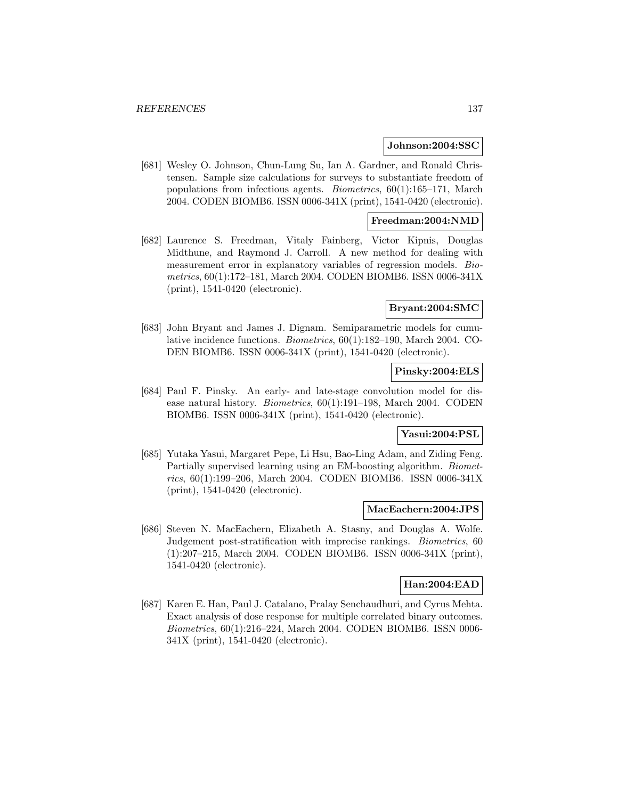#### **Johnson:2004:SSC**

[681] Wesley O. Johnson, Chun-Lung Su, Ian A. Gardner, and Ronald Christensen. Sample size calculations for surveys to substantiate freedom of populations from infectious agents. Biometrics, 60(1):165–171, March 2004. CODEN BIOMB6. ISSN 0006-341X (print), 1541-0420 (electronic).

# **Freedman:2004:NMD**

[682] Laurence S. Freedman, Vitaly Fainberg, Victor Kipnis, Douglas Midthune, and Raymond J. Carroll. A new method for dealing with measurement error in explanatory variables of regression models. Biometrics, 60(1):172–181, March 2004. CODEN BIOMB6. ISSN 0006-341X (print), 1541-0420 (electronic).

### **Bryant:2004:SMC**

[683] John Bryant and James J. Dignam. Semiparametric models for cumulative incidence functions. Biometrics, 60(1):182–190, March 2004. CO-DEN BIOMB6. ISSN 0006-341X (print), 1541-0420 (electronic).

# **Pinsky:2004:ELS**

[684] Paul F. Pinsky. An early- and late-stage convolution model for disease natural history. Biometrics, 60(1):191–198, March 2004. CODEN BIOMB6. ISSN 0006-341X (print), 1541-0420 (electronic).

## **Yasui:2004:PSL**

[685] Yutaka Yasui, Margaret Pepe, Li Hsu, Bao-Ling Adam, and Ziding Feng. Partially supervised learning using an EM-boosting algorithm. Biometrics, 60(1):199–206, March 2004. CODEN BIOMB6. ISSN 0006-341X (print), 1541-0420 (electronic).

#### **MacEachern:2004:JPS**

[686] Steven N. MacEachern, Elizabeth A. Stasny, and Douglas A. Wolfe. Judgement post-stratification with imprecise rankings. Biometrics, 60 (1):207–215, March 2004. CODEN BIOMB6. ISSN 0006-341X (print), 1541-0420 (electronic).

# **Han:2004:EAD**

[687] Karen E. Han, Paul J. Catalano, Pralay Senchaudhuri, and Cyrus Mehta. Exact analysis of dose response for multiple correlated binary outcomes. Biometrics, 60(1):216–224, March 2004. CODEN BIOMB6. ISSN 0006- 341X (print), 1541-0420 (electronic).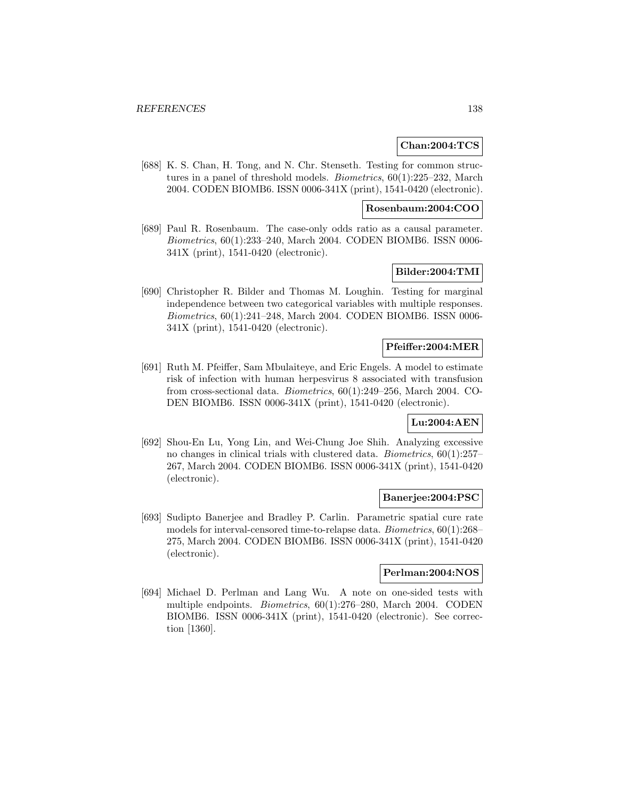### **Chan:2004:TCS**

[688] K. S. Chan, H. Tong, and N. Chr. Stenseth. Testing for common structures in a panel of threshold models. Biometrics, 60(1):225–232, March 2004. CODEN BIOMB6. ISSN 0006-341X (print), 1541-0420 (electronic).

### **Rosenbaum:2004:COO**

[689] Paul R. Rosenbaum. The case-only odds ratio as a causal parameter. Biometrics, 60(1):233–240, March 2004. CODEN BIOMB6. ISSN 0006- 341X (print), 1541-0420 (electronic).

# **Bilder:2004:TMI**

[690] Christopher R. Bilder and Thomas M. Loughin. Testing for marginal independence between two categorical variables with multiple responses. Biometrics, 60(1):241–248, March 2004. CODEN BIOMB6. ISSN 0006- 341X (print), 1541-0420 (electronic).

#### **Pfeiffer:2004:MER**

[691] Ruth M. Pfeiffer, Sam Mbulaiteye, and Eric Engels. A model to estimate risk of infection with human herpesvirus 8 associated with transfusion from cross-sectional data. Biometrics, 60(1):249–256, March 2004. CO-DEN BIOMB6. ISSN 0006-341X (print), 1541-0420 (electronic).

#### **Lu:2004:AEN**

[692] Shou-En Lu, Yong Lin, and Wei-Chung Joe Shih. Analyzing excessive no changes in clinical trials with clustered data. Biometrics, 60(1):257– 267, March 2004. CODEN BIOMB6. ISSN 0006-341X (print), 1541-0420 (electronic).

### **Banerjee:2004:PSC**

[693] Sudipto Banerjee and Bradley P. Carlin. Parametric spatial cure rate models for interval-censored time-to-relapse data. Biometrics, 60(1):268– 275, March 2004. CODEN BIOMB6. ISSN 0006-341X (print), 1541-0420 (electronic).

### **Perlman:2004:NOS**

[694] Michael D. Perlman and Lang Wu. A note on one-sided tests with multiple endpoints. Biometrics, 60(1):276–280, March 2004. CODEN BIOMB6. ISSN 0006-341X (print), 1541-0420 (electronic). See correction [1360].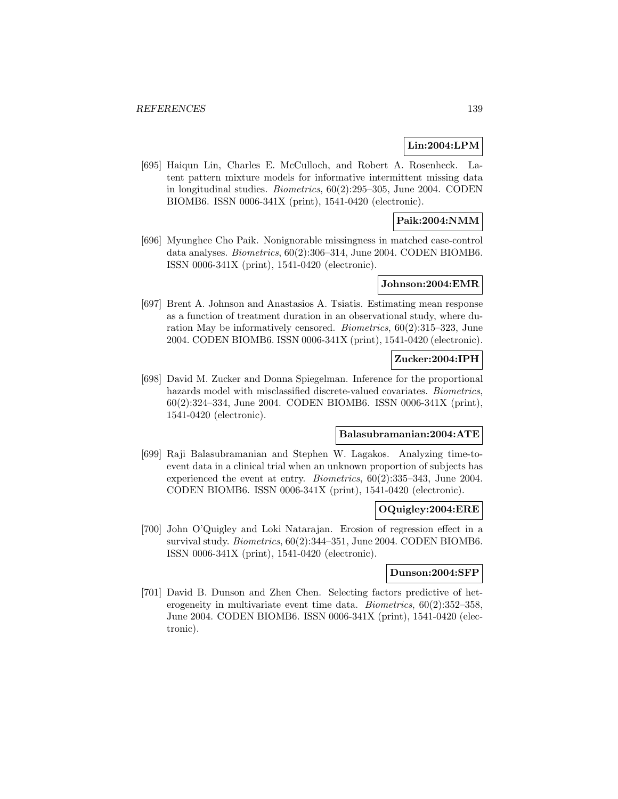## **Lin:2004:LPM**

[695] Haiqun Lin, Charles E. McCulloch, and Robert A. Rosenheck. Latent pattern mixture models for informative intermittent missing data in longitudinal studies. Biometrics, 60(2):295–305, June 2004. CODEN BIOMB6. ISSN 0006-341X (print), 1541-0420 (electronic).

# **Paik:2004:NMM**

[696] Myunghee Cho Paik. Nonignorable missingness in matched case-control data analyses. Biometrics, 60(2):306–314, June 2004. CODEN BIOMB6. ISSN 0006-341X (print), 1541-0420 (electronic).

### **Johnson:2004:EMR**

[697] Brent A. Johnson and Anastasios A. Tsiatis. Estimating mean response as a function of treatment duration in an observational study, where duration May be informatively censored. Biometrics, 60(2):315–323, June 2004. CODEN BIOMB6. ISSN 0006-341X (print), 1541-0420 (electronic).

# **Zucker:2004:IPH**

[698] David M. Zucker and Donna Spiegelman. Inference for the proportional hazards model with misclassified discrete-valued covariates. Biometrics, 60(2):324–334, June 2004. CODEN BIOMB6. ISSN 0006-341X (print), 1541-0420 (electronic).

# **Balasubramanian:2004:ATE**

[699] Raji Balasubramanian and Stephen W. Lagakos. Analyzing time-toevent data in a clinical trial when an unknown proportion of subjects has experienced the event at entry. Biometrics, 60(2):335–343, June 2004. CODEN BIOMB6. ISSN 0006-341X (print), 1541-0420 (electronic).

#### **OQuigley:2004:ERE**

[700] John O'Quigley and Loki Natarajan. Erosion of regression effect in a survival study. *Biometrics*,  $60(2):344-351$ , June 2004. CODEN BIOMB6. ISSN 0006-341X (print), 1541-0420 (electronic).

### **Dunson:2004:SFP**

[701] David B. Dunson and Zhen Chen. Selecting factors predictive of heterogeneity in multivariate event time data. Biometrics, 60(2):352–358, June 2004. CODEN BIOMB6. ISSN 0006-341X (print), 1541-0420 (electronic).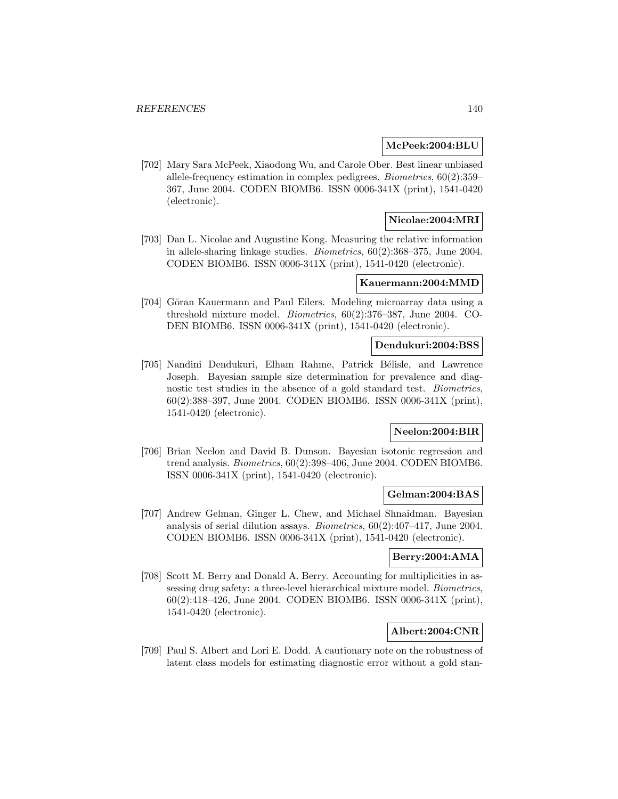### **McPeek:2004:BLU**

[702] Mary Sara McPeek, Xiaodong Wu, and Carole Ober. Best linear unbiased allele-frequency estimation in complex pedigrees. Biometrics, 60(2):359– 367, June 2004. CODEN BIOMB6. ISSN 0006-341X (print), 1541-0420 (electronic).

### **Nicolae:2004:MRI**

[703] Dan L. Nicolae and Augustine Kong. Measuring the relative information in allele-sharing linkage studies. Biometrics, 60(2):368–375, June 2004. CODEN BIOMB6. ISSN 0006-341X (print), 1541-0420 (electronic).

# **Kauermann:2004:MMD**

[704] Göran Kauermann and Paul Eilers. Modeling microarray data using a threshold mixture model. Biometrics, 60(2):376–387, June 2004. CO-DEN BIOMB6. ISSN 0006-341X (print), 1541-0420 (electronic).

### **Dendukuri:2004:BSS**

[705] Nandini Dendukuri, Elham Rahme, Patrick Bélisle, and Lawrence Joseph. Bayesian sample size determination for prevalence and diagnostic test studies in the absence of a gold standard test. Biometrics, 60(2):388–397, June 2004. CODEN BIOMB6. ISSN 0006-341X (print), 1541-0420 (electronic).

# **Neelon:2004:BIR**

[706] Brian Neelon and David B. Dunson. Bayesian isotonic regression and trend analysis. Biometrics, 60(2):398–406, June 2004. CODEN BIOMB6. ISSN 0006-341X (print), 1541-0420 (electronic).

#### **Gelman:2004:BAS**

[707] Andrew Gelman, Ginger L. Chew, and Michael Shnaidman. Bayesian analysis of serial dilution assays. Biometrics, 60(2):407–417, June 2004. CODEN BIOMB6. ISSN 0006-341X (print), 1541-0420 (electronic).

## **Berry:2004:AMA**

[708] Scott M. Berry and Donald A. Berry. Accounting for multiplicities in assessing drug safety: a three-level hierarchical mixture model. Biometrics, 60(2):418–426, June 2004. CODEN BIOMB6. ISSN 0006-341X (print), 1541-0420 (electronic).

# **Albert:2004:CNR**

[709] Paul S. Albert and Lori E. Dodd. A cautionary note on the robustness of latent class models for estimating diagnostic error without a gold stan-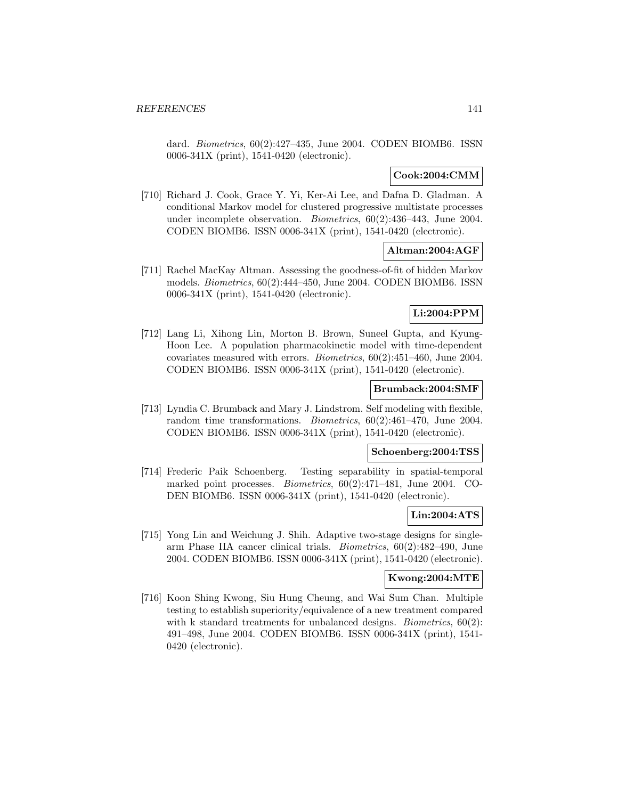dard. Biometrics, 60(2):427–435, June 2004. CODEN BIOMB6. ISSN 0006-341X (print), 1541-0420 (electronic).

# **Cook:2004:CMM**

[710] Richard J. Cook, Grace Y. Yi, Ker-Ai Lee, and Dafna D. Gladman. A conditional Markov model for clustered progressive multistate processes under incomplete observation. Biometrics, 60(2):436–443, June 2004. CODEN BIOMB6. ISSN 0006-341X (print), 1541-0420 (electronic).

# **Altman:2004:AGF**

[711] Rachel MacKay Altman. Assessing the goodness-of-fit of hidden Markov models. Biometrics, 60(2):444–450, June 2004. CODEN BIOMB6. ISSN 0006-341X (print), 1541-0420 (electronic).

# **Li:2004:PPM**

[712] Lang Li, Xihong Lin, Morton B. Brown, Suneel Gupta, and Kyung-Hoon Lee. A population pharmacokinetic model with time-dependent covariates measured with errors. Biometrics, 60(2):451–460, June 2004. CODEN BIOMB6. ISSN 0006-341X (print), 1541-0420 (electronic).

### **Brumback:2004:SMF**

[713] Lyndia C. Brumback and Mary J. Lindstrom. Self modeling with flexible, random time transformations. Biometrics, 60(2):461–470, June 2004. CODEN BIOMB6. ISSN 0006-341X (print), 1541-0420 (electronic).

# **Schoenberg:2004:TSS**

[714] Frederic Paik Schoenberg. Testing separability in spatial-temporal marked point processes. Biometrics, 60(2):471–481, June 2004. CO-DEN BIOMB6. ISSN 0006-341X (print), 1541-0420 (electronic).

# **Lin:2004:ATS**

[715] Yong Lin and Weichung J. Shih. Adaptive two-stage designs for singlearm Phase IIA cancer clinical trials. Biometrics, 60(2):482–490, June 2004. CODEN BIOMB6. ISSN 0006-341X (print), 1541-0420 (electronic).

# **Kwong:2004:MTE**

[716] Koon Shing Kwong, Siu Hung Cheung, and Wai Sum Chan. Multiple testing to establish superiority/equivalence of a new treatment compared with k standard treatments for unbalanced designs. *Biometrics*,  $60(2)$ : 491–498, June 2004. CODEN BIOMB6. ISSN 0006-341X (print), 1541- 0420 (electronic).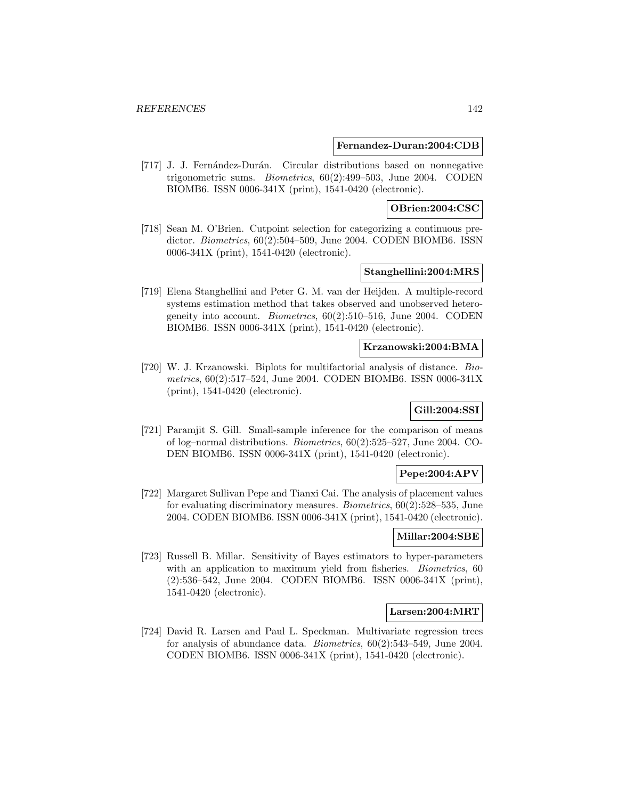#### **Fernandez-Duran:2004:CDB**

[717] J. J. Fernández-Durán. Circular distributions based on nonnegative trigonometric sums. Biometrics, 60(2):499–503, June 2004. CODEN BIOMB6. ISSN 0006-341X (print), 1541-0420 (electronic).

# **OBrien:2004:CSC**

[718] Sean M. O'Brien. Cutpoint selection for categorizing a continuous predictor. Biometrics, 60(2):504–509, June 2004. CODEN BIOMB6. ISSN 0006-341X (print), 1541-0420 (electronic).

### **Stanghellini:2004:MRS**

[719] Elena Stanghellini and Peter G. M. van der Heijden. A multiple-record systems estimation method that takes observed and unobserved heterogeneity into account. Biometrics, 60(2):510–516, June 2004. CODEN BIOMB6. ISSN 0006-341X (print), 1541-0420 (electronic).

### **Krzanowski:2004:BMA**

[720] W. J. Krzanowski. Biplots for multifactorial analysis of distance. Biometrics, 60(2):517–524, June 2004. CODEN BIOMB6. ISSN 0006-341X (print), 1541-0420 (electronic).

# **Gill:2004:SSI**

[721] Paramjit S. Gill. Small-sample inference for the comparison of means of log–normal distributions. Biometrics, 60(2):525–527, June 2004. CO-DEN BIOMB6. ISSN 0006-341X (print), 1541-0420 (electronic).

# **Pepe:2004:APV**

[722] Margaret Sullivan Pepe and Tianxi Cai. The analysis of placement values for evaluating discriminatory measures. Biometrics, 60(2):528–535, June 2004. CODEN BIOMB6. ISSN 0006-341X (print), 1541-0420 (electronic).

## **Millar:2004:SBE**

[723] Russell B. Millar. Sensitivity of Bayes estimators to hyper-parameters with an application to maximum yield from fisheries. *Biometrics*, 60 (2):536–542, June 2004. CODEN BIOMB6. ISSN 0006-341X (print), 1541-0420 (electronic).

#### **Larsen:2004:MRT**

[724] David R. Larsen and Paul L. Speckman. Multivariate regression trees for analysis of abundance data. Biometrics, 60(2):543–549, June 2004. CODEN BIOMB6. ISSN 0006-341X (print), 1541-0420 (electronic).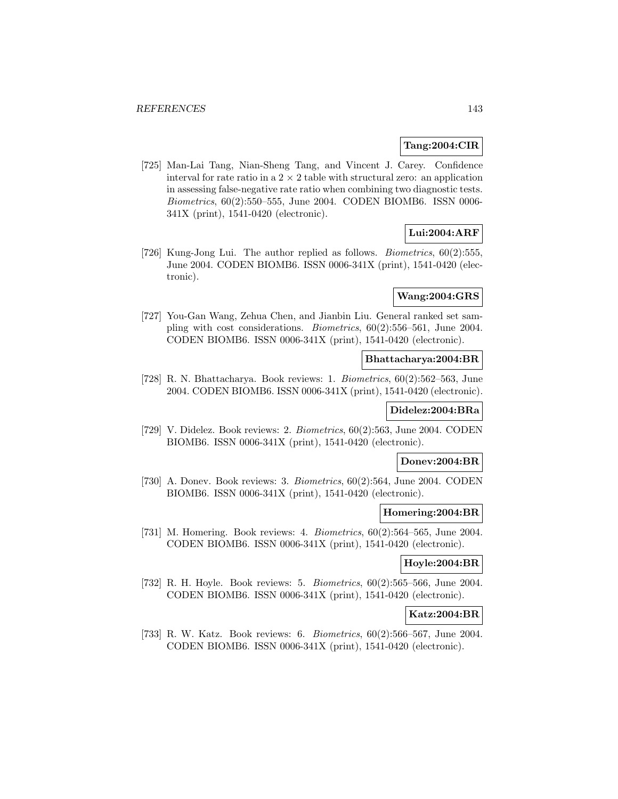### **Tang:2004:CIR**

[725] Man-Lai Tang, Nian-Sheng Tang, and Vincent J. Carey. Confidence interval for rate ratio in a  $2 \times 2$  table with structural zero: an application in assessing false-negative rate ratio when combining two diagnostic tests. Biometrics, 60(2):550–555, June 2004. CODEN BIOMB6. ISSN 0006- 341X (print), 1541-0420 (electronic).

# **Lui:2004:ARF**

[726] Kung-Jong Lui. The author replied as follows. Biometrics, 60(2):555, June 2004. CODEN BIOMB6. ISSN 0006-341X (print), 1541-0420 (electronic).

# **Wang:2004:GRS**

[727] You-Gan Wang, Zehua Chen, and Jianbin Liu. General ranked set sampling with cost considerations. Biometrics, 60(2):556–561, June 2004. CODEN BIOMB6. ISSN 0006-341X (print), 1541-0420 (electronic).

### **Bhattacharya:2004:BR**

[728] R. N. Bhattacharya. Book reviews: 1. Biometrics, 60(2):562–563, June 2004. CODEN BIOMB6. ISSN 0006-341X (print), 1541-0420 (electronic).

### **Didelez:2004:BRa**

[729] V. Didelez. Book reviews: 2. Biometrics, 60(2):563, June 2004. CODEN BIOMB6. ISSN 0006-341X (print), 1541-0420 (electronic).

## **Donev:2004:BR**

[730] A. Donev. Book reviews: 3. Biometrics, 60(2):564, June 2004. CODEN BIOMB6. ISSN 0006-341X (print), 1541-0420 (electronic).

#### **Homering:2004:BR**

[731] M. Homering. Book reviews: 4. Biometrics, 60(2):564–565, June 2004. CODEN BIOMB6. ISSN 0006-341X (print), 1541-0420 (electronic).

### **Hoyle:2004:BR**

[732] R. H. Hoyle. Book reviews: 5. Biometrics, 60(2):565–566, June 2004. CODEN BIOMB6. ISSN 0006-341X (print), 1541-0420 (electronic).

# **Katz:2004:BR**

[733] R. W. Katz. Book reviews: 6. Biometrics, 60(2):566–567, June 2004. CODEN BIOMB6. ISSN 0006-341X (print), 1541-0420 (electronic).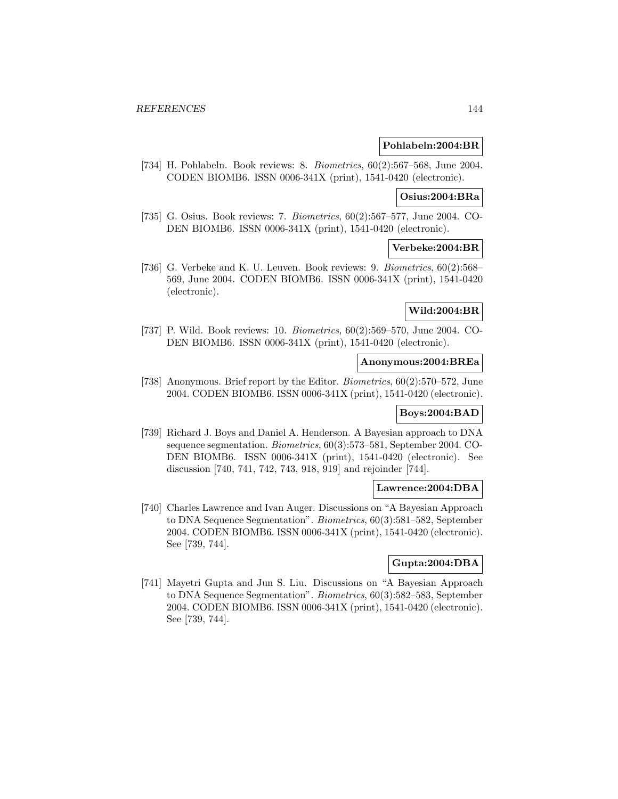## **Pohlabeln:2004:BR**

[734] H. Pohlabeln. Book reviews: 8. Biometrics, 60(2):567–568, June 2004. CODEN BIOMB6. ISSN 0006-341X (print), 1541-0420 (electronic).

## **Osius:2004:BRa**

[735] G. Osius. Book reviews: 7. Biometrics, 60(2):567–577, June 2004. CO-DEN BIOMB6. ISSN 0006-341X (print), 1541-0420 (electronic).

## **Verbeke:2004:BR**

[736] G. Verbeke and K. U. Leuven. Book reviews: 9. Biometrics, 60(2):568– 569, June 2004. CODEN BIOMB6. ISSN 0006-341X (print), 1541-0420 (electronic).

### **Wild:2004:BR**

[737] P. Wild. Book reviews: 10. *Biometrics*, 60(2):569–570, June 2004. CO-DEN BIOMB6. ISSN 0006-341X (print), 1541-0420 (electronic).

# **Anonymous:2004:BREa**

[738] Anonymous. Brief report by the Editor. Biometrics, 60(2):570–572, June 2004. CODEN BIOMB6. ISSN 0006-341X (print), 1541-0420 (electronic).

### **Boys:2004:BAD**

[739] Richard J. Boys and Daniel A. Henderson. A Bayesian approach to DNA sequence segmentation. Biometrics, 60(3):573–581, September 2004. CO-DEN BIOMB6. ISSN 0006-341X (print), 1541-0420 (electronic). See discussion [740, 741, 742, 743, 918, 919] and rejoinder [744].

#### **Lawrence:2004:DBA**

[740] Charles Lawrence and Ivan Auger. Discussions on "A Bayesian Approach to DNA Sequence Segmentation". Biometrics, 60(3):581–582, September 2004. CODEN BIOMB6. ISSN 0006-341X (print), 1541-0420 (electronic). See [739, 744].

### **Gupta:2004:DBA**

[741] Mayetri Gupta and Jun S. Liu. Discussions on "A Bayesian Approach to DNA Sequence Segmentation". Biometrics, 60(3):582–583, September 2004. CODEN BIOMB6. ISSN 0006-341X (print), 1541-0420 (electronic). See [739, 744].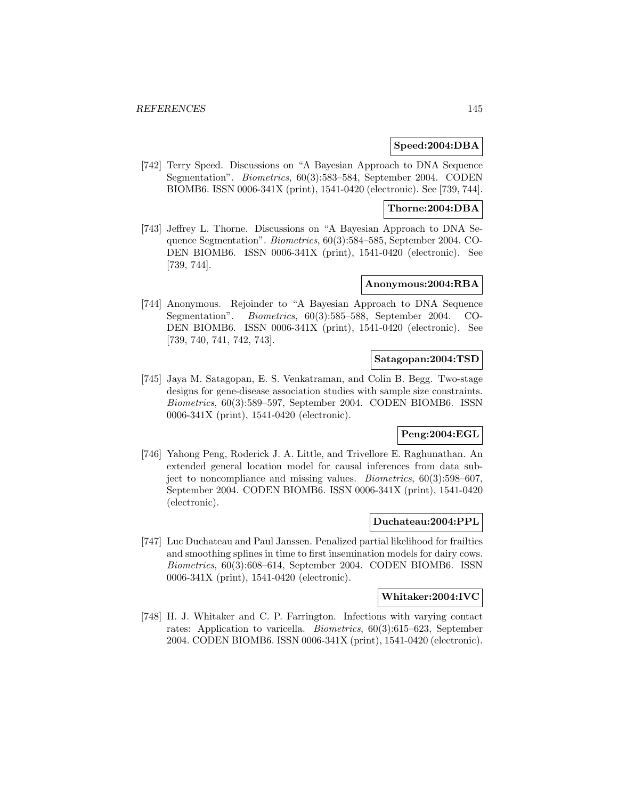### **Speed:2004:DBA**

[742] Terry Speed. Discussions on "A Bayesian Approach to DNA Sequence Segmentation". Biometrics, 60(3):583–584, September 2004. CODEN BIOMB6. ISSN 0006-341X (print), 1541-0420 (electronic). See [739, 744].

## **Thorne:2004:DBA**

[743] Jeffrey L. Thorne. Discussions on "A Bayesian Approach to DNA Sequence Segmentation". Biometrics, 60(3):584–585, September 2004. CO-DEN BIOMB6. ISSN 0006-341X (print), 1541-0420 (electronic). See [739, 744].

### **Anonymous:2004:RBA**

[744] Anonymous. Rejoinder to "A Bayesian Approach to DNA Sequence Segmentation". Biometrics, 60(3):585–588, September 2004. CO-DEN BIOMB6. ISSN 0006-341X (print), 1541-0420 (electronic). See [739, 740, 741, 742, 743].

### **Satagopan:2004:TSD**

[745] Jaya M. Satagopan, E. S. Venkatraman, and Colin B. Begg. Two-stage designs for gene-disease association studies with sample size constraints. Biometrics, 60(3):589–597, September 2004. CODEN BIOMB6. ISSN 0006-341X (print), 1541-0420 (electronic).

# **Peng:2004:EGL**

[746] Yahong Peng, Roderick J. A. Little, and Trivellore E. Raghunathan. An extended general location model for causal inferences from data subject to noncompliance and missing values. Biometrics, 60(3):598–607, September 2004. CODEN BIOMB6. ISSN 0006-341X (print), 1541-0420 (electronic).

## **Duchateau:2004:PPL**

[747] Luc Duchateau and Paul Janssen. Penalized partial likelihood for frailties and smoothing splines in time to first insemination models for dairy cows. Biometrics, 60(3):608–614, September 2004. CODEN BIOMB6. ISSN 0006-341X (print), 1541-0420 (electronic).

## **Whitaker:2004:IVC**

[748] H. J. Whitaker and C. P. Farrington. Infections with varying contact rates: Application to varicella. Biometrics, 60(3):615–623, September 2004. CODEN BIOMB6. ISSN 0006-341X (print), 1541-0420 (electronic).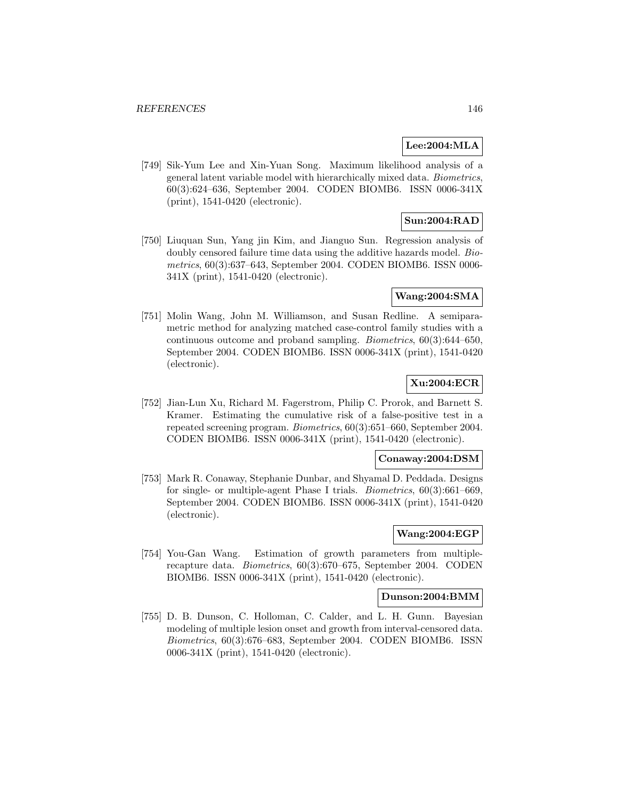## **Lee:2004:MLA**

[749] Sik-Yum Lee and Xin-Yuan Song. Maximum likelihood analysis of a general latent variable model with hierarchically mixed data. Biometrics, 60(3):624–636, September 2004. CODEN BIOMB6. ISSN 0006-341X (print), 1541-0420 (electronic).

# **Sun:2004:RAD**

[750] Liuquan Sun, Yang jin Kim, and Jianguo Sun. Regression analysis of doubly censored failure time data using the additive hazards model. Biometrics, 60(3):637–643, September 2004. CODEN BIOMB6. ISSN 0006- 341X (print), 1541-0420 (electronic).

## **Wang:2004:SMA**

[751] Molin Wang, John M. Williamson, and Susan Redline. A semiparametric method for analyzing matched case-control family studies with a continuous outcome and proband sampling. Biometrics, 60(3):644–650, September 2004. CODEN BIOMB6. ISSN 0006-341X (print), 1541-0420 (electronic).

# **Xu:2004:ECR**

[752] Jian-Lun Xu, Richard M. Fagerstrom, Philip C. Prorok, and Barnett S. Kramer. Estimating the cumulative risk of a false-positive test in a repeated screening program. Biometrics, 60(3):651–660, September 2004. CODEN BIOMB6. ISSN 0006-341X (print), 1541-0420 (electronic).

## **Conaway:2004:DSM**

[753] Mark R. Conaway, Stephanie Dunbar, and Shyamal D. Peddada. Designs for single- or multiple-agent Phase I trials. Biometrics, 60(3):661–669, September 2004. CODEN BIOMB6. ISSN 0006-341X (print), 1541-0420 (electronic).

# **Wang:2004:EGP**

[754] You-Gan Wang. Estimation of growth parameters from multiplerecapture data. Biometrics, 60(3):670–675, September 2004. CODEN BIOMB6. ISSN 0006-341X (print), 1541-0420 (electronic).

#### **Dunson:2004:BMM**

[755] D. B. Dunson, C. Holloman, C. Calder, and L. H. Gunn. Bayesian modeling of multiple lesion onset and growth from interval-censored data. Biometrics, 60(3):676–683, September 2004. CODEN BIOMB6. ISSN 0006-341X (print), 1541-0420 (electronic).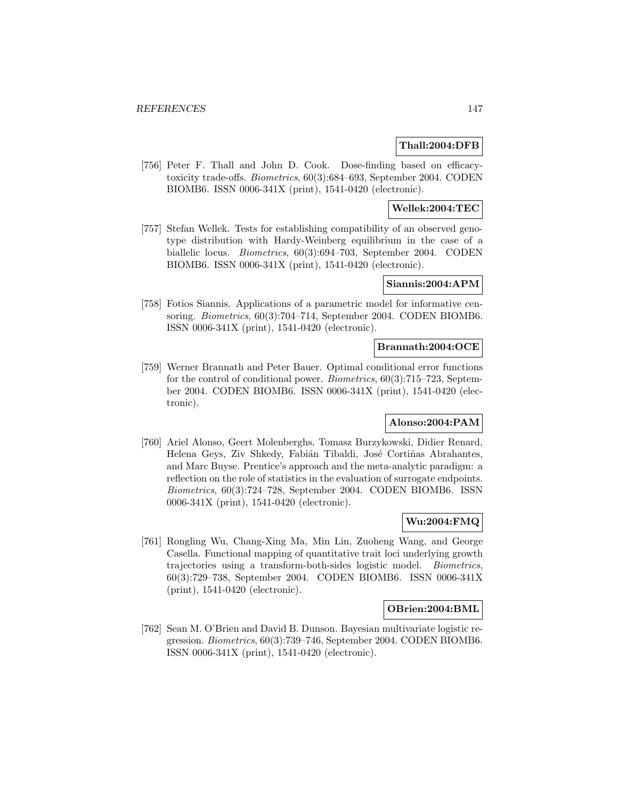## **Thall:2004:DFB**

[756] Peter F. Thall and John D. Cook. Dose-finding based on efficacytoxicity trade-offs. Biometrics, 60(3):684–693, September 2004. CODEN BIOMB6. ISSN 0006-341X (print), 1541-0420 (electronic).

# **Wellek:2004:TEC**

[757] Stefan Wellek. Tests for establishing compatibility of an observed genotype distribution with Hardy-Weinberg equilibrium in the case of a biallelic locus. Biometrics, 60(3):694–703, September 2004. CODEN BIOMB6. ISSN 0006-341X (print), 1541-0420 (electronic).

## **Siannis:2004:APM**

[758] Fotios Siannis. Applications of a parametric model for informative censoring. Biometrics, 60(3):704–714, September 2004. CODEN BIOMB6. ISSN 0006-341X (print), 1541-0420 (electronic).

### **Brannath:2004:OCE**

[759] Werner Brannath and Peter Bauer. Optimal conditional error functions for the control of conditional power. Biometrics, 60(3):715–723, September 2004. CODEN BIOMB6. ISSN 0006-341X (print), 1541-0420 (electronic).

## **Alonso:2004:PAM**

[760] Ariel Alonso, Geert Molenberghs, Tomasz Burzykowski, Didier Renard, Helena Geys, Ziv Shkedy, Fabián Tibaldi, José Cortiñas Abrahantes, and Marc Buyse. Prentice's approach and the meta-analytic paradigm: a reflection on the role of statistics in the evaluation of surrogate endpoints. Biometrics, 60(3):724–728, September 2004. CODEN BIOMB6. ISSN 0006-341X (print), 1541-0420 (electronic).

## **Wu:2004:FMQ**

[761] Rongling Wu, Chang-Xing Ma, Min Lin, Zuoheng Wang, and George Casella. Functional mapping of quantitative trait loci underlying growth trajectories using a transform-both-sides logistic model. Biometrics, 60(3):729–738, September 2004. CODEN BIOMB6. ISSN 0006-341X (print), 1541-0420 (electronic).

### **OBrien:2004:BML**

[762] Sean M. O'Brien and David B. Dunson. Bayesian multivariate logistic regression. Biometrics, 60(3):739–746, September 2004. CODEN BIOMB6. ISSN 0006-341X (print), 1541-0420 (electronic).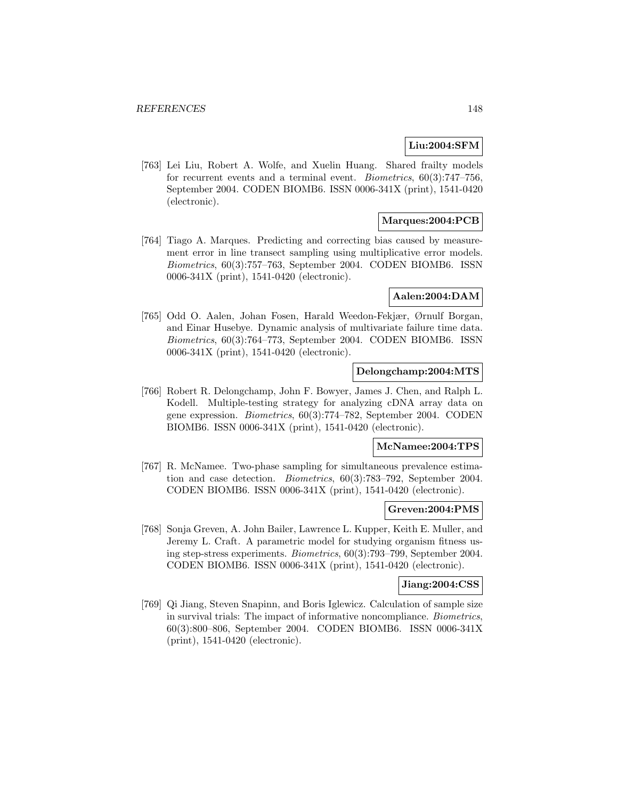# **Liu:2004:SFM**

[763] Lei Liu, Robert A. Wolfe, and Xuelin Huang. Shared frailty models for recurrent events and a terminal event. Biometrics, 60(3):747–756, September 2004. CODEN BIOMB6. ISSN 0006-341X (print), 1541-0420 (electronic).

# **Marques:2004:PCB**

[764] Tiago A. Marques. Predicting and correcting bias caused by measurement error in line transect sampling using multiplicative error models. Biometrics, 60(3):757–763, September 2004. CODEN BIOMB6. ISSN 0006-341X (print), 1541-0420 (electronic).

#### **Aalen:2004:DAM**

[765] Odd O. Aalen, Johan Fosen, Harald Weedon-Fekjær, Ørnulf Borgan, and Einar Husebye. Dynamic analysis of multivariate failure time data. Biometrics, 60(3):764–773, September 2004. CODEN BIOMB6. ISSN 0006-341X (print), 1541-0420 (electronic).

## **Delongchamp:2004:MTS**

[766] Robert R. Delongchamp, John F. Bowyer, James J. Chen, and Ralph L. Kodell. Multiple-testing strategy for analyzing cDNA array data on gene expression. Biometrics, 60(3):774–782, September 2004. CODEN BIOMB6. ISSN 0006-341X (print), 1541-0420 (electronic).

#### **McNamee:2004:TPS**

[767] R. McNamee. Two-phase sampling for simultaneous prevalence estimation and case detection. Biometrics, 60(3):783–792, September 2004. CODEN BIOMB6. ISSN 0006-341X (print), 1541-0420 (electronic).

#### **Greven:2004:PMS**

[768] Sonja Greven, A. John Bailer, Lawrence L. Kupper, Keith E. Muller, and Jeremy L. Craft. A parametric model for studying organism fitness using step-stress experiments. Biometrics, 60(3):793–799, September 2004. CODEN BIOMB6. ISSN 0006-341X (print), 1541-0420 (electronic).

#### **Jiang:2004:CSS**

[769] Qi Jiang, Steven Snapinn, and Boris Iglewicz. Calculation of sample size in survival trials: The impact of informative noncompliance. Biometrics, 60(3):800–806, September 2004. CODEN BIOMB6. ISSN 0006-341X (print), 1541-0420 (electronic).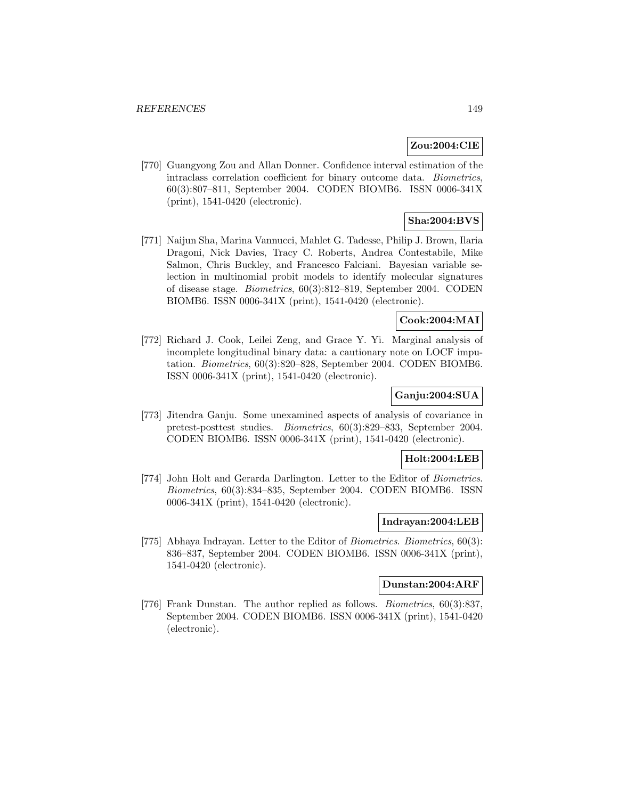# **Zou:2004:CIE**

[770] Guangyong Zou and Allan Donner. Confidence interval estimation of the intraclass correlation coefficient for binary outcome data. Biometrics, 60(3):807–811, September 2004. CODEN BIOMB6. ISSN 0006-341X (print), 1541-0420 (electronic).

# **Sha:2004:BVS**

[771] Naijun Sha, Marina Vannucci, Mahlet G. Tadesse, Philip J. Brown, Ilaria Dragoni, Nick Davies, Tracy C. Roberts, Andrea Contestabile, Mike Salmon, Chris Buckley, and Francesco Falciani. Bayesian variable selection in multinomial probit models to identify molecular signatures of disease stage. Biometrics, 60(3):812–819, September 2004. CODEN BIOMB6. ISSN 0006-341X (print), 1541-0420 (electronic).

## **Cook:2004:MAI**

[772] Richard J. Cook, Leilei Zeng, and Grace Y. Yi. Marginal analysis of incomplete longitudinal binary data: a cautionary note on LOCF imputation. Biometrics, 60(3):820–828, September 2004. CODEN BIOMB6. ISSN 0006-341X (print), 1541-0420 (electronic).

## **Ganju:2004:SUA**

[773] Jitendra Ganju. Some unexamined aspects of analysis of covariance in pretest-posttest studies. Biometrics, 60(3):829–833, September 2004. CODEN BIOMB6. ISSN 0006-341X (print), 1541-0420 (electronic).

#### **Holt:2004:LEB**

[774] John Holt and Gerarda Darlington. Letter to the Editor of Biometrics. Biometrics, 60(3):834–835, September 2004. CODEN BIOMB6. ISSN 0006-341X (print), 1541-0420 (electronic).

## **Indrayan:2004:LEB**

[775] Abhaya Indrayan. Letter to the Editor of Biometrics. Biometrics, 60(3): 836–837, September 2004. CODEN BIOMB6. ISSN 0006-341X (print), 1541-0420 (electronic).

# **Dunstan:2004:ARF**

[776] Frank Dunstan. The author replied as follows. Biometrics, 60(3):837, September 2004. CODEN BIOMB6. ISSN 0006-341X (print), 1541-0420 (electronic).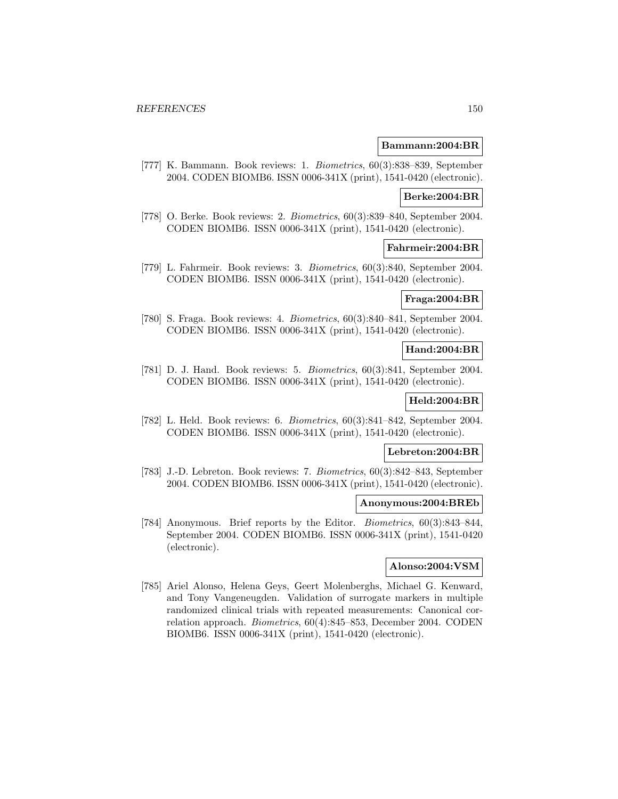#### **Bammann:2004:BR**

[777] K. Bammann. Book reviews: 1. Biometrics, 60(3):838–839, September 2004. CODEN BIOMB6. ISSN 0006-341X (print), 1541-0420 (electronic).

#### **Berke:2004:BR**

[778] O. Berke. Book reviews: 2. Biometrics, 60(3):839–840, September 2004. CODEN BIOMB6. ISSN 0006-341X (print), 1541-0420 (electronic).

#### **Fahrmeir:2004:BR**

[779] L. Fahrmeir. Book reviews: 3. Biometrics, 60(3):840, September 2004. CODEN BIOMB6. ISSN 0006-341X (print), 1541-0420 (electronic).

# **Fraga:2004:BR**

[780] S. Fraga. Book reviews: 4. Biometrics, 60(3):840–841, September 2004. CODEN BIOMB6. ISSN 0006-341X (print), 1541-0420 (electronic).

## **Hand:2004:BR**

[781] D. J. Hand. Book reviews: 5. Biometrics, 60(3):841, September 2004. CODEN BIOMB6. ISSN 0006-341X (print), 1541-0420 (electronic).

## **Held:2004:BR**

[782] L. Held. Book reviews: 6. Biometrics, 60(3):841–842, September 2004. CODEN BIOMB6. ISSN 0006-341X (print), 1541-0420 (electronic).

#### **Lebreton:2004:BR**

[783] J.-D. Lebreton. Book reviews: 7. Biometrics, 60(3):842–843, September 2004. CODEN BIOMB6. ISSN 0006-341X (print), 1541-0420 (electronic).

#### **Anonymous:2004:BREb**

[784] Anonymous. Brief reports by the Editor. Biometrics, 60(3):843–844, September 2004. CODEN BIOMB6. ISSN 0006-341X (print), 1541-0420 (electronic).

## **Alonso:2004:VSM**

[785] Ariel Alonso, Helena Geys, Geert Molenberghs, Michael G. Kenward, and Tony Vangeneugden. Validation of surrogate markers in multiple randomized clinical trials with repeated measurements: Canonical correlation approach. Biometrics, 60(4):845–853, December 2004. CODEN BIOMB6. ISSN 0006-341X (print), 1541-0420 (electronic).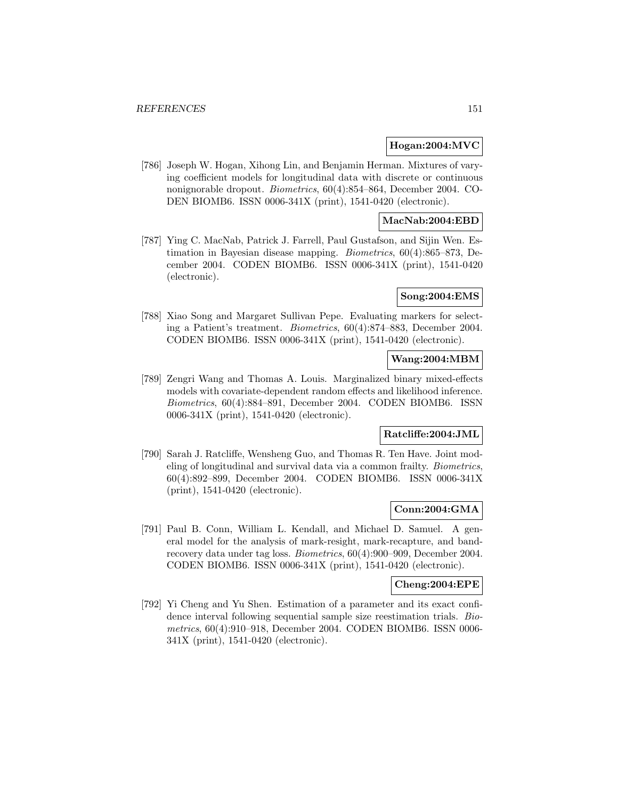#### **Hogan:2004:MVC**

[786] Joseph W. Hogan, Xihong Lin, and Benjamin Herman. Mixtures of varying coefficient models for longitudinal data with discrete or continuous nonignorable dropout. Biometrics, 60(4):854–864, December 2004. CO-DEN BIOMB6. ISSN 0006-341X (print), 1541-0420 (electronic).

## **MacNab:2004:EBD**

[787] Ying C. MacNab, Patrick J. Farrell, Paul Gustafson, and Sijin Wen. Estimation in Bayesian disease mapping. Biometrics, 60(4):865–873, December 2004. CODEN BIOMB6. ISSN 0006-341X (print), 1541-0420 (electronic).

## **Song:2004:EMS**

[788] Xiao Song and Margaret Sullivan Pepe. Evaluating markers for selecting a Patient's treatment. Biometrics, 60(4):874–883, December 2004. CODEN BIOMB6. ISSN 0006-341X (print), 1541-0420 (electronic).

## **Wang:2004:MBM**

[789] Zengri Wang and Thomas A. Louis. Marginalized binary mixed-effects models with covariate-dependent random effects and likelihood inference. Biometrics, 60(4):884–891, December 2004. CODEN BIOMB6. ISSN 0006-341X (print), 1541-0420 (electronic).

# **Ratcliffe:2004:JML**

[790] Sarah J. Ratcliffe, Wensheng Guo, and Thomas R. Ten Have. Joint modeling of longitudinal and survival data via a common frailty. Biometrics, 60(4):892–899, December 2004. CODEN BIOMB6. ISSN 0006-341X (print), 1541-0420 (electronic).

#### **Conn:2004:GMA**

[791] Paul B. Conn, William L. Kendall, and Michael D. Samuel. A general model for the analysis of mark-resight, mark-recapture, and bandrecovery data under tag loss. Biometrics, 60(4):900–909, December 2004. CODEN BIOMB6. ISSN 0006-341X (print), 1541-0420 (electronic).

#### **Cheng:2004:EPE**

[792] Yi Cheng and Yu Shen. Estimation of a parameter and its exact confidence interval following sequential sample size reestimation trials. Biometrics, 60(4):910–918, December 2004. CODEN BIOMB6. ISSN 0006- 341X (print), 1541-0420 (electronic).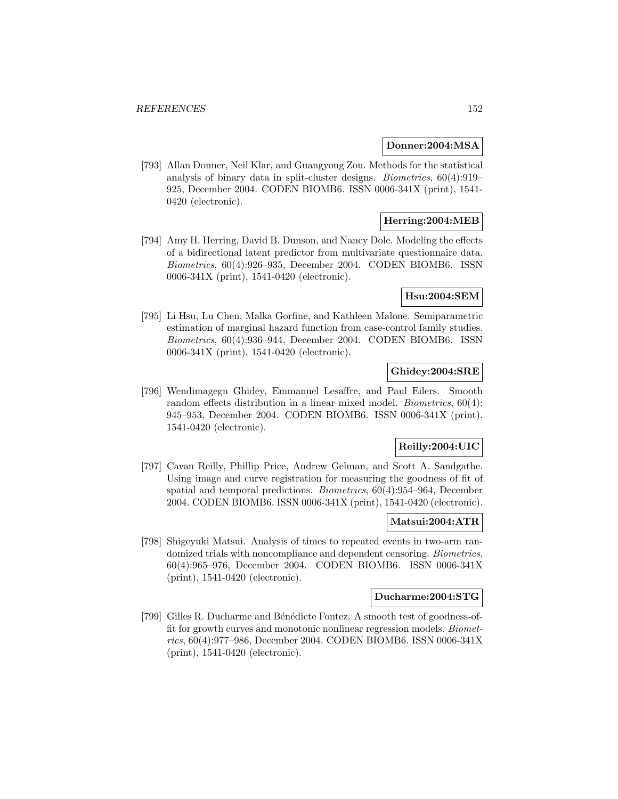#### **Donner:2004:MSA**

[793] Allan Donner, Neil Klar, and Guangyong Zou. Methods for the statistical analysis of binary data in split-cluster designs. Biometrics, 60(4):919– 925, December 2004. CODEN BIOMB6. ISSN 0006-341X (print), 1541- 0420 (electronic).

# **Herring:2004:MEB**

[794] Amy H. Herring, David B. Dunson, and Nancy Dole. Modeling the effects of a bidirectional latent predictor from multivariate questionnaire data. Biometrics, 60(4):926–935, December 2004. CODEN BIOMB6. ISSN 0006-341X (print), 1541-0420 (electronic).

## **Hsu:2004:SEM**

[795] Li Hsu, Lu Chen, Malka Gorfine, and Kathleen Malone. Semiparametric estimation of marginal hazard function from case-control family studies. Biometrics, 60(4):936–944, December 2004. CODEN BIOMB6. ISSN 0006-341X (print), 1541-0420 (electronic).

# **Ghidey:2004:SRE**

[796] Wendimagegn Ghidey, Emmanuel Lesaffre, and Paul Eilers. Smooth random effects distribution in a linear mixed model. Biometrics, 60(4): 945–953, December 2004. CODEN BIOMB6. ISSN 0006-341X (print), 1541-0420 (electronic).

# **Reilly:2004:UIC**

[797] Cavan Reilly, Phillip Price, Andrew Gelman, and Scott A. Sandgathe. Using image and curve registration for measuring the goodness of fit of spatial and temporal predictions. Biometrics, 60(4):954–964, December 2004. CODEN BIOMB6. ISSN 0006-341X (print), 1541-0420 (electronic).

#### **Matsui:2004:ATR**

[798] Shigeyuki Matsui. Analysis of times to repeated events in two-arm randomized trials with noncompliance and dependent censoring. Biometrics, 60(4):965–976, December 2004. CODEN BIOMB6. ISSN 0006-341X (print), 1541-0420 (electronic).

## **Ducharme:2004:STG**

[799] Gilles R. Ducharme and Bénédicte Fontez. A smooth test of goodness-offit for growth curves and monotonic nonlinear regression models. Biometrics, 60(4):977–986, December 2004. CODEN BIOMB6. ISSN 0006-341X (print), 1541-0420 (electronic).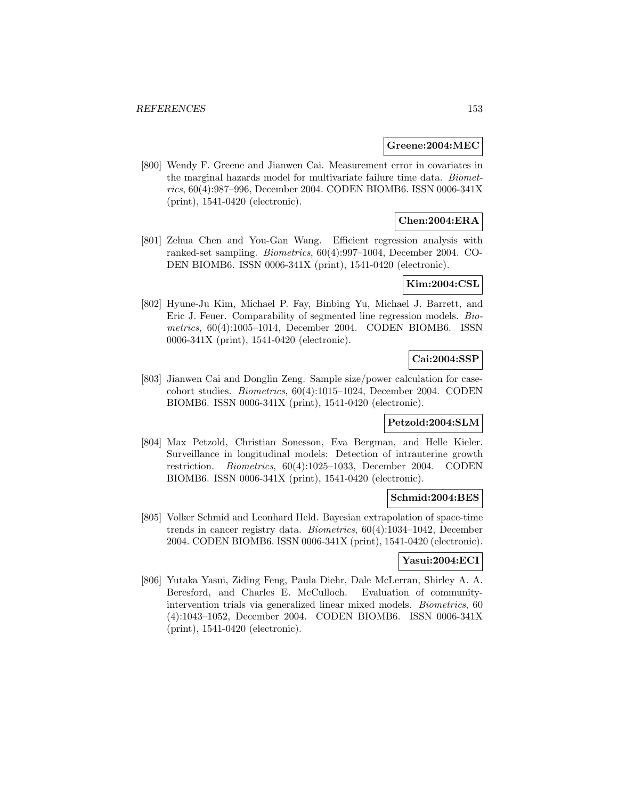#### **Greene:2004:MEC**

[800] Wendy F. Greene and Jianwen Cai. Measurement error in covariates in the marginal hazards model for multivariate failure time data. Biometrics, 60(4):987–996, December 2004. CODEN BIOMB6. ISSN 0006-341X (print), 1541-0420 (electronic).

# **Chen:2004:ERA**

[801] Zehua Chen and You-Gan Wang. Efficient regression analysis with ranked-set sampling. Biometrics, 60(4):997–1004, December 2004. CO-DEN BIOMB6. ISSN 0006-341X (print), 1541-0420 (electronic).

## **Kim:2004:CSL**

[802] Hyune-Ju Kim, Michael P. Fay, Binbing Yu, Michael J. Barrett, and Eric J. Feuer. Comparability of segmented line regression models. Biometrics, 60(4):1005–1014, December 2004. CODEN BIOMB6. ISSN 0006-341X (print), 1541-0420 (electronic).

# **Cai:2004:SSP**

[803] Jianwen Cai and Donglin Zeng. Sample size/power calculation for casecohort studies. Biometrics, 60(4):1015–1024, December 2004. CODEN BIOMB6. ISSN 0006-341X (print), 1541-0420 (electronic).

#### **Petzold:2004:SLM**

[804] Max Petzold, Christian Sonesson, Eva Bergman, and Helle Kieler. Surveillance in longitudinal models: Detection of intrauterine growth restriction. Biometrics, 60(4):1025–1033, December 2004. CODEN BIOMB6. ISSN 0006-341X (print), 1541-0420 (electronic).

## **Schmid:2004:BES**

[805] Volker Schmid and Leonhard Held. Bayesian extrapolation of space-time trends in cancer registry data. Biometrics, 60(4):1034–1042, December 2004. CODEN BIOMB6. ISSN 0006-341X (print), 1541-0420 (electronic).

## **Yasui:2004:ECI**

[806] Yutaka Yasui, Ziding Feng, Paula Diehr, Dale McLerran, Shirley A. A. Beresford, and Charles E. McCulloch. Evaluation of communityintervention trials via generalized linear mixed models. Biometrics, 60 (4):1043–1052, December 2004. CODEN BIOMB6. ISSN 0006-341X (print), 1541-0420 (electronic).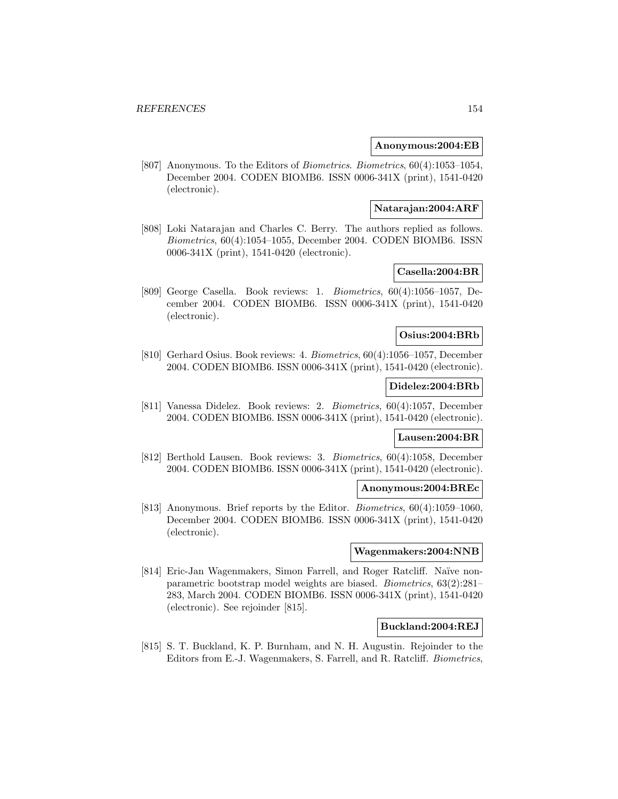#### **Anonymous:2004:EB**

[807] Anonymous. To the Editors of Biometrics. Biometrics, 60(4):1053–1054, December 2004. CODEN BIOMB6. ISSN 0006-341X (print), 1541-0420 (electronic).

### **Natarajan:2004:ARF**

[808] Loki Natarajan and Charles C. Berry. The authors replied as follows. Biometrics, 60(4):1054–1055, December 2004. CODEN BIOMB6. ISSN 0006-341X (print), 1541-0420 (electronic).

# **Casella:2004:BR**

[809] George Casella. Book reviews: 1. Biometrics, 60(4):1056–1057, December 2004. CODEN BIOMB6. ISSN 0006-341X (print), 1541-0420 (electronic).

#### **Osius:2004:BRb**

[810] Gerhard Osius. Book reviews: 4. Biometrics, 60(4):1056–1057, December 2004. CODEN BIOMB6. ISSN 0006-341X (print), 1541-0420 (electronic).

## **Didelez:2004:BRb**

[811] Vanessa Didelez. Book reviews: 2. Biometrics, 60(4):1057, December 2004. CODEN BIOMB6. ISSN 0006-341X (print), 1541-0420 (electronic).

## **Lausen:2004:BR**

[812] Berthold Lausen. Book reviews: 3. Biometrics, 60(4):1058, December 2004. CODEN BIOMB6. ISSN 0006-341X (print), 1541-0420 (electronic).

#### **Anonymous:2004:BREc**

[813] Anonymous. Brief reports by the Editor. Biometrics, 60(4):1059–1060, December 2004. CODEN BIOMB6. ISSN 0006-341X (print), 1541-0420 (electronic).

#### **Wagenmakers:2004:NNB**

[814] Eric-Jan Wagenmakers, Simon Farrell, and Roger Ratcliff. Naïve nonparametric bootstrap model weights are biased. Biometrics, 63(2):281– 283, March 2004. CODEN BIOMB6. ISSN 0006-341X (print), 1541-0420 (electronic). See rejoinder [815].

#### **Buckland:2004:REJ**

[815] S. T. Buckland, K. P. Burnham, and N. H. Augustin. Rejoinder to the Editors from E.-J. Wagenmakers, S. Farrell, and R. Ratcliff. Biometrics,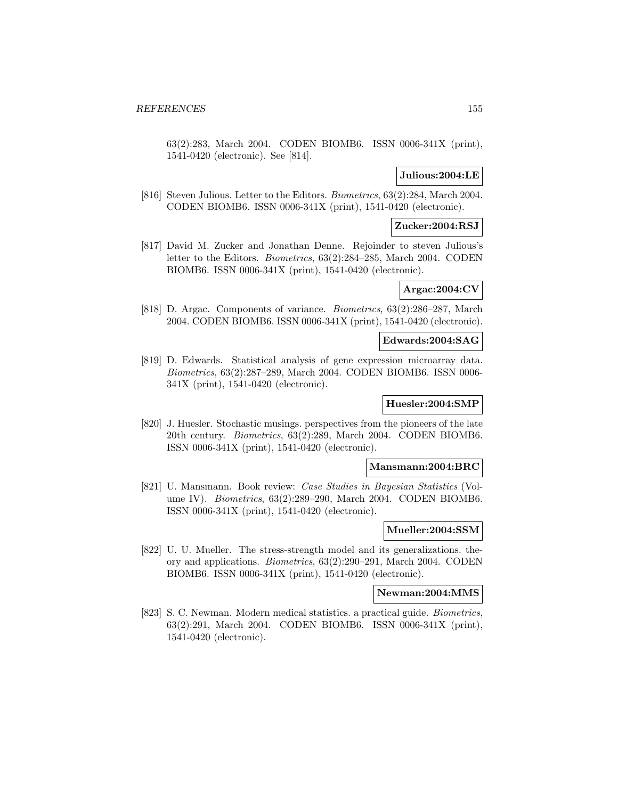63(2):283, March 2004. CODEN BIOMB6. ISSN 0006-341X (print), 1541-0420 (electronic). See [814].

## **Julious:2004:LE**

[816] Steven Julious. Letter to the Editors. Biometrics, 63(2):284, March 2004. CODEN BIOMB6. ISSN 0006-341X (print), 1541-0420 (electronic).

### **Zucker:2004:RSJ**

[817] David M. Zucker and Jonathan Denne. Rejoinder to steven Julious's letter to the Editors. Biometrics, 63(2):284–285, March 2004. CODEN BIOMB6. ISSN 0006-341X (print), 1541-0420 (electronic).

#### **Argac:2004:CV**

[818] D. Argac. Components of variance. Biometrics, 63(2):286–287, March 2004. CODEN BIOMB6. ISSN 0006-341X (print), 1541-0420 (electronic).

#### **Edwards:2004:SAG**

[819] D. Edwards. Statistical analysis of gene expression microarray data. Biometrics, 63(2):287–289, March 2004. CODEN BIOMB6. ISSN 0006- 341X (print), 1541-0420 (electronic).

### **Huesler:2004:SMP**

[820] J. Huesler. Stochastic musings. perspectives from the pioneers of the late 20th century. Biometrics, 63(2):289, March 2004. CODEN BIOMB6. ISSN 0006-341X (print), 1541-0420 (electronic).

## **Mansmann:2004:BRC**

[821] U. Mansmann. Book review: Case Studies in Bayesian Statistics (Volume IV). Biometrics, 63(2):289–290, March 2004. CODEN BIOMB6. ISSN 0006-341X (print), 1541-0420 (electronic).

#### **Mueller:2004:SSM**

[822] U. U. Mueller. The stress-strength model and its generalizations. theory and applications. Biometrics, 63(2):290–291, March 2004. CODEN BIOMB6. ISSN 0006-341X (print), 1541-0420 (electronic).

#### **Newman:2004:MMS**

[823] S. C. Newman. Modern medical statistics. a practical guide. Biometrics, 63(2):291, March 2004. CODEN BIOMB6. ISSN 0006-341X (print), 1541-0420 (electronic).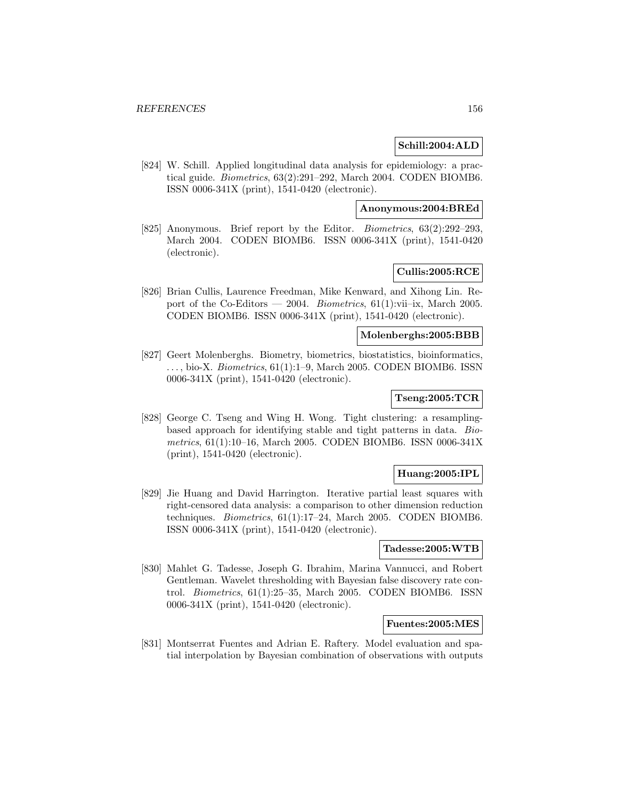## **Schill:2004:ALD**

[824] W. Schill. Applied longitudinal data analysis for epidemiology: a practical guide. Biometrics, 63(2):291–292, March 2004. CODEN BIOMB6. ISSN 0006-341X (print), 1541-0420 (electronic).

## **Anonymous:2004:BREd**

[825] Anonymous. Brief report by the Editor. *Biometrics*, 63(2):292–293, March 2004. CODEN BIOMB6. ISSN 0006-341X (print), 1541-0420 (electronic).

# **Cullis:2005:RCE**

[826] Brian Cullis, Laurence Freedman, Mike Kenward, and Xihong Lin. Report of the Co-Editors — 2004. Biometrics,  $61(1):$ vii–ix, March 2005. CODEN BIOMB6. ISSN 0006-341X (print), 1541-0420 (electronic).

#### **Molenberghs:2005:BBB**

[827] Geert Molenberghs. Biometry, biometrics, biostatistics, bioinformatics,  $\ldots$ , bio-X. *Biometrics*, 61(1):1–9, March 2005. CODEN BIOMB6. ISSN 0006-341X (print), 1541-0420 (electronic).

## **Tseng:2005:TCR**

[828] George C. Tseng and Wing H. Wong. Tight clustering: a resamplingbased approach for identifying stable and tight patterns in data. Biometrics, 61(1):10–16, March 2005. CODEN BIOMB6. ISSN 0006-341X (print), 1541-0420 (electronic).

### **Huang:2005:IPL**

[829] Jie Huang and David Harrington. Iterative partial least squares with right-censored data analysis: a comparison to other dimension reduction techniques. Biometrics, 61(1):17–24, March 2005. CODEN BIOMB6. ISSN 0006-341X (print), 1541-0420 (electronic).

## **Tadesse:2005:WTB**

[830] Mahlet G. Tadesse, Joseph G. Ibrahim, Marina Vannucci, and Robert Gentleman. Wavelet thresholding with Bayesian false discovery rate control. Biometrics, 61(1):25–35, March 2005. CODEN BIOMB6. ISSN 0006-341X (print), 1541-0420 (electronic).

#### **Fuentes:2005:MES**

[831] Montserrat Fuentes and Adrian E. Raftery. Model evaluation and spatial interpolation by Bayesian combination of observations with outputs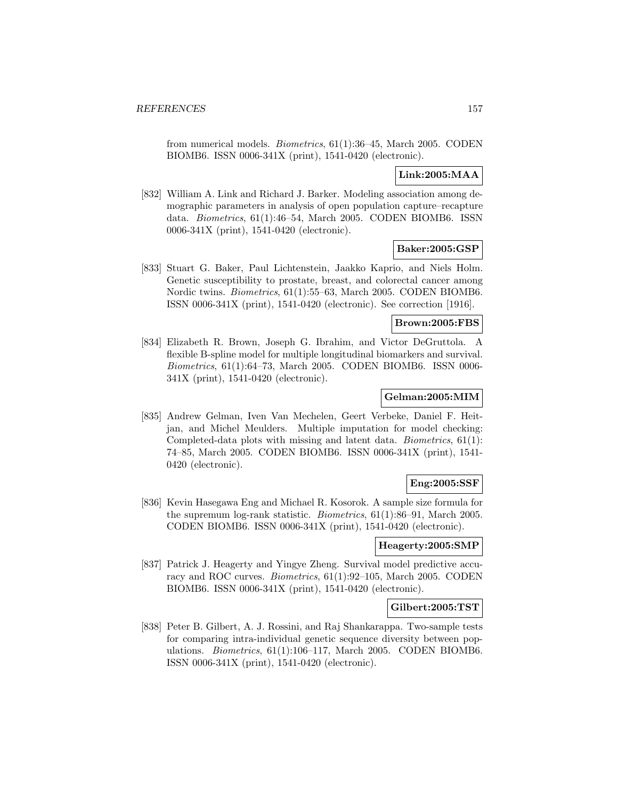from numerical models. Biometrics, 61(1):36–45, March 2005. CODEN BIOMB6. ISSN 0006-341X (print), 1541-0420 (electronic).

# **Link:2005:MAA**

[832] William A. Link and Richard J. Barker. Modeling association among demographic parameters in analysis of open population capture–recapture data. Biometrics, 61(1):46–54, March 2005. CODEN BIOMB6. ISSN 0006-341X (print), 1541-0420 (electronic).

# **Baker:2005:GSP**

[833] Stuart G. Baker, Paul Lichtenstein, Jaakko Kaprio, and Niels Holm. Genetic susceptibility to prostate, breast, and colorectal cancer among Nordic twins. Biometrics, 61(1):55–63, March 2005. CODEN BIOMB6. ISSN 0006-341X (print), 1541-0420 (electronic). See correction [1916].

# **Brown:2005:FBS**

[834] Elizabeth R. Brown, Joseph G. Ibrahim, and Victor DeGruttola. A flexible B-spline model for multiple longitudinal biomarkers and survival. Biometrics, 61(1):64–73, March 2005. CODEN BIOMB6. ISSN 0006- 341X (print), 1541-0420 (electronic).

## **Gelman:2005:MIM**

[835] Andrew Gelman, Iven Van Mechelen, Geert Verbeke, Daniel F. Heitjan, and Michel Meulders. Multiple imputation for model checking: Completed-data plots with missing and latent data. Biometrics, 61(1): 74–85, March 2005. CODEN BIOMB6. ISSN 0006-341X (print), 1541- 0420 (electronic).

## **Eng:2005:SSF**

[836] Kevin Hasegawa Eng and Michael R. Kosorok. A sample size formula for the supremum log-rank statistic. Biometrics, 61(1):86–91, March 2005. CODEN BIOMB6. ISSN 0006-341X (print), 1541-0420 (electronic).

#### **Heagerty:2005:SMP**

[837] Patrick J. Heagerty and Yingye Zheng. Survival model predictive accuracy and ROC curves. Biometrics, 61(1):92–105, March 2005. CODEN BIOMB6. ISSN 0006-341X (print), 1541-0420 (electronic).

### **Gilbert:2005:TST**

[838] Peter B. Gilbert, A. J. Rossini, and Raj Shankarappa. Two-sample tests for comparing intra-individual genetic sequence diversity between populations. Biometrics, 61(1):106–117, March 2005. CODEN BIOMB6. ISSN 0006-341X (print), 1541-0420 (electronic).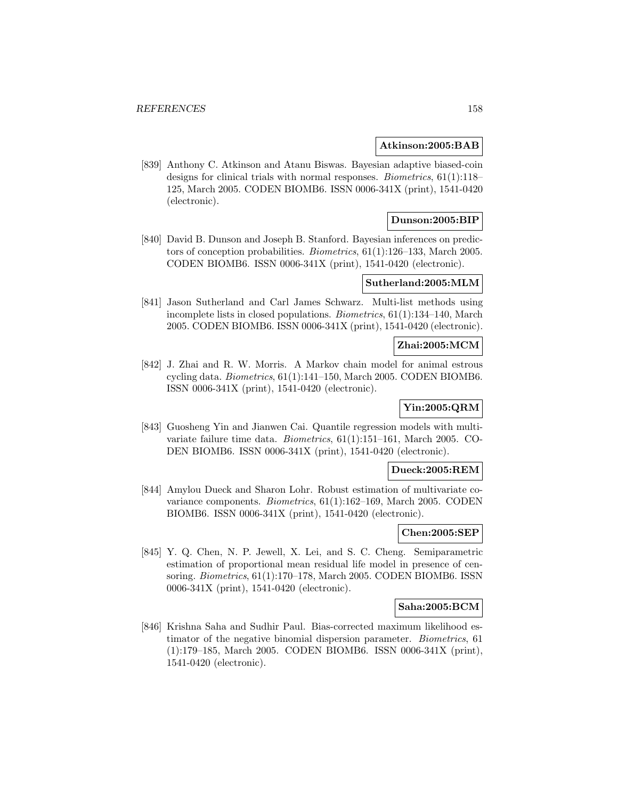### **Atkinson:2005:BAB**

[839] Anthony C. Atkinson and Atanu Biswas. Bayesian adaptive biased-coin designs for clinical trials with normal responses. Biometrics, 61(1):118– 125, March 2005. CODEN BIOMB6. ISSN 0006-341X (print), 1541-0420 (electronic).

## **Dunson:2005:BIP**

[840] David B. Dunson and Joseph B. Stanford. Bayesian inferences on predictors of conception probabilities. Biometrics, 61(1):126–133, March 2005. CODEN BIOMB6. ISSN 0006-341X (print), 1541-0420 (electronic).

## **Sutherland:2005:MLM**

[841] Jason Sutherland and Carl James Schwarz. Multi-list methods using incomplete lists in closed populations. Biometrics, 61(1):134–140, March 2005. CODEN BIOMB6. ISSN 0006-341X (print), 1541-0420 (electronic).

## **Zhai:2005:MCM**

[842] J. Zhai and R. W. Morris. A Markov chain model for animal estrous cycling data. Biometrics, 61(1):141–150, March 2005. CODEN BIOMB6. ISSN 0006-341X (print), 1541-0420 (electronic).

# **Yin:2005:QRM**

[843] Guosheng Yin and Jianwen Cai. Quantile regression models with multivariate failure time data. Biometrics, 61(1):151–161, March 2005. CO-DEN BIOMB6. ISSN 0006-341X (print), 1541-0420 (electronic).

#### **Dueck:2005:REM**

[844] Amylou Dueck and Sharon Lohr. Robust estimation of multivariate covariance components. Biometrics, 61(1):162–169, March 2005. CODEN BIOMB6. ISSN 0006-341X (print), 1541-0420 (electronic).

# **Chen:2005:SEP**

[845] Y. Q. Chen, N. P. Jewell, X. Lei, and S. C. Cheng. Semiparametric estimation of proportional mean residual life model in presence of censoring. Biometrics, 61(1):170–178, March 2005. CODEN BIOMB6. ISSN 0006-341X (print), 1541-0420 (electronic).

### **Saha:2005:BCM**

[846] Krishna Saha and Sudhir Paul. Bias-corrected maximum likelihood estimator of the negative binomial dispersion parameter. Biometrics, 61 (1):179–185, March 2005. CODEN BIOMB6. ISSN 0006-341X (print), 1541-0420 (electronic).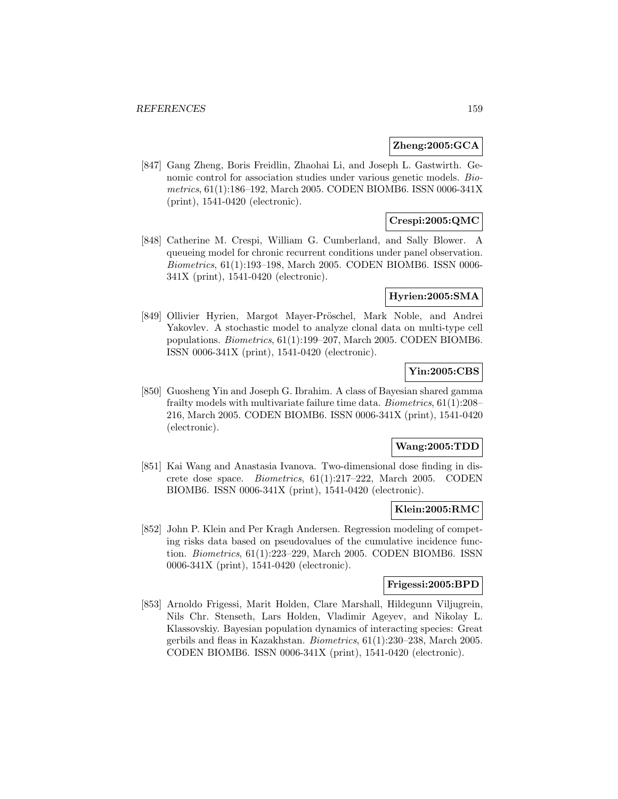## **Zheng:2005:GCA**

[847] Gang Zheng, Boris Freidlin, Zhaohai Li, and Joseph L. Gastwirth. Genomic control for association studies under various genetic models. Biometrics, 61(1):186–192, March 2005. CODEN BIOMB6. ISSN 0006-341X (print), 1541-0420 (electronic).

## **Crespi:2005:QMC**

[848] Catherine M. Crespi, William G. Cumberland, and Sally Blower. A queueing model for chronic recurrent conditions under panel observation. Biometrics, 61(1):193–198, March 2005. CODEN BIOMB6. ISSN 0006- 341X (print), 1541-0420 (electronic).

#### **Hyrien:2005:SMA**

[849] Ollivier Hyrien, Margot Mayer-Pröschel, Mark Noble, and Andrei Yakovlev. A stochastic model to analyze clonal data on multi-type cell populations. Biometrics, 61(1):199–207, March 2005. CODEN BIOMB6. ISSN 0006-341X (print), 1541-0420 (electronic).

# **Yin:2005:CBS**

[850] Guosheng Yin and Joseph G. Ibrahim. A class of Bayesian shared gamma frailty models with multivariate failure time data. Biometrics, 61(1):208– 216, March 2005. CODEN BIOMB6. ISSN 0006-341X (print), 1541-0420 (electronic).

### **Wang:2005:TDD**

[851] Kai Wang and Anastasia Ivanova. Two-dimensional dose finding in discrete dose space. Biometrics, 61(1):217–222, March 2005. CODEN BIOMB6. ISSN 0006-341X (print), 1541-0420 (electronic).

### **Klein:2005:RMC**

[852] John P. Klein and Per Kragh Andersen. Regression modeling of competing risks data based on pseudovalues of the cumulative incidence function. Biometrics, 61(1):223–229, March 2005. CODEN BIOMB6. ISSN 0006-341X (print), 1541-0420 (electronic).

## **Frigessi:2005:BPD**

[853] Arnoldo Frigessi, Marit Holden, Clare Marshall, Hildegunn Viljugrein, Nils Chr. Stenseth, Lars Holden, Vladimir Ageyev, and Nikolay L. Klassovskiy. Bayesian population dynamics of interacting species: Great gerbils and fleas in Kazakhstan. Biometrics, 61(1):230–238, March 2005. CODEN BIOMB6. ISSN 0006-341X (print), 1541-0420 (electronic).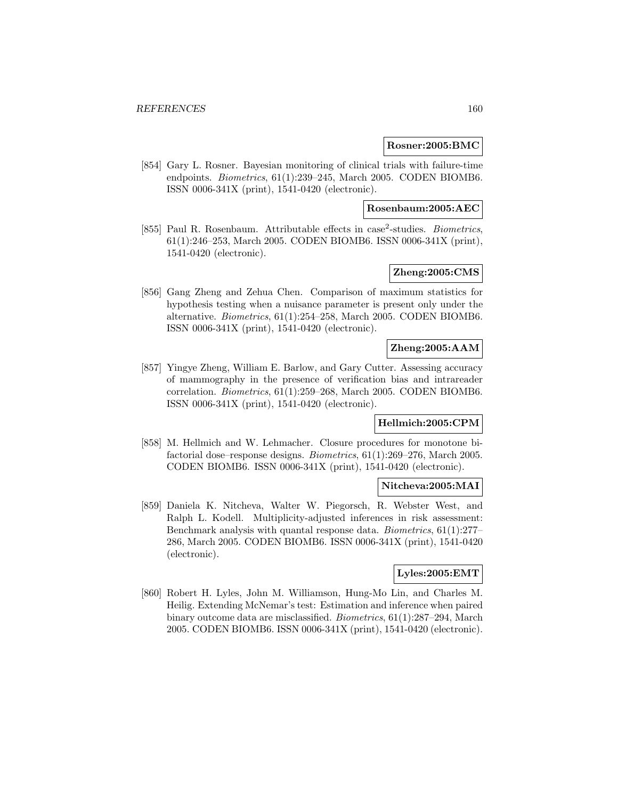#### **Rosner:2005:BMC**

[854] Gary L. Rosner. Bayesian monitoring of clinical trials with failure-time endpoints. Biometrics, 61(1):239–245, March 2005. CODEN BIOMB6. ISSN 0006-341X (print), 1541-0420 (electronic).

# **Rosenbaum:2005:AEC**

[855] Paul R. Rosenbaum. Attributable effects in case<sup>2</sup>-studies. *Biometrics*, 61(1):246–253, March 2005. CODEN BIOMB6. ISSN 0006-341X (print), 1541-0420 (electronic).

# **Zheng:2005:CMS**

[856] Gang Zheng and Zehua Chen. Comparison of maximum statistics for hypothesis testing when a nuisance parameter is present only under the alternative. Biometrics, 61(1):254–258, March 2005. CODEN BIOMB6. ISSN 0006-341X (print), 1541-0420 (electronic).

# **Zheng:2005:AAM**

[857] Yingye Zheng, William E. Barlow, and Gary Cutter. Assessing accuracy of mammography in the presence of verification bias and intrareader correlation. Biometrics, 61(1):259–268, March 2005. CODEN BIOMB6. ISSN 0006-341X (print), 1541-0420 (electronic).

# **Hellmich:2005:CPM**

[858] M. Hellmich and W. Lehmacher. Closure procedures for monotone bifactorial dose–response designs. Biometrics, 61(1):269–276, March 2005. CODEN BIOMB6. ISSN 0006-341X (print), 1541-0420 (electronic).

### **Nitcheva:2005:MAI**

[859] Daniela K. Nitcheva, Walter W. Piegorsch, R. Webster West, and Ralph L. Kodell. Multiplicity-adjusted inferences in risk assessment: Benchmark analysis with quantal response data. Biometrics, 61(1):277– 286, March 2005. CODEN BIOMB6. ISSN 0006-341X (print), 1541-0420 (electronic).

## **Lyles:2005:EMT**

[860] Robert H. Lyles, John M. Williamson, Hung-Mo Lin, and Charles M. Heilig. Extending McNemar's test: Estimation and inference when paired binary outcome data are misclassified. Biometrics, 61(1):287–294, March 2005. CODEN BIOMB6. ISSN 0006-341X (print), 1541-0420 (electronic).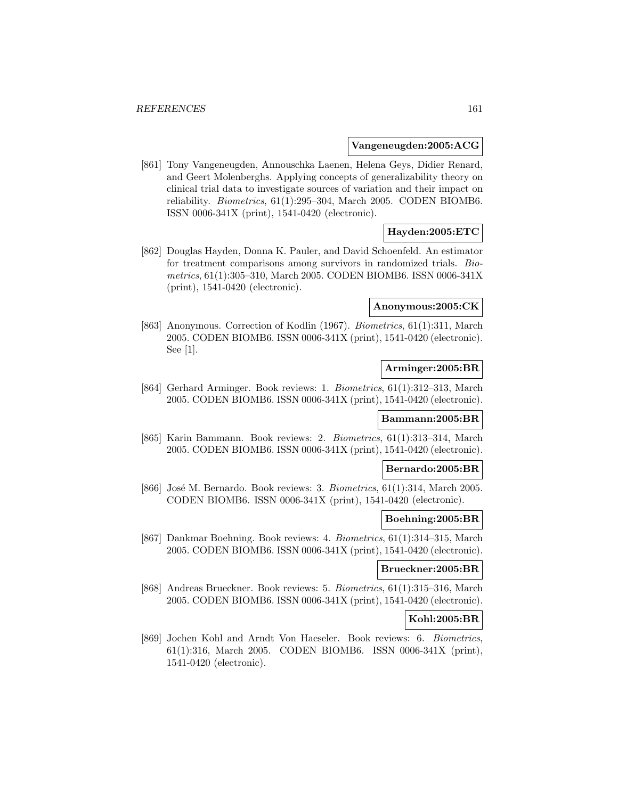#### **Vangeneugden:2005:ACG**

[861] Tony Vangeneugden, Annouschka Laenen, Helena Geys, Didier Renard, and Geert Molenberghs. Applying concepts of generalizability theory on clinical trial data to investigate sources of variation and their impact on reliability. Biometrics, 61(1):295–304, March 2005. CODEN BIOMB6. ISSN 0006-341X (print), 1541-0420 (electronic).

## **Hayden:2005:ETC**

[862] Douglas Hayden, Donna K. Pauler, and David Schoenfeld. An estimator for treatment comparisons among survivors in randomized trials. Biometrics, 61(1):305–310, March 2005. CODEN BIOMB6. ISSN 0006-341X (print), 1541-0420 (electronic).

## **Anonymous:2005:CK**

[863] Anonymous. Correction of Kodlin (1967). Biometrics, 61(1):311, March 2005. CODEN BIOMB6. ISSN 0006-341X (print), 1541-0420 (electronic). See [1].

#### **Arminger:2005:BR**

[864] Gerhard Arminger. Book reviews: 1. Biometrics, 61(1):312–313, March 2005. CODEN BIOMB6. ISSN 0006-341X (print), 1541-0420 (electronic).

## **Bammann:2005:BR**

[865] Karin Bammann. Book reviews: 2. Biometrics, 61(1):313–314, March 2005. CODEN BIOMB6. ISSN 0006-341X (print), 1541-0420 (electronic).

## **Bernardo:2005:BR**

[866] José M. Bernardo. Book reviews: 3.  $Biometrics$ ,  $61(1):314$ , March 2005. CODEN BIOMB6. ISSN 0006-341X (print), 1541-0420 (electronic).

#### **Boehning:2005:BR**

[867] Dankmar Boehning. Book reviews: 4. Biometrics, 61(1):314–315, March 2005. CODEN BIOMB6. ISSN 0006-341X (print), 1541-0420 (electronic).

## **Brueckner:2005:BR**

[868] Andreas Brueckner. Book reviews: 5. Biometrics, 61(1):315–316, March 2005. CODEN BIOMB6. ISSN 0006-341X (print), 1541-0420 (electronic).

#### **Kohl:2005:BR**

[869] Jochen Kohl and Arndt Von Haeseler. Book reviews: 6. Biometrics, 61(1):316, March 2005. CODEN BIOMB6. ISSN 0006-341X (print), 1541-0420 (electronic).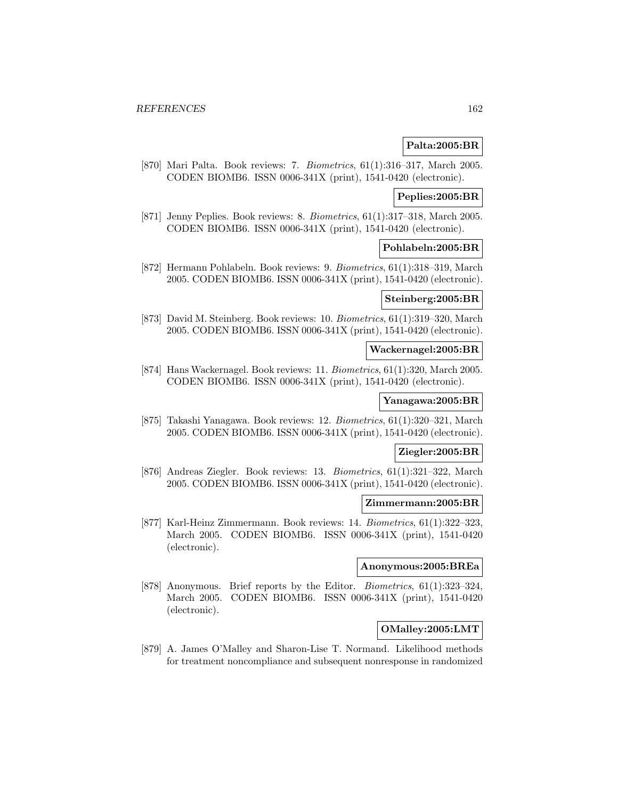## **Palta:2005:BR**

[870] Mari Palta. Book reviews: 7. Biometrics, 61(1):316–317, March 2005. CODEN BIOMB6. ISSN 0006-341X (print), 1541-0420 (electronic).

### **Peplies:2005:BR**

[871] Jenny Peplies. Book reviews: 8. Biometrics, 61(1):317–318, March 2005. CODEN BIOMB6. ISSN 0006-341X (print), 1541-0420 (electronic).

### **Pohlabeln:2005:BR**

[872] Hermann Pohlabeln. Book reviews: 9. Biometrics, 61(1):318–319, March 2005. CODEN BIOMB6. ISSN 0006-341X (print), 1541-0420 (electronic).

## **Steinberg:2005:BR**

[873] David M. Steinberg. Book reviews: 10. Biometrics, 61(1):319–320, March 2005. CODEN BIOMB6. ISSN 0006-341X (print), 1541-0420 (electronic).

## **Wackernagel:2005:BR**

[874] Hans Wackernagel. Book reviews: 11. Biometrics, 61(1):320, March 2005. CODEN BIOMB6. ISSN 0006-341X (print), 1541-0420 (electronic).

### **Yanagawa:2005:BR**

[875] Takashi Yanagawa. Book reviews: 12. Biometrics, 61(1):320–321, March 2005. CODEN BIOMB6. ISSN 0006-341X (print), 1541-0420 (electronic).

#### **Ziegler:2005:BR**

[876] Andreas Ziegler. Book reviews: 13. Biometrics, 61(1):321–322, March 2005. CODEN BIOMB6. ISSN 0006-341X (print), 1541-0420 (electronic).

### **Zimmermann:2005:BR**

[877] Karl-Heinz Zimmermann. Book reviews: 14. Biometrics, 61(1):322–323, March 2005. CODEN BIOMB6. ISSN 0006-341X (print), 1541-0420 (electronic).

## **Anonymous:2005:BREa**

[878] Anonymous. Brief reports by the Editor. Biometrics, 61(1):323–324, March 2005. CODEN BIOMB6. ISSN 0006-341X (print), 1541-0420 (electronic).

## **OMalley:2005:LMT**

[879] A. James O'Malley and Sharon-Lise T. Normand. Likelihood methods for treatment noncompliance and subsequent nonresponse in randomized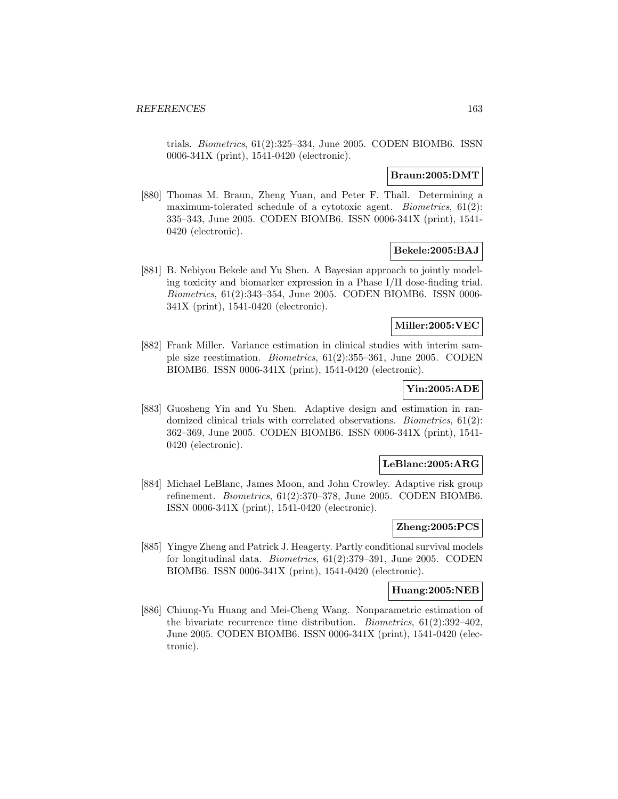trials. Biometrics, 61(2):325–334, June 2005. CODEN BIOMB6. ISSN 0006-341X (print), 1541-0420 (electronic).

### **Braun:2005:DMT**

[880] Thomas M. Braun, Zheng Yuan, and Peter F. Thall. Determining a maximum-tolerated schedule of a cytotoxic agent. *Biometrics*, 61(2): 335–343, June 2005. CODEN BIOMB6. ISSN 0006-341X (print), 1541- 0420 (electronic).

## **Bekele:2005:BAJ**

[881] B. Nebiyou Bekele and Yu Shen. A Bayesian approach to jointly modeling toxicity and biomarker expression in a Phase I/II dose-finding trial. Biometrics, 61(2):343–354, June 2005. CODEN BIOMB6. ISSN 0006- 341X (print), 1541-0420 (electronic).

#### **Miller:2005:VEC**

[882] Frank Miller. Variance estimation in clinical studies with interim sample size reestimation. Biometrics, 61(2):355–361, June 2005. CODEN BIOMB6. ISSN 0006-341X (print), 1541-0420 (electronic).

# **Yin:2005:ADE**

[883] Guosheng Yin and Yu Shen. Adaptive design and estimation in randomized clinical trials with correlated observations. Biometrics, 61(2): 362–369, June 2005. CODEN BIOMB6. ISSN 0006-341X (print), 1541- 0420 (electronic).

### **LeBlanc:2005:ARG**

[884] Michael LeBlanc, James Moon, and John Crowley. Adaptive risk group refinement. Biometrics, 61(2):370–378, June 2005. CODEN BIOMB6. ISSN 0006-341X (print), 1541-0420 (electronic).

### **Zheng:2005:PCS**

[885] Yingye Zheng and Patrick J. Heagerty. Partly conditional survival models for longitudinal data. Biometrics, 61(2):379–391, June 2005. CODEN BIOMB6. ISSN 0006-341X (print), 1541-0420 (electronic).

### **Huang:2005:NEB**

[886] Chiung-Yu Huang and Mei-Cheng Wang. Nonparametric estimation of the bivariate recurrence time distribution. Biometrics, 61(2):392–402, June 2005. CODEN BIOMB6. ISSN 0006-341X (print), 1541-0420 (electronic).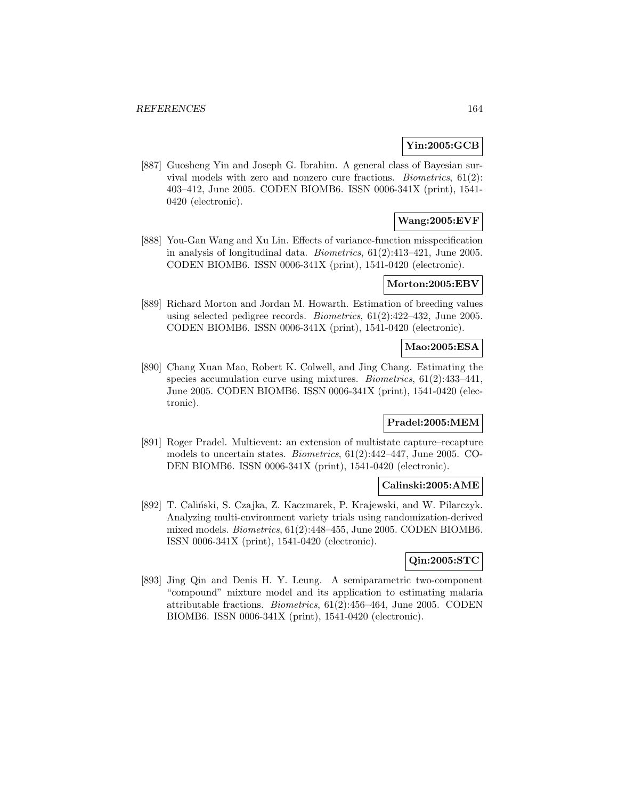# **Yin:2005:GCB**

[887] Guosheng Yin and Joseph G. Ibrahim. A general class of Bayesian survival models with zero and nonzero cure fractions. Biometrics, 61(2): 403–412, June 2005. CODEN BIOMB6. ISSN 0006-341X (print), 1541- 0420 (electronic).

# **Wang:2005:EVF**

[888] You-Gan Wang and Xu Lin. Effects of variance-function misspecification in analysis of longitudinal data. *Biometrics*,  $61(2):413-421$ , June 2005. CODEN BIOMB6. ISSN 0006-341X (print), 1541-0420 (electronic).

## **Morton:2005:EBV**

[889] Richard Morton and Jordan M. Howarth. Estimation of breeding values using selected pedigree records. Biometrics, 61(2):422–432, June 2005. CODEN BIOMB6. ISSN 0006-341X (print), 1541-0420 (electronic).

## **Mao:2005:ESA**

[890] Chang Xuan Mao, Robert K. Colwell, and Jing Chang. Estimating the species accumulation curve using mixtures. Biometrics, 61(2):433–441, June 2005. CODEN BIOMB6. ISSN 0006-341X (print), 1541-0420 (electronic).

### **Pradel:2005:MEM**

[891] Roger Pradel. Multievent: an extension of multistate capture–recapture models to uncertain states. Biometrics, 61(2):442–447, June 2005. CO-DEN BIOMB6. ISSN 0006-341X (print), 1541-0420 (electronic).

### **Calinski:2005:AME**

[892] T. Caliński, S. Czajka, Z. Kaczmarek, P. Krajewski, and W. Pilarczyk. Analyzing multi-environment variety trials using randomization-derived mixed models. Biometrics, 61(2):448–455, June 2005. CODEN BIOMB6. ISSN 0006-341X (print), 1541-0420 (electronic).

# **Qin:2005:STC**

[893] Jing Qin and Denis H. Y. Leung. A semiparametric two-component "compound" mixture model and its application to estimating malaria attributable fractions. Biometrics, 61(2):456–464, June 2005. CODEN BIOMB6. ISSN 0006-341X (print), 1541-0420 (electronic).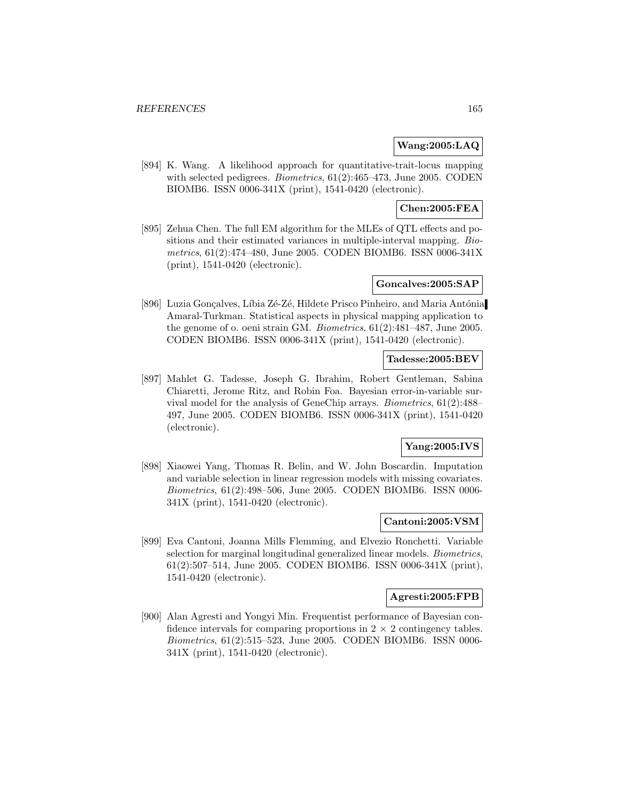## **Wang:2005:LAQ**

[894] K. Wang. A likelihood approach for quantitative-trait-locus mapping with selected pedigrees. *Biometrics*, 61(2):465–473, June 2005. CODEN BIOMB6. ISSN 0006-341X (print), 1541-0420 (electronic).

**Chen:2005:FEA**

[895] Zehua Chen. The full EM algorithm for the MLEs of QTL effects and positions and their estimated variances in multiple-interval mapping. Biometrics, 61(2):474–480, June 2005. CODEN BIOMB6. ISSN 0006-341X (print), 1541-0420 (electronic).

### **Goncalves:2005:SAP**

[896] Luzia Gonçalves, Líbia Zé-Zé, Hildete Prisco Pinheiro, and Maria Antónia Amaral-Turkman. Statistical aspects in physical mapping application to the genome of o. oeni strain GM. Biometrics, 61(2):481–487, June 2005. CODEN BIOMB6. ISSN 0006-341X (print), 1541-0420 (electronic).

#### **Tadesse:2005:BEV**

[897] Mahlet G. Tadesse, Joseph G. Ibrahim, Robert Gentleman, Sabina Chiaretti, Jerome Ritz, and Robin Foa. Bayesian error-in-variable survival model for the analysis of GeneChip arrays. Biometrics, 61(2):488– 497, June 2005. CODEN BIOMB6. ISSN 0006-341X (print), 1541-0420 (electronic).

### **Yang:2005:IVS**

[898] Xiaowei Yang, Thomas R. Belin, and W. John Boscardin. Imputation and variable selection in linear regression models with missing covariates. Biometrics, 61(2):498–506, June 2005. CODEN BIOMB6. ISSN 0006- 341X (print), 1541-0420 (electronic).

#### **Cantoni:2005:VSM**

[899] Eva Cantoni, Joanna Mills Flemming, and Elvezio Ronchetti. Variable selection for marginal longitudinal generalized linear models. Biometrics, 61(2):507–514, June 2005. CODEN BIOMB6. ISSN 0006-341X (print), 1541-0420 (electronic).

#### **Agresti:2005:FPB**

[900] Alan Agresti and Yongyi Min. Frequentist performance of Bayesian confidence intervals for comparing proportions in  $2 \times 2$  contingency tables. Biometrics, 61(2):515–523, June 2005. CODEN BIOMB6. ISSN 0006- 341X (print), 1541-0420 (electronic).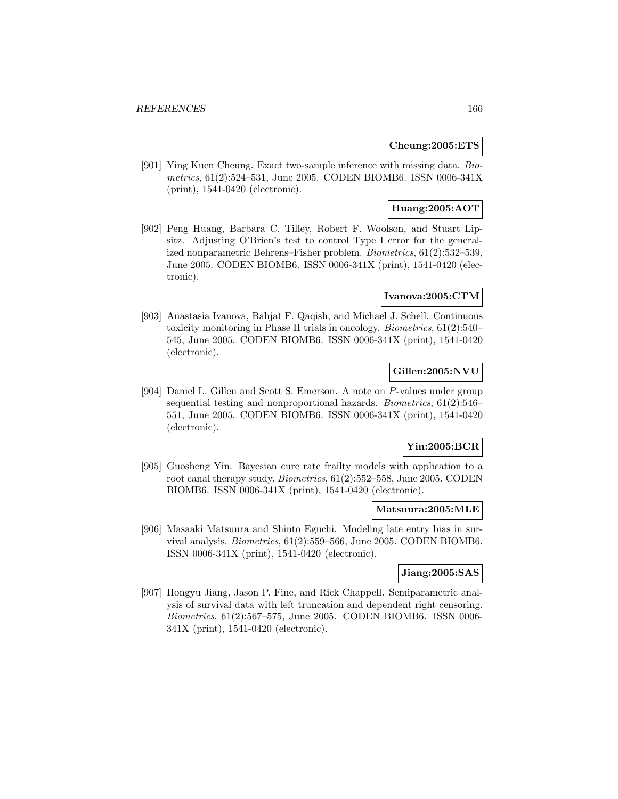#### **Cheung:2005:ETS**

[901] Ying Kuen Cheung. Exact two-sample inference with missing data. Biometrics, 61(2):524–531, June 2005. CODEN BIOMB6. ISSN 0006-341X (print), 1541-0420 (electronic).

# **Huang:2005:AOT**

[902] Peng Huang, Barbara C. Tilley, Robert F. Woolson, and Stuart Lipsitz. Adjusting O'Brien's test to control Type I error for the generalized nonparametric Behrens–Fisher problem. Biometrics, 61(2):532–539, June 2005. CODEN BIOMB6. ISSN 0006-341X (print), 1541-0420 (electronic).

### **Ivanova:2005:CTM**

[903] Anastasia Ivanova, Bahjat F. Qaqish, and Michael J. Schell. Continuous toxicity monitoring in Phase II trials in oncology. Biometrics, 61(2):540– 545, June 2005. CODEN BIOMB6. ISSN 0006-341X (print), 1541-0420 (electronic).

# **Gillen:2005:NVU**

[904] Daniel L. Gillen and Scott S. Emerson. A note on P-values under group sequential testing and nonproportional hazards. Biometrics, 61(2):546– 551, June 2005. CODEN BIOMB6. ISSN 0006-341X (print), 1541-0420 (electronic).

# **Yin:2005:BCR**

[905] Guosheng Yin. Bayesian cure rate frailty models with application to a root canal therapy study. Biometrics, 61(2):552–558, June 2005. CODEN BIOMB6. ISSN 0006-341X (print), 1541-0420 (electronic).

#### **Matsuura:2005:MLE**

[906] Masaaki Matsuura and Shinto Eguchi. Modeling late entry bias in survival analysis. Biometrics, 61(2):559–566, June 2005. CODEN BIOMB6. ISSN 0006-341X (print), 1541-0420 (electronic).

## **Jiang:2005:SAS**

[907] Hongyu Jiang, Jason P. Fine, and Rick Chappell. Semiparametric analysis of survival data with left truncation and dependent right censoring. Biometrics, 61(2):567–575, June 2005. CODEN BIOMB6. ISSN 0006- 341X (print), 1541-0420 (electronic).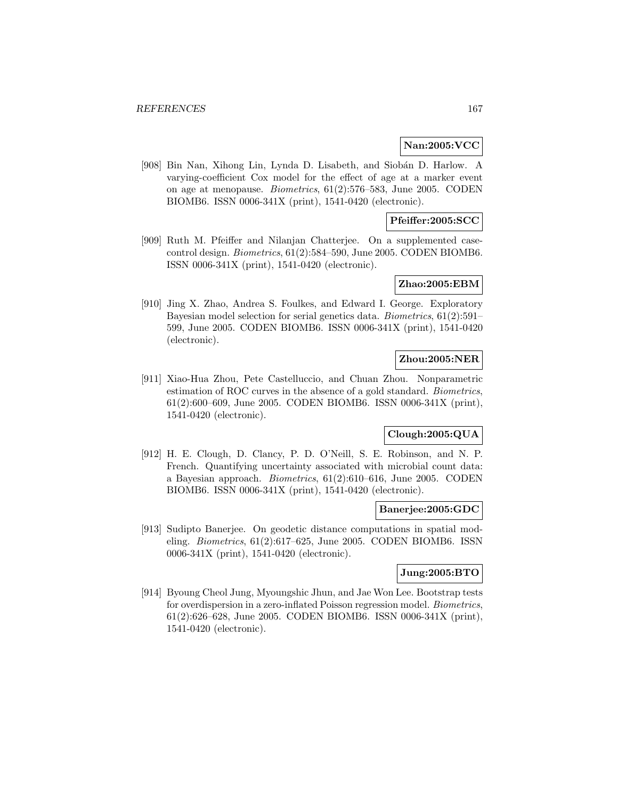### **Nan:2005:VCC**

[908] Bin Nan, Xihong Lin, Lynda D. Lisabeth, and Siobán D. Harlow. A varying-coefficient Cox model for the effect of age at a marker event on age at menopause. Biometrics, 61(2):576–583, June 2005. CODEN BIOMB6. ISSN 0006-341X (print), 1541-0420 (electronic).

## **Pfeiffer:2005:SCC**

[909] Ruth M. Pfeiffer and Nilanjan Chatterjee. On a supplemented casecontrol design. Biometrics, 61(2):584–590, June 2005. CODEN BIOMB6. ISSN 0006-341X (print), 1541-0420 (electronic).

#### **Zhao:2005:EBM**

[910] Jing X. Zhao, Andrea S. Foulkes, and Edward I. George. Exploratory Bayesian model selection for serial genetics data. Biometrics, 61(2):591– 599, June 2005. CODEN BIOMB6. ISSN 0006-341X (print), 1541-0420 (electronic).

## **Zhou:2005:NER**

[911] Xiao-Hua Zhou, Pete Castelluccio, and Chuan Zhou. Nonparametric estimation of ROC curves in the absence of a gold standard. Biometrics, 61(2):600–609, June 2005. CODEN BIOMB6. ISSN 0006-341X (print), 1541-0420 (electronic).

# **Clough:2005:QUA**

[912] H. E. Clough, D. Clancy, P. D. O'Neill, S. E. Robinson, and N. P. French. Quantifying uncertainty associated with microbial count data: a Bayesian approach. Biometrics, 61(2):610–616, June 2005. CODEN BIOMB6. ISSN 0006-341X (print), 1541-0420 (electronic).

#### **Banerjee:2005:GDC**

[913] Sudipto Banerjee. On geodetic distance computations in spatial modeling. Biometrics, 61(2):617–625, June 2005. CODEN BIOMB6. ISSN 0006-341X (print), 1541-0420 (electronic).

#### **Jung:2005:BTO**

[914] Byoung Cheol Jung, Myoungshic Jhun, and Jae Won Lee. Bootstrap tests for overdispersion in a zero-inflated Poisson regression model. Biometrics, 61(2):626–628, June 2005. CODEN BIOMB6. ISSN 0006-341X (print), 1541-0420 (electronic).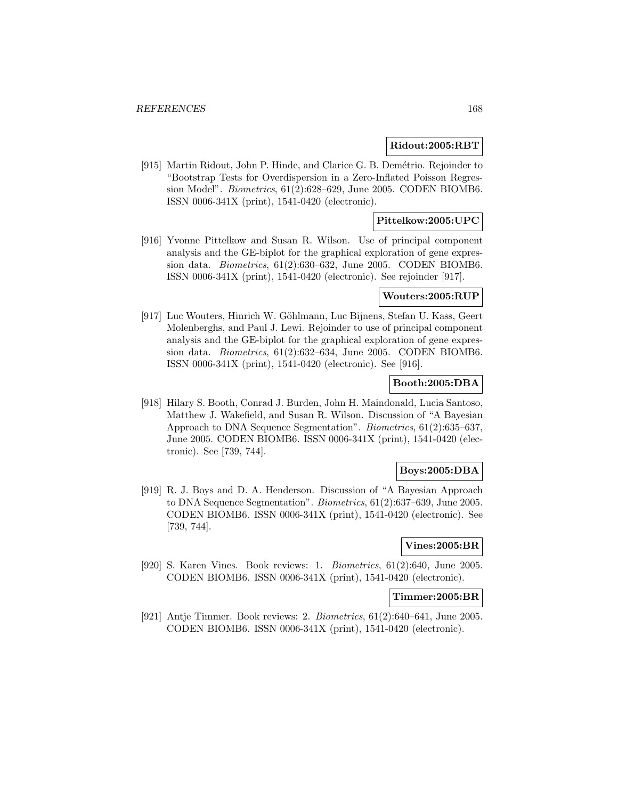#### **Ridout:2005:RBT**

[915] Martin Ridout, John P. Hinde, and Clarice G. B. Demétrio. Rejoinder to "Bootstrap Tests for Overdispersion in a Zero-Inflated Poisson Regression Model". Biometrics, 61(2):628–629, June 2005. CODEN BIOMB6. ISSN 0006-341X (print), 1541-0420 (electronic).

## **Pittelkow:2005:UPC**

[916] Yvonne Pittelkow and Susan R. Wilson. Use of principal component analysis and the GE-biplot for the graphical exploration of gene expression data. Biometrics, 61(2):630–632, June 2005. CODEN BIOMB6. ISSN 0006-341X (print), 1541-0420 (electronic). See rejoinder [917].

#### **Wouters:2005:RUP**

[917] Luc Wouters, Hinrich W. Göhlmann, Luc Bijnens, Stefan U. Kass, Geert Molenberghs, and Paul J. Lewi. Rejoinder to use of principal component analysis and the GE-biplot for the graphical exploration of gene expression data. Biometrics, 61(2):632–634, June 2005. CODEN BIOMB6. ISSN 0006-341X (print), 1541-0420 (electronic). See [916].

### **Booth:2005:DBA**

[918] Hilary S. Booth, Conrad J. Burden, John H. Maindonald, Lucia Santoso, Matthew J. Wakefield, and Susan R. Wilson. Discussion of "A Bayesian Approach to DNA Sequence Segmentation". Biometrics, 61(2):635–637, June 2005. CODEN BIOMB6. ISSN 0006-341X (print), 1541-0420 (electronic). See [739, 744].

## **Boys:2005:DBA**

[919] R. J. Boys and D. A. Henderson. Discussion of "A Bayesian Approach to DNA Sequence Segmentation". Biometrics, 61(2):637–639, June 2005. CODEN BIOMB6. ISSN 0006-341X (print), 1541-0420 (electronic). See [739, 744].

#### **Vines:2005:BR**

[920] S. Karen Vines. Book reviews: 1. Biometrics, 61(2):640, June 2005. CODEN BIOMB6. ISSN 0006-341X (print), 1541-0420 (electronic).

#### **Timmer:2005:BR**

[921] Antje Timmer. Book reviews: 2. Biometrics, 61(2):640–641, June 2005. CODEN BIOMB6. ISSN 0006-341X (print), 1541-0420 (electronic).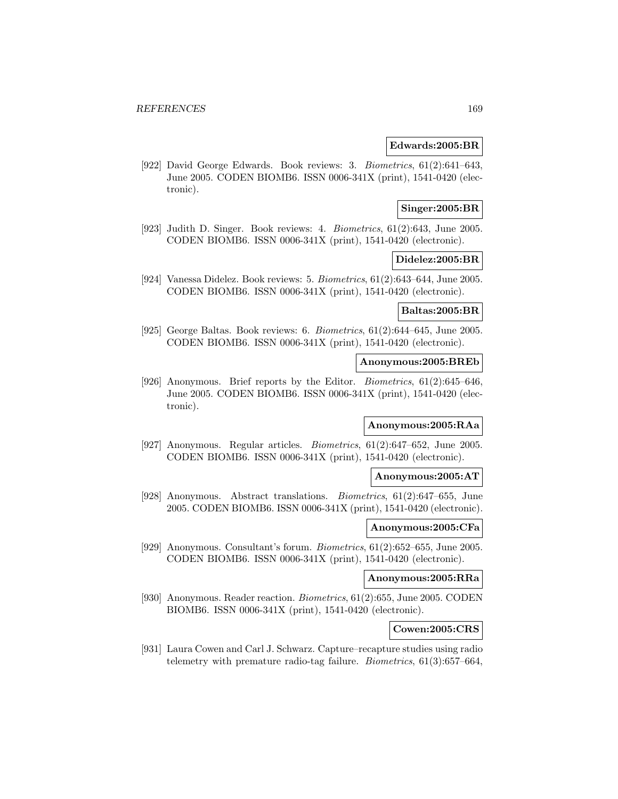#### **Edwards:2005:BR**

[922] David George Edwards. Book reviews: 3. Biometrics, 61(2):641–643, June 2005. CODEN BIOMB6. ISSN 0006-341X (print), 1541-0420 (electronic).

## **Singer:2005:BR**

[923] Judith D. Singer. Book reviews: 4. Biometrics, 61(2):643, June 2005. CODEN BIOMB6. ISSN 0006-341X (print), 1541-0420 (electronic).

#### **Didelez:2005:BR**

[924] Vanessa Didelez. Book reviews: 5. Biometrics, 61(2):643–644, June 2005. CODEN BIOMB6. ISSN 0006-341X (print), 1541-0420 (electronic).

#### **Baltas:2005:BR**

[925] George Baltas. Book reviews: 6. Biometrics, 61(2):644–645, June 2005. CODEN BIOMB6. ISSN 0006-341X (print), 1541-0420 (electronic).

#### **Anonymous:2005:BREb**

[926] Anonymous. Brief reports by the Editor. Biometrics, 61(2):645–646, June 2005. CODEN BIOMB6. ISSN 0006-341X (print), 1541-0420 (electronic).

### **Anonymous:2005:RAa**

[927] Anonymous. Regular articles. Biometrics, 61(2):647–652, June 2005. CODEN BIOMB6. ISSN 0006-341X (print), 1541-0420 (electronic).

#### **Anonymous:2005:AT**

[928] Anonymous. Abstract translations. Biometrics, 61(2):647–655, June 2005. CODEN BIOMB6. ISSN 0006-341X (print), 1541-0420 (electronic).

#### **Anonymous:2005:CFa**

[929] Anonymous. Consultant's forum. Biometrics, 61(2):652–655, June 2005. CODEN BIOMB6. ISSN 0006-341X (print), 1541-0420 (electronic).

#### **Anonymous:2005:RRa**

[930] Anonymous. Reader reaction. Biometrics, 61(2):655, June 2005. CODEN BIOMB6. ISSN 0006-341X (print), 1541-0420 (electronic).

### **Cowen:2005:CRS**

[931] Laura Cowen and Carl J. Schwarz. Capture–recapture studies using radio telemetry with premature radio-tag failure. Biometrics, 61(3):657–664,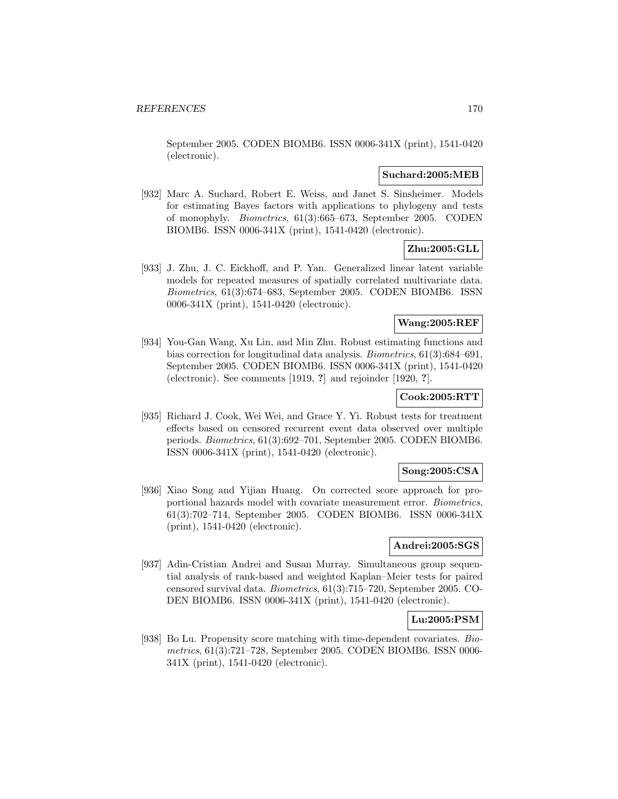September 2005. CODEN BIOMB6. ISSN 0006-341X (print), 1541-0420 (electronic).

#### **Suchard:2005:MEB**

[932] Marc A. Suchard, Robert E. Weiss, and Janet S. Sinsheimer. Models for estimating Bayes factors with applications to phylogeny and tests of monophyly. Biometrics, 61(3):665–673, September 2005. CODEN BIOMB6. ISSN 0006-341X (print), 1541-0420 (electronic).

# **Zhu:2005:GLL**

[933] J. Zhu, J. C. Eickhoff, and P. Yan. Generalized linear latent variable models for repeated measures of spatially correlated multivariate data. Biometrics, 61(3):674–683, September 2005. CODEN BIOMB6. ISSN 0006-341X (print), 1541-0420 (electronic).

## **Wang:2005:REF**

[934] You-Gan Wang, Xu Lin, and Min Zhu. Robust estimating functions and bias correction for longitudinal data analysis. Biometrics, 61(3):684–691, September 2005. CODEN BIOMB6. ISSN 0006-341X (print), 1541-0420 (electronic). See comments [1919, **?**] and rejoinder [1920, **?**].

# **Cook:2005:RTT**

[935] Richard J. Cook, Wei Wei, and Grace Y. Yi. Robust tests for treatment effects based on censored recurrent event data observed over multiple periods. Biometrics, 61(3):692–701, September 2005. CODEN BIOMB6. ISSN 0006-341X (print), 1541-0420 (electronic).

## **Song:2005:CSA**

[936] Xiao Song and Yijian Huang. On corrected score approach for proportional hazards model with covariate measurement error. Biometrics, 61(3):702–714, September 2005. CODEN BIOMB6. ISSN 0006-341X (print), 1541-0420 (electronic).

#### **Andrei:2005:SGS**

[937] Adin-Cristian Andrei and Susan Murray. Simultaneous group sequential analysis of rank-based and weighted Kaplan–Meier tests for paired censored survival data. Biometrics, 61(3):715–720, September 2005. CO-DEN BIOMB6. ISSN 0006-341X (print), 1541-0420 (electronic).

# **Lu:2005:PSM**

[938] Bo Lu. Propensity score matching with time-dependent covariates. Biometrics, 61(3):721–728, September 2005. CODEN BIOMB6. ISSN 0006- 341X (print), 1541-0420 (electronic).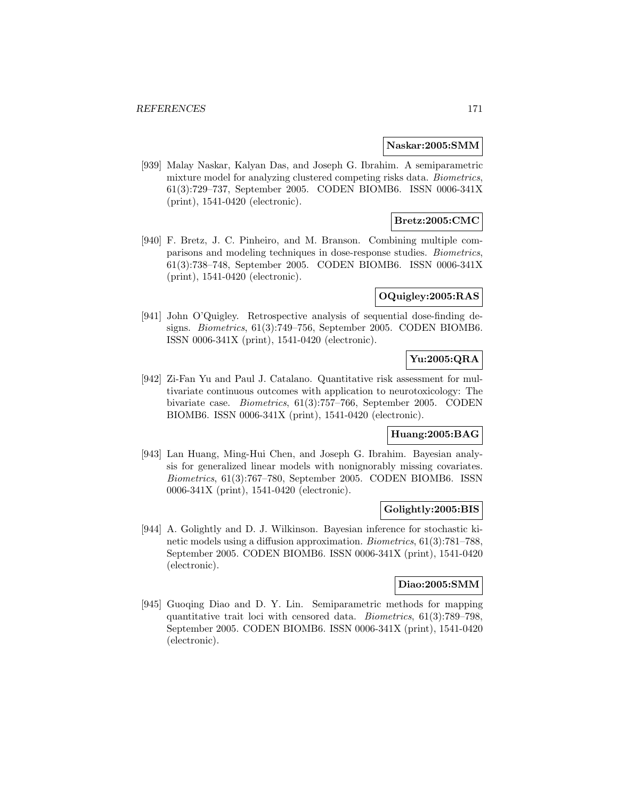#### **Naskar:2005:SMM**

[939] Malay Naskar, Kalyan Das, and Joseph G. Ibrahim. A semiparametric mixture model for analyzing clustered competing risks data. Biometrics, 61(3):729–737, September 2005. CODEN BIOMB6. ISSN 0006-341X (print), 1541-0420 (electronic).

# **Bretz:2005:CMC**

[940] F. Bretz, J. C. Pinheiro, and M. Branson. Combining multiple comparisons and modeling techniques in dose-response studies. Biometrics, 61(3):738–748, September 2005. CODEN BIOMB6. ISSN 0006-341X (print), 1541-0420 (electronic).

## **OQuigley:2005:RAS**

[941] John O'Quigley. Retrospective analysis of sequential dose-finding designs. Biometrics, 61(3):749–756, September 2005. CODEN BIOMB6. ISSN 0006-341X (print), 1541-0420 (electronic).

# **Yu:2005:QRA**

[942] Zi-Fan Yu and Paul J. Catalano. Quantitative risk assessment for multivariate continuous outcomes with application to neurotoxicology: The bivariate case. Biometrics, 61(3):757–766, September 2005. CODEN BIOMB6. ISSN 0006-341X (print), 1541-0420 (electronic).

# **Huang:2005:BAG**

[943] Lan Huang, Ming-Hui Chen, and Joseph G. Ibrahim. Bayesian analysis for generalized linear models with nonignorably missing covariates. Biometrics, 61(3):767–780, September 2005. CODEN BIOMB6. ISSN 0006-341X (print), 1541-0420 (electronic).

### **Golightly:2005:BIS**

[944] A. Golightly and D. J. Wilkinson. Bayesian inference for stochastic kinetic models using a diffusion approximation. Biometrics, 61(3):781–788, September 2005. CODEN BIOMB6. ISSN 0006-341X (print), 1541-0420 (electronic).

## **Diao:2005:SMM**

[945] Guoqing Diao and D. Y. Lin. Semiparametric methods for mapping quantitative trait loci with censored data. Biometrics, 61(3):789–798, September 2005. CODEN BIOMB6. ISSN 0006-341X (print), 1541-0420 (electronic).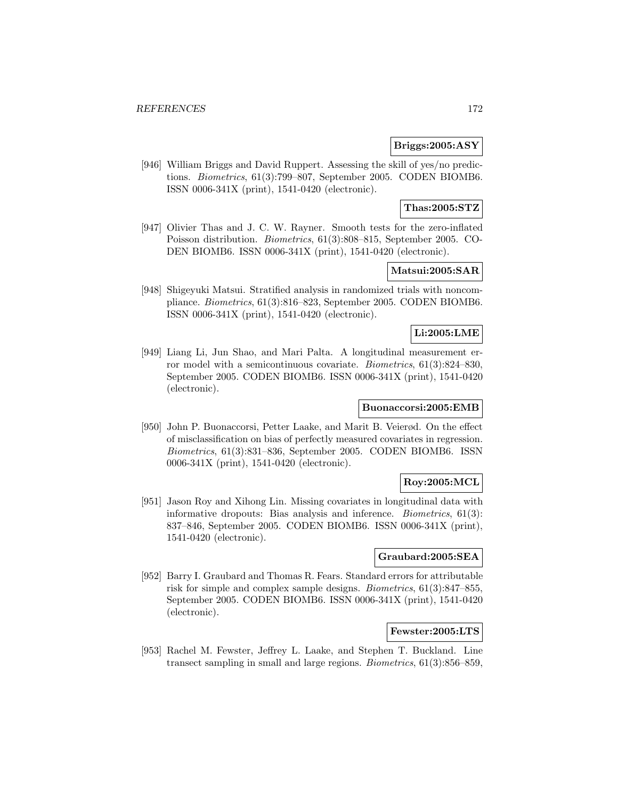### **Briggs:2005:ASY**

[946] William Briggs and David Ruppert. Assessing the skill of yes/no predictions. Biometrics, 61(3):799–807, September 2005. CODEN BIOMB6. ISSN 0006-341X (print), 1541-0420 (electronic).

## **Thas:2005:STZ**

[947] Olivier Thas and J. C. W. Rayner. Smooth tests for the zero-inflated Poisson distribution. Biometrics, 61(3):808–815, September 2005. CO-DEN BIOMB6. ISSN 0006-341X (print), 1541-0420 (electronic).

# **Matsui:2005:SAR**

[948] Shigeyuki Matsui. Stratified analysis in randomized trials with noncompliance. Biometrics, 61(3):816–823, September 2005. CODEN BIOMB6. ISSN 0006-341X (print), 1541-0420 (electronic).

## **Li:2005:LME**

[949] Liang Li, Jun Shao, and Mari Palta. A longitudinal measurement error model with a semicontinuous covariate. Biometrics, 61(3):824–830, September 2005. CODEN BIOMB6. ISSN 0006-341X (print), 1541-0420 (electronic).

## **Buonaccorsi:2005:EMB**

[950] John P. Buonaccorsi, Petter Laake, and Marit B. Veierød. On the effect of misclassification on bias of perfectly measured covariates in regression. Biometrics, 61(3):831–836, September 2005. CODEN BIOMB6. ISSN 0006-341X (print), 1541-0420 (electronic).

# **Roy:2005:MCL**

[951] Jason Roy and Xihong Lin. Missing covariates in longitudinal data with informative dropouts: Bias analysis and inference. Biometrics, 61(3): 837–846, September 2005. CODEN BIOMB6. ISSN 0006-341X (print), 1541-0420 (electronic).

## **Graubard:2005:SEA**

[952] Barry I. Graubard and Thomas R. Fears. Standard errors for attributable risk for simple and complex sample designs. Biometrics, 61(3):847–855, September 2005. CODEN BIOMB6. ISSN 0006-341X (print), 1541-0420 (electronic).

# **Fewster:2005:LTS**

[953] Rachel M. Fewster, Jeffrey L. Laake, and Stephen T. Buckland. Line transect sampling in small and large regions. Biometrics, 61(3):856–859,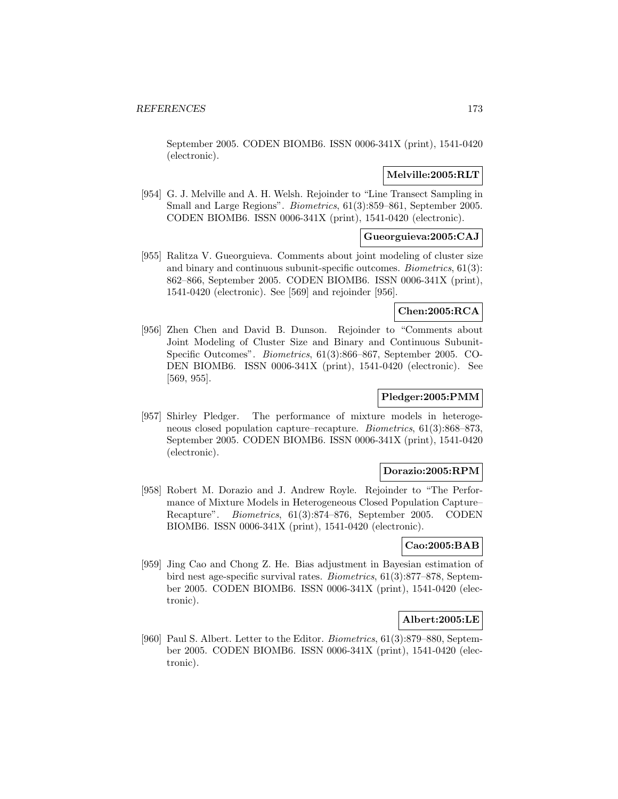September 2005. CODEN BIOMB6. ISSN 0006-341X (print), 1541-0420 (electronic).

## **Melville:2005:RLT**

[954] G. J. Melville and A. H. Welsh. Rejoinder to "Line Transect Sampling in Small and Large Regions". Biometrics, 61(3):859–861, September 2005. CODEN BIOMB6. ISSN 0006-341X (print), 1541-0420 (electronic).

# **Gueorguieva:2005:CAJ**

[955] Ralitza V. Gueorguieva. Comments about joint modeling of cluster size and binary and continuous subunit-specific outcomes. Biometrics, 61(3): 862–866, September 2005. CODEN BIOMB6. ISSN 0006-341X (print), 1541-0420 (electronic). See [569] and rejoinder [956].

# **Chen:2005:RCA**

[956] Zhen Chen and David B. Dunson. Rejoinder to "Comments about Joint Modeling of Cluster Size and Binary and Continuous Subunit-Specific Outcomes". Biometrics, 61(3):866–867, September 2005. CO-DEN BIOMB6. ISSN 0006-341X (print), 1541-0420 (electronic). See [569, 955].

## **Pledger:2005:PMM**

[957] Shirley Pledger. The performance of mixture models in heterogeneous closed population capture–recapture. Biometrics, 61(3):868–873, September 2005. CODEN BIOMB6. ISSN 0006-341X (print), 1541-0420 (electronic).

### **Dorazio:2005:RPM**

[958] Robert M. Dorazio and J. Andrew Royle. Rejoinder to "The Performance of Mixture Models in Heterogeneous Closed Population Capture– Recapture". Biometrics, 61(3):874–876, September 2005. CODEN BIOMB6. ISSN 0006-341X (print), 1541-0420 (electronic).

## **Cao:2005:BAB**

[959] Jing Cao and Chong Z. He. Bias adjustment in Bayesian estimation of bird nest age-specific survival rates. Biometrics, 61(3):877–878, September 2005. CODEN BIOMB6. ISSN 0006-341X (print), 1541-0420 (electronic).

#### **Albert:2005:LE**

[960] Paul S. Albert. Letter to the Editor. Biometrics, 61(3):879–880, September 2005. CODEN BIOMB6. ISSN 0006-341X (print), 1541-0420 (electronic).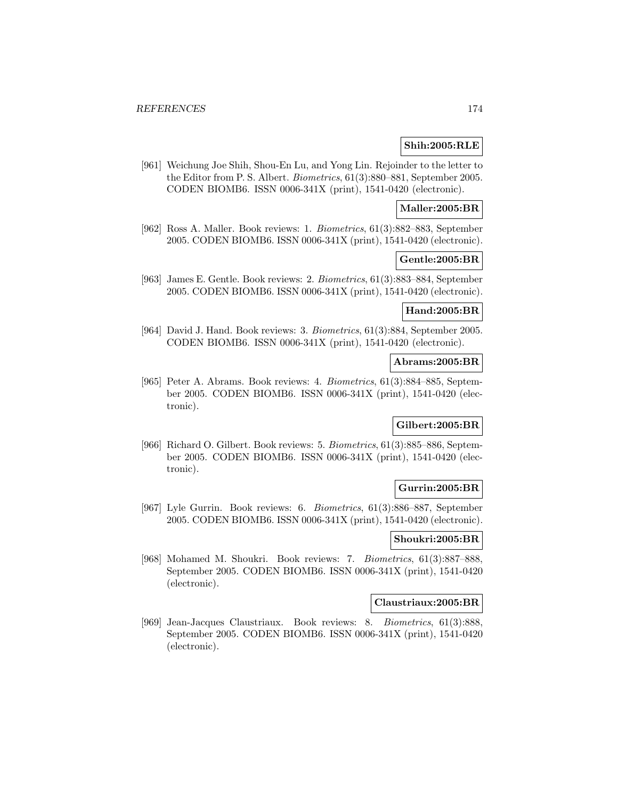## **Shih:2005:RLE**

[961] Weichung Joe Shih, Shou-En Lu, and Yong Lin. Rejoinder to the letter to the Editor from P. S. Albert. Biometrics, 61(3):880–881, September 2005. CODEN BIOMB6. ISSN 0006-341X (print), 1541-0420 (electronic).

## **Maller:2005:BR**

[962] Ross A. Maller. Book reviews: 1. Biometrics, 61(3):882–883, September 2005. CODEN BIOMB6. ISSN 0006-341X (print), 1541-0420 (electronic).

#### **Gentle:2005:BR**

[963] James E. Gentle. Book reviews: 2. Biometrics, 61(3):883–884, September 2005. CODEN BIOMB6. ISSN 0006-341X (print), 1541-0420 (electronic).

#### **Hand:2005:BR**

[964] David J. Hand. Book reviews: 3. Biometrics, 61(3):884, September 2005. CODEN BIOMB6. ISSN 0006-341X (print), 1541-0420 (electronic).

#### **Abrams:2005:BR**

[965] Peter A. Abrams. Book reviews: 4. Biometrics, 61(3):884–885, September 2005. CODEN BIOMB6. ISSN 0006-341X (print), 1541-0420 (electronic).

### **Gilbert:2005:BR**

[966] Richard O. Gilbert. Book reviews: 5. Biometrics, 61(3):885–886, September 2005. CODEN BIOMB6. ISSN 0006-341X (print), 1541-0420 (electronic).

## **Gurrin:2005:BR**

[967] Lyle Gurrin. Book reviews: 6. Biometrics, 61(3):886–887, September 2005. CODEN BIOMB6. ISSN 0006-341X (print), 1541-0420 (electronic).

### **Shoukri:2005:BR**

[968] Mohamed M. Shoukri. Book reviews: 7. Biometrics, 61(3):887–888, September 2005. CODEN BIOMB6. ISSN 0006-341X (print), 1541-0420 (electronic).

#### **Claustriaux:2005:BR**

[969] Jean-Jacques Claustriaux. Book reviews: 8. Biometrics, 61(3):888, September 2005. CODEN BIOMB6. ISSN 0006-341X (print), 1541-0420 (electronic).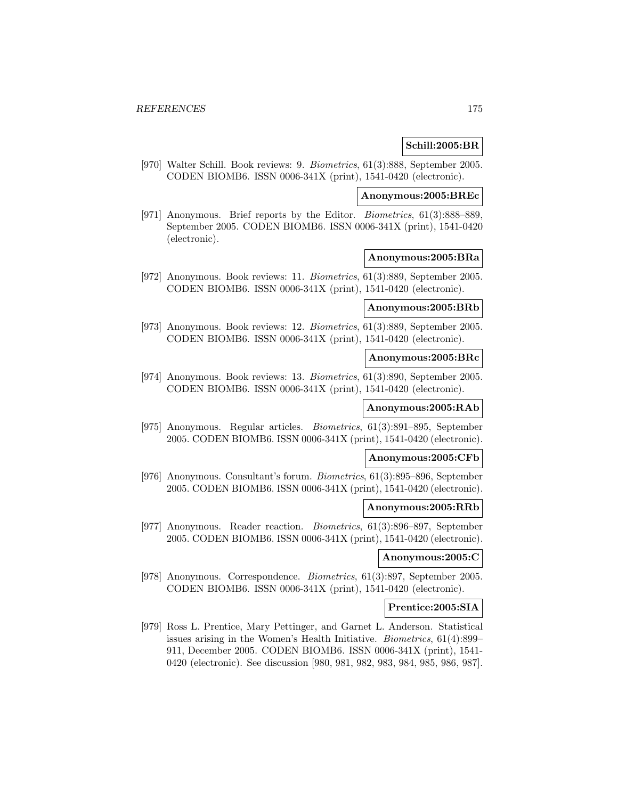## **Schill:2005:BR**

[970] Walter Schill. Book reviews: 9. Biometrics, 61(3):888, September 2005. CODEN BIOMB6. ISSN 0006-341X (print), 1541-0420 (electronic).

## **Anonymous:2005:BREc**

[971] Anonymous. Brief reports by the Editor. Biometrics, 61(3):888–889, September 2005. CODEN BIOMB6. ISSN 0006-341X (print), 1541-0420 (electronic).

#### **Anonymous:2005:BRa**

[972] Anonymous. Book reviews: 11. Biometrics, 61(3):889, September 2005. CODEN BIOMB6. ISSN 0006-341X (print), 1541-0420 (electronic).

#### **Anonymous:2005:BRb**

[973] Anonymous. Book reviews: 12. Biometrics, 61(3):889, September 2005. CODEN BIOMB6. ISSN 0006-341X (print), 1541-0420 (electronic).

#### **Anonymous:2005:BRc**

[974] Anonymous. Book reviews: 13. Biometrics, 61(3):890, September 2005. CODEN BIOMB6. ISSN 0006-341X (print), 1541-0420 (electronic).

#### **Anonymous:2005:RAb**

[975] Anonymous. Regular articles. Biometrics, 61(3):891–895, September 2005. CODEN BIOMB6. ISSN 0006-341X (print), 1541-0420 (electronic).

#### **Anonymous:2005:CFb**

[976] Anonymous. Consultant's forum. Biometrics, 61(3):895–896, September 2005. CODEN BIOMB6. ISSN 0006-341X (print), 1541-0420 (electronic).

#### **Anonymous:2005:RRb**

[977] Anonymous. Reader reaction. Biometrics, 61(3):896–897, September 2005. CODEN BIOMB6. ISSN 0006-341X (print), 1541-0420 (electronic).

#### **Anonymous:2005:C**

[978] Anonymous. Correspondence. Biometrics, 61(3):897, September 2005. CODEN BIOMB6. ISSN 0006-341X (print), 1541-0420 (electronic).

#### **Prentice:2005:SIA**

[979] Ross L. Prentice, Mary Pettinger, and Garnet L. Anderson. Statistical issues arising in the Women's Health Initiative. Biometrics, 61(4):899– 911, December 2005. CODEN BIOMB6. ISSN 0006-341X (print), 1541- 0420 (electronic). See discussion [980, 981, 982, 983, 984, 985, 986, 987].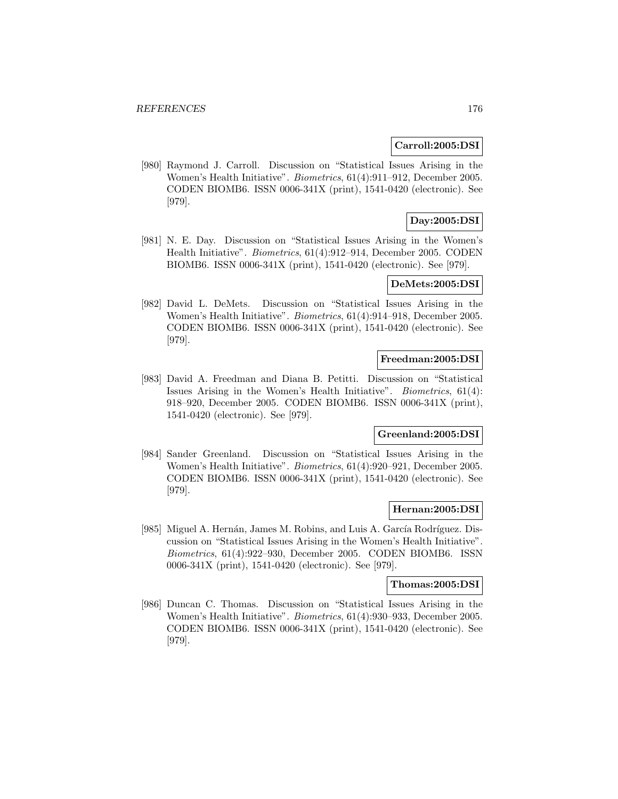#### **Carroll:2005:DSI**

[980] Raymond J. Carroll. Discussion on "Statistical Issues Arising in the Women's Health Initiative". Biometrics, 61(4):911–912, December 2005. CODEN BIOMB6. ISSN 0006-341X (print), 1541-0420 (electronic). See [979].

# **Day:2005:DSI**

[981] N. E. Day. Discussion on "Statistical Issues Arising in the Women's Health Initiative". Biometrics, 61(4):912–914, December 2005. CODEN BIOMB6. ISSN 0006-341X (print), 1541-0420 (electronic). See [979].

#### **DeMets:2005:DSI**

[982] David L. DeMets. Discussion on "Statistical Issues Arising in the Women's Health Initiative". Biometrics, 61(4):914–918, December 2005. CODEN BIOMB6. ISSN 0006-341X (print), 1541-0420 (electronic). See [979].

## **Freedman:2005:DSI**

[983] David A. Freedman and Diana B. Petitti. Discussion on "Statistical Issues Arising in the Women's Health Initiative". Biometrics, 61(4): 918–920, December 2005. CODEN BIOMB6. ISSN 0006-341X (print), 1541-0420 (electronic). See [979].

## **Greenland:2005:DSI**

[984] Sander Greenland. Discussion on "Statistical Issues Arising in the Women's Health Initiative". Biometrics, 61(4):920–921, December 2005. CODEN BIOMB6. ISSN 0006-341X (print), 1541-0420 (electronic). See [979].

#### **Hernan:2005:DSI**

[985] Miguel A. Hernán, James M. Robins, and Luis A. García Rodríguez. Discussion on "Statistical Issues Arising in the Women's Health Initiative". Biometrics, 61(4):922–930, December 2005. CODEN BIOMB6. ISSN 0006-341X (print), 1541-0420 (electronic). See [979].

#### **Thomas:2005:DSI**

[986] Duncan C. Thomas. Discussion on "Statistical Issues Arising in the Women's Health Initiative". Biometrics, 61(4):930–933, December 2005. CODEN BIOMB6. ISSN 0006-341X (print), 1541-0420 (electronic). See [979].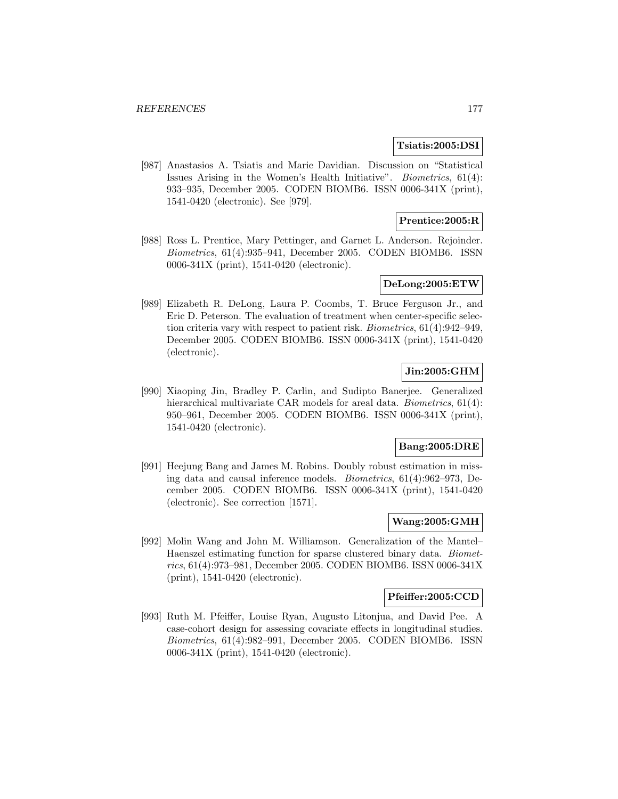#### **Tsiatis:2005:DSI**

[987] Anastasios A. Tsiatis and Marie Davidian. Discussion on "Statistical Issues Arising in the Women's Health Initiative". Biometrics, 61(4): 933–935, December 2005. CODEN BIOMB6. ISSN 0006-341X (print), 1541-0420 (electronic). See [979].

## **Prentice:2005:R**

[988] Ross L. Prentice, Mary Pettinger, and Garnet L. Anderson. Rejoinder. Biometrics, 61(4):935–941, December 2005. CODEN BIOMB6. ISSN 0006-341X (print), 1541-0420 (electronic).

### **DeLong:2005:ETW**

[989] Elizabeth R. DeLong, Laura P. Coombs, T. Bruce Ferguson Jr., and Eric D. Peterson. The evaluation of treatment when center-specific selection criteria vary with respect to patient risk. Biometrics, 61(4):942–949, December 2005. CODEN BIOMB6. ISSN 0006-341X (print), 1541-0420 (electronic).

# **Jin:2005:GHM**

[990] Xiaoping Jin, Bradley P. Carlin, and Sudipto Banerjee. Generalized hierarchical multivariate CAR models for areal data. *Biometrics*, 61(4): 950–961, December 2005. CODEN BIOMB6. ISSN 0006-341X (print), 1541-0420 (electronic).

### **Bang:2005:DRE**

[991] Heejung Bang and James M. Robins. Doubly robust estimation in missing data and causal inference models. Biometrics, 61(4):962–973, December 2005. CODEN BIOMB6. ISSN 0006-341X (print), 1541-0420 (electronic). See correction [1571].

## **Wang:2005:GMH**

[992] Molin Wang and John M. Williamson. Generalization of the Mantel– Haenszel estimating function for sparse clustered binary data. Biometrics, 61(4):973–981, December 2005. CODEN BIOMB6. ISSN 0006-341X (print), 1541-0420 (electronic).

#### **Pfeiffer:2005:CCD**

[993] Ruth M. Pfeiffer, Louise Ryan, Augusto Litonjua, and David Pee. A case-cohort design for assessing covariate effects in longitudinal studies. Biometrics, 61(4):982–991, December 2005. CODEN BIOMB6. ISSN 0006-341X (print), 1541-0420 (electronic).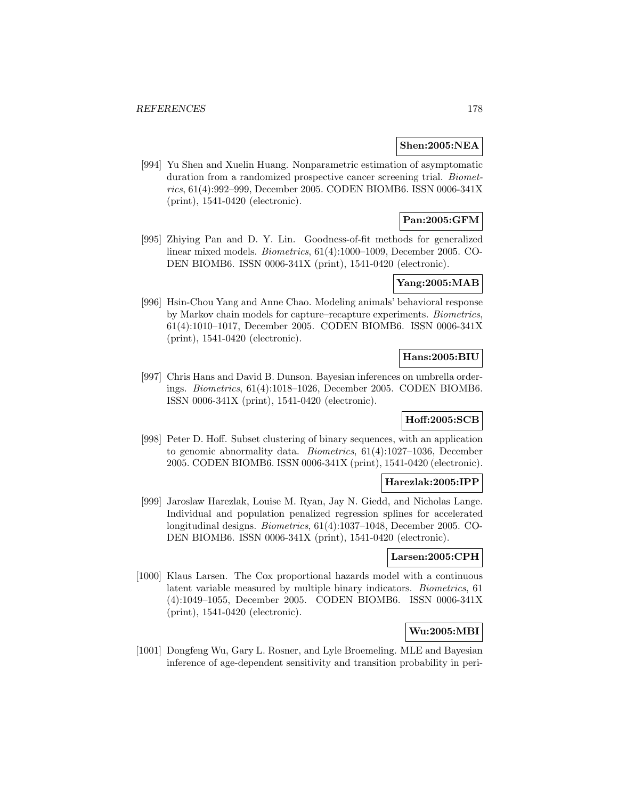## **Shen:2005:NEA**

[994] Yu Shen and Xuelin Huang. Nonparametric estimation of asymptomatic duration from a randomized prospective cancer screening trial. Biometrics, 61(4):992–999, December 2005. CODEN BIOMB6. ISSN 0006-341X (print), 1541-0420 (electronic).

# **Pan:2005:GFM**

[995] Zhiying Pan and D. Y. Lin. Goodness-of-fit methods for generalized linear mixed models. Biometrics, 61(4):1000–1009, December 2005. CO-DEN BIOMB6. ISSN 0006-341X (print), 1541-0420 (electronic).

# **Yang:2005:MAB**

[996] Hsin-Chou Yang and Anne Chao. Modeling animals' behavioral response by Markov chain models for capture–recapture experiments. Biometrics, 61(4):1010–1017, December 2005. CODEN BIOMB6. ISSN 0006-341X (print), 1541-0420 (electronic).

## **Hans:2005:BIU**

[997] Chris Hans and David B. Dunson. Bayesian inferences on umbrella orderings. Biometrics, 61(4):1018–1026, December 2005. CODEN BIOMB6. ISSN 0006-341X (print), 1541-0420 (electronic).

# **Hoff:2005:SCB**

[998] Peter D. Hoff. Subset clustering of binary sequences, with an application to genomic abnormality data. Biometrics, 61(4):1027–1036, December 2005. CODEN BIOMB6. ISSN 0006-341X (print), 1541-0420 (electronic).

# **Harezlak:2005:IPP**

[999] Jaroslaw Harezlak, Louise M. Ryan, Jay N. Giedd, and Nicholas Lange. Individual and population penalized regression splines for accelerated longitudinal designs. Biometrics, 61(4):1037–1048, December 2005. CO-DEN BIOMB6. ISSN 0006-341X (print), 1541-0420 (electronic).

## **Larsen:2005:CPH**

[1000] Klaus Larsen. The Cox proportional hazards model with a continuous latent variable measured by multiple binary indicators. Biometrics, 61 (4):1049–1055, December 2005. CODEN BIOMB6. ISSN 0006-341X (print), 1541-0420 (electronic).

# **Wu:2005:MBI**

[1001] Dongfeng Wu, Gary L. Rosner, and Lyle Broemeling. MLE and Bayesian inference of age-dependent sensitivity and transition probability in peri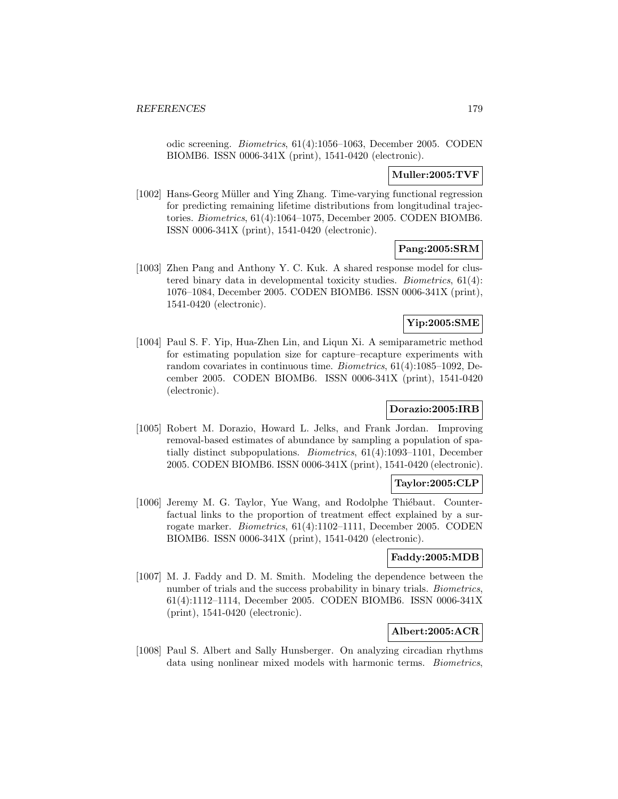odic screening. Biometrics, 61(4):1056–1063, December 2005. CODEN BIOMB6. ISSN 0006-341X (print), 1541-0420 (electronic).

# **Muller:2005:TVF**

[1002] Hans-Georg Müller and Ying Zhang. Time-varying functional regression for predicting remaining lifetime distributions from longitudinal trajectories. Biometrics, 61(4):1064–1075, December 2005. CODEN BIOMB6. ISSN 0006-341X (print), 1541-0420 (electronic).

# **Pang:2005:SRM**

[1003] Zhen Pang and Anthony Y. C. Kuk. A shared response model for clustered binary data in developmental toxicity studies. Biometrics, 61(4): 1076–1084, December 2005. CODEN BIOMB6. ISSN 0006-341X (print), 1541-0420 (electronic).

# **Yip:2005:SME**

[1004] Paul S. F. Yip, Hua-Zhen Lin, and Liqun Xi. A semiparametric method for estimating population size for capture–recapture experiments with random covariates in continuous time. Biometrics, 61(4):1085–1092, December 2005. CODEN BIOMB6. ISSN 0006-341X (print), 1541-0420 (electronic).

# **Dorazio:2005:IRB**

[1005] Robert M. Dorazio, Howard L. Jelks, and Frank Jordan. Improving removal-based estimates of abundance by sampling a population of spatially distinct subpopulations. Biometrics, 61(4):1093–1101, December 2005. CODEN BIOMB6. ISSN 0006-341X (print), 1541-0420 (electronic).

# **Taylor:2005:CLP**

[1006] Jeremy M. G. Taylor, Yue Wang, and Rodolphe Thiébaut. Counterfactual links to the proportion of treatment effect explained by a surrogate marker. Biometrics, 61(4):1102–1111, December 2005. CODEN BIOMB6. ISSN 0006-341X (print), 1541-0420 (electronic).

### **Faddy:2005:MDB**

[1007] M. J. Faddy and D. M. Smith. Modeling the dependence between the number of trials and the success probability in binary trials. *Biometrics*, 61(4):1112–1114, December 2005. CODEN BIOMB6. ISSN 0006-341X (print), 1541-0420 (electronic).

# **Albert:2005:ACR**

[1008] Paul S. Albert and Sally Hunsberger. On analyzing circadian rhythms data using nonlinear mixed models with harmonic terms. Biometrics,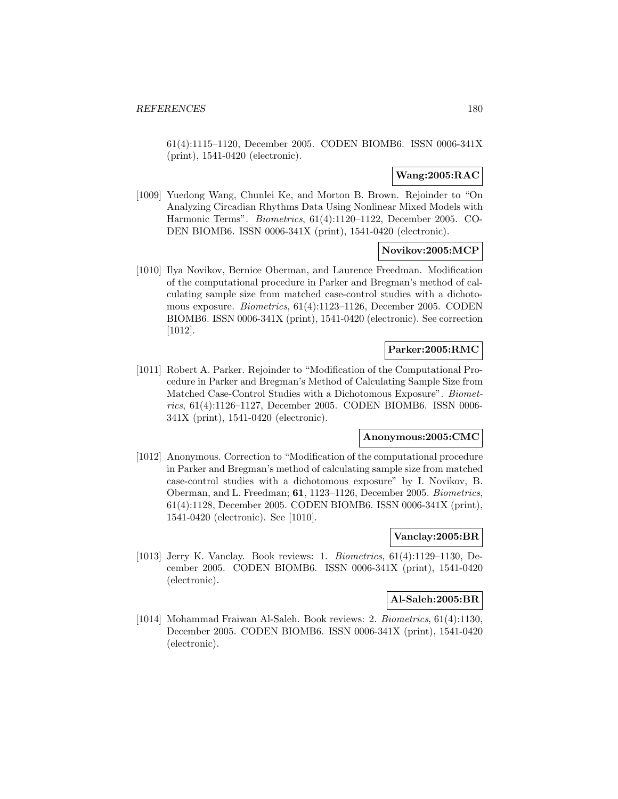61(4):1115–1120, December 2005. CODEN BIOMB6. ISSN 0006-341X (print), 1541-0420 (electronic).

## **Wang:2005:RAC**

[1009] Yuedong Wang, Chunlei Ke, and Morton B. Brown. Rejoinder to "On Analyzing Circadian Rhythms Data Using Nonlinear Mixed Models with Harmonic Terms". Biometrics, 61(4):1120–1122, December 2005. CO-DEN BIOMB6. ISSN 0006-341X (print), 1541-0420 (electronic).

### **Novikov:2005:MCP**

[1010] Ilya Novikov, Bernice Oberman, and Laurence Freedman. Modification of the computational procedure in Parker and Bregman's method of calculating sample size from matched case-control studies with a dichotomous exposure. Biometrics, 61(4):1123–1126, December 2005. CODEN BIOMB6. ISSN 0006-341X (print), 1541-0420 (electronic). See correction [1012].

## **Parker:2005:RMC**

[1011] Robert A. Parker. Rejoinder to "Modification of the Computational Procedure in Parker and Bregman's Method of Calculating Sample Size from Matched Case-Control Studies with a Dichotomous Exposure". Biometrics, 61(4):1126–1127, December 2005. CODEN BIOMB6. ISSN 0006- 341X (print), 1541-0420 (electronic).

## **Anonymous:2005:CMC**

[1012] Anonymous. Correction to "Modification of the computational procedure in Parker and Bregman's method of calculating sample size from matched case-control studies with a dichotomous exposure" by I. Novikov, B. Oberman, and L. Freedman; **61**, 1123–1126, December 2005. Biometrics, 61(4):1128, December 2005. CODEN BIOMB6. ISSN 0006-341X (print), 1541-0420 (electronic). See [1010].

## **Vanclay:2005:BR**

[1013] Jerry K. Vanclay. Book reviews: 1. Biometrics, 61(4):1129–1130, December 2005. CODEN BIOMB6. ISSN 0006-341X (print), 1541-0420 (electronic).

#### **Al-Saleh:2005:BR**

[1014] Mohammad Fraiwan Al-Saleh. Book reviews: 2. Biometrics, 61(4):1130, December 2005. CODEN BIOMB6. ISSN 0006-341X (print), 1541-0420 (electronic).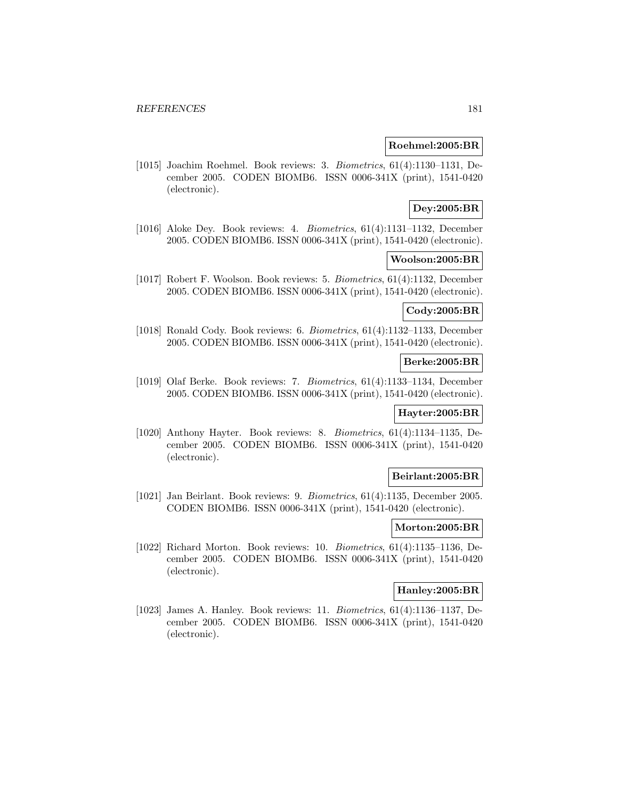## **Roehmel:2005:BR**

[1015] Joachim Roehmel. Book reviews: 3. Biometrics, 61(4):1130–1131, December 2005. CODEN BIOMB6. ISSN 0006-341X (print), 1541-0420 (electronic).

# **Dey:2005:BR**

[1016] Aloke Dey. Book reviews: 4. Biometrics, 61(4):1131–1132, December 2005. CODEN BIOMB6. ISSN 0006-341X (print), 1541-0420 (electronic).

### **Woolson:2005:BR**

[1017] Robert F. Woolson. Book reviews: 5. Biometrics, 61(4):1132, December 2005. CODEN BIOMB6. ISSN 0006-341X (print), 1541-0420 (electronic).

## **Cody:2005:BR**

[1018] Ronald Cody. Book reviews: 6. Biometrics, 61(4):1132–1133, December 2005. CODEN BIOMB6. ISSN 0006-341X (print), 1541-0420 (electronic).

### **Berke:2005:BR**

[1019] Olaf Berke. Book reviews: 7. Biometrics, 61(4):1133–1134, December 2005. CODEN BIOMB6. ISSN 0006-341X (print), 1541-0420 (electronic).

### **Hayter:2005:BR**

[1020] Anthony Hayter. Book reviews: 8. Biometrics, 61(4):1134–1135, December 2005. CODEN BIOMB6. ISSN 0006-341X (print), 1541-0420 (electronic).

### **Beirlant:2005:BR**

[1021] Jan Beirlant. Book reviews: 9. Biometrics, 61(4):1135, December 2005. CODEN BIOMB6. ISSN 0006-341X (print), 1541-0420 (electronic).

#### **Morton:2005:BR**

[1022] Richard Morton. Book reviews: 10. Biometrics, 61(4):1135–1136, December 2005. CODEN BIOMB6. ISSN 0006-341X (print), 1541-0420 (electronic).

#### **Hanley:2005:BR**

[1023] James A. Hanley. Book reviews: 11. Biometrics, 61(4):1136–1137, December 2005. CODEN BIOMB6. ISSN 0006-341X (print), 1541-0420 (electronic).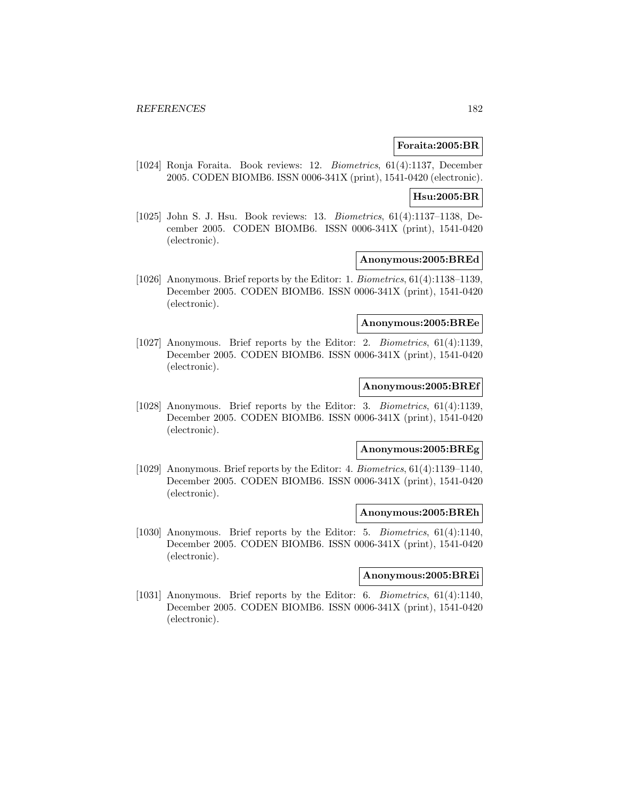# **Foraita:2005:BR**

[1024] Ronja Foraita. Book reviews: 12. Biometrics, 61(4):1137, December 2005. CODEN BIOMB6. ISSN 0006-341X (print), 1541-0420 (electronic).

#### **Hsu:2005:BR**

[1025] John S. J. Hsu. Book reviews: 13. Biometrics, 61(4):1137–1138, December 2005. CODEN BIOMB6. ISSN 0006-341X (print), 1541-0420 (electronic).

#### **Anonymous:2005:BREd**

[1026] Anonymous. Brief reports by the Editor: 1. Biometrics, 61(4):1138–1139, December 2005. CODEN BIOMB6. ISSN 0006-341X (print), 1541-0420 (electronic).

# **Anonymous:2005:BREe**

[1027] Anonymous. Brief reports by the Editor: 2. Biometrics, 61(4):1139, December 2005. CODEN BIOMB6. ISSN 0006-341X (print), 1541-0420 (electronic).

# **Anonymous:2005:BREf**

[1028] Anonymous. Brief reports by the Editor: 3. Biometrics, 61(4):1139, December 2005. CODEN BIOMB6. ISSN 0006-341X (print), 1541-0420 (electronic).

# **Anonymous:2005:BREg**

[1029] Anonymous. Brief reports by the Editor: 4. Biometrics, 61(4):1139–1140, December 2005. CODEN BIOMB6. ISSN 0006-341X (print), 1541-0420 (electronic).

#### **Anonymous:2005:BREh**

[1030] Anonymous. Brief reports by the Editor: 5. Biometrics, 61(4):1140, December 2005. CODEN BIOMB6. ISSN 0006-341X (print), 1541-0420 (electronic).

## **Anonymous:2005:BREi**

[1031] Anonymous. Brief reports by the Editor: 6. Biometrics, 61(4):1140, December 2005. CODEN BIOMB6. ISSN 0006-341X (print), 1541-0420 (electronic).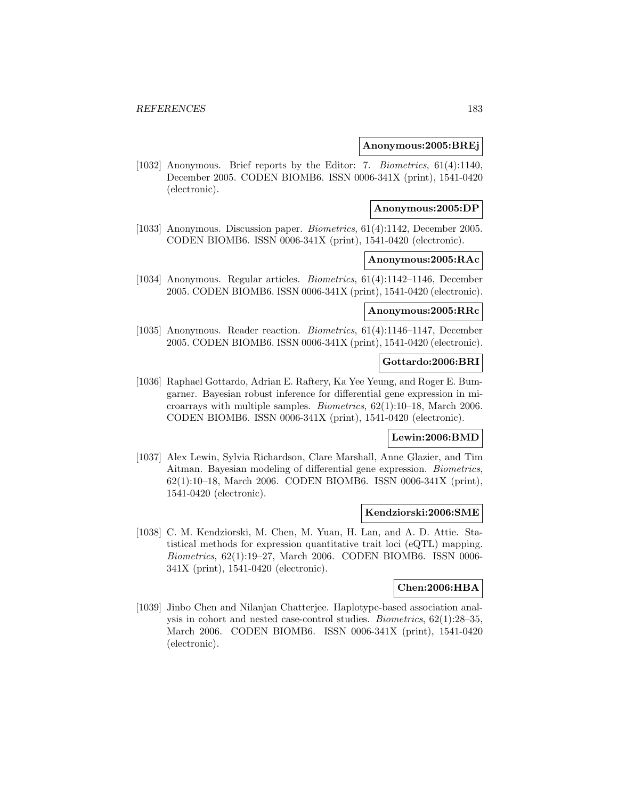### **Anonymous:2005:BREj**

[1032] Anonymous. Brief reports by the Editor: 7. Biometrics, 61(4):1140, December 2005. CODEN BIOMB6. ISSN 0006-341X (print), 1541-0420 (electronic).

#### **Anonymous:2005:DP**

[1033] Anonymous. Discussion paper. Biometrics, 61(4):1142, December 2005. CODEN BIOMB6. ISSN 0006-341X (print), 1541-0420 (electronic).

## **Anonymous:2005:RAc**

[1034] Anonymous. Regular articles. Biometrics, 61(4):1142–1146, December 2005. CODEN BIOMB6. ISSN 0006-341X (print), 1541-0420 (electronic).

## **Anonymous:2005:RRc**

[1035] Anonymous. Reader reaction. Biometrics, 61(4):1146–1147, December 2005. CODEN BIOMB6. ISSN 0006-341X (print), 1541-0420 (electronic).

# **Gottardo:2006:BRI**

[1036] Raphael Gottardo, Adrian E. Raftery, Ka Yee Yeung, and Roger E. Bumgarner. Bayesian robust inference for differential gene expression in microarrays with multiple samples. Biometrics, 62(1):10–18, March 2006. CODEN BIOMB6. ISSN 0006-341X (print), 1541-0420 (electronic).

# **Lewin:2006:BMD**

[1037] Alex Lewin, Sylvia Richardson, Clare Marshall, Anne Glazier, and Tim Aitman. Bayesian modeling of differential gene expression. Biometrics, 62(1):10–18, March 2006. CODEN BIOMB6. ISSN 0006-341X (print), 1541-0420 (electronic).

### **Kendziorski:2006:SME**

[1038] C. M. Kendziorski, M. Chen, M. Yuan, H. Lan, and A. D. Attie. Statistical methods for expression quantitative trait loci (eQTL) mapping. Biometrics, 62(1):19–27, March 2006. CODEN BIOMB6. ISSN 0006- 341X (print), 1541-0420 (electronic).

## **Chen:2006:HBA**

[1039] Jinbo Chen and Nilanjan Chatterjee. Haplotype-based association analysis in cohort and nested case-control studies. Biometrics, 62(1):28–35, March 2006. CODEN BIOMB6. ISSN 0006-341X (print), 1541-0420 (electronic).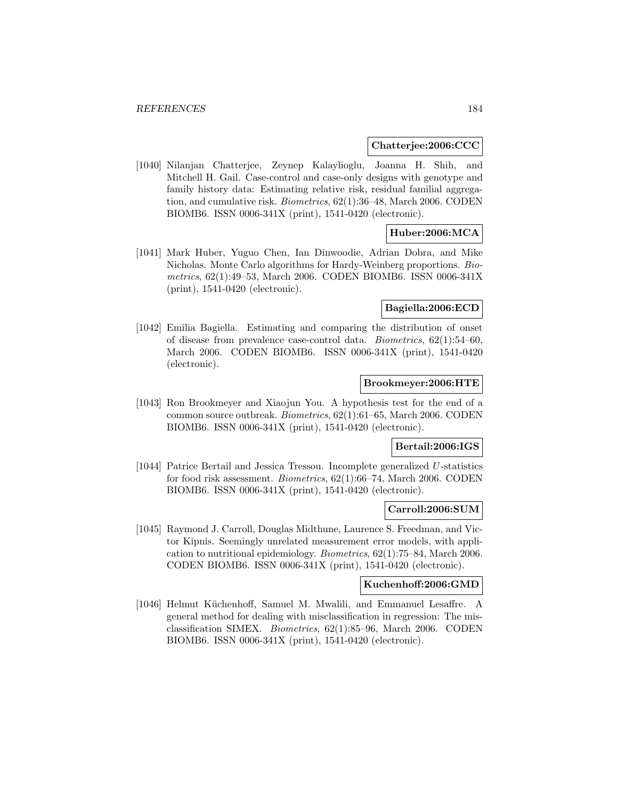### **Chatterjee:2006:CCC**

[1040] Nilanjan Chatterjee, Zeynep Kalaylioglu, Joanna H. Shih, and Mitchell H. Gail. Case-control and case-only designs with genotype and family history data: Estimating relative risk, residual familial aggregation, and cumulative risk. Biometrics, 62(1):36–48, March 2006. CODEN BIOMB6. ISSN 0006-341X (print), 1541-0420 (electronic).

# **Huber:2006:MCA**

[1041] Mark Huber, Yuguo Chen, Ian Dinwoodie, Adrian Dobra, and Mike Nicholas. Monte Carlo algorithms for Hardy-Weinberg proportions. Biometrics, 62(1):49–53, March 2006. CODEN BIOMB6. ISSN 0006-341X (print), 1541-0420 (electronic).

# **Bagiella:2006:ECD**

[1042] Emilia Bagiella. Estimating and comparing the distribution of onset of disease from prevalence case-control data. Biometrics, 62(1):54–60, March 2006. CODEN BIOMB6. ISSN 0006-341X (print), 1541-0420 (electronic).

# **Brookmeyer:2006:HTE**

[1043] Ron Brookmeyer and Xiaojun You. A hypothesis test for the end of a common source outbreak. Biometrics, 62(1):61–65, March 2006. CODEN BIOMB6. ISSN 0006-341X (print), 1541-0420 (electronic).

#### **Bertail:2006:IGS**

[1044] Patrice Bertail and Jessica Tressou. Incomplete generalized U-statistics for food risk assessment. Biometrics, 62(1):66–74, March 2006. CODEN BIOMB6. ISSN 0006-341X (print), 1541-0420 (electronic).

# **Carroll:2006:SUM**

[1045] Raymond J. Carroll, Douglas Midthune, Laurence S. Freedman, and Victor Kipnis. Seemingly unrelated measurement error models, with application to nutritional epidemiology. Biometrics, 62(1):75–84, March 2006. CODEN BIOMB6. ISSN 0006-341X (print), 1541-0420 (electronic).

# **Kuchenhoff:2006:GMD**

[1046] Helmut K¨uchenhoff, Samuel M. Mwalili, and Emmanuel Lesaffre. A general method for dealing with misclassification in regression: The misclassification SIMEX. Biometrics, 62(1):85–96, March 2006. CODEN BIOMB6. ISSN 0006-341X (print), 1541-0420 (electronic).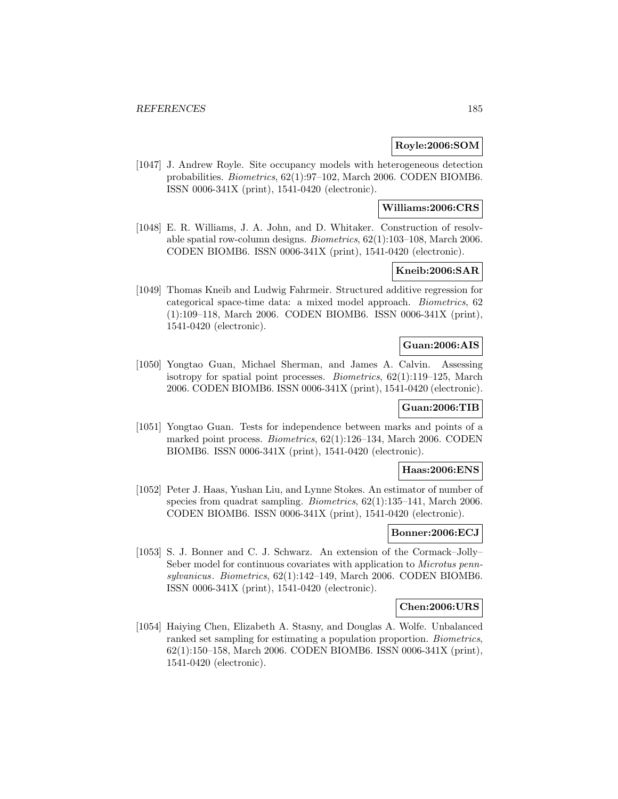# **Royle:2006:SOM**

[1047] J. Andrew Royle. Site occupancy models with heterogeneous detection probabilities. Biometrics, 62(1):97–102, March 2006. CODEN BIOMB6. ISSN 0006-341X (print), 1541-0420 (electronic).

## **Williams:2006:CRS**

[1048] E. R. Williams, J. A. John, and D. Whitaker. Construction of resolvable spatial row-column designs. Biometrics, 62(1):103–108, March 2006. CODEN BIOMB6. ISSN 0006-341X (print), 1541-0420 (electronic).

# **Kneib:2006:SAR**

[1049] Thomas Kneib and Ludwig Fahrmeir. Structured additive regression for categorical space-time data: a mixed model approach. Biometrics, 62 (1):109–118, March 2006. CODEN BIOMB6. ISSN 0006-341X (print), 1541-0420 (electronic).

### **Guan:2006:AIS**

[1050] Yongtao Guan, Michael Sherman, and James A. Calvin. Assessing isotropy for spatial point processes. Biometrics, 62(1):119–125, March 2006. CODEN BIOMB6. ISSN 0006-341X (print), 1541-0420 (electronic).

### **Guan:2006:TIB**

[1051] Yongtao Guan. Tests for independence between marks and points of a marked point process. Biometrics, 62(1):126–134, March 2006. CODEN BIOMB6. ISSN 0006-341X (print), 1541-0420 (electronic).

### **Haas:2006:ENS**

[1052] Peter J. Haas, Yushan Liu, and Lynne Stokes. An estimator of number of species from quadrat sampling. Biometrics, 62(1):135–141, March 2006. CODEN BIOMB6. ISSN 0006-341X (print), 1541-0420 (electronic).

# **Bonner:2006:ECJ**

[1053] S. J. Bonner and C. J. Schwarz. An extension of the Cormack–Jolly– Seber model for continuous covariates with application to Microtus pennsylvanicus. Biometrics, 62(1):142–149, March 2006. CODEN BIOMB6. ISSN 0006-341X (print), 1541-0420 (electronic).

# **Chen:2006:URS**

[1054] Haiying Chen, Elizabeth A. Stasny, and Douglas A. Wolfe. Unbalanced ranked set sampling for estimating a population proportion. Biometrics, 62(1):150–158, March 2006. CODEN BIOMB6. ISSN 0006-341X (print), 1541-0420 (electronic).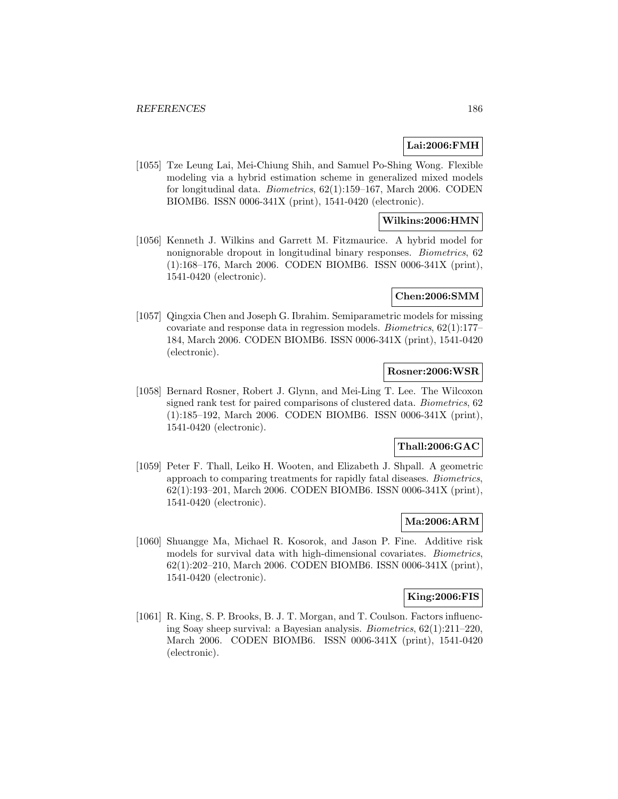# **Lai:2006:FMH**

[1055] Tze Leung Lai, Mei-Chiung Shih, and Samuel Po-Shing Wong. Flexible modeling via a hybrid estimation scheme in generalized mixed models for longitudinal data. Biometrics, 62(1):159–167, March 2006. CODEN BIOMB6. ISSN 0006-341X (print), 1541-0420 (electronic).

# **Wilkins:2006:HMN**

[1056] Kenneth J. Wilkins and Garrett M. Fitzmaurice. A hybrid model for nonignorable dropout in longitudinal binary responses. Biometrics, 62 (1):168–176, March 2006. CODEN BIOMB6. ISSN 0006-341X (print), 1541-0420 (electronic).

## **Chen:2006:SMM**

[1057] Qingxia Chen and Joseph G. Ibrahim. Semiparametric models for missing covariate and response data in regression models. Biometrics, 62(1):177– 184, March 2006. CODEN BIOMB6. ISSN 0006-341X (print), 1541-0420 (electronic).

# **Rosner:2006:WSR**

[1058] Bernard Rosner, Robert J. Glynn, and Mei-Ling T. Lee. The Wilcoxon signed rank test for paired comparisons of clustered data. Biometrics, 62 (1):185–192, March 2006. CODEN BIOMB6. ISSN 0006-341X (print), 1541-0420 (electronic).

# **Thall:2006:GAC**

[1059] Peter F. Thall, Leiko H. Wooten, and Elizabeth J. Shpall. A geometric approach to comparing treatments for rapidly fatal diseases. Biometrics, 62(1):193–201, March 2006. CODEN BIOMB6. ISSN 0006-341X (print), 1541-0420 (electronic).

# **Ma:2006:ARM**

[1060] Shuangge Ma, Michael R. Kosorok, and Jason P. Fine. Additive risk models for survival data with high-dimensional covariates. Biometrics, 62(1):202–210, March 2006. CODEN BIOMB6. ISSN 0006-341X (print), 1541-0420 (electronic).

# **King:2006:FIS**

[1061] R. King, S. P. Brooks, B. J. T. Morgan, and T. Coulson. Factors influencing Soay sheep survival: a Bayesian analysis. Biometrics, 62(1):211–220, March 2006. CODEN BIOMB6. ISSN 0006-341X (print), 1541-0420 (electronic).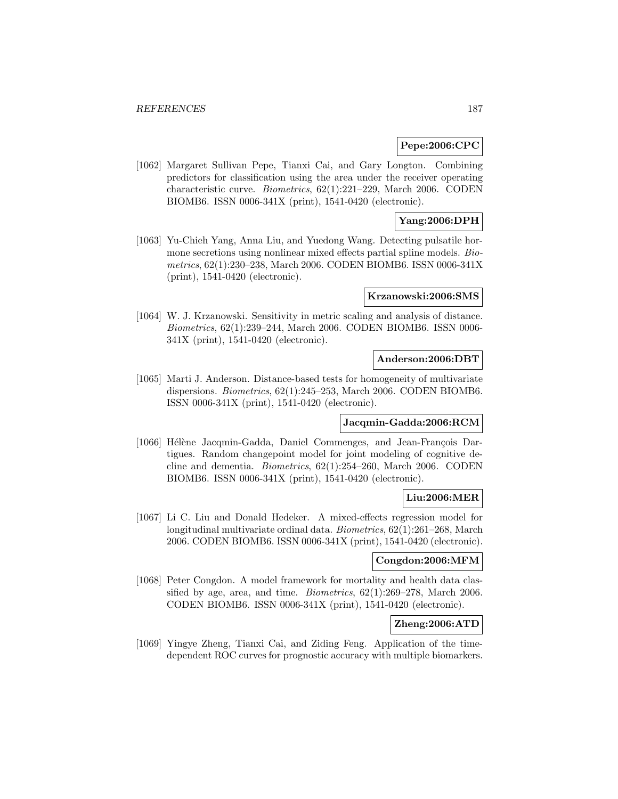## **Pepe:2006:CPC**

[1062] Margaret Sullivan Pepe, Tianxi Cai, and Gary Longton. Combining predictors for classification using the area under the receiver operating characteristic curve. Biometrics, 62(1):221–229, March 2006. CODEN BIOMB6. ISSN 0006-341X (print), 1541-0420 (electronic).

# **Yang:2006:DPH**

[1063] Yu-Chieh Yang, Anna Liu, and Yuedong Wang. Detecting pulsatile hormone secretions using nonlinear mixed effects partial spline models. Biometrics, 62(1):230–238, March 2006. CODEN BIOMB6. ISSN 0006-341X (print), 1541-0420 (electronic).

### **Krzanowski:2006:SMS**

[1064] W. J. Krzanowski. Sensitivity in metric scaling and analysis of distance. Biometrics, 62(1):239–244, March 2006. CODEN BIOMB6. ISSN 0006- 341X (print), 1541-0420 (electronic).

## **Anderson:2006:DBT**

[1065] Marti J. Anderson. Distance-based tests for homogeneity of multivariate dispersions. Biometrics, 62(1):245–253, March 2006. CODEN BIOMB6. ISSN 0006-341X (print), 1541-0420 (electronic).

#### **Jacqmin-Gadda:2006:RCM**

[1066] Hélène Jacqmin-Gadda, Daniel Commenges, and Jean-François Dartigues. Random changepoint model for joint modeling of cognitive decline and dementia. Biometrics, 62(1):254–260, March 2006. CODEN BIOMB6. ISSN 0006-341X (print), 1541-0420 (electronic).

# **Liu:2006:MER**

[1067] Li C. Liu and Donald Hedeker. A mixed-effects regression model for longitudinal multivariate ordinal data. Biometrics, 62(1):261–268, March 2006. CODEN BIOMB6. ISSN 0006-341X (print), 1541-0420 (electronic).

## **Congdon:2006:MFM**

[1068] Peter Congdon. A model framework for mortality and health data classified by age, area, and time. Biometrics, 62(1):269–278, March 2006. CODEN BIOMB6. ISSN 0006-341X (print), 1541-0420 (electronic).

# **Zheng:2006:ATD**

[1069] Yingye Zheng, Tianxi Cai, and Ziding Feng. Application of the timedependent ROC curves for prognostic accuracy with multiple biomarkers.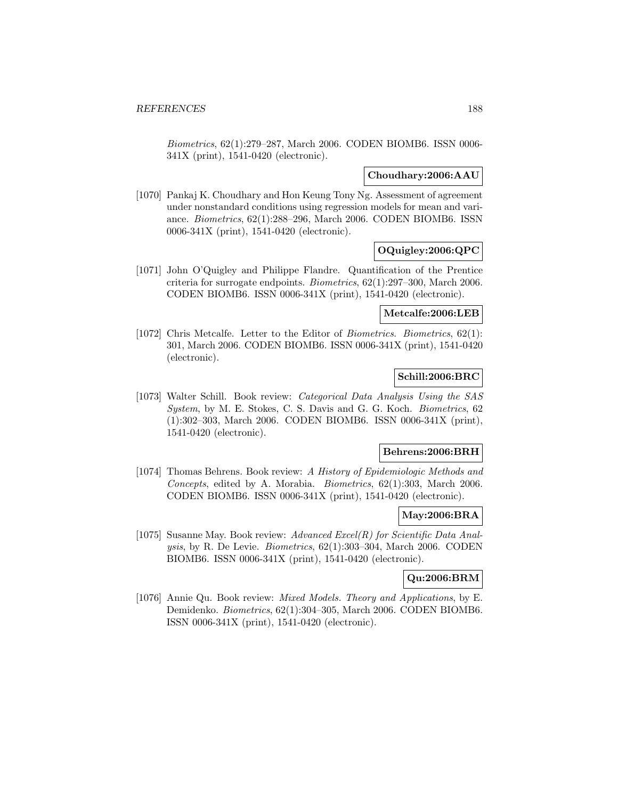Biometrics, 62(1):279–287, March 2006. CODEN BIOMB6. ISSN 0006- 341X (print), 1541-0420 (electronic).

# **Choudhary:2006:AAU**

[1070] Pankaj K. Choudhary and Hon Keung Tony Ng. Assessment of agreement under nonstandard conditions using regression models for mean and variance. Biometrics, 62(1):288–296, March 2006. CODEN BIOMB6. ISSN 0006-341X (print), 1541-0420 (electronic).

# **OQuigley:2006:QPC**

[1071] John O'Quigley and Philippe Flandre. Quantification of the Prentice criteria for surrogate endpoints. Biometrics, 62(1):297–300, March 2006. CODEN BIOMB6. ISSN 0006-341X (print), 1541-0420 (electronic).

# **Metcalfe:2006:LEB**

[1072] Chris Metcalfe. Letter to the Editor of Biometrics. Biometrics, 62(1): 301, March 2006. CODEN BIOMB6. ISSN 0006-341X (print), 1541-0420 (electronic).

# **Schill:2006:BRC**

[1073] Walter Schill. Book review: Categorical Data Analysis Using the SAS System, by M. E. Stokes, C. S. Davis and G. G. Koch. Biometrics, 62 (1):302–303, March 2006. CODEN BIOMB6. ISSN 0006-341X (print), 1541-0420 (electronic).

# **Behrens:2006:BRH**

[1074] Thomas Behrens. Book review: A History of Epidemiologic Methods and Concepts, edited by A. Morabia. Biometrics, 62(1):303, March 2006. CODEN BIOMB6. ISSN 0006-341X (print), 1541-0420 (electronic).

# **May:2006:BRA**

[1075] Susanne May. Book review: Advanced Excel(R) for Scientific Data Analysis, by R. De Levie. Biometrics, 62(1):303–304, March 2006. CODEN BIOMB6. ISSN 0006-341X (print), 1541-0420 (electronic).

# **Qu:2006:BRM**

[1076] Annie Qu. Book review: Mixed Models. Theory and Applications, by E. Demidenko. Biometrics, 62(1):304–305, March 2006. CODEN BIOMB6. ISSN 0006-341X (print), 1541-0420 (electronic).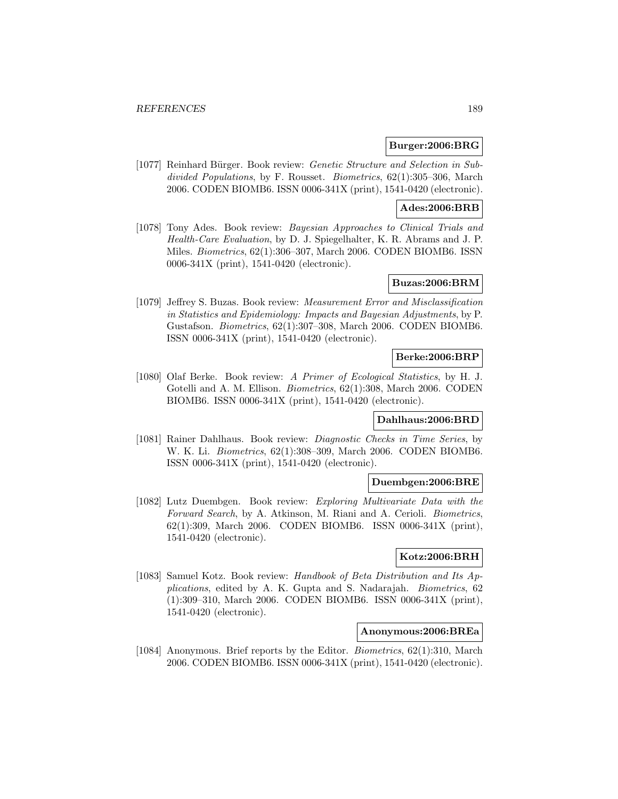## **Burger:2006:BRG**

[1077] Reinhard Bürger. Book review: *Genetic Structure and Selection in Sub*divided Populations, by F. Rousset. Biometrics, 62(1):305–306, March 2006. CODEN BIOMB6. ISSN 0006-341X (print), 1541-0420 (electronic).

## **Ades:2006:BRB**

[1078] Tony Ades. Book review: Bayesian Approaches to Clinical Trials and Health-Care Evaluation, by D. J. Spiegelhalter, K. R. Abrams and J. P. Miles. Biometrics, 62(1):306–307, March 2006. CODEN BIOMB6. ISSN 0006-341X (print), 1541-0420 (electronic).

# **Buzas:2006:BRM**

[1079] Jeffrey S. Buzas. Book review: Measurement Error and Misclassification in Statistics and Epidemiology: Impacts and Bayesian Adjustments, by P. Gustafson. Biometrics, 62(1):307–308, March 2006. CODEN BIOMB6. ISSN 0006-341X (print), 1541-0420 (electronic).

# **Berke:2006:BRP**

[1080] Olaf Berke. Book review: A Primer of Ecological Statistics, by H. J. Gotelli and A. M. Ellison. Biometrics, 62(1):308, March 2006. CODEN BIOMB6. ISSN 0006-341X (print), 1541-0420 (electronic).

# **Dahlhaus:2006:BRD**

[1081] Rainer Dahlhaus. Book review: Diagnostic Checks in Time Series, by W. K. Li. Biometrics, 62(1):308–309, March 2006. CODEN BIOMB6. ISSN 0006-341X (print), 1541-0420 (electronic).

### **Duembgen:2006:BRE**

[1082] Lutz Duembgen. Book review: Exploring Multivariate Data with the Forward Search, by A. Atkinson, M. Riani and A. Cerioli. Biometrics, 62(1):309, March 2006. CODEN BIOMB6. ISSN 0006-341X (print), 1541-0420 (electronic).

# **Kotz:2006:BRH**

[1083] Samuel Kotz. Book review: Handbook of Beta Distribution and Its Applications, edited by A. K. Gupta and S. Nadarajah. Biometrics, 62 (1):309–310, March 2006. CODEN BIOMB6. ISSN 0006-341X (print), 1541-0420 (electronic).

# **Anonymous:2006:BREa**

[1084] Anonymous. Brief reports by the Editor. Biometrics, 62(1):310, March 2006. CODEN BIOMB6. ISSN 0006-341X (print), 1541-0420 (electronic).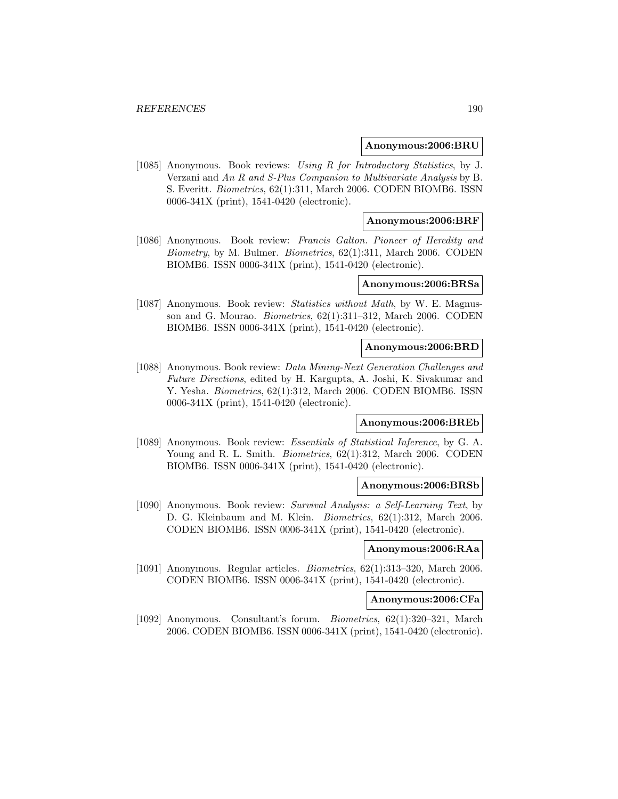#### **Anonymous:2006:BRU**

[1085] Anonymous. Book reviews: Using R for Introductory Statistics, by J. Verzani and An R and S-Plus Companion to Multivariate Analysis by B. S. Everitt. Biometrics, 62(1):311, March 2006. CODEN BIOMB6. ISSN 0006-341X (print), 1541-0420 (electronic).

### **Anonymous:2006:BRF**

[1086] Anonymous. Book review: Francis Galton. Pioneer of Heredity and *Biometry*, by M. Bulmer. *Biometrics*,  $62(1):311$ , March 2006. CODEN BIOMB6. ISSN 0006-341X (print), 1541-0420 (electronic).

## **Anonymous:2006:BRSa**

[1087] Anonymous. Book review: *Statistics without Math*, by W. E. Magnusson and G. Mourao. Biometrics, 62(1):311–312, March 2006. CODEN BIOMB6. ISSN 0006-341X (print), 1541-0420 (electronic).

### **Anonymous:2006:BRD**

[1088] Anonymous. Book review: Data Mining-Next Generation Challenges and Future Directions, edited by H. Kargupta, A. Joshi, K. Sivakumar and Y. Yesha. *Biometrics*, 62(1):312, March 2006. CODEN BIOMB6. ISSN 0006-341X (print), 1541-0420 (electronic).

#### **Anonymous:2006:BREb**

[1089] Anonymous. Book review: *Essentials of Statistical Inference*, by G. A. Young and R. L. Smith. *Biometrics*, 62(1):312, March 2006. CODEN BIOMB6. ISSN 0006-341X (print), 1541-0420 (electronic).

#### **Anonymous:2006:BRSb**

[1090] Anonymous. Book review: Survival Analysis: a Self-Learning Text, by D. G. Kleinbaum and M. Klein. Biometrics, 62(1):312, March 2006. CODEN BIOMB6. ISSN 0006-341X (print), 1541-0420 (electronic).

## **Anonymous:2006:RAa**

[1091] Anonymous. Regular articles. *Biometrics*,  $62(1):313-320$ , March 2006. CODEN BIOMB6. ISSN 0006-341X (print), 1541-0420 (electronic).

# **Anonymous:2006:CFa**

[1092] Anonymous. Consultant's forum. Biometrics, 62(1):320–321, March 2006. CODEN BIOMB6. ISSN 0006-341X (print), 1541-0420 (electronic).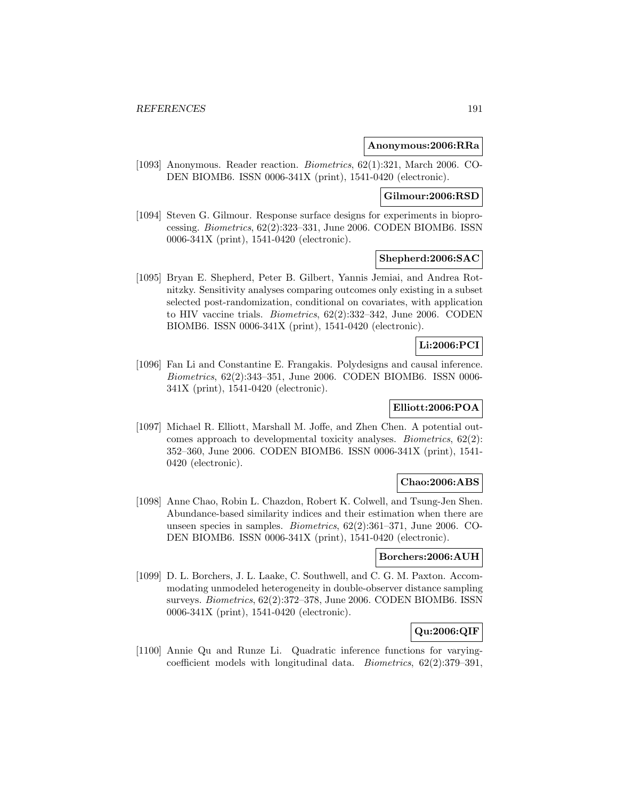## **Anonymous:2006:RRa**

[1093] Anonymous. Reader reaction. Biometrics, 62(1):321, March 2006. CO-DEN BIOMB6. ISSN 0006-341X (print), 1541-0420 (electronic).

# **Gilmour:2006:RSD**

[1094] Steven G. Gilmour. Response surface designs for experiments in bioprocessing. Biometrics, 62(2):323–331, June 2006. CODEN BIOMB6. ISSN 0006-341X (print), 1541-0420 (electronic).

# **Shepherd:2006:SAC**

[1095] Bryan E. Shepherd, Peter B. Gilbert, Yannis Jemiai, and Andrea Rotnitzky. Sensitivity analyses comparing outcomes only existing in a subset selected post-randomization, conditional on covariates, with application to HIV vaccine trials. Biometrics, 62(2):332–342, June 2006. CODEN BIOMB6. ISSN 0006-341X (print), 1541-0420 (electronic).

# **Li:2006:PCI**

[1096] Fan Li and Constantine E. Frangakis. Polydesigns and causal inference. Biometrics, 62(2):343–351, June 2006. CODEN BIOMB6. ISSN 0006- 341X (print), 1541-0420 (electronic).

# **Elliott:2006:POA**

[1097] Michael R. Elliott, Marshall M. Joffe, and Zhen Chen. A potential outcomes approach to developmental toxicity analyses. Biometrics, 62(2): 352–360, June 2006. CODEN BIOMB6. ISSN 0006-341X (print), 1541- 0420 (electronic).

# **Chao:2006:ABS**

[1098] Anne Chao, Robin L. Chazdon, Robert K. Colwell, and Tsung-Jen Shen. Abundance-based similarity indices and their estimation when there are unseen species in samples. Biometrics, 62(2):361–371, June 2006. CO-DEN BIOMB6. ISSN 0006-341X (print), 1541-0420 (electronic).

# **Borchers:2006:AUH**

[1099] D. L. Borchers, J. L. Laake, C. Southwell, and C. G. M. Paxton. Accommodating unmodeled heterogeneity in double-observer distance sampling surveys. Biometrics, 62(2):372–378, June 2006. CODEN BIOMB6. ISSN 0006-341X (print), 1541-0420 (electronic).

# **Qu:2006:QIF**

[1100] Annie Qu and Runze Li. Quadratic inference functions for varyingcoefficient models with longitudinal data. Biometrics, 62(2):379–391,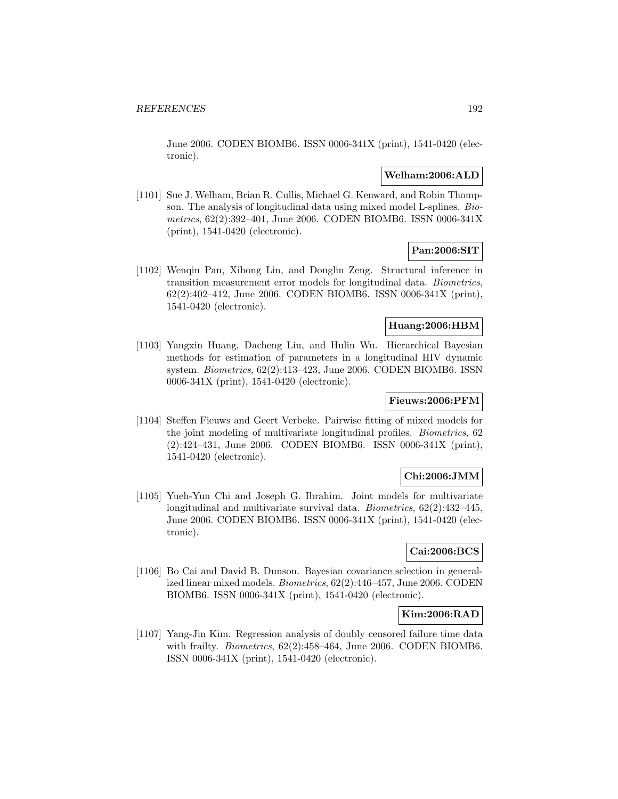June 2006. CODEN BIOMB6. ISSN 0006-341X (print), 1541-0420 (electronic).

# **Welham:2006:ALD**

[1101] Sue J. Welham, Brian R. Cullis, Michael G. Kenward, and Robin Thompson. The analysis of longitudinal data using mixed model L-splines. Biometrics, 62(2):392–401, June 2006. CODEN BIOMB6. ISSN 0006-341X (print), 1541-0420 (electronic).

# **Pan:2006:SIT**

[1102] Wenqin Pan, Xihong Lin, and Donglin Zeng. Structural inference in transition measurement error models for longitudinal data. Biometrics, 62(2):402–412, June 2006. CODEN BIOMB6. ISSN 0006-341X (print), 1541-0420 (electronic).

# **Huang:2006:HBM**

[1103] Yangxin Huang, Dacheng Liu, and Hulin Wu. Hierarchical Bayesian methods for estimation of parameters in a longitudinal HIV dynamic system. Biometrics, 62(2):413–423, June 2006. CODEN BIOMB6. ISSN 0006-341X (print), 1541-0420 (electronic).

# **Fieuws:2006:PFM**

[1104] Steffen Fieuws and Geert Verbeke. Pairwise fitting of mixed models for the joint modeling of multivariate longitudinal profiles. Biometrics, 62 (2):424–431, June 2006. CODEN BIOMB6. ISSN 0006-341X (print), 1541-0420 (electronic).

# **Chi:2006:JMM**

[1105] Yueh-Yun Chi and Joseph G. Ibrahim. Joint models for multivariate longitudinal and multivariate survival data. Biometrics, 62(2):432–445, June 2006. CODEN BIOMB6. ISSN 0006-341X (print), 1541-0420 (electronic).

# **Cai:2006:BCS**

[1106] Bo Cai and David B. Dunson. Bayesian covariance selection in generalized linear mixed models. Biometrics, 62(2):446–457, June 2006. CODEN BIOMB6. ISSN 0006-341X (print), 1541-0420 (electronic).

## **Kim:2006:RAD**

[1107] Yang-Jin Kim. Regression analysis of doubly censored failure time data with frailty. Biometrics, 62(2):458–464, June 2006. CODEN BIOMB6. ISSN 0006-341X (print), 1541-0420 (electronic).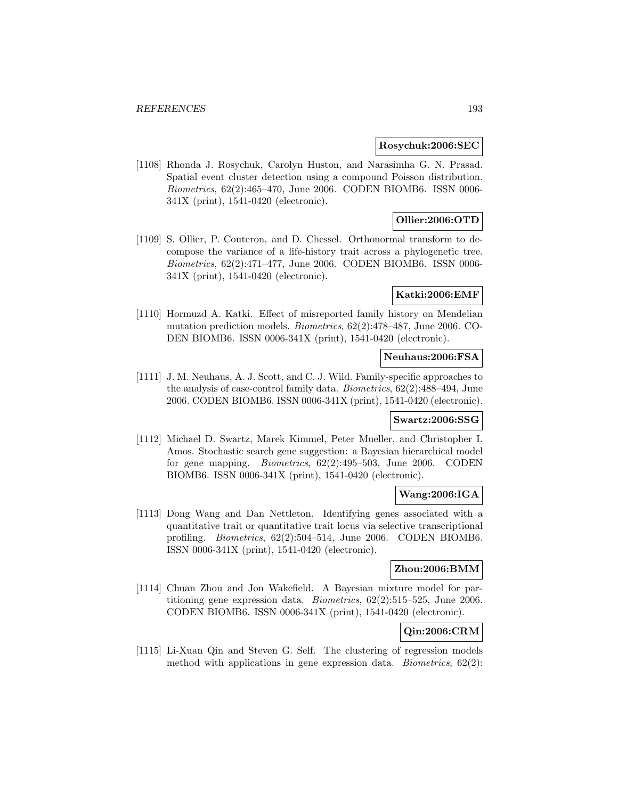### **Rosychuk:2006:SEC**

[1108] Rhonda J. Rosychuk, Carolyn Huston, and Narasimha G. N. Prasad. Spatial event cluster detection using a compound Poisson distribution. Biometrics, 62(2):465–470, June 2006. CODEN BIOMB6. ISSN 0006- 341X (print), 1541-0420 (electronic).

# **Ollier:2006:OTD**

[1109] S. Ollier, P. Couteron, and D. Chessel. Orthonormal transform to decompose the variance of a life-history trait across a phylogenetic tree. Biometrics, 62(2):471–477, June 2006. CODEN BIOMB6. ISSN 0006- 341X (print), 1541-0420 (electronic).

# **Katki:2006:EMF**

[1110] Hormuzd A. Katki. Effect of misreported family history on Mendelian mutation prediction models. Biometrics, 62(2):478–487, June 2006. CO-DEN BIOMB6. ISSN 0006-341X (print), 1541-0420 (electronic).

## **Neuhaus:2006:FSA**

[1111] J. M. Neuhaus, A. J. Scott, and C. J. Wild. Family-specific approaches to the analysis of case-control family data. Biometrics, 62(2):488–494, June 2006. CODEN BIOMB6. ISSN 0006-341X (print), 1541-0420 (electronic).

### **Swartz:2006:SSG**

[1112] Michael D. Swartz, Marek Kimmel, Peter Mueller, and Christopher I. Amos. Stochastic search gene suggestion: a Bayesian hierarchical model for gene mapping. Biometrics, 62(2):495–503, June 2006. CODEN BIOMB6. ISSN 0006-341X (print), 1541-0420 (electronic).

# **Wang:2006:IGA**

[1113] Dong Wang and Dan Nettleton. Identifying genes associated with a quantitative trait or quantitative trait locus via selective transcriptional profiling. Biometrics, 62(2):504–514, June 2006. CODEN BIOMB6. ISSN 0006-341X (print), 1541-0420 (electronic).

# **Zhou:2006:BMM**

[1114] Chuan Zhou and Jon Wakefield. A Bayesian mixture model for partitioning gene expression data. Biometrics, 62(2):515–525, June 2006. CODEN BIOMB6. ISSN 0006-341X (print), 1541-0420 (electronic).

# **Qin:2006:CRM**

[1115] Li-Xuan Qin and Steven G. Self. The clustering of regression models method with applications in gene expression data. *Biometrics*,  $62(2)$ :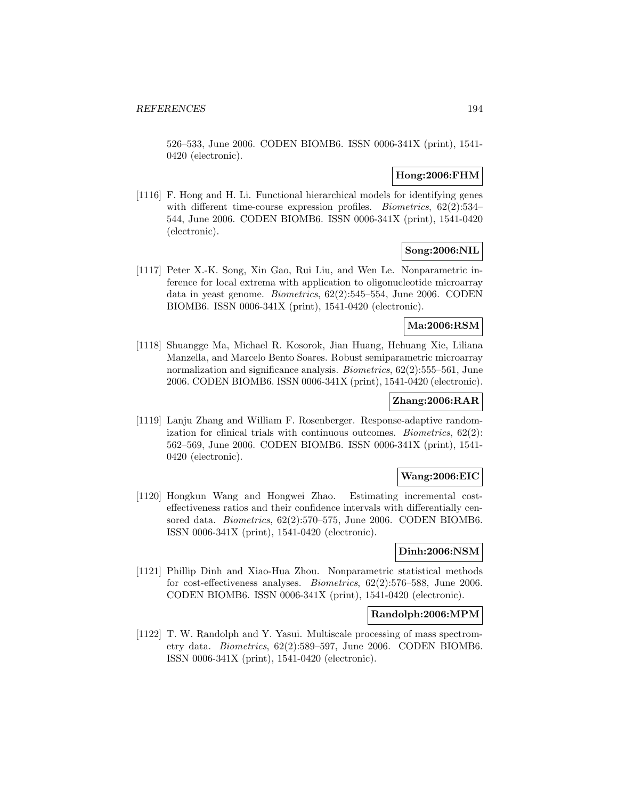526–533, June 2006. CODEN BIOMB6. ISSN 0006-341X (print), 1541- 0420 (electronic).

# **Hong:2006:FHM**

[1116] F. Hong and H. Li. Functional hierarchical models for identifying genes with different time-course expression profiles. *Biometrics*, 62(2):534-544, June 2006. CODEN BIOMB6. ISSN 0006-341X (print), 1541-0420 (electronic).

# **Song:2006:NIL**

[1117] Peter X.-K. Song, Xin Gao, Rui Liu, and Wen Le. Nonparametric inference for local extrema with application to oligonucleotide microarray data in yeast genome. Biometrics, 62(2):545–554, June 2006. CODEN BIOMB6. ISSN 0006-341X (print), 1541-0420 (electronic).

# **Ma:2006:RSM**

[1118] Shuangge Ma, Michael R. Kosorok, Jian Huang, Hehuang Xie, Liliana Manzella, and Marcelo Bento Soares. Robust semiparametric microarray normalization and significance analysis. Biometrics, 62(2):555–561, June 2006. CODEN BIOMB6. ISSN 0006-341X (print), 1541-0420 (electronic).

# **Zhang:2006:RAR**

[1119] Lanju Zhang and William F. Rosenberger. Response-adaptive randomization for clinical trials with continuous outcomes. Biometrics, 62(2): 562–569, June 2006. CODEN BIOMB6. ISSN 0006-341X (print), 1541- 0420 (electronic).

# **Wang:2006:EIC**

[1120] Hongkun Wang and Hongwei Zhao. Estimating incremental costeffectiveness ratios and their confidence intervals with differentially censored data. *Biometrics*,  $62(2):570-575$ , June 2006. CODEN BIOMB6. ISSN 0006-341X (print), 1541-0420 (electronic).

# **Dinh:2006:NSM**

[1121] Phillip Dinh and Xiao-Hua Zhou. Nonparametric statistical methods for cost-effectiveness analyses. Biometrics, 62(2):576–588, June 2006. CODEN BIOMB6. ISSN 0006-341X (print), 1541-0420 (electronic).

## **Randolph:2006:MPM**

[1122] T. W. Randolph and Y. Yasui. Multiscale processing of mass spectrometry data. Biometrics, 62(2):589–597, June 2006. CODEN BIOMB6. ISSN 0006-341X (print), 1541-0420 (electronic).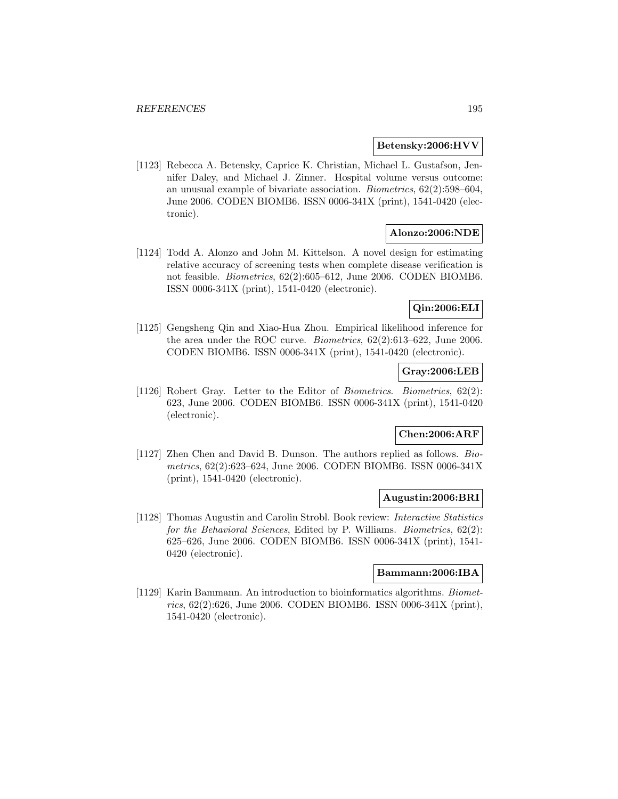## **Betensky:2006:HVV**

[1123] Rebecca A. Betensky, Caprice K. Christian, Michael L. Gustafson, Jennifer Daley, and Michael J. Zinner. Hospital volume versus outcome: an unusual example of bivariate association. Biometrics, 62(2):598–604, June 2006. CODEN BIOMB6. ISSN 0006-341X (print), 1541-0420 (electronic).

# **Alonzo:2006:NDE**

[1124] Todd A. Alonzo and John M. Kittelson. A novel design for estimating relative accuracy of screening tests when complete disease verification is not feasible. Biometrics, 62(2):605–612, June 2006. CODEN BIOMB6. ISSN 0006-341X (print), 1541-0420 (electronic).

# **Qin:2006:ELI**

[1125] Gengsheng Qin and Xiao-Hua Zhou. Empirical likelihood inference for the area under the ROC curve. Biometrics, 62(2):613–622, June 2006. CODEN BIOMB6. ISSN 0006-341X (print), 1541-0420 (electronic).

# **Gray:2006:LEB**

[1126] Robert Gray. Letter to the Editor of Biometrics. Biometrics, 62(2): 623, June 2006. CODEN BIOMB6. ISSN 0006-341X (print), 1541-0420 (electronic).

# **Chen:2006:ARF**

[1127] Zhen Chen and David B. Dunson. The authors replied as follows. Biometrics, 62(2):623–624, June 2006. CODEN BIOMB6. ISSN 0006-341X (print), 1541-0420 (electronic).

# **Augustin:2006:BRI**

[1128] Thomas Augustin and Carolin Strobl. Book review: Interactive Statistics for the Behavioral Sciences, Edited by P. Williams. Biometrics, 62(2): 625–626, June 2006. CODEN BIOMB6. ISSN 0006-341X (print), 1541- 0420 (electronic).

## **Bammann:2006:IBA**

[1129] Karin Bammann. An introduction to bioinformatics algorithms. Biometrics, 62(2):626, June 2006. CODEN BIOMB6. ISSN 0006-341X (print), 1541-0420 (electronic).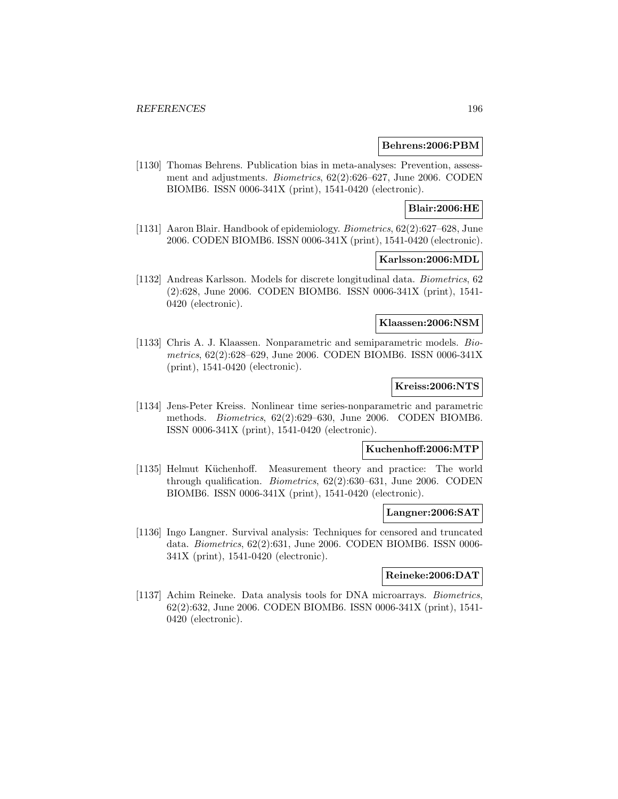### **Behrens:2006:PBM**

[1130] Thomas Behrens. Publication bias in meta-analyses: Prevention, assessment and adjustments. Biometrics, 62(2):626–627, June 2006. CODEN BIOMB6. ISSN 0006-341X (print), 1541-0420 (electronic).

# **Blair:2006:HE**

[1131] Aaron Blair. Handbook of epidemiology. Biometrics, 62(2):627–628, June 2006. CODEN BIOMB6. ISSN 0006-341X (print), 1541-0420 (electronic).

### **Karlsson:2006:MDL**

[1132] Andreas Karlsson. Models for discrete longitudinal data. Biometrics, 62 (2):628, June 2006. CODEN BIOMB6. ISSN 0006-341X (print), 1541- 0420 (electronic).

# **Klaassen:2006:NSM**

[1133] Chris A. J. Klaassen. Nonparametric and semiparametric models. Biometrics, 62(2):628–629, June 2006. CODEN BIOMB6. ISSN 0006-341X (print), 1541-0420 (electronic).

# **Kreiss:2006:NTS**

[1134] Jens-Peter Kreiss. Nonlinear time series-nonparametric and parametric methods. Biometrics, 62(2):629–630, June 2006. CODEN BIOMB6. ISSN 0006-341X (print), 1541-0420 (electronic).

# **Kuchenhoff:2006:MTP**

[1135] Helmut Küchenhoff. Measurement theory and practice: The world through qualification. Biometrics, 62(2):630–631, June 2006. CODEN BIOMB6. ISSN 0006-341X (print), 1541-0420 (electronic).

### **Langner:2006:SAT**

[1136] Ingo Langner. Survival analysis: Techniques for censored and truncated data. Biometrics, 62(2):631, June 2006. CODEN BIOMB6. ISSN 0006- 341X (print), 1541-0420 (electronic).

## **Reineke:2006:DAT**

[1137] Achim Reineke. Data analysis tools for DNA microarrays. Biometrics, 62(2):632, June 2006. CODEN BIOMB6. ISSN 0006-341X (print), 1541- 0420 (electronic).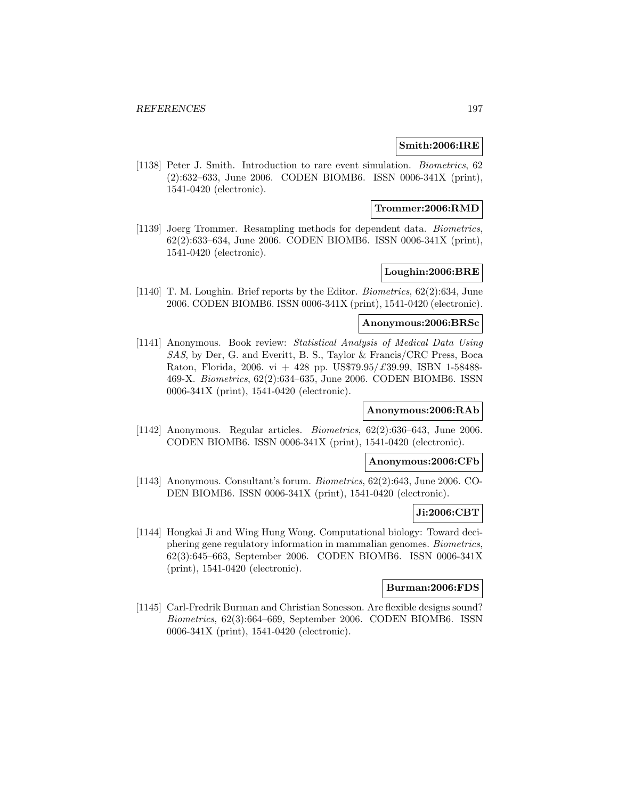# **Smith:2006:IRE**

[1138] Peter J. Smith. Introduction to rare event simulation. Biometrics, 62 (2):632–633, June 2006. CODEN BIOMB6. ISSN 0006-341X (print), 1541-0420 (electronic).

## **Trommer:2006:RMD**

[1139] Joerg Trommer. Resampling methods for dependent data. Biometrics, 62(2):633–634, June 2006. CODEN BIOMB6. ISSN 0006-341X (print), 1541-0420 (electronic).

# **Loughin:2006:BRE**

[1140] T. M. Loughin. Brief reports by the Editor. Biometrics, 62(2):634, June 2006. CODEN BIOMB6. ISSN 0006-341X (print), 1541-0420 (electronic).

# **Anonymous:2006:BRSc**

[1141] Anonymous. Book review: Statistical Analysis of Medical Data Using SAS, by Der, G. and Everitt, B. S., Taylor & Francis/CRC Press, Boca Raton, Florida, 2006. vi + 428 pp. US\$79.95/ $\pounds$ 39.99, ISBN 1-58488-469-X. Biometrics, 62(2):634–635, June 2006. CODEN BIOMB6. ISSN 0006-341X (print), 1541-0420 (electronic).

# **Anonymous:2006:RAb**

[1142] Anonymous. Regular articles. Biometrics, 62(2):636–643, June 2006. CODEN BIOMB6. ISSN 0006-341X (print), 1541-0420 (electronic).

# **Anonymous:2006:CFb**

[1143] Anonymous. Consultant's forum. Biometrics, 62(2):643, June 2006. CO-DEN BIOMB6. ISSN 0006-341X (print), 1541-0420 (electronic).

#### **Ji:2006:CBT**

[1144] Hongkai Ji and Wing Hung Wong. Computational biology: Toward deciphering gene regulatory information in mammalian genomes. Biometrics, 62(3):645–663, September 2006. CODEN BIOMB6. ISSN 0006-341X (print), 1541-0420 (electronic).

# **Burman:2006:FDS**

[1145] Carl-Fredrik Burman and Christian Sonesson. Are flexible designs sound? Biometrics, 62(3):664–669, September 2006. CODEN BIOMB6. ISSN 0006-341X (print), 1541-0420 (electronic).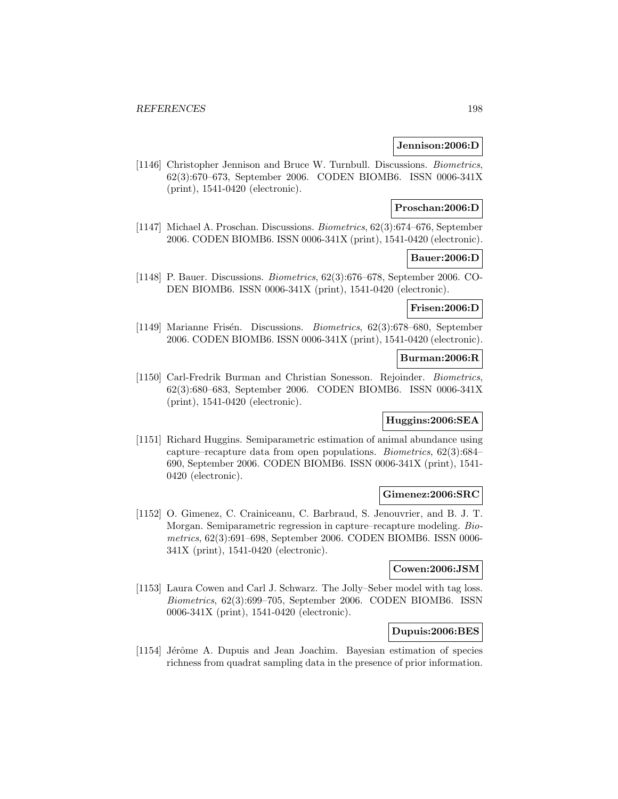# **Jennison:2006:D**

[1146] Christopher Jennison and Bruce W. Turnbull. Discussions. Biometrics, 62(3):670–673, September 2006. CODEN BIOMB6. ISSN 0006-341X (print), 1541-0420 (electronic).

# **Proschan:2006:D**

[1147] Michael A. Proschan. Discussions. Biometrics, 62(3):674–676, September 2006. CODEN BIOMB6. ISSN 0006-341X (print), 1541-0420 (electronic).

### **Bauer:2006:D**

[1148] P. Bauer. Discussions. Biometrics, 62(3):676–678, September 2006. CO-DEN BIOMB6. ISSN 0006-341X (print), 1541-0420 (electronic).

#### **Frisen:2006:D**

[1149] Marianne Frisén. Discussions. *Biometrics*, 62(3):678–680, September 2006. CODEN BIOMB6. ISSN 0006-341X (print), 1541-0420 (electronic).

### **Burman:2006:R**

[1150] Carl-Fredrik Burman and Christian Sonesson. Rejoinder. Biometrics, 62(3):680–683, September 2006. CODEN BIOMB6. ISSN 0006-341X (print), 1541-0420 (electronic).

# **Huggins:2006:SEA**

[1151] Richard Huggins. Semiparametric estimation of animal abundance using capture–recapture data from open populations. Biometrics, 62(3):684– 690, September 2006. CODEN BIOMB6. ISSN 0006-341X (print), 1541- 0420 (electronic).

#### **Gimenez:2006:SRC**

[1152] O. Gimenez, C. Crainiceanu, C. Barbraud, S. Jenouvrier, and B. J. T. Morgan. Semiparametric regression in capture–recapture modeling. Biometrics, 62(3):691–698, September 2006. CODEN BIOMB6. ISSN 0006- 341X (print), 1541-0420 (electronic).

# **Cowen:2006:JSM**

[1153] Laura Cowen and Carl J. Schwarz. The Jolly–Seber model with tag loss. Biometrics, 62(3):699–705, September 2006. CODEN BIOMB6. ISSN 0006-341X (print), 1541-0420 (electronic).

# **Dupuis:2006:BES**

[1154] Jérôme A. Dupuis and Jean Joachim. Bayesian estimation of species richness from quadrat sampling data in the presence of prior information.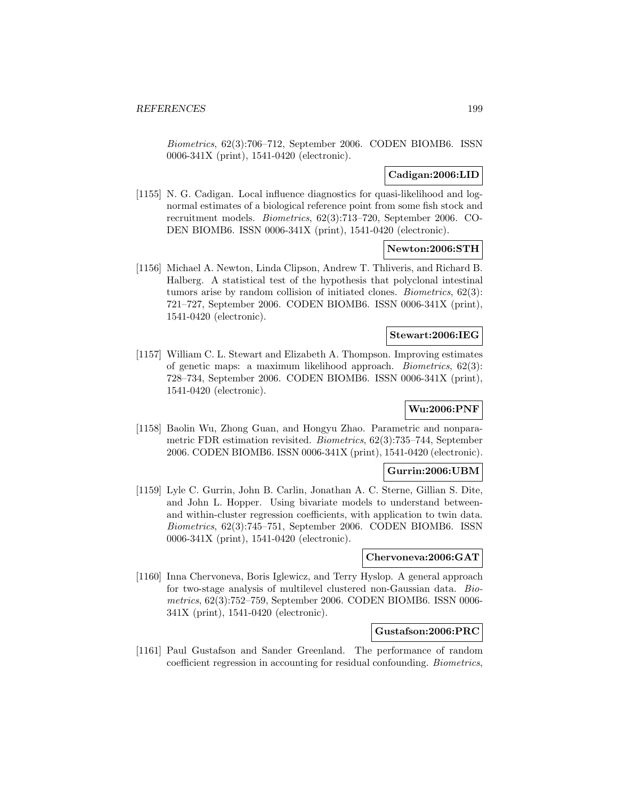Biometrics, 62(3):706–712, September 2006. CODEN BIOMB6. ISSN 0006-341X (print), 1541-0420 (electronic).

# **Cadigan:2006:LID**

[1155] N. G. Cadigan. Local influence diagnostics for quasi-likelihood and lognormal estimates of a biological reference point from some fish stock and recruitment models. Biometrics, 62(3):713–720, September 2006. CO-DEN BIOMB6. ISSN 0006-341X (print), 1541-0420 (electronic).

# **Newton:2006:STH**

[1156] Michael A. Newton, Linda Clipson, Andrew T. Thliveris, and Richard B. Halberg. A statistical test of the hypothesis that polyclonal intestinal tumors arise by random collision of initiated clones. Biometrics, 62(3): 721–727, September 2006. CODEN BIOMB6. ISSN 0006-341X (print), 1541-0420 (electronic).

## **Stewart:2006:IEG**

[1157] William C. L. Stewart and Elizabeth A. Thompson. Improving estimates of genetic maps: a maximum likelihood approach. Biometrics, 62(3): 728–734, September 2006. CODEN BIOMB6. ISSN 0006-341X (print), 1541-0420 (electronic).

# **Wu:2006:PNF**

[1158] Baolin Wu, Zhong Guan, and Hongyu Zhao. Parametric and nonparametric FDR estimation revisited. Biometrics, 62(3):735–744, September 2006. CODEN BIOMB6. ISSN 0006-341X (print), 1541-0420 (electronic).

### **Gurrin:2006:UBM**

[1159] Lyle C. Gurrin, John B. Carlin, Jonathan A. C. Sterne, Gillian S. Dite, and John L. Hopper. Using bivariate models to understand betweenand within-cluster regression coefficients, with application to twin data. Biometrics, 62(3):745–751, September 2006. CODEN BIOMB6. ISSN 0006-341X (print), 1541-0420 (electronic).

# **Chervoneva:2006:GAT**

[1160] Inna Chervoneva, Boris Iglewicz, and Terry Hyslop. A general approach for two-stage analysis of multilevel clustered non-Gaussian data. Biometrics, 62(3):752–759, September 2006. CODEN BIOMB6. ISSN 0006- 341X (print), 1541-0420 (electronic).

# **Gustafson:2006:PRC**

[1161] Paul Gustafson and Sander Greenland. The performance of random coefficient regression in accounting for residual confounding. Biometrics,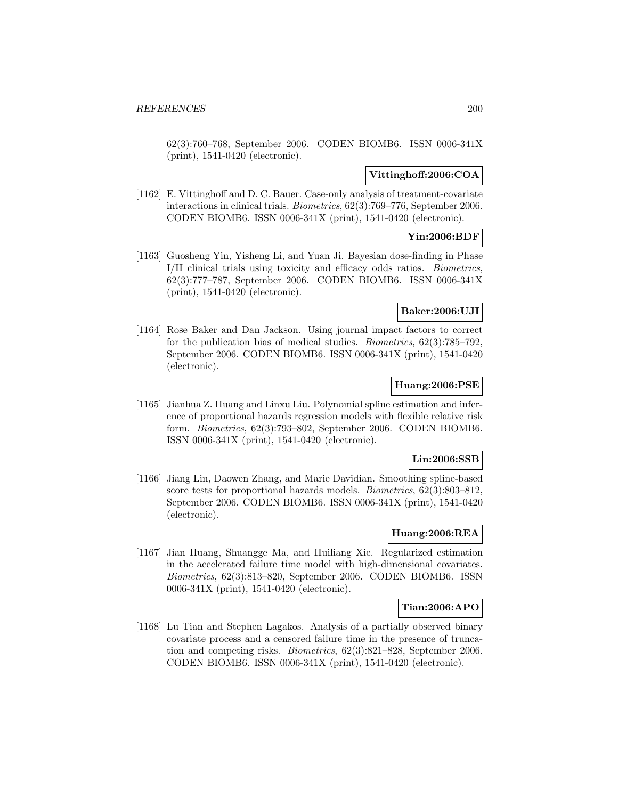62(3):760–768, September 2006. CODEN BIOMB6. ISSN 0006-341X (print), 1541-0420 (electronic).

# **Vittinghoff:2006:COA**

[1162] E. Vittinghoff and D. C. Bauer. Case-only analysis of treatment-covariate interactions in clinical trials. Biometrics, 62(3):769–776, September 2006. CODEN BIOMB6. ISSN 0006-341X (print), 1541-0420 (electronic).

# **Yin:2006:BDF**

[1163] Guosheng Yin, Yisheng Li, and Yuan Ji. Bayesian dose-finding in Phase I/II clinical trials using toxicity and efficacy odds ratios. Biometrics, 62(3):777–787, September 2006. CODEN BIOMB6. ISSN 0006-341X (print), 1541-0420 (electronic).

# **Baker:2006:UJI**

[1164] Rose Baker and Dan Jackson. Using journal impact factors to correct for the publication bias of medical studies. Biometrics, 62(3):785–792, September 2006. CODEN BIOMB6. ISSN 0006-341X (print), 1541-0420 (electronic).

# **Huang:2006:PSE**

[1165] Jianhua Z. Huang and Linxu Liu. Polynomial spline estimation and inference of proportional hazards regression models with flexible relative risk form. Biometrics, 62(3):793–802, September 2006. CODEN BIOMB6. ISSN 0006-341X (print), 1541-0420 (electronic).

# **Lin:2006:SSB**

[1166] Jiang Lin, Daowen Zhang, and Marie Davidian. Smoothing spline-based score tests for proportional hazards models. Biometrics, 62(3):803–812, September 2006. CODEN BIOMB6. ISSN 0006-341X (print), 1541-0420 (electronic).

# **Huang:2006:REA**

[1167] Jian Huang, Shuangge Ma, and Huiliang Xie. Regularized estimation in the accelerated failure time model with high-dimensional covariates. Biometrics, 62(3):813–820, September 2006. CODEN BIOMB6. ISSN 0006-341X (print), 1541-0420 (electronic).

# **Tian:2006:APO**

[1168] Lu Tian and Stephen Lagakos. Analysis of a partially observed binary covariate process and a censored failure time in the presence of truncation and competing risks. Biometrics, 62(3):821–828, September 2006. CODEN BIOMB6. ISSN 0006-341X (print), 1541-0420 (electronic).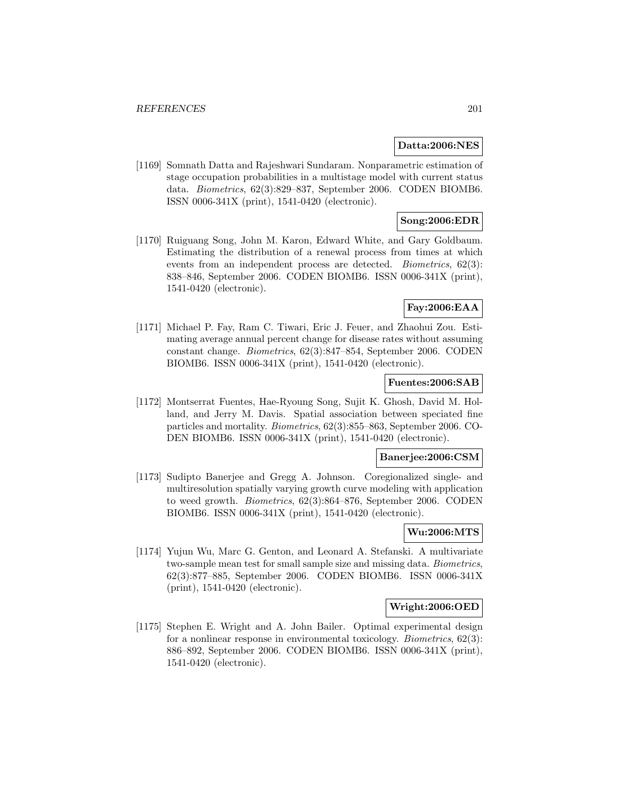# **Datta:2006:NES**

[1169] Somnath Datta and Rajeshwari Sundaram. Nonparametric estimation of stage occupation probabilities in a multistage model with current status data. Biometrics, 62(3):829–837, September 2006. CODEN BIOMB6. ISSN 0006-341X (print), 1541-0420 (electronic).

# **Song:2006:EDR**

[1170] Ruiguang Song, John M. Karon, Edward White, and Gary Goldbaum. Estimating the distribution of a renewal process from times at which events from an independent process are detected. Biometrics, 62(3): 838–846, September 2006. CODEN BIOMB6. ISSN 0006-341X (print), 1541-0420 (electronic).

# **Fay:2006:EAA**

[1171] Michael P. Fay, Ram C. Tiwari, Eric J. Feuer, and Zhaohui Zou. Estimating average annual percent change for disease rates without assuming constant change. Biometrics, 62(3):847–854, September 2006. CODEN BIOMB6. ISSN 0006-341X (print), 1541-0420 (electronic).

### **Fuentes:2006:SAB**

[1172] Montserrat Fuentes, Hae-Ryoung Song, Sujit K. Ghosh, David M. Holland, and Jerry M. Davis. Spatial association between speciated fine particles and mortality. Biometrics, 62(3):855–863, September 2006. CO-DEN BIOMB6. ISSN 0006-341X (print), 1541-0420 (electronic).

#### **Banerjee:2006:CSM**

[1173] Sudipto Banerjee and Gregg A. Johnson. Coregionalized single- and multiresolution spatially varying growth curve modeling with application to weed growth. Biometrics, 62(3):864–876, September 2006. CODEN BIOMB6. ISSN 0006-341X (print), 1541-0420 (electronic).

# **Wu:2006:MTS**

[1174] Yujun Wu, Marc G. Genton, and Leonard A. Stefanski. A multivariate two-sample mean test for small sample size and missing data. Biometrics, 62(3):877–885, September 2006. CODEN BIOMB6. ISSN 0006-341X (print), 1541-0420 (electronic).

# **Wright:2006:OED**

[1175] Stephen E. Wright and A. John Bailer. Optimal experimental design for a nonlinear response in environmental toxicology. Biometrics, 62(3): 886–892, September 2006. CODEN BIOMB6. ISSN 0006-341X (print), 1541-0420 (electronic).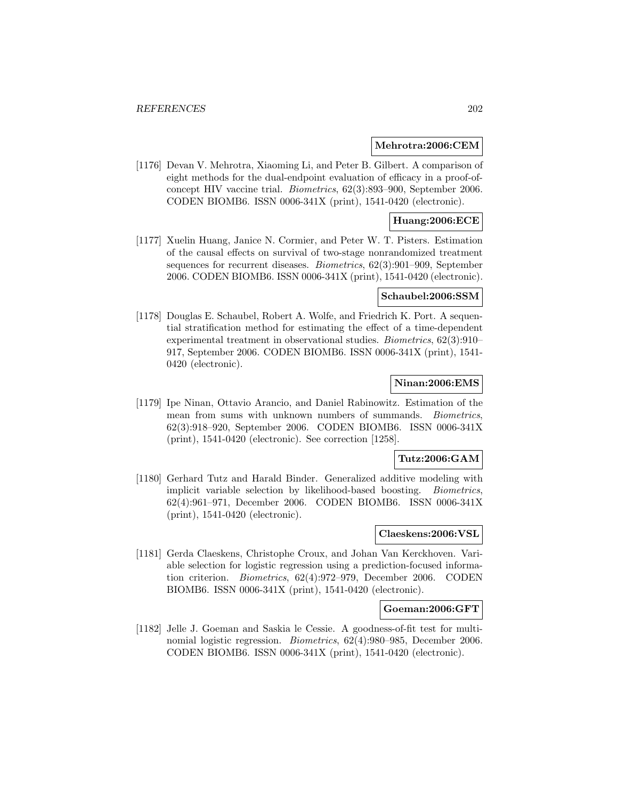### **Mehrotra:2006:CEM**

[1176] Devan V. Mehrotra, Xiaoming Li, and Peter B. Gilbert. A comparison of eight methods for the dual-endpoint evaluation of efficacy in a proof-ofconcept HIV vaccine trial. Biometrics, 62(3):893–900, September 2006. CODEN BIOMB6. ISSN 0006-341X (print), 1541-0420 (electronic).

# **Huang:2006:ECE**

[1177] Xuelin Huang, Janice N. Cormier, and Peter W. T. Pisters. Estimation of the causal effects on survival of two-stage nonrandomized treatment sequences for recurrent diseases. Biometrics, 62(3):901–909, September 2006. CODEN BIOMB6. ISSN 0006-341X (print), 1541-0420 (electronic).

# **Schaubel:2006:SSM**

[1178] Douglas E. Schaubel, Robert A. Wolfe, and Friedrich K. Port. A sequential stratification method for estimating the effect of a time-dependent experimental treatment in observational studies. Biometrics, 62(3):910– 917, September 2006. CODEN BIOMB6. ISSN 0006-341X (print), 1541- 0420 (electronic).

# **Ninan:2006:EMS**

[1179] Ipe Ninan, Ottavio Arancio, and Daniel Rabinowitz. Estimation of the mean from sums with unknown numbers of summands. Biometrics, 62(3):918–920, September 2006. CODEN BIOMB6. ISSN 0006-341X (print), 1541-0420 (electronic). See correction [1258].

# **Tutz:2006:GAM**

[1180] Gerhard Tutz and Harald Binder. Generalized additive modeling with implicit variable selection by likelihood-based boosting. Biometrics, 62(4):961–971, December 2006. CODEN BIOMB6. ISSN 0006-341X (print), 1541-0420 (electronic).

# **Claeskens:2006:VSL**

[1181] Gerda Claeskens, Christophe Croux, and Johan Van Kerckhoven. Variable selection for logistic regression using a prediction-focused information criterion. Biometrics, 62(4):972–979, December 2006. CODEN BIOMB6. ISSN 0006-341X (print), 1541-0420 (electronic).

# **Goeman:2006:GFT**

[1182] Jelle J. Goeman and Saskia le Cessie. A goodness-of-fit test for multinomial logistic regression. Biometrics, 62(4):980–985, December 2006. CODEN BIOMB6. ISSN 0006-341X (print), 1541-0420 (electronic).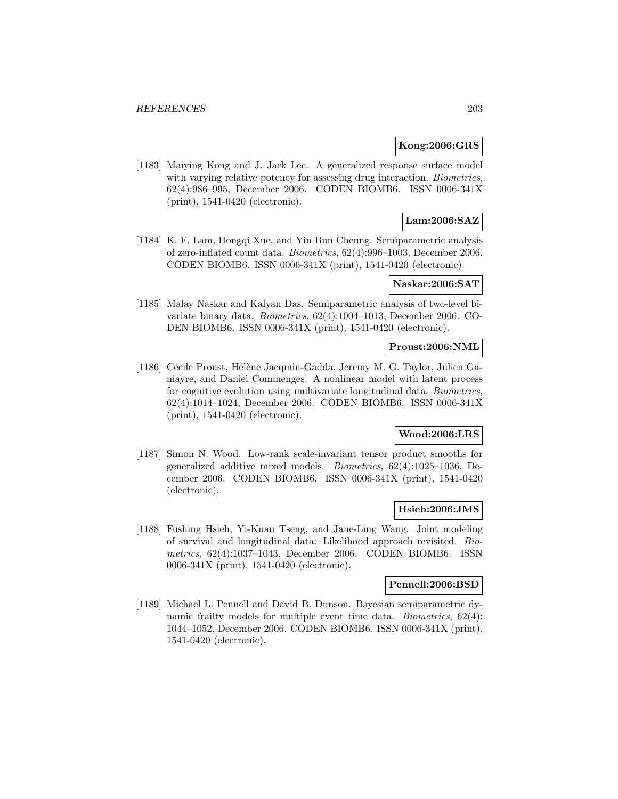# **Kong:2006:GRS**

[1183] Maiying Kong and J. Jack Lee. A generalized response surface model with varying relative potency for assessing drug interaction. Biometrics, 62(4):986–995, December 2006. CODEN BIOMB6. ISSN 0006-341X (print), 1541-0420 (electronic).

# **Lam:2006:SAZ**

[1184] K. F. Lam, Hongqi Xue, and Yin Bun Cheung. Semiparametric analysis of zero-inflated count data. Biometrics, 62(4):996–1003, December 2006. CODEN BIOMB6. ISSN 0006-341X (print), 1541-0420 (electronic).

# **Naskar:2006:SAT**

[1185] Malay Naskar and Kalyan Das. Semiparametric analysis of two-level bivariate binary data. Biometrics, 62(4):1004–1013, December 2006. CO-DEN BIOMB6. ISSN 0006-341X (print), 1541-0420 (electronic).

# **Proust:2006:NML**

[1186] Cécile Proust, Hélène Jacqmin-Gadda, Jeremy M. G. Taylor, Julien Ganiayre, and Daniel Commenges. A nonlinear model with latent process for cognitive evolution using multivariate longitudinal data. Biometrics, 62(4):1014–1024, December 2006. CODEN BIOMB6. ISSN 0006-341X (print), 1541-0420 (electronic).

# **Wood:2006:LRS**

[1187] Simon N. Wood. Low-rank scale-invariant tensor product smooths for generalized additive mixed models. Biometrics, 62(4):1025–1036, December 2006. CODEN BIOMB6. ISSN 0006-341X (print), 1541-0420 (electronic).

# **Hsieh:2006:JMS**

[1188] Fushing Hsieh, Yi-Kuan Tseng, and Jane-Ling Wang. Joint modeling of survival and longitudinal data: Likelihood approach revisited. Biometrics, 62(4):1037–1043, December 2006. CODEN BIOMB6. ISSN 0006-341X (print), 1541-0420 (electronic).

# **Pennell:2006:BSD**

[1189] Michael L. Pennell and David B. Dunson. Bayesian semiparametric dynamic frailty models for multiple event time data. Biometrics, 62(4): 1044–1052, December 2006. CODEN BIOMB6. ISSN 0006-341X (print), 1541-0420 (electronic).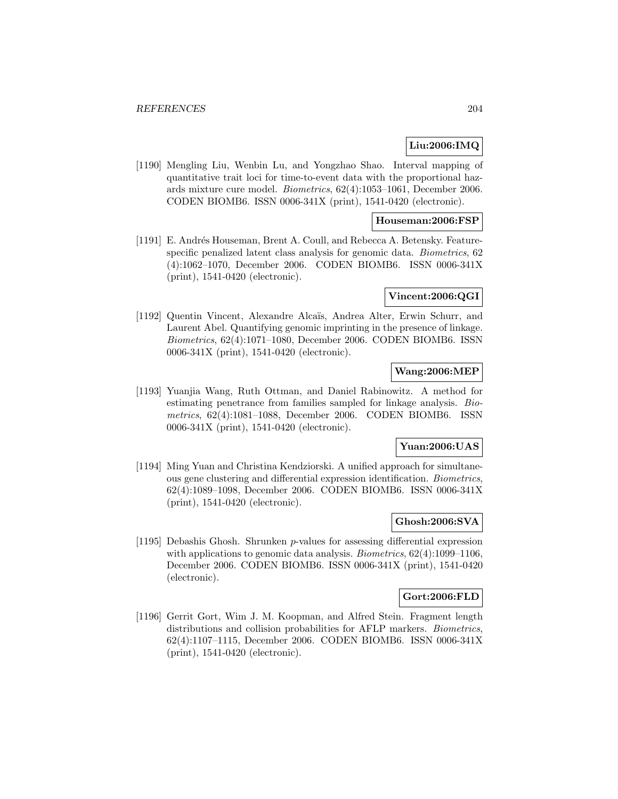# **Liu:2006:IMQ**

[1190] Mengling Liu, Wenbin Lu, and Yongzhao Shao. Interval mapping of quantitative trait loci for time-to-event data with the proportional hazards mixture cure model. Biometrics, 62(4):1053–1061, December 2006. CODEN BIOMB6. ISSN 0006-341X (print), 1541-0420 (electronic).

# **Houseman:2006:FSP**

[1191] E. Andrés Houseman, Brent A. Coull, and Rebecca A. Betensky. Featurespecific penalized latent class analysis for genomic data. Biometrics, 62 (4):1062–1070, December 2006. CODEN BIOMB6. ISSN 0006-341X (print), 1541-0420 (electronic).

## **Vincent:2006:QGI**

[1192] Quentin Vincent, Alexandre Alcaïs, Andrea Alter, Erwin Schurr, and Laurent Abel. Quantifying genomic imprinting in the presence of linkage. Biometrics, 62(4):1071–1080, December 2006. CODEN BIOMB6. ISSN 0006-341X (print), 1541-0420 (electronic).

# **Wang:2006:MEP**

[1193] Yuanjia Wang, Ruth Ottman, and Daniel Rabinowitz. A method for estimating penetrance from families sampled for linkage analysis. Biometrics, 62(4):1081–1088, December 2006. CODEN BIOMB6. ISSN 0006-341X (print), 1541-0420 (electronic).

# **Yuan:2006:UAS**

[1194] Ming Yuan and Christina Kendziorski. A unified approach for simultaneous gene clustering and differential expression identification. Biometrics, 62(4):1089–1098, December 2006. CODEN BIOMB6. ISSN 0006-341X (print), 1541-0420 (electronic).

# **Ghosh:2006:SVA**

[1195] Debashis Ghosh. Shrunken p-values for assessing differential expression with applications to genomic data analysis. *Biometrics*,  $62(4):1099-1106$ , December 2006. CODEN BIOMB6. ISSN 0006-341X (print), 1541-0420 (electronic).

## **Gort:2006:FLD**

[1196] Gerrit Gort, Wim J. M. Koopman, and Alfred Stein. Fragment length distributions and collision probabilities for AFLP markers. *Biometrics*, 62(4):1107–1115, December 2006. CODEN BIOMB6. ISSN 0006-341X (print), 1541-0420 (electronic).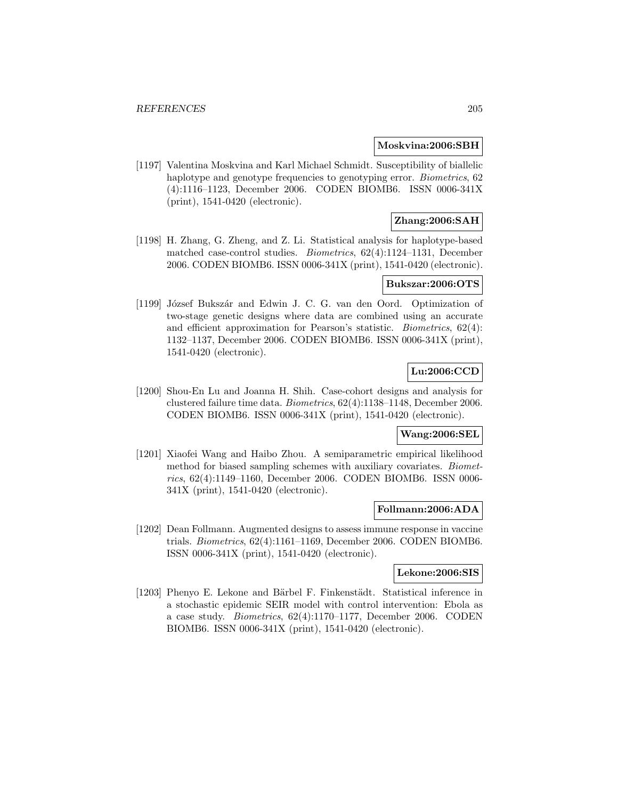#### **Moskvina:2006:SBH**

[1197] Valentina Moskvina and Karl Michael Schmidt. Susceptibility of biallelic haplotype and genotype frequencies to genotyping error. *Biometrics*, 62 (4):1116–1123, December 2006. CODEN BIOMB6. ISSN 0006-341X (print), 1541-0420 (electronic).

# **Zhang:2006:SAH**

[1198] H. Zhang, G. Zheng, and Z. Li. Statistical analysis for haplotype-based matched case-control studies. Biometrics, 62(4):1124–1131, December 2006. CODEN BIOMB6. ISSN 0006-341X (print), 1541-0420 (electronic).

### **Bukszar:2006:OTS**

[1199] József Bukszár and Edwin J. C. G. van den Oord. Optimization of two-stage genetic designs where data are combined using an accurate and efficient approximation for Pearson's statistic. Biometrics, 62(4): 1132–1137, December 2006. CODEN BIOMB6. ISSN 0006-341X (print), 1541-0420 (electronic).

# **Lu:2006:CCD**

[1200] Shou-En Lu and Joanna H. Shih. Case-cohort designs and analysis for clustered failure time data. Biometrics, 62(4):1138–1148, December 2006. CODEN BIOMB6. ISSN 0006-341X (print), 1541-0420 (electronic).

# **Wang:2006:SEL**

[1201] Xiaofei Wang and Haibo Zhou. A semiparametric empirical likelihood method for biased sampling schemes with auxiliary covariates. Biometrics, 62(4):1149–1160, December 2006. CODEN BIOMB6. ISSN 0006- 341X (print), 1541-0420 (electronic).

#### **Follmann:2006:ADA**

[1202] Dean Follmann. Augmented designs to assess immune response in vaccine trials. Biometrics, 62(4):1161–1169, December 2006. CODEN BIOMB6. ISSN 0006-341X (print), 1541-0420 (electronic).

## **Lekone:2006:SIS**

[1203] Phenyo E. Lekone and Bärbel F. Finkenstädt. Statistical inference in a stochastic epidemic SEIR model with control intervention: Ebola as a case study. Biometrics, 62(4):1170–1177, December 2006. CODEN BIOMB6. ISSN 0006-341X (print), 1541-0420 (electronic).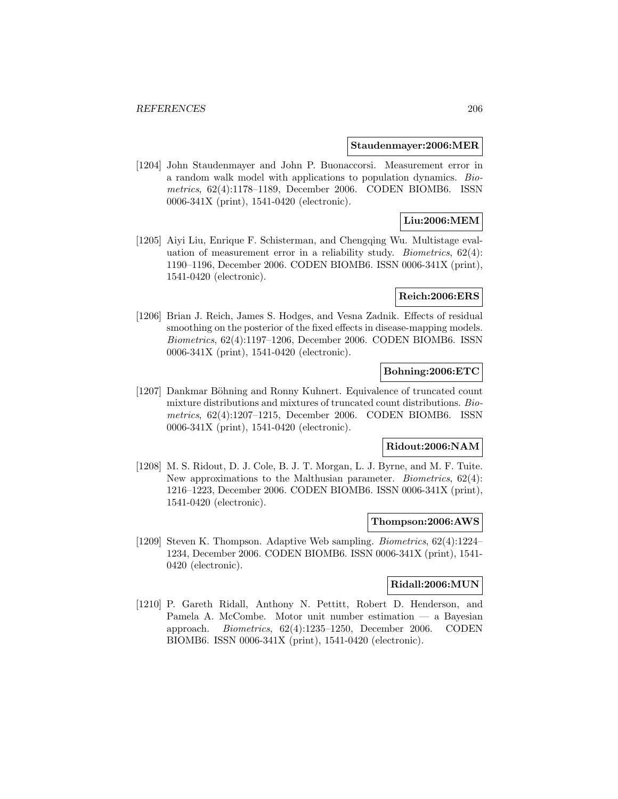#### **Staudenmayer:2006:MER**

[1204] John Staudenmayer and John P. Buonaccorsi. Measurement error in a random walk model with applications to population dynamics. Biometrics, 62(4):1178–1189, December 2006. CODEN BIOMB6. ISSN 0006-341X (print), 1541-0420 (electronic).

# **Liu:2006:MEM**

[1205] Aiyi Liu, Enrique F. Schisterman, and Chengqing Wu. Multistage evaluation of measurement error in a reliability study. *Biometrics*,  $62(4)$ : 1190–1196, December 2006. CODEN BIOMB6. ISSN 0006-341X (print), 1541-0420 (electronic).

## **Reich:2006:ERS**

[1206] Brian J. Reich, James S. Hodges, and Vesna Zadnik. Effects of residual smoothing on the posterior of the fixed effects in disease-mapping models. Biometrics, 62(4):1197–1206, December 2006. CODEN BIOMB6. ISSN 0006-341X (print), 1541-0420 (electronic).

# **Bohning:2006:ETC**

[1207] Dankmar Böhning and Ronny Kuhnert. Equivalence of truncated count mixture distributions and mixtures of truncated count distributions. Biometrics, 62(4):1207–1215, December 2006. CODEN BIOMB6. ISSN 0006-341X (print), 1541-0420 (electronic).

### **Ridout:2006:NAM**

[1208] M. S. Ridout, D. J. Cole, B. J. T. Morgan, L. J. Byrne, and M. F. Tuite. New approximations to the Malthusian parameter. Biometrics, 62(4): 1216–1223, December 2006. CODEN BIOMB6. ISSN 0006-341X (print), 1541-0420 (electronic).

# **Thompson:2006:AWS**

[1209] Steven K. Thompson. Adaptive Web sampling. Biometrics, 62(4):1224– 1234, December 2006. CODEN BIOMB6. ISSN 0006-341X (print), 1541- 0420 (electronic).

# **Ridall:2006:MUN**

[1210] P. Gareth Ridall, Anthony N. Pettitt, Robert D. Henderson, and Pamela A. McCombe. Motor unit number estimation — a Bayesian approach. Biometrics, 62(4):1235–1250, December 2006. CODEN BIOMB6. ISSN 0006-341X (print), 1541-0420 (electronic).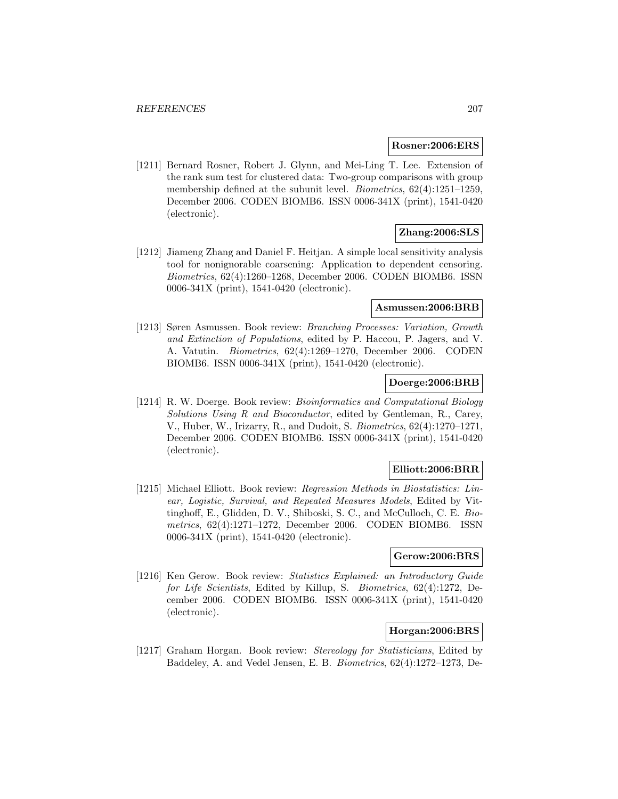### **Rosner:2006:ERS**

[1211] Bernard Rosner, Robert J. Glynn, and Mei-Ling T. Lee. Extension of the rank sum test for clustered data: Two-group comparisons with group membership defined at the subunit level. Biometrics, 62(4):1251–1259, December 2006. CODEN BIOMB6. ISSN 0006-341X (print), 1541-0420 (electronic).

# **Zhang:2006:SLS**

[1212] Jiameng Zhang and Daniel F. Heitjan. A simple local sensitivity analysis tool for nonignorable coarsening: Application to dependent censoring. Biometrics, 62(4):1260–1268, December 2006. CODEN BIOMB6. ISSN 0006-341X (print), 1541-0420 (electronic).

### **Asmussen:2006:BRB**

[1213] Søren Asmussen. Book review: Branching Processes: Variation, Growth and Extinction of Populations, edited by P. Haccou, P. Jagers, and V. A. Vatutin. Biometrics, 62(4):1269–1270, December 2006. CODEN BIOMB6. ISSN 0006-341X (print), 1541-0420 (electronic).

# **Doerge:2006:BRB**

[1214] R. W. Doerge. Book review: Bioinformatics and Computational Biology Solutions Using R and Bioconductor, edited by Gentleman, R., Carey, V., Huber, W., Irizarry, R., and Dudoit, S. Biometrics, 62(4):1270–1271, December 2006. CODEN BIOMB6. ISSN 0006-341X (print), 1541-0420 (electronic).

# **Elliott:2006:BRR**

[1215] Michael Elliott. Book review: Regression Methods in Biostatistics: Linear, Logistic, Survival, and Repeated Measures Models, Edited by Vittinghoff, E., Glidden, D. V., Shiboski, S. C., and McCulloch, C. E. Biometrics, 62(4):1271–1272, December 2006. CODEN BIOMB6. ISSN 0006-341X (print), 1541-0420 (electronic).

# **Gerow:2006:BRS**

[1216] Ken Gerow. Book review: Statistics Explained: an Introductory Guide for Life Scientists, Edited by Killup, S. Biometrics, 62(4):1272, December 2006. CODEN BIOMB6. ISSN 0006-341X (print), 1541-0420 (electronic).

# **Horgan:2006:BRS**

[1217] Graham Horgan. Book review: Stereology for Statisticians, Edited by Baddeley, A. and Vedel Jensen, E. B. Biometrics, 62(4):1272–1273, De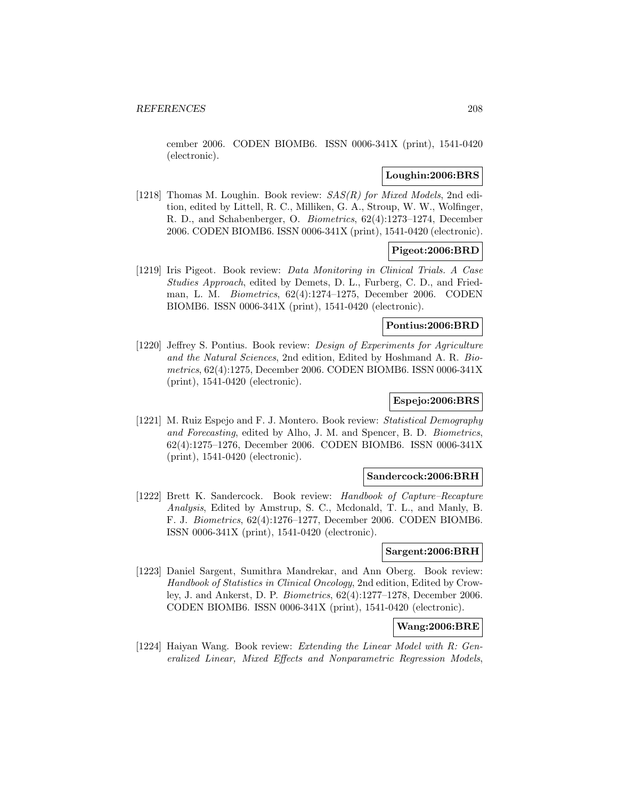cember 2006. CODEN BIOMB6. ISSN 0006-341X (print), 1541-0420 (electronic).

# **Loughin:2006:BRS**

[1218] Thomas M. Loughin. Book review:  $SAS(R)$  for Mixed Models, 2nd edition, edited by Littell, R. C., Milliken, G. A., Stroup, W. W., Wolfinger, R. D., and Schabenberger, O. Biometrics, 62(4):1273–1274, December 2006. CODEN BIOMB6. ISSN 0006-341X (print), 1541-0420 (electronic).

# **Pigeot:2006:BRD**

[1219] Iris Pigeot. Book review: Data Monitoring in Clinical Trials. A Case Studies Approach, edited by Demets, D. L., Furberg, C. D., and Friedman, L. M. Biometrics, 62(4):1274–1275, December 2006. CODEN BIOMB6. ISSN 0006-341X (print), 1541-0420 (electronic).

### **Pontius:2006:BRD**

[1220] Jeffrey S. Pontius. Book review: Design of Experiments for Agriculture and the Natural Sciences, 2nd edition, Edited by Hoshmand A. R. Biometrics, 62(4):1275, December 2006. CODEN BIOMB6. ISSN 0006-341X (print), 1541-0420 (electronic).

# **Espejo:2006:BRS**

[1221] M. Ruiz Espejo and F. J. Montero. Book review: Statistical Demography and Forecasting, edited by Alho, J. M. and Spencer, B. D. Biometrics, 62(4):1275–1276, December 2006. CODEN BIOMB6. ISSN 0006-341X (print), 1541-0420 (electronic).

#### **Sandercock:2006:BRH**

[1222] Brett K. Sandercock. Book review: Handbook of Capture–Recapture Analysis, Edited by Amstrup, S. C., Mcdonald, T. L., and Manly, B. F. J. Biometrics, 62(4):1276–1277, December 2006. CODEN BIOMB6. ISSN 0006-341X (print), 1541-0420 (electronic).

## **Sargent:2006:BRH**

[1223] Daniel Sargent, Sumithra Mandrekar, and Ann Oberg. Book review: Handbook of Statistics in Clinical Oncology, 2nd edition, Edited by Crowley, J. and Ankerst, D. P. Biometrics, 62(4):1277–1278, December 2006. CODEN BIOMB6. ISSN 0006-341X (print), 1541-0420 (electronic).

# **Wang:2006:BRE**

[1224] Haiyan Wang. Book review: Extending the Linear Model with R: Generalized Linear, Mixed Effects and Nonparametric Regression Models,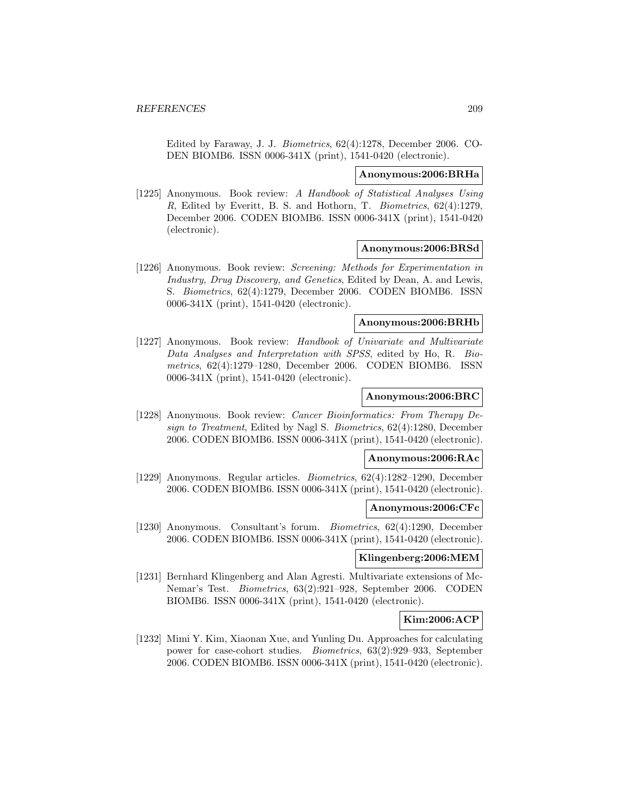Edited by Faraway, J. J. Biometrics, 62(4):1278, December 2006. CO-DEN BIOMB6. ISSN 0006-341X (print), 1541-0420 (electronic).

### **Anonymous:2006:BRHa**

[1225] Anonymous. Book review: A Handbook of Statistical Analyses Using R, Edited by Everitt, B. S. and Hothorn, T. Biometrics, 62(4):1279, December 2006. CODEN BIOMB6. ISSN 0006-341X (print), 1541-0420 (electronic).

## **Anonymous:2006:BRSd**

[1226] Anonymous. Book review: Screening: Methods for Experimentation in Industry, Drug Discovery, and Genetics, Edited by Dean, A. and Lewis, S. Biometrics, 62(4):1279, December 2006. CODEN BIOMB6. ISSN 0006-341X (print), 1541-0420 (electronic).

# **Anonymous:2006:BRHb**

[1227] Anonymous. Book review: Handbook of Univariate and Multivariate Data Analyses and Interpretation with SPSS, edited by Ho, R. Biometrics, 62(4):1279–1280, December 2006. CODEN BIOMB6. ISSN 0006-341X (print), 1541-0420 (electronic).

#### **Anonymous:2006:BRC**

[1228] Anonymous. Book review: Cancer Bioinformatics: From Therapy Design to Treatment, Edited by Nagl S. Biometrics, 62(4):1280, December 2006. CODEN BIOMB6. ISSN 0006-341X (print), 1541-0420 (electronic).

# **Anonymous:2006:RAc**

[1229] Anonymous. Regular articles. Biometrics, 62(4):1282–1290, December 2006. CODEN BIOMB6. ISSN 0006-341X (print), 1541-0420 (electronic).

#### **Anonymous:2006:CFc**

[1230] Anonymous. Consultant's forum. Biometrics, 62(4):1290, December 2006. CODEN BIOMB6. ISSN 0006-341X (print), 1541-0420 (electronic).

# **Klingenberg:2006:MEM**

[1231] Bernhard Klingenberg and Alan Agresti. Multivariate extensions of Mc-Nemar's Test. Biometrics, 63(2):921–928, September 2006. CODEN BIOMB6. ISSN 0006-341X (print), 1541-0420 (electronic).

# **Kim:2006:ACP**

[1232] Mimi Y. Kim, Xiaonan Xue, and Yunling Du. Approaches for calculating power for case-cohort studies. Biometrics, 63(2):929–933, September 2006. CODEN BIOMB6. ISSN 0006-341X (print), 1541-0420 (electronic).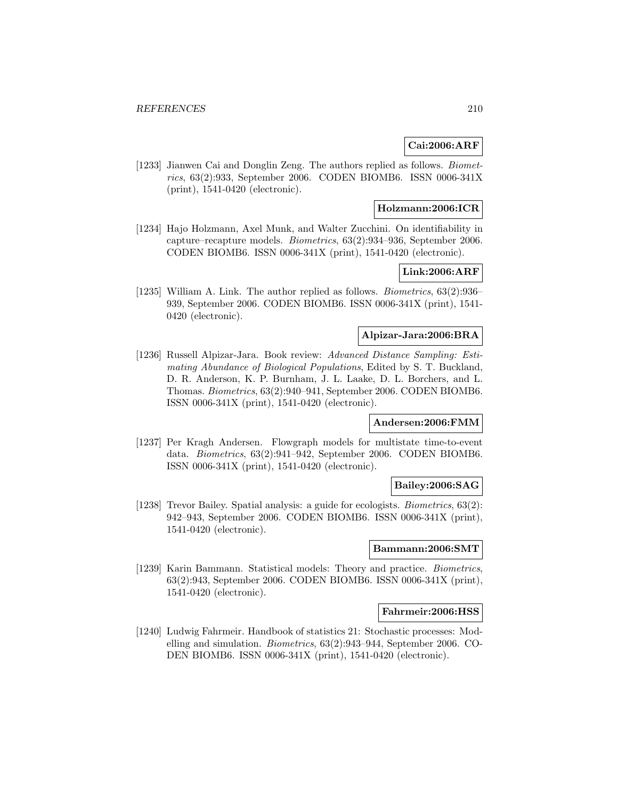# **Cai:2006:ARF**

[1233] Jianwen Cai and Donglin Zeng. The authors replied as follows. *Biomet*rics, 63(2):933, September 2006. CODEN BIOMB6. ISSN 0006-341X (print), 1541-0420 (electronic).

# **Holzmann:2006:ICR**

[1234] Hajo Holzmann, Axel Munk, and Walter Zucchini. On identifiability in capture–recapture models. Biometrics, 63(2):934–936, September 2006. CODEN BIOMB6. ISSN 0006-341X (print), 1541-0420 (electronic).

# **Link:2006:ARF**

[1235] William A. Link. The author replied as follows. Biometrics, 63(2):936– 939, September 2006. CODEN BIOMB6. ISSN 0006-341X (print), 1541- 0420 (electronic).

# **Alpizar-Jara:2006:BRA**

[1236] Russell Alpizar-Jara. Book review: Advanced Distance Sampling: Estimating Abundance of Biological Populations, Edited by S. T. Buckland, D. R. Anderson, K. P. Burnham, J. L. Laake, D. L. Borchers, and L. Thomas. Biometrics, 63(2):940–941, September 2006. CODEN BIOMB6. ISSN 0006-341X (print), 1541-0420 (electronic).

### **Andersen:2006:FMM**

[1237] Per Kragh Andersen. Flowgraph models for multistate time-to-event data. Biometrics, 63(2):941–942, September 2006. CODEN BIOMB6. ISSN 0006-341X (print), 1541-0420 (electronic).

# **Bailey:2006:SAG**

[1238] Trevor Bailey. Spatial analysis: a guide for ecologists. Biometrics, 63(2): 942–943, September 2006. CODEN BIOMB6. ISSN 0006-341X (print), 1541-0420 (electronic).

# **Bammann:2006:SMT**

[1239] Karin Bammann. Statistical models: Theory and practice. Biometrics, 63(2):943, September 2006. CODEN BIOMB6. ISSN 0006-341X (print), 1541-0420 (electronic).

#### **Fahrmeir:2006:HSS**

[1240] Ludwig Fahrmeir. Handbook of statistics 21: Stochastic processes: Modelling and simulation. Biometrics, 63(2):943–944, September 2006. CO-DEN BIOMB6. ISSN 0006-341X (print), 1541-0420 (electronic).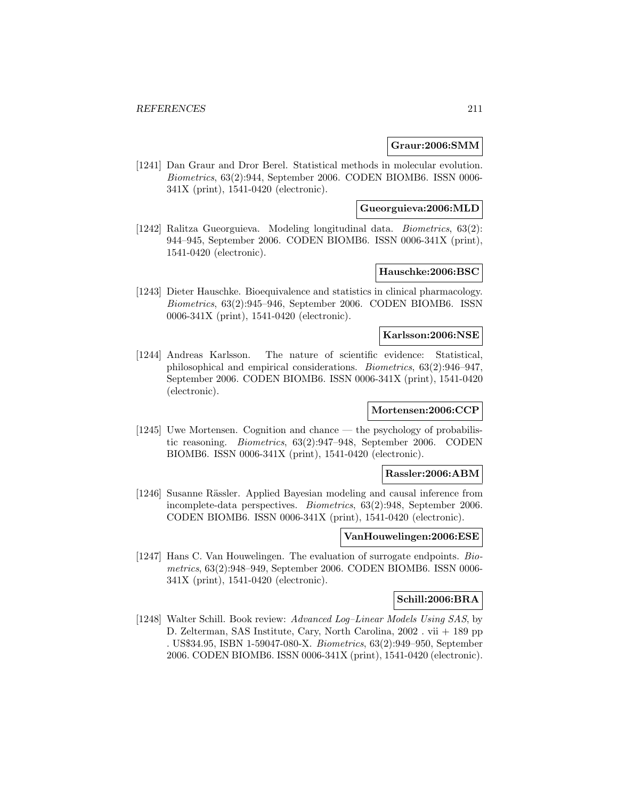## **Graur:2006:SMM**

[1241] Dan Graur and Dror Berel. Statistical methods in molecular evolution. Biometrics, 63(2):944, September 2006. CODEN BIOMB6. ISSN 0006- 341X (print), 1541-0420 (electronic).

**Gueorguieva:2006:MLD**

[1242] Ralitza Gueorguieva. Modeling longitudinal data. Biometrics, 63(2): 944–945, September 2006. CODEN BIOMB6. ISSN 0006-341X (print), 1541-0420 (electronic).

# **Hauschke:2006:BSC**

[1243] Dieter Hauschke. Bioequivalence and statistics in clinical pharmacology. Biometrics, 63(2):945–946, September 2006. CODEN BIOMB6. ISSN 0006-341X (print), 1541-0420 (electronic).

## **Karlsson:2006:NSE**

[1244] Andreas Karlsson. The nature of scientific evidence: Statistical, philosophical and empirical considerations. Biometrics, 63(2):946–947, September 2006. CODEN BIOMB6. ISSN 0006-341X (print), 1541-0420 (electronic).

## **Mortensen:2006:CCP**

[1245] Uwe Mortensen. Cognition and chance — the psychology of probabilistic reasoning. Biometrics, 63(2):947–948, September 2006. CODEN BIOMB6. ISSN 0006-341X (print), 1541-0420 (electronic).

#### **Rassler:2006:ABM**

[1246] Susanne Rässler. Applied Bayesian modeling and causal inference from incomplete-data perspectives. Biometrics, 63(2):948, September 2006. CODEN BIOMB6. ISSN 0006-341X (print), 1541-0420 (electronic).

# **VanHouwelingen:2006:ESE**

[1247] Hans C. Van Houwelingen. The evaluation of surrogate endpoints. Biometrics, 63(2):948–949, September 2006. CODEN BIOMB6. ISSN 0006- 341X (print), 1541-0420 (electronic).

# **Schill:2006:BRA**

[1248] Walter Schill. Book review: Advanced Log–Linear Models Using SAS, by D. Zelterman, SAS Institute, Cary, North Carolina, 2002 . vii + 189 pp . US\$34.95, ISBN 1-59047-080-X. Biometrics, 63(2):949–950, September 2006. CODEN BIOMB6. ISSN 0006-341X (print), 1541-0420 (electronic).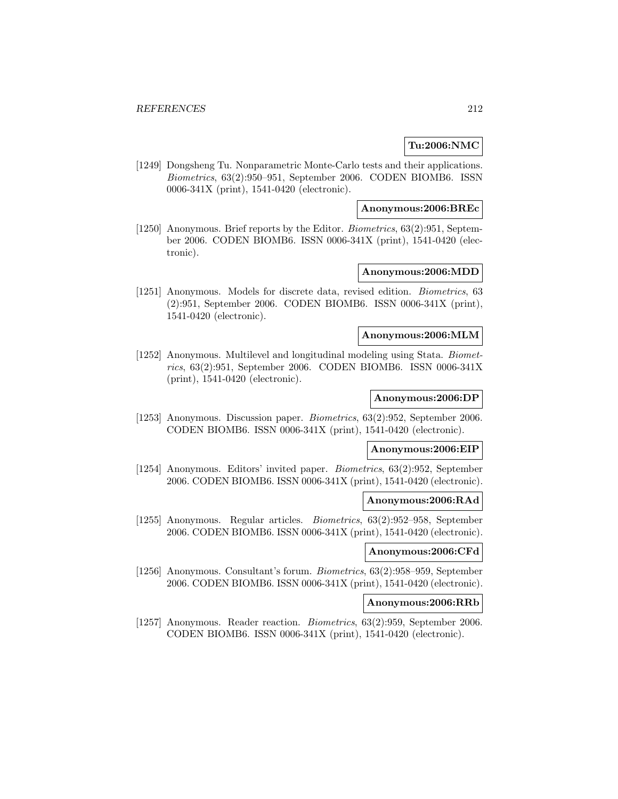# **Tu:2006:NMC**

[1249] Dongsheng Tu. Nonparametric Monte-Carlo tests and their applications. Biometrics, 63(2):950–951, September 2006. CODEN BIOMB6. ISSN 0006-341X (print), 1541-0420 (electronic).

### **Anonymous:2006:BREc**

[1250] Anonymous. Brief reports by the Editor. Biometrics, 63(2):951, September 2006. CODEN BIOMB6. ISSN 0006-341X (print), 1541-0420 (electronic).

# **Anonymous:2006:MDD**

[1251] Anonymous. Models for discrete data, revised edition. Biometrics, 63 (2):951, September 2006. CODEN BIOMB6. ISSN 0006-341X (print), 1541-0420 (electronic).

## **Anonymous:2006:MLM**

[1252] Anonymous. Multilevel and longitudinal modeling using Stata. Biometrics, 63(2):951, September 2006. CODEN BIOMB6. ISSN 0006-341X (print), 1541-0420 (electronic).

## **Anonymous:2006:DP**

[1253] Anonymous. Discussion paper. Biometrics, 63(2):952, September 2006. CODEN BIOMB6. ISSN 0006-341X (print), 1541-0420 (electronic).

# **Anonymous:2006:EIP**

[1254] Anonymous. Editors' invited paper. Biometrics, 63(2):952, September 2006. CODEN BIOMB6. ISSN 0006-341X (print), 1541-0420 (electronic).

## **Anonymous:2006:RAd**

[1255] Anonymous. Regular articles. Biometrics, 63(2):952–958, September 2006. CODEN BIOMB6. ISSN 0006-341X (print), 1541-0420 (electronic).

### **Anonymous:2006:CFd**

[1256] Anonymous. Consultant's forum. Biometrics, 63(2):958–959, September 2006. CODEN BIOMB6. ISSN 0006-341X (print), 1541-0420 (electronic).

## **Anonymous:2006:RRb**

[1257] Anonymous. Reader reaction. Biometrics, 63(2):959, September 2006. CODEN BIOMB6. ISSN 0006-341X (print), 1541-0420 (electronic).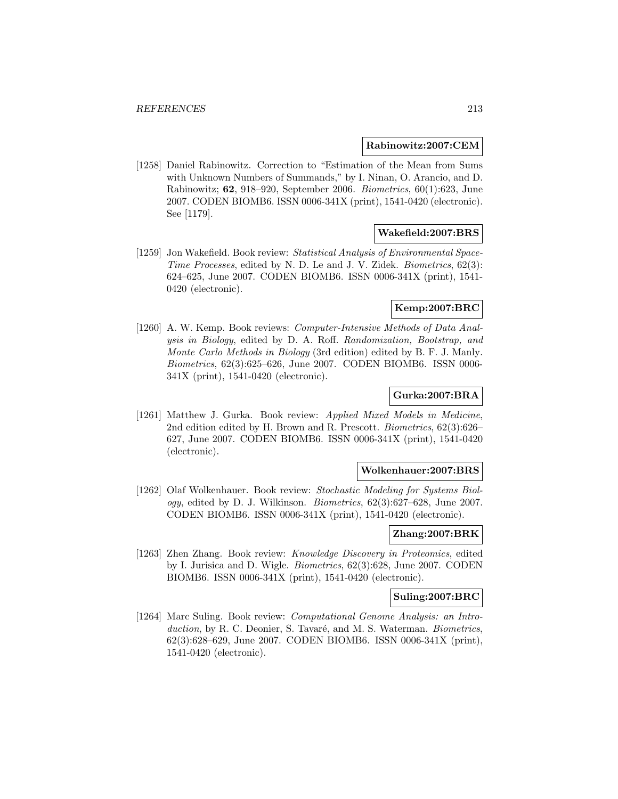### **Rabinowitz:2007:CEM**

[1258] Daniel Rabinowitz. Correction to "Estimation of the Mean from Sums with Unknown Numbers of Summands," by I. Ninan, O. Arancio, and D. Rabinowitz; **62**, 918–920, September 2006. Biometrics, 60(1):623, June 2007. CODEN BIOMB6. ISSN 0006-341X (print), 1541-0420 (electronic). See [1179].

# **Wakefield:2007:BRS**

[1259] Jon Wakefield. Book review: Statistical Analysis of Environmental Space-Time Processes, edited by N. D. Le and J. V. Zidek. Biometrics, 62(3): 624–625, June 2007. CODEN BIOMB6. ISSN 0006-341X (print), 1541- 0420 (electronic).

# **Kemp:2007:BRC**

[1260] A. W. Kemp. Book reviews: *Computer-Intensive Methods of Data Anal*ysis in Biology, edited by D. A. Roff. Randomization, Bootstrap, and Monte Carlo Methods in Biology (3rd edition) edited by B. F. J. Manly. Biometrics, 62(3):625–626, June 2007. CODEN BIOMB6. ISSN 0006- 341X (print), 1541-0420 (electronic).

# **Gurka:2007:BRA**

[1261] Matthew J. Gurka. Book review: Applied Mixed Models in Medicine, 2nd edition edited by H. Brown and R. Prescott. Biometrics, 62(3):626– 627, June 2007. CODEN BIOMB6. ISSN 0006-341X (print), 1541-0420 (electronic).

### **Wolkenhauer:2007:BRS**

[1262] Olaf Wolkenhauer. Book review: Stochastic Modeling for Systems Biol*ogy*, edited by D. J. Wilkinson. *Biometrics*,  $62(3):627-628$ , June 2007. CODEN BIOMB6. ISSN 0006-341X (print), 1541-0420 (electronic).

# **Zhang:2007:BRK**

[1263] Zhen Zhang. Book review: Knowledge Discovery in Proteomics, edited by I. Jurisica and D. Wigle. Biometrics, 62(3):628, June 2007. CODEN BIOMB6. ISSN 0006-341X (print), 1541-0420 (electronic).

### **Suling:2007:BRC**

[1264] Marc Suling. Book review: Computational Genome Analysis: an Introduction, by R. C. Deonier, S. Tavaré, and M. S. Waterman. Biometrics, 62(3):628–629, June 2007. CODEN BIOMB6. ISSN 0006-341X (print), 1541-0420 (electronic).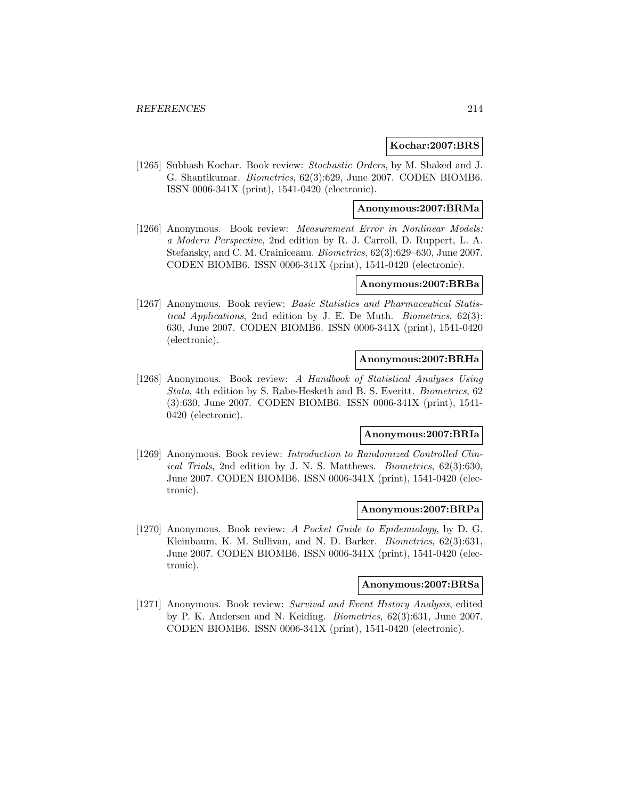### **Kochar:2007:BRS**

[1265] Subhash Kochar. Book review: Stochastic Orders, by M. Shaked and J. G. Shantikumar. Biometrics, 62(3):629, June 2007. CODEN BIOMB6. ISSN 0006-341X (print), 1541-0420 (electronic).

### **Anonymous:2007:BRMa**

[1266] Anonymous. Book review: Measurement Error in Nonlinear Models: a Modern Perspective, 2nd edition by R. J. Carroll, D. Ruppert, L. A. Stefansky, and C. M. Crainiceanu. Biometrics, 62(3):629–630, June 2007. CODEN BIOMB6. ISSN 0006-341X (print), 1541-0420 (electronic).

## **Anonymous:2007:BRBa**

[1267] Anonymous. Book review: Basic Statistics and Pharmaceutical Statistical Applications, 2nd edition by J. E. De Muth. Biometrics, 62(3): 630, June 2007. CODEN BIOMB6. ISSN 0006-341X (print), 1541-0420 (electronic).

## **Anonymous:2007:BRHa**

[1268] Anonymous. Book review: A Handbook of Statistical Analyses Using Stata, 4th edition by S. Rabe-Hesketh and B. S. Everitt. Biometrics, 62 (3):630, June 2007. CODEN BIOMB6. ISSN 0006-341X (print), 1541- 0420 (electronic).

# **Anonymous:2007:BRIa**

[1269] Anonymous. Book review: *Introduction to Randomized Controlled Clin*ical Trials, 2nd edition by J. N. S. Matthews. Biometrics, 62(3):630, June 2007. CODEN BIOMB6. ISSN 0006-341X (print), 1541-0420 (electronic).

#### **Anonymous:2007:BRPa**

[1270] Anonymous. Book review: A Pocket Guide to Epidemiology, by D. G. Kleinbaum, K. M. Sullivan, and N. D. Barker. Biometrics, 62(3):631, June 2007. CODEN BIOMB6. ISSN 0006-341X (print), 1541-0420 (electronic).

## **Anonymous:2007:BRSa**

[1271] Anonymous. Book review: Survival and Event History Analysis, edited by P. K. Andersen and N. Keiding. Biometrics, 62(3):631, June 2007. CODEN BIOMB6. ISSN 0006-341X (print), 1541-0420 (electronic).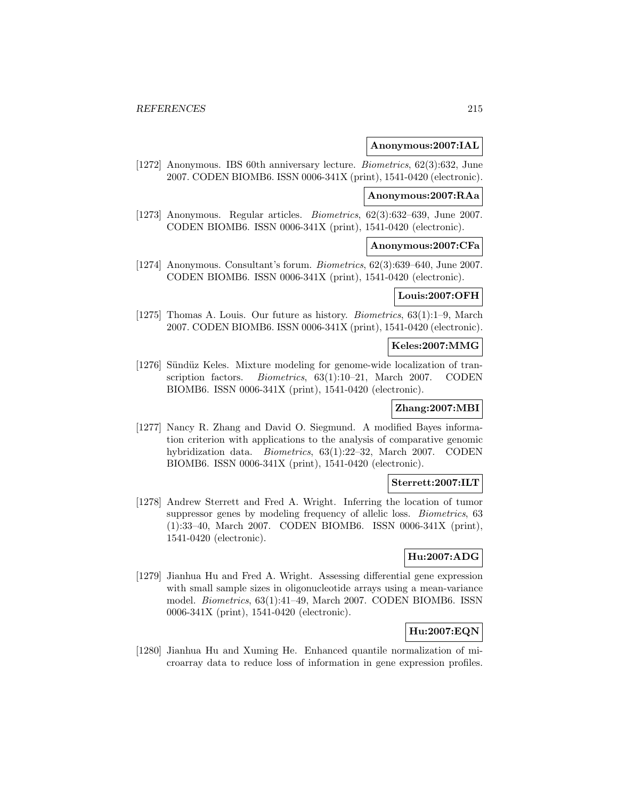## **Anonymous:2007:IAL**

[1272] Anonymous. IBS 60th anniversary lecture. Biometrics, 62(3):632, June 2007. CODEN BIOMB6. ISSN 0006-341X (print), 1541-0420 (electronic).

# **Anonymous:2007:RAa**

[1273] Anonymous. Regular articles. Biometrics, 62(3):632–639, June 2007. CODEN BIOMB6. ISSN 0006-341X (print), 1541-0420 (electronic).

## **Anonymous:2007:CFa**

[1274] Anonymous. Consultant's forum. Biometrics, 62(3):639–640, June 2007. CODEN BIOMB6. ISSN 0006-341X (print), 1541-0420 (electronic).

## **Louis:2007:OFH**

[1275] Thomas A. Louis. Our future as history. Biometrics, 63(1):1–9, March 2007. CODEN BIOMB6. ISSN 0006-341X (print), 1541-0420 (electronic).

# **Keles:2007:MMG**

[1276] Sündüz Keles. Mixture modeling for genome-wide localization of transcription factors. *Biometrics*, 63(1):10-21, March 2007. CODEN BIOMB6. ISSN 0006-341X (print), 1541-0420 (electronic).

# **Zhang:2007:MBI**

[1277] Nancy R. Zhang and David O. Siegmund. A modified Bayes information criterion with applications to the analysis of comparative genomic hybridization data. Biometrics, 63(1):22–32, March 2007. CODEN BIOMB6. ISSN 0006-341X (print), 1541-0420 (electronic).

### **Sterrett:2007:ILT**

[1278] Andrew Sterrett and Fred A. Wright. Inferring the location of tumor suppressor genes by modeling frequency of allelic loss. *Biometrics*, 63 (1):33–40, March 2007. CODEN BIOMB6. ISSN 0006-341X (print), 1541-0420 (electronic).

# **Hu:2007:ADG**

[1279] Jianhua Hu and Fred A. Wright. Assessing differential gene expression with small sample sizes in oligonucleotide arrays using a mean-variance model. Biometrics, 63(1):41–49, March 2007. CODEN BIOMB6. ISSN 0006-341X (print), 1541-0420 (electronic).

# **Hu:2007:EQN**

[1280] Jianhua Hu and Xuming He. Enhanced quantile normalization of microarray data to reduce loss of information in gene expression profiles.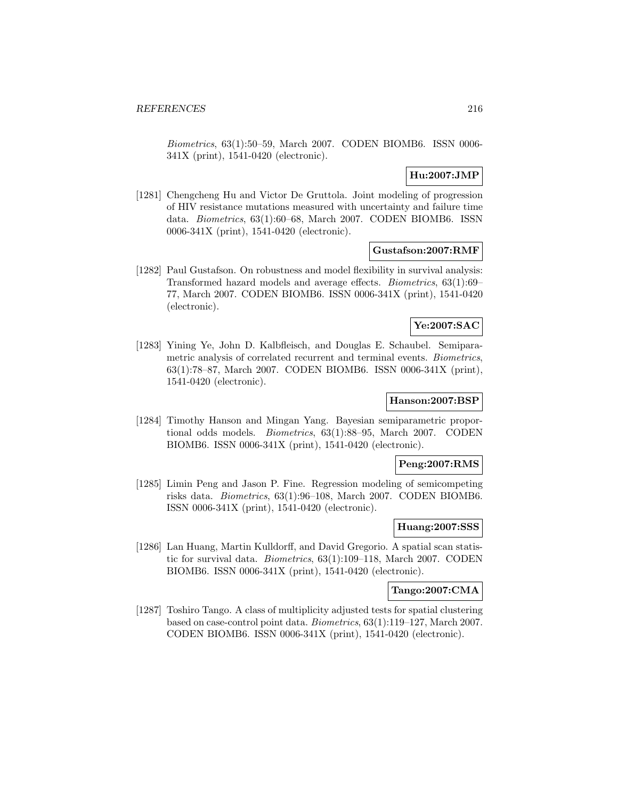Biometrics, 63(1):50–59, March 2007. CODEN BIOMB6. ISSN 0006- 341X (print), 1541-0420 (electronic).

# **Hu:2007:JMP**

[1281] Chengcheng Hu and Victor De Gruttola. Joint modeling of progression of HIV resistance mutations measured with uncertainty and failure time data. Biometrics, 63(1):60–68, March 2007. CODEN BIOMB6. ISSN 0006-341X (print), 1541-0420 (electronic).

# **Gustafson:2007:RMF**

[1282] Paul Gustafson. On robustness and model flexibility in survival analysis: Transformed hazard models and average effects. Biometrics, 63(1):69– 77, March 2007. CODEN BIOMB6. ISSN 0006-341X (print), 1541-0420 (electronic).

# **Ye:2007:SAC**

[1283] Yining Ye, John D. Kalbfleisch, and Douglas E. Schaubel. Semiparametric analysis of correlated recurrent and terminal events. Biometrics, 63(1):78–87, March 2007. CODEN BIOMB6. ISSN 0006-341X (print), 1541-0420 (electronic).

# **Hanson:2007:BSP**

[1284] Timothy Hanson and Mingan Yang. Bayesian semiparametric proportional odds models. Biometrics, 63(1):88–95, March 2007. CODEN BIOMB6. ISSN 0006-341X (print), 1541-0420 (electronic).

# **Peng:2007:RMS**

[1285] Limin Peng and Jason P. Fine. Regression modeling of semicompeting risks data. Biometrics, 63(1):96–108, March 2007. CODEN BIOMB6. ISSN 0006-341X (print), 1541-0420 (electronic).

# **Huang:2007:SSS**

[1286] Lan Huang, Martin Kulldorff, and David Gregorio. A spatial scan statistic for survival data. Biometrics, 63(1):109–118, March 2007. CODEN BIOMB6. ISSN 0006-341X (print), 1541-0420 (electronic).

# **Tango:2007:CMA**

[1287] Toshiro Tango. A class of multiplicity adjusted tests for spatial clustering based on case-control point data. Biometrics, 63(1):119–127, March 2007. CODEN BIOMB6. ISSN 0006-341X (print), 1541-0420 (electronic).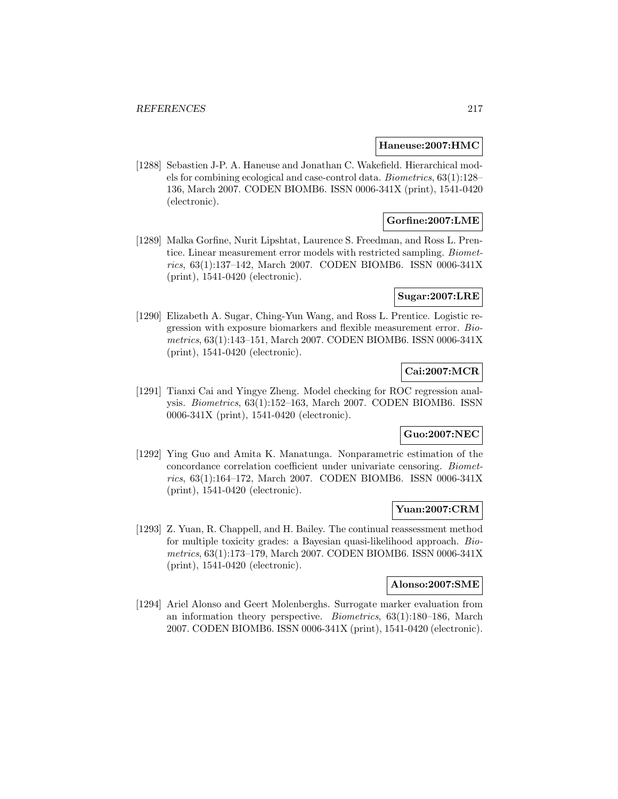#### **Haneuse:2007:HMC**

[1288] Sebastien J-P. A. Haneuse and Jonathan C. Wakefield. Hierarchical models for combining ecological and case-control data. Biometrics, 63(1):128– 136, March 2007. CODEN BIOMB6. ISSN 0006-341X (print), 1541-0420 (electronic).

# **Gorfine:2007:LME**

[1289] Malka Gorfine, Nurit Lipshtat, Laurence S. Freedman, and Ross L. Prentice. Linear measurement error models with restricted sampling. Biometrics, 63(1):137–142, March 2007. CODEN BIOMB6. ISSN 0006-341X (print), 1541-0420 (electronic).

# **Sugar:2007:LRE**

[1290] Elizabeth A. Sugar, Ching-Yun Wang, and Ross L. Prentice. Logistic regression with exposure biomarkers and flexible measurement error. Biometrics, 63(1):143–151, March 2007. CODEN BIOMB6. ISSN 0006-341X (print), 1541-0420 (electronic).

# **Cai:2007:MCR**

[1291] Tianxi Cai and Yingye Zheng. Model checking for ROC regression analysis. Biometrics, 63(1):152–163, March 2007. CODEN BIOMB6. ISSN 0006-341X (print), 1541-0420 (electronic).

# **Guo:2007:NEC**

[1292] Ying Guo and Amita K. Manatunga. Nonparametric estimation of the concordance correlation coefficient under univariate censoring. Biometrics, 63(1):164–172, March 2007. CODEN BIOMB6. ISSN 0006-341X (print), 1541-0420 (electronic).

### **Yuan:2007:CRM**

[1293] Z. Yuan, R. Chappell, and H. Bailey. The continual reassessment method for multiple toxicity grades: a Bayesian quasi-likelihood approach. Biometrics, 63(1):173–179, March 2007. CODEN BIOMB6. ISSN 0006-341X (print), 1541-0420 (electronic).

# **Alonso:2007:SME**

[1294] Ariel Alonso and Geert Molenberghs. Surrogate marker evaluation from an information theory perspective. Biometrics, 63(1):180–186, March 2007. CODEN BIOMB6. ISSN 0006-341X (print), 1541-0420 (electronic).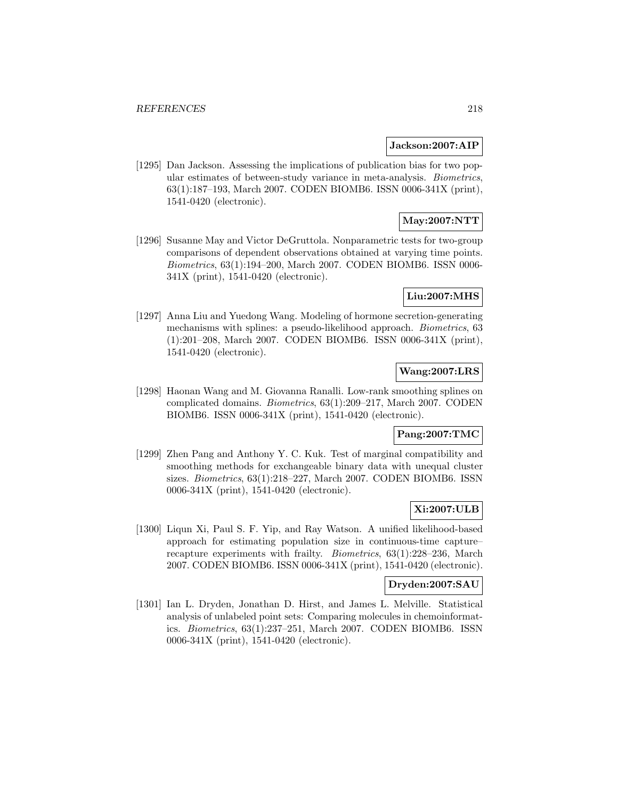#### **Jackson:2007:AIP**

[1295] Dan Jackson. Assessing the implications of publication bias for two popular estimates of between-study variance in meta-analysis. Biometrics, 63(1):187–193, March 2007. CODEN BIOMB6. ISSN 0006-341X (print), 1541-0420 (electronic).

# **May:2007:NTT**

[1296] Susanne May and Victor DeGruttola. Nonparametric tests for two-group comparisons of dependent observations obtained at varying time points. Biometrics, 63(1):194–200, March 2007. CODEN BIOMB6. ISSN 0006- 341X (print), 1541-0420 (electronic).

# **Liu:2007:MHS**

[1297] Anna Liu and Yuedong Wang. Modeling of hormone secretion-generating mechanisms with splines: a pseudo-likelihood approach. Biometrics, 63 (1):201–208, March 2007. CODEN BIOMB6. ISSN 0006-341X (print), 1541-0420 (electronic).

# **Wang:2007:LRS**

[1298] Haonan Wang and M. Giovanna Ranalli. Low-rank smoothing splines on complicated domains. Biometrics, 63(1):209–217, March 2007. CODEN BIOMB6. ISSN 0006-341X (print), 1541-0420 (electronic).

# **Pang:2007:TMC**

[1299] Zhen Pang and Anthony Y. C. Kuk. Test of marginal compatibility and smoothing methods for exchangeable binary data with unequal cluster sizes. Biometrics, 63(1):218–227, March 2007. CODEN BIOMB6. ISSN 0006-341X (print), 1541-0420 (electronic).

### **Xi:2007:ULB**

[1300] Liqun Xi, Paul S. F. Yip, and Ray Watson. A unified likelihood-based approach for estimating population size in continuous-time capture– recapture experiments with frailty. Biometrics, 63(1):228–236, March 2007. CODEN BIOMB6. ISSN 0006-341X (print), 1541-0420 (electronic).

### **Dryden:2007:SAU**

[1301] Ian L. Dryden, Jonathan D. Hirst, and James L. Melville. Statistical analysis of unlabeled point sets: Comparing molecules in chemoinformatics. Biometrics, 63(1):237–251, March 2007. CODEN BIOMB6. ISSN 0006-341X (print), 1541-0420 (electronic).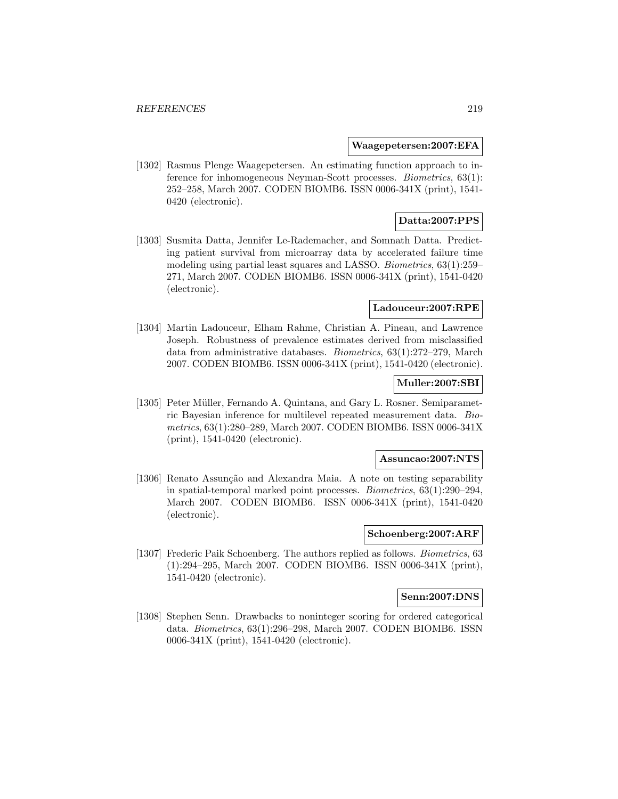#### **Waagepetersen:2007:EFA**

[1302] Rasmus Plenge Waagepetersen. An estimating function approach to inference for inhomogeneous Neyman-Scott processes. Biometrics, 63(1): 252–258, March 2007. CODEN BIOMB6. ISSN 0006-341X (print), 1541- 0420 (electronic).

# **Datta:2007:PPS**

[1303] Susmita Datta, Jennifer Le-Rademacher, and Somnath Datta. Predicting patient survival from microarray data by accelerated failure time modeling using partial least squares and LASSO. Biometrics, 63(1):259– 271, March 2007. CODEN BIOMB6. ISSN 0006-341X (print), 1541-0420 (electronic).

#### **Ladouceur:2007:RPE**

[1304] Martin Ladouceur, Elham Rahme, Christian A. Pineau, and Lawrence Joseph. Robustness of prevalence estimates derived from misclassified data from administrative databases. Biometrics, 63(1):272–279, March 2007. CODEN BIOMB6. ISSN 0006-341X (print), 1541-0420 (electronic).

### **Muller:2007:SBI**

[1305] Peter Müller, Fernando A. Quintana, and Gary L. Rosner. Semiparametric Bayesian inference for multilevel repeated measurement data. Biometrics, 63(1):280–289, March 2007. CODEN BIOMB6. ISSN 0006-341X (print), 1541-0420 (electronic).

#### **Assuncao:2007:NTS**

[1306] Renato Assunção and Alexandra Maia. A note on testing separability in spatial-temporal marked point processes. Biometrics, 63(1):290–294, March 2007. CODEN BIOMB6. ISSN 0006-341X (print), 1541-0420 (electronic).

### **Schoenberg:2007:ARF**

[1307] Frederic Paik Schoenberg. The authors replied as follows. *Biometrics*, 63 (1):294–295, March 2007. CODEN BIOMB6. ISSN 0006-341X (print), 1541-0420 (electronic).

#### **Senn:2007:DNS**

[1308] Stephen Senn. Drawbacks to noninteger scoring for ordered categorical data. Biometrics, 63(1):296–298, March 2007. CODEN BIOMB6. ISSN 0006-341X (print), 1541-0420 (electronic).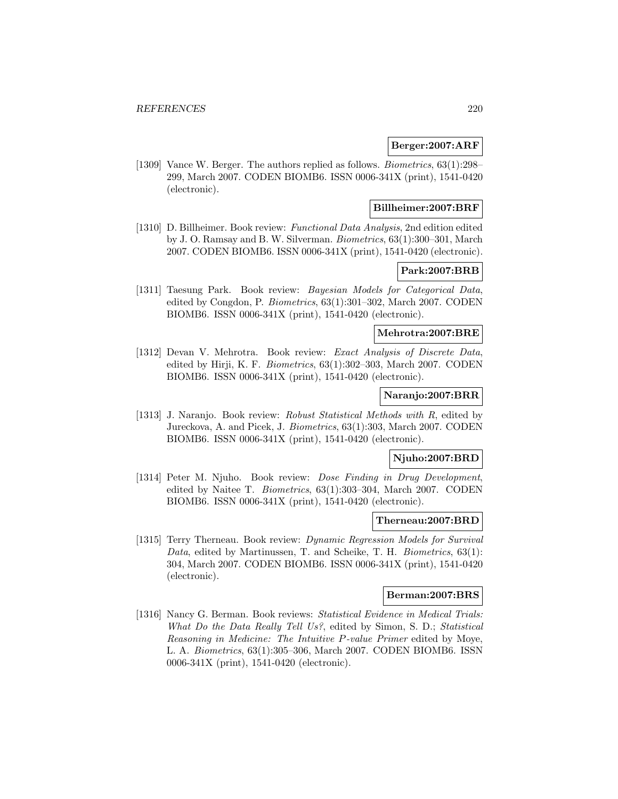### **Berger:2007:ARF**

[1309] Vance W. Berger. The authors replied as follows. Biometrics, 63(1):298– 299, March 2007. CODEN BIOMB6. ISSN 0006-341X (print), 1541-0420 (electronic).

### **Billheimer:2007:BRF**

[1310] D. Billheimer. Book review: Functional Data Analysis, 2nd edition edited by J. O. Ramsay and B. W. Silverman. Biometrics, 63(1):300–301, March 2007. CODEN BIOMB6. ISSN 0006-341X (print), 1541-0420 (electronic).

# **Park:2007:BRB**

[1311] Taesung Park. Book review: Bayesian Models for Categorical Data, edited by Congdon, P. Biometrics, 63(1):301–302, March 2007. CODEN BIOMB6. ISSN 0006-341X (print), 1541-0420 (electronic).

## **Mehrotra:2007:BRE**

[1312] Devan V. Mehrotra. Book review: Exact Analysis of Discrete Data, edited by Hirji, K. F. Biometrics, 63(1):302–303, March 2007. CODEN BIOMB6. ISSN 0006-341X (print), 1541-0420 (electronic).

#### **Naranjo:2007:BRR**

[1313] J. Naranjo. Book review: Robust Statistical Methods with R, edited by Jureckova, A. and Picek, J. Biometrics, 63(1):303, March 2007. CODEN BIOMB6. ISSN 0006-341X (print), 1541-0420 (electronic).

#### **Njuho:2007:BRD**

[1314] Peter M. Njuho. Book review: *Dose Finding in Drug Development*, edited by Naitee T. Biometrics, 63(1):303–304, March 2007. CODEN BIOMB6. ISSN 0006-341X (print), 1541-0420 (electronic).

#### **Therneau:2007:BRD**

[1315] Terry Therneau. Book review: Dynamic Regression Models for Survival Data, edited by Martinussen, T. and Scheike, T. H. Biometrics, 63(1): 304, March 2007. CODEN BIOMB6. ISSN 0006-341X (print), 1541-0420 (electronic).

#### **Berman:2007:BRS**

[1316] Nancy G. Berman. Book reviews: Statistical Evidence in Medical Trials: What Do the Data Really Tell Us?, edited by Simon, S. D.; Statistical Reasoning in Medicine: The Intuitive P-value Primer edited by Moye, L. A. Biometrics, 63(1):305–306, March 2007. CODEN BIOMB6. ISSN 0006-341X (print), 1541-0420 (electronic).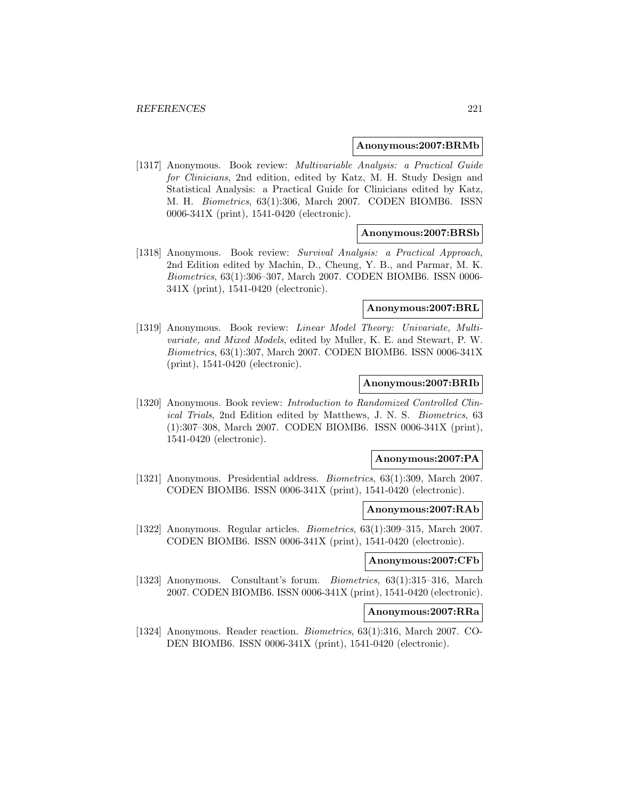#### **Anonymous:2007:BRMb**

[1317] Anonymous. Book review: Multivariable Analysis: a Practical Guide for Clinicians, 2nd edition, edited by Katz, M. H. Study Design and Statistical Analysis: a Practical Guide for Clinicians edited by Katz, M. H. Biometrics, 63(1):306, March 2007. CODEN BIOMB6. ISSN 0006-341X (print), 1541-0420 (electronic).

### **Anonymous:2007:BRSb**

[1318] Anonymous. Book review: Survival Analysis: a Practical Approach, 2nd Edition edited by Machin, D., Cheung, Y. B., and Parmar, M. K. Biometrics, 63(1):306–307, March 2007. CODEN BIOMB6. ISSN 0006- 341X (print), 1541-0420 (electronic).

#### **Anonymous:2007:BRL**

[1319] Anonymous. Book review: Linear Model Theory: Univariate, Multivariate, and Mixed Models, edited by Muller, K. E. and Stewart, P. W. Biometrics, 63(1):307, March 2007. CODEN BIOMB6. ISSN 0006-341X (print), 1541-0420 (electronic).

## **Anonymous:2007:BRIb**

[1320] Anonymous. Book review: Introduction to Randomized Controlled Clinical Trials, 2nd Edition edited by Matthews, J. N. S. Biometrics, 63 (1):307–308, March 2007. CODEN BIOMB6. ISSN 0006-341X (print), 1541-0420 (electronic).

#### **Anonymous:2007:PA**

[1321] Anonymous. Presidential address. *Biometrics*, 63(1):309, March 2007. CODEN BIOMB6. ISSN 0006-341X (print), 1541-0420 (electronic).

#### **Anonymous:2007:RAb**

[1322] Anonymous. Regular articles. Biometrics, 63(1):309–315, March 2007. CODEN BIOMB6. ISSN 0006-341X (print), 1541-0420 (electronic).

#### **Anonymous:2007:CFb**

[1323] Anonymous. Consultant's forum. Biometrics, 63(1):315–316, March 2007. CODEN BIOMB6. ISSN 0006-341X (print), 1541-0420 (electronic).

#### **Anonymous:2007:RRa**

[1324] Anonymous. Reader reaction. Biometrics, 63(1):316, March 2007. CO-DEN BIOMB6. ISSN 0006-341X (print), 1541-0420 (electronic).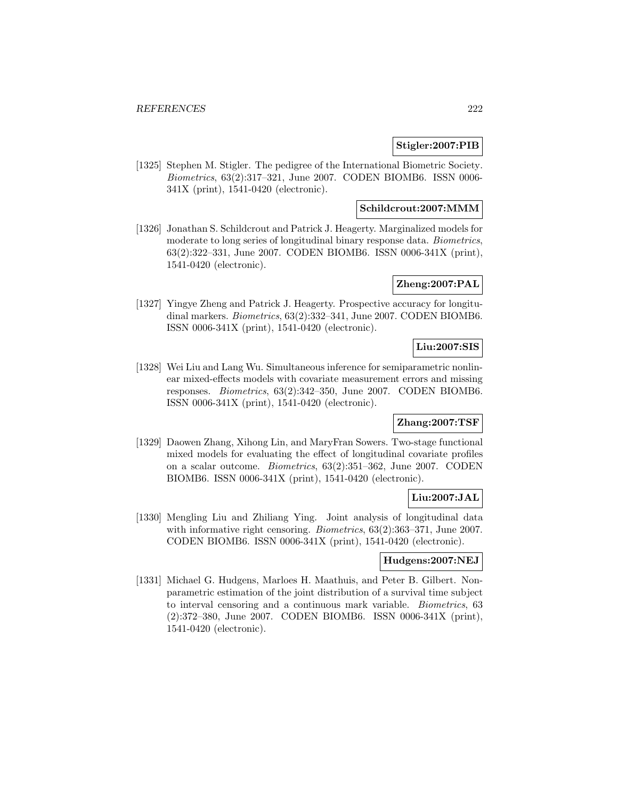# **Stigler:2007:PIB**

[1325] Stephen M. Stigler. The pedigree of the International Biometric Society. Biometrics, 63(2):317–321, June 2007. CODEN BIOMB6. ISSN 0006- 341X (print), 1541-0420 (electronic).

# **Schildcrout:2007:MMM**

[1326] Jonathan S. Schildcrout and Patrick J. Heagerty. Marginalized models for moderate to long series of longitudinal binary response data. Biometrics, 63(2):322–331, June 2007. CODEN BIOMB6. ISSN 0006-341X (print), 1541-0420 (electronic).

# **Zheng:2007:PAL**

[1327] Yingye Zheng and Patrick J. Heagerty. Prospective accuracy for longitudinal markers. Biometrics, 63(2):332–341, June 2007. CODEN BIOMB6. ISSN 0006-341X (print), 1541-0420 (electronic).

# **Liu:2007:SIS**

[1328] Wei Liu and Lang Wu. Simultaneous inference for semiparametric nonlinear mixed-effects models with covariate measurement errors and missing responses. Biometrics, 63(2):342–350, June 2007. CODEN BIOMB6. ISSN 0006-341X (print), 1541-0420 (electronic).

# **Zhang:2007:TSF**

[1329] Daowen Zhang, Xihong Lin, and MaryFran Sowers. Two-stage functional mixed models for evaluating the effect of longitudinal covariate profiles on a scalar outcome. Biometrics, 63(2):351–362, June 2007. CODEN BIOMB6. ISSN 0006-341X (print), 1541-0420 (electronic).

# **Liu:2007:JAL**

[1330] Mengling Liu and Zhiliang Ying. Joint analysis of longitudinal data with informative right censoring. *Biometrics*, 63(2):363–371, June 2007. CODEN BIOMB6. ISSN 0006-341X (print), 1541-0420 (electronic).

### **Hudgens:2007:NEJ**

[1331] Michael G. Hudgens, Marloes H. Maathuis, and Peter B. Gilbert. Nonparametric estimation of the joint distribution of a survival time subject to interval censoring and a continuous mark variable. Biometrics, 63 (2):372–380, June 2007. CODEN BIOMB6. ISSN 0006-341X (print), 1541-0420 (electronic).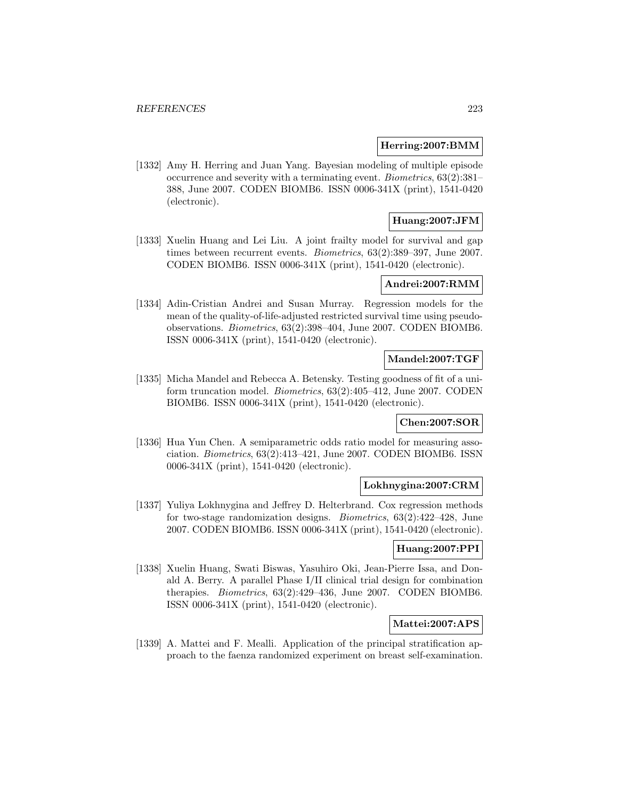### **Herring:2007:BMM**

[1332] Amy H. Herring and Juan Yang. Bayesian modeling of multiple episode occurrence and severity with a terminating event. Biometrics, 63(2):381– 388, June 2007. CODEN BIOMB6. ISSN 0006-341X (print), 1541-0420 (electronic).

# **Huang:2007:JFM**

[1333] Xuelin Huang and Lei Liu. A joint frailty model for survival and gap times between recurrent events. Biometrics, 63(2):389–397, June 2007. CODEN BIOMB6. ISSN 0006-341X (print), 1541-0420 (electronic).

#### **Andrei:2007:RMM**

[1334] Adin-Cristian Andrei and Susan Murray. Regression models for the mean of the quality-of-life-adjusted restricted survival time using pseudoobservations. Biometrics, 63(2):398–404, June 2007. CODEN BIOMB6. ISSN 0006-341X (print), 1541-0420 (electronic).

### **Mandel:2007:TGF**

[1335] Micha Mandel and Rebecca A. Betensky. Testing goodness of fit of a uniform truncation model. Biometrics, 63(2):405–412, June 2007. CODEN BIOMB6. ISSN 0006-341X (print), 1541-0420 (electronic).

### **Chen:2007:SOR**

[1336] Hua Yun Chen. A semiparametric odds ratio model for measuring association. Biometrics, 63(2):413–421, June 2007. CODEN BIOMB6. ISSN 0006-341X (print), 1541-0420 (electronic).

#### **Lokhnygina:2007:CRM**

[1337] Yuliya Lokhnygina and Jeffrey D. Helterbrand. Cox regression methods for two-stage randomization designs. Biometrics, 63(2):422–428, June 2007. CODEN BIOMB6. ISSN 0006-341X (print), 1541-0420 (electronic).

### **Huang:2007:PPI**

[1338] Xuelin Huang, Swati Biswas, Yasuhiro Oki, Jean-Pierre Issa, and Donald A. Berry. A parallel Phase I/II clinical trial design for combination therapies. Biometrics, 63(2):429–436, June 2007. CODEN BIOMB6. ISSN 0006-341X (print), 1541-0420 (electronic).

#### **Mattei:2007:APS**

[1339] A. Mattei and F. Mealli. Application of the principal stratification approach to the faenza randomized experiment on breast self-examination.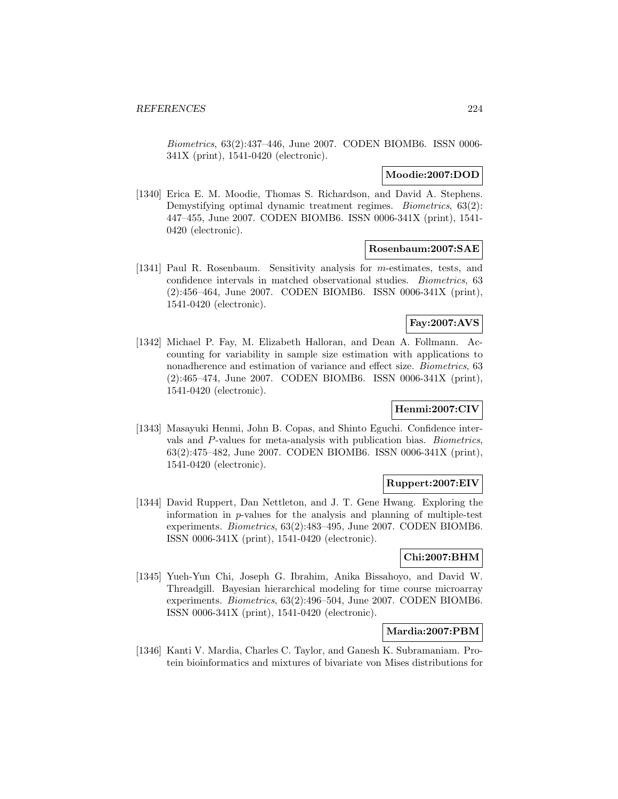Biometrics, 63(2):437–446, June 2007. CODEN BIOMB6. ISSN 0006- 341X (print), 1541-0420 (electronic).

## **Moodie:2007:DOD**

[1340] Erica E. M. Moodie, Thomas S. Richardson, and David A. Stephens. Demystifying optimal dynamic treatment regimes. *Biometrics*, 63(2): 447–455, June 2007. CODEN BIOMB6. ISSN 0006-341X (print), 1541- 0420 (electronic).

#### **Rosenbaum:2007:SAE**

[1341] Paul R. Rosenbaum. Sensitivity analysis for m-estimates, tests, and confidence intervals in matched observational studies. Biometrics, 63 (2):456–464, June 2007. CODEN BIOMB6. ISSN 0006-341X (print), 1541-0420 (electronic).

# **Fay:2007:AVS**

[1342] Michael P. Fay, M. Elizabeth Halloran, and Dean A. Follmann. Accounting for variability in sample size estimation with applications to nonadherence and estimation of variance and effect size. Biometrics, 63 (2):465–474, June 2007. CODEN BIOMB6. ISSN 0006-341X (print), 1541-0420 (electronic).

# **Henmi:2007:CIV**

[1343] Masayuki Henmi, John B. Copas, and Shinto Eguchi. Confidence intervals and P-values for meta-analysis with publication bias. Biometrics, 63(2):475–482, June 2007. CODEN BIOMB6. ISSN 0006-341X (print), 1541-0420 (electronic).

# **Ruppert:2007:EIV**

[1344] David Ruppert, Dan Nettleton, and J. T. Gene Hwang. Exploring the information in p-values for the analysis and planning of multiple-test experiments. Biometrics, 63(2):483–495, June 2007. CODEN BIOMB6. ISSN 0006-341X (print), 1541-0420 (electronic).

# **Chi:2007:BHM**

[1345] Yueh-Yun Chi, Joseph G. Ibrahim, Anika Bissahoyo, and David W. Threadgill. Bayesian hierarchical modeling for time course microarray experiments. Biometrics, 63(2):496–504, June 2007. CODEN BIOMB6. ISSN 0006-341X (print), 1541-0420 (electronic).

# **Mardia:2007:PBM**

[1346] Kanti V. Mardia, Charles C. Taylor, and Ganesh K. Subramaniam. Protein bioinformatics and mixtures of bivariate von Mises distributions for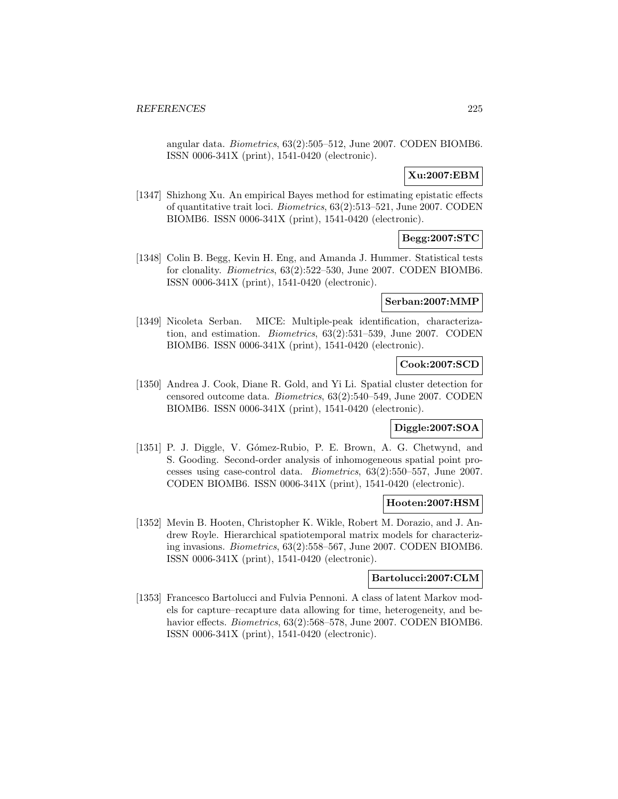angular data. Biometrics, 63(2):505–512, June 2007. CODEN BIOMB6. ISSN 0006-341X (print), 1541-0420 (electronic).

# **Xu:2007:EBM**

[1347] Shizhong Xu. An empirical Bayes method for estimating epistatic effects of quantitative trait loci. Biometrics, 63(2):513–521, June 2007. CODEN BIOMB6. ISSN 0006-341X (print), 1541-0420 (electronic).

# **Begg:2007:STC**

[1348] Colin B. Begg, Kevin H. Eng, and Amanda J. Hummer. Statistical tests for clonality. Biometrics, 63(2):522–530, June 2007. CODEN BIOMB6. ISSN 0006-341X (print), 1541-0420 (electronic).

# **Serban:2007:MMP**

[1349] Nicoleta Serban. MICE: Multiple-peak identification, characterization, and estimation. Biometrics, 63(2):531–539, June 2007. CODEN BIOMB6. ISSN 0006-341X (print), 1541-0420 (electronic).

# **Cook:2007:SCD**

[1350] Andrea J. Cook, Diane R. Gold, and Yi Li. Spatial cluster detection for censored outcome data. Biometrics, 63(2):540–549, June 2007. CODEN BIOMB6. ISSN 0006-341X (print), 1541-0420 (electronic).

### **Diggle:2007:SOA**

[1351] P. J. Diggle, V. Gómez-Rubio, P. E. Brown, A. G. Chetwynd, and S. Gooding. Second-order analysis of inhomogeneous spatial point processes using case-control data. Biometrics, 63(2):550–557, June 2007. CODEN BIOMB6. ISSN 0006-341X (print), 1541-0420 (electronic).

### **Hooten:2007:HSM**

[1352] Mevin B. Hooten, Christopher K. Wikle, Robert M. Dorazio, and J. Andrew Royle. Hierarchical spatiotemporal matrix models for characterizing invasions. Biometrics, 63(2):558–567, June 2007. CODEN BIOMB6. ISSN 0006-341X (print), 1541-0420 (electronic).

#### **Bartolucci:2007:CLM**

[1353] Francesco Bartolucci and Fulvia Pennoni. A class of latent Markov models for capture–recapture data allowing for time, heterogeneity, and behavior effects. *Biometrics*, 63(2):568–578, June 2007. CODEN BIOMB6. ISSN 0006-341X (print), 1541-0420 (electronic).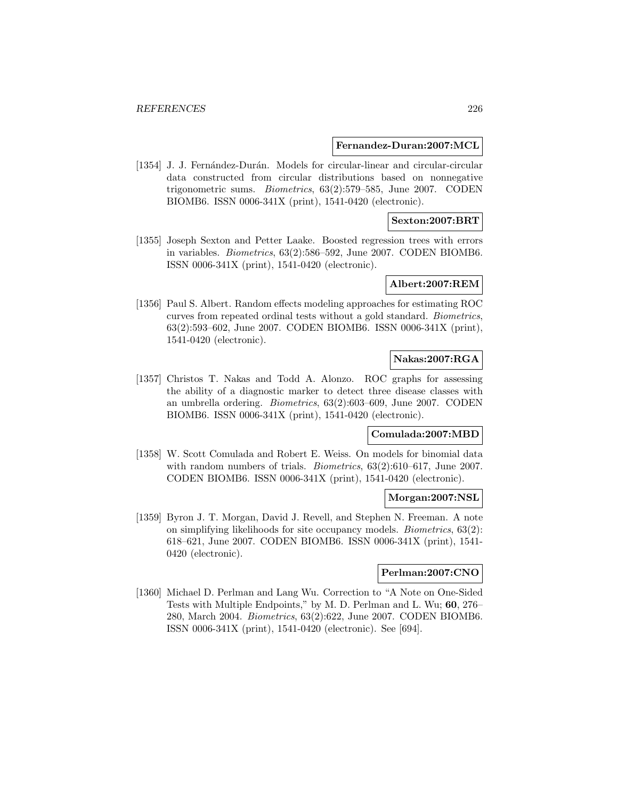#### **Fernandez-Duran:2007:MCL**

[1354] J. J. Fernández-Durán. Models for circular-linear and circular-circular data constructed from circular distributions based on nonnegative trigonometric sums. Biometrics, 63(2):579–585, June 2007. CODEN BIOMB6. ISSN 0006-341X (print), 1541-0420 (electronic).

## **Sexton:2007:BRT**

[1355] Joseph Sexton and Petter Laake. Boosted regression trees with errors in variables. Biometrics, 63(2):586–592, June 2007. CODEN BIOMB6. ISSN 0006-341X (print), 1541-0420 (electronic).

#### **Albert:2007:REM**

[1356] Paul S. Albert. Random effects modeling approaches for estimating ROC curves from repeated ordinal tests without a gold standard. Biometrics, 63(2):593–602, June 2007. CODEN BIOMB6. ISSN 0006-341X (print), 1541-0420 (electronic).

# **Nakas:2007:RGA**

[1357] Christos T. Nakas and Todd A. Alonzo. ROC graphs for assessing the ability of a diagnostic marker to detect three disease classes with an umbrella ordering. Biometrics, 63(2):603–609, June 2007. CODEN BIOMB6. ISSN 0006-341X (print), 1541-0420 (electronic).

# **Comulada:2007:MBD**

[1358] W. Scott Comulada and Robert E. Weiss. On models for binomial data with random numbers of trials. *Biometrics*, 63(2):610–617, June 2007. CODEN BIOMB6. ISSN 0006-341X (print), 1541-0420 (electronic).

#### **Morgan:2007:NSL**

[1359] Byron J. T. Morgan, David J. Revell, and Stephen N. Freeman. A note on simplifying likelihoods for site occupancy models. Biometrics, 63(2): 618–621, June 2007. CODEN BIOMB6. ISSN 0006-341X (print), 1541- 0420 (electronic).

### **Perlman:2007:CNO**

[1360] Michael D. Perlman and Lang Wu. Correction to "A Note on One-Sided Tests with Multiple Endpoints," by M. D. Perlman and L. Wu; **60**, 276– 280, March 2004. Biometrics, 63(2):622, June 2007. CODEN BIOMB6. ISSN 0006-341X (print), 1541-0420 (electronic). See [694].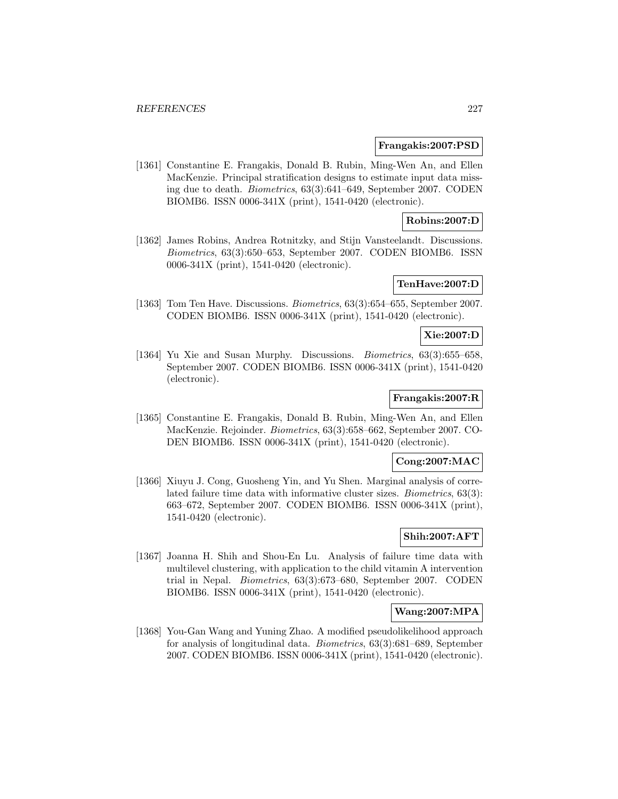#### **Frangakis:2007:PSD**

[1361] Constantine E. Frangakis, Donald B. Rubin, Ming-Wen An, and Ellen MacKenzie. Principal stratification designs to estimate input data missing due to death. Biometrics, 63(3):641–649, September 2007. CODEN BIOMB6. ISSN 0006-341X (print), 1541-0420 (electronic).

# **Robins:2007:D**

[1362] James Robins, Andrea Rotnitzky, and Stijn Vansteelandt. Discussions. Biometrics, 63(3):650–653, September 2007. CODEN BIOMB6. ISSN 0006-341X (print), 1541-0420 (electronic).

### **TenHave:2007:D**

[1363] Tom Ten Have. Discussions. Biometrics, 63(3):654–655, September 2007. CODEN BIOMB6. ISSN 0006-341X (print), 1541-0420 (electronic).

# **Xie:2007:D**

[1364] Yu Xie and Susan Murphy. Discussions. *Biometrics*, 63(3):655–658, September 2007. CODEN BIOMB6. ISSN 0006-341X (print), 1541-0420 (electronic).

# **Frangakis:2007:R**

[1365] Constantine E. Frangakis, Donald B. Rubin, Ming-Wen An, and Ellen MacKenzie. Rejoinder. Biometrics, 63(3):658–662, September 2007. CO-DEN BIOMB6. ISSN 0006-341X (print), 1541-0420 (electronic).

## **Cong:2007:MAC**

[1366] Xiuyu J. Cong, Guosheng Yin, and Yu Shen. Marginal analysis of correlated failure time data with informative cluster sizes. Biometrics, 63(3): 663–672, September 2007. CODEN BIOMB6. ISSN 0006-341X (print), 1541-0420 (electronic).

# **Shih:2007:AFT**

[1367] Joanna H. Shih and Shou-En Lu. Analysis of failure time data with multilevel clustering, with application to the child vitamin A intervention trial in Nepal. Biometrics, 63(3):673–680, September 2007. CODEN BIOMB6. ISSN 0006-341X (print), 1541-0420 (electronic).

### **Wang:2007:MPA**

[1368] You-Gan Wang and Yuning Zhao. A modified pseudolikelihood approach for analysis of longitudinal data. Biometrics, 63(3):681–689, September 2007. CODEN BIOMB6. ISSN 0006-341X (print), 1541-0420 (electronic).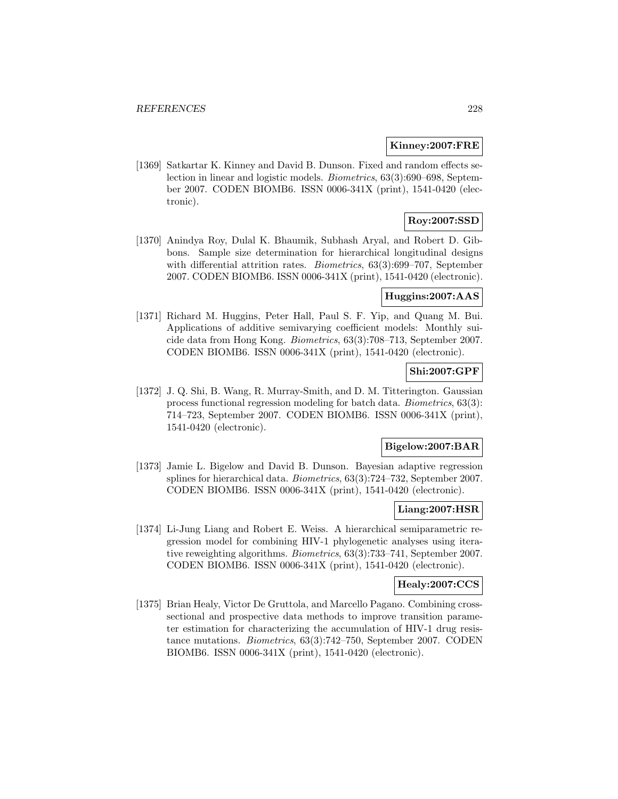#### **Kinney:2007:FRE**

[1369] Satkartar K. Kinney and David B. Dunson. Fixed and random effects selection in linear and logistic models. Biometrics, 63(3):690–698, September 2007. CODEN BIOMB6. ISSN 0006-341X (print), 1541-0420 (electronic).

# **Roy:2007:SSD**

[1370] Anindya Roy, Dulal K. Bhaumik, Subhash Aryal, and Robert D. Gibbons. Sample size determination for hierarchical longitudinal designs with differential attrition rates. Biometrics, 63(3):699–707, September 2007. CODEN BIOMB6. ISSN 0006-341X (print), 1541-0420 (electronic).

# **Huggins:2007:AAS**

[1371] Richard M. Huggins, Peter Hall, Paul S. F. Yip, and Quang M. Bui. Applications of additive semivarying coefficient models: Monthly suicide data from Hong Kong. Biometrics, 63(3):708–713, September 2007. CODEN BIOMB6. ISSN 0006-341X (print), 1541-0420 (electronic).

# **Shi:2007:GPF**

[1372] J. Q. Shi, B. Wang, R. Murray-Smith, and D. M. Titterington. Gaussian process functional regression modeling for batch data. Biometrics, 63(3): 714–723, September 2007. CODEN BIOMB6. ISSN 0006-341X (print), 1541-0420 (electronic).

### **Bigelow:2007:BAR**

[1373] Jamie L. Bigelow and David B. Dunson. Bayesian adaptive regression splines for hierarchical data. Biometrics, 63(3):724–732, September 2007. CODEN BIOMB6. ISSN 0006-341X (print), 1541-0420 (electronic).

### **Liang:2007:HSR**

[1374] Li-Jung Liang and Robert E. Weiss. A hierarchical semiparametric regression model for combining HIV-1 phylogenetic analyses using iterative reweighting algorithms. Biometrics, 63(3):733–741, September 2007. CODEN BIOMB6. ISSN 0006-341X (print), 1541-0420 (electronic).

#### **Healy:2007:CCS**

[1375] Brian Healy, Victor De Gruttola, and Marcello Pagano. Combining crosssectional and prospective data methods to improve transition parameter estimation for characterizing the accumulation of HIV-1 drug resistance mutations. Biometrics, 63(3):742–750, September 2007. CODEN BIOMB6. ISSN 0006-341X (print), 1541-0420 (electronic).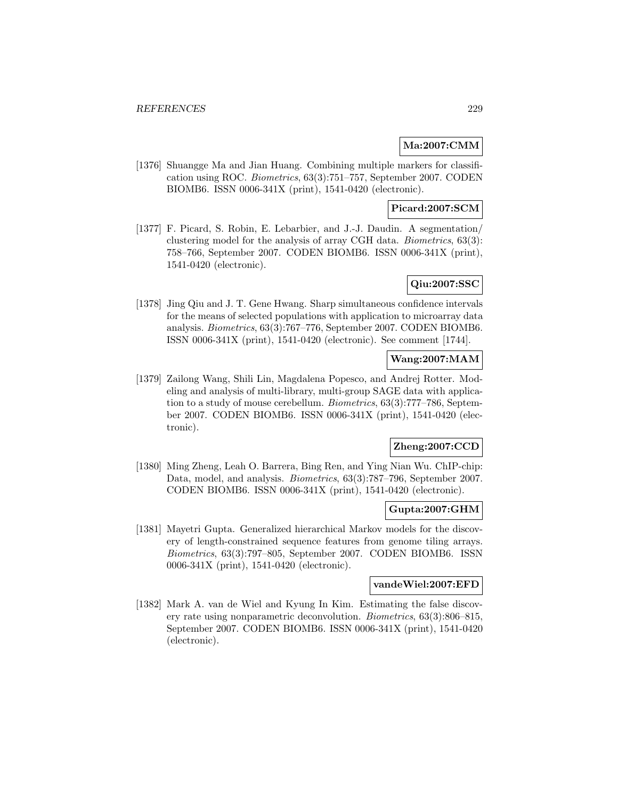# **Ma:2007:CMM**

[1376] Shuangge Ma and Jian Huang. Combining multiple markers for classification using ROC. Biometrics, 63(3):751–757, September 2007. CODEN BIOMB6. ISSN 0006-341X (print), 1541-0420 (electronic).

## **Picard:2007:SCM**

[1377] F. Picard, S. Robin, E. Lebarbier, and J.-J. Daudin. A segmentation/ clustering model for the analysis of array CGH data. Biometrics, 63(3): 758–766, September 2007. CODEN BIOMB6. ISSN 0006-341X (print), 1541-0420 (electronic).

# **Qiu:2007:SSC**

[1378] Jing Qiu and J. T. Gene Hwang. Sharp simultaneous confidence intervals for the means of selected populations with application to microarray data analysis. Biometrics, 63(3):767–776, September 2007. CODEN BIOMB6. ISSN 0006-341X (print), 1541-0420 (electronic). See comment [1744].

# **Wang:2007:MAM**

[1379] Zailong Wang, Shili Lin, Magdalena Popesco, and Andrej Rotter. Modeling and analysis of multi-library, multi-group SAGE data with application to a study of mouse cerebellum. Biometrics, 63(3):777–786, September 2007. CODEN BIOMB6. ISSN 0006-341X (print), 1541-0420 (electronic).

# **Zheng:2007:CCD**

[1380] Ming Zheng, Leah O. Barrera, Bing Ren, and Ying Nian Wu. ChIP-chip: Data, model, and analysis. Biometrics, 63(3):787–796, September 2007. CODEN BIOMB6. ISSN 0006-341X (print), 1541-0420 (electronic).

### **Gupta:2007:GHM**

[1381] Mayetri Gupta. Generalized hierarchical Markov models for the discovery of length-constrained sequence features from genome tiling arrays. Biometrics, 63(3):797–805, September 2007. CODEN BIOMB6. ISSN 0006-341X (print), 1541-0420 (electronic).

#### **vandeWiel:2007:EFD**

[1382] Mark A. van de Wiel and Kyung In Kim. Estimating the false discovery rate using nonparametric deconvolution. Biometrics, 63(3):806–815, September 2007. CODEN BIOMB6. ISSN 0006-341X (print), 1541-0420 (electronic).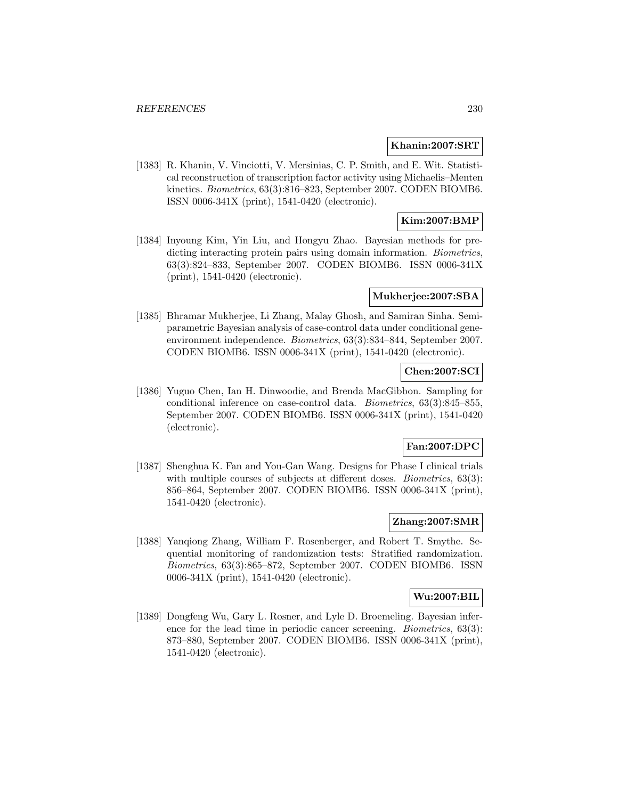#### **Khanin:2007:SRT**

[1383] R. Khanin, V. Vinciotti, V. Mersinias, C. P. Smith, and E. Wit. Statistical reconstruction of transcription factor activity using Michaelis–Menten kinetics. Biometrics, 63(3):816–823, September 2007. CODEN BIOMB6. ISSN 0006-341X (print), 1541-0420 (electronic).

# **Kim:2007:BMP**

[1384] Inyoung Kim, Yin Liu, and Hongyu Zhao. Bayesian methods for predicting interacting protein pairs using domain information. *Biometrics*, 63(3):824–833, September 2007. CODEN BIOMB6. ISSN 0006-341X (print), 1541-0420 (electronic).

#### **Mukherjee:2007:SBA**

[1385] Bhramar Mukherjee, Li Zhang, Malay Ghosh, and Samiran Sinha. Semiparametric Bayesian analysis of case-control data under conditional geneenvironment independence. Biometrics, 63(3):834–844, September 2007. CODEN BIOMB6. ISSN 0006-341X (print), 1541-0420 (electronic).

# **Chen:2007:SCI**

[1386] Yuguo Chen, Ian H. Dinwoodie, and Brenda MacGibbon. Sampling for conditional inference on case-control data. Biometrics, 63(3):845–855, September 2007. CODEN BIOMB6. ISSN 0006-341X (print), 1541-0420 (electronic).

### **Fan:2007:DPC**

[1387] Shenghua K. Fan and You-Gan Wang. Designs for Phase I clinical trials with multiple courses of subjects at different doses. *Biometrics*, 63(3): 856–864, September 2007. CODEN BIOMB6. ISSN 0006-341X (print), 1541-0420 (electronic).

### **Zhang:2007:SMR**

[1388] Yanqiong Zhang, William F. Rosenberger, and Robert T. Smythe. Sequential monitoring of randomization tests: Stratified randomization. Biometrics, 63(3):865–872, September 2007. CODEN BIOMB6. ISSN 0006-341X (print), 1541-0420 (electronic).

### **Wu:2007:BIL**

[1389] Dongfeng Wu, Gary L. Rosner, and Lyle D. Broemeling. Bayesian inference for the lead time in periodic cancer screening. Biometrics, 63(3): 873–880, September 2007. CODEN BIOMB6. ISSN 0006-341X (print), 1541-0420 (electronic).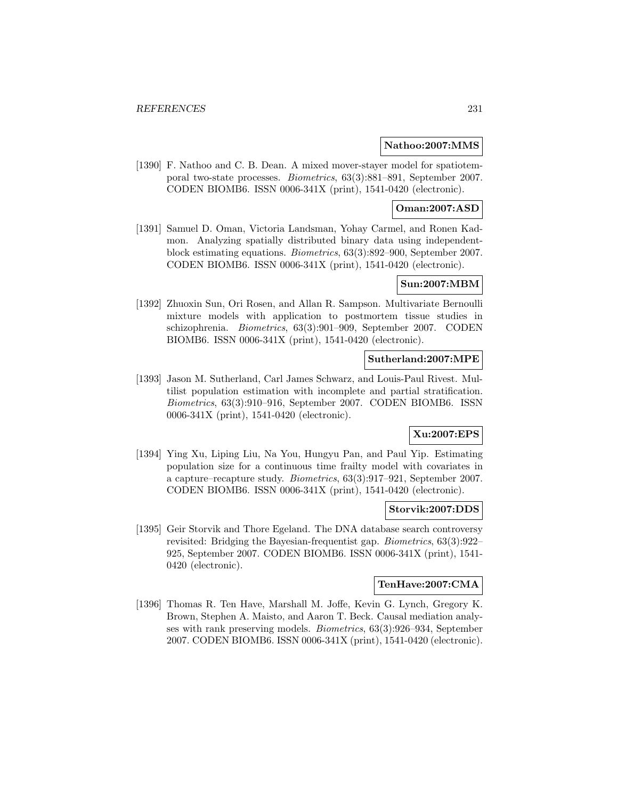#### **Nathoo:2007:MMS**

[1390] F. Nathoo and C. B. Dean. A mixed mover-stayer model for spatiotemporal two-state processes. Biometrics, 63(3):881–891, September 2007. CODEN BIOMB6. ISSN 0006-341X (print), 1541-0420 (electronic).

# **Oman:2007:ASD**

[1391] Samuel D. Oman, Victoria Landsman, Yohay Carmel, and Ronen Kadmon. Analyzing spatially distributed binary data using independentblock estimating equations. Biometrics, 63(3):892–900, September 2007. CODEN BIOMB6. ISSN 0006-341X (print), 1541-0420 (electronic).

### **Sun:2007:MBM**

[1392] Zhuoxin Sun, Ori Rosen, and Allan R. Sampson. Multivariate Bernoulli mixture models with application to postmortem tissue studies in schizophrenia. Biometrics, 63(3):901–909, September 2007. CODEN BIOMB6. ISSN 0006-341X (print), 1541-0420 (electronic).

### **Sutherland:2007:MPE**

[1393] Jason M. Sutherland, Carl James Schwarz, and Louis-Paul Rivest. Multilist population estimation with incomplete and partial stratification. Biometrics, 63(3):910–916, September 2007. CODEN BIOMB6. ISSN 0006-341X (print), 1541-0420 (electronic).

# **Xu:2007:EPS**

[1394] Ying Xu, Liping Liu, Na You, Hungyu Pan, and Paul Yip. Estimating population size for a continuous time frailty model with covariates in a capture–recapture study. Biometrics, 63(3):917–921, September 2007. CODEN BIOMB6. ISSN 0006-341X (print), 1541-0420 (electronic).

#### **Storvik:2007:DDS**

[1395] Geir Storvik and Thore Egeland. The DNA database search controversy revisited: Bridging the Bayesian-frequentist gap. Biometrics, 63(3):922– 925, September 2007. CODEN BIOMB6. ISSN 0006-341X (print), 1541- 0420 (electronic).

# **TenHave:2007:CMA**

[1396] Thomas R. Ten Have, Marshall M. Joffe, Kevin G. Lynch, Gregory K. Brown, Stephen A. Maisto, and Aaron T. Beck. Causal mediation analyses with rank preserving models. Biometrics, 63(3):926–934, September 2007. CODEN BIOMB6. ISSN 0006-341X (print), 1541-0420 (electronic).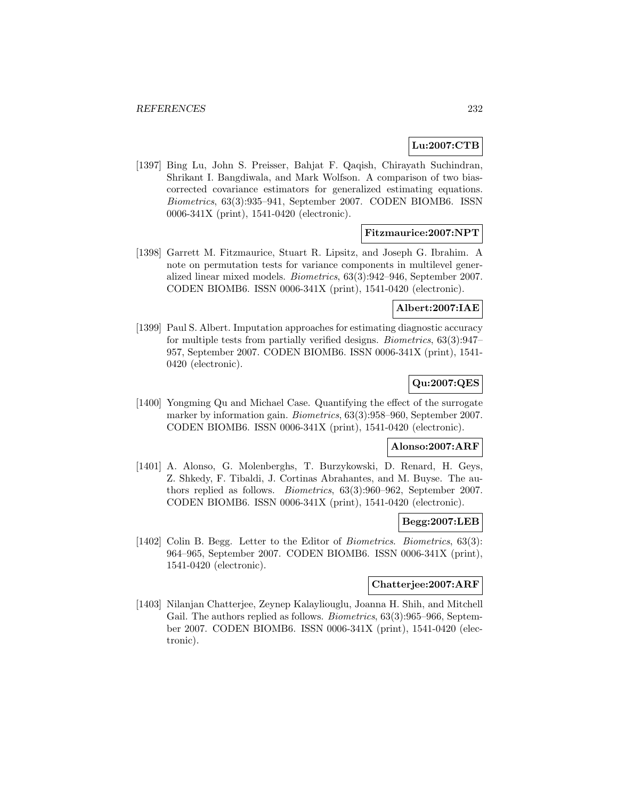# **Lu:2007:CTB**

[1397] Bing Lu, John S. Preisser, Bahjat F. Qaqish, Chirayath Suchindran, Shrikant I. Bangdiwala, and Mark Wolfson. A comparison of two biascorrected covariance estimators for generalized estimating equations. Biometrics, 63(3):935–941, September 2007. CODEN BIOMB6. ISSN 0006-341X (print), 1541-0420 (electronic).

## **Fitzmaurice:2007:NPT**

[1398] Garrett M. Fitzmaurice, Stuart R. Lipsitz, and Joseph G. Ibrahim. A note on permutation tests for variance components in multilevel generalized linear mixed models. Biometrics, 63(3):942–946, September 2007. CODEN BIOMB6. ISSN 0006-341X (print), 1541-0420 (electronic).

## **Albert:2007:IAE**

[1399] Paul S. Albert. Imputation approaches for estimating diagnostic accuracy for multiple tests from partially verified designs. Biometrics, 63(3):947– 957, September 2007. CODEN BIOMB6. ISSN 0006-341X (print), 1541- 0420 (electronic).

# **Qu:2007:QES**

[1400] Yongming Qu and Michael Case. Quantifying the effect of the surrogate marker by information gain. Biometrics, 63(3):958–960, September 2007. CODEN BIOMB6. ISSN 0006-341X (print), 1541-0420 (electronic).

#### **Alonso:2007:ARF**

[1401] A. Alonso, G. Molenberghs, T. Burzykowski, D. Renard, H. Geys, Z. Shkedy, F. Tibaldi, J. Cortinas Abrahantes, and M. Buyse. The authors replied as follows. Biometrics, 63(3):960–962, September 2007. CODEN BIOMB6. ISSN 0006-341X (print), 1541-0420 (electronic).

### **Begg:2007:LEB**

[1402] Colin B. Begg. Letter to the Editor of Biometrics. Biometrics, 63(3): 964–965, September 2007. CODEN BIOMB6. ISSN 0006-341X (print), 1541-0420 (electronic).

# **Chatterjee:2007:ARF**

[1403] Nilanjan Chatterjee, Zeynep Kalayliouglu, Joanna H. Shih, and Mitchell Gail. The authors replied as follows. *Biometrics*, 63(3):965–966, September 2007. CODEN BIOMB6. ISSN 0006-341X (print), 1541-0420 (electronic).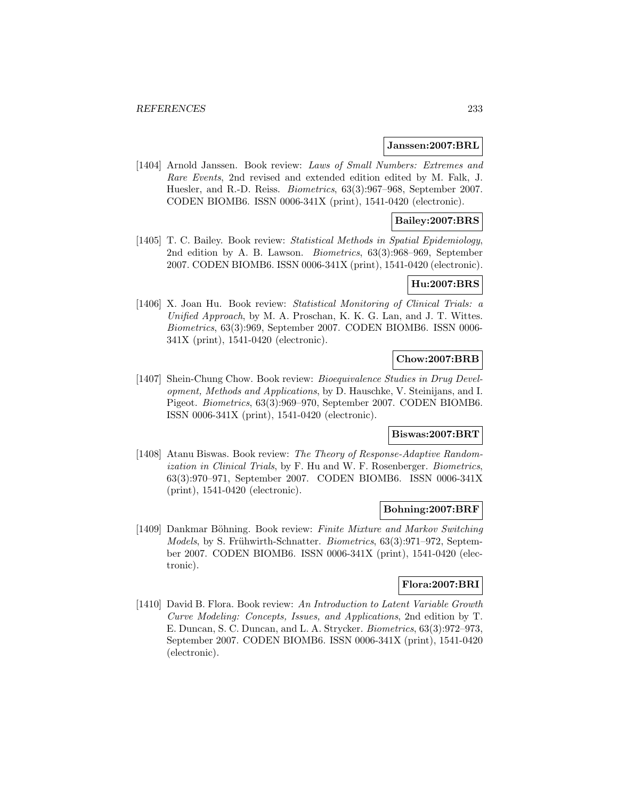#### **Janssen:2007:BRL**

[1404] Arnold Janssen. Book review: Laws of Small Numbers: Extremes and Rare Events, 2nd revised and extended edition edited by M. Falk, J. Huesler, and R.-D. Reiss. Biometrics, 63(3):967–968, September 2007. CODEN BIOMB6. ISSN 0006-341X (print), 1541-0420 (electronic).

## **Bailey:2007:BRS**

[1405] T. C. Bailey. Book review: Statistical Methods in Spatial Epidemiology, 2nd edition by A. B. Lawson. Biometrics, 63(3):968–969, September 2007. CODEN BIOMB6. ISSN 0006-341X (print), 1541-0420 (electronic).

## **Hu:2007:BRS**

[1406] X. Joan Hu. Book review: Statistical Monitoring of Clinical Trials: a Unified Approach, by M. A. Proschan, K. K. G. Lan, and J. T. Wittes. Biometrics, 63(3):969, September 2007. CODEN BIOMB6. ISSN 0006- 341X (print), 1541-0420 (electronic).

# **Chow:2007:BRB**

[1407] Shein-Chung Chow. Book review: Bioequivalence Studies in Drug Development, Methods and Applications, by D. Hauschke, V. Steinijans, and I. Pigeot. Biometrics, 63(3):969–970, September 2007. CODEN BIOMB6. ISSN 0006-341X (print), 1541-0420 (electronic).

# **Biswas:2007:BRT**

[1408] Atanu Biswas. Book review: The Theory of Response-Adaptive Randomization in Clinical Trials, by F. Hu and W. F. Rosenberger. Biometrics, 63(3):970–971, September 2007. CODEN BIOMB6. ISSN 0006-341X (print), 1541-0420 (electronic).

#### **Bohning:2007:BRF**

[1409] Dankmar Böhning. Book review: Finite Mixture and Markov Switching Models, by S. Frühwirth-Schnatter. Biometrics, 63(3):971–972, September 2007. CODEN BIOMB6. ISSN 0006-341X (print), 1541-0420 (electronic).

# **Flora:2007:BRI**

[1410] David B. Flora. Book review: An Introduction to Latent Variable Growth Curve Modeling: Concepts, Issues, and Applications, 2nd edition by T. E. Duncan, S. C. Duncan, and L. A. Strycker. Biometrics, 63(3):972–973, September 2007. CODEN BIOMB6. ISSN 0006-341X (print), 1541-0420 (electronic).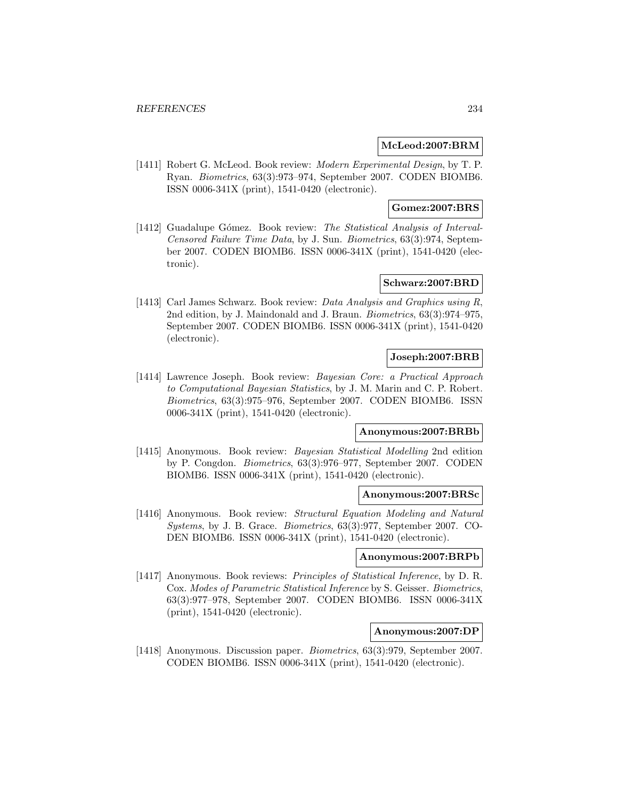### **McLeod:2007:BRM**

[1411] Robert G. McLeod. Book review: Modern Experimental Design, by T. P. Ryan. Biometrics, 63(3):973–974, September 2007. CODEN BIOMB6. ISSN 0006-341X (print), 1541-0420 (electronic).

### **Gomez:2007:BRS**

[1412] Guadalupe Gómez. Book review: The Statistical Analysis of Interval-Censored Failure Time Data, by J. Sun. Biometrics, 63(3):974, September 2007. CODEN BIOMB6. ISSN 0006-341X (print), 1541-0420 (electronic).

# **Schwarz:2007:BRD**

[1413] Carl James Schwarz. Book review: Data Analysis and Graphics using R, 2nd edition, by J. Maindonald and J. Braun. Biometrics, 63(3):974–975, September 2007. CODEN BIOMB6. ISSN 0006-341X (print), 1541-0420 (electronic).

# **Joseph:2007:BRB**

[1414] Lawrence Joseph. Book review: Bayesian Core: a Practical Approach to Computational Bayesian Statistics, by J. M. Marin and C. P. Robert. Biometrics, 63(3):975–976, September 2007. CODEN BIOMB6. ISSN 0006-341X (print), 1541-0420 (electronic).

#### **Anonymous:2007:BRBb**

[1415] Anonymous. Book review: Bayesian Statistical Modelling 2nd edition by P. Congdon. Biometrics, 63(3):976–977, September 2007. CODEN BIOMB6. ISSN 0006-341X (print), 1541-0420 (electronic).

#### **Anonymous:2007:BRSc**

[1416] Anonymous. Book review: Structural Equation Modeling and Natural Systems, by J. B. Grace. Biometrics, 63(3):977, September 2007. CO-DEN BIOMB6. ISSN 0006-341X (print), 1541-0420 (electronic).

#### **Anonymous:2007:BRPb**

[1417] Anonymous. Book reviews: *Principles of Statistical Inference*, by D. R. Cox. Modes of Parametric Statistical Inference by S. Geisser. Biometrics, 63(3):977–978, September 2007. CODEN BIOMB6. ISSN 0006-341X (print), 1541-0420 (electronic).

# **Anonymous:2007:DP**

[1418] Anonymous. Discussion paper. Biometrics, 63(3):979, September 2007. CODEN BIOMB6. ISSN 0006-341X (print), 1541-0420 (electronic).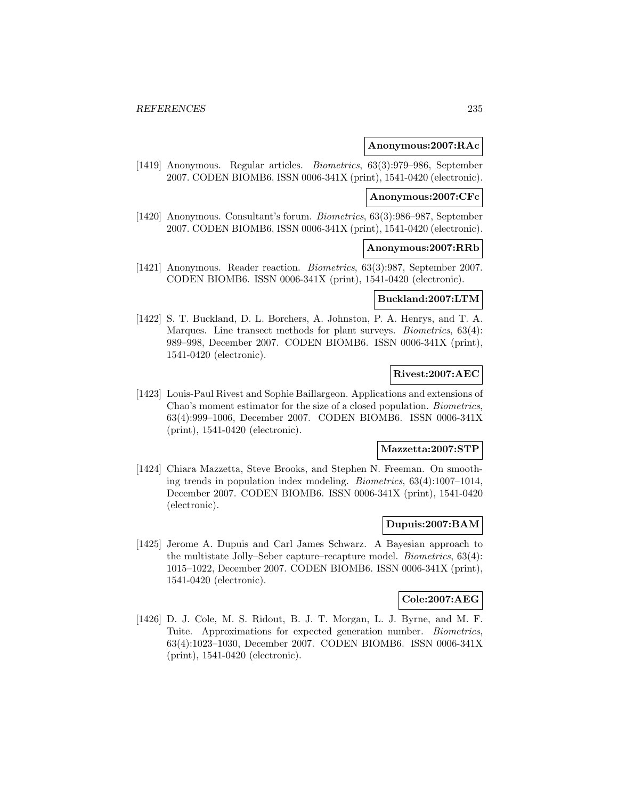#### **Anonymous:2007:RAc**

[1419] Anonymous. Regular articles. Biometrics, 63(3):979–986, September 2007. CODEN BIOMB6. ISSN 0006-341X (print), 1541-0420 (electronic).

#### **Anonymous:2007:CFc**

[1420] Anonymous. Consultant's forum. Biometrics, 63(3):986–987, September 2007. CODEN BIOMB6. ISSN 0006-341X (print), 1541-0420 (electronic).

#### **Anonymous:2007:RRb**

[1421] Anonymous. Reader reaction. Biometrics, 63(3):987, September 2007. CODEN BIOMB6. ISSN 0006-341X (print), 1541-0420 (electronic).

# **Buckland:2007:LTM**

[1422] S. T. Buckland, D. L. Borchers, A. Johnston, P. A. Henrys, and T. A. Marques. Line transect methods for plant surveys. *Biometrics*, 63(4): 989–998, December 2007. CODEN BIOMB6. ISSN 0006-341X (print), 1541-0420 (electronic).

# **Rivest:2007:AEC**

[1423] Louis-Paul Rivest and Sophie Baillargeon. Applications and extensions of Chao's moment estimator for the size of a closed population. Biometrics, 63(4):999–1006, December 2007. CODEN BIOMB6. ISSN 0006-341X (print), 1541-0420 (electronic).

## **Mazzetta:2007:STP**

[1424] Chiara Mazzetta, Steve Brooks, and Stephen N. Freeman. On smoothing trends in population index modeling. Biometrics, 63(4):1007–1014, December 2007. CODEN BIOMB6. ISSN 0006-341X (print), 1541-0420 (electronic).

#### **Dupuis:2007:BAM**

[1425] Jerome A. Dupuis and Carl James Schwarz. A Bayesian approach to the multistate Jolly–Seber capture–recapture model. Biometrics, 63(4): 1015–1022, December 2007. CODEN BIOMB6. ISSN 0006-341X (print), 1541-0420 (electronic).

#### **Cole:2007:AEG**

[1426] D. J. Cole, M. S. Ridout, B. J. T. Morgan, L. J. Byrne, and M. F. Tuite. Approximations for expected generation number. Biometrics, 63(4):1023–1030, December 2007. CODEN BIOMB6. ISSN 0006-341X (print), 1541-0420 (electronic).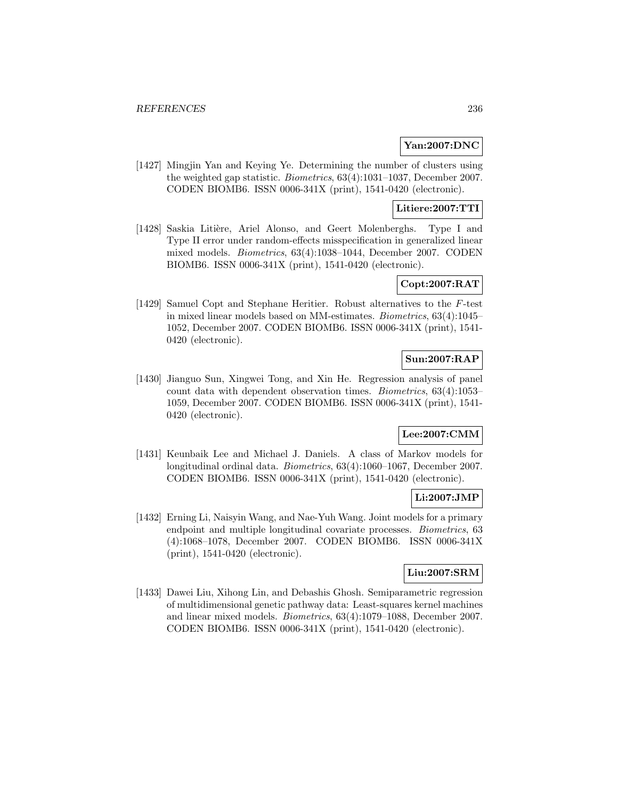# **Yan:2007:DNC**

[1427] Mingjin Yan and Keying Ye. Determining the number of clusters using the weighted gap statistic. Biometrics, 63(4):1031–1037, December 2007. CODEN BIOMB6. ISSN 0006-341X (print), 1541-0420 (electronic).

# **Litiere:2007:TTI**

[1428] Saskia Litière, Ariel Alonso, and Geert Molenberghs. Type I and Type II error under random-effects misspecification in generalized linear mixed models. Biometrics, 63(4):1038–1044, December 2007. CODEN BIOMB6. ISSN 0006-341X (print), 1541-0420 (electronic).

# **Copt:2007:RAT**

[1429] Samuel Copt and Stephane Heritier. Robust alternatives to the F-test in mixed linear models based on MM-estimates. Biometrics, 63(4):1045– 1052, December 2007. CODEN BIOMB6. ISSN 0006-341X (print), 1541- 0420 (electronic).

# **Sun:2007:RAP**

[1430] Jianguo Sun, Xingwei Tong, and Xin He. Regression analysis of panel count data with dependent observation times. Biometrics, 63(4):1053– 1059, December 2007. CODEN BIOMB6. ISSN 0006-341X (print), 1541- 0420 (electronic).

# **Lee:2007:CMM**

[1431] Keunbaik Lee and Michael J. Daniels. A class of Markov models for longitudinal ordinal data. Biometrics, 63(4):1060–1067, December 2007. CODEN BIOMB6. ISSN 0006-341X (print), 1541-0420 (electronic).

### **Li:2007:JMP**

[1432] Erning Li, Naisyin Wang, and Nae-Yuh Wang. Joint models for a primary endpoint and multiple longitudinal covariate processes. Biometrics, 63 (4):1068–1078, December 2007. CODEN BIOMB6. ISSN 0006-341X (print), 1541-0420 (electronic).

# **Liu:2007:SRM**

[1433] Dawei Liu, Xihong Lin, and Debashis Ghosh. Semiparametric regression of multidimensional genetic pathway data: Least-squares kernel machines and linear mixed models. Biometrics, 63(4):1079–1088, December 2007. CODEN BIOMB6. ISSN 0006-341X (print), 1541-0420 (electronic).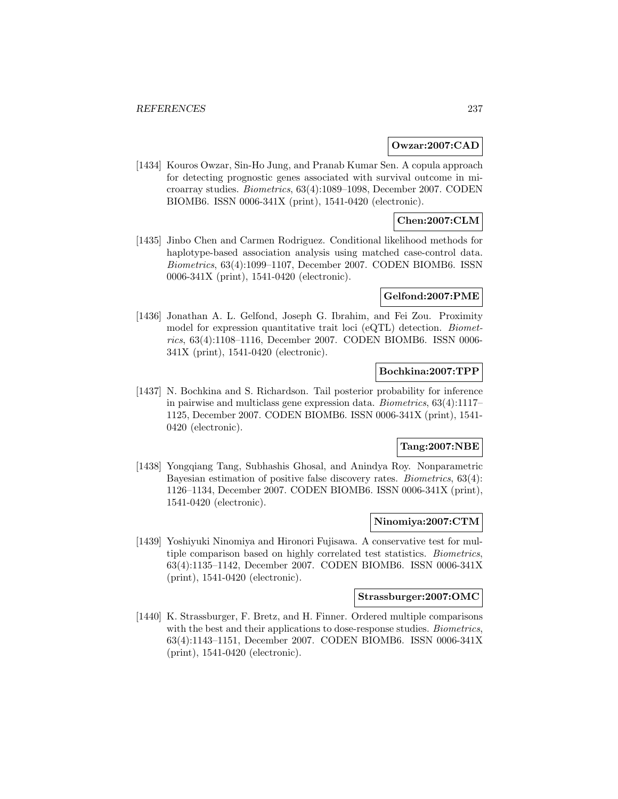#### **Owzar:2007:CAD**

[1434] Kouros Owzar, Sin-Ho Jung, and Pranab Kumar Sen. A copula approach for detecting prognostic genes associated with survival outcome in microarray studies. Biometrics, 63(4):1089–1098, December 2007. CODEN BIOMB6. ISSN 0006-341X (print), 1541-0420 (electronic).

# **Chen:2007:CLM**

[1435] Jinbo Chen and Carmen Rodriguez. Conditional likelihood methods for haplotype-based association analysis using matched case-control data. Biometrics, 63(4):1099–1107, December 2007. CODEN BIOMB6. ISSN 0006-341X (print), 1541-0420 (electronic).

### **Gelfond:2007:PME**

[1436] Jonathan A. L. Gelfond, Joseph G. Ibrahim, and Fei Zou. Proximity model for expression quantitative trait loci (eQTL) detection. Biometrics, 63(4):1108–1116, December 2007. CODEN BIOMB6. ISSN 0006- 341X (print), 1541-0420 (electronic).

## **Bochkina:2007:TPP**

[1437] N. Bochkina and S. Richardson. Tail posterior probability for inference in pairwise and multiclass gene expression data. Biometrics, 63(4):1117– 1125, December 2007. CODEN BIOMB6. ISSN 0006-341X (print), 1541- 0420 (electronic).

### **Tang:2007:NBE**

[1438] Yongqiang Tang, Subhashis Ghosal, and Anindya Roy. Nonparametric Bayesian estimation of positive false discovery rates. Biometrics, 63(4): 1126–1134, December 2007. CODEN BIOMB6. ISSN 0006-341X (print), 1541-0420 (electronic).

### **Ninomiya:2007:CTM**

[1439] Yoshiyuki Ninomiya and Hironori Fujisawa. A conservative test for multiple comparison based on highly correlated test statistics. Biometrics, 63(4):1135–1142, December 2007. CODEN BIOMB6. ISSN 0006-341X (print), 1541-0420 (electronic).

# **Strassburger:2007:OMC**

[1440] K. Strassburger, F. Bretz, and H. Finner. Ordered multiple comparisons with the best and their applications to dose-response studies. *Biometrics*, 63(4):1143–1151, December 2007. CODEN BIOMB6. ISSN 0006-341X (print), 1541-0420 (electronic).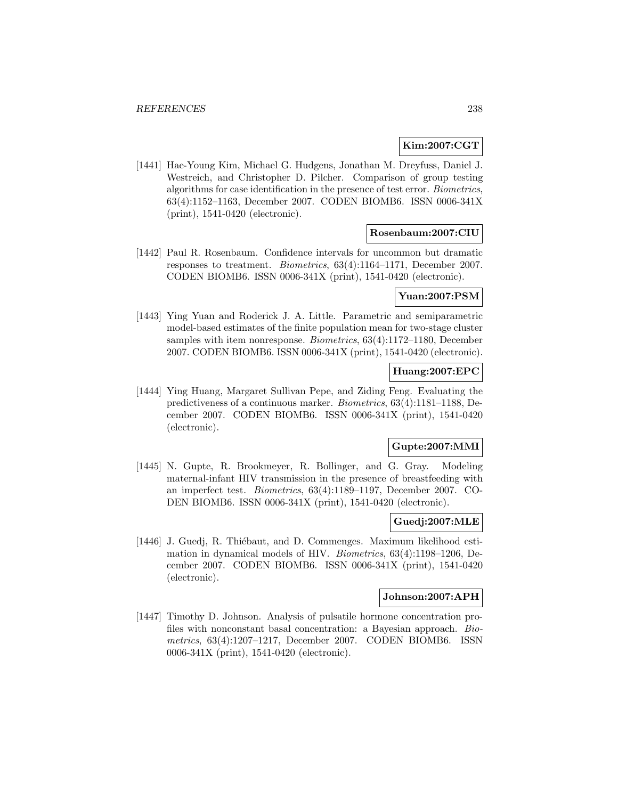## **Kim:2007:CGT**

[1441] Hae-Young Kim, Michael G. Hudgens, Jonathan M. Dreyfuss, Daniel J. Westreich, and Christopher D. Pilcher. Comparison of group testing algorithms for case identification in the presence of test error. Biometrics, 63(4):1152–1163, December 2007. CODEN BIOMB6. ISSN 0006-341X (print), 1541-0420 (electronic).

### **Rosenbaum:2007:CIU**

[1442] Paul R. Rosenbaum. Confidence intervals for uncommon but dramatic responses to treatment. Biometrics, 63(4):1164–1171, December 2007. CODEN BIOMB6. ISSN 0006-341X (print), 1541-0420 (electronic).

## **Yuan:2007:PSM**

[1443] Ying Yuan and Roderick J. A. Little. Parametric and semiparametric model-based estimates of the finite population mean for two-stage cluster samples with item nonresponse. Biometrics, 63(4):1172–1180, December 2007. CODEN BIOMB6. ISSN 0006-341X (print), 1541-0420 (electronic).

# **Huang:2007:EPC**

[1444] Ying Huang, Margaret Sullivan Pepe, and Ziding Feng. Evaluating the predictiveness of a continuous marker. Biometrics, 63(4):1181–1188, December 2007. CODEN BIOMB6. ISSN 0006-341X (print), 1541-0420 (electronic).

### **Gupte:2007:MMI**

[1445] N. Gupte, R. Brookmeyer, R. Bollinger, and G. Gray. Modeling maternal-infant HIV transmission in the presence of breastfeeding with an imperfect test. Biometrics, 63(4):1189–1197, December 2007. CO-DEN BIOMB6. ISSN 0006-341X (print), 1541-0420 (electronic).

#### **Guedj:2007:MLE**

[1446] J. Guedj, R. Thiébaut, and D. Commenges. Maximum likelihood estimation in dynamical models of HIV. Biometrics, 63(4):1198–1206, December 2007. CODEN BIOMB6. ISSN 0006-341X (print), 1541-0420 (electronic).

#### **Johnson:2007:APH**

[1447] Timothy D. Johnson. Analysis of pulsatile hormone concentration profiles with nonconstant basal concentration: a Bayesian approach. Biometrics, 63(4):1207–1217, December 2007. CODEN BIOMB6. ISSN 0006-341X (print), 1541-0420 (electronic).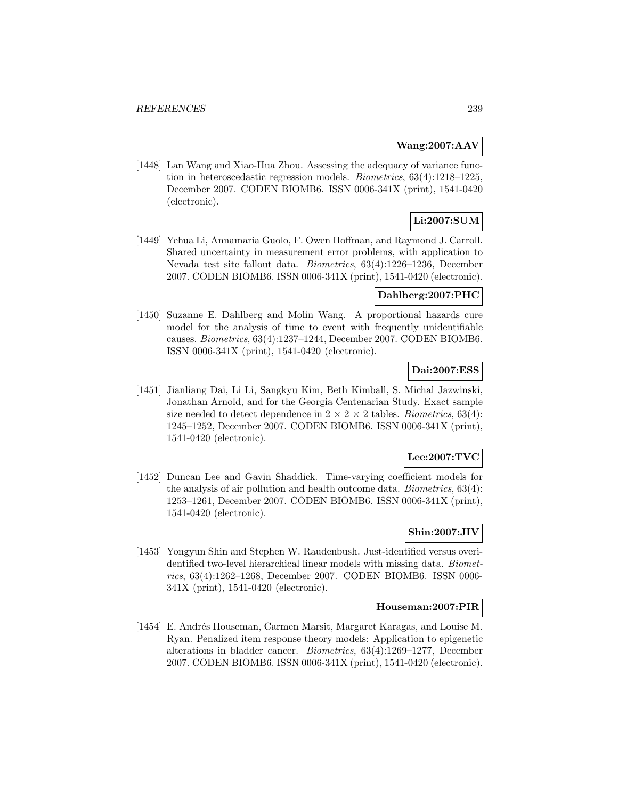## **Wang:2007:AAV**

[1448] Lan Wang and Xiao-Hua Zhou. Assessing the adequacy of variance function in heteroscedastic regression models. Biometrics, 63(4):1218–1225, December 2007. CODEN BIOMB6. ISSN 0006-341X (print), 1541-0420 (electronic).

# **Li:2007:SUM**

[1449] Yehua Li, Annamaria Guolo, F. Owen Hoffman, and Raymond J. Carroll. Shared uncertainty in measurement error problems, with application to Nevada test site fallout data. Biometrics, 63(4):1226–1236, December 2007. CODEN BIOMB6. ISSN 0006-341X (print), 1541-0420 (electronic).

### **Dahlberg:2007:PHC**

[1450] Suzanne E. Dahlberg and Molin Wang. A proportional hazards cure model for the analysis of time to event with frequently unidentifiable causes. Biometrics, 63(4):1237–1244, December 2007. CODEN BIOMB6. ISSN 0006-341X (print), 1541-0420 (electronic).

# **Dai:2007:ESS**

[1451] Jianliang Dai, Li Li, Sangkyu Kim, Beth Kimball, S. Michal Jazwinski, Jonathan Arnold, and for the Georgia Centenarian Study. Exact sample size needed to detect dependence in  $2 \times 2 \times 2$  tables. *Biometrics*, 63(4): 1245–1252, December 2007. CODEN BIOMB6. ISSN 0006-341X (print), 1541-0420 (electronic).

### **Lee:2007:TVC**

[1452] Duncan Lee and Gavin Shaddick. Time-varying coefficient models for the analysis of air pollution and health outcome data. Biometrics, 63(4): 1253–1261, December 2007. CODEN BIOMB6. ISSN 0006-341X (print), 1541-0420 (electronic).

# **Shin:2007:JIV**

[1453] Yongyun Shin and Stephen W. Raudenbush. Just-identified versus overidentified two-level hierarchical linear models with missing data. Biometrics, 63(4):1262–1268, December 2007. CODEN BIOMB6. ISSN 0006- 341X (print), 1541-0420 (electronic).

#### **Houseman:2007:PIR**

[1454] E. Andrés Houseman, Carmen Marsit, Margaret Karagas, and Louise M. Ryan. Penalized item response theory models: Application to epigenetic alterations in bladder cancer. Biometrics, 63(4):1269–1277, December 2007. CODEN BIOMB6. ISSN 0006-341X (print), 1541-0420 (electronic).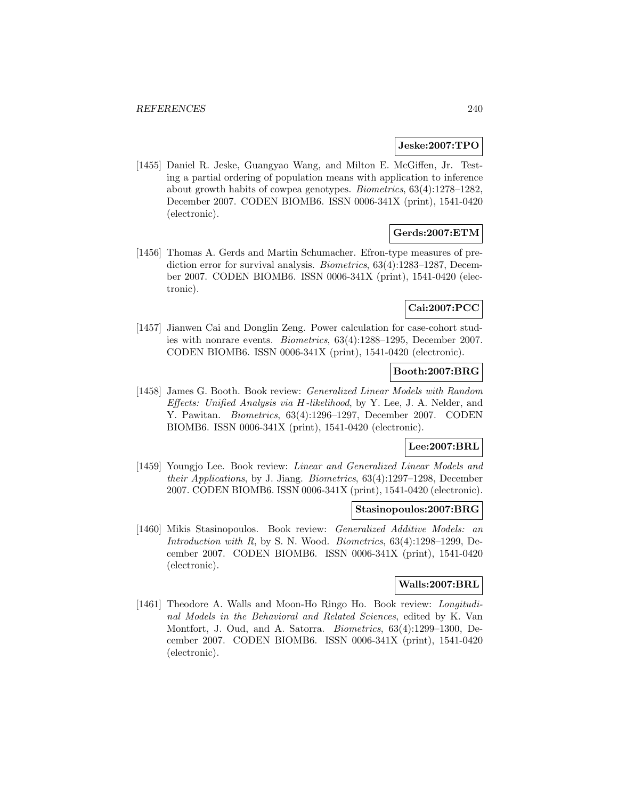### **Jeske:2007:TPO**

[1455] Daniel R. Jeske, Guangyao Wang, and Milton E. McGiffen, Jr. Testing a partial ordering of population means with application to inference about growth habits of cowpea genotypes. Biometrics, 63(4):1278–1282, December 2007. CODEN BIOMB6. ISSN 0006-341X (print), 1541-0420 (electronic).

# **Gerds:2007:ETM**

[1456] Thomas A. Gerds and Martin Schumacher. Efron-type measures of prediction error for survival analysis. *Biometrics*, 63(4):1283-1287, December 2007. CODEN BIOMB6. ISSN 0006-341X (print), 1541-0420 (electronic).

### **Cai:2007:PCC**

[1457] Jianwen Cai and Donglin Zeng. Power calculation for case-cohort studies with nonrare events. Biometrics, 63(4):1288–1295, December 2007. CODEN BIOMB6. ISSN 0006-341X (print), 1541-0420 (electronic).

# **Booth:2007:BRG**

[1458] James G. Booth. Book review: Generalized Linear Models with Random Effects: Unified Analysis via H-likelihood, by Y. Lee, J. A. Nelder, and Y. Pawitan. Biometrics, 63(4):1296–1297, December 2007. CODEN BIOMB6. ISSN 0006-341X (print), 1541-0420 (electronic).

### **Lee:2007:BRL**

[1459] Youngjo Lee. Book review: Linear and Generalized Linear Models and their Applications, by J. Jiang. Biometrics, 63(4):1297–1298, December 2007. CODEN BIOMB6. ISSN 0006-341X (print), 1541-0420 (electronic).

### **Stasinopoulos:2007:BRG**

[1460] Mikis Stasinopoulos. Book review: Generalized Additive Models: an Introduction with R, by S. N. Wood. Biometrics, 63(4):1298–1299, December 2007. CODEN BIOMB6. ISSN 0006-341X (print), 1541-0420 (electronic).

# **Walls:2007:BRL**

[1461] Theodore A. Walls and Moon-Ho Ringo Ho. Book review: *Longitudi*nal Models in the Behavioral and Related Sciences, edited by K. Van Montfort, J. Oud, and A. Satorra. Biometrics, 63(4):1299–1300, December 2007. CODEN BIOMB6. ISSN 0006-341X (print), 1541-0420 (electronic).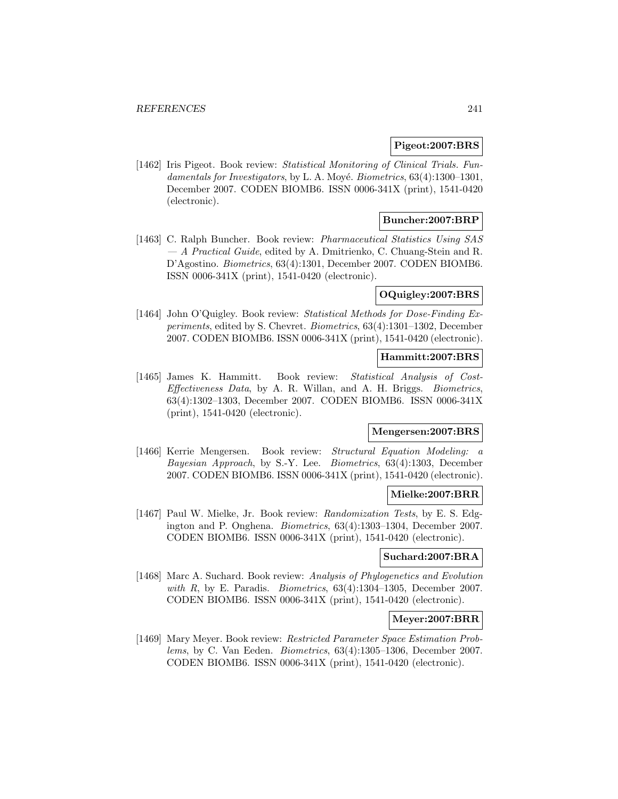#### **Pigeot:2007:BRS**

[1462] Iris Pigeot. Book review: Statistical Monitoring of Clinical Trials. Fundamentals for Investigators, by L. A. Moyé. Biometrics,  $63(4):1300-1301$ , December 2007. CODEN BIOMB6. ISSN 0006-341X (print), 1541-0420 (electronic).

# **Buncher:2007:BRP**

[1463] C. Ralph Buncher. Book review: Pharmaceutical Statistics Using SAS — A Practical Guide, edited by A. Dmitrienko, C. Chuang-Stein and R. D'Agostino. Biometrics, 63(4):1301, December 2007. CODEN BIOMB6. ISSN 0006-341X (print), 1541-0420 (electronic).

## **OQuigley:2007:BRS**

[1464] John O'Quigley. Book review: Statistical Methods for Dose-Finding Experiments, edited by S. Chevret. Biometrics, 63(4):1301–1302, December 2007. CODEN BIOMB6. ISSN 0006-341X (print), 1541-0420 (electronic).

### **Hammitt:2007:BRS**

[1465] James K. Hammitt. Book review: Statistical Analysis of Cost-Effectiveness Data, by A. R. Willan, and A. H. Briggs. Biometrics, 63(4):1302–1303, December 2007. CODEN BIOMB6. ISSN 0006-341X (print), 1541-0420 (electronic).

#### **Mengersen:2007:BRS**

[1466] Kerrie Mengersen. Book review: Structural Equation Modeling: a Bayesian Approach, by S.-Y. Lee. Biometrics, 63(4):1303, December 2007. CODEN BIOMB6. ISSN 0006-341X (print), 1541-0420 (electronic).

#### **Mielke:2007:BRR**

[1467] Paul W. Mielke, Jr. Book review: Randomization Tests, by E. S. Edgington and P. Onghena. Biometrics, 63(4):1303–1304, December 2007. CODEN BIOMB6. ISSN 0006-341X (print), 1541-0420 (electronic).

#### **Suchard:2007:BRA**

[1468] Marc A. Suchard. Book review: Analysis of Phylogenetics and Evolution with R, by E. Paradis. *Biometrics*,  $63(4):1304-1305$ , December 2007. CODEN BIOMB6. ISSN 0006-341X (print), 1541-0420 (electronic).

#### **Meyer:2007:BRR**

[1469] Mary Meyer. Book review: Restricted Parameter Space Estimation Problems, by C. Van Eeden. Biometrics, 63(4):1305–1306, December 2007. CODEN BIOMB6. ISSN 0006-341X (print), 1541-0420 (electronic).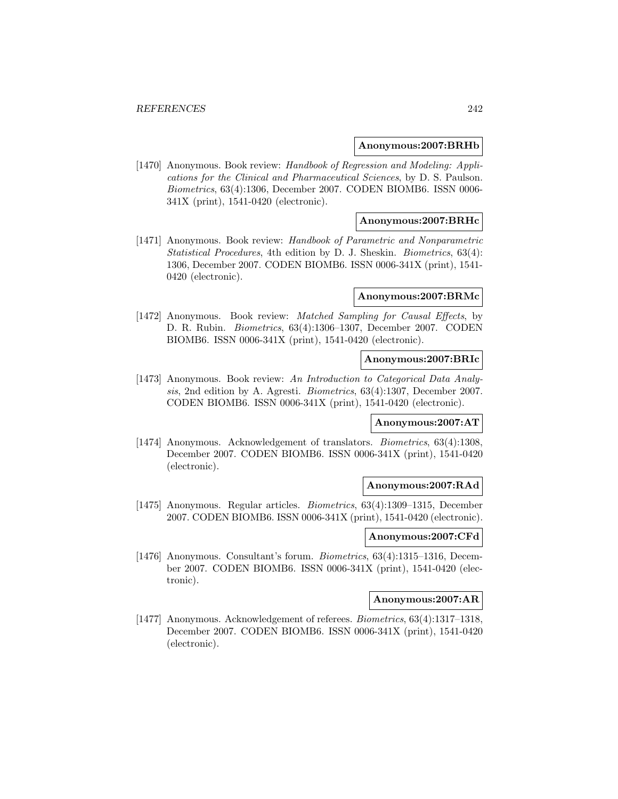#### **Anonymous:2007:BRHb**

[1470] Anonymous. Book review: Handbook of Regression and Modeling: Applications for the Clinical and Pharmaceutical Sciences, by D. S. Paulson. Biometrics, 63(4):1306, December 2007. CODEN BIOMB6. ISSN 0006- 341X (print), 1541-0420 (electronic).

### **Anonymous:2007:BRHc**

[1471] Anonymous. Book review: Handbook of Parametric and Nonparametric Statistical Procedures, 4th edition by D. J. Sheskin. Biometrics, 63(4): 1306, December 2007. CODEN BIOMB6. ISSN 0006-341X (print), 1541- 0420 (electronic).

#### **Anonymous:2007:BRMc**

[1472] Anonymous. Book review: Matched Sampling for Causal Effects, by D. R. Rubin. Biometrics, 63(4):1306–1307, December 2007. CODEN BIOMB6. ISSN 0006-341X (print), 1541-0420 (electronic).

#### **Anonymous:2007:BRIc**

[1473] Anonymous. Book review: An Introduction to Categorical Data Analysis, 2nd edition by A. Agresti. Biometrics, 63(4):1307, December 2007. CODEN BIOMB6. ISSN 0006-341X (print), 1541-0420 (electronic).

#### **Anonymous:2007:AT**

[1474] Anonymous. Acknowledgement of translators. *Biometrics*, 63(4):1308, December 2007. CODEN BIOMB6. ISSN 0006-341X (print), 1541-0420 (electronic).

### **Anonymous:2007:RAd**

[1475] Anonymous. Regular articles. Biometrics, 63(4):1309–1315, December 2007. CODEN BIOMB6. ISSN 0006-341X (print), 1541-0420 (electronic).

#### **Anonymous:2007:CFd**

[1476] Anonymous. Consultant's forum. Biometrics, 63(4):1315–1316, December 2007. CODEN BIOMB6. ISSN 0006-341X (print), 1541-0420 (electronic).

## **Anonymous:2007:AR**

[1477] Anonymous. Acknowledgement of referees. Biometrics, 63(4):1317–1318, December 2007. CODEN BIOMB6. ISSN 0006-341X (print), 1541-0420 (electronic).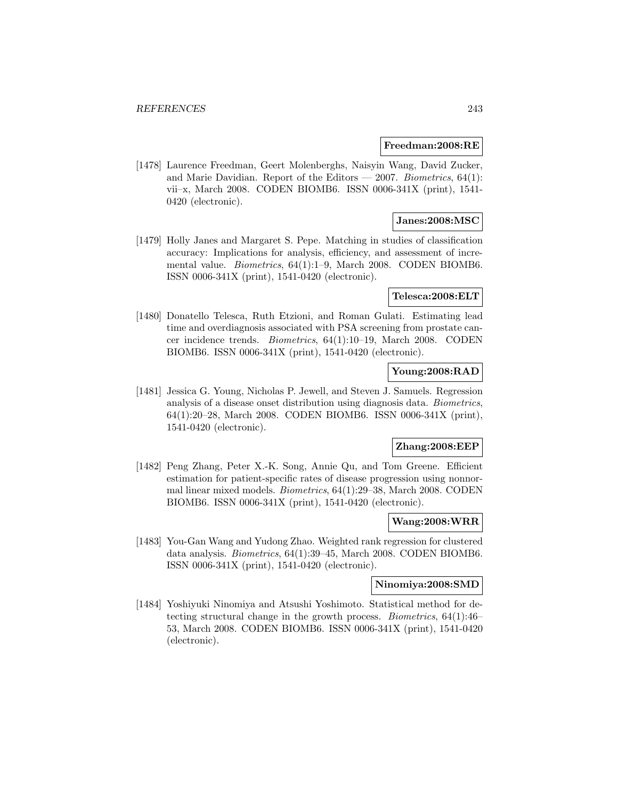#### **Freedman:2008:RE**

[1478] Laurence Freedman, Geert Molenberghs, Naisyin Wang, David Zucker, and Marie Davidian. Report of the Editors  $-2007$ . Biometrics, 64(1): vii–x, March 2008. CODEN BIOMB6. ISSN 0006-341X (print), 1541- 0420 (electronic).

# **Janes:2008:MSC**

[1479] Holly Janes and Margaret S. Pepe. Matching in studies of classification accuracy: Implications for analysis, efficiency, and assessment of incremental value. Biometrics, 64(1):1–9, March 2008. CODEN BIOMB6. ISSN 0006-341X (print), 1541-0420 (electronic).

# **Telesca:2008:ELT**

[1480] Donatello Telesca, Ruth Etzioni, and Roman Gulati. Estimating lead time and overdiagnosis associated with PSA screening from prostate cancer incidence trends. Biometrics, 64(1):10–19, March 2008. CODEN BIOMB6. ISSN 0006-341X (print), 1541-0420 (electronic).

# **Young:2008:RAD**

[1481] Jessica G. Young, Nicholas P. Jewell, and Steven J. Samuels. Regression analysis of a disease onset distribution using diagnosis data. Biometrics, 64(1):20–28, March 2008. CODEN BIOMB6. ISSN 0006-341X (print), 1541-0420 (electronic).

### **Zhang:2008:EEP**

[1482] Peng Zhang, Peter X.-K. Song, Annie Qu, and Tom Greene. Efficient estimation for patient-specific rates of disease progression using nonnormal linear mixed models. Biometrics, 64(1):29–38, March 2008. CODEN BIOMB6. ISSN 0006-341X (print), 1541-0420 (electronic).

#### **Wang:2008:WRR**

[1483] You-Gan Wang and Yudong Zhao. Weighted rank regression for clustered data analysis. Biometrics, 64(1):39–45, March 2008. CODEN BIOMB6. ISSN 0006-341X (print), 1541-0420 (electronic).

#### **Ninomiya:2008:SMD**

[1484] Yoshiyuki Ninomiya and Atsushi Yoshimoto. Statistical method for detecting structural change in the growth process. Biometrics, 64(1):46– 53, March 2008. CODEN BIOMB6. ISSN 0006-341X (print), 1541-0420 (electronic).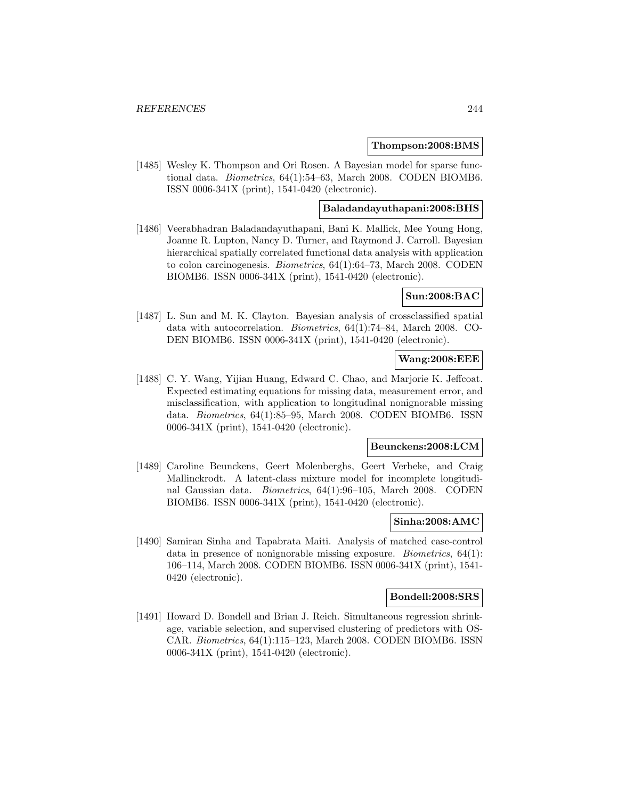#### **Thompson:2008:BMS**

[1485] Wesley K. Thompson and Ori Rosen. A Bayesian model for sparse functional data. Biometrics, 64(1):54–63, March 2008. CODEN BIOMB6. ISSN 0006-341X (print), 1541-0420 (electronic).

#### **Baladandayuthapani:2008:BHS**

[1486] Veerabhadran Baladandayuthapani, Bani K. Mallick, Mee Young Hong, Joanne R. Lupton, Nancy D. Turner, and Raymond J. Carroll. Bayesian hierarchical spatially correlated functional data analysis with application to colon carcinogenesis. Biometrics, 64(1):64–73, March 2008. CODEN BIOMB6. ISSN 0006-341X (print), 1541-0420 (electronic).

#### **Sun:2008:BAC**

[1487] L. Sun and M. K. Clayton. Bayesian analysis of crossclassified spatial data with autocorrelation. Biometrics, 64(1):74–84, March 2008. CO-DEN BIOMB6. ISSN 0006-341X (print), 1541-0420 (electronic).

### **Wang:2008:EEE**

[1488] C. Y. Wang, Yijian Huang, Edward C. Chao, and Marjorie K. Jeffcoat. Expected estimating equations for missing data, measurement error, and misclassification, with application to longitudinal nonignorable missing data. Biometrics, 64(1):85–95, March 2008. CODEN BIOMB6. ISSN 0006-341X (print), 1541-0420 (electronic).

#### **Beunckens:2008:LCM**

[1489] Caroline Beunckens, Geert Molenberghs, Geert Verbeke, and Craig Mallinckrodt. A latent-class mixture model for incomplete longitudinal Gaussian data. Biometrics, 64(1):96–105, March 2008. CODEN BIOMB6. ISSN 0006-341X (print), 1541-0420 (electronic).

#### **Sinha:2008:AMC**

[1490] Samiran Sinha and Tapabrata Maiti. Analysis of matched case-control data in presence of nonignorable missing exposure. Biometrics, 64(1): 106–114, March 2008. CODEN BIOMB6. ISSN 0006-341X (print), 1541- 0420 (electronic).

#### **Bondell:2008:SRS**

[1491] Howard D. Bondell and Brian J. Reich. Simultaneous regression shrinkage, variable selection, and supervised clustering of predictors with OS-CAR. Biometrics, 64(1):115–123, March 2008. CODEN BIOMB6. ISSN 0006-341X (print), 1541-0420 (electronic).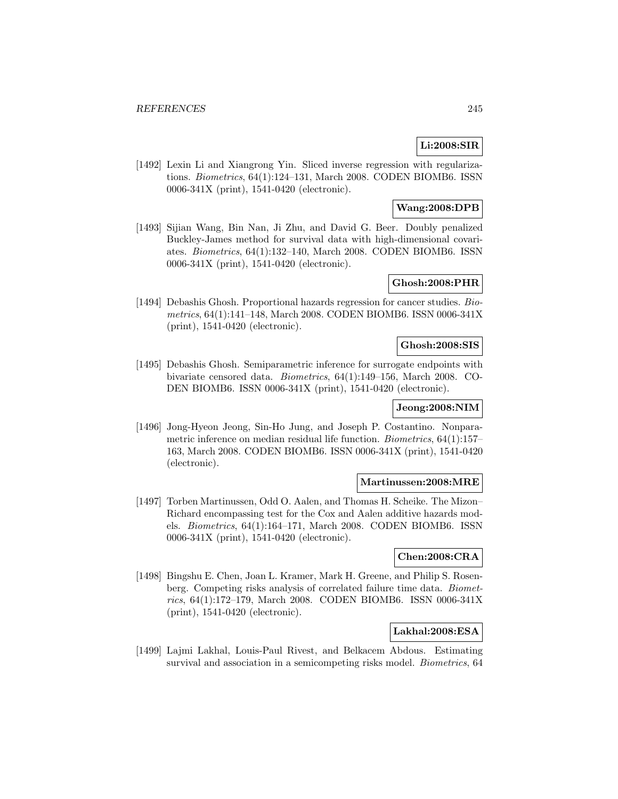# **Li:2008:SIR**

[1492] Lexin Li and Xiangrong Yin. Sliced inverse regression with regularizations. Biometrics, 64(1):124–131, March 2008. CODEN BIOMB6. ISSN 0006-341X (print), 1541-0420 (electronic).

# **Wang:2008:DPB**

[1493] Sijian Wang, Bin Nan, Ji Zhu, and David G. Beer. Doubly penalized Buckley-James method for survival data with high-dimensional covariates. Biometrics, 64(1):132–140, March 2008. CODEN BIOMB6. ISSN 0006-341X (print), 1541-0420 (electronic).

# **Ghosh:2008:PHR**

[1494] Debashis Ghosh. Proportional hazards regression for cancer studies. Biometrics, 64(1):141–148, March 2008. CODEN BIOMB6. ISSN 0006-341X (print), 1541-0420 (electronic).

#### **Ghosh:2008:SIS**

[1495] Debashis Ghosh. Semiparametric inference for surrogate endpoints with bivariate censored data. Biometrics, 64(1):149–156, March 2008. CO-DEN BIOMB6. ISSN 0006-341X (print), 1541-0420 (electronic).

# **Jeong:2008:NIM**

[1496] Jong-Hyeon Jeong, Sin-Ho Jung, and Joseph P. Costantino. Nonparametric inference on median residual life function. Biometrics, 64(1):157– 163, March 2008. CODEN BIOMB6. ISSN 0006-341X (print), 1541-0420 (electronic).

# **Martinussen:2008:MRE**

[1497] Torben Martinussen, Odd O. Aalen, and Thomas H. Scheike. The Mizon– Richard encompassing test for the Cox and Aalen additive hazards models. Biometrics, 64(1):164–171, March 2008. CODEN BIOMB6. ISSN 0006-341X (print), 1541-0420 (electronic).

# **Chen:2008:CRA**

[1498] Bingshu E. Chen, Joan L. Kramer, Mark H. Greene, and Philip S. Rosenberg. Competing risks analysis of correlated failure time data. Biometrics, 64(1):172–179, March 2008. CODEN BIOMB6. ISSN 0006-341X (print), 1541-0420 (electronic).

# **Lakhal:2008:ESA**

[1499] Lajmi Lakhal, Louis-Paul Rivest, and Belkacem Abdous. Estimating survival and association in a semicompeting risks model. Biometrics, 64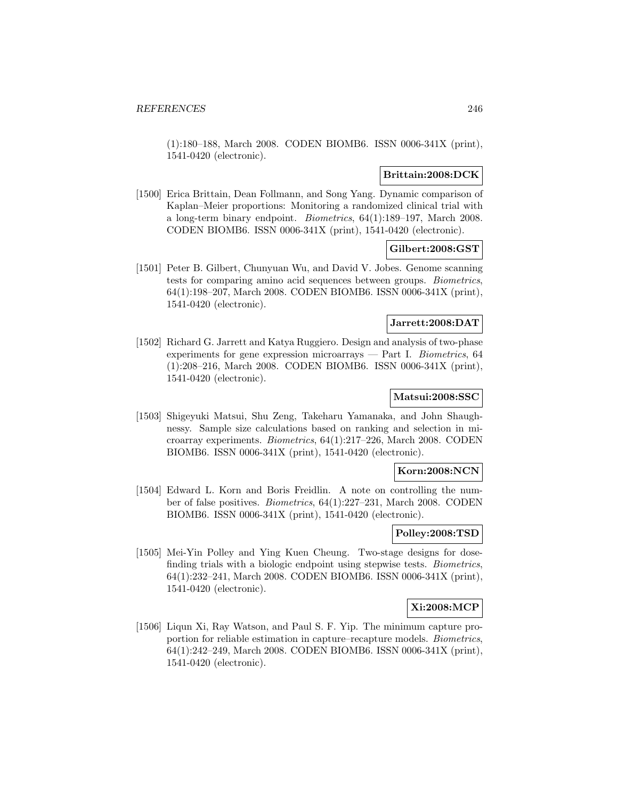(1):180–188, March 2008. CODEN BIOMB6. ISSN 0006-341X (print), 1541-0420 (electronic).

## **Brittain:2008:DCK**

[1500] Erica Brittain, Dean Follmann, and Song Yang. Dynamic comparison of Kaplan–Meier proportions: Monitoring a randomized clinical trial with a long-term binary endpoint. Biometrics, 64(1):189–197, March 2008. CODEN BIOMB6. ISSN 0006-341X (print), 1541-0420 (electronic).

# **Gilbert:2008:GST**

[1501] Peter B. Gilbert, Chunyuan Wu, and David V. Jobes. Genome scanning tests for comparing amino acid sequences between groups. Biometrics, 64(1):198–207, March 2008. CODEN BIOMB6. ISSN 0006-341X (print), 1541-0420 (electronic).

# **Jarrett:2008:DAT**

[1502] Richard G. Jarrett and Katya Ruggiero. Design and analysis of two-phase experiments for gene expression microarrays — Part I. Biometrics,  $64$ (1):208–216, March 2008. CODEN BIOMB6. ISSN 0006-341X (print), 1541-0420 (electronic).

### **Matsui:2008:SSC**

[1503] Shigeyuki Matsui, Shu Zeng, Takeharu Yamanaka, and John Shaughnessy. Sample size calculations based on ranking and selection in microarray experiments. Biometrics, 64(1):217–226, March 2008. CODEN BIOMB6. ISSN 0006-341X (print), 1541-0420 (electronic).

# **Korn:2008:NCN**

[1504] Edward L. Korn and Boris Freidlin. A note on controlling the number of false positives. Biometrics, 64(1):227–231, March 2008. CODEN BIOMB6. ISSN 0006-341X (print), 1541-0420 (electronic).

# **Polley:2008:TSD**

[1505] Mei-Yin Polley and Ying Kuen Cheung. Two-stage designs for dosefinding trials with a biologic endpoint using stepwise tests. *Biometrics*, 64(1):232–241, March 2008. CODEN BIOMB6. ISSN 0006-341X (print), 1541-0420 (electronic).

# **Xi:2008:MCP**

[1506] Liqun Xi, Ray Watson, and Paul S. F. Yip. The minimum capture proportion for reliable estimation in capture–recapture models. Biometrics, 64(1):242–249, March 2008. CODEN BIOMB6. ISSN 0006-341X (print), 1541-0420 (electronic).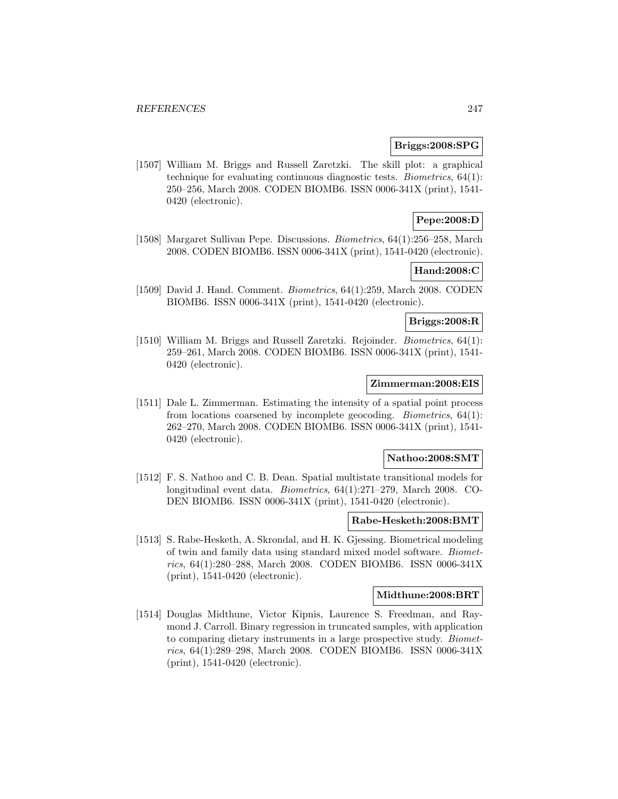#### **Briggs:2008:SPG**

[1507] William M. Briggs and Russell Zaretzki. The skill plot: a graphical technique for evaluating continuous diagnostic tests. Biometrics, 64(1): 250–256, March 2008. CODEN BIOMB6. ISSN 0006-341X (print), 1541- 0420 (electronic).

# **Pepe:2008:D**

[1508] Margaret Sullivan Pepe. Discussions. Biometrics, 64(1):256–258, March 2008. CODEN BIOMB6. ISSN 0006-341X (print), 1541-0420 (electronic).

# **Hand:2008:C**

[1509] David J. Hand. Comment. Biometrics, 64(1):259, March 2008. CODEN BIOMB6. ISSN 0006-341X (print), 1541-0420 (electronic).

# **Briggs:2008:R**

[1510] William M. Briggs and Russell Zaretzki. Rejoinder. Biometrics, 64(1): 259–261, March 2008. CODEN BIOMB6. ISSN 0006-341X (print), 1541- 0420 (electronic).

# **Zimmerman:2008:EIS**

[1511] Dale L. Zimmerman. Estimating the intensity of a spatial point process from locations coarsened by incomplete geocoding. Biometrics, 64(1): 262–270, March 2008. CODEN BIOMB6. ISSN 0006-341X (print), 1541- 0420 (electronic).

#### **Nathoo:2008:SMT**

[1512] F. S. Nathoo and C. B. Dean. Spatial multistate transitional models for longitudinal event data. Biometrics, 64(1):271–279, March 2008. CO-DEN BIOMB6. ISSN 0006-341X (print), 1541-0420 (electronic).

# **Rabe-Hesketh:2008:BMT**

[1513] S. Rabe-Hesketh, A. Skrondal, and H. K. Gjessing. Biometrical modeling of twin and family data using standard mixed model software. Biometrics, 64(1):280–288, March 2008. CODEN BIOMB6. ISSN 0006-341X (print), 1541-0420 (electronic).

#### **Midthune:2008:BRT**

[1514] Douglas Midthune, Victor Kipnis, Laurence S. Freedman, and Raymond J. Carroll. Binary regression in truncated samples, with application to comparing dietary instruments in a large prospective study. Biometrics, 64(1):289–298, March 2008. CODEN BIOMB6. ISSN 0006-341X (print), 1541-0420 (electronic).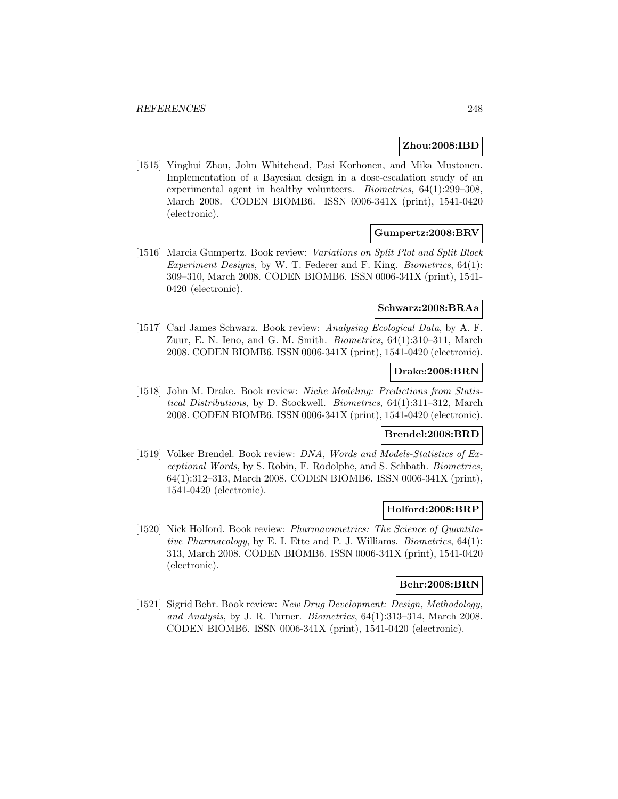### **Zhou:2008:IBD**

[1515] Yinghui Zhou, John Whitehead, Pasi Korhonen, and Mika Mustonen. Implementation of a Bayesian design in a dose-escalation study of an experimental agent in healthy volunteers. Biometrics, 64(1):299–308, March 2008. CODEN BIOMB6. ISSN 0006-341X (print), 1541-0420 (electronic).

### **Gumpertz:2008:BRV**

[1516] Marcia Gumpertz. Book review: Variations on Split Plot and Split Block Experiment Designs, by W. T. Federer and F. King. Biometrics, 64(1): 309–310, March 2008. CODEN BIOMB6. ISSN 0006-341X (print), 1541- 0420 (electronic).

#### **Schwarz:2008:BRAa**

[1517] Carl James Schwarz. Book review: Analysing Ecological Data, by A. F. Zuur, E. N. Ieno, and G. M. Smith. Biometrics, 64(1):310–311, March 2008. CODEN BIOMB6. ISSN 0006-341X (print), 1541-0420 (electronic).

# **Drake:2008:BRN**

[1518] John M. Drake. Book review: Niche Modeling: Predictions from Statistical Distributions, by D. Stockwell. Biometrics, 64(1):311–312, March 2008. CODEN BIOMB6. ISSN 0006-341X (print), 1541-0420 (electronic).

# **Brendel:2008:BRD**

[1519] Volker Brendel. Book review: DNA, Words and Models-Statistics of Exceptional Words, by S. Robin, F. Rodolphe, and S. Schbath. Biometrics, 64(1):312–313, March 2008. CODEN BIOMB6. ISSN 0006-341X (print), 1541-0420 (electronic).

### **Holford:2008:BRP**

[1520] Nick Holford. Book review: Pharmacometrics: The Science of Quantitative Pharmacology, by E. I. Ette and P. J. Williams. Biometrics, 64(1): 313, March 2008. CODEN BIOMB6. ISSN 0006-341X (print), 1541-0420 (electronic).

# **Behr:2008:BRN**

[1521] Sigrid Behr. Book review: New Drug Development: Design, Methodology, and Analysis, by J. R. Turner. Biometrics, 64(1):313–314, March 2008. CODEN BIOMB6. ISSN 0006-341X (print), 1541-0420 (electronic).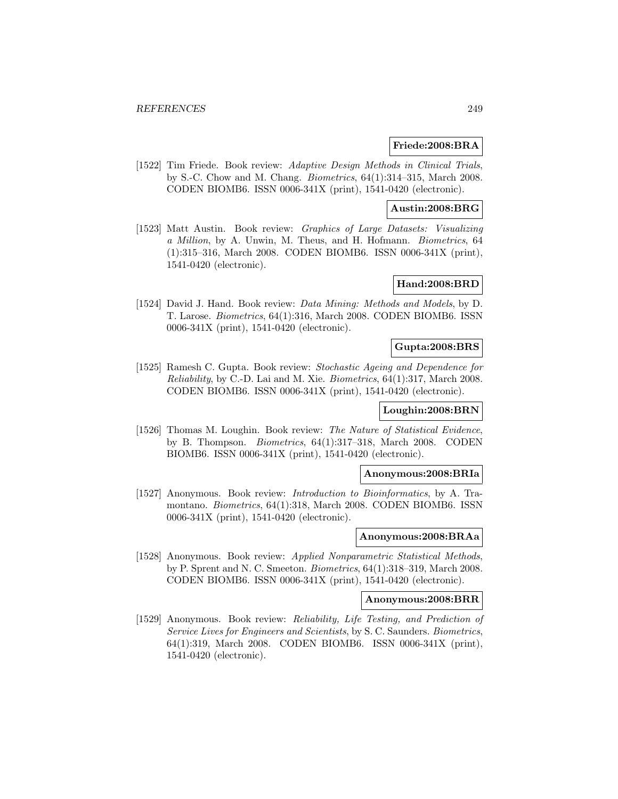#### **Friede:2008:BRA**

[1522] Tim Friede. Book review: Adaptive Design Methods in Clinical Trials, by S.-C. Chow and M. Chang. Biometrics, 64(1):314–315, March 2008. CODEN BIOMB6. ISSN 0006-341X (print), 1541-0420 (electronic).

### **Austin:2008:BRG**

[1523] Matt Austin. Book review: Graphics of Large Datasets: Visualizing a Million, by A. Unwin, M. Theus, and H. Hofmann. Biometrics, 64 (1):315–316, March 2008. CODEN BIOMB6. ISSN 0006-341X (print), 1541-0420 (electronic).

# **Hand:2008:BRD**

[1524] David J. Hand. Book review: *Data Mining: Methods and Models*, by D. T. Larose. Biometrics, 64(1):316, March 2008. CODEN BIOMB6. ISSN 0006-341X (print), 1541-0420 (electronic).

# **Gupta:2008:BRS**

[1525] Ramesh C. Gupta. Book review: Stochastic Ageing and Dependence for Reliability, by C.-D. Lai and M. Xie. Biometrics, 64(1):317, March 2008. CODEN BIOMB6. ISSN 0006-341X (print), 1541-0420 (electronic).

# **Loughin:2008:BRN**

[1526] Thomas M. Loughin. Book review: The Nature of Statistical Evidence, by B. Thompson. Biometrics, 64(1):317–318, March 2008. CODEN BIOMB6. ISSN 0006-341X (print), 1541-0420 (electronic).

#### **Anonymous:2008:BRIa**

[1527] Anonymous. Book review: *Introduction to Bioinformatics*, by A. Tramontano. Biometrics, 64(1):318, March 2008. CODEN BIOMB6. ISSN 0006-341X (print), 1541-0420 (electronic).

### **Anonymous:2008:BRAa**

[1528] Anonymous. Book review: Applied Nonparametric Statistical Methods, by P. Sprent and N. C. Smeeton. Biometrics, 64(1):318–319, March 2008. CODEN BIOMB6. ISSN 0006-341X (print), 1541-0420 (electronic).

#### **Anonymous:2008:BRR**

[1529] Anonymous. Book review: Reliability, Life Testing, and Prediction of Service Lives for Engineers and Scientists, by S. C. Saunders. Biometrics, 64(1):319, March 2008. CODEN BIOMB6. ISSN 0006-341X (print), 1541-0420 (electronic).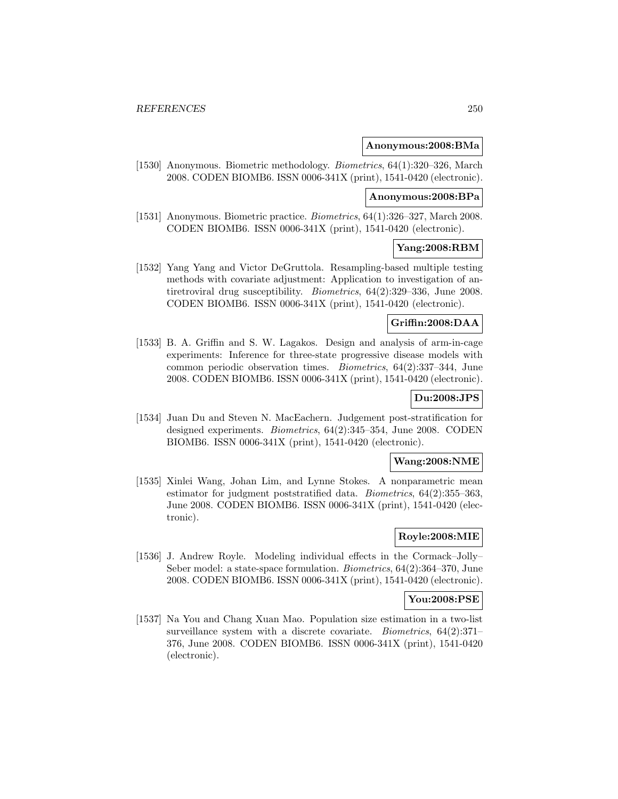#### **Anonymous:2008:BMa**

[1530] Anonymous. Biometric methodology. Biometrics, 64(1):320–326, March 2008. CODEN BIOMB6. ISSN 0006-341X (print), 1541-0420 (electronic).

#### **Anonymous:2008:BPa**

[1531] Anonymous. Biometric practice. Biometrics, 64(1):326–327, March 2008. CODEN BIOMB6. ISSN 0006-341X (print), 1541-0420 (electronic).

### **Yang:2008:RBM**

[1532] Yang Yang and Victor DeGruttola. Resampling-based multiple testing methods with covariate adjustment: Application to investigation of antiretroviral drug susceptibility. Biometrics, 64(2):329–336, June 2008. CODEN BIOMB6. ISSN 0006-341X (print), 1541-0420 (electronic).

## **Griffin:2008:DAA**

[1533] B. A. Griffin and S. W. Lagakos. Design and analysis of arm-in-cage experiments: Inference for three-state progressive disease models with common periodic observation times. Biometrics, 64(2):337–344, June 2008. CODEN BIOMB6. ISSN 0006-341X (print), 1541-0420 (electronic).

# **Du:2008:JPS**

[1534] Juan Du and Steven N. MacEachern. Judgement post-stratification for designed experiments. Biometrics, 64(2):345–354, June 2008. CODEN BIOMB6. ISSN 0006-341X (print), 1541-0420 (electronic).

#### **Wang:2008:NME**

[1535] Xinlei Wang, Johan Lim, and Lynne Stokes. A nonparametric mean estimator for judgment poststratified data. Biometrics, 64(2):355–363, June 2008. CODEN BIOMB6. ISSN 0006-341X (print), 1541-0420 (electronic).

# **Royle:2008:MIE**

[1536] J. Andrew Royle. Modeling individual effects in the Cormack–Jolly– Seber model: a state-space formulation. Biometrics, 64(2):364–370, June 2008. CODEN BIOMB6. ISSN 0006-341X (print), 1541-0420 (electronic).

# **You:2008:PSE**

[1537] Na You and Chang Xuan Mao. Population size estimation in a two-list surveillance system with a discrete covariate. Biometrics, 64(2):371– 376, June 2008. CODEN BIOMB6. ISSN 0006-341X (print), 1541-0420 (electronic).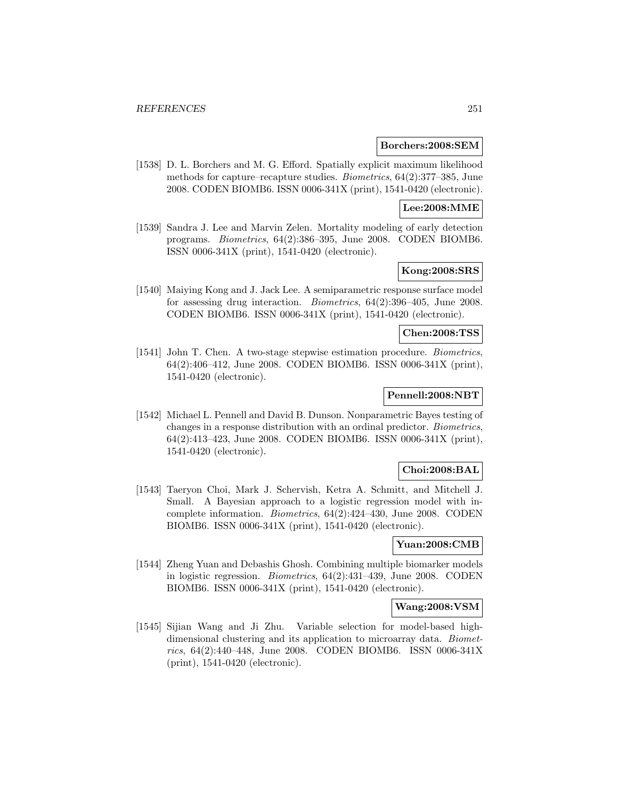#### **Borchers:2008:SEM**

[1538] D. L. Borchers and M. G. Efford. Spatially explicit maximum likelihood methods for capture–recapture studies. Biometrics, 64(2):377–385, June 2008. CODEN BIOMB6. ISSN 0006-341X (print), 1541-0420 (electronic).

### **Lee:2008:MME**

[1539] Sandra J. Lee and Marvin Zelen. Mortality modeling of early detection programs. Biometrics, 64(2):386–395, June 2008. CODEN BIOMB6. ISSN 0006-341X (print), 1541-0420 (electronic).

# **Kong:2008:SRS**

[1540] Maiying Kong and J. Jack Lee. A semiparametric response surface model for assessing drug interaction. Biometrics, 64(2):396–405, June 2008. CODEN BIOMB6. ISSN 0006-341X (print), 1541-0420 (electronic).

### **Chen:2008:TSS**

[1541] John T. Chen. A two-stage stepwise estimation procedure. Biometrics, 64(2):406–412, June 2008. CODEN BIOMB6. ISSN 0006-341X (print), 1541-0420 (electronic).

# **Pennell:2008:NBT**

[1542] Michael L. Pennell and David B. Dunson. Nonparametric Bayes testing of changes in a response distribution with an ordinal predictor. Biometrics, 64(2):413–423, June 2008. CODEN BIOMB6. ISSN 0006-341X (print), 1541-0420 (electronic).

### **Choi:2008:BAL**

[1543] Taeryon Choi, Mark J. Schervish, Ketra A. Schmitt, and Mitchell J. Small. A Bayesian approach to a logistic regression model with incomplete information. Biometrics, 64(2):424–430, June 2008. CODEN BIOMB6. ISSN 0006-341X (print), 1541-0420 (electronic).

### **Yuan:2008:CMB**

[1544] Zheng Yuan and Debashis Ghosh. Combining multiple biomarker models in logistic regression. Biometrics, 64(2):431–439, June 2008. CODEN BIOMB6. ISSN 0006-341X (print), 1541-0420 (electronic).

### **Wang:2008:VSM**

[1545] Sijian Wang and Ji Zhu. Variable selection for model-based highdimensional clustering and its application to microarray data. *Biomet*rics, 64(2):440–448, June 2008. CODEN BIOMB6. ISSN 0006-341X (print), 1541-0420 (electronic).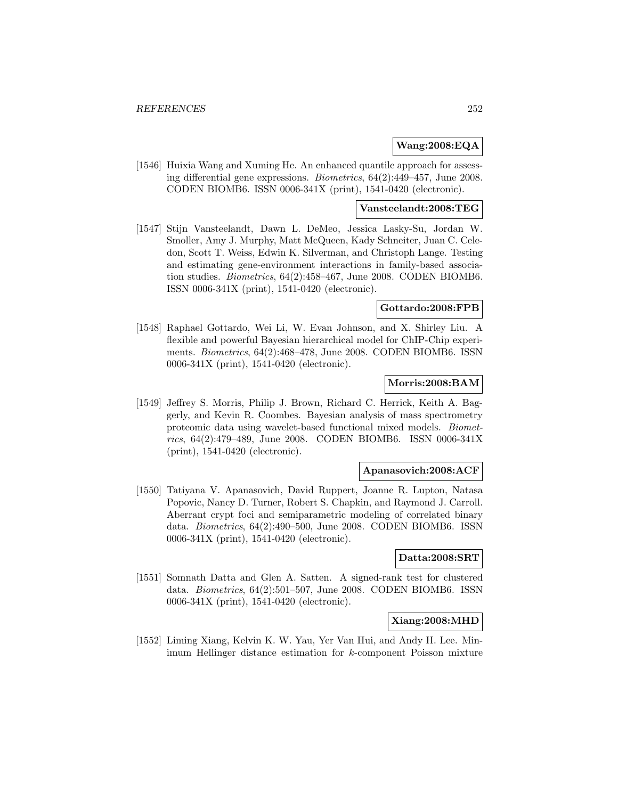## **Wang:2008:EQA**

[1546] Huixia Wang and Xuming He. An enhanced quantile approach for assessing differential gene expressions. Biometrics, 64(2):449–457, June 2008. CODEN BIOMB6. ISSN 0006-341X (print), 1541-0420 (electronic).

## **Vansteelandt:2008:TEG**

[1547] Stijn Vansteelandt, Dawn L. DeMeo, Jessica Lasky-Su, Jordan W. Smoller, Amy J. Murphy, Matt McQueen, Kady Schneiter, Juan C. Celedon, Scott T. Weiss, Edwin K. Silverman, and Christoph Lange. Testing and estimating gene-environment interactions in family-based association studies. Biometrics, 64(2):458–467, June 2008. CODEN BIOMB6. ISSN 0006-341X (print), 1541-0420 (electronic).

### **Gottardo:2008:FPB**

[1548] Raphael Gottardo, Wei Li, W. Evan Johnson, and X. Shirley Liu. A flexible and powerful Bayesian hierarchical model for ChIP-Chip experiments. Biometrics, 64(2):468–478, June 2008. CODEN BIOMB6. ISSN 0006-341X (print), 1541-0420 (electronic).

### **Morris:2008:BAM**

[1549] Jeffrey S. Morris, Philip J. Brown, Richard C. Herrick, Keith A. Baggerly, and Kevin R. Coombes. Bayesian analysis of mass spectrometry proteomic data using wavelet-based functional mixed models. Biometrics, 64(2):479–489, June 2008. CODEN BIOMB6. ISSN 0006-341X (print), 1541-0420 (electronic).

### **Apanasovich:2008:ACF**

[1550] Tatiyana V. Apanasovich, David Ruppert, Joanne R. Lupton, Natasa Popovic, Nancy D. Turner, Robert S. Chapkin, and Raymond J. Carroll. Aberrant crypt foci and semiparametric modeling of correlated binary data. Biometrics, 64(2):490–500, June 2008. CODEN BIOMB6. ISSN 0006-341X (print), 1541-0420 (electronic).

#### **Datta:2008:SRT**

[1551] Somnath Datta and Glen A. Satten. A signed-rank test for clustered data. Biometrics, 64(2):501–507, June 2008. CODEN BIOMB6. ISSN 0006-341X (print), 1541-0420 (electronic).

# **Xiang:2008:MHD**

[1552] Liming Xiang, Kelvin K. W. Yau, Yer Van Hui, and Andy H. Lee. Minimum Hellinger distance estimation for k-component Poisson mixture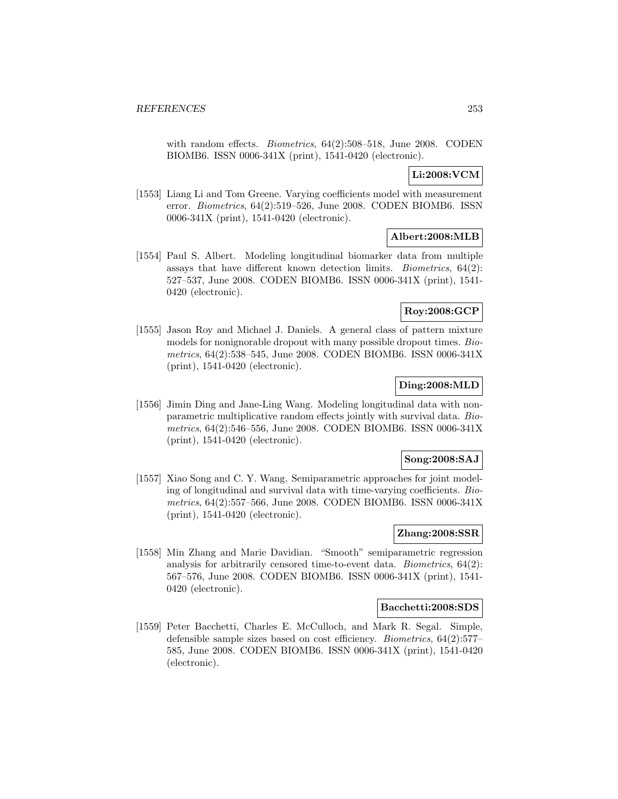with random effects. *Biometrics*, 64(2):508–518, June 2008. CODEN BIOMB6. ISSN 0006-341X (print), 1541-0420 (electronic).

# **Li:2008:VCM**

[1553] Liang Li and Tom Greene. Varying coefficients model with measurement error. Biometrics, 64(2):519–526, June 2008. CODEN BIOMB6. ISSN 0006-341X (print), 1541-0420 (electronic).

# **Albert:2008:MLB**

[1554] Paul S. Albert. Modeling longitudinal biomarker data from multiple assays that have different known detection limits. *Biometrics*,  $64(2)$ : 527–537, June 2008. CODEN BIOMB6. ISSN 0006-341X (print), 1541- 0420 (electronic).

# **Roy:2008:GCP**

[1555] Jason Roy and Michael J. Daniels. A general class of pattern mixture models for nonignorable dropout with many possible dropout times. Biometrics, 64(2):538–545, June 2008. CODEN BIOMB6. ISSN 0006-341X (print), 1541-0420 (electronic).

## **Ding:2008:MLD**

[1556] Jimin Ding and Jane-Ling Wang. Modeling longitudinal data with nonparametric multiplicative random effects jointly with survival data. Biometrics, 64(2):546–556, June 2008. CODEN BIOMB6. ISSN 0006-341X (print), 1541-0420 (electronic).

## **Song:2008:SAJ**

[1557] Xiao Song and C. Y. Wang. Semiparametric approaches for joint modeling of longitudinal and survival data with time-varying coefficients. Biometrics, 64(2):557–566, June 2008. CODEN BIOMB6. ISSN 0006-341X (print), 1541-0420 (electronic).

# **Zhang:2008:SSR**

[1558] Min Zhang and Marie Davidian. "Smooth" semiparametric regression analysis for arbitrarily censored time-to-event data. Biometrics, 64(2): 567–576, June 2008. CODEN BIOMB6. ISSN 0006-341X (print), 1541- 0420 (electronic).

#### **Bacchetti:2008:SDS**

[1559] Peter Bacchetti, Charles E. McCulloch, and Mark R. Segal. Simple, defensible sample sizes based on cost efficiency. Biometrics, 64(2):577– 585, June 2008. CODEN BIOMB6. ISSN 0006-341X (print), 1541-0420 (electronic).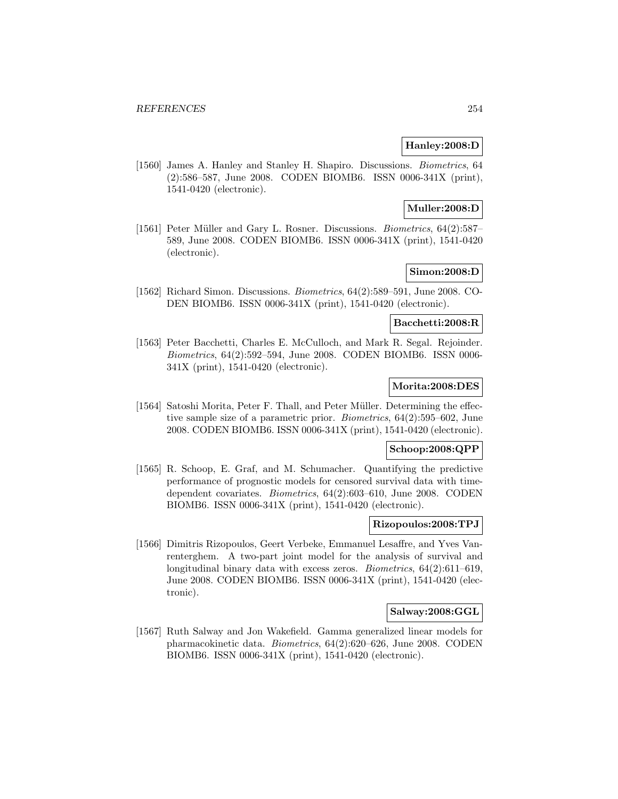# **Hanley:2008:D**

[1560] James A. Hanley and Stanley H. Shapiro. Discussions. Biometrics, 64 (2):586–587, June 2008. CODEN BIOMB6. ISSN 0006-341X (print), 1541-0420 (electronic).

## **Muller:2008:D**

[1561] Peter Müller and Gary L. Rosner. Discussions. *Biometrics*, 64(2):587– 589, June 2008. CODEN BIOMB6. ISSN 0006-341X (print), 1541-0420 (electronic).

# **Simon:2008:D**

[1562] Richard Simon. Discussions. Biometrics, 64(2):589–591, June 2008. CO-DEN BIOMB6. ISSN 0006-341X (print), 1541-0420 (electronic).

# **Bacchetti:2008:R**

[1563] Peter Bacchetti, Charles E. McCulloch, and Mark R. Segal. Rejoinder. Biometrics, 64(2):592–594, June 2008. CODEN BIOMB6. ISSN 0006- 341X (print), 1541-0420 (electronic).

# **Morita:2008:DES**

[1564] Satoshi Morita, Peter F. Thall, and Peter M¨uller. Determining the effective sample size of a parametric prior. Biometrics, 64(2):595–602, June 2008. CODEN BIOMB6. ISSN 0006-341X (print), 1541-0420 (electronic).

## **Schoop:2008:QPP**

[1565] R. Schoop, E. Graf, and M. Schumacher. Quantifying the predictive performance of prognostic models for censored survival data with timedependent covariates. Biometrics, 64(2):603–610, June 2008. CODEN BIOMB6. ISSN 0006-341X (print), 1541-0420 (electronic).

#### **Rizopoulos:2008:TPJ**

[1566] Dimitris Rizopoulos, Geert Verbeke, Emmanuel Lesaffre, and Yves Vanrenterghem. A two-part joint model for the analysis of survival and longitudinal binary data with excess zeros. *Biometrics*,  $64(2):611-619$ , June 2008. CODEN BIOMB6. ISSN 0006-341X (print), 1541-0420 (electronic).

#### **Salway:2008:GGL**

[1567] Ruth Salway and Jon Wakefield. Gamma generalized linear models for pharmacokinetic data. Biometrics, 64(2):620–626, June 2008. CODEN BIOMB6. ISSN 0006-341X (print), 1541-0420 (electronic).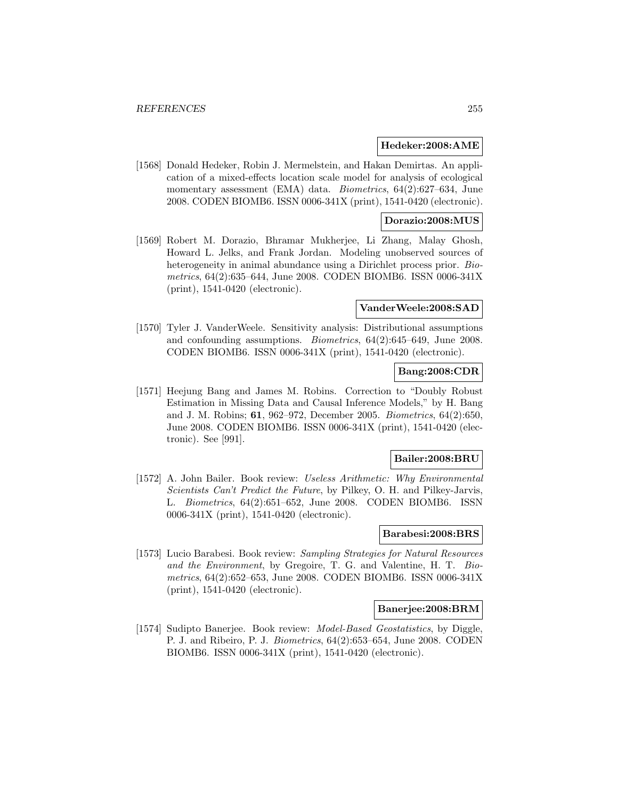#### **Hedeker:2008:AME**

[1568] Donald Hedeker, Robin J. Mermelstein, and Hakan Demirtas. An application of a mixed-effects location scale model for analysis of ecological momentary assessment (EMA) data. Biometrics, 64(2):627–634, June 2008. CODEN BIOMB6. ISSN 0006-341X (print), 1541-0420 (electronic).

## **Dorazio:2008:MUS**

[1569] Robert M. Dorazio, Bhramar Mukherjee, Li Zhang, Malay Ghosh, Howard L. Jelks, and Frank Jordan. Modeling unobserved sources of heterogeneity in animal abundance using a Dirichlet process prior. Biometrics, 64(2):635–644, June 2008. CODEN BIOMB6. ISSN 0006-341X (print), 1541-0420 (electronic).

#### **VanderWeele:2008:SAD**

[1570] Tyler J. VanderWeele. Sensitivity analysis: Distributional assumptions and confounding assumptions. Biometrics, 64(2):645–649, June 2008. CODEN BIOMB6. ISSN 0006-341X (print), 1541-0420 (electronic).

## **Bang:2008:CDR**

[1571] Heejung Bang and James M. Robins. Correction to "Doubly Robust Estimation in Missing Data and Causal Inference Models," by H. Bang and J. M. Robins; **61**, 962–972, December 2005. Biometrics, 64(2):650, June 2008. CODEN BIOMB6. ISSN 0006-341X (print), 1541-0420 (electronic). See [991].

## **Bailer:2008:BRU**

[1572] A. John Bailer. Book review: Useless Arithmetic: Why Environmental Scientists Can't Predict the Future, by Pilkey, O. H. and Pilkey-Jarvis, L. Biometrics, 64(2):651–652, June 2008. CODEN BIOMB6. ISSN 0006-341X (print), 1541-0420 (electronic).

## **Barabesi:2008:BRS**

[1573] Lucio Barabesi. Book review: Sampling Strategies for Natural Resources and the Environment, by Gregoire, T. G. and Valentine, H. T. Biometrics, 64(2):652–653, June 2008. CODEN BIOMB6. ISSN 0006-341X (print), 1541-0420 (electronic).

#### **Banerjee:2008:BRM**

[1574] Sudipto Banerjee. Book review: Model-Based Geostatistics, by Diggle, P. J. and Ribeiro, P. J. Biometrics, 64(2):653–654, June 2008. CODEN BIOMB6. ISSN 0006-341X (print), 1541-0420 (electronic).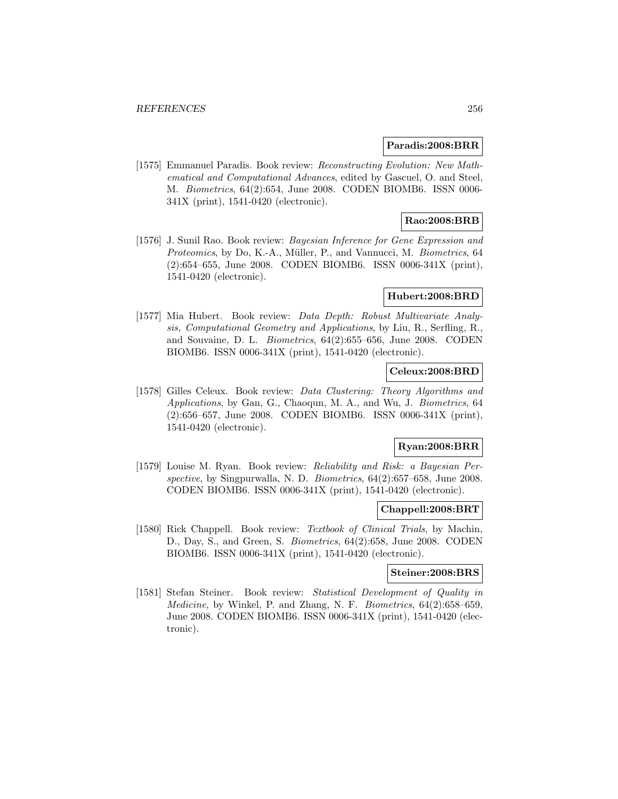#### **Paradis:2008:BRR**

[1575] Emmanuel Paradis. Book review: Reconstructing Evolution: New Mathematical and Computational Advances, edited by Gascuel, O. and Steel, M. Biometrics, 64(2):654, June 2008. CODEN BIOMB6. ISSN 0006- 341X (print), 1541-0420 (electronic).

# **Rao:2008:BRB**

[1576] J. Sunil Rao. Book review: *Bayesian Inference for Gene Expression and* Proteomics, by Do, K.-A., Müller, P., and Vannucci, M. Biometrics, 64 (2):654–655, June 2008. CODEN BIOMB6. ISSN 0006-341X (print), 1541-0420 (electronic).

#### **Hubert:2008:BRD**

[1577] Mia Hubert. Book review: Data Depth: Robust Multivariate Analysis, Computational Geometry and Applications, by Liu, R., Serfling, R., and Souvaine, D. L. Biometrics, 64(2):655–656, June 2008. CODEN BIOMB6. ISSN 0006-341X (print), 1541-0420 (electronic).

# **Celeux:2008:BRD**

[1578] Gilles Celeux. Book review: Data Clustering: Theory Algorithms and Applications, by Gan, G., Chaoqun, M. A., and Wu, J. Biometrics, 64 (2):656–657, June 2008. CODEN BIOMB6. ISSN 0006-341X (print), 1541-0420 (electronic).

## **Ryan:2008:BRR**

[1579] Louise M. Ryan. Book review: Reliability and Risk: a Bayesian Perspective, by Singpurwalla, N. D. Biometrics,  $64(2):657-658$ , June 2008. CODEN BIOMB6. ISSN 0006-341X (print), 1541-0420 (electronic).

#### **Chappell:2008:BRT**

[1580] Rick Chappell. Book review: Textbook of Clinical Trials, by Machin, D., Day, S., and Green, S. Biometrics, 64(2):658, June 2008. CODEN BIOMB6. ISSN 0006-341X (print), 1541-0420 (electronic).

#### **Steiner:2008:BRS**

[1581] Stefan Steiner. Book review: Statistical Development of Quality in Medicine, by Winkel, P. and Zhang, N. F. Biometrics, 64(2):658–659, June 2008. CODEN BIOMB6. ISSN 0006-341X (print), 1541-0420 (electronic).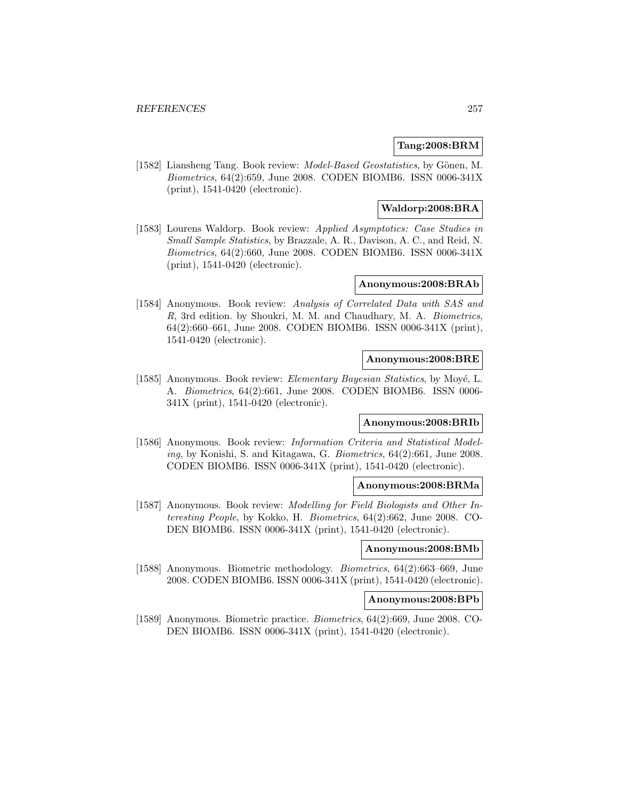# **Tang:2008:BRM**

[1582] Liansheng Tang. Book review: *Model-Based Geostatistics*, by Gönen, M. Biometrics, 64(2):659, June 2008. CODEN BIOMB6. ISSN 0006-341X (print), 1541-0420 (electronic).

## **Waldorp:2008:BRA**

[1583] Lourens Waldorp. Book review: Applied Asymptotics: Case Studies in Small Sample Statistics, by Brazzale, A. R., Davison, A. C., and Reid, N. Biometrics, 64(2):660, June 2008. CODEN BIOMB6. ISSN 0006-341X (print), 1541-0420 (electronic).

## **Anonymous:2008:BRAb**

[1584] Anonymous. Book review: Analysis of Correlated Data with SAS and R, 3rd edition. by Shoukri, M. M. and Chaudhary, M. A. Biometrics, 64(2):660–661, June 2008. CODEN BIOMB6. ISSN 0006-341X (print), 1541-0420 (electronic).

## **Anonymous:2008:BRE**

[1585] Anonymous. Book review: *Elementary Bayesian Statistics*, by Moyé, L. A. Biometrics, 64(2):661, June 2008. CODEN BIOMB6. ISSN 0006- 341X (print), 1541-0420 (electronic).

#### **Anonymous:2008:BRIb**

[1586] Anonymous. Book review: Information Criteria and Statistical Modeling, by Konishi, S. and Kitagawa, G. Biometrics, 64(2):661, June 2008. CODEN BIOMB6. ISSN 0006-341X (print), 1541-0420 (electronic).

## **Anonymous:2008:BRMa**

[1587] Anonymous. Book review: Modelling for Field Biologists and Other Interesting People, by Kokko, H. Biometrics, 64(2):662, June 2008. CO-DEN BIOMB6. ISSN 0006-341X (print), 1541-0420 (electronic).

## **Anonymous:2008:BMb**

[1588] Anonymous. Biometric methodology. Biometrics, 64(2):663–669, June 2008. CODEN BIOMB6. ISSN 0006-341X (print), 1541-0420 (electronic).

# **Anonymous:2008:BPb**

[1589] Anonymous. Biometric practice. Biometrics, 64(2):669, June 2008. CO-DEN BIOMB6. ISSN 0006-341X (print), 1541-0420 (electronic).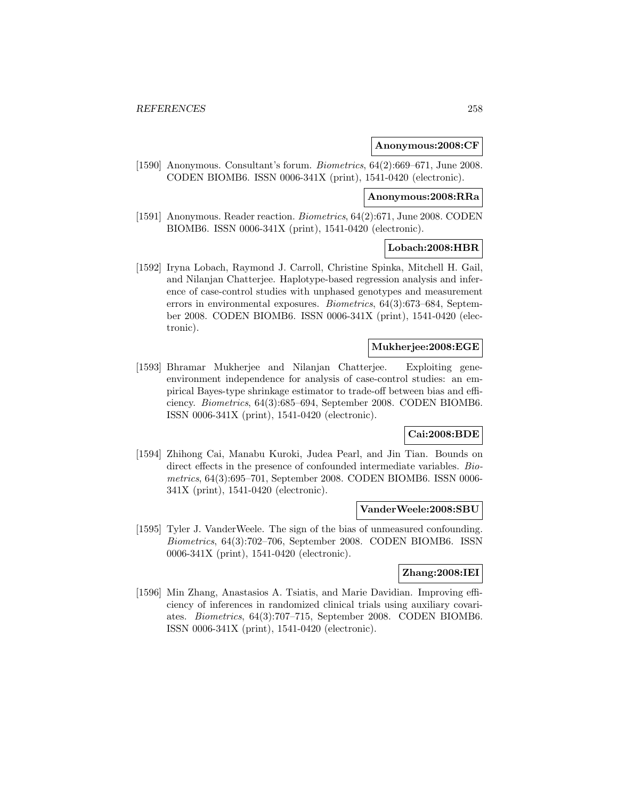#### **Anonymous:2008:CF**

[1590] Anonymous. Consultant's forum. Biometrics, 64(2):669–671, June 2008. CODEN BIOMB6. ISSN 0006-341X (print), 1541-0420 (electronic).

# **Anonymous:2008:RRa**

[1591] Anonymous. Reader reaction. Biometrics, 64(2):671, June 2008. CODEN BIOMB6. ISSN 0006-341X (print), 1541-0420 (electronic).

## **Lobach:2008:HBR**

[1592] Iryna Lobach, Raymond J. Carroll, Christine Spinka, Mitchell H. Gail, and Nilanjan Chatterjee. Haplotype-based regression analysis and inference of case-control studies with unphased genotypes and measurement errors in environmental exposures. Biometrics, 64(3):673–684, September 2008. CODEN BIOMB6. ISSN 0006-341X (print), 1541-0420 (electronic).

## **Mukherjee:2008:EGE**

[1593] Bhramar Mukherjee and Nilanjan Chatterjee. Exploiting geneenvironment independence for analysis of case-control studies: an empirical Bayes-type shrinkage estimator to trade-off between bias and efficiency. Biometrics, 64(3):685–694, September 2008. CODEN BIOMB6. ISSN 0006-341X (print), 1541-0420 (electronic).

# **Cai:2008:BDE**

[1594] Zhihong Cai, Manabu Kuroki, Judea Pearl, and Jin Tian. Bounds on direct effects in the presence of confounded intermediate variables. Biometrics, 64(3):695–701, September 2008. CODEN BIOMB6. ISSN 0006- 341X (print), 1541-0420 (electronic).

#### **VanderWeele:2008:SBU**

[1595] Tyler J. VanderWeele. The sign of the bias of unmeasured confounding. Biometrics, 64(3):702–706, September 2008. CODEN BIOMB6. ISSN 0006-341X (print), 1541-0420 (electronic).

#### **Zhang:2008:IEI**

[1596] Min Zhang, Anastasios A. Tsiatis, and Marie Davidian. Improving efficiency of inferences in randomized clinical trials using auxiliary covariates. Biometrics, 64(3):707–715, September 2008. CODEN BIOMB6. ISSN 0006-341X (print), 1541-0420 (electronic).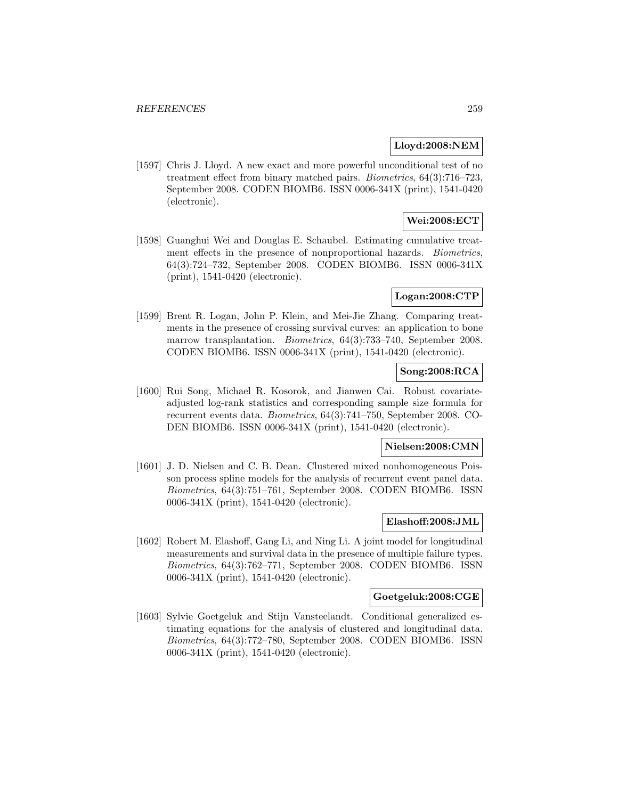## **Lloyd:2008:NEM**

[1597] Chris J. Lloyd. A new exact and more powerful unconditional test of no treatment effect from binary matched pairs. Biometrics, 64(3):716–723, September 2008. CODEN BIOMB6. ISSN 0006-341X (print), 1541-0420 (electronic).

# **Wei:2008:ECT**

[1598] Guanghui Wei and Douglas E. Schaubel. Estimating cumulative treatment effects in the presence of nonproportional hazards. Biometrics, 64(3):724–732, September 2008. CODEN BIOMB6. ISSN 0006-341X (print), 1541-0420 (electronic).

## **Logan:2008:CTP**

[1599] Brent R. Logan, John P. Klein, and Mei-Jie Zhang. Comparing treatments in the presence of crossing survival curves: an application to bone marrow transplantation. *Biometrics*, 64(3):733–740, September 2008. CODEN BIOMB6. ISSN 0006-341X (print), 1541-0420 (electronic).

# **Song:2008:RCA**

[1600] Rui Song, Michael R. Kosorok, and Jianwen Cai. Robust covariateadjusted log-rank statistics and corresponding sample size formula for recurrent events data. Biometrics, 64(3):741–750, September 2008. CO-DEN BIOMB6. ISSN 0006-341X (print), 1541-0420 (electronic).

# **Nielsen:2008:CMN**

[1601] J. D. Nielsen and C. B. Dean. Clustered mixed nonhomogeneous Poisson process spline models for the analysis of recurrent event panel data. Biometrics, 64(3):751–761, September 2008. CODEN BIOMB6. ISSN 0006-341X (print), 1541-0420 (electronic).

# **Elashoff:2008:JML**

[1602] Robert M. Elashoff, Gang Li, and Ning Li. A joint model for longitudinal measurements and survival data in the presence of multiple failure types. Biometrics, 64(3):762–771, September 2008. CODEN BIOMB6. ISSN 0006-341X (print), 1541-0420 (electronic).

#### **Goetgeluk:2008:CGE**

[1603] Sylvie Goetgeluk and Stijn Vansteelandt. Conditional generalized estimating equations for the analysis of clustered and longitudinal data. Biometrics, 64(3):772–780, September 2008. CODEN BIOMB6. ISSN 0006-341X (print), 1541-0420 (electronic).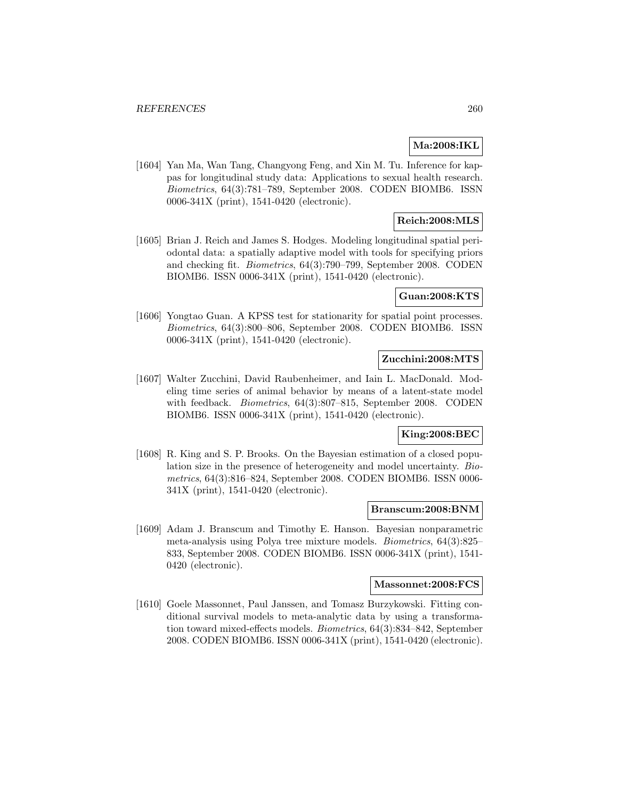## **Ma:2008:IKL**

[1604] Yan Ma, Wan Tang, Changyong Feng, and Xin M. Tu. Inference for kappas for longitudinal study data: Applications to sexual health research. Biometrics, 64(3):781–789, September 2008. CODEN BIOMB6. ISSN 0006-341X (print), 1541-0420 (electronic).

# **Reich:2008:MLS**

[1605] Brian J. Reich and James S. Hodges. Modeling longitudinal spatial periodontal data: a spatially adaptive model with tools for specifying priors and checking fit. Biometrics, 64(3):790–799, September 2008. CODEN BIOMB6. ISSN 0006-341X (print), 1541-0420 (electronic).

## **Guan:2008:KTS**

[1606] Yongtao Guan. A KPSS test for stationarity for spatial point processes. Biometrics, 64(3):800–806, September 2008. CODEN BIOMB6. ISSN 0006-341X (print), 1541-0420 (electronic).

# **Zucchini:2008:MTS**

[1607] Walter Zucchini, David Raubenheimer, and Iain L. MacDonald. Modeling time series of animal behavior by means of a latent-state model with feedback. Biometrics, 64(3):807–815, September 2008. CODEN BIOMB6. ISSN 0006-341X (print), 1541-0420 (electronic).

# **King:2008:BEC**

[1608] R. King and S. P. Brooks. On the Bayesian estimation of a closed population size in the presence of heterogeneity and model uncertainty. Biometrics, 64(3):816–824, September 2008. CODEN BIOMB6. ISSN 0006- 341X (print), 1541-0420 (electronic).

#### **Branscum:2008:BNM**

[1609] Adam J. Branscum and Timothy E. Hanson. Bayesian nonparametric meta-analysis using Polya tree mixture models. Biometrics, 64(3):825– 833, September 2008. CODEN BIOMB6. ISSN 0006-341X (print), 1541- 0420 (electronic).

#### **Massonnet:2008:FCS**

[1610] Goele Massonnet, Paul Janssen, and Tomasz Burzykowski. Fitting conditional survival models to meta-analytic data by using a transformation toward mixed-effects models. Biometrics, 64(3):834–842, September 2008. CODEN BIOMB6. ISSN 0006-341X (print), 1541-0420 (electronic).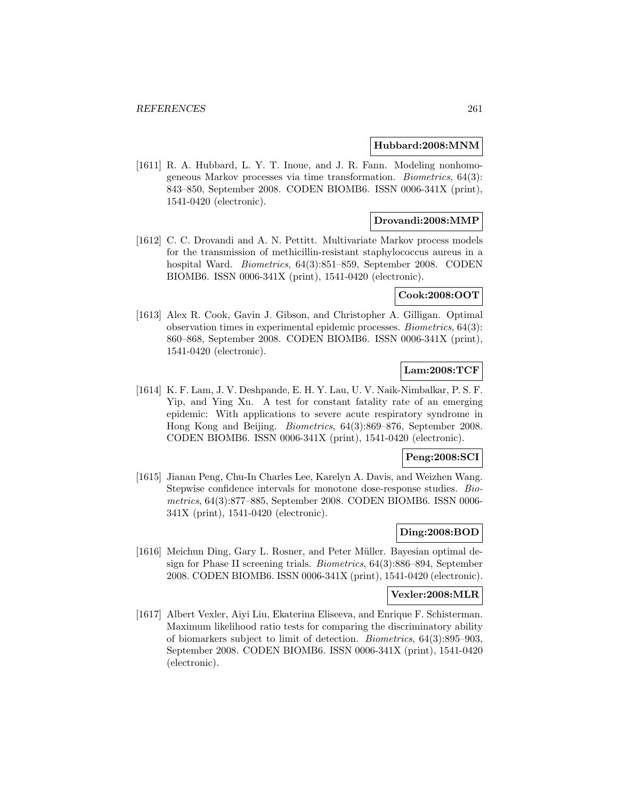#### **Hubbard:2008:MNM**

[1611] R. A. Hubbard, L. Y. T. Inoue, and J. R. Fann. Modeling nonhomogeneous Markov processes via time transformation. Biometrics, 64(3): 843–850, September 2008. CODEN BIOMB6. ISSN 0006-341X (print), 1541-0420 (electronic).

#### **Drovandi:2008:MMP**

[1612] C. C. Drovandi and A. N. Pettitt. Multivariate Markov process models for the transmission of methicillin-resistant staphylococcus aureus in a hospital Ward. Biometrics, 64(3):851–859, September 2008. CODEN BIOMB6. ISSN 0006-341X (print), 1541-0420 (electronic).

## **Cook:2008:OOT**

[1613] Alex R. Cook, Gavin J. Gibson, and Christopher A. Gilligan. Optimal observation times in experimental epidemic processes. Biometrics, 64(3): 860–868, September 2008. CODEN BIOMB6. ISSN 0006-341X (print), 1541-0420 (electronic).

## **Lam:2008:TCF**

[1614] K. F. Lam, J. V. Deshpande, E. H. Y. Lau, U. V. Naik-Nimbalkar, P. S. F. Yip, and Ying Xu. A test for constant fatality rate of an emerging epidemic: With applications to severe acute respiratory syndrome in Hong Kong and Beijing. Biometrics, 64(3):869–876, September 2008. CODEN BIOMB6. ISSN 0006-341X (print), 1541-0420 (electronic).

#### **Peng:2008:SCI**

[1615] Jianan Peng, Chu-In Charles Lee, Karelyn A. Davis, and Weizhen Wang. Stepwise confidence intervals for monotone dose-response studies. Biometrics, 64(3):877–885, September 2008. CODEN BIOMB6. ISSN 0006- 341X (print), 1541-0420 (electronic).

# **Ding:2008:BOD**

[1616] Meichun Ding, Gary L. Rosner, and Peter Müller. Bayesian optimal design for Phase II screening trials. Biometrics, 64(3):886–894, September 2008. CODEN BIOMB6. ISSN 0006-341X (print), 1541-0420 (electronic).

# **Vexler:2008:MLR**

[1617] Albert Vexler, Aiyi Liu, Ekaterina Eliseeva, and Enrique F. Schisterman. Maximum likelihood ratio tests for comparing the discriminatory ability of biomarkers subject to limit of detection. Biometrics, 64(3):895–903, September 2008. CODEN BIOMB6. ISSN 0006-341X (print), 1541-0420 (electronic).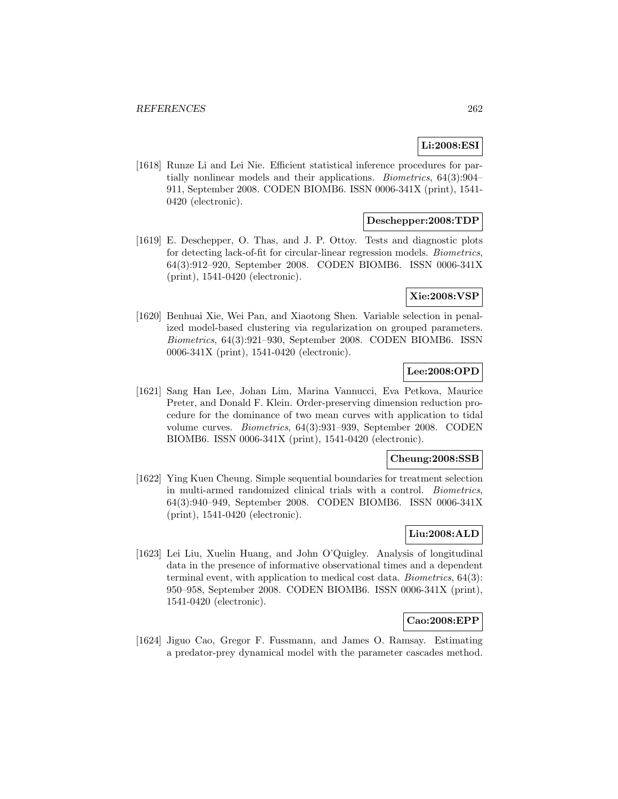# **Li:2008:ESI**

[1618] Runze Li and Lei Nie. Efficient statistical inference procedures for partially nonlinear models and their applications. Biometrics, 64(3):904– 911, September 2008. CODEN BIOMB6. ISSN 0006-341X (print), 1541- 0420 (electronic).

# **Deschepper:2008:TDP**

[1619] E. Deschepper, O. Thas, and J. P. Ottoy. Tests and diagnostic plots for detecting lack-of-fit for circular-linear regression models. Biometrics, 64(3):912–920, September 2008. CODEN BIOMB6. ISSN 0006-341X (print), 1541-0420 (electronic).

## **Xie:2008:VSP**

[1620] Benhuai Xie, Wei Pan, and Xiaotong Shen. Variable selection in penalized model-based clustering via regularization on grouped parameters. Biometrics, 64(3):921–930, September 2008. CODEN BIOMB6. ISSN 0006-341X (print), 1541-0420 (electronic).

# **Lee:2008:OPD**

[1621] Sang Han Lee, Johan Lim, Marina Vannucci, Eva Petkova, Maurice Preter, and Donald F. Klein. Order-preserving dimension reduction procedure for the dominance of two mean curves with application to tidal volume curves. Biometrics, 64(3):931–939, September 2008. CODEN BIOMB6. ISSN 0006-341X (print), 1541-0420 (electronic).

# **Cheung:2008:SSB**

[1622] Ying Kuen Cheung. Simple sequential boundaries for treatment selection in multi-armed randomized clinical trials with a control. Biometrics, 64(3):940–949, September 2008. CODEN BIOMB6. ISSN 0006-341X (print), 1541-0420 (electronic).

# **Liu:2008:ALD**

[1623] Lei Liu, Xuelin Huang, and John O'Quigley. Analysis of longitudinal data in the presence of informative observational times and a dependent terminal event, with application to medical cost data. Biometrics, 64(3): 950–958, September 2008. CODEN BIOMB6. ISSN 0006-341X (print), 1541-0420 (electronic).

# **Cao:2008:EPP**

[1624] Jiguo Cao, Gregor F. Fussmann, and James O. Ramsay. Estimating a predator-prey dynamical model with the parameter cascades method.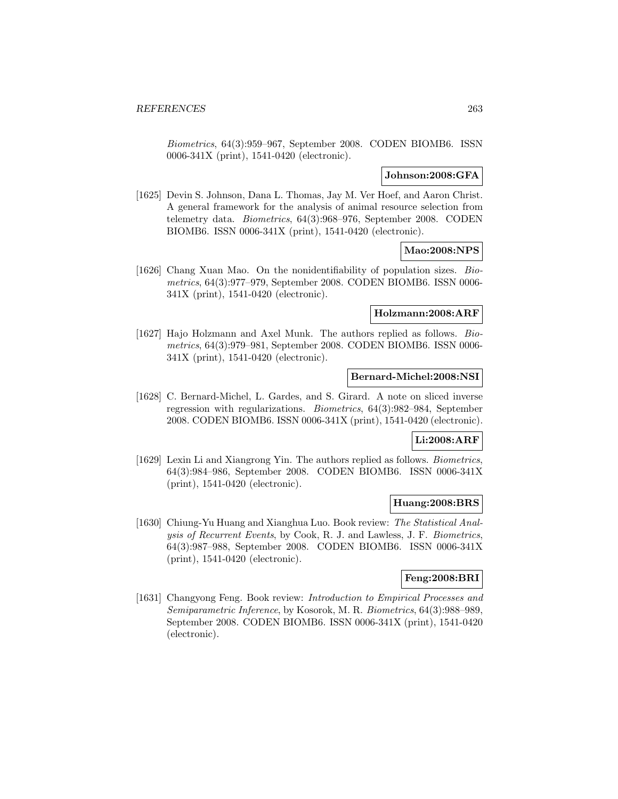Biometrics, 64(3):959–967, September 2008. CODEN BIOMB6. ISSN 0006-341X (print), 1541-0420 (electronic).

## **Johnson:2008:GFA**

[1625] Devin S. Johnson, Dana L. Thomas, Jay M. Ver Hoef, and Aaron Christ. A general framework for the analysis of animal resource selection from telemetry data. Biometrics, 64(3):968–976, September 2008. CODEN BIOMB6. ISSN 0006-341X (print), 1541-0420 (electronic).

### **Mao:2008:NPS**

[1626] Chang Xuan Mao. On the nonidentifiability of population sizes. Biometrics, 64(3):977–979, September 2008. CODEN BIOMB6. ISSN 0006- 341X (print), 1541-0420 (electronic).

#### **Holzmann:2008:ARF**

[1627] Hajo Holzmann and Axel Munk. The authors replied as follows. Biometrics, 64(3):979–981, September 2008. CODEN BIOMB6. ISSN 0006- 341X (print), 1541-0420 (electronic).

#### **Bernard-Michel:2008:NSI**

[1628] C. Bernard-Michel, L. Gardes, and S. Girard. A note on sliced inverse regression with regularizations. Biometrics, 64(3):982–984, September 2008. CODEN BIOMB6. ISSN 0006-341X (print), 1541-0420 (electronic).

## **Li:2008:ARF**

[1629] Lexin Li and Xiangrong Yin. The authors replied as follows. Biometrics, 64(3):984–986, September 2008. CODEN BIOMB6. ISSN 0006-341X (print), 1541-0420 (electronic).

## **Huang:2008:BRS**

[1630] Chiung-Yu Huang and Xianghua Luo. Book review: The Statistical Analysis of Recurrent Events, by Cook, R. J. and Lawless, J. F. Biometrics, 64(3):987–988, September 2008. CODEN BIOMB6. ISSN 0006-341X (print), 1541-0420 (electronic).

# **Feng:2008:BRI**

[1631] Changyong Feng. Book review: *Introduction to Empirical Processes and* Semiparametric Inference, by Kosorok, M. R. Biometrics, 64(3):988–989, September 2008. CODEN BIOMB6. ISSN 0006-341X (print), 1541-0420 (electronic).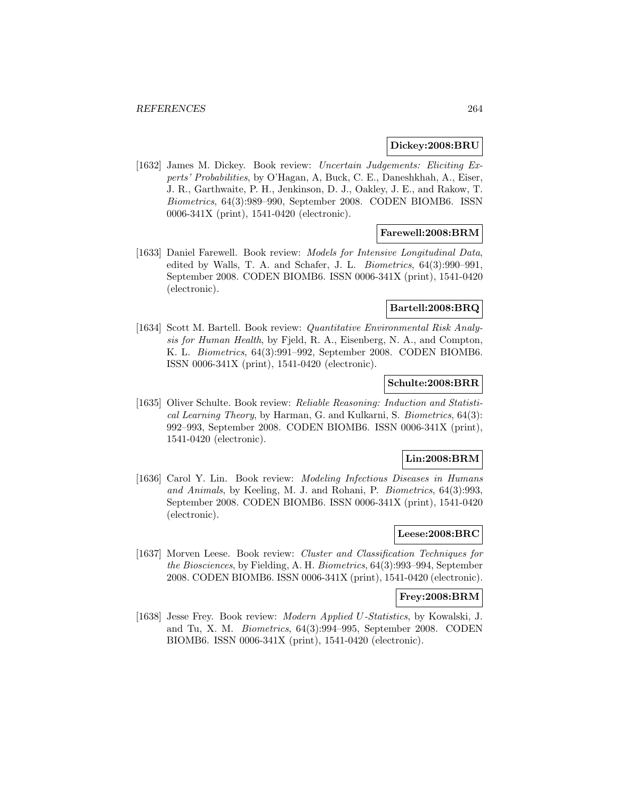#### **Dickey:2008:BRU**

[1632] James M. Dickey. Book review: Uncertain Judgements: Eliciting Experts' Probabilities, by O'Hagan, A, Buck, C. E., Daneshkhah, A., Eiser, J. R., Garthwaite, P. H., Jenkinson, D. J., Oakley, J. E., and Rakow, T. Biometrics, 64(3):989–990, September 2008. CODEN BIOMB6. ISSN 0006-341X (print), 1541-0420 (electronic).

## **Farewell:2008:BRM**

[1633] Daniel Farewell. Book review: Models for Intensive Longitudinal Data, edited by Walls, T. A. and Schafer, J. L. Biometrics, 64(3):990–991, September 2008. CODEN BIOMB6. ISSN 0006-341X (print), 1541-0420 (electronic).

#### **Bartell:2008:BRQ**

[1634] Scott M. Bartell. Book review: Quantitative Environmental Risk Analysis for Human Health, by Fjeld, R. A., Eisenberg, N. A., and Compton, K. L. Biometrics, 64(3):991–992, September 2008. CODEN BIOMB6. ISSN 0006-341X (print), 1541-0420 (electronic).

## **Schulte:2008:BRR**

[1635] Oliver Schulte. Book review: Reliable Reasoning: Induction and Statistical Learning Theory, by Harman, G. and Kulkarni, S. Biometrics, 64(3): 992–993, September 2008. CODEN BIOMB6. ISSN 0006-341X (print), 1541-0420 (electronic).

## **Lin:2008:BRM**

[1636] Carol Y. Lin. Book review: Modeling Infectious Diseases in Humans and Animals, by Keeling, M. J. and Rohani, P. Biometrics, 64(3):993, September 2008. CODEN BIOMB6. ISSN 0006-341X (print), 1541-0420 (electronic).

# **Leese:2008:BRC**

[1637] Morven Leese. Book review: Cluster and Classification Techniques for the Biosciences, by Fielding, A. H. Biometrics, 64(3):993–994, September 2008. CODEN BIOMB6. ISSN 0006-341X (print), 1541-0420 (electronic).

#### **Frey:2008:BRM**

[1638] Jesse Frey. Book review: Modern Applied U-Statistics, by Kowalski, J. and Tu, X. M. Biometrics, 64(3):994–995, September 2008. CODEN BIOMB6. ISSN 0006-341X (print), 1541-0420 (electronic).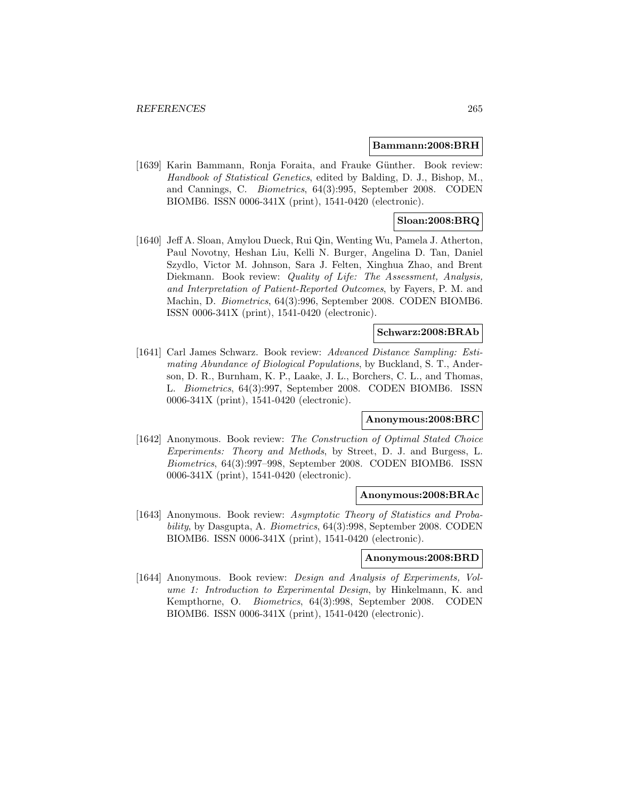#### **Bammann:2008:BRH**

[1639] Karin Bammann, Ronja Foraita, and Frauke Günther. Book review: Handbook of Statistical Genetics, edited by Balding, D. J., Bishop, M., and Cannings, C. Biometrics, 64(3):995, September 2008. CODEN BIOMB6. ISSN 0006-341X (print), 1541-0420 (electronic).

# **Sloan:2008:BRQ**

[1640] Jeff A. Sloan, Amylou Dueck, Rui Qin, Wenting Wu, Pamela J. Atherton, Paul Novotny, Heshan Liu, Kelli N. Burger, Angelina D. Tan, Daniel Szydlo, Victor M. Johnson, Sara J. Felten, Xinghua Zhao, and Brent Diekmann. Book review: Quality of Life: The Assessment, Analysis, and Interpretation of Patient-Reported Outcomes, by Fayers, P. M. and Machin, D. Biometrics, 64(3):996, September 2008. CODEN BIOMB6. ISSN 0006-341X (print), 1541-0420 (electronic).

## **Schwarz:2008:BRAb**

[1641] Carl James Schwarz. Book review: Advanced Distance Sampling: Estimating Abundance of Biological Populations, by Buckland, S. T., Anderson, D. R., Burnham, K. P., Laake, J. L., Borchers, C. L., and Thomas, L. Biometrics, 64(3):997, September 2008. CODEN BIOMB6. ISSN 0006-341X (print), 1541-0420 (electronic).

#### **Anonymous:2008:BRC**

[1642] Anonymous. Book review: The Construction of Optimal Stated Choice Experiments: Theory and Methods, by Street, D. J. and Burgess, L. Biometrics, 64(3):997–998, September 2008. CODEN BIOMB6. ISSN 0006-341X (print), 1541-0420 (electronic).

#### **Anonymous:2008:BRAc**

[1643] Anonymous. Book review: Asymptotic Theory of Statistics and Probability, by Dasgupta, A. Biometrics, 64(3):998, September 2008. CODEN BIOMB6. ISSN 0006-341X (print), 1541-0420 (electronic).

#### **Anonymous:2008:BRD**

[1644] Anonymous. Book review: *Design and Analysis of Experiments*, Volume 1: Introduction to Experimental Design, by Hinkelmann, K. and Kempthorne, O. Biometrics, 64(3):998, September 2008. CODEN BIOMB6. ISSN 0006-341X (print), 1541-0420 (electronic).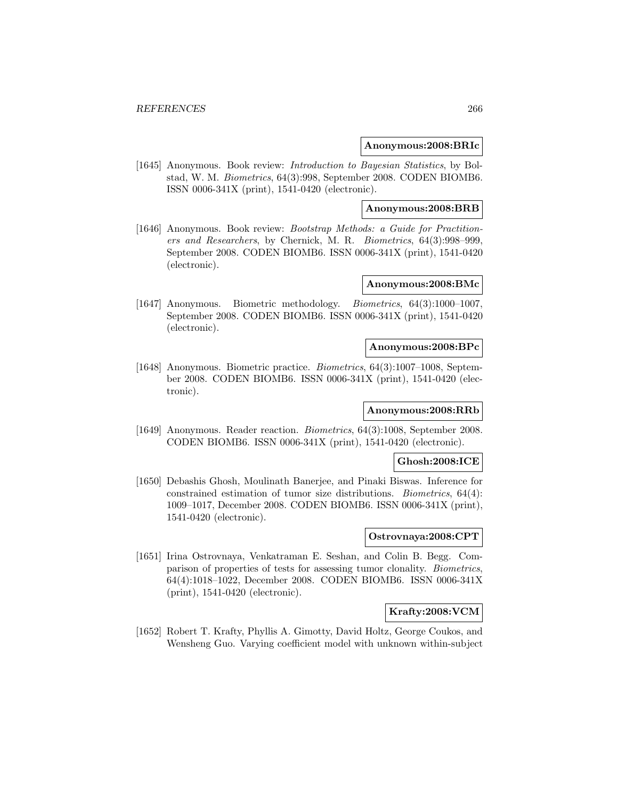#### **Anonymous:2008:BRIc**

[1645] Anonymous. Book review: *Introduction to Bayesian Statistics*, by Bolstad, W. M. Biometrics, 64(3):998, September 2008. CODEN BIOMB6. ISSN 0006-341X (print), 1541-0420 (electronic).

#### **Anonymous:2008:BRB**

[1646] Anonymous. Book review: Bootstrap Methods: a Guide for Practitioners and Researchers, by Chernick, M. R. Biometrics, 64(3):998–999, September 2008. CODEN BIOMB6. ISSN 0006-341X (print), 1541-0420 (electronic).

## **Anonymous:2008:BMc**

[1647] Anonymous. Biometric methodology. Biometrics, 64(3):1000–1007, September 2008. CODEN BIOMB6. ISSN 0006-341X (print), 1541-0420 (electronic).

#### **Anonymous:2008:BPc**

[1648] Anonymous. Biometric practice. Biometrics, 64(3):1007–1008, September 2008. CODEN BIOMB6. ISSN 0006-341X (print), 1541-0420 (electronic).

# **Anonymous:2008:RRb**

[1649] Anonymous. Reader reaction. Biometrics, 64(3):1008, September 2008. CODEN BIOMB6. ISSN 0006-341X (print), 1541-0420 (electronic).

## **Ghosh:2008:ICE**

[1650] Debashis Ghosh, Moulinath Banerjee, and Pinaki Biswas. Inference for constrained estimation of tumor size distributions. Biometrics, 64(4): 1009–1017, December 2008. CODEN BIOMB6. ISSN 0006-341X (print), 1541-0420 (electronic).

# **Ostrovnaya:2008:CPT**

[1651] Irina Ostrovnaya, Venkatraman E. Seshan, and Colin B. Begg. Comparison of properties of tests for assessing tumor clonality. Biometrics, 64(4):1018–1022, December 2008. CODEN BIOMB6. ISSN 0006-341X (print), 1541-0420 (electronic).

#### **Krafty:2008:VCM**

[1652] Robert T. Krafty, Phyllis A. Gimotty, David Holtz, George Coukos, and Wensheng Guo. Varying coefficient model with unknown within-subject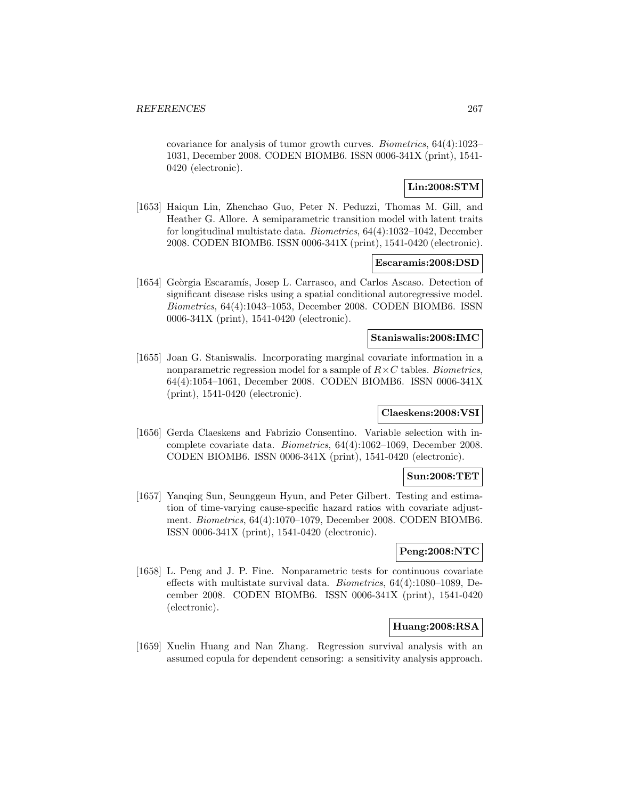covariance for analysis of tumor growth curves. Biometrics, 64(4):1023– 1031, December 2008. CODEN BIOMB6. ISSN 0006-341X (print), 1541- 0420 (electronic).

## **Lin:2008:STM**

[1653] Haiqun Lin, Zhenchao Guo, Peter N. Peduzzi, Thomas M. Gill, and Heather G. Allore. A semiparametric transition model with latent traits for longitudinal multistate data. Biometrics, 64(4):1032–1042, December 2008. CODEN BIOMB6. ISSN 0006-341X (print), 1541-0420 (electronic).

#### **Escaramis:2008:DSD**

[1654] Geòrgia Escaramís, Josep L. Carrasco, and Carlos Ascaso. Detection of significant disease risks using a spatial conditional autoregressive model. Biometrics, 64(4):1043–1053, December 2008. CODEN BIOMB6. ISSN 0006-341X (print), 1541-0420 (electronic).

## **Staniswalis:2008:IMC**

[1655] Joan G. Staniswalis. Incorporating marginal covariate information in a nonparametric regression model for a sample of  $R \times C$  tables. Biometrics, 64(4):1054–1061, December 2008. CODEN BIOMB6. ISSN 0006-341X (print), 1541-0420 (electronic).

### **Claeskens:2008:VSI**

[1656] Gerda Claeskens and Fabrizio Consentino. Variable selection with incomplete covariate data. Biometrics, 64(4):1062–1069, December 2008. CODEN BIOMB6. ISSN 0006-341X (print), 1541-0420 (electronic).

## **Sun:2008:TET**

[1657] Yanqing Sun, Seunggeun Hyun, and Peter Gilbert. Testing and estimation of time-varying cause-specific hazard ratios with covariate adjustment. Biometrics, 64(4):1070–1079, December 2008. CODEN BIOMB6. ISSN 0006-341X (print), 1541-0420 (electronic).

## **Peng:2008:NTC**

[1658] L. Peng and J. P. Fine. Nonparametric tests for continuous covariate effects with multistate survival data. Biometrics, 64(4):1080–1089, December 2008. CODEN BIOMB6. ISSN 0006-341X (print), 1541-0420 (electronic).

# **Huang:2008:RSA**

[1659] Xuelin Huang and Nan Zhang. Regression survival analysis with an assumed copula for dependent censoring: a sensitivity analysis approach.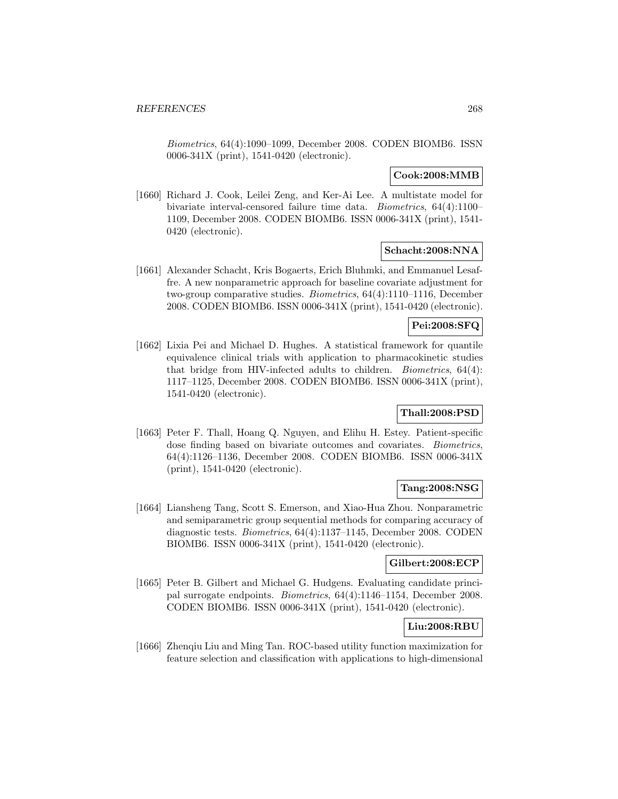Biometrics, 64(4):1090–1099, December 2008. CODEN BIOMB6. ISSN 0006-341X (print), 1541-0420 (electronic).

# **Cook:2008:MMB**

[1660] Richard J. Cook, Leilei Zeng, and Ker-Ai Lee. A multistate model for bivariate interval-censored failure time data. Biometrics, 64(4):1100– 1109, December 2008. CODEN BIOMB6. ISSN 0006-341X (print), 1541- 0420 (electronic).

# **Schacht:2008:NNA**

[1661] Alexander Schacht, Kris Bogaerts, Erich Bluhmki, and Emmanuel Lesaffre. A new nonparametric approach for baseline covariate adjustment for two-group comparative studies. Biometrics, 64(4):1110–1116, December 2008. CODEN BIOMB6. ISSN 0006-341X (print), 1541-0420 (electronic).

# **Pei:2008:SFQ**

[1662] Lixia Pei and Michael D. Hughes. A statistical framework for quantile equivalence clinical trials with application to pharmacokinetic studies that bridge from HIV-infected adults to children. Biometrics, 64(4): 1117–1125, December 2008. CODEN BIOMB6. ISSN 0006-341X (print), 1541-0420 (electronic).

## **Thall:2008:PSD**

[1663] Peter F. Thall, Hoang Q. Nguyen, and Elihu H. Estey. Patient-specific dose finding based on bivariate outcomes and covariates. Biometrics, 64(4):1126–1136, December 2008. CODEN BIOMB6. ISSN 0006-341X (print), 1541-0420 (electronic).

## **Tang:2008:NSG**

[1664] Liansheng Tang, Scott S. Emerson, and Xiao-Hua Zhou. Nonparametric and semiparametric group sequential methods for comparing accuracy of diagnostic tests. Biometrics, 64(4):1137–1145, December 2008. CODEN BIOMB6. ISSN 0006-341X (print), 1541-0420 (electronic).

## **Gilbert:2008:ECP**

[1665] Peter B. Gilbert and Michael G. Hudgens. Evaluating candidate principal surrogate endpoints. Biometrics, 64(4):1146–1154, December 2008. CODEN BIOMB6. ISSN 0006-341X (print), 1541-0420 (electronic).

# **Liu:2008:RBU**

[1666] Zhenqiu Liu and Ming Tan. ROC-based utility function maximization for feature selection and classification with applications to high-dimensional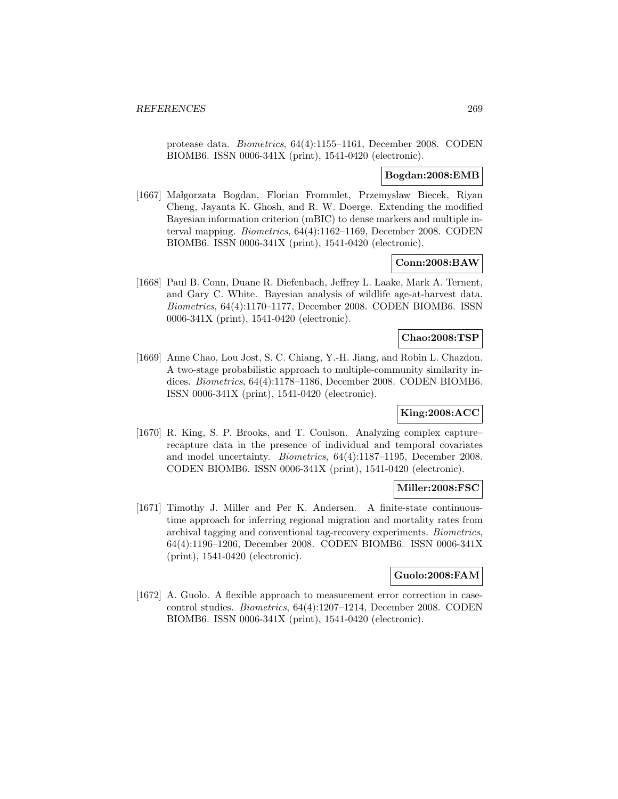protease data. Biometrics, 64(4):1155–1161, December 2008. CODEN BIOMB6. ISSN 0006-341X (print), 1541-0420 (electronic).

#### **Bogdan:2008:EMB**

[1667] Małgorzata Bogdan, Florian Frommlet, Przemysław Biecek, Riyan Cheng, Jayanta K. Ghosh, and R. W. Doerge. Extending the modified Bayesian information criterion (mBIC) to dense markers and multiple interval mapping. Biometrics, 64(4):1162–1169, December 2008. CODEN BIOMB6. ISSN 0006-341X (print), 1541-0420 (electronic).

### **Conn:2008:BAW**

[1668] Paul B. Conn, Duane R. Diefenbach, Jeffrey L. Laake, Mark A. Ternent, and Gary C. White. Bayesian analysis of wildlife age-at-harvest data. Biometrics, 64(4):1170–1177, December 2008. CODEN BIOMB6. ISSN 0006-341X (print), 1541-0420 (electronic).

### **Chao:2008:TSP**

[1669] Anne Chao, Lou Jost, S. C. Chiang, Y.-H. Jiang, and Robin L. Chazdon. A two-stage probabilistic approach to multiple-community similarity indices. Biometrics, 64(4):1178–1186, December 2008. CODEN BIOMB6. ISSN 0006-341X (print), 1541-0420 (electronic).

# **King:2008:ACC**

[1670] R. King, S. P. Brooks, and T. Coulson. Analyzing complex capture– recapture data in the presence of individual and temporal covariates and model uncertainty. Biometrics, 64(4):1187–1195, December 2008. CODEN BIOMB6. ISSN 0006-341X (print), 1541-0420 (electronic).

#### **Miller:2008:FSC**

[1671] Timothy J. Miller and Per K. Andersen. A finite-state continuoustime approach for inferring regional migration and mortality rates from archival tagging and conventional tag-recovery experiments. Biometrics, 64(4):1196–1206, December 2008. CODEN BIOMB6. ISSN 0006-341X (print), 1541-0420 (electronic).

#### **Guolo:2008:FAM**

[1672] A. Guolo. A flexible approach to measurement error correction in casecontrol studies. Biometrics, 64(4):1207–1214, December 2008. CODEN BIOMB6. ISSN 0006-341X (print), 1541-0420 (electronic).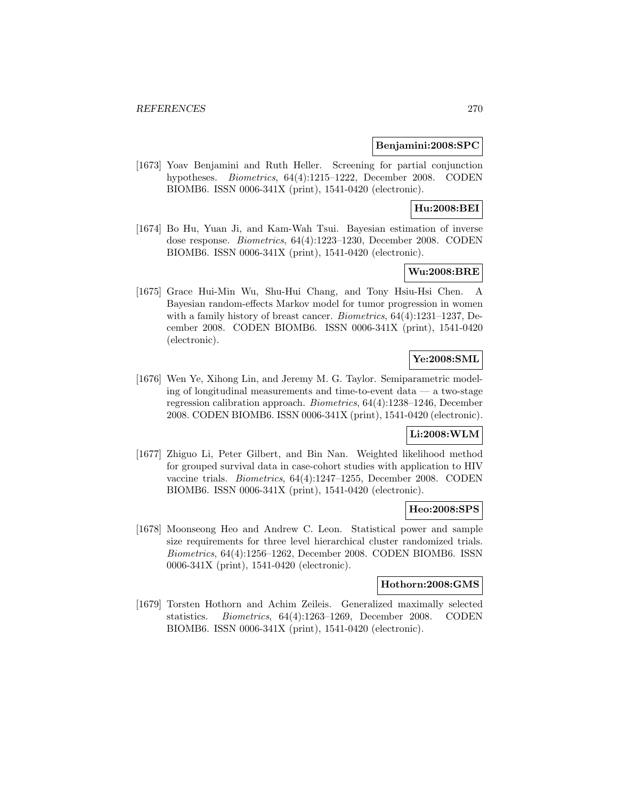#### **Benjamini:2008:SPC**

[1673] Yoav Benjamini and Ruth Heller. Screening for partial conjunction hypotheses. *Biometrics*, 64(4):1215–1222, December 2008. CODEN BIOMB6. ISSN 0006-341X (print), 1541-0420 (electronic).

# **Hu:2008:BEI**

[1674] Bo Hu, Yuan Ji, and Kam-Wah Tsui. Bayesian estimation of inverse dose response. Biometrics, 64(4):1223–1230, December 2008. CODEN BIOMB6. ISSN 0006-341X (print), 1541-0420 (electronic).

# **Wu:2008:BRE**

[1675] Grace Hui-Min Wu, Shu-Hui Chang, and Tony Hsiu-Hsi Chen. A Bayesian random-effects Markov model for tumor progression in women with a family history of breast cancer. Biometrics, 64(4):1231–1237, December 2008. CODEN BIOMB6. ISSN 0006-341X (print), 1541-0420 (electronic).

# **Ye:2008:SML**

[1676] Wen Ye, Xihong Lin, and Jeremy M. G. Taylor. Semiparametric modeling of longitudinal measurements and time-to-event data — a two-stage regression calibration approach. Biometrics, 64(4):1238–1246, December 2008. CODEN BIOMB6. ISSN 0006-341X (print), 1541-0420 (electronic).

# **Li:2008:WLM**

[1677] Zhiguo Li, Peter Gilbert, and Bin Nan. Weighted likelihood method for grouped survival data in case-cohort studies with application to HIV vaccine trials. Biometrics, 64(4):1247–1255, December 2008. CODEN BIOMB6. ISSN 0006-341X (print), 1541-0420 (electronic).

## **Heo:2008:SPS**

[1678] Moonseong Heo and Andrew C. Leon. Statistical power and sample size requirements for three level hierarchical cluster randomized trials. Biometrics, 64(4):1256–1262, December 2008. CODEN BIOMB6. ISSN 0006-341X (print), 1541-0420 (electronic).

#### **Hothorn:2008:GMS**

[1679] Torsten Hothorn and Achim Zeileis. Generalized maximally selected statistics. Biometrics, 64(4):1263–1269, December 2008. CODEN BIOMB6. ISSN 0006-341X (print), 1541-0420 (electronic).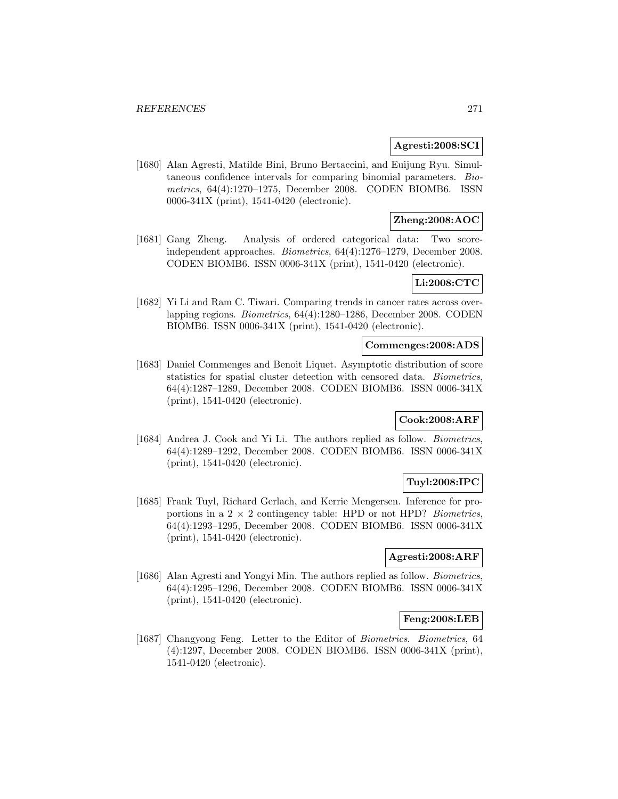## **Agresti:2008:SCI**

[1680] Alan Agresti, Matilde Bini, Bruno Bertaccini, and Euijung Ryu. Simultaneous confidence intervals for comparing binomial parameters. Biometrics, 64(4):1270–1275, December 2008. CODEN BIOMB6. ISSN 0006-341X (print), 1541-0420 (electronic).

# **Zheng:2008:AOC**

[1681] Gang Zheng. Analysis of ordered categorical data: Two scoreindependent approaches. Biometrics, 64(4):1276–1279, December 2008. CODEN BIOMB6. ISSN 0006-341X (print), 1541-0420 (electronic).

# **Li:2008:CTC**

[1682] Yi Li and Ram C. Tiwari. Comparing trends in cancer rates across overlapping regions. Biometrics, 64(4):1280–1286, December 2008. CODEN BIOMB6. ISSN 0006-341X (print), 1541-0420 (electronic).

#### **Commenges:2008:ADS**

[1683] Daniel Commenges and Benoit Liquet. Asymptotic distribution of score statistics for spatial cluster detection with censored data. Biometrics, 64(4):1287–1289, December 2008. CODEN BIOMB6. ISSN 0006-341X (print), 1541-0420 (electronic).

# **Cook:2008:ARF**

[1684] Andrea J. Cook and Yi Li. The authors replied as follow. Biometrics, 64(4):1289–1292, December 2008. CODEN BIOMB6. ISSN 0006-341X (print), 1541-0420 (electronic).

# **Tuyl:2008:IPC**

[1685] Frank Tuyl, Richard Gerlach, and Kerrie Mengersen. Inference for proportions in a  $2 \times 2$  contingency table: HPD or not HPD? *Biometrics*, 64(4):1293–1295, December 2008. CODEN BIOMB6. ISSN 0006-341X (print), 1541-0420 (electronic).

# **Agresti:2008:ARF**

[1686] Alan Agresti and Yongyi Min. The authors replied as follow. *Biometrics*, 64(4):1295–1296, December 2008. CODEN BIOMB6. ISSN 0006-341X (print), 1541-0420 (electronic).

#### **Feng:2008:LEB**

[1687] Changyong Feng. Letter to the Editor of Biometrics. Biometrics, 64 (4):1297, December 2008. CODEN BIOMB6. ISSN 0006-341X (print), 1541-0420 (electronic).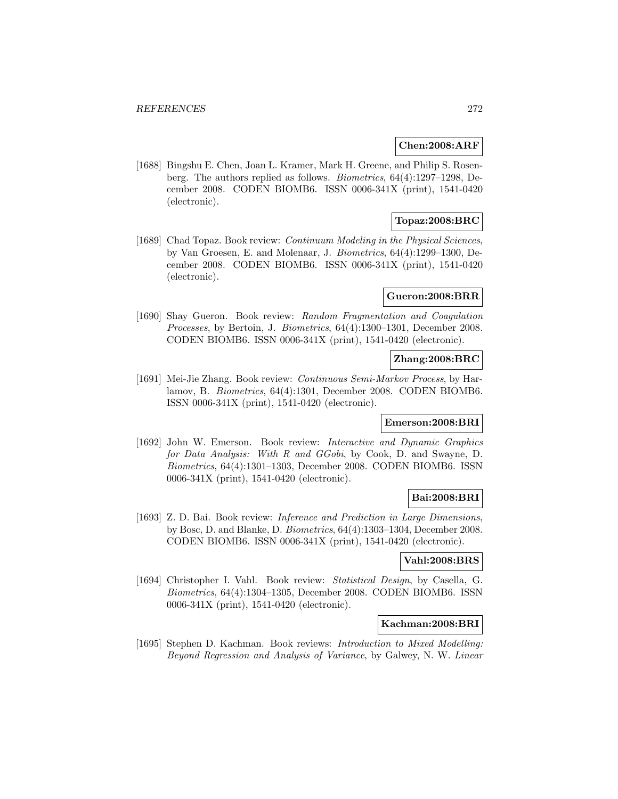#### **Chen:2008:ARF**

[1688] Bingshu E. Chen, Joan L. Kramer, Mark H. Greene, and Philip S. Rosenberg. The authors replied as follows. Biometrics, 64(4):1297–1298, December 2008. CODEN BIOMB6. ISSN 0006-341X (print), 1541-0420 (electronic).

# **Topaz:2008:BRC**

[1689] Chad Topaz. Book review: *Continuum Modeling in the Physical Sciences*, by Van Groesen, E. and Molenaar, J. Biometrics, 64(4):1299–1300, December 2008. CODEN BIOMB6. ISSN 0006-341X (print), 1541-0420 (electronic).

#### **Gueron:2008:BRR**

[1690] Shay Gueron. Book review: Random Fragmentation and Coagulation Processes, by Bertoin, J. Biometrics, 64(4):1300–1301, December 2008. CODEN BIOMB6. ISSN 0006-341X (print), 1541-0420 (electronic).

## **Zhang:2008:BRC**

[1691] Mei-Jie Zhang. Book review: Continuous Semi-Markov Process, by Harlamov, B. Biometrics, 64(4):1301, December 2008. CODEN BIOMB6. ISSN 0006-341X (print), 1541-0420 (electronic).

#### **Emerson:2008:BRI**

[1692] John W. Emerson. Book review: Interactive and Dynamic Graphics for Data Analysis: With R and GGobi, by Cook, D. and Swayne, D. Biometrics, 64(4):1301–1303, December 2008. CODEN BIOMB6. ISSN 0006-341X (print), 1541-0420 (electronic).

## **Bai:2008:BRI**

[1693] Z. D. Bai. Book review: *Inference and Prediction in Large Dimensions*, by Bosc, D. and Blanke, D. Biometrics, 64(4):1303–1304, December 2008. CODEN BIOMB6. ISSN 0006-341X (print), 1541-0420 (electronic).

#### **Vahl:2008:BRS**

[1694] Christopher I. Vahl. Book review: Statistical Design, by Casella, G. Biometrics, 64(4):1304–1305, December 2008. CODEN BIOMB6. ISSN 0006-341X (print), 1541-0420 (electronic).

#### **Kachman:2008:BRI**

[1695] Stephen D. Kachman. Book reviews: *Introduction to Mixed Modelling:* Beyond Regression and Analysis of Variance, by Galwey, N. W. Linear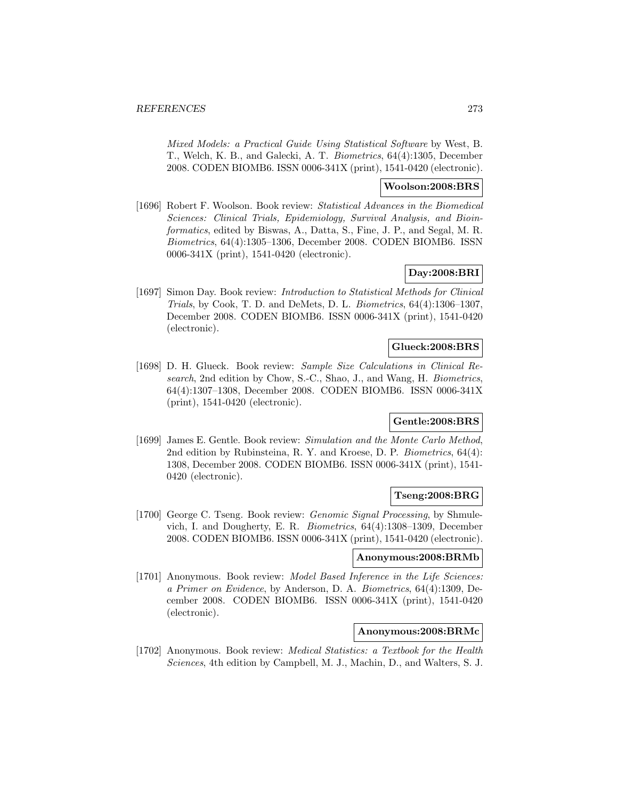Mixed Models: a Practical Guide Using Statistical Software by West, B. T., Welch, K. B., and Galecki, A. T. Biometrics, 64(4):1305, December 2008. CODEN BIOMB6. ISSN 0006-341X (print), 1541-0420 (electronic).

## **Woolson:2008:BRS**

[1696] Robert F. Woolson. Book review: Statistical Advances in the Biomedical Sciences: Clinical Trials, Epidemiology, Survival Analysis, and Bioinformatics, edited by Biswas, A., Datta, S., Fine, J. P., and Segal, M. R. Biometrics, 64(4):1305–1306, December 2008. CODEN BIOMB6. ISSN 0006-341X (print), 1541-0420 (electronic).

# **Day:2008:BRI**

[1697] Simon Day. Book review: Introduction to Statistical Methods for Clinical Trials, by Cook, T. D. and DeMets, D. L. Biometrics, 64(4):1306–1307, December 2008. CODEN BIOMB6. ISSN 0006-341X (print), 1541-0420 (electronic).

#### **Glueck:2008:BRS**

[1698] D. H. Glueck. Book review: Sample Size Calculations in Clinical Research, 2nd edition by Chow, S.-C., Shao, J., and Wang, H. Biometrics, 64(4):1307–1308, December 2008. CODEN BIOMB6. ISSN 0006-341X (print), 1541-0420 (electronic).

# **Gentle:2008:BRS**

[1699] James E. Gentle. Book review: Simulation and the Monte Carlo Method, 2nd edition by Rubinsteina, R. Y. and Kroese, D. P. Biometrics, 64(4): 1308, December 2008. CODEN BIOMB6. ISSN 0006-341X (print), 1541- 0420 (electronic).

## **Tseng:2008:BRG**

[1700] George C. Tseng. Book review: *Genomic Signal Processing*, by Shmulevich, I. and Dougherty, E. R. Biometrics, 64(4):1308–1309, December 2008. CODEN BIOMB6. ISSN 0006-341X (print), 1541-0420 (electronic).

#### **Anonymous:2008:BRMb**

[1701] Anonymous. Book review: Model Based Inference in the Life Sciences: a Primer on Evidence, by Anderson, D. A. Biometrics, 64(4):1309, December 2008. CODEN BIOMB6. ISSN 0006-341X (print), 1541-0420 (electronic).

## **Anonymous:2008:BRMc**

[1702] Anonymous. Book review: Medical Statistics: a Textbook for the Health Sciences, 4th edition by Campbell, M. J., Machin, D., and Walters, S. J.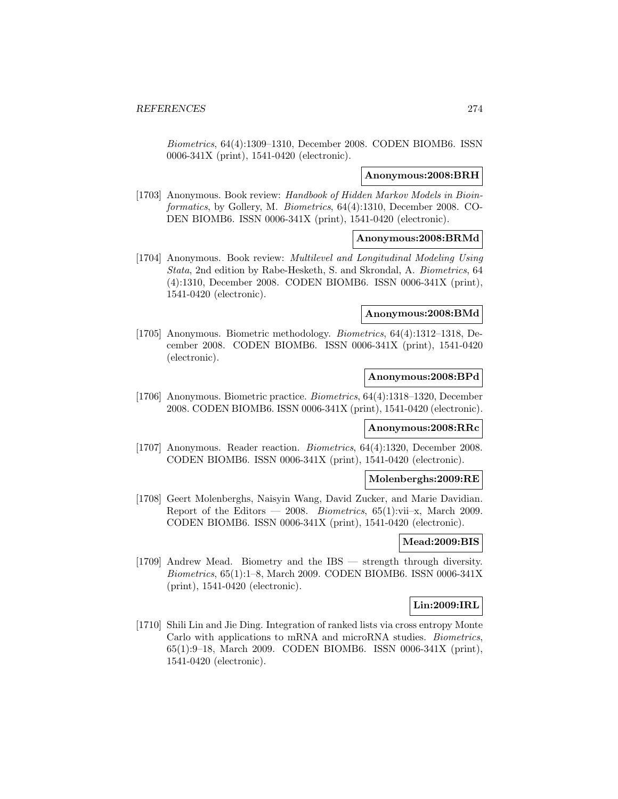Biometrics, 64(4):1309–1310, December 2008. CODEN BIOMB6. ISSN 0006-341X (print), 1541-0420 (electronic).

#### **Anonymous:2008:BRH**

[1703] Anonymous. Book review: Handbook of Hidden Markov Models in Bioinformatics, by Gollery, M. Biometrics, 64(4):1310, December 2008. CO-DEN BIOMB6. ISSN 0006-341X (print), 1541-0420 (electronic).

### **Anonymous:2008:BRMd**

[1704] Anonymous. Book review: Multilevel and Longitudinal Modeling Using Stata, 2nd edition by Rabe-Hesketh, S. and Skrondal, A. Biometrics, 64 (4):1310, December 2008. CODEN BIOMB6. ISSN 0006-341X (print), 1541-0420 (electronic).

#### **Anonymous:2008:BMd**

[1705] Anonymous. Biometric methodology. Biometrics, 64(4):1312–1318, December 2008. CODEN BIOMB6. ISSN 0006-341X (print), 1541-0420 (electronic).

## **Anonymous:2008:BPd**

[1706] Anonymous. Biometric practice. Biometrics, 64(4):1318–1320, December 2008. CODEN BIOMB6. ISSN 0006-341X (print), 1541-0420 (electronic).

#### **Anonymous:2008:RRc**

[1707] Anonymous. Reader reaction. Biometrics, 64(4):1320, December 2008. CODEN BIOMB6. ISSN 0006-341X (print), 1541-0420 (electronic).

#### **Molenberghs:2009:RE**

[1708] Geert Molenberghs, Naisyin Wang, David Zucker, and Marie Davidian. Report of the Editors — 2008. Biometrics,  $65(1)$ :vii-x, March 2009. CODEN BIOMB6. ISSN 0006-341X (print), 1541-0420 (electronic).

## **Mead:2009:BIS**

[1709] Andrew Mead. Biometry and the IBS — strength through diversity. Biometrics, 65(1):1–8, March 2009. CODEN BIOMB6. ISSN 0006-341X (print), 1541-0420 (electronic).

# **Lin:2009:IRL**

[1710] Shili Lin and Jie Ding. Integration of ranked lists via cross entropy Monte Carlo with applications to mRNA and microRNA studies. Biometrics, 65(1):9–18, March 2009. CODEN BIOMB6. ISSN 0006-341X (print), 1541-0420 (electronic).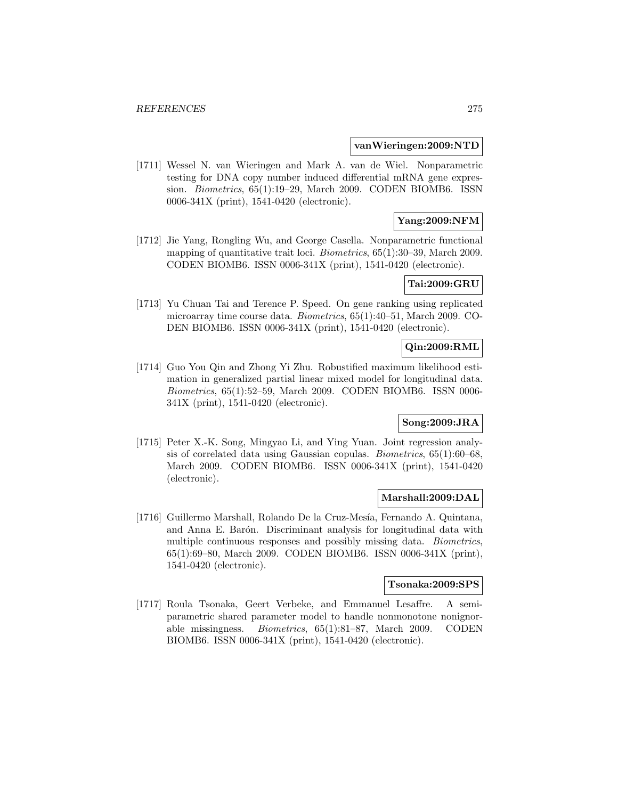#### **vanWieringen:2009:NTD**

[1711] Wessel N. van Wieringen and Mark A. van de Wiel. Nonparametric testing for DNA copy number induced differential mRNA gene expression. Biometrics, 65(1):19–29, March 2009. CODEN BIOMB6. ISSN 0006-341X (print), 1541-0420 (electronic).

# **Yang:2009:NFM**

[1712] Jie Yang, Rongling Wu, and George Casella. Nonparametric functional mapping of quantitative trait loci. Biometrics, 65(1):30–39, March 2009. CODEN BIOMB6. ISSN 0006-341X (print), 1541-0420 (electronic).

## **Tai:2009:GRU**

[1713] Yu Chuan Tai and Terence P. Speed. On gene ranking using replicated microarray time course data. Biometrics, 65(1):40–51, March 2009. CO-DEN BIOMB6. ISSN 0006-341X (print), 1541-0420 (electronic).

# **Qin:2009:RML**

[1714] Guo You Qin and Zhong Yi Zhu. Robustified maximum likelihood estimation in generalized partial linear mixed model for longitudinal data. Biometrics, 65(1):52–59, March 2009. CODEN BIOMB6. ISSN 0006- 341X (print), 1541-0420 (electronic).

#### **Song:2009:JRA**

[1715] Peter X.-K. Song, Mingyao Li, and Ying Yuan. Joint regression analysis of correlated data using Gaussian copulas. Biometrics, 65(1):60–68, March 2009. CODEN BIOMB6. ISSN 0006-341X (print), 1541-0420 (electronic).

#### **Marshall:2009:DAL**

[1716] Guillermo Marshall, Rolando De la Cruz-Mesía, Fernando A. Quintana, and Anna E. Barón. Discriminant analysis for longitudinal data with multiple continuous responses and possibly missing data. Biometrics, 65(1):69–80, March 2009. CODEN BIOMB6. ISSN 0006-341X (print), 1541-0420 (electronic).

# **Tsonaka:2009:SPS**

[1717] Roula Tsonaka, Geert Verbeke, and Emmanuel Lesaffre. A semiparametric shared parameter model to handle nonmonotone nonignorable missingness. Biometrics, 65(1):81–87, March 2009. CODEN BIOMB6. ISSN 0006-341X (print), 1541-0420 (electronic).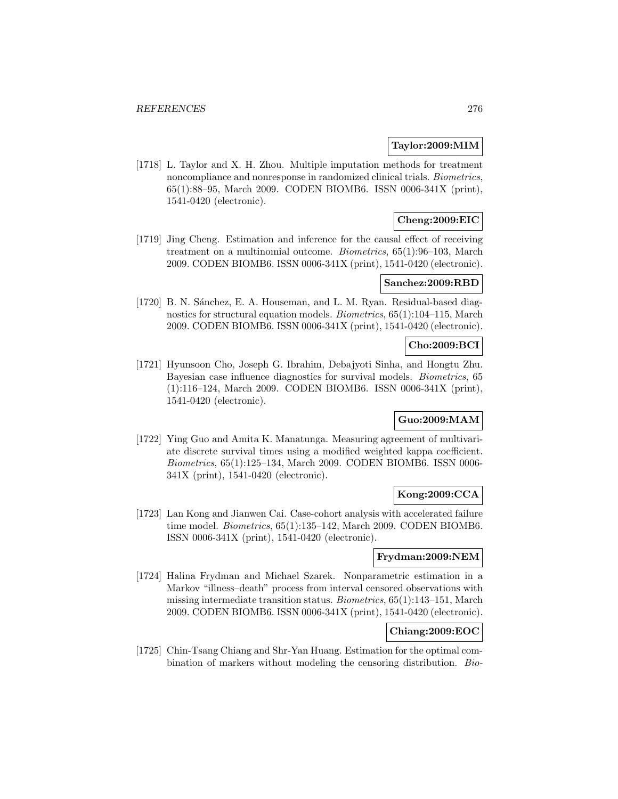## **Taylor:2009:MIM**

[1718] L. Taylor and X. H. Zhou. Multiple imputation methods for treatment noncompliance and nonresponse in randomized clinical trials. Biometrics, 65(1):88–95, March 2009. CODEN BIOMB6. ISSN 0006-341X (print), 1541-0420 (electronic).

# **Cheng:2009:EIC**

[1719] Jing Cheng. Estimation and inference for the causal effect of receiving treatment on a multinomial outcome. Biometrics, 65(1):96–103, March 2009. CODEN BIOMB6. ISSN 0006-341X (print), 1541-0420 (electronic).

# **Sanchez:2009:RBD**

[1720] B. N. Sánchez, E. A. Houseman, and L. M. Ryan. Residual-based diagnostics for structural equation models. Biometrics, 65(1):104–115, March 2009. CODEN BIOMB6. ISSN 0006-341X (print), 1541-0420 (electronic).

## **Cho:2009:BCI**

[1721] Hyunsoon Cho, Joseph G. Ibrahim, Debajyoti Sinha, and Hongtu Zhu. Bayesian case influence diagnostics for survival models. Biometrics, 65 (1):116–124, March 2009. CODEN BIOMB6. ISSN 0006-341X (print), 1541-0420 (electronic).

# **Guo:2009:MAM**

[1722] Ying Guo and Amita K. Manatunga. Measuring agreement of multivariate discrete survival times using a modified weighted kappa coefficient. Biometrics, 65(1):125–134, March 2009. CODEN BIOMB6. ISSN 0006- 341X (print), 1541-0420 (electronic).

# **Kong:2009:CCA**

[1723] Lan Kong and Jianwen Cai. Case-cohort analysis with accelerated failure time model. Biometrics, 65(1):135–142, March 2009. CODEN BIOMB6. ISSN 0006-341X (print), 1541-0420 (electronic).

#### **Frydman:2009:NEM**

[1724] Halina Frydman and Michael Szarek. Nonparametric estimation in a Markov "illness–death" process from interval censored observations with missing intermediate transition status. Biometrics, 65(1):143–151, March 2009. CODEN BIOMB6. ISSN 0006-341X (print), 1541-0420 (electronic).

# **Chiang:2009:EOC**

[1725] Chin-Tsang Chiang and Shr-Yan Huang. Estimation for the optimal combination of markers without modeling the censoring distribution. Bio-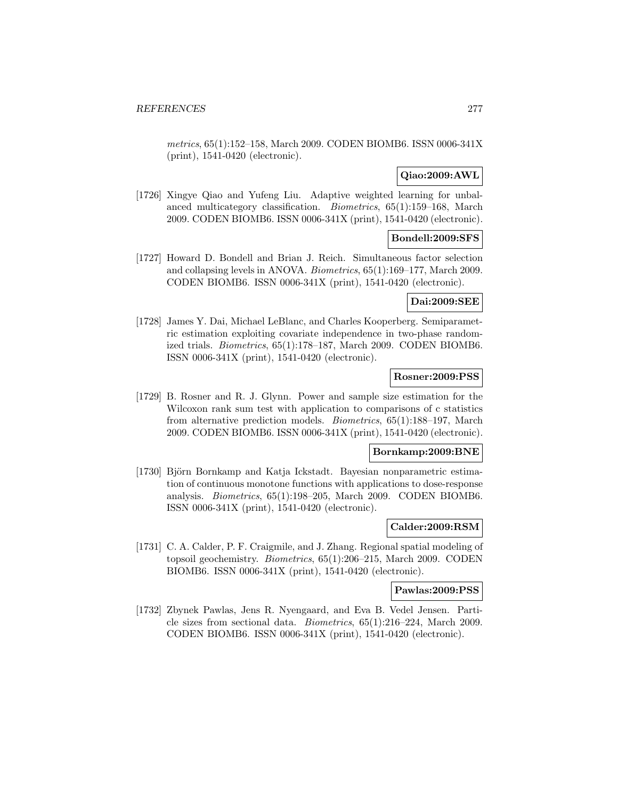metrics, 65(1):152–158, March 2009. CODEN BIOMB6. ISSN 0006-341X (print), 1541-0420 (electronic).

# **Qiao:2009:AWL**

[1726] Xingye Qiao and Yufeng Liu. Adaptive weighted learning for unbalanced multicategory classification. Biometrics, 65(1):159–168, March 2009. CODEN BIOMB6. ISSN 0006-341X (print), 1541-0420 (electronic).

# **Bondell:2009:SFS**

[1727] Howard D. Bondell and Brian J. Reich. Simultaneous factor selection and collapsing levels in ANOVA. Biometrics, 65(1):169–177, March 2009. CODEN BIOMB6. ISSN 0006-341X (print), 1541-0420 (electronic).

## **Dai:2009:SEE**

[1728] James Y. Dai, Michael LeBlanc, and Charles Kooperberg. Semiparametric estimation exploiting covariate independence in two-phase randomized trials. Biometrics, 65(1):178–187, March 2009. CODEN BIOMB6. ISSN 0006-341X (print), 1541-0420 (electronic).

## **Rosner:2009:PSS**

[1729] B. Rosner and R. J. Glynn. Power and sample size estimation for the Wilcoxon rank sum test with application to comparisons of c statistics from alternative prediction models. Biometrics, 65(1):188–197, March 2009. CODEN BIOMB6. ISSN 0006-341X (print), 1541-0420 (electronic).

#### **Bornkamp:2009:BNE**

[1730] Björn Bornkamp and Katja Ickstadt. Bayesian nonparametric estimation of continuous monotone functions with applications to dose-response analysis. Biometrics, 65(1):198–205, March 2009. CODEN BIOMB6. ISSN 0006-341X (print), 1541-0420 (electronic).

#### **Calder:2009:RSM**

[1731] C. A. Calder, P. F. Craigmile, and J. Zhang. Regional spatial modeling of topsoil geochemistry. Biometrics, 65(1):206–215, March 2009. CODEN BIOMB6. ISSN 0006-341X (print), 1541-0420 (electronic).

## **Pawlas:2009:PSS**

[1732] Zbynek Pawlas, Jens R. Nyengaard, and Eva B. Vedel Jensen. Particle sizes from sectional data. Biometrics, 65(1):216–224, March 2009. CODEN BIOMB6. ISSN 0006-341X (print), 1541-0420 (electronic).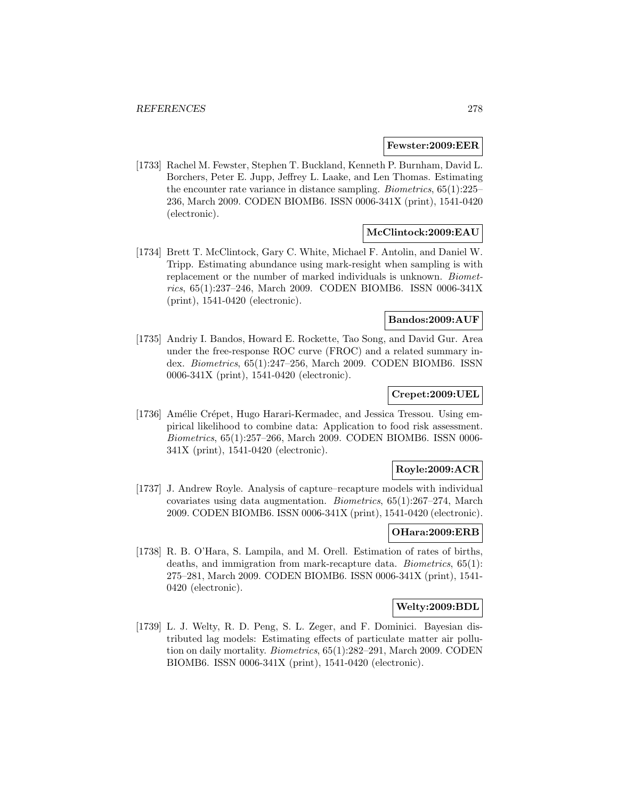#### **Fewster:2009:EER**

[1733] Rachel M. Fewster, Stephen T. Buckland, Kenneth P. Burnham, David L. Borchers, Peter E. Jupp, Jeffrey L. Laake, and Len Thomas. Estimating the encounter rate variance in distance sampling. Biometrics, 65(1):225– 236, March 2009. CODEN BIOMB6. ISSN 0006-341X (print), 1541-0420 (electronic).

# **McClintock:2009:EAU**

[1734] Brett T. McClintock, Gary C. White, Michael F. Antolin, and Daniel W. Tripp. Estimating abundance using mark-resight when sampling is with replacement or the number of marked individuals is unknown. Biometrics, 65(1):237–246, March 2009. CODEN BIOMB6. ISSN 0006-341X (print), 1541-0420 (electronic).

# **Bandos:2009:AUF**

[1735] Andriy I. Bandos, Howard E. Rockette, Tao Song, and David Gur. Area under the free-response ROC curve (FROC) and a related summary index. Biometrics, 65(1):247–256, March 2009. CODEN BIOMB6. ISSN 0006-341X (print), 1541-0420 (electronic).

## **Crepet:2009:UEL**

[1736] Amélie Crépet, Hugo Harari-Kermadec, and Jessica Tressou. Using empirical likelihood to combine data: Application to food risk assessment. Biometrics, 65(1):257–266, March 2009. CODEN BIOMB6. ISSN 0006- 341X (print), 1541-0420 (electronic).

# **Royle:2009:ACR**

[1737] J. Andrew Royle. Analysis of capture–recapture models with individual covariates using data augmentation. Biometrics, 65(1):267–274, March 2009. CODEN BIOMB6. ISSN 0006-341X (print), 1541-0420 (electronic).

## **OHara:2009:ERB**

[1738] R. B. O'Hara, S. Lampila, and M. Orell. Estimation of rates of births, deaths, and immigration from mark-recapture data. Biometrics, 65(1): 275–281, March 2009. CODEN BIOMB6. ISSN 0006-341X (print), 1541- 0420 (electronic).

## **Welty:2009:BDL**

[1739] L. J. Welty, R. D. Peng, S. L. Zeger, and F. Dominici. Bayesian distributed lag models: Estimating effects of particulate matter air pollution on daily mortality. Biometrics, 65(1):282–291, March 2009. CODEN BIOMB6. ISSN 0006-341X (print), 1541-0420 (electronic).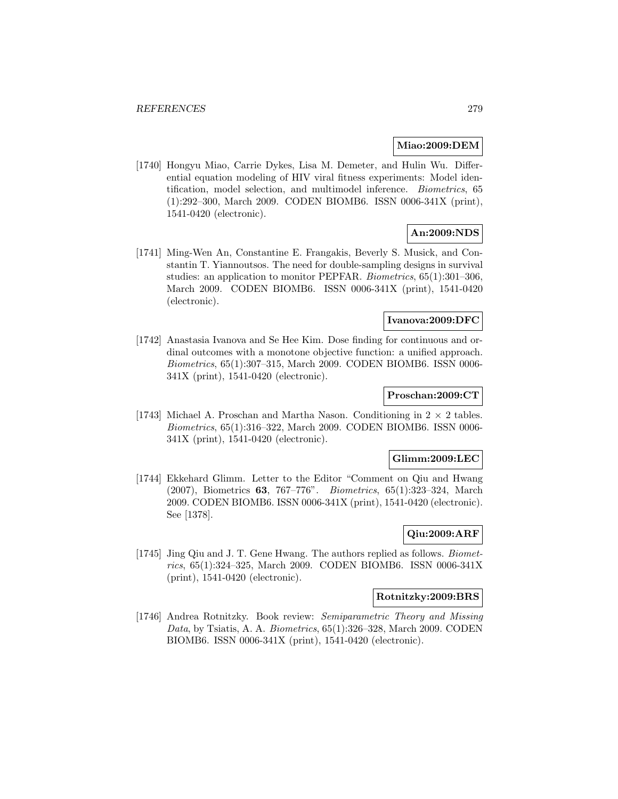## **Miao:2009:DEM**

[1740] Hongyu Miao, Carrie Dykes, Lisa M. Demeter, and Hulin Wu. Differential equation modeling of HIV viral fitness experiments: Model identification, model selection, and multimodel inference. Biometrics, 65 (1):292–300, March 2009. CODEN BIOMB6. ISSN 0006-341X (print), 1541-0420 (electronic).

# **An:2009:NDS**

[1741] Ming-Wen An, Constantine E. Frangakis, Beverly S. Musick, and Constantin T. Yiannoutsos. The need for double-sampling designs in survival studies: an application to monitor PEPFAR. Biometrics, 65(1):301–306, March 2009. CODEN BIOMB6. ISSN 0006-341X (print), 1541-0420 (electronic).

# **Ivanova:2009:DFC**

[1742] Anastasia Ivanova and Se Hee Kim. Dose finding for continuous and ordinal outcomes with a monotone objective function: a unified approach. Biometrics, 65(1):307–315, March 2009. CODEN BIOMB6. ISSN 0006- 341X (print), 1541-0420 (electronic).

#### **Proschan:2009:CT**

[1743] Michael A. Proschan and Martha Nason. Conditioning in  $2 \times 2$  tables. Biometrics, 65(1):316–322, March 2009. CODEN BIOMB6. ISSN 0006- 341X (print), 1541-0420 (electronic).

# **Glimm:2009:LEC**

[1744] Ekkehard Glimm. Letter to the Editor "Comment on Qiu and Hwang (2007), Biometrics **63**, 767–776". Biometrics, 65(1):323–324, March 2009. CODEN BIOMB6. ISSN 0006-341X (print), 1541-0420 (electronic). See [1378].

# **Qiu:2009:ARF**

[1745] Jing Qiu and J. T. Gene Hwang. The authors replied as follows. Biometrics, 65(1):324–325, March 2009. CODEN BIOMB6. ISSN 0006-341X (print), 1541-0420 (electronic).

#### **Rotnitzky:2009:BRS**

[1746] Andrea Rotnitzky. Book review: Semiparametric Theory and Missing Data, by Tsiatis, A. A. Biometrics, 65(1):326–328, March 2009. CODEN BIOMB6. ISSN 0006-341X (print), 1541-0420 (electronic).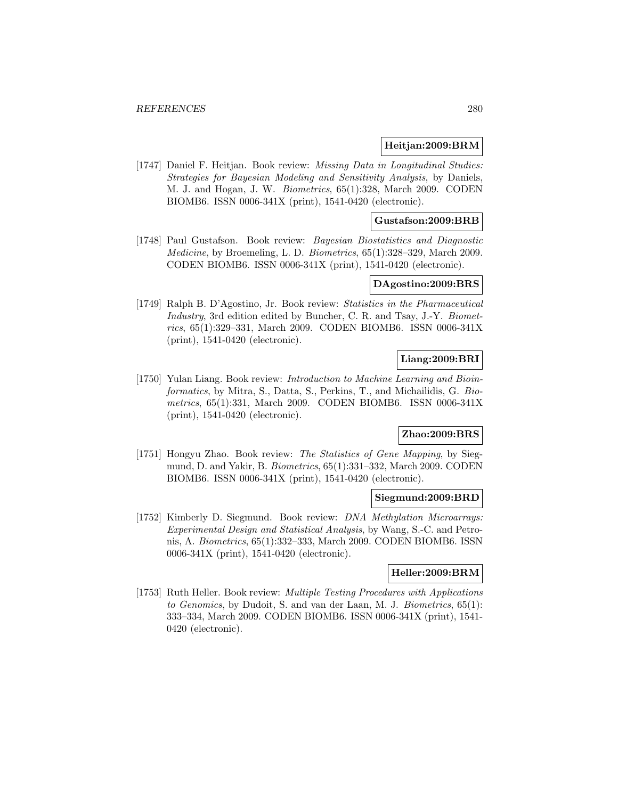#### **Heitjan:2009:BRM**

[1747] Daniel F. Heitjan. Book review: Missing Data in Longitudinal Studies: Strategies for Bayesian Modeling and Sensitivity Analysis, by Daniels, M. J. and Hogan, J. W. Biometrics, 65(1):328, March 2009. CODEN BIOMB6. ISSN 0006-341X (print), 1541-0420 (electronic).

## **Gustafson:2009:BRB**

[1748] Paul Gustafson. Book review: Bayesian Biostatistics and Diagnostic Medicine, by Broemeling, L. D. Biometrics, 65(1):328–329, March 2009. CODEN BIOMB6. ISSN 0006-341X (print), 1541-0420 (electronic).

#### **DAgostino:2009:BRS**

[1749] Ralph B. D'Agostino, Jr. Book review: Statistics in the Pharmaceutical Industry, 3rd edition edited by Buncher, C. R. and Tsay, J.-Y. Biometrics, 65(1):329–331, March 2009. CODEN BIOMB6. ISSN 0006-341X (print), 1541-0420 (electronic).

# **Liang:2009:BRI**

[1750] Yulan Liang. Book review: Introduction to Machine Learning and Bioinformatics, by Mitra, S., Datta, S., Perkins, T., and Michailidis, G. Biometrics, 65(1):331, March 2009. CODEN BIOMB6. ISSN 0006-341X (print), 1541-0420 (electronic).

# **Zhao:2009:BRS**

[1751] Hongyu Zhao. Book review: The Statistics of Gene Mapping, by Siegmund, D. and Yakir, B. Biometrics, 65(1):331–332, March 2009. CODEN BIOMB6. ISSN 0006-341X (print), 1541-0420 (electronic).

#### **Siegmund:2009:BRD**

[1752] Kimberly D. Siegmund. Book review: DNA Methylation Microarrays: Experimental Design and Statistical Analysis, by Wang, S.-C. and Petronis, A. Biometrics, 65(1):332–333, March 2009. CODEN BIOMB6. ISSN 0006-341X (print), 1541-0420 (electronic).

#### **Heller:2009:BRM**

[1753] Ruth Heller. Book review: Multiple Testing Procedures with Applications to Genomics, by Dudoit, S. and van der Laan, M. J. Biometrics, 65(1): 333–334, March 2009. CODEN BIOMB6. ISSN 0006-341X (print), 1541- 0420 (electronic).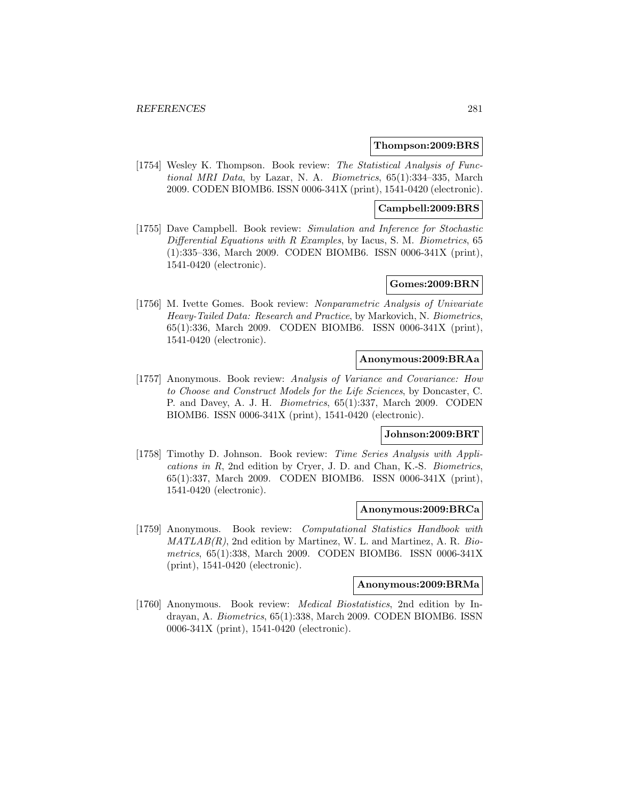#### **Thompson:2009:BRS**

[1754] Wesley K. Thompson. Book review: The Statistical Analysis of Functional MRI Data, by Lazar, N. A. Biometrics, 65(1):334–335, March 2009. CODEN BIOMB6. ISSN 0006-341X (print), 1541-0420 (electronic).

## **Campbell:2009:BRS**

[1755] Dave Campbell. Book review: Simulation and Inference for Stochastic Differential Equations with R Examples, by Iacus, S. M. Biometrics, 65 (1):335–336, March 2009. CODEN BIOMB6. ISSN 0006-341X (print), 1541-0420 (electronic).

#### **Gomes:2009:BRN**

[1756] M. Ivette Gomes. Book review: Nonparametric Analysis of Univariate Heavy-Tailed Data: Research and Practice, by Markovich, N. Biometrics, 65(1):336, March 2009. CODEN BIOMB6. ISSN 0006-341X (print), 1541-0420 (electronic).

## **Anonymous:2009:BRAa**

[1757] Anonymous. Book review: Analysis of Variance and Covariance: How to Choose and Construct Models for the Life Sciences, by Doncaster, C. P. and Davey, A. J. H. Biometrics, 65(1):337, March 2009. CODEN BIOMB6. ISSN 0006-341X (print), 1541-0420 (electronic).

## **Johnson:2009:BRT**

[1758] Timothy D. Johnson. Book review: Time Series Analysis with Applications in R, 2nd edition by Cryer, J. D. and Chan, K.-S. Biometrics, 65(1):337, March 2009. CODEN BIOMB6. ISSN 0006-341X (print), 1541-0420 (electronic).

#### **Anonymous:2009:BRCa**

[1759] Anonymous. Book review: Computational Statistics Handbook with  $MATLAB(R)$ , 2nd edition by Martinez, W. L. and Martinez, A. R. Biometrics, 65(1):338, March 2009. CODEN BIOMB6. ISSN 0006-341X (print), 1541-0420 (electronic).

#### **Anonymous:2009:BRMa**

[1760] Anonymous. Book review: Medical Biostatistics, 2nd edition by Indrayan, A. Biometrics, 65(1):338, March 2009. CODEN BIOMB6. ISSN 0006-341X (print), 1541-0420 (electronic).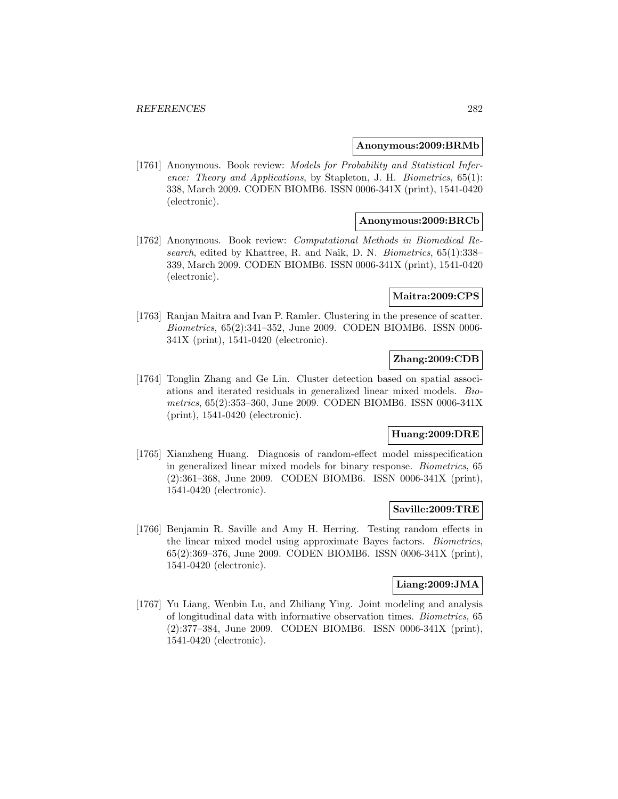#### **Anonymous:2009:BRMb**

[1761] Anonymous. Book review: Models for Probability and Statistical Inference: Theory and Applications, by Stapleton, J. H. Biometrics, 65(1): 338, March 2009. CODEN BIOMB6. ISSN 0006-341X (print), 1541-0420 (electronic).

## **Anonymous:2009:BRCb**

[1762] Anonymous. Book review: Computational Methods in Biomedical Research, edited by Khattree, R. and Naik, D. N. Biometrics, 65(1):338– 339, March 2009. CODEN BIOMB6. ISSN 0006-341X (print), 1541-0420 (electronic).

## **Maitra:2009:CPS**

[1763] Ranjan Maitra and Ivan P. Ramler. Clustering in the presence of scatter. Biometrics, 65(2):341–352, June 2009. CODEN BIOMB6. ISSN 0006- 341X (print), 1541-0420 (electronic).

# **Zhang:2009:CDB**

[1764] Tonglin Zhang and Ge Lin. Cluster detection based on spatial associations and iterated residuals in generalized linear mixed models. Biometrics, 65(2):353–360, June 2009. CODEN BIOMB6. ISSN 0006-341X (print), 1541-0420 (electronic).

# **Huang:2009:DRE**

[1765] Xianzheng Huang. Diagnosis of random-effect model misspecification in generalized linear mixed models for binary response. Biometrics, 65 (2):361–368, June 2009. CODEN BIOMB6. ISSN 0006-341X (print), 1541-0420 (electronic).

#### **Saville:2009:TRE**

[1766] Benjamin R. Saville and Amy H. Herring. Testing random effects in the linear mixed model using approximate Bayes factors. Biometrics, 65(2):369–376, June 2009. CODEN BIOMB6. ISSN 0006-341X (print), 1541-0420 (electronic).

#### **Liang:2009:JMA**

[1767] Yu Liang, Wenbin Lu, and Zhiliang Ying. Joint modeling and analysis of longitudinal data with informative observation times. Biometrics, 65 (2):377–384, June 2009. CODEN BIOMB6. ISSN 0006-341X (print), 1541-0420 (electronic).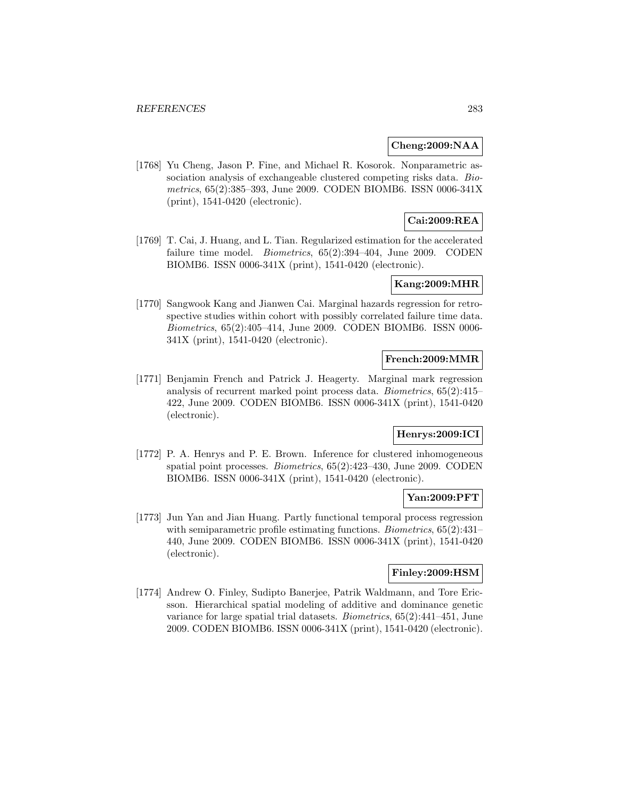## **Cheng:2009:NAA**

[1768] Yu Cheng, Jason P. Fine, and Michael R. Kosorok. Nonparametric association analysis of exchangeable clustered competing risks data. Biometrics, 65(2):385–393, June 2009. CODEN BIOMB6. ISSN 0006-341X (print), 1541-0420 (electronic).

# **Cai:2009:REA**

[1769] T. Cai, J. Huang, and L. Tian. Regularized estimation for the accelerated failure time model. *Biometrics*, 65(2):394–404, June 2009. CODEN BIOMB6. ISSN 0006-341X (print), 1541-0420 (electronic).

# **Kang:2009:MHR**

[1770] Sangwook Kang and Jianwen Cai. Marginal hazards regression for retrospective studies within cohort with possibly correlated failure time data. Biometrics, 65(2):405–414, June 2009. CODEN BIOMB6. ISSN 0006- 341X (print), 1541-0420 (electronic).

## **French:2009:MMR**

[1771] Benjamin French and Patrick J. Heagerty. Marginal mark regression analysis of recurrent marked point process data. Biometrics, 65(2):415– 422, June 2009. CODEN BIOMB6. ISSN 0006-341X (print), 1541-0420 (electronic).

# **Henrys:2009:ICI**

[1772] P. A. Henrys and P. E. Brown. Inference for clustered inhomogeneous spatial point processes. Biometrics, 65(2):423–430, June 2009. CODEN BIOMB6. ISSN 0006-341X (print), 1541-0420 (electronic).

# **Yan:2009:PFT**

[1773] Jun Yan and Jian Huang. Partly functional temporal process regression with semiparametric profile estimating functions. *Biometrics*, 65(2):431-440, June 2009. CODEN BIOMB6. ISSN 0006-341X (print), 1541-0420 (electronic).

# **Finley:2009:HSM**

[1774] Andrew O. Finley, Sudipto Banerjee, Patrik Waldmann, and Tore Ericsson. Hierarchical spatial modeling of additive and dominance genetic variance for large spatial trial datasets. Biometrics, 65(2):441–451, June 2009. CODEN BIOMB6. ISSN 0006-341X (print), 1541-0420 (electronic).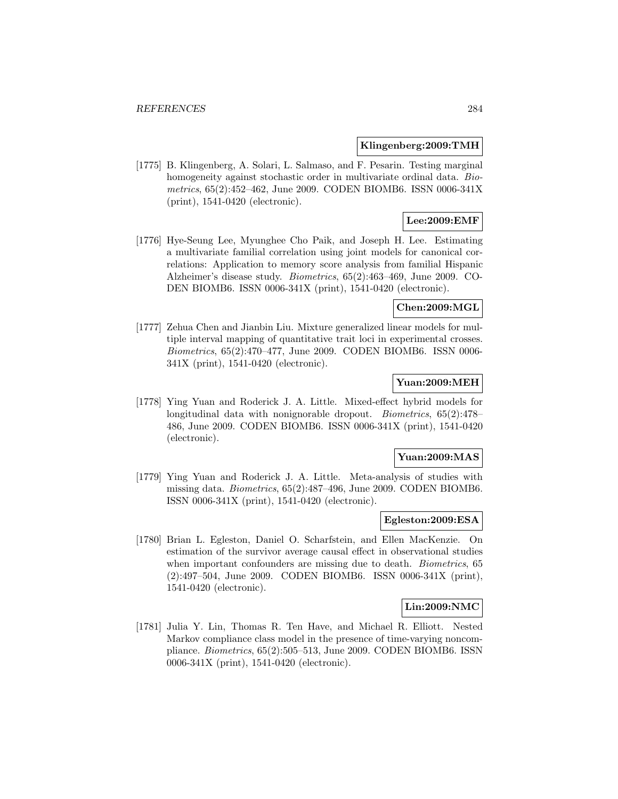#### **Klingenberg:2009:TMH**

[1775] B. Klingenberg, A. Solari, L. Salmaso, and F. Pesarin. Testing marginal homogeneity against stochastic order in multivariate ordinal data. Biometrics, 65(2):452–462, June 2009. CODEN BIOMB6. ISSN 0006-341X (print), 1541-0420 (electronic).

# **Lee:2009:EMF**

[1776] Hye-Seung Lee, Myunghee Cho Paik, and Joseph H. Lee. Estimating a multivariate familial correlation using joint models for canonical correlations: Application to memory score analysis from familial Hispanic Alzheimer's disease study. Biometrics, 65(2):463–469, June 2009. CO-DEN BIOMB6. ISSN 0006-341X (print), 1541-0420 (electronic).

## **Chen:2009:MGL**

[1777] Zehua Chen and Jianbin Liu. Mixture generalized linear models for multiple interval mapping of quantitative trait loci in experimental crosses. Biometrics, 65(2):470–477, June 2009. CODEN BIOMB6. ISSN 0006- 341X (print), 1541-0420 (electronic).

## **Yuan:2009:MEH**

[1778] Ying Yuan and Roderick J. A. Little. Mixed-effect hybrid models for longitudinal data with nonignorable dropout. *Biometrics*,  $65(2):478-$ 486, June 2009. CODEN BIOMB6. ISSN 0006-341X (print), 1541-0420 (electronic).

## **Yuan:2009:MAS**

[1779] Ying Yuan and Roderick J. A. Little. Meta-analysis of studies with missing data. Biometrics, 65(2):487–496, June 2009. CODEN BIOMB6. ISSN 0006-341X (print), 1541-0420 (electronic).

## **Egleston:2009:ESA**

[1780] Brian L. Egleston, Daniel O. Scharfstein, and Ellen MacKenzie. On estimation of the survivor average causal effect in observational studies when important confounders are missing due to death. *Biometrics*, 65 (2):497–504, June 2009. CODEN BIOMB6. ISSN 0006-341X (print), 1541-0420 (electronic).

## **Lin:2009:NMC**

[1781] Julia Y. Lin, Thomas R. Ten Have, and Michael R. Elliott. Nested Markov compliance class model in the presence of time-varying noncompliance. Biometrics, 65(2):505–513, June 2009. CODEN BIOMB6. ISSN 0006-341X (print), 1541-0420 (electronic).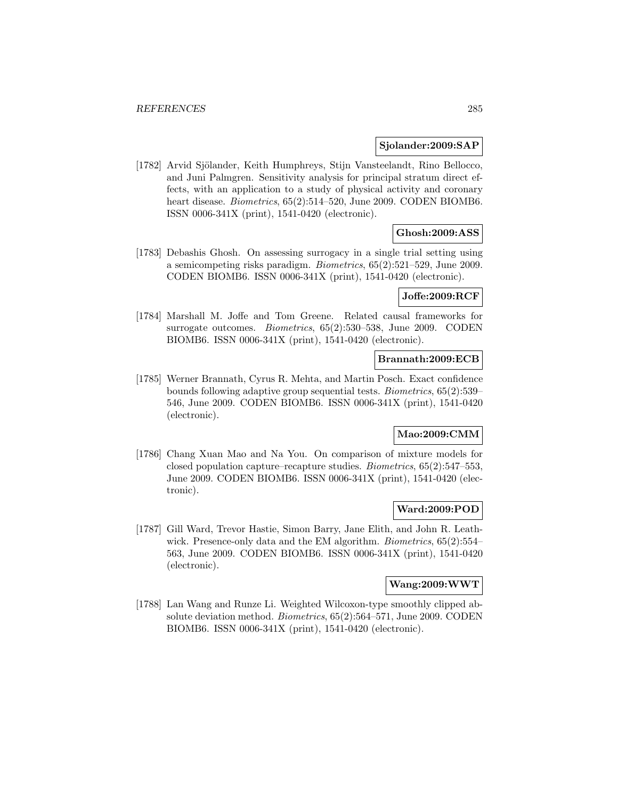#### **Sjolander:2009:SAP**

[1782] Arvid Sjölander, Keith Humphreys, Stijn Vansteelandt, Rino Bellocco, and Juni Palmgren. Sensitivity analysis for principal stratum direct effects, with an application to a study of physical activity and coronary heart disease. *Biometrics*, 65(2):514–520, June 2009. CODEN BIOMB6. ISSN 0006-341X (print), 1541-0420 (electronic).

# **Ghosh:2009:ASS**

[1783] Debashis Ghosh. On assessing surrogacy in a single trial setting using a semicompeting risks paradigm. Biometrics, 65(2):521–529, June 2009. CODEN BIOMB6. ISSN 0006-341X (print), 1541-0420 (electronic).

#### **Joffe:2009:RCF**

[1784] Marshall M. Joffe and Tom Greene. Related causal frameworks for surrogate outcomes. Biometrics, 65(2):530–538, June 2009. CODEN BIOMB6. ISSN 0006-341X (print), 1541-0420 (electronic).

## **Brannath:2009:ECB**

[1785] Werner Brannath, Cyrus R. Mehta, and Martin Posch. Exact confidence bounds following adaptive group sequential tests. Biometrics, 65(2):539– 546, June 2009. CODEN BIOMB6. ISSN 0006-341X (print), 1541-0420 (electronic).

# **Mao:2009:CMM**

[1786] Chang Xuan Mao and Na You. On comparison of mixture models for closed population capture–recapture studies. Biometrics, 65(2):547–553, June 2009. CODEN BIOMB6. ISSN 0006-341X (print), 1541-0420 (electronic).

## **Ward:2009:POD**

[1787] Gill Ward, Trevor Hastie, Simon Barry, Jane Elith, and John R. Leathwick. Presence-only data and the EM algorithm. *Biometrics*,  $65(2):554-$ 563, June 2009. CODEN BIOMB6. ISSN 0006-341X (print), 1541-0420 (electronic).

# **Wang:2009:WWT**

[1788] Lan Wang and Runze Li. Weighted Wilcoxon-type smoothly clipped absolute deviation method. Biometrics, 65(2):564–571, June 2009. CODEN BIOMB6. ISSN 0006-341X (print), 1541-0420 (electronic).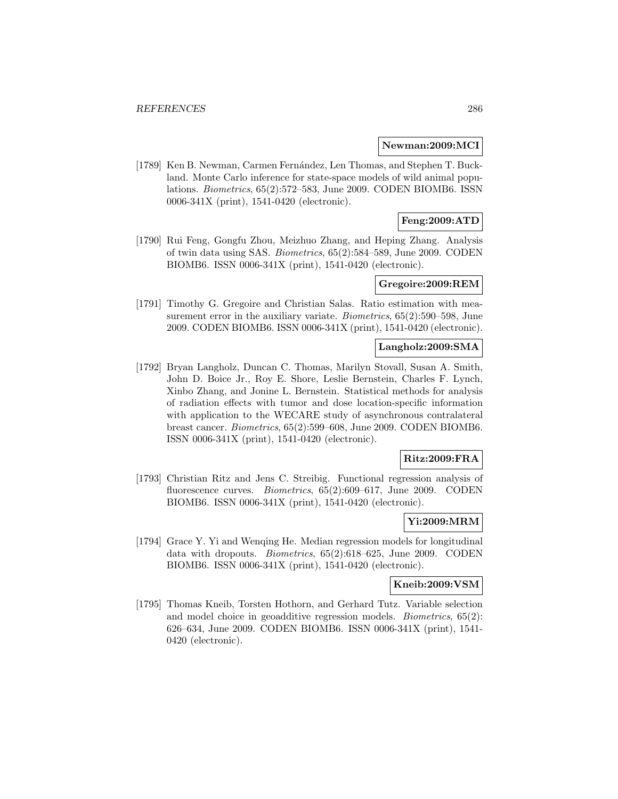#### **Newman:2009:MCI**

[1789] Ken B. Newman, Carmen Fernández, Len Thomas, and Stephen T. Buckland. Monte Carlo inference for state-space models of wild animal populations. Biometrics, 65(2):572–583, June 2009. CODEN BIOMB6. ISSN 0006-341X (print), 1541-0420 (electronic).

# **Feng:2009:ATD**

[1790] Rui Feng, Gongfu Zhou, Meizhuo Zhang, and Heping Zhang. Analysis of twin data using SAS. Biometrics, 65(2):584–589, June 2009. CODEN BIOMB6. ISSN 0006-341X (print), 1541-0420 (electronic).

#### **Gregoire:2009:REM**

[1791] Timothy G. Gregoire and Christian Salas. Ratio estimation with measurement error in the auxiliary variate. *Biometrics*, 65(2):590–598, June 2009. CODEN BIOMB6. ISSN 0006-341X (print), 1541-0420 (electronic).

#### **Langholz:2009:SMA**

[1792] Bryan Langholz, Duncan C. Thomas, Marilyn Stovall, Susan A. Smith, John D. Boice Jr., Roy E. Shore, Leslie Bernstein, Charles F. Lynch, Xinbo Zhang, and Jonine L. Bernstein. Statistical methods for analysis of radiation effects with tumor and dose location-specific information with application to the WECARE study of asynchronous contralateral breast cancer. Biometrics, 65(2):599–608, June 2009. CODEN BIOMB6. ISSN 0006-341X (print), 1541-0420 (electronic).

## **Ritz:2009:FRA**

[1793] Christian Ritz and Jens C. Streibig. Functional regression analysis of fluorescence curves. *Biometrics*, 65(2):609–617, June 2009. CODEN BIOMB6. ISSN 0006-341X (print), 1541-0420 (electronic).

#### **Yi:2009:MRM**

[1794] Grace Y. Yi and Wenqing He. Median regression models for longitudinal data with dropouts. Biometrics, 65(2):618–625, June 2009. CODEN BIOMB6. ISSN 0006-341X (print), 1541-0420 (electronic).

#### **Kneib:2009:VSM**

[1795] Thomas Kneib, Torsten Hothorn, and Gerhard Tutz. Variable selection and model choice in geoadditive regression models. Biometrics, 65(2): 626–634, June 2009. CODEN BIOMB6. ISSN 0006-341X (print), 1541- 0420 (electronic).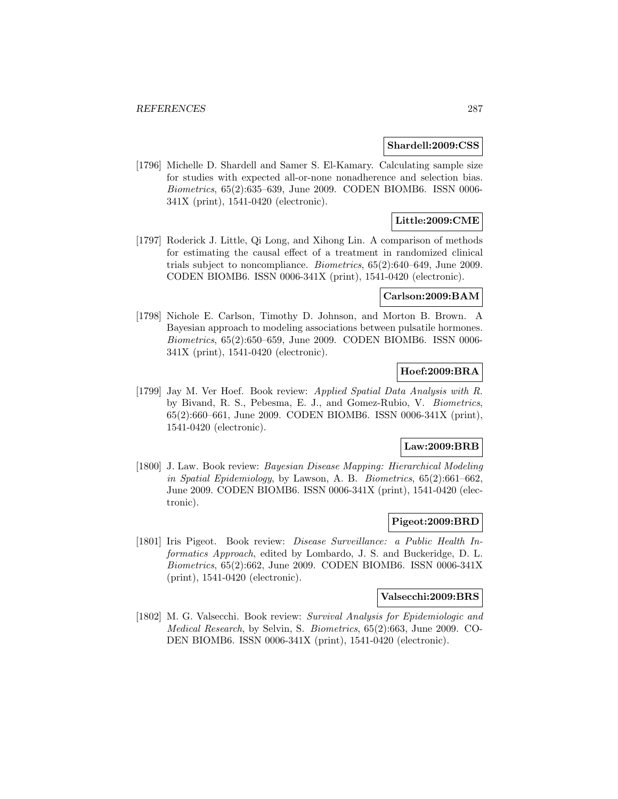#### **Shardell:2009:CSS**

[1796] Michelle D. Shardell and Samer S. El-Kamary. Calculating sample size for studies with expected all-or-none nonadherence and selection bias. Biometrics, 65(2):635–639, June 2009. CODEN BIOMB6. ISSN 0006- 341X (print), 1541-0420 (electronic).

# **Little:2009:CME**

[1797] Roderick J. Little, Qi Long, and Xihong Lin. A comparison of methods for estimating the causal effect of a treatment in randomized clinical trials subject to noncompliance. Biometrics, 65(2):640–649, June 2009. CODEN BIOMB6. ISSN 0006-341X (print), 1541-0420 (electronic).

# **Carlson:2009:BAM**

[1798] Nichole E. Carlson, Timothy D. Johnson, and Morton B. Brown. A Bayesian approach to modeling associations between pulsatile hormones. Biometrics, 65(2):650–659, June 2009. CODEN BIOMB6. ISSN 0006- 341X (print), 1541-0420 (electronic).

# **Hoef:2009:BRA**

[1799] Jay M. Ver Hoef. Book review: Applied Spatial Data Analysis with R. by Bivand, R. S., Pebesma, E. J., and Gomez-Rubio, V. Biometrics, 65(2):660–661, June 2009. CODEN BIOMB6. ISSN 0006-341X (print), 1541-0420 (electronic).

## **Law:2009:BRB**

[1800] J. Law. Book review: Bayesian Disease Mapping: Hierarchical Modeling in Spatial Epidemiology, by Lawson, A. B. Biometrics, 65(2):661–662, June 2009. CODEN BIOMB6. ISSN 0006-341X (print), 1541-0420 (electronic).

# **Pigeot:2009:BRD**

[1801] Iris Pigeot. Book review: Disease Surveillance: a Public Health Informatics Approach, edited by Lombardo, J. S. and Buckeridge, D. L. Biometrics, 65(2):662, June 2009. CODEN BIOMB6. ISSN 0006-341X (print), 1541-0420 (electronic).

#### **Valsecchi:2009:BRS**

[1802] M. G. Valsecchi. Book review: Survival Analysis for Epidemiologic and Medical Research, by Selvin, S. Biometrics, 65(2):663, June 2009. CO-DEN BIOMB6. ISSN 0006-341X (print), 1541-0420 (electronic).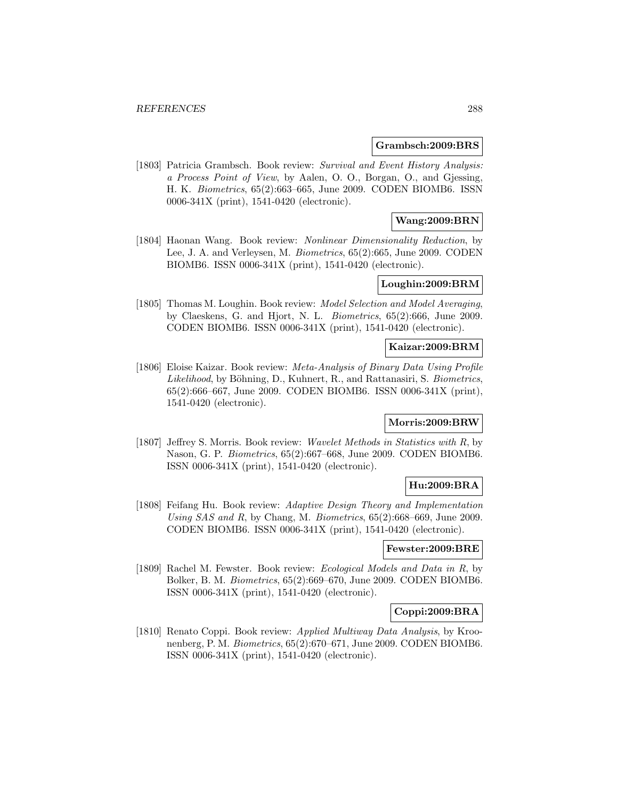#### **Grambsch:2009:BRS**

[1803] Patricia Grambsch. Book review: Survival and Event History Analysis: a Process Point of View, by Aalen, O. O., Borgan, O., and Gjessing, H. K. Biometrics, 65(2):663–665, June 2009. CODEN BIOMB6. ISSN 0006-341X (print), 1541-0420 (electronic).

# **Wang:2009:BRN**

[1804] Haonan Wang. Book review: Nonlinear Dimensionality Reduction, by Lee, J. A. and Verleysen, M. Biometrics, 65(2):665, June 2009. CODEN BIOMB6. ISSN 0006-341X (print), 1541-0420 (electronic).

#### **Loughin:2009:BRM**

[1805] Thomas M. Loughin. Book review: Model Selection and Model Averaging, by Claeskens, G. and Hjort, N. L. Biometrics, 65(2):666, June 2009. CODEN BIOMB6. ISSN 0006-341X (print), 1541-0420 (electronic).

## **Kaizar:2009:BRM**

[1806] Eloise Kaizar. Book review: Meta-Analysis of Binary Data Using Profile Likelihood, by Böhning, D., Kuhnert, R., and Rattanasiri, S. Biometrics, 65(2):666–667, June 2009. CODEN BIOMB6. ISSN 0006-341X (print), 1541-0420 (electronic).

#### **Morris:2009:BRW**

[1807] Jeffrey S. Morris. Book review: Wavelet Methods in Statistics with R, by Nason, G. P. Biometrics, 65(2):667–668, June 2009. CODEN BIOMB6. ISSN 0006-341X (print), 1541-0420 (electronic).

## **Hu:2009:BRA**

[1808] Feifang Hu. Book review: Adaptive Design Theory and Implementation Using SAS and R, by Chang, M. Biometrics, 65(2):668–669, June 2009. CODEN BIOMB6. ISSN 0006-341X (print), 1541-0420 (electronic).

## **Fewster:2009:BRE**

[1809] Rachel M. Fewster. Book review: Ecological Models and Data in R, by Bolker, B. M. Biometrics, 65(2):669–670, June 2009. CODEN BIOMB6. ISSN 0006-341X (print), 1541-0420 (electronic).

## **Coppi:2009:BRA**

[1810] Renato Coppi. Book review: Applied Multiway Data Analysis, by Kroonenberg, P. M. Biometrics, 65(2):670–671, June 2009. CODEN BIOMB6. ISSN 0006-341X (print), 1541-0420 (electronic).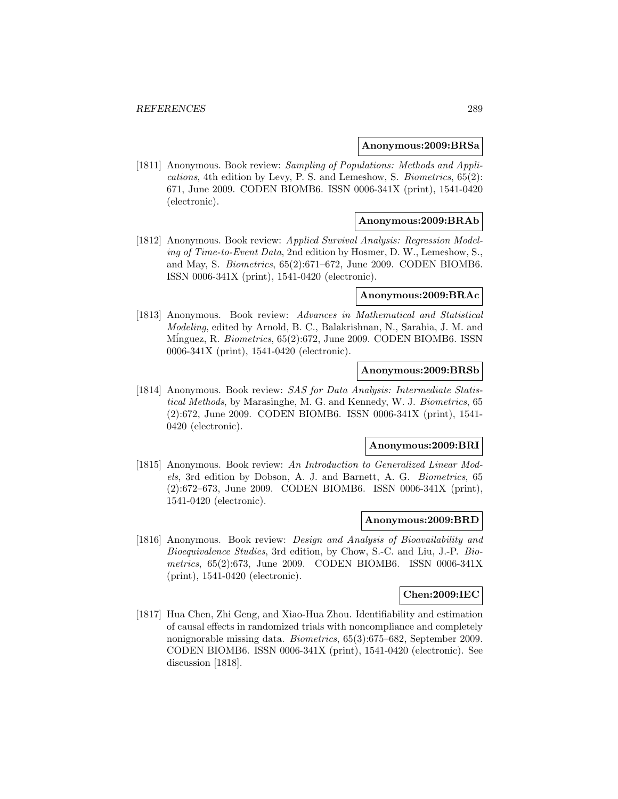#### **Anonymous:2009:BRSa**

[1811] Anonymous. Book review: Sampling of Populations: Methods and Applications, 4th edition by Levy, P. S. and Lemeshow, S. Biometrics, 65(2): 671, June 2009. CODEN BIOMB6. ISSN 0006-341X (print), 1541-0420 (electronic).

## **Anonymous:2009:BRAb**

[1812] Anonymous. Book review: Applied Survival Analysis: Regression Modeling of Time-to-Event Data, 2nd edition by Hosmer, D. W., Lemeshow, S., and May, S. Biometrics, 65(2):671–672, June 2009. CODEN BIOMB6. ISSN 0006-341X (print), 1541-0420 (electronic).

#### **Anonymous:2009:BRAc**

[1813] Anonymous. Book review: Advances in Mathematical and Statistical Modeling, edited by Arnold, B. C., Balakrishnan, N., Sarabia, J. M. and Minguez, R. Biometrics, 65(2):672, June 2009. CODEN BIOMB6. ISSN 0006-341X (print), 1541-0420 (electronic).

## **Anonymous:2009:BRSb**

[1814] Anonymous. Book review: SAS for Data Analysis: Intermediate Statistical Methods, by Marasinghe, M. G. and Kennedy, W. J. Biometrics, 65 (2):672, June 2009. CODEN BIOMB6. ISSN 0006-341X (print), 1541- 0420 (electronic).

#### **Anonymous:2009:BRI**

[1815] Anonymous. Book review: An Introduction to Generalized Linear Models, 3rd edition by Dobson, A. J. and Barnett, A. G. Biometrics, 65 (2):672–673, June 2009. CODEN BIOMB6. ISSN 0006-341X (print), 1541-0420 (electronic).

### **Anonymous:2009:BRD**

[1816] Anonymous. Book review: Design and Analysis of Bioavailability and Bioequivalence Studies, 3rd edition, by Chow, S.-C. and Liu, J.-P. Biometrics, 65(2):673, June 2009. CODEN BIOMB6. ISSN 0006-341X (print), 1541-0420 (electronic).

#### **Chen:2009:IEC**

[1817] Hua Chen, Zhi Geng, and Xiao-Hua Zhou. Identifiability and estimation of causal effects in randomized trials with noncompliance and completely nonignorable missing data. Biometrics, 65(3):675–682, September 2009. CODEN BIOMB6. ISSN 0006-341X (print), 1541-0420 (electronic). See discussion [1818].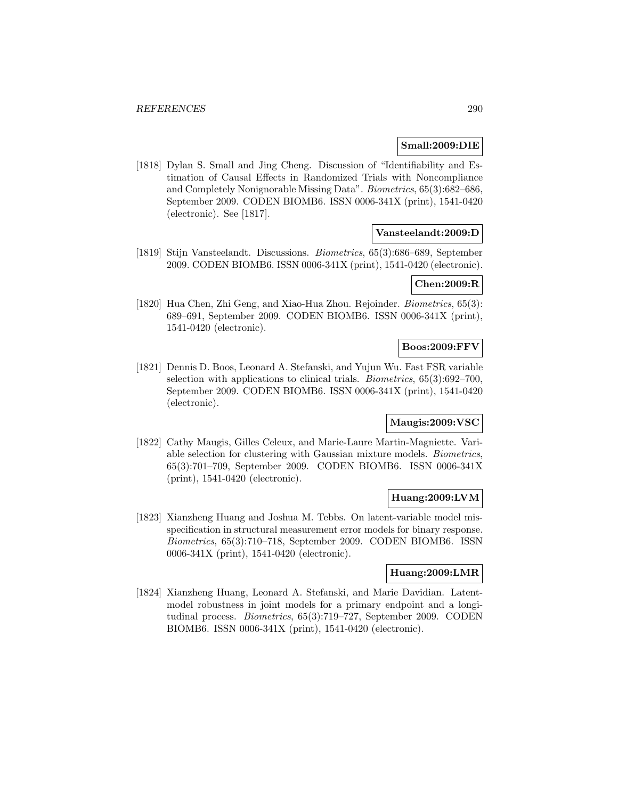### **Small:2009:DIE**

[1818] Dylan S. Small and Jing Cheng. Discussion of "Identifiability and Estimation of Causal Effects in Randomized Trials with Noncompliance and Completely Nonignorable Missing Data". Biometrics, 65(3):682–686, September 2009. CODEN BIOMB6. ISSN 0006-341X (print), 1541-0420 (electronic). See [1817].

## **Vansteelandt:2009:D**

[1819] Stijn Vansteelandt. Discussions. Biometrics, 65(3):686–689, September 2009. CODEN BIOMB6. ISSN 0006-341X (print), 1541-0420 (electronic).

## **Chen:2009:R**

[1820] Hua Chen, Zhi Geng, and Xiao-Hua Zhou. Rejoinder. *Biometrics*, 65(3): 689–691, September 2009. CODEN BIOMB6. ISSN 0006-341X (print), 1541-0420 (electronic).

## **Boos:2009:FFV**

[1821] Dennis D. Boos, Leonard A. Stefanski, and Yujun Wu. Fast FSR variable selection with applications to clinical trials. Biometrics, 65(3):692–700, September 2009. CODEN BIOMB6. ISSN 0006-341X (print), 1541-0420 (electronic).

#### **Maugis:2009:VSC**

[1822] Cathy Maugis, Gilles Celeux, and Marie-Laure Martin-Magniette. Variable selection for clustering with Gaussian mixture models. Biometrics, 65(3):701–709, September 2009. CODEN BIOMB6. ISSN 0006-341X (print), 1541-0420 (electronic).

## **Huang:2009:LVM**

[1823] Xianzheng Huang and Joshua M. Tebbs. On latent-variable model misspecification in structural measurement error models for binary response. Biometrics, 65(3):710–718, September 2009. CODEN BIOMB6. ISSN 0006-341X (print), 1541-0420 (electronic).

## **Huang:2009:LMR**

[1824] Xianzheng Huang, Leonard A. Stefanski, and Marie Davidian. Latentmodel robustness in joint models for a primary endpoint and a longitudinal process. Biometrics, 65(3):719–727, September 2009. CODEN BIOMB6. ISSN 0006-341X (print), 1541-0420 (electronic).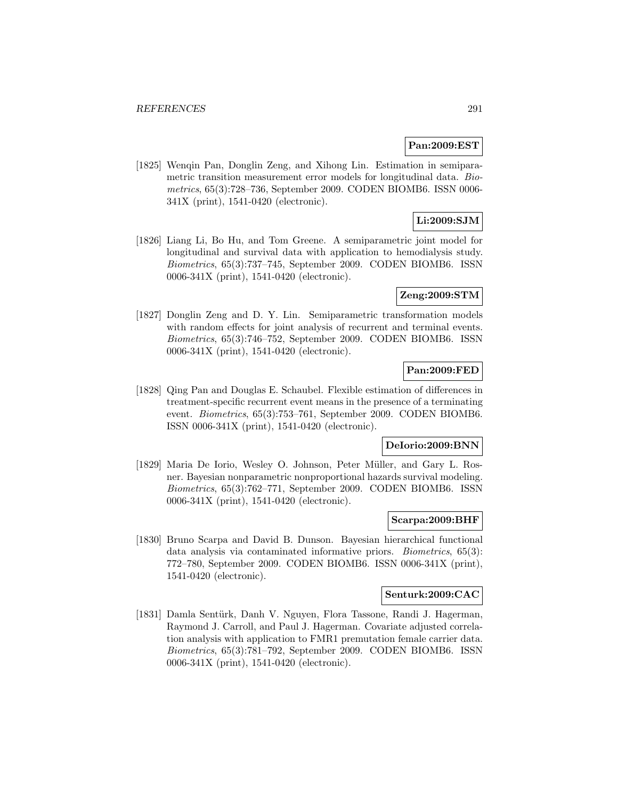## **Pan:2009:EST**

[1825] Wenqin Pan, Donglin Zeng, and Xihong Lin. Estimation in semiparametric transition measurement error models for longitudinal data. *Bio*metrics, 65(3):728–736, September 2009. CODEN BIOMB6. ISSN 0006- 341X (print), 1541-0420 (electronic).

# **Li:2009:SJM**

[1826] Liang Li, Bo Hu, and Tom Greene. A semiparametric joint model for longitudinal and survival data with application to hemodialysis study. Biometrics, 65(3):737–745, September 2009. CODEN BIOMB6. ISSN 0006-341X (print), 1541-0420 (electronic).

### **Zeng:2009:STM**

[1827] Donglin Zeng and D. Y. Lin. Semiparametric transformation models with random effects for joint analysis of recurrent and terminal events. Biometrics, 65(3):746–752, September 2009. CODEN BIOMB6. ISSN 0006-341X (print), 1541-0420 (electronic).

## **Pan:2009:FED**

[1828] Qing Pan and Douglas E. Schaubel. Flexible estimation of differences in treatment-specific recurrent event means in the presence of a terminating event. Biometrics, 65(3):753–761, September 2009. CODEN BIOMB6. ISSN 0006-341X (print), 1541-0420 (electronic).

### **DeIorio:2009:BNN**

[1829] Maria De Iorio, Wesley O. Johnson, Peter Müller, and Gary L. Rosner. Bayesian nonparametric nonproportional hazards survival modeling. Biometrics, 65(3):762–771, September 2009. CODEN BIOMB6. ISSN 0006-341X (print), 1541-0420 (electronic).

## **Scarpa:2009:BHF**

[1830] Bruno Scarpa and David B. Dunson. Bayesian hierarchical functional data analysis via contaminated informative priors. Biometrics, 65(3): 772–780, September 2009. CODEN BIOMB6. ISSN 0006-341X (print), 1541-0420 (electronic).

#### **Senturk:2009:CAC**

[1831] Damla Sentürk, Danh V. Nguyen, Flora Tassone, Randi J. Hagerman, Raymond J. Carroll, and Paul J. Hagerman. Covariate adjusted correlation analysis with application to FMR1 premutation female carrier data. Biometrics, 65(3):781–792, September 2009. CODEN BIOMB6. ISSN 0006-341X (print), 1541-0420 (electronic).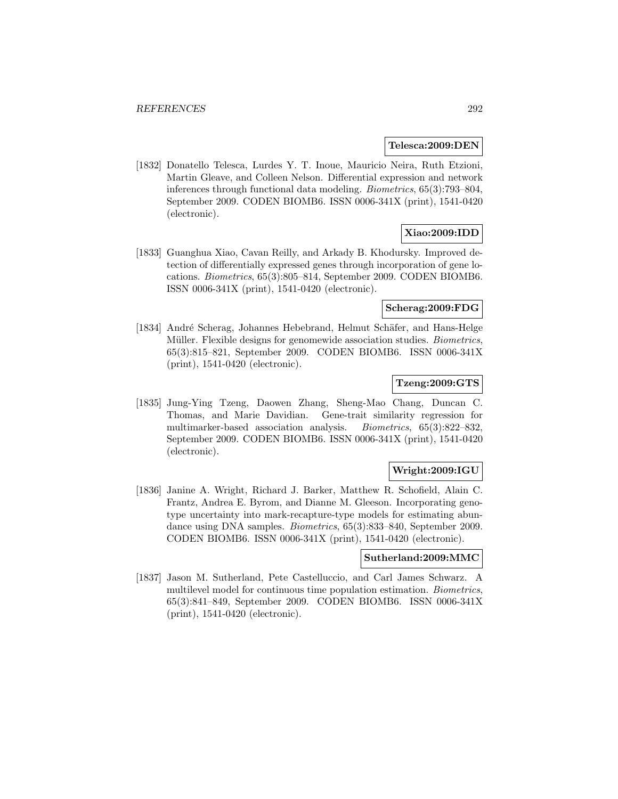#### **Telesca:2009:DEN**

[1832] Donatello Telesca, Lurdes Y. T. Inoue, Mauricio Neira, Ruth Etzioni, Martin Gleave, and Colleen Nelson. Differential expression and network inferences through functional data modeling. Biometrics, 65(3):793–804, September 2009. CODEN BIOMB6. ISSN 0006-341X (print), 1541-0420 (electronic).

# **Xiao:2009:IDD**

[1833] Guanghua Xiao, Cavan Reilly, and Arkady B. Khodursky. Improved detection of differentially expressed genes through incorporation of gene locations. Biometrics, 65(3):805–814, September 2009. CODEN BIOMB6. ISSN 0006-341X (print), 1541-0420 (electronic).

## **Scherag:2009:FDG**

[1834] André Scherag, Johannes Hebebrand, Helmut Schäfer, and Hans-Helge Müller. Flexible designs for genomewide association studies. *Biometrics*, 65(3):815–821, September 2009. CODEN BIOMB6. ISSN 0006-341X (print), 1541-0420 (electronic).

## **Tzeng:2009:GTS**

[1835] Jung-Ying Tzeng, Daowen Zhang, Sheng-Mao Chang, Duncan C. Thomas, and Marie Davidian. Gene-trait similarity regression for multimarker-based association analysis. Biometrics, 65(3):822–832, September 2009. CODEN BIOMB6. ISSN 0006-341X (print), 1541-0420 (electronic).

# **Wright:2009:IGU**

[1836] Janine A. Wright, Richard J. Barker, Matthew R. Schofield, Alain C. Frantz, Andrea E. Byrom, and Dianne M. Gleeson. Incorporating genotype uncertainty into mark-recapture-type models for estimating abundance using DNA samples. Biometrics, 65(3):833–840, September 2009. CODEN BIOMB6. ISSN 0006-341X (print), 1541-0420 (electronic).

## **Sutherland:2009:MMC**

[1837] Jason M. Sutherland, Pete Castelluccio, and Carl James Schwarz. A multilevel model for continuous time population estimation. Biometrics, 65(3):841–849, September 2009. CODEN BIOMB6. ISSN 0006-341X (print), 1541-0420 (electronic).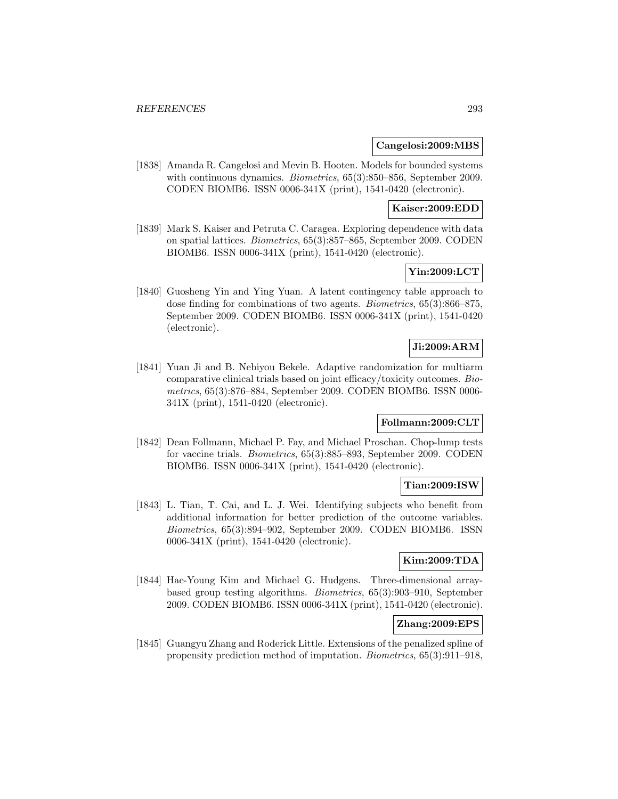### **Cangelosi:2009:MBS**

[1838] Amanda R. Cangelosi and Mevin B. Hooten. Models for bounded systems with continuous dynamics. *Biometrics*, 65(3):850–856, September 2009. CODEN BIOMB6. ISSN 0006-341X (print), 1541-0420 (electronic).

## **Kaiser:2009:EDD**

[1839] Mark S. Kaiser and Petruta C. Caragea. Exploring dependence with data on spatial lattices. Biometrics, 65(3):857–865, September 2009. CODEN BIOMB6. ISSN 0006-341X (print), 1541-0420 (electronic).

# **Yin:2009:LCT**

[1840] Guosheng Yin and Ying Yuan. A latent contingency table approach to dose finding for combinations of two agents. Biometrics, 65(3):866–875, September 2009. CODEN BIOMB6. ISSN 0006-341X (print), 1541-0420 (electronic).

## **Ji:2009:ARM**

[1841] Yuan Ji and B. Nebiyou Bekele. Adaptive randomization for multiarm comparative clinical trials based on joint efficacy/toxicity outcomes. Biometrics, 65(3):876–884, September 2009. CODEN BIOMB6. ISSN 0006- 341X (print), 1541-0420 (electronic).

## **Follmann:2009:CLT**

[1842] Dean Follmann, Michael P. Fay, and Michael Proschan. Chop-lump tests for vaccine trials. Biometrics, 65(3):885–893, September 2009. CODEN BIOMB6. ISSN 0006-341X (print), 1541-0420 (electronic).

## **Tian:2009:ISW**

[1843] L. Tian, T. Cai, and L. J. Wei. Identifying subjects who benefit from additional information for better prediction of the outcome variables. Biometrics, 65(3):894–902, September 2009. CODEN BIOMB6. ISSN 0006-341X (print), 1541-0420 (electronic).

## **Kim:2009:TDA**

[1844] Hae-Young Kim and Michael G. Hudgens. Three-dimensional arraybased group testing algorithms. Biometrics, 65(3):903–910, September 2009. CODEN BIOMB6. ISSN 0006-341X (print), 1541-0420 (electronic).

## **Zhang:2009:EPS**

[1845] Guangyu Zhang and Roderick Little. Extensions of the penalized spline of propensity prediction method of imputation. Biometrics, 65(3):911–918,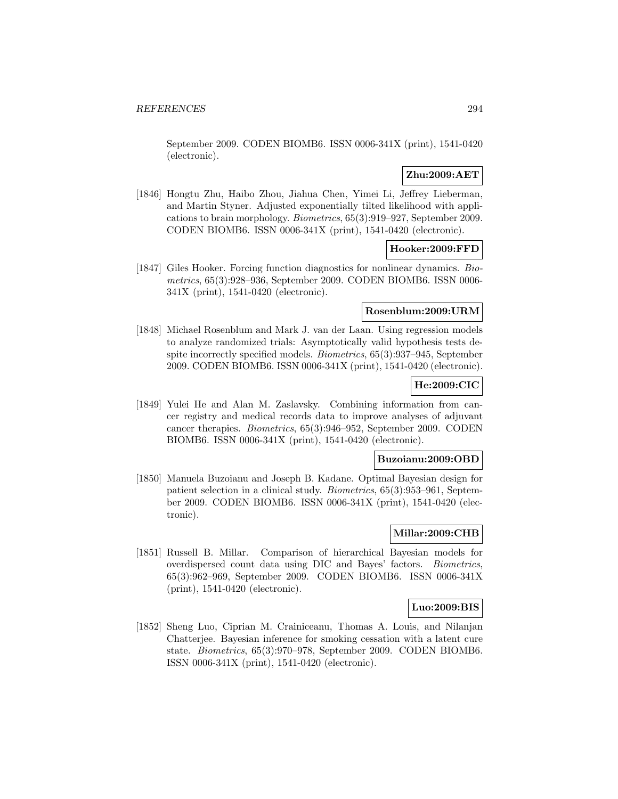September 2009. CODEN BIOMB6. ISSN 0006-341X (print), 1541-0420 (electronic).

# **Zhu:2009:AET**

[1846] Hongtu Zhu, Haibo Zhou, Jiahua Chen, Yimei Li, Jeffrey Lieberman, and Martin Styner. Adjusted exponentially tilted likelihood with applications to brain morphology. Biometrics, 65(3):919–927, September 2009. CODEN BIOMB6. ISSN 0006-341X (print), 1541-0420 (electronic).

## **Hooker:2009:FFD**

[1847] Giles Hooker. Forcing function diagnostics for nonlinear dynamics. Biometrics, 65(3):928–936, September 2009. CODEN BIOMB6. ISSN 0006- 341X (print), 1541-0420 (electronic).

## **Rosenblum:2009:URM**

[1848] Michael Rosenblum and Mark J. van der Laan. Using regression models to analyze randomized trials: Asymptotically valid hypothesis tests despite incorrectly specified models. Biometrics, 65(3):937–945, September 2009. CODEN BIOMB6. ISSN 0006-341X (print), 1541-0420 (electronic).

## **He:2009:CIC**

[1849] Yulei He and Alan M. Zaslavsky. Combining information from cancer registry and medical records data to improve analyses of adjuvant cancer therapies. Biometrics, 65(3):946–952, September 2009. CODEN BIOMB6. ISSN 0006-341X (print), 1541-0420 (electronic).

### **Buzoianu:2009:OBD**

[1850] Manuela Buzoianu and Joseph B. Kadane. Optimal Bayesian design for patient selection in a clinical study. Biometrics, 65(3):953–961, September 2009. CODEN BIOMB6. ISSN 0006-341X (print), 1541-0420 (electronic).

## **Millar:2009:CHB**

[1851] Russell B. Millar. Comparison of hierarchical Bayesian models for overdispersed count data using DIC and Bayes' factors. Biometrics, 65(3):962–969, September 2009. CODEN BIOMB6. ISSN 0006-341X (print), 1541-0420 (electronic).

## **Luo:2009:BIS**

[1852] Sheng Luo, Ciprian M. Crainiceanu, Thomas A. Louis, and Nilanjan Chatterjee. Bayesian inference for smoking cessation with a latent cure state. Biometrics, 65(3):970–978, September 2009. CODEN BIOMB6. ISSN 0006-341X (print), 1541-0420 (electronic).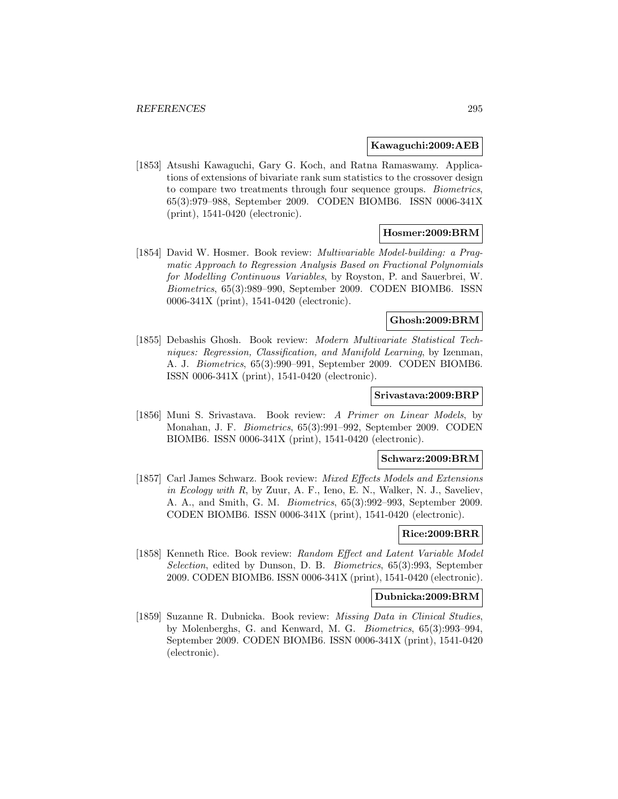### **Kawaguchi:2009:AEB**

[1853] Atsushi Kawaguchi, Gary G. Koch, and Ratna Ramaswamy. Applications of extensions of bivariate rank sum statistics to the crossover design to compare two treatments through four sequence groups. Biometrics, 65(3):979–988, September 2009. CODEN BIOMB6. ISSN 0006-341X (print), 1541-0420 (electronic).

## **Hosmer:2009:BRM**

[1854] David W. Hosmer. Book review: Multivariable Model-building: a Pragmatic Approach to Regression Analysis Based on Fractional Polynomials for Modelling Continuous Variables, by Royston, P. and Sauerbrei, W. Biometrics, 65(3):989–990, September 2009. CODEN BIOMB6. ISSN 0006-341X (print), 1541-0420 (electronic).

## **Ghosh:2009:BRM**

[1855] Debashis Ghosh. Book review: Modern Multivariate Statistical Techniques: Regression, Classification, and Manifold Learning, by Izenman, A. J. Biometrics, 65(3):990–991, September 2009. CODEN BIOMB6. ISSN 0006-341X (print), 1541-0420 (electronic).

#### **Srivastava:2009:BRP**

[1856] Muni S. Srivastava. Book review: A Primer on Linear Models, by Monahan, J. F. Biometrics, 65(3):991–992, September 2009. CODEN BIOMB6. ISSN 0006-341X (print), 1541-0420 (electronic).

### **Schwarz:2009:BRM**

[1857] Carl James Schwarz. Book review: Mixed Effects Models and Extensions in Ecology with R, by Zuur, A. F., Ieno, E. N., Walker, N. J., Saveliev, A. A., and Smith, G. M. Biometrics, 65(3):992–993, September 2009. CODEN BIOMB6. ISSN 0006-341X (print), 1541-0420 (electronic).

# **Rice:2009:BRR**

[1858] Kenneth Rice. Book review: Random Effect and Latent Variable Model Selection, edited by Dunson, D. B. Biometrics, 65(3):993, September 2009. CODEN BIOMB6. ISSN 0006-341X (print), 1541-0420 (electronic).

#### **Dubnicka:2009:BRM**

[1859] Suzanne R. Dubnicka. Book review: Missing Data in Clinical Studies, by Molenberghs, G. and Kenward, M. G. Biometrics, 65(3):993–994, September 2009. CODEN BIOMB6. ISSN 0006-341X (print), 1541-0420 (electronic).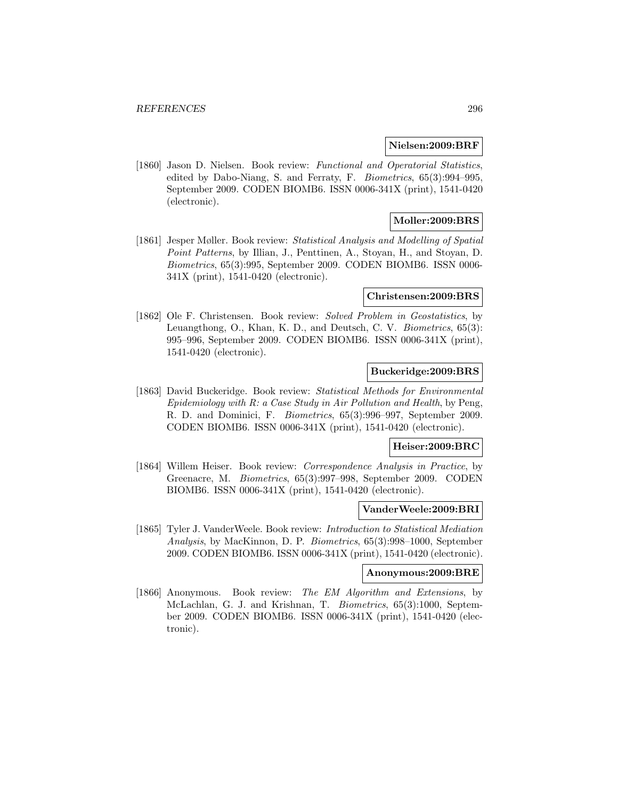#### **Nielsen:2009:BRF**

[1860] Jason D. Nielsen. Book review: Functional and Operatorial Statistics, edited by Dabo-Niang, S. and Ferraty, F. Biometrics, 65(3):994–995, September 2009. CODEN BIOMB6. ISSN 0006-341X (print), 1541-0420 (electronic).

## **Moller:2009:BRS**

[1861] Jesper Møller. Book review: Statistical Analysis and Modelling of Spatial Point Patterns, by Illian, J., Penttinen, A., Stoyan, H., and Stoyan, D. Biometrics, 65(3):995, September 2009. CODEN BIOMB6. ISSN 0006- 341X (print), 1541-0420 (electronic).

#### **Christensen:2009:BRS**

[1862] Ole F. Christensen. Book review: Solved Problem in Geostatistics, by Leuangthong, O., Khan, K. D., and Deutsch, C. V. Biometrics, 65(3): 995–996, September 2009. CODEN BIOMB6. ISSN 0006-341X (print), 1541-0420 (electronic).

## **Buckeridge:2009:BRS**

[1863] David Buckeridge. Book review: Statistical Methods for Environmental Epidemiology with R: a Case Study in Air Pollution and Health, by Peng, R. D. and Dominici, F. Biometrics, 65(3):996–997, September 2009. CODEN BIOMB6. ISSN 0006-341X (print), 1541-0420 (electronic).

#### **Heiser:2009:BRC**

[1864] Willem Heiser. Book review: Correspondence Analysis in Practice, by Greenacre, M. Biometrics, 65(3):997–998, September 2009. CODEN BIOMB6. ISSN 0006-341X (print), 1541-0420 (electronic).

#### **VanderWeele:2009:BRI**

[1865] Tyler J. VanderWeele. Book review: Introduction to Statistical Mediation Analysis, by MacKinnon, D. P. Biometrics, 65(3):998–1000, September 2009. CODEN BIOMB6. ISSN 0006-341X (print), 1541-0420 (electronic).

### **Anonymous:2009:BRE**

[1866] Anonymous. Book review: The EM Algorithm and Extensions, by McLachlan, G. J. and Krishnan, T. Biometrics, 65(3):1000, September 2009. CODEN BIOMB6. ISSN 0006-341X (print), 1541-0420 (electronic).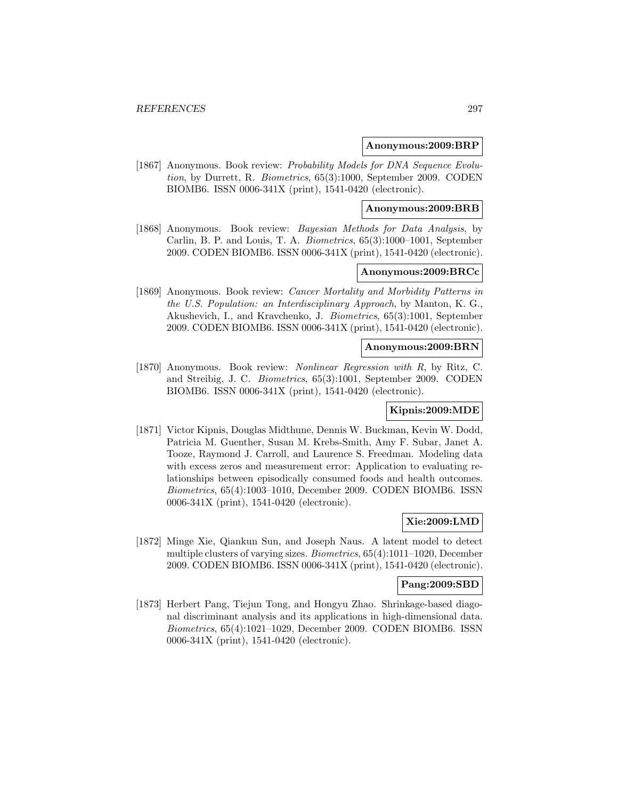#### **Anonymous:2009:BRP**

[1867] Anonymous. Book review: Probability Models for DNA Sequence Evolution, by Durrett, R. Biometrics, 65(3):1000, September 2009. CODEN BIOMB6. ISSN 0006-341X (print), 1541-0420 (electronic).

## **Anonymous:2009:BRB**

[1868] Anonymous. Book review: *Bayesian Methods for Data Analysis*, by Carlin, B. P. and Louis, T. A. Biometrics, 65(3):1000–1001, September 2009. CODEN BIOMB6. ISSN 0006-341X (print), 1541-0420 (electronic).

## **Anonymous:2009:BRCc**

[1869] Anonymous. Book review: Cancer Mortality and Morbidity Patterns in the U.S. Population: an Interdisciplinary Approach, by Manton, K. G., Akushevich, I., and Kravchenko, J. Biometrics, 65(3):1001, September 2009. CODEN BIOMB6. ISSN 0006-341X (print), 1541-0420 (electronic).

#### **Anonymous:2009:BRN**

[1870] Anonymous. Book review: Nonlinear Regression with R, by Ritz, C. and Streibig, J. C. Biometrics, 65(3):1001, September 2009. CODEN BIOMB6. ISSN 0006-341X (print), 1541-0420 (electronic).

## **Kipnis:2009:MDE**

[1871] Victor Kipnis, Douglas Midthune, Dennis W. Buckman, Kevin W. Dodd, Patricia M. Guenther, Susan M. Krebs-Smith, Amy F. Subar, Janet A. Tooze, Raymond J. Carroll, and Laurence S. Freedman. Modeling data with excess zeros and measurement error: Application to evaluating relationships between episodically consumed foods and health outcomes. Biometrics, 65(4):1003–1010, December 2009. CODEN BIOMB6. ISSN 0006-341X (print), 1541-0420 (electronic).

## **Xie:2009:LMD**

[1872] Minge Xie, Qiankun Sun, and Joseph Naus. A latent model to detect multiple clusters of varying sizes. Biometrics, 65(4):1011–1020, December 2009. CODEN BIOMB6. ISSN 0006-341X (print), 1541-0420 (electronic).

#### **Pang:2009:SBD**

[1873] Herbert Pang, Tiejun Tong, and Hongyu Zhao. Shrinkage-based diagonal discriminant analysis and its applications in high-dimensional data. Biometrics, 65(4):1021–1029, December 2009. CODEN BIOMB6. ISSN 0006-341X (print), 1541-0420 (electronic).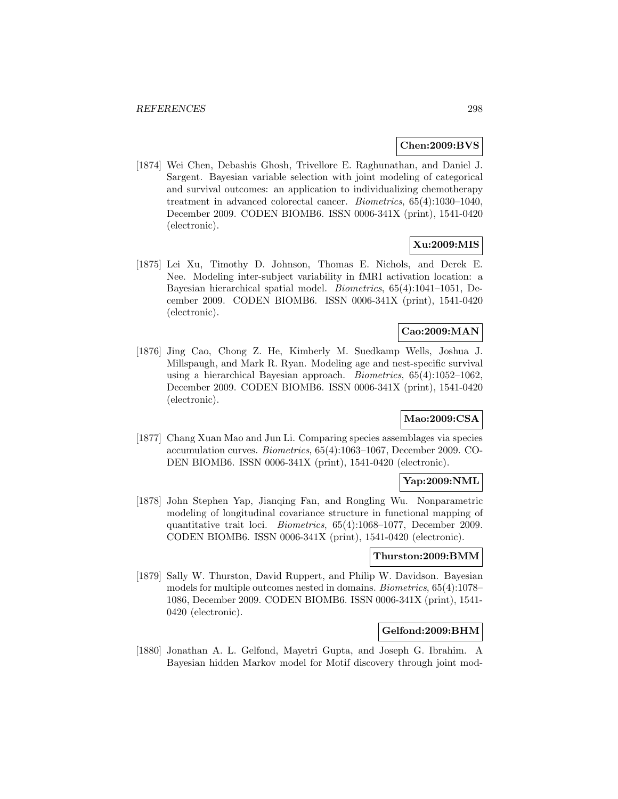## **Chen:2009:BVS**

[1874] Wei Chen, Debashis Ghosh, Trivellore E. Raghunathan, and Daniel J. Sargent. Bayesian variable selection with joint modeling of categorical and survival outcomes: an application to individualizing chemotherapy treatment in advanced colorectal cancer. Biometrics, 65(4):1030–1040, December 2009. CODEN BIOMB6. ISSN 0006-341X (print), 1541-0420 (electronic).

## **Xu:2009:MIS**

[1875] Lei Xu, Timothy D. Johnson, Thomas E. Nichols, and Derek E. Nee. Modeling inter-subject variability in fMRI activation location: a Bayesian hierarchical spatial model. Biometrics, 65(4):1041–1051, December 2009. CODEN BIOMB6. ISSN 0006-341X (print), 1541-0420 (electronic).

# **Cao:2009:MAN**

[1876] Jing Cao, Chong Z. He, Kimberly M. Suedkamp Wells, Joshua J. Millspaugh, and Mark R. Ryan. Modeling age and nest-specific survival using a hierarchical Bayesian approach. *Biometrics*,  $65(4):1052-1062$ . December 2009. CODEN BIOMB6. ISSN 0006-341X (print), 1541-0420 (electronic).

## **Mao:2009:CSA**

[1877] Chang Xuan Mao and Jun Li. Comparing species assemblages via species accumulation curves. Biometrics, 65(4):1063–1067, December 2009. CO-DEN BIOMB6. ISSN 0006-341X (print), 1541-0420 (electronic).

## **Yap:2009:NML**

[1878] John Stephen Yap, Jianqing Fan, and Rongling Wu. Nonparametric modeling of longitudinal covariance structure in functional mapping of quantitative trait loci. Biometrics, 65(4):1068–1077, December 2009. CODEN BIOMB6. ISSN 0006-341X (print), 1541-0420 (electronic).

## **Thurston:2009:BMM**

[1879] Sally W. Thurston, David Ruppert, and Philip W. Davidson. Bayesian models for multiple outcomes nested in domains. Biometrics, 65(4):1078– 1086, December 2009. CODEN BIOMB6. ISSN 0006-341X (print), 1541- 0420 (electronic).

## **Gelfond:2009:BHM**

[1880] Jonathan A. L. Gelfond, Mayetri Gupta, and Joseph G. Ibrahim. A Bayesian hidden Markov model for Motif discovery through joint mod-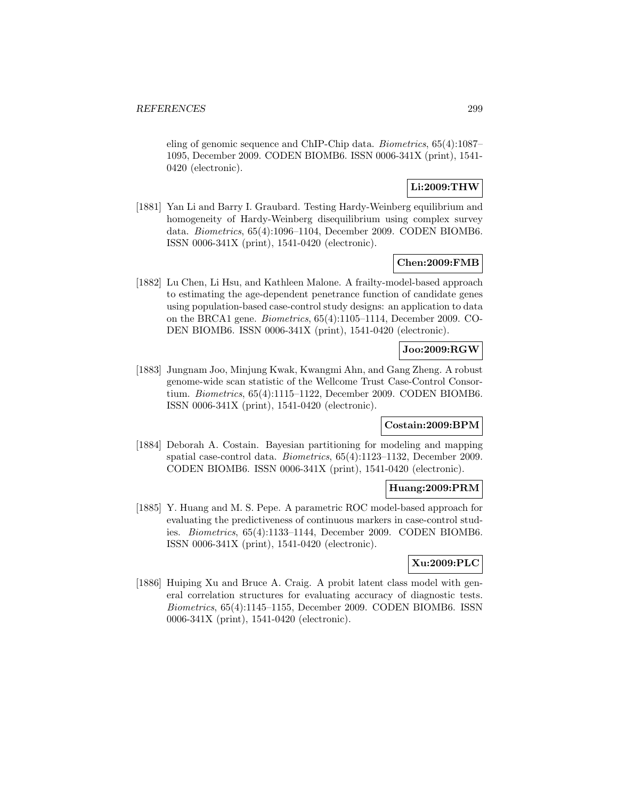eling of genomic sequence and ChIP-Chip data. Biometrics, 65(4):1087– 1095, December 2009. CODEN BIOMB6. ISSN 0006-341X (print), 1541- 0420 (electronic).

# **Li:2009:THW**

[1881] Yan Li and Barry I. Graubard. Testing Hardy-Weinberg equilibrium and homogeneity of Hardy-Weinberg disequilibrium using complex survey data. Biometrics, 65(4):1096–1104, December 2009. CODEN BIOMB6. ISSN 0006-341X (print), 1541-0420 (electronic).

## **Chen:2009:FMB**

[1882] Lu Chen, Li Hsu, and Kathleen Malone. A frailty-model-based approach to estimating the age-dependent penetrance function of candidate genes using population-based case-control study designs: an application to data on the BRCA1 gene. Biometrics, 65(4):1105–1114, December 2009. CO-DEN BIOMB6. ISSN 0006-341X (print), 1541-0420 (electronic).

# **Joo:2009:RGW**

[1883] Jungnam Joo, Minjung Kwak, Kwangmi Ahn, and Gang Zheng. A robust genome-wide scan statistic of the Wellcome Trust Case-Control Consortium. Biometrics, 65(4):1115–1122, December 2009. CODEN BIOMB6. ISSN 0006-341X (print), 1541-0420 (electronic).

## **Costain:2009:BPM**

[1884] Deborah A. Costain. Bayesian partitioning for modeling and mapping spatial case-control data. Biometrics, 65(4):1123–1132, December 2009. CODEN BIOMB6. ISSN 0006-341X (print), 1541-0420 (electronic).

#### **Huang:2009:PRM**

[1885] Y. Huang and M. S. Pepe. A parametric ROC model-based approach for evaluating the predictiveness of continuous markers in case-control studies. Biometrics, 65(4):1133–1144, December 2009. CODEN BIOMB6. ISSN 0006-341X (print), 1541-0420 (electronic).

## **Xu:2009:PLC**

[1886] Huiping Xu and Bruce A. Craig. A probit latent class model with general correlation structures for evaluating accuracy of diagnostic tests. Biometrics, 65(4):1145–1155, December 2009. CODEN BIOMB6. ISSN 0006-341X (print), 1541-0420 (electronic).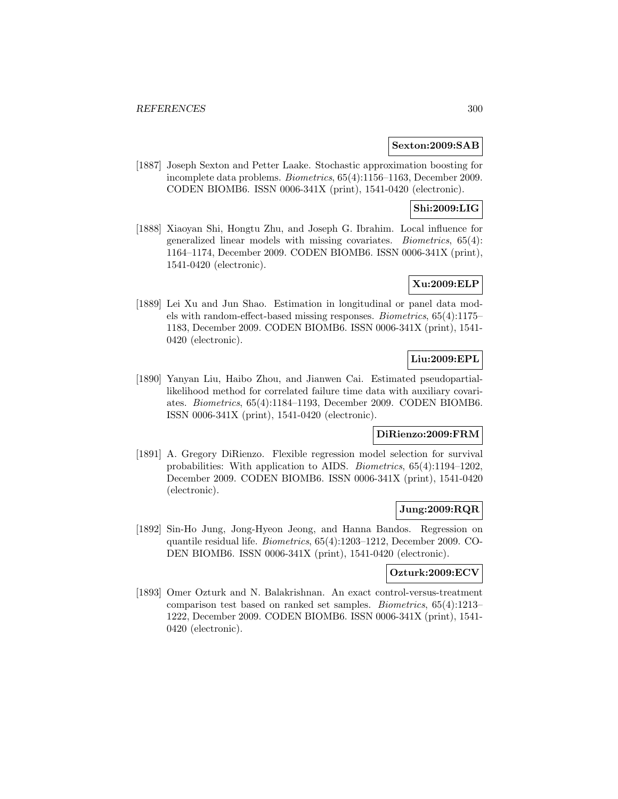## **Sexton:2009:SAB**

[1887] Joseph Sexton and Petter Laake. Stochastic approximation boosting for incomplete data problems. Biometrics, 65(4):1156–1163, December 2009. CODEN BIOMB6. ISSN 0006-341X (print), 1541-0420 (electronic).

## **Shi:2009:LIG**

[1888] Xiaoyan Shi, Hongtu Zhu, and Joseph G. Ibrahim. Local influence for generalized linear models with missing covariates. Biometrics, 65(4): 1164–1174, December 2009. CODEN BIOMB6. ISSN 0006-341X (print), 1541-0420 (electronic).

## **Xu:2009:ELP**

[1889] Lei Xu and Jun Shao. Estimation in longitudinal or panel data models with random-effect-based missing responses. Biometrics, 65(4):1175– 1183, December 2009. CODEN BIOMB6. ISSN 0006-341X (print), 1541- 0420 (electronic).

## **Liu:2009:EPL**

[1890] Yanyan Liu, Haibo Zhou, and Jianwen Cai. Estimated pseudopartiallikelihood method for correlated failure time data with auxiliary covariates. Biometrics, 65(4):1184–1193, December 2009. CODEN BIOMB6. ISSN 0006-341X (print), 1541-0420 (electronic).

## **DiRienzo:2009:FRM**

[1891] A. Gregory DiRienzo. Flexible regression model selection for survival probabilities: With application to AIDS. Biometrics, 65(4):1194–1202, December 2009. CODEN BIOMB6. ISSN 0006-341X (print), 1541-0420 (electronic).

## **Jung:2009:RQR**

[1892] Sin-Ho Jung, Jong-Hyeon Jeong, and Hanna Bandos. Regression on quantile residual life. Biometrics, 65(4):1203–1212, December 2009. CO-DEN BIOMB6. ISSN 0006-341X (print), 1541-0420 (electronic).

### **Ozturk:2009:ECV**

[1893] Omer Ozturk and N. Balakrishnan. An exact control-versus-treatment comparison test based on ranked set samples. Biometrics, 65(4):1213– 1222, December 2009. CODEN BIOMB6. ISSN 0006-341X (print), 1541- 0420 (electronic).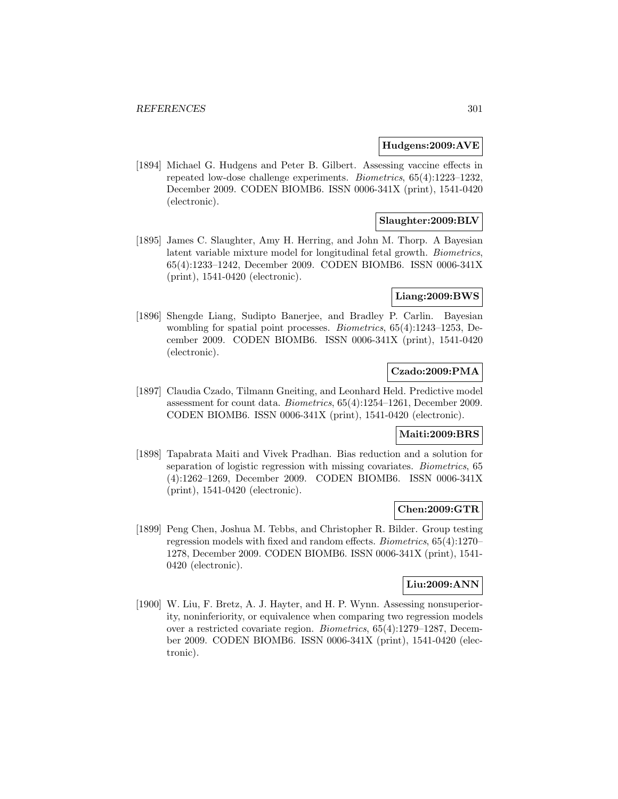## **Hudgens:2009:AVE**

[1894] Michael G. Hudgens and Peter B. Gilbert. Assessing vaccine effects in repeated low-dose challenge experiments. Biometrics, 65(4):1223–1232, December 2009. CODEN BIOMB6. ISSN 0006-341X (print), 1541-0420 (electronic).

## **Slaughter:2009:BLV**

[1895] James C. Slaughter, Amy H. Herring, and John M. Thorp. A Bayesian latent variable mixture model for longitudinal fetal growth. Biometrics, 65(4):1233–1242, December 2009. CODEN BIOMB6. ISSN 0006-341X (print), 1541-0420 (electronic).

## **Liang:2009:BWS**

[1896] Shengde Liang, Sudipto Banerjee, and Bradley P. Carlin. Bayesian wombling for spatial point processes. Biometrics, 65(4):1243–1253, December 2009. CODEN BIOMB6. ISSN 0006-341X (print), 1541-0420 (electronic).

## **Czado:2009:PMA**

[1897] Claudia Czado, Tilmann Gneiting, and Leonhard Held. Predictive model assessment for count data. Biometrics, 65(4):1254–1261, December 2009. CODEN BIOMB6. ISSN 0006-341X (print), 1541-0420 (electronic).

## **Maiti:2009:BRS**

[1898] Tapabrata Maiti and Vivek Pradhan. Bias reduction and a solution for separation of logistic regression with missing covariates. Biometrics, 65 (4):1262–1269, December 2009. CODEN BIOMB6. ISSN 0006-341X (print), 1541-0420 (electronic).

## **Chen:2009:GTR**

[1899] Peng Chen, Joshua M. Tebbs, and Christopher R. Bilder. Group testing regression models with fixed and random effects. Biometrics, 65(4):1270– 1278, December 2009. CODEN BIOMB6. ISSN 0006-341X (print), 1541- 0420 (electronic).

## **Liu:2009:ANN**

[1900] W. Liu, F. Bretz, A. J. Hayter, and H. P. Wynn. Assessing nonsuperiority, noninferiority, or equivalence when comparing two regression models over a restricted covariate region. Biometrics, 65(4):1279–1287, December 2009. CODEN BIOMB6. ISSN 0006-341X (print), 1541-0420 (electronic).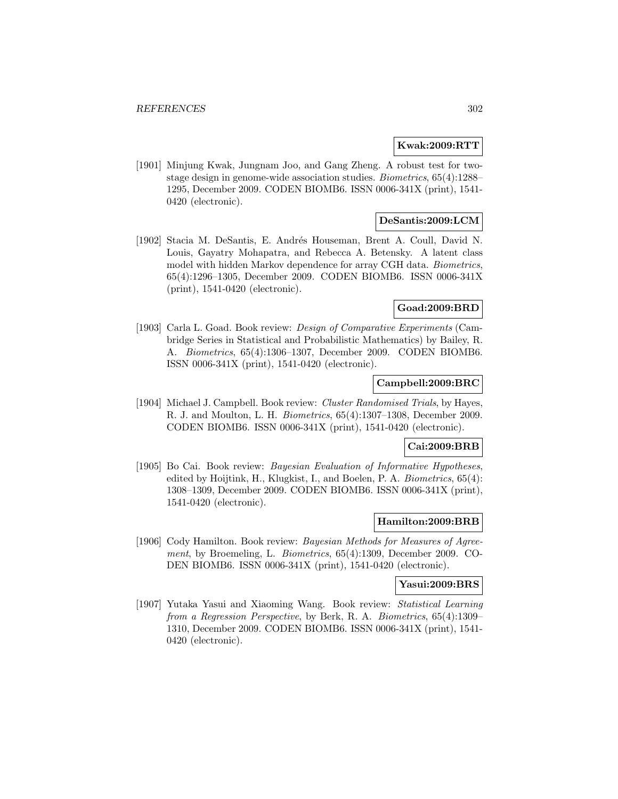### **Kwak:2009:RTT**

[1901] Minjung Kwak, Jungnam Joo, and Gang Zheng. A robust test for twostage design in genome-wide association studies. Biometrics, 65(4):1288– 1295, December 2009. CODEN BIOMB6. ISSN 0006-341X (print), 1541- 0420 (electronic).

## **DeSantis:2009:LCM**

[1902] Stacia M. DeSantis, E. Andrés Houseman, Brent A. Coull, David N. Louis, Gayatry Mohapatra, and Rebecca A. Betensky. A latent class model with hidden Markov dependence for array CGH data. Biometrics, 65(4):1296–1305, December 2009. CODEN BIOMB6. ISSN 0006-341X (print), 1541-0420 (electronic).

### **Goad:2009:BRD**

[1903] Carla L. Goad. Book review: Design of Comparative Experiments (Cambridge Series in Statistical and Probabilistic Mathematics) by Bailey, R. A. Biometrics, 65(4):1306–1307, December 2009. CODEN BIOMB6. ISSN 0006-341X (print), 1541-0420 (electronic).

## **Campbell:2009:BRC**

[1904] Michael J. Campbell. Book review: Cluster Randomised Trials, by Hayes, R. J. and Moulton, L. H. Biometrics, 65(4):1307–1308, December 2009. CODEN BIOMB6. ISSN 0006-341X (print), 1541-0420 (electronic).

### **Cai:2009:BRB**

[1905] Bo Cai. Book review: *Bayesian Evaluation of Informative Hypotheses*, edited by Hoijtink, H., Klugkist, I., and Boelen, P. A. Biometrics, 65(4): 1308–1309, December 2009. CODEN BIOMB6. ISSN 0006-341X (print), 1541-0420 (electronic).

#### **Hamilton:2009:BRB**

[1906] Cody Hamilton. Book review: Bayesian Methods for Measures of Agreement, by Broemeling, L. Biometrics, 65(4):1309, December 2009. CO-DEN BIOMB6. ISSN 0006-341X (print), 1541-0420 (electronic).

### **Yasui:2009:BRS**

[1907] Yutaka Yasui and Xiaoming Wang. Book review: Statistical Learning from a Regression Perspective, by Berk, R. A. Biometrics, 65(4):1309– 1310, December 2009. CODEN BIOMB6. ISSN 0006-341X (print), 1541- 0420 (electronic).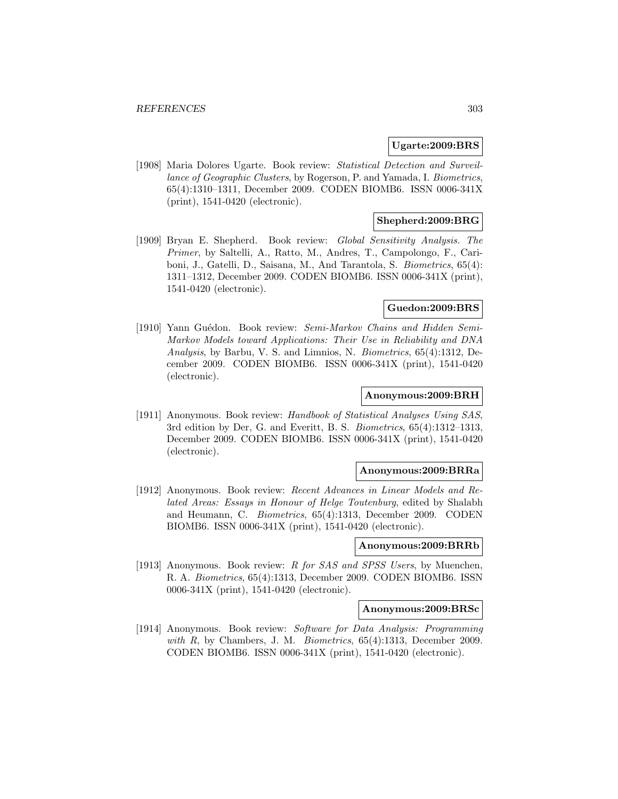#### **Ugarte:2009:BRS**

[1908] Maria Dolores Ugarte. Book review: Statistical Detection and Surveillance of Geographic Clusters, by Rogerson, P. and Yamada, I. Biometrics, 65(4):1310–1311, December 2009. CODEN BIOMB6. ISSN 0006-341X (print), 1541-0420 (electronic).

## **Shepherd:2009:BRG**

[1909] Bryan E. Shepherd. Book review: Global Sensitivity Analysis. The Primer, by Saltelli, A., Ratto, M., Andres, T., Campolongo, F., Cariboni, J., Gatelli, D., Saisana, M., And Tarantola, S. Biometrics, 65(4): 1311–1312, December 2009. CODEN BIOMB6. ISSN 0006-341X (print), 1541-0420 (electronic).

### **Guedon:2009:BRS**

[1910] Yann Guédon. Book review: Semi-Markov Chains and Hidden Semi-Markov Models toward Applications: Their Use in Reliability and DNA Analysis, by Barbu, V. S. and Limnios, N. Biometrics, 65(4):1312, December 2009. CODEN BIOMB6. ISSN 0006-341X (print), 1541-0420 (electronic).

#### **Anonymous:2009:BRH**

[1911] Anonymous. Book review: Handbook of Statistical Analyses Using SAS, 3rd edition by Der, G. and Everitt, B. S. Biometrics, 65(4):1312–1313, December 2009. CODEN BIOMB6. ISSN 0006-341X (print), 1541-0420 (electronic).

## **Anonymous:2009:BRRa**

[1912] Anonymous. Book review: Recent Advances in Linear Models and Related Areas: Essays in Honour of Helge Toutenburg, edited by Shalabh and Heumann, C. Biometrics, 65(4):1313, December 2009. CODEN BIOMB6. ISSN 0006-341X (print), 1541-0420 (electronic).

#### **Anonymous:2009:BRRb**

[1913] Anonymous. Book review: R for SAS and SPSS Users, by Muenchen, R. A. Biometrics, 65(4):1313, December 2009. CODEN BIOMB6. ISSN 0006-341X (print), 1541-0420 (electronic).

## **Anonymous:2009:BRSc**

[1914] Anonymous. Book review: Software for Data Analysis: Programming with  $R$ , by Chambers, J. M. *Biometrics*,  $65(4):1313$ , December 2009. CODEN BIOMB6. ISSN 0006-341X (print), 1541-0420 (electronic).